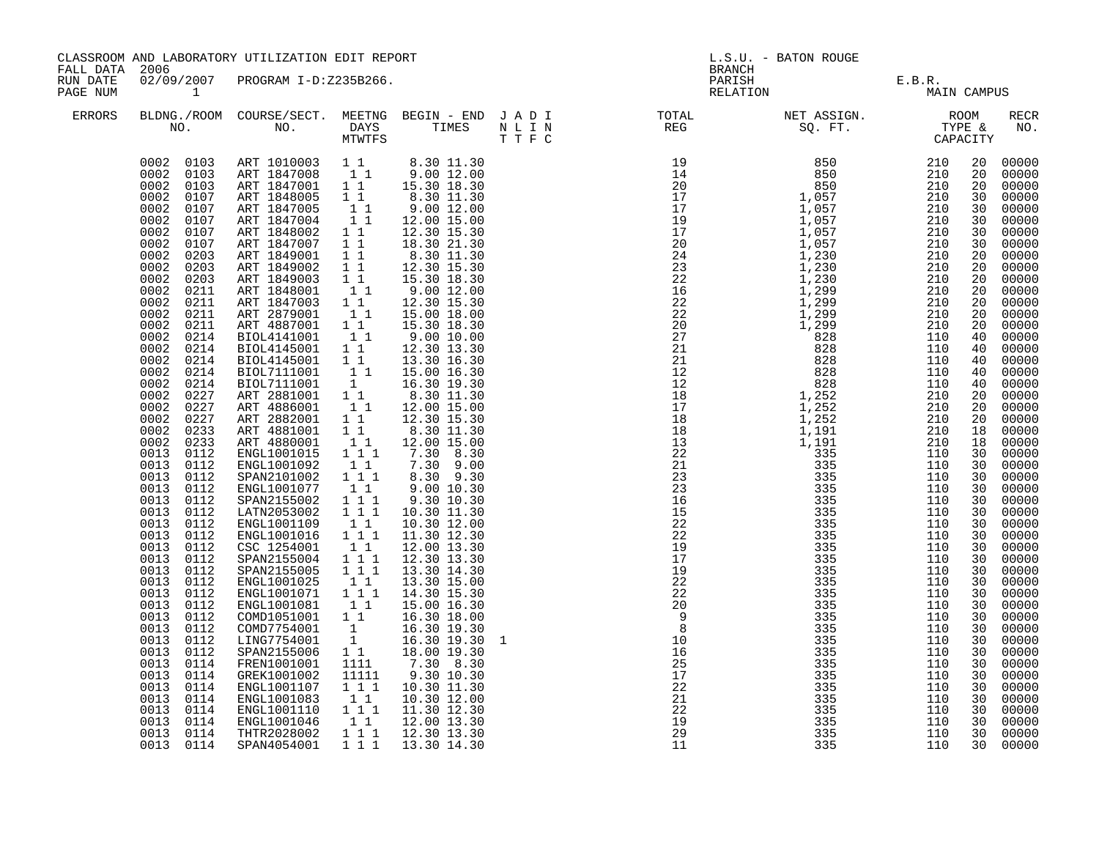| FALL DATA 2006<br><b>BRANCH</b><br>02/09/2007 PROGRAM I-D:Z235B266.<br>RUN DATE<br>PARISH<br>E.B.R.<br>MAIN CAMPUS<br>RELATION                                                                                                                                                                                                                                                                                                                                                                                                                                                                                                                                                                                                                                                                                                                                                                                                                                                                                                                                                                                                                                                                                                                                                                                                                                                                                                                                                                                                                                                                                                                                                                                                                                                                                                                                                                                                                                                                                                                                                                                                                                                                                                                                                                                                                                                                                                                                                                                                                                                                                                                                                                                                                                                                                                                                                                                                                                                                                                                                                                                 |                                                                                                                                                                                                                                                                                                                                                                                                                                                                                                                                                                                                                                                                                                                                                                                     |
|----------------------------------------------------------------------------------------------------------------------------------------------------------------------------------------------------------------------------------------------------------------------------------------------------------------------------------------------------------------------------------------------------------------------------------------------------------------------------------------------------------------------------------------------------------------------------------------------------------------------------------------------------------------------------------------------------------------------------------------------------------------------------------------------------------------------------------------------------------------------------------------------------------------------------------------------------------------------------------------------------------------------------------------------------------------------------------------------------------------------------------------------------------------------------------------------------------------------------------------------------------------------------------------------------------------------------------------------------------------------------------------------------------------------------------------------------------------------------------------------------------------------------------------------------------------------------------------------------------------------------------------------------------------------------------------------------------------------------------------------------------------------------------------------------------------------------------------------------------------------------------------------------------------------------------------------------------------------------------------------------------------------------------------------------------------------------------------------------------------------------------------------------------------------------------------------------------------------------------------------------------------------------------------------------------------------------------------------------------------------------------------------------------------------------------------------------------------------------------------------------------------------------------------------------------------------------------------------------------------------------------------------------------------------------------------------------------------------------------------------------------------------------------------------------------------------------------------------------------------------------------------------------------------------------------------------------------------------------------------------------------------------------------------------------------------------------------------------------------------|-------------------------------------------------------------------------------------------------------------------------------------------------------------------------------------------------------------------------------------------------------------------------------------------------------------------------------------------------------------------------------------------------------------------------------------------------------------------------------------------------------------------------------------------------------------------------------------------------------------------------------------------------------------------------------------------------------------------------------------------------------------------------------------|
| PAGE NUM<br>$\sim$ 1                                                                                                                                                                                                                                                                                                                                                                                                                                                                                                                                                                                                                                                                                                                                                                                                                                                                                                                                                                                                                                                                                                                                                                                                                                                                                                                                                                                                                                                                                                                                                                                                                                                                                                                                                                                                                                                                                                                                                                                                                                                                                                                                                                                                                                                                                                                                                                                                                                                                                                                                                                                                                                                                                                                                                                                                                                                                                                                                                                                                                                                                                           |                                                                                                                                                                                                                                                                                                                                                                                                                                                                                                                                                                                                                                                                                                                                                                                     |
| ERRORS                                                                                                                                                                                                                                                                                                                                                                                                                                                                                                                                                                                                                                                                                                                                                                                                                                                                                                                                                                                                                                                                                                                                                                                                                                                                                                                                                                                                                                                                                                                                                                                                                                                                                                                                                                                                                                                                                                                                                                                                                                                                                                                                                                                                                                                                                                                                                                                                                                                                                                                                                                                                                                                                                                                                                                                                                                                                                                                                                                                                                                                                                                         | <b>RECR</b><br>NO.                                                                                                                                                                                                                                                                                                                                                                                                                                                                                                                                                                                                                                                                                                                                                                  |
| $\begin{array}{cccc} 0002 & 0103 & \text{ART }1010003 & 1 & 8.30 & 11.30 \\ 0002 & 0103 & \text{ART }1847008 & 1 & 9.00 & 12.00 \\ 0002 & 0103 & \text{ART }1847001 & 1 & 15.30 & 18.30 \end{array}$<br>0002<br>0107<br>ART 1848005 1 1<br>8.30 11.30<br>9.00 12.00<br>0002<br>ART 1847005<br>$\begin{bmatrix} 1 \\ 1 \\ 1 \end{bmatrix}$<br>0107<br>0002<br>12.00 15.00<br>0107<br>ART 1847004<br>0002<br>ART 1848002 1 1<br>12.30 15.30<br>0107<br>ART 1847007 1 1<br>0002<br>0107<br>18.30 21.30<br>0002<br>0203<br>ART 1849001 1 1<br>$8.30$ 11.30<br>12.30 15.30<br>ART 1849002 1 1<br>0002<br>0203<br>0002<br>0203<br>ART 1849003 1 1<br>ART 1848001 1 1<br>15.30 18.30<br>9.00 12.00<br>0002<br>0211<br>ART 1848001<br>0002<br>0211<br>ART 1847003 11<br>ART 2879001 11<br>12.30 15.30<br>0002<br>0211<br>15.00 18.00<br>0002<br>0211<br>ART 4887001 11<br>BIOL4141001 11<br>15.30 18.30<br>0002<br>9.00 10.00<br>0214<br>BIOL4145001 1 <sup>1</sup><br>0002<br>12.30 13.30<br>0214<br>BIOL4145001 11<br>0002<br>0214<br>13.30 16.30<br>$\begin{bmatrix} 1 & 1 & 15.00 & 16.30 \\ 1 & 15.00 & 16.30 \\ 1 & 16.30 & 19.30 \end{bmatrix}$<br>0002<br>BIOL7111001<br>0214<br>0002<br>0214<br>BIOL7111001<br>ART 2881001 1<br>ART 4886001 11<br>0002<br>8.30 11.30<br>12.00 15.00<br>0227<br>0002<br>0227<br>0002<br>0227<br>ART 2882001   1   12.30   15.30<br>ART 4881001   11   8.30   11.30<br>0002<br>0233<br>0002<br>11<br>12.00 15.00<br>0233<br>ART 4880001<br>0013<br>ENGL1001015 1 1 1<br>$7.30\quad 8.30$<br>0112<br>0013<br>11<br>7.30 9.00<br>0112<br>ENGL1001092<br>1 1 1<br>0013<br>0112<br>SPAN2101002<br>8.30 9.30<br>0013<br>ENGL1001077<br>11<br>0112<br>9.00 10.30<br>0013<br>SPAN2155002 1 1 1<br>LATN2053002 1 1 1<br>9.30 10.30<br>0112<br>0013 0112<br>10.30 11.30<br>0013 0112<br>ENGL1001109<br>$\begin{bmatrix} 1 & 1 \\ 1 & 1 \end{bmatrix}$<br>10.30 12.00<br>0013<br>0112<br>ENGL1001016<br>11.30 12.30<br>CSC 1254001<br>0013<br>0112<br>$\begin{bmatrix} 1 & 1 \\ 1 & 1 & 1 \end{bmatrix}$<br>12.00 13.30<br>0013<br>0112<br>SPAN2155004<br>12.30 13.30<br>$1\overline{1}$ $\overline{1}$<br>0013<br>0112<br>SPAN2155005<br>13.30 14.30<br>0013<br>11<br>0112<br>ENGL1001025<br>13.30 15.00<br>ENGL1001071  1  1  1<br>0013<br>0112<br>14.30 15.30<br>0013<br>ENGL1001081<br>11<br>0112<br>15.00 16.30<br>0013<br>0112<br>COMD1051001 1 1<br>16.30 18.00<br>16.30 19.30<br>0013<br>COMD7754001<br>0112<br>$\begin{bmatrix} 1 \\ 1 \end{bmatrix}$<br>0013<br>0112<br>LING7754001<br>16.30 19.30<br>$1^{\circ}1$<br>0013<br>SPAN2155006<br>0112<br>18.00 19.30<br>$\frac{1}{22}$<br>30<br>30<br>0013<br>0114<br>FREN1001001<br>1111<br>7.30 8.30<br>0013<br>GREK1001002<br>9.30 10.30<br>0114<br>11111<br>$1 1 1$<br>10.30 11.30<br>0013<br>ENGL1001107<br>0114<br>ENGL1001083<br>11<br>0013<br>0114<br>10.30 12.00<br>$1 1 1$<br>0013<br>0114<br>ENGL1001110<br>ENGL1001046<br>11.30 12.30<br>0013<br>11<br>12.00 13.30<br>0114<br>$1 1 1$<br>110<br>0013 0114<br>THTR2028002<br>12.30 13.30<br>335<br>0013 0114<br>SPAN4054001<br>1 1 1 1 1 1 3 . 30 1 4 . 30<br>335<br>110 | 00000<br>20<br>00000<br>20<br>00000<br>20<br>00000<br>30<br>00000<br>30<br>30<br>00000<br>00000<br>30<br>30<br>$00000$<br>$00000$<br>20<br>20<br>00000<br>$00000$<br>$00000$<br>20<br>20<br>00000<br>20<br>00000<br>20<br>20<br>40<br>00000<br>40<br>00000<br>40<br>00000<br>40<br>00000<br>40<br>00000<br>20<br>00000<br>20<br>00000<br>20<br>00000<br>18<br>00000<br>18<br>00000<br>30<br>00000<br>30<br>00000<br>30<br>00000<br>30<br>00000<br>30<br>00000<br>30<br>00000<br>30<br>00000<br>00000<br>30<br>30<br>00000<br>30<br>00000<br>30<br>00000<br>30<br>00000<br>00000<br>30<br>30<br>00000<br>30<br>00000<br>30<br>00000<br>30<br>00000<br>30<br>00000<br>30<br>00000<br>30<br>$00000$<br>$00000$<br>30<br>30<br>00000<br>30<br>30<br>00000<br>00000<br>30<br>30<br>00000 |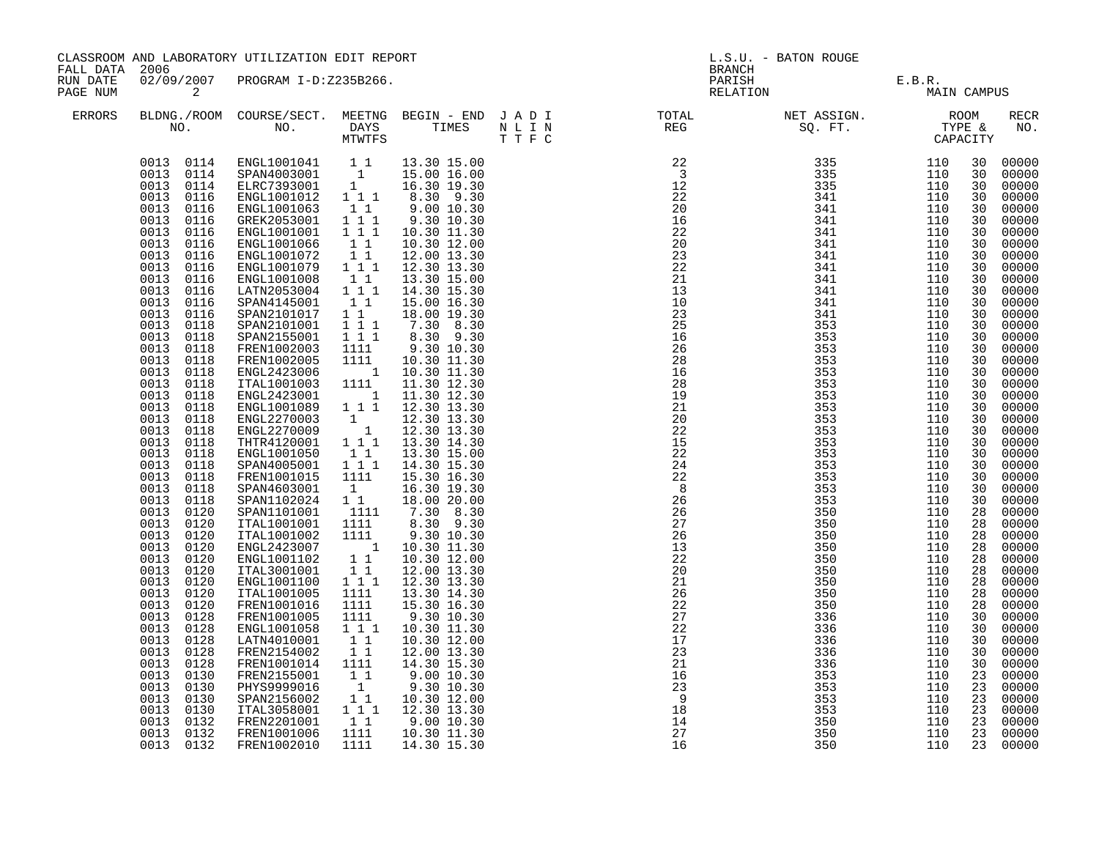| FALL DATA 2006       |                                                                                                                                                                                                                                                                                                                                                                                                                                                                                                                                                                                                                                                                                              | CLASSROOM AND LABORATORY UTILIZATION EDIT REPORT                                                                                                                                                                                                                                                                                                                                                                                                                                                                                                                                                                                                                                                                                                                                                                                                                                                                                                                                                  |                                                                                                                                                                                                                                                                                                                                                                          |                                                                                                                                                                                                                                                                                                                                                                                                                                                                                                                                                                                                                                              |                                                                                                  | L.S.U. - BATON ROUGE<br>BRANCH                                                                                                                                                                                                                                                                                                                                                                                                      |                                 |                                       |                                                                                                                                                                                                                                                                                  |                                                                                                                                                                                                                                                                                                                                                                                                                                     |  |
|----------------------|----------------------------------------------------------------------------------------------------------------------------------------------------------------------------------------------------------------------------------------------------------------------------------------------------------------------------------------------------------------------------------------------------------------------------------------------------------------------------------------------------------------------------------------------------------------------------------------------------------------------------------------------------------------------------------------------|---------------------------------------------------------------------------------------------------------------------------------------------------------------------------------------------------------------------------------------------------------------------------------------------------------------------------------------------------------------------------------------------------------------------------------------------------------------------------------------------------------------------------------------------------------------------------------------------------------------------------------------------------------------------------------------------------------------------------------------------------------------------------------------------------------------------------------------------------------------------------------------------------------------------------------------------------------------------------------------------------|--------------------------------------------------------------------------------------------------------------------------------------------------------------------------------------------------------------------------------------------------------------------------------------------------------------------------------------------------------------------------|----------------------------------------------------------------------------------------------------------------------------------------------------------------------------------------------------------------------------------------------------------------------------------------------------------------------------------------------------------------------------------------------------------------------------------------------------------------------------------------------------------------------------------------------------------------------------------------------------------------------------------------------|--------------------------------------------------------------------------------------------------|-------------------------------------------------------------------------------------------------------------------------------------------------------------------------------------------------------------------------------------------------------------------------------------------------------------------------------------------------------------------------------------------------------------------------------------|---------------------------------|---------------------------------------|----------------------------------------------------------------------------------------------------------------------------------------------------------------------------------------------------------------------------------------------------------------------------------|-------------------------------------------------------------------------------------------------------------------------------------------------------------------------------------------------------------------------------------------------------------------------------------------------------------------------------------------------------------------------------------------------------------------------------------|--|
| RUN DATE<br>PAGE NUM | $\overline{\phantom{a}}$ 2                                                                                                                                                                                                                                                                                                                                                                                                                                                                                                                                                                                                                                                                   | 02/09/2007 PROGRAM I-D:Z235B266.                                                                                                                                                                                                                                                                                                                                                                                                                                                                                                                                                                                                                                                                                                                                                                                                                                                                                                                                                                  |                                                                                                                                                                                                                                                                                                                                                                          |                                                                                                                                                                                                                                                                                                                                                                                                                                                                                                                                                                                                                                              |                                                                                                  |                                                                                                                                                                                                                                                                                                                                                                                                                                     |                                 | PARISH E.B.R.<br>RELATION MAIN CAMPUS |                                                                                                                                                                                                                                                                                  |                                                                                                                                                                                                                                                                                                                                                                                                                                     |  |
| ERRORS               |                                                                                                                                                                                                                                                                                                                                                                                                                                                                                                                                                                                                                                                                                              |                                                                                                                                                                                                                                                                                                                                                                                                                                                                                                                                                                                                                                                                                                                                                                                                                                                                                                                                                                                                   |                                                                                                                                                                                                                                                                                                                                                                          |                                                                                                                                                                                                                                                                                                                                                                                                                                                                                                                                                                                                                                              |                                                                                                  | $\begin{array}{cccccccccccccc} \texttt{BLDNA} \texttt{.} \texttt{.} \texttt{.} \texttt{.} \texttt{.} \texttt{.} \texttt{.} \texttt{.} \texttt{.} \texttt{.} \texttt{.} \texttt{.} \texttt{.} \texttt{.} \texttt{.} \texttt{.} \texttt{.} \texttt{.} \texttt{.} \texttt{.} \texttt{.} \texttt{.} \texttt{.} \texttt{.} \texttt{.} \texttt{.} \texttt{.} \texttt{.} \texttt{.} \texttt{.} \texttt{.} \texttt{.} \texttt{.} \texttt{.$ |                                 |                                       |                                                                                                                                                                                                                                                                                  | <b>RECR</b><br>NO.                                                                                                                                                                                                                                                                                                                                                                                                                  |  |
|                      | 0013<br>0116<br>0013<br>0116<br>0013<br>0116<br>0013<br>0116<br>0013<br>0116<br>0013<br>0116<br>0013<br>0116<br>0013<br>0116<br>0013<br>0116<br>0013<br>0116<br>0013<br>0118<br>0013<br>0118<br>0013<br>0118<br>0013<br>0118<br>0013<br>0118<br>0013<br>0118<br>0013<br>0118<br>0013<br>0118<br>0013<br>0118<br>0013<br>0118<br>0013<br>0118<br>0013<br>0118<br>0013<br>0118<br>0013<br>0118<br>0013<br>0118<br>0013<br>0118<br>0013<br>0120<br>0013<br>0120<br>0013<br>0120<br>0013<br>0120<br>0013<br>0120<br>0013<br>0120<br>0013<br>0120<br>0013<br>0120<br>0013<br>0120<br>0013<br>0128<br>0013<br>0128<br>0013<br>0128<br>0013<br>0128<br>0013<br>0128<br>0013<br>0130<br>0013<br>0130 | $\begin{array}{cccc} 0013 & 0114 & \texttt{ENGL1001041} & 1 & 1 & 13.30 & 15.00 \\ 0013 & 0114 & \texttt{SPAN4003001} & 1 & 15.00 & 16.00 \\ 0013 & 0114 & \texttt{ELRC7393001} & 1 & 16.30 & 19.30 \\ 0013 & 0116 & \texttt{ENGL1001012} & 1 & 1 & 8.30 & 9.30 \\ \end{array}$<br>ENGL1001063<br>GREK2053001<br>ENGL1001001 1 1 1<br>ENGL1001066<br>ENGL1001072<br>ENGL1001079 1 1 1<br>ENGL1001008<br>ENGL1001008   1   1<br>LATN2053004   1   1   1<br>SPAN4145001<br>SPAN2101017 1 1<br>SPAN2101001  1  1  1<br>SPAN2155001<br>FREN1002003<br>FREN1002005<br>ENGL2423006<br>ITAL1001003<br>ENGL2423001<br>ENGL1001089<br>ENGL2270003<br>ENGL2270009<br>THTR4120001<br>ENGL1001050<br>SPAN4005001<br>FREN1001015<br>SPAN4603001<br>SPAN1102024<br>SPAN1101001<br>ITAL1001001<br>ITAL1001002<br>ENGL2423007<br>ENGL1001102<br>ITAL3001001<br>ENGL1001100<br>ITAL1001005<br>FREN1001016<br>FREN1001005<br>ENGL1001058<br>LATN4010001<br>FREN2154002<br>FREN1001014<br>FREN2155001<br>PHYS9999016 | 11<br>$1^{\circ}1^{\circ}1$<br>$1\quad1$<br>11<br>11<br>$1 1 1$<br>1111<br>1111<br>1111<br>$\sim$ 1<br>$1 1 1$<br>$\begin{bmatrix} 1 \\ 1 \end{bmatrix}$<br>1 1 1<br>$\begin{smallmatrix}1&1\\1&1&1\end{smallmatrix}$<br>1111<br>1<br>$1\quad1$<br>1111<br>1111<br>1111<br>11<br>$1 1 1$<br>1111<br>1111<br>1111<br>$1\overline{1}$<br>11<br>11<br>1111<br>11<br>1<br>11 | 9.00 10.30<br>9.30 10.30<br>10.30 11.30<br>10.30 12.00<br>12.00 13.30<br>12.30 13.30<br>13.30 15.00<br>14.30 15.30<br>15.00 16.30<br>18.00 19.30<br>7.30 8.30<br>8.30 9.30<br>9.30 10.30<br>10.30 11.30<br>1 10.30 11.30<br>11.30 12.30<br>11.30 12.30<br>12.30 13.30<br>12.30 13.30<br>12.30 13.30<br>13.30 14.30<br>13.30 15.00<br>14.30 15.30<br>15.30 16.30<br>16.30 19.30<br>18.00 20.00<br>$7.30\quad 8.30$<br>8.30 9.30<br>9.30 10.30<br>10.30 11.30<br>10.30 12.00<br>12.00 13.30<br>12.30 13.30<br>13.30 14.30<br>15.30 16.30<br>9.30 10.30<br>10.30 11.30<br>10.30 12.00<br>12.00 13.30<br>14.30 15.30<br>9.00 10.30<br>9.30 10.30 | $222$<br>$227$<br>$227$<br>$173$<br>$21$<br>$16$<br>$23$<br>$98$<br>$18$<br>$14$<br>$27$<br>$16$ | 91 - Propies 1980<br>1980 - Propies 1980 - Propies 1980 - Propies 1980 - Propies 1980 - Propies 1980 - 2002<br>1980 - 2003 - 2004 - 2003 - 2004 - 2008 - 2008 - 2008 - 2008 - 2008 - 2008 - 2008 - 2008 - 2008 - 2008 - 2008 - 2008                                                                                                                                                                                                 | 336<br>353<br>353               | 110<br>110<br>110                     | 30<br>30<br>30<br>30<br>30<br>30<br>30<br>30<br>30<br>30<br>30<br>30<br>30<br>30<br>30<br>30<br>30<br>30<br>30<br>30<br>30<br>30<br>30<br>30<br>30<br>30<br>30<br>30<br>30<br>30<br>28<br>28<br>28<br>28<br>28<br>28<br>28<br>28<br>28<br>30<br>30<br>30<br>30<br>30<br>23<br>23 | 00000<br>00000<br>00000<br>00000<br>00000<br>00000<br>00000<br>00000<br>00000<br>00000<br>00000<br>00000<br>00000<br>00000<br>00000<br>00000<br>00000<br>00000<br>00000<br>00000<br>00000<br>00000<br>00000<br>00000<br>00000<br>00000<br>00000<br>00000<br>00000<br>00000<br>00000<br>00000<br>00000<br>00000<br>00000<br>00000<br>00000<br>00000<br>00000<br>00000<br>00000<br>00000<br>00000<br>00000<br>00000<br>00000<br>00000 |  |
|                      | 0013<br>0130<br>0013<br>0130<br>0013<br>0132<br>0013<br>0132<br>0013 0132                                                                                                                                                                                                                                                                                                                                                                                                                                                                                                                                                                                                                    | SPAN2156002<br>ITAL3058001<br>FREN2201001<br>FREN1001006<br>FREN1002010                                                                                                                                                                                                                                                                                                                                                                                                                                                                                                                                                                                                                                                                                                                                                                                                                                                                                                                           | $1 1 1$<br>11<br>1111<br>1111                                                                                                                                                                                                                                                                                                                                            | 10.30 12.00<br>12.30 13.30<br>9.00 10.30<br>10.30 11.30<br>14.30 15.30                                                                                                                                                                                                                                                                                                                                                                                                                                                                                                                                                                       |                                                                                                  |                                                                                                                                                                                                                                                                                                                                                                                                                                     | 353<br>353<br>350<br>350<br>350 | 110<br>110<br>110<br>110<br>110       | 23<br>23<br>23<br>23<br>23                                                                                                                                                                                                                                                       | 00000<br>00000<br>00000<br>00000                                                                                                                                                                                                                                                                                                                                                                                                    |  |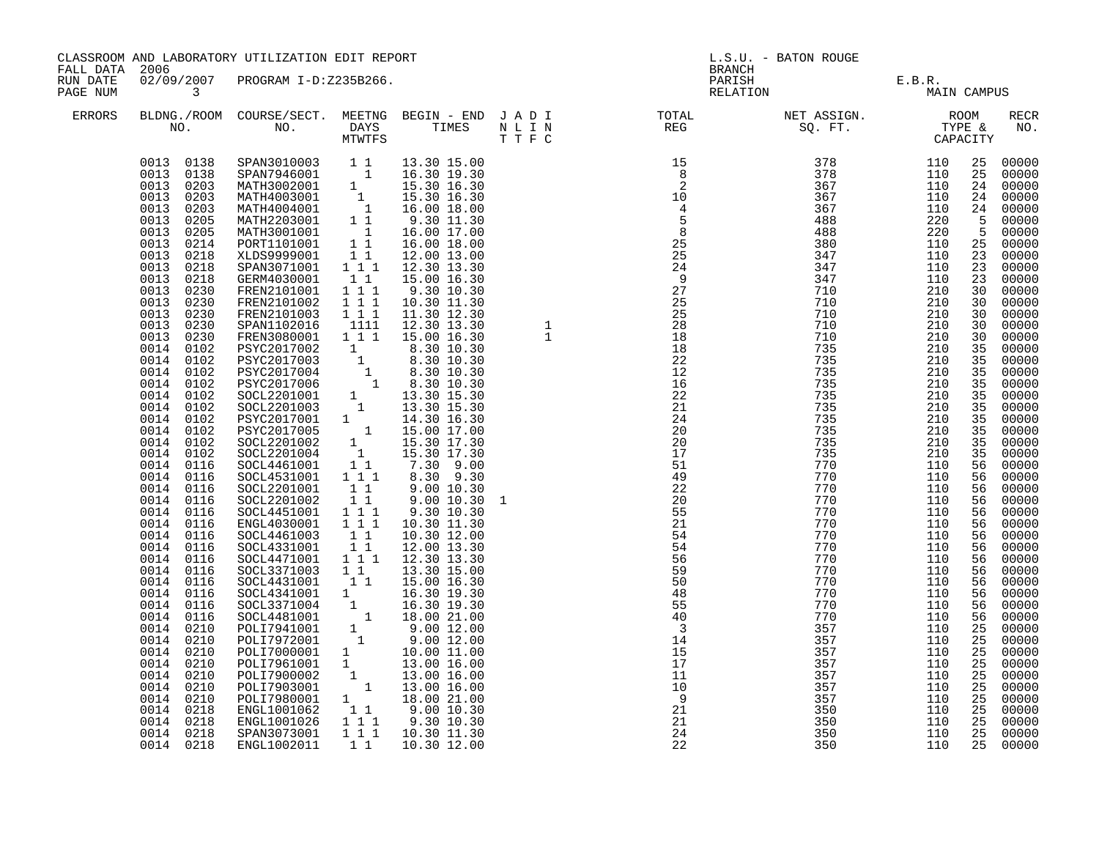| FALL DATA 2006                                  |                                                                                                                                                                                                                                                                                                                                                                                                                                                                                                                                                                                                                                                                                                                                                                                                                         | CLASSROOM AND LABORATORY UTILIZATION EDIT REPORT                                                                                                                                                                                                                                                                                                                                                                                                                                                                                                                                                                                                                                                                                                                                                                                                                                                                                                                                                                                                                              |                                                                                                                                            |                                                                                                                                                                                                                                                                                                                                                                             | L.S.U. - BATON ROUGE<br><b>BRANCH</b>      |                                                                                                                                                                                                                                                                                                                                                                                                                                                                                                                                                                                                                                                                                      |                                                                                                                                                                                                                                                                                             |                                                                                                                                                                                                                                                                                             |                                                                                                                                                                                                                                                                                                                                   |                                                                                                                                                                                                                                                                                                                                                                                                                                                                                  |
|-------------------------------------------------|-------------------------------------------------------------------------------------------------------------------------------------------------------------------------------------------------------------------------------------------------------------------------------------------------------------------------------------------------------------------------------------------------------------------------------------------------------------------------------------------------------------------------------------------------------------------------------------------------------------------------------------------------------------------------------------------------------------------------------------------------------------------------------------------------------------------------|-------------------------------------------------------------------------------------------------------------------------------------------------------------------------------------------------------------------------------------------------------------------------------------------------------------------------------------------------------------------------------------------------------------------------------------------------------------------------------------------------------------------------------------------------------------------------------------------------------------------------------------------------------------------------------------------------------------------------------------------------------------------------------------------------------------------------------------------------------------------------------------------------------------------------------------------------------------------------------------------------------------------------------------------------------------------------------|--------------------------------------------------------------------------------------------------------------------------------------------|-----------------------------------------------------------------------------------------------------------------------------------------------------------------------------------------------------------------------------------------------------------------------------------------------------------------------------------------------------------------------------|--------------------------------------------|--------------------------------------------------------------------------------------------------------------------------------------------------------------------------------------------------------------------------------------------------------------------------------------------------------------------------------------------------------------------------------------------------------------------------------------------------------------------------------------------------------------------------------------------------------------------------------------------------------------------------------------------------------------------------------------|---------------------------------------------------------------------------------------------------------------------------------------------------------------------------------------------------------------------------------------------------------------------------------------------|---------------------------------------------------------------------------------------------------------------------------------------------------------------------------------------------------------------------------------------------------------------------------------------------|-----------------------------------------------------------------------------------------------------------------------------------------------------------------------------------------------------------------------------------------------------------------------------------------------------------------------------------|----------------------------------------------------------------------------------------------------------------------------------------------------------------------------------------------------------------------------------------------------------------------------------------------------------------------------------------------------------------------------------------------------------------------------------------------------------------------------------|
| RUN DATE<br>PAGE NUM<br>$\overline{\mathbf{3}}$ |                                                                                                                                                                                                                                                                                                                                                                                                                                                                                                                                                                                                                                                                                                                                                                                                                         | 02/09/2007 PROGRAM I-D:Z235B266.                                                                                                                                                                                                                                                                                                                                                                                                                                                                                                                                                                                                                                                                                                                                                                                                                                                                                                                                                                                                                                              |                                                                                                                                            |                                                                                                                                                                                                                                                                                                                                                                             |                                            |                                                                                                                                                                                                                                                                                                                                                                                                                                                                                                                                                                                                                                                                                      | PARISH E.B.R.<br>RELATION MAIL                                                                                                                                                                                                                                                              | MAIN CAMPUS                                                                                                                                                                                                                                                                                 |                                                                                                                                                                                                                                                                                                                                   |                                                                                                                                                                                                                                                                                                                                                                                                                                                                                  |
| ERRORS                                          |                                                                                                                                                                                                                                                                                                                                                                                                                                                                                                                                                                                                                                                                                                                                                                                                                         |                                                                                                                                                                                                                                                                                                                                                                                                                                                                                                                                                                                                                                                                                                                                                                                                                                                                                                                                                                                                                                                                               |                                                                                                                                            |                                                                                                                                                                                                                                                                                                                                                                             |                                            |                                                                                                                                                                                                                                                                                                                                                                                                                                                                                                                                                                                                                                                                                      |                                                                                                                                                                                                                                                                                             |                                                                                                                                                                                                                                                                                             |                                                                                                                                                                                                                                                                                                                                   | RECR<br>NO.                                                                                                                                                                                                                                                                                                                                                                                                                                                                      |
|                                                 | 0013 0138<br>0013 0138<br>0013 0203<br>0013<br>0203<br>0013<br>0203<br>0013<br>0205<br>0013<br>0205<br>0013<br>0214<br>0013<br>0218<br>0013<br>0218<br>0013<br>0218<br>0013<br>0230<br>0013<br>0230<br>0013<br>0230<br>0013<br>0230<br>0013<br>0230<br>0014<br>0102<br>0014<br>0102<br>0014<br>0102<br>0014<br>0102<br>0014<br>0102<br>0014<br>0102<br>0014<br>0102<br>0014<br>0102<br>0014<br>0102<br>0014<br>0102<br>0014<br>0116<br>0014<br>0116<br>0014<br>0116<br>0014<br>0116<br>0014<br>0116<br>0014<br>0116<br>0014<br>0116<br>0014<br>0116<br>0014<br>0116<br>0014 0116<br>0014 0116<br>0014 0116<br>0014<br>0116<br>0014<br>0116<br>0014<br>0210<br>0014<br>0210<br>0014<br>0210<br>0014<br>0210<br>0014<br>0210<br>0014<br>0210<br>0014<br>0210<br>0014<br>0218<br>0014<br>0218<br>0218<br>0014<br>0014 0218 | SPAN3010003 1 1 13.30 15.00<br>SPAN7946001 1 16.30 19.30<br>MATH3002001 1 15.30 16.30<br>MATH4003001 1 15.30 16.30<br>MATH4004001 1 16.00 18.00<br>MATH4203001 1 1 9.30 11.30<br>MATH3001001 1<br>PORT1101001 1<br>XLDS9999001 11<br>SPAN3071001 111<br>GERM4030001<br>FREN2101001<br>FREN2101002<br>FREN2101003<br>SPAN1102016<br>FREN3080001<br>PSYC2017002<br>PSYC2017003<br>PSYC2017004<br>PSYC2017006<br>SOCL2201001<br>SOCL2201003<br>PSYC2017001 1<br>PSYC2017005 1<br>SOCL2201002 1<br>SOCL2201004 1<br>SOCL4461001 1 1<br>SOCL4531001<br>SOCL2201001<br>SOCL2201002<br>SOCL4451001 111<br>ENGL4030001 111<br>SOCL4461003<br>SOCL4331001<br>SOCL4471001 111<br>SOCL3371003 1 1<br>00CL4431001 1 15.00 16.30<br>00CL4331001 1 16.30 19.30<br>00CL3371004 1 16.30 19.30<br>00CL4481001 1 18.00 21.00<br>POLI7941001<br>POLI7972001 1<br>POLI7000001 1 10.00 16.00<br>POLI7961001 1 13.00 16.00<br>POLI7900002 1 13.00 16.00<br>POLI7903001 1 13.00 16.00<br>POLI7980001 1 13.00 16.00<br>POLI7980001 1 18.00 21.00<br>~~1001062 1 1 9.00 10.30<br>1 1, 9<br>ENGL1002011 | 11<br>$1 1 1$<br>$1 1 1$<br>$1 1 1$<br>1111<br>1 1 1<br>$1 1 1$<br>11<br>11<br>$\begin{bmatrix} 1 & 1 \\ 1 & 1 \end{bmatrix}$<br>$1\quad1$ | 16.00 17.00<br>16.00 18.00<br>12.00 13.00<br>12.30 13.30<br>15.00 16.30<br>9.30 10.30<br>10.30 11.30<br>11.30 12.30<br>12.30 13.30<br>15.00 16.30<br>14.30 16.30<br>15.00 17.00<br>15.30 17.30<br>15.30 17.30<br>7.30 9.00<br>8.30 9.30<br>9.00 10.30<br>9.00 10.30<br>9.30 10.30<br>10.30 11.30<br>10.30 12.00<br>12.00 13.30<br>12.30 13.30<br>13.30 15.00<br>10.30 12.00 | $\begin{array}{c} 1 \\ 1 \end{array}$<br>1 | $\begin{array}{cccc} & & & & & & & \text{GAP}, \cr 15 & 8 & 378 & 110 & & & \cr 2 & 367 & 110 & & & \cr 10 & 367 & 110 & & \cr 4 & 367 & 110 & & \cr 5 & 488 & 220 & & \cr 8 & 488 & 220 & & \cr 25 & 380 & 110 & & \cr 25 & 347 & 110 & & \cr 24 & 347 & 110 & & \cr 9 & 347 & 110 & & \cr \end{array}$<br>$27$<br>$27$<br>$25$<br>$28$<br>$18$<br>$18$<br>18<br>22<br>$\overline{1}\overline{2}$<br>16<br>22<br>21<br>24<br>20<br>20<br>17<br>51<br>49<br>$\frac{1}{22}$<br>20<br>55<br>21<br>54<br>54<br>56<br>59<br>50<br>48<br>55<br>40<br>$\overline{\mathbf{3}}$<br>$1\overline{4}$<br>15<br>$\overline{1}\overline{7}$<br>11<br>10<br>$\overline{9}$<br>21<br>21<br>24<br>22 | 347<br>710<br>710<br>710<br>710<br>710<br>735<br>735<br>735<br>735<br>735<br>735<br>735<br>735<br>735<br>735<br>770<br>770<br>770<br>770<br>770<br>770<br>770<br>770<br>770<br>770<br>770<br>770<br>770<br>770<br>357<br>357<br>357<br>357<br>357<br>357<br>357<br>350<br>350<br>350<br>350 | 110<br>210<br>210<br>210<br>210<br>210<br>210<br>210<br>210<br>210<br>210<br>210<br>210<br>210<br>210<br>210<br>110<br>110<br>110<br>110<br>110<br>110<br>110<br>110<br>110<br>110<br>110<br>110<br>110<br>110<br>110<br>110<br>110<br>110<br>110<br>110<br>110<br>110<br>110<br>110<br>110 | 25<br>25<br>24<br>$5\overline{)}$<br>$\frac{5}{5}$<br>25<br>23<br>23<br>23<br>30<br>30<br>30<br>30<br>30<br>35<br>35<br>35<br>35<br>35<br>35<br>35<br>35<br>35<br>35<br>56<br>56<br>56<br>56<br>56<br>56<br>56<br>56<br>56<br>56<br>56<br>56<br>56<br>56<br>25<br>25<br>25<br>$\overline{25}$<br>25<br>25<br>25<br>25<br>25<br>25 | 00000<br>00000<br>00000<br>24 00000<br>24 00000<br>00000<br>00000<br>00000<br>00000<br>00000<br>00000<br>00000<br>00000<br>00000<br>00000<br>00000<br>00000<br>00000<br>00000<br>00000<br>00000<br>00000<br>00000<br>00000<br>00000<br>00000<br>00000<br>00000<br>00000<br>00000<br>00000<br>00000<br>00000<br>00000<br>00000<br>00000<br>00000<br>00000<br>00000<br>00000<br>00000<br>00000<br>00000<br>00000<br>00000<br>00000<br>00000<br>00000<br>00000<br>00000<br>25 00000 |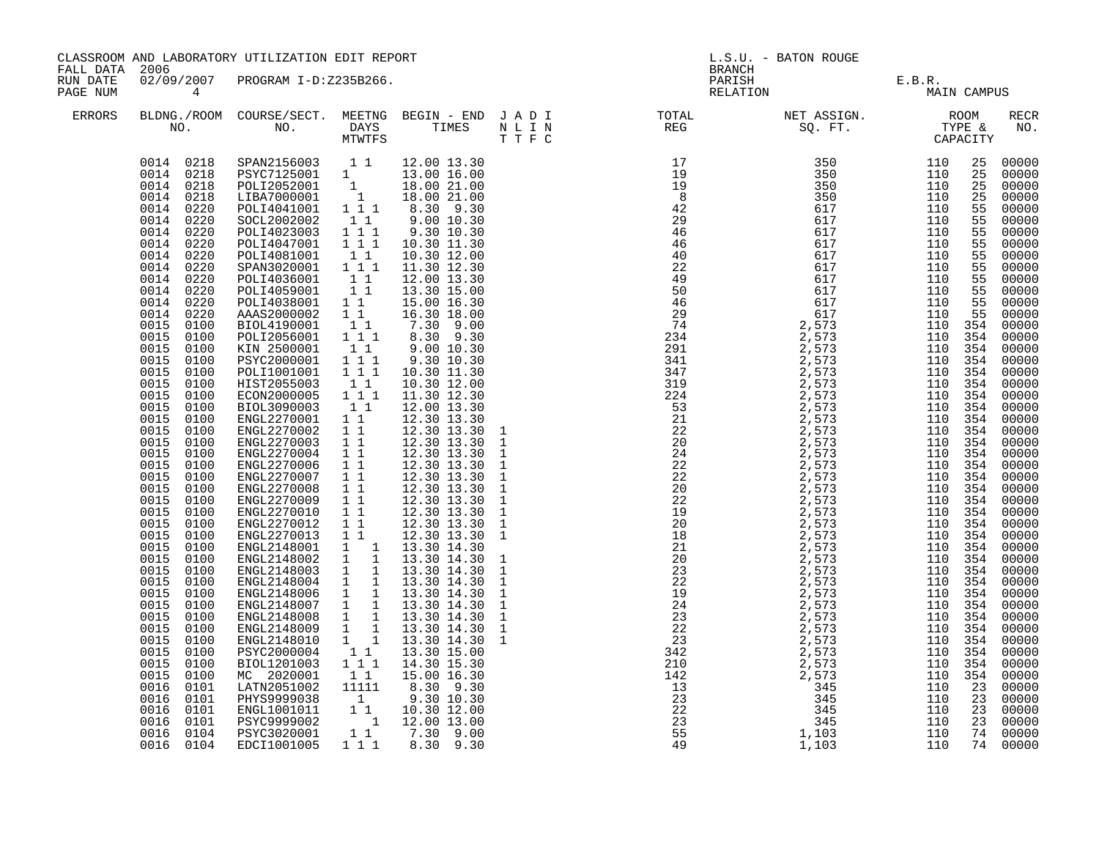| FALL DATA 2006<br>BRANCH<br>02/09/2007 PROGRAM I-D:Z235B266.<br>RUN DATE                                                                                                                                                                                                                                                                                                                                                                                                                                                                                                                                                                                                                                                                                                                                                                                                                                                                                                                                                                                                                                                                                                                                                                                                                                                                                                                                                                                                                                                                                                                                                                                                                                                                                                                                                                                                                                                                                                                                                                                                                                                                                                                                                                                                                                                                                                                                                                                                                                                                                                                                                                                                                                      |                                                                                                                                                                                                                                                                                                                                                                                                                                                         |                                                                                                                                                                                                                                                                                                                                                                                                                                                                                |
|---------------------------------------------------------------------------------------------------------------------------------------------------------------------------------------------------------------------------------------------------------------------------------------------------------------------------------------------------------------------------------------------------------------------------------------------------------------------------------------------------------------------------------------------------------------------------------------------------------------------------------------------------------------------------------------------------------------------------------------------------------------------------------------------------------------------------------------------------------------------------------------------------------------------------------------------------------------------------------------------------------------------------------------------------------------------------------------------------------------------------------------------------------------------------------------------------------------------------------------------------------------------------------------------------------------------------------------------------------------------------------------------------------------------------------------------------------------------------------------------------------------------------------------------------------------------------------------------------------------------------------------------------------------------------------------------------------------------------------------------------------------------------------------------------------------------------------------------------------------------------------------------------------------------------------------------------------------------------------------------------------------------------------------------------------------------------------------------------------------------------------------------------------------------------------------------------------------------------------------------------------------------------------------------------------------------------------------------------------------------------------------------------------------------------------------------------------------------------------------------------------------------------------------------------------------------------------------------------------------------------------------------------------------------------------------------------------------|---------------------------------------------------------------------------------------------------------------------------------------------------------------------------------------------------------------------------------------------------------------------------------------------------------------------------------------------------------------------------------------------------------------------------------------------------------|--------------------------------------------------------------------------------------------------------------------------------------------------------------------------------------------------------------------------------------------------------------------------------------------------------------------------------------------------------------------------------------------------------------------------------------------------------------------------------|
| PARISH E.B.R.<br>RELATION MAIN CAMPUS<br>PAGE NUM<br>$4\overline{4}$                                                                                                                                                                                                                                                                                                                                                                                                                                                                                                                                                                                                                                                                                                                                                                                                                                                                                                                                                                                                                                                                                                                                                                                                                                                                                                                                                                                                                                                                                                                                                                                                                                                                                                                                                                                                                                                                                                                                                                                                                                                                                                                                                                                                                                                                                                                                                                                                                                                                                                                                                                                                                                          |                                                                                                                                                                                                                                                                                                                                                                                                                                                         |                                                                                                                                                                                                                                                                                                                                                                                                                                                                                |
| ERRORS                                                                                                                                                                                                                                                                                                                                                                                                                                                                                                                                                                                                                                                                                                                                                                                                                                                                                                                                                                                                                                                                                                                                                                                                                                                                                                                                                                                                                                                                                                                                                                                                                                                                                                                                                                                                                                                                                                                                                                                                                                                                                                                                                                                                                                                                                                                                                                                                                                                                                                                                                                                                                                                                                                        |                                                                                                                                                                                                                                                                                                                                                                                                                                                         | <b>RECR</b><br>NO.                                                                                                                                                                                                                                                                                                                                                                                                                                                             |
| $\begin{tabular}{cccc} 0014 & 0218 & SPM3156003 & 1 & 1 & 12.00 & 13.30 \\ 0014 & 0218 & PSYC7125001 & 1 & 13.00 & 16.00 \\ 0014 & 0218 & POL12052001 & 1 & 18.00 & 21.00 \\ 0014 & 0218 & LIBA7000001 & 1 & 18.00 & 21.00 \\ 0014 & 0220 & POL14041001 & 1 & 1 & 8.30 & 9.30 \\ 0014 & 02$<br>SOCL2002002 11<br>POLI4023003 111<br>0014<br>0220<br>9.30 10.30<br>POLI4047001 1 1 1<br>0014<br>0220<br>10.30 11.30<br>0014<br>0220<br>POLI4081001<br>11<br>10.30 12.00<br>SPAN3020001 111<br>0014<br>0220<br>11.30 12.30<br>0014<br>0220<br>POLI4036001 11<br>POLI4059001 11<br>12.00 13.30<br>0014<br>0220<br>13.30 15.00<br>0014<br>0220<br>POLI4038001 1 1<br>15.00 16.30<br>0014<br>AAAS2000002 1 1<br>0220<br>16.30 18.00<br>7.30 9.00<br>0015<br>11<br>0100<br>BIOL4190001<br>0015<br>POLI2056001 111<br>8.30 9.30<br>0100<br>11<br>0015<br>0100<br>KIN 2500001<br>9.00 10.30<br>0015<br>PSYC2000001 111<br>POLI1001001 111<br>9.30 10.30<br>0100<br>0015<br>10.30 11.30<br>0100<br>10.30 12.00<br>0015<br>0100<br>HIST2055003 11<br>ECON2000005 111<br>0015<br>11.30 12.30<br>0100<br>0015<br>BIOL3090003<br>$1\quad1$<br>12.00 13.30<br>0100<br>0015<br>ENGL2270001 1 1<br>0100<br>12.30 13.30<br>12.30 13.30<br>0015<br>0100<br>ENGL2270002 1 1<br>0015<br>ENGL2270003<br>1 1<br>12.30 13.30<br>0100<br>0015<br>0100<br>ENGL2270004 1 1<br>12.30 13.30<br>12.30 13.30<br>$\overline{1}$ $\overline{1}$<br>0015<br>ENGL2270006<br>0100<br>0015<br>0100<br>ENGL2270007 1 1<br>ENGL2270008 1 1<br>12.30 13.30<br>12.30 13.30<br>0015<br>0100<br>11<br>0015<br>0100<br>ENGL2270009<br>12.30 13.30<br>0015<br>12.30 13.30<br>ENGL2270010 1 1<br>0100<br>0015<br>ENGL2270012 1 1<br>12.30 13.30<br>0100<br>ENGL2270013 1 1 12.30 13.30<br>ENGL2148001 1 13.30 14.30<br>0015<br>0100<br>12.30 13.30<br>0015<br>0100<br>ENGL2148002 1 1 13.30 14.30<br>ENGL2148003 1 1 13.30 14.30<br>ENGL2148004 1 1 13.30 14.30<br>ENGL2148006 1 1 13.30 14.30<br>ENGL2148006 1 1 13.30 14.30<br>ENGL2148007 1 1 13.30 14.30<br>0015<br>0100<br>0015<br>0100<br>0015<br>0100<br>0015<br>0100<br>0015<br>0100<br>ENGL2148008 1 1 13.30 14.30<br>0015<br>0100<br>0015<br>ENGL2148009 1 1 13.30 14.30<br>ENGL2148010 1 1 13.30 14.30<br>0100<br>0015<br>0100<br>PSYC2000004 11<br>BIOL1201003 111<br>0015<br>0100<br>13.30 15.00<br>0015<br>14.30 15.30<br>0100<br>0015<br>11<br>0100<br>MC 2020001<br>15.00 16.30<br>8.30 9.30<br>0016<br>LATN2051002<br>11111<br>0101<br>PHYS9999038<br>0016<br>0101<br>1<br>9.30 10.30<br>ENGL1001011<br>$1$ 1 $10.30$ 12.00<br>1 12.00 13.00<br>0016<br>0101<br>PSYC9999002<br>0016<br>0101<br>0016<br>0104<br>PSYC3020001<br>$1\quad1$<br>7.30 9.00<br>0016 0104<br>EDCI1001005<br>1 1 1 | 25<br>25<br>25<br>55<br>55<br>55<br>55<br>55<br>55<br>55<br>55<br>55<br>55<br>110 354<br>110 354<br>110 354<br>110 354<br>110 354<br>110 354<br>110 354<br>110 354<br>110 354<br>110 354<br>110 354<br>110 354<br>110 354<br>110 354<br>110 354<br>110 354<br>110 354<br>110 354<br>110 354<br>110 354<br>110 354<br>110 354<br>110 354<br>110 354<br>110 354<br>110 354<br>110 354<br>110 354<br>110 354<br>110 354<br>110 354<br>23<br>23<br>23<br>23 | 25 00000<br>00000<br>00000<br>00000<br>00000<br>00000<br>00000<br>00000<br>00000<br>00000<br>00000<br>00000<br>00000<br>00000<br>00000<br>00000<br>00000<br>00000<br>00000<br>00000<br>00000<br>00000<br>00000<br>00000<br>$00000$<br>$00000$<br>$00000$<br>00000<br>00000<br>00000<br>00000<br>00000<br>00000<br>00000<br>00000<br>00000<br>00000<br>00000<br>00000<br>00000<br>00000<br>00000<br>00000<br>00000<br>00000<br>$00000$<br>$00000$<br>00000<br>00000<br>74 00000 |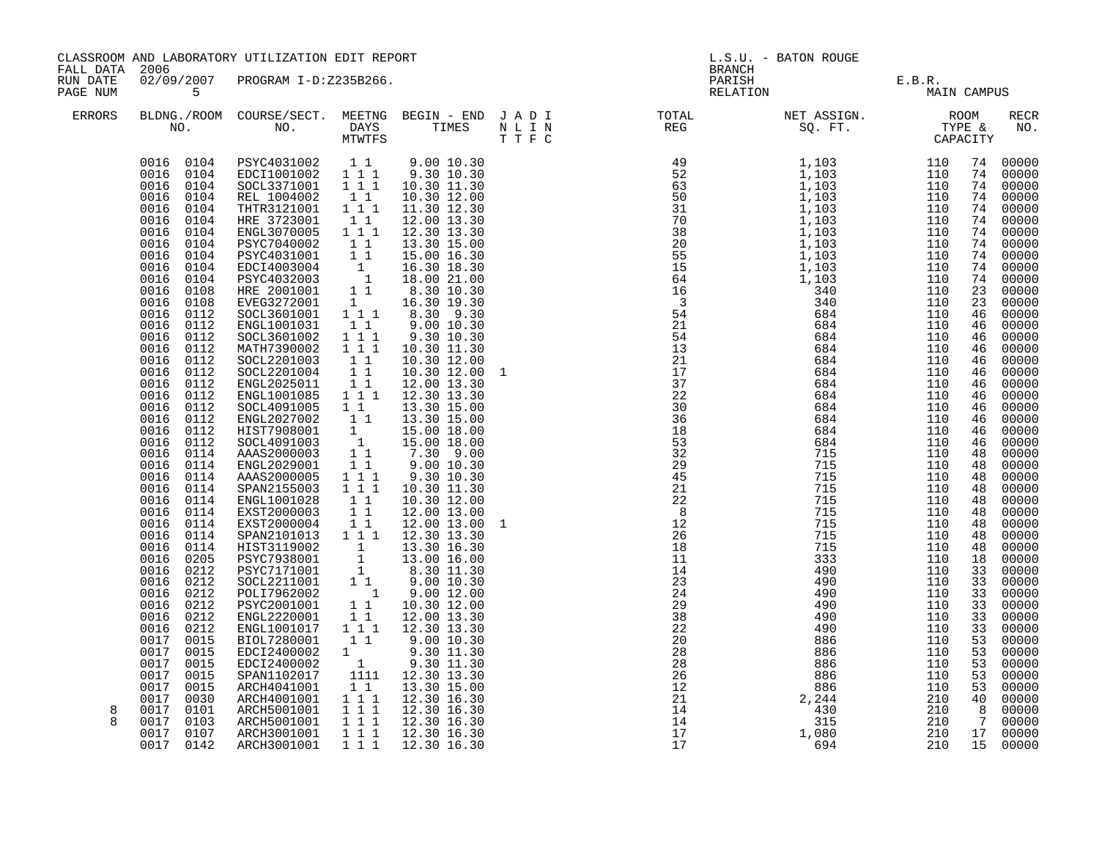| FALL DATA 2006       |                                                                                                                                                                                                                                                                                                                                                                                                                                                                                                                                                                                                                                                                                                                                                            | CLASSROOM AND LABORATORY UTILIZATION EDIT REPORT                                                                                                                                                                                                                                                                                                                                                                                                                                                                                                                                                                                                                                                                                                                                                                                                                                                                                                       |                                                                                                                                                                                                                                                                                                                                                                                                                                                     |                                                                                                                                                                                                                                                                                                                                                                                                                                                                                                                                                                                                                                        | L.S.U. - BATON ROUGE<br><b>BRANCH</b> |                                                                                                                                                     |                                                                                                                                                               |                                                                                         |                                                                                                                                                                                                          |                                                                                                                                                                                                                                                                                                                                                                                                                                                                                                  |
|----------------------|------------------------------------------------------------------------------------------------------------------------------------------------------------------------------------------------------------------------------------------------------------------------------------------------------------------------------------------------------------------------------------------------------------------------------------------------------------------------------------------------------------------------------------------------------------------------------------------------------------------------------------------------------------------------------------------------------------------------------------------------------------|--------------------------------------------------------------------------------------------------------------------------------------------------------------------------------------------------------------------------------------------------------------------------------------------------------------------------------------------------------------------------------------------------------------------------------------------------------------------------------------------------------------------------------------------------------------------------------------------------------------------------------------------------------------------------------------------------------------------------------------------------------------------------------------------------------------------------------------------------------------------------------------------------------------------------------------------------------|-----------------------------------------------------------------------------------------------------------------------------------------------------------------------------------------------------------------------------------------------------------------------------------------------------------------------------------------------------------------------------------------------------------------------------------------------------|----------------------------------------------------------------------------------------------------------------------------------------------------------------------------------------------------------------------------------------------------------------------------------------------------------------------------------------------------------------------------------------------------------------------------------------------------------------------------------------------------------------------------------------------------------------------------------------------------------------------------------------|---------------------------------------|-----------------------------------------------------------------------------------------------------------------------------------------------------|---------------------------------------------------------------------------------------------------------------------------------------------------------------|-----------------------------------------------------------------------------------------|----------------------------------------------------------------------------------------------------------------------------------------------------------------------------------------------------------|--------------------------------------------------------------------------------------------------------------------------------------------------------------------------------------------------------------------------------------------------------------------------------------------------------------------------------------------------------------------------------------------------------------------------------------------------------------------------------------------------|
| RUN DATE<br>PAGE NUM | 5 <sub>5</sub>                                                                                                                                                                                                                                                                                                                                                                                                                                                                                                                                                                                                                                                                                                                                             | 02/09/2007 PROGRAM I-D:Z235B266.                                                                                                                                                                                                                                                                                                                                                                                                                                                                                                                                                                                                                                                                                                                                                                                                                                                                                                                       |                                                                                                                                                                                                                                                                                                                                                                                                                                                     |                                                                                                                                                                                                                                                                                                                                                                                                                                                                                                                                                                                                                                        |                                       |                                                                                                                                                     | PARISH E.B.R.<br>RELATION MAIL                                                                                                                                | MAIN CAMPUS                                                                             |                                                                                                                                                                                                          |                                                                                                                                                                                                                                                                                                                                                                                                                                                                                                  |
| <b>ERRORS</b>        |                                                                                                                                                                                                                                                                                                                                                                                                                                                                                                                                                                                                                                                                                                                                                            |                                                                                                                                                                                                                                                                                                                                                                                                                                                                                                                                                                                                                                                                                                                                                                                                                                                                                                                                                        |                                                                                                                                                                                                                                                                                                                                                                                                                                                     |                                                                                                                                                                                                                                                                                                                                                                                                                                                                                                                                                                                                                                        |                                       |                                                                                                                                                     |                                                                                                                                                               |                                                                                         |                                                                                                                                                                                                          | <b>RECR</b><br>NO.                                                                                                                                                                                                                                                                                                                                                                                                                                                                               |
| 8<br>8               | 0016 0104<br>0016<br>0104<br>0016<br>0104<br>0016<br>0104<br>0016<br>0104<br>0016<br>0104<br>0016<br>0104<br>0016<br>0104<br>0016<br>0104<br>0016<br>0108<br>0016<br>0108<br>0016<br>0112<br>0016<br>0112<br>0016<br>0112<br>0016<br>0112<br>0016 0112<br>0016 0112<br>0016 0112<br>0016<br>0112<br>0016<br>0112<br>0016<br>0112<br>0016<br>0112<br>0016<br>0112<br>0016<br>0114<br>0016<br>0114<br>0016<br>0114<br>0016<br>0114<br>0016<br>0114<br>0016<br>0114<br>0016<br>0114<br>0016<br>0114<br>0016<br>0114<br>0016<br>0205<br>0016<br>0212<br>0016<br>0212<br>0016<br>0212<br>0016<br>0212<br>0016<br>0212<br>0016<br>0212<br>0017<br>0015<br>0017 0015<br>0017<br>0015<br>0017<br>0015<br>0017<br>0015<br>0017<br>0030<br>0017 0101<br>0017<br>0103 | SOCL3371001 1 1 1<br>REL 1004002<br>THTR3121001 111<br>HRE 3723001<br>ENGL3070005 111<br>PSYC7040002<br>PSYC4031001 1 1 15.00 16.30<br>EDCI4003004 1 16.30 18.30<br>PSYC4032003 1 18.00 21.00<br>HRE 2001001 1 8.30 10.30<br>EVEG3272001 1<br>SOCL3601001 1 1 1<br>ENGL1001031<br>SOCL3601002<br>MATH7390002<br>SOCL2201003<br>SOCL2201004<br>ENGL2025011<br>ENGL1001085<br>SOCL4091005<br>ENGL2027002<br>HIST7908001<br>SOCL4091003<br>AAAS2000003<br>ENGL2029001<br>AAAS2000005<br>SPAN2155003 1 1 1<br>ENGL1001028<br>EXST2000003<br>EXST2000004<br>SPAN2101013 1 1 1<br>1<br>FIST3119002<br>PSYC7938001 1<br>PSYC7171001 1<br>SOCL2211001 1 1<br>POLT7962002 1<br>PSYC2001001<br>ENGL2220001<br>ENGL1001017<br>BIOL7280001<br>$\begin{tabular}{lcccc} EDC12400002 & 1 & 9.30 & 11.30 \\ EDC12400002 & 1 & 9.30 & 11.30 \\ SPAN1102017 & 1111 & 12.30 & 13.30 \\ \end{tabular}$<br>ARCH4041001<br>ARCH4001001<br>ARCH5001001 111<br>ARCH5001001 111 | 11<br>$1\quad1$<br>11<br>$\begin{smallmatrix}1&1\\1&1&1\end{smallmatrix}$<br>$1\,$ $1\,$ $1$<br>$\begin{bmatrix} 1 & 1 \\ 1 & 1 \end{bmatrix}$<br>$\begin{smallmatrix}1&1\\1&1&1\end{smallmatrix}$<br>$\begin{smallmatrix}1&&1\\&1\\1&&1\end{smallmatrix}$<br>$\begin{bmatrix} 1 \\ 1 \\ 1 \end{bmatrix}$<br>$1\quad1$<br>1 1 1<br>11<br>$\begin{array}{cc} 1 & 1 \\ 1 & 1 \end{array}$<br>$1\;1$<br>11<br>111<br>$1\quad1$<br>$1\quad1$<br>$1 1 1$ | 9.00 10.30<br>9.30 10.30<br>10.30 11.30<br>10.30 12.00<br>11.30 12.30<br>12.00 13.30<br>12.30 13.30<br>13.30 15.00<br>16.30 19.30<br>8.30 9.30<br>9.00 10.30<br>9.30 10.30<br>10.30 11.30<br>10.30 12.00<br>10.30 12.00<br>12.00 13.30<br>12.30 13.30<br>13.30 15.00<br>13.30 15.00<br>15.00 18.00<br>15.00 18.00<br>7.30 9.00<br>9.00 10.30<br>9.30 10.30<br>10.30 11.30<br>10.30 12.00<br>12.00 13.00<br>12.00 13.00<br>12.30 13.30<br>13.30 16.30<br>13.00 16.00<br>8.30 11.30<br>9.00 10.30<br>$9.00$ 12.00<br>10.30 12.00<br>12.00 13.30<br>12.30 13.30<br>9.00 10.30<br>13.30 15.00<br>12.30 16.30<br>12.30 16.30<br>12.30 16.30 |                                       | 23<br>24<br>$\frac{1}{29}$<br>$\frac{1}{38}$<br>$\frac{5}{2}$<br>$\overline{20}$<br>28<br>$\frac{1}{28}$<br>26<br>$\frac{28}{12}$<br>21<br>14<br>14 | 490<br>490<br>490<br>490<br>490<br>886<br>$886$<br>$886$<br>$886$<br>$886$<br>$886$<br>$886$<br>$886$<br>$886$<br>$886$<br>$886$<br>$886$<br>$1,080$<br>$694$ | 110<br>110<br>110<br>110<br>110<br>110<br>110<br>110<br>110<br>110<br>210<br>210<br>210 | 74<br>23<br>46<br>46<br>46<br>46<br>46<br>46<br>46<br>46<br>46<br>46<br>46<br>46<br>48<br>48<br>48<br>48<br>48<br>48<br>48<br>48<br>48<br>18<br>33<br>33<br>33<br>33<br>33<br>33<br>53<br>53<br>53<br>53 | 74 00000<br>74 00000<br>74 00000<br>74 00000<br>74 00000<br>74 00000<br>74 00000<br>74 00000<br>74 00000<br>74 00000<br>00000<br>23 00000<br>00000<br>00000<br>00000<br>00000<br>00000<br>00000<br>00000<br>00000<br>00000<br>00000<br>00000<br>00000<br>00000<br>00000<br>00000<br>00000<br>00000<br>00000<br>00000<br>00000<br>00000<br>00000<br>00000<br>00000<br>00000<br>00000<br>00000<br>00000<br>00000<br>00000<br>00000<br>00000<br>00000<br>53 00000<br>40 00000<br>8 00000<br>7 00000 |
|                      | 0017 0107<br>0017 0142                                                                                                                                                                                                                                                                                                                                                                                                                                                                                                                                                                                                                                                                                                                                     | ARCH3001001<br>ARCH3001001                                                                                                                                                                                                                                                                                                                                                                                                                                                                                                                                                                                                                                                                                                                                                                                                                                                                                                                             | $1 1 1$                                                                                                                                                                                                                                                                                                                                                                                                                                             | 12.30 16.30<br>1 1 1 1 1 1 2 . 30 1 6 . 30                                                                                                                                                                                                                                                                                                                                                                                                                                                                                                                                                                                             |                                       | 17<br>17                                                                                                                                            |                                                                                                                                                               | 210<br>210                                                                              |                                                                                                                                                                                                          | 17 00000<br>15 00000                                                                                                                                                                                                                                                                                                                                                                                                                                                                             |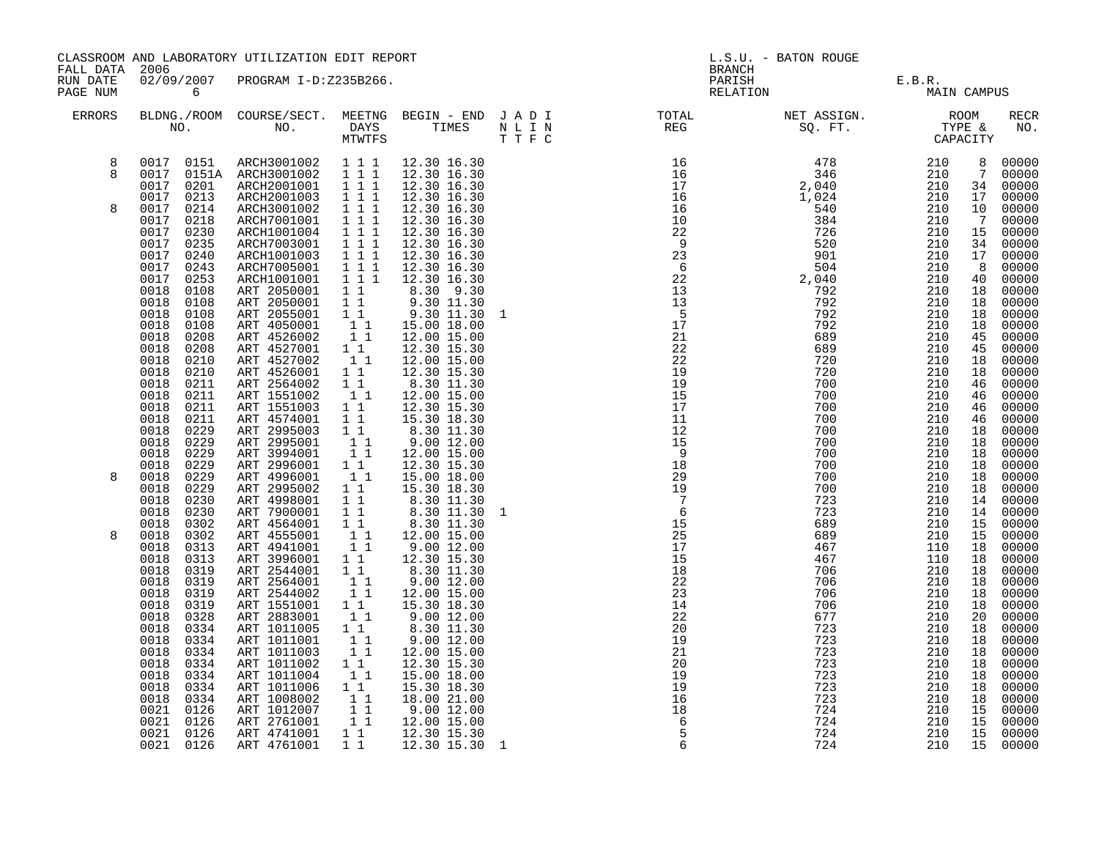| FALL DATA 2006       |                                                              | CLASSROOM AND LABORATORY UTILIZATION EDIT REPORT                                                                                                                                       | L.S.U. - BATON ROUGE<br><b>BRANCH</b>                                                                                            |                                                                                                                                                                    |                                                                              |                                |                   |                            |                                        |
|----------------------|--------------------------------------------------------------|----------------------------------------------------------------------------------------------------------------------------------------------------------------------------------------|----------------------------------------------------------------------------------------------------------------------------------|--------------------------------------------------------------------------------------------------------------------------------------------------------------------|------------------------------------------------------------------------------|--------------------------------|-------------------|----------------------------|----------------------------------------|
| RUN DATE<br>PAGE NUM | $6\overline{6}$                                              | 02/09/2007 PROGRAM I-D:Z235B266.                                                                                                                                                       |                                                                                                                                  |                                                                                                                                                                    |                                                                              | PARISH E.B.R.<br>RELATION MAIN | MAIN CAMPUS       |                            |                                        |
| ERRORS               |                                                              |                                                                                                                                                                                        |                                                                                                                                  |                                                                                                                                                                    |                                                                              |                                |                   |                            | RECR<br>NO.                            |
| 8<br>8               | 0017 0201                                                    | $\begin{array}{cccccccc} 0017 & 0151 & \text{ARCH}3001002 & 1 & 1 & 1 & 12.30 & 16.30 \\ 0017 & 0151A & \text{ARCH}3001002 & 1 & 1 & 1 & 12.30 & 16.30 \end{array}$<br>ARCH2001001 111 |                                                                                                                                  | 12.30 16.30<br>12.30 16.30                                                                                                                                         |                                                                              |                                |                   | $7\overline{ }$            | 8 00000<br>00000<br>34 00000           |
| 8                    | 0017<br>0213<br>0017 0214<br>0017<br>0218<br>0017<br>0230    | ARCH2001003<br>ARCH3001002 111<br>ARCH7001001 111<br>ARCH1001004 1 1 1                                                                                                                 | $\overline{1}$ $\overline{1}$ $\overline{1}$                                                                                     | 12.30 16.30<br>12.30 16.30<br>12.30 16.30<br>12.30 16.30                                                                                                           |                                                                              |                                |                   | 17<br>$7\overline{ }$      | 00000<br>10 00000<br>00000<br>15 00000 |
|                      | 0017<br>0235<br>0017<br>0240<br>0017<br>0243<br>0017<br>0253 | ARCH7003001<br>ARCH1001003<br>ARCH7005001 111<br>ARCH1001001                                                                                                                           | 1 1 1<br>$\overline{1}$ $\overline{1}$ $\overline{1}$<br>$1\,1\,1$                                                               | 12.30 16.30<br>12.30 16.30<br>12.30 16.30<br>12.30 16.30                                                                                                           |                                                                              |                                |                   | 17<br>8 <sup>8</sup><br>40 | 34 00000<br>00000<br>00000<br>00000    |
|                      | 0018<br>0108<br>0018<br>0108<br>0018<br>0108<br>0018<br>0108 | ART 2050001<br>ART 2050001 1 1 9.30 11.30<br>ART 2055001 1 1 9.30 11.30                                                                                                                |                                                                                                                                  | 1 1 8.30 9.30                                                                                                                                                      |                                                                              |                                |                   | 18<br>18<br>18<br>18       | 00000<br>00000<br>00000<br>00000       |
|                      | 0018<br>0208<br>0018<br>0208<br>0018<br>0210<br>0018<br>0210 | ART 4050001 1 1 15.00 18.00<br>ART 4526002 1 1 12.00 15.00<br>ART 4527001 11<br>ART 4527002<br>ART 4526001                                                                             | $\begin{bmatrix} 1 \\ 1 \end{bmatrix}$                                                                                           | 12.30 15.30<br>12.00 15.00<br>12.30 15.30                                                                                                                          |                                                                              |                                |                   | 45<br>45<br>18<br>18       | 00000<br>00000<br>00000<br>00000       |
|                      | 0018<br>0211<br>0018<br>0211<br>0018<br>0211<br>0018<br>0211 | ART 2564002<br>ART 1551002<br>ART 1551003 1 1<br>ART 4574001                                                                                                                           | $1\quad1$                                                                                                                        | $\begin{array}{ccc} 1 & 1 & 8.30 & 11.30 \\ 1 & 1 & 12.00 & 15.00 \end{array}$<br>12.30 15.30<br>15.30 18.30                                                       |                                                                              |                                |                   | 46<br>46<br>46<br>46       | 00000<br>$00000$<br>00000<br>00000     |
|                      | 0018<br>0229<br>0018<br>0229<br>0018<br>0229                 | ART 2995003 11<br>ART 2995001 11<br>ART 3994001 11<br>ART 2996001 11                                                                                                                   |                                                                                                                                  | 8.30 11.30<br>9.00 12.00<br>9.00 12.00<br>12.00 15.00                                                                                                              |                                                                              |                                |                   | 18<br>18<br>18             | 00000<br>$00000$<br>$00000$<br>00000   |
| 8                    | 0018<br>0229<br>0018<br>0229<br>0229<br>0018<br>0018<br>0230 | ART 4996001 1 1<br>ART 2995002<br>ART 4998001                                                                                                                                          | $1^{-}1^{-}$                                                                                                                     | 12.30 15.30<br>15.00 18.00<br>15.30 18.30                                                                                                                          |                                                                              |                                |                   | 18<br>18<br>18<br>14       | 00000<br>00000<br>00000                |
| 8                    | 0018<br>0230<br>0018<br>0302<br>0018<br>0302<br>0018<br>0313 | ART 7900001<br>ART 4564001 11<br>ART 4555001<br>ART 4941001                                                                                                                            | $\begin{bmatrix} 1 \\ 1 \\ 1 \end{bmatrix}$                                                                                      | $\begin{array}{cccc} 1 & 1 & & 8\, .30 & 11\, .30 \\ 1 & 1 & & 8\, .30 & 11\, .30 \\ 1 & 1 & & 8\, .30 & 11\, .30 \\ \end{array}$<br>12.00 15.00<br>$9.00$ $12.00$ |                                                                              |                                |                   | 14<br>15<br>15<br>18       | 00000<br>00000<br>00000<br>00000       |
|                      | 0018<br>0313<br>0018<br>0319<br>0018<br>0319<br>0018<br>0319 | ART 3996001 11<br>ART 2544001 11<br>ART 2564001<br>ART 2544002                                                                                                                         | $\begin{bmatrix} 1 \\ 1 \end{bmatrix}$<br>11                                                                                     | 12.30 15.30<br>8.30 11.30<br>9.00 12.00<br>12.00 15.00                                                                                                             |                                                                              |                                |                   | 18<br>18<br>18<br>18       | 00000<br>00000<br>00000<br>00000       |
|                      | 0018<br>0319<br>0018<br>0328<br>0018<br>0334<br>0018<br>0334 | ART 1551001 1 1<br>ART 2883001<br>ART 1011005<br>ART 1011001                                                                                                                           | 11<br>$1\quad1$                                                                                                                  | 15.30 18.30<br>9.00 12.00<br>8.30 11.30<br>9.00 12.00                                                                                                              |                                                                              |                                |                   | 18<br>20<br>18<br>18       | 00000<br>00000<br>00000<br>00000       |
|                      | 0018<br>0334<br>0018<br>0334<br>0018<br>0334<br>0018<br>0334 | ART 1011003<br>ART 1011002<br>ART 1011004<br>ART 1011006                                                                                                                               | $\begin{bmatrix} 1 \\ 1 \\ 1 \end{bmatrix}$<br>$1\quad1$<br>11                                                                   | 12.00 15.00<br>12.30 15.30<br>15.00 18.00<br>15.30 18.30                                                                                                           | $\begin{array}{r} 12 \\ 21 \\ 19 \\ 19 \\ 16 \\ 18 \\ 6 \\ 1 \\ \end{array}$ |                                |                   | 18<br>18<br>18<br>18       | 00000<br>00000<br>00000                |
|                      | 0018<br>0334<br>0021<br>0126<br>0021 0126                    | ART 1008002<br>ART 1012007<br>ART 2761001                                                                                                                                              | $\begin{array}{c} \n\begin{matrix}\n1 \\ 1 \\ 1\n\end{matrix} \\ \begin{matrix}\n1 \\ 1\n\end{matrix}\n\end{array}$<br>$1\quad1$ | 18.00 21.00<br>9.0012.00<br>12.00 15.00                                                                                                                            |                                                                              | 723<br>724<br>724              | 210<br>210<br>210 | 18<br>15<br>15             | $00000$<br>00000<br>00000<br>00000     |
|                      | 0126<br>0021<br>0021 0126                                    | ART 4741001<br>ART 4761001                                                                                                                                                             | $1\quad1$<br>$1\quad1$                                                                                                           | 12.30 15.30<br>12.30 15.30 1                                                                                                                                       |                                                                              | 724<br>724                     | 210<br>210        | 15<br>15                   | 00000<br>00000                         |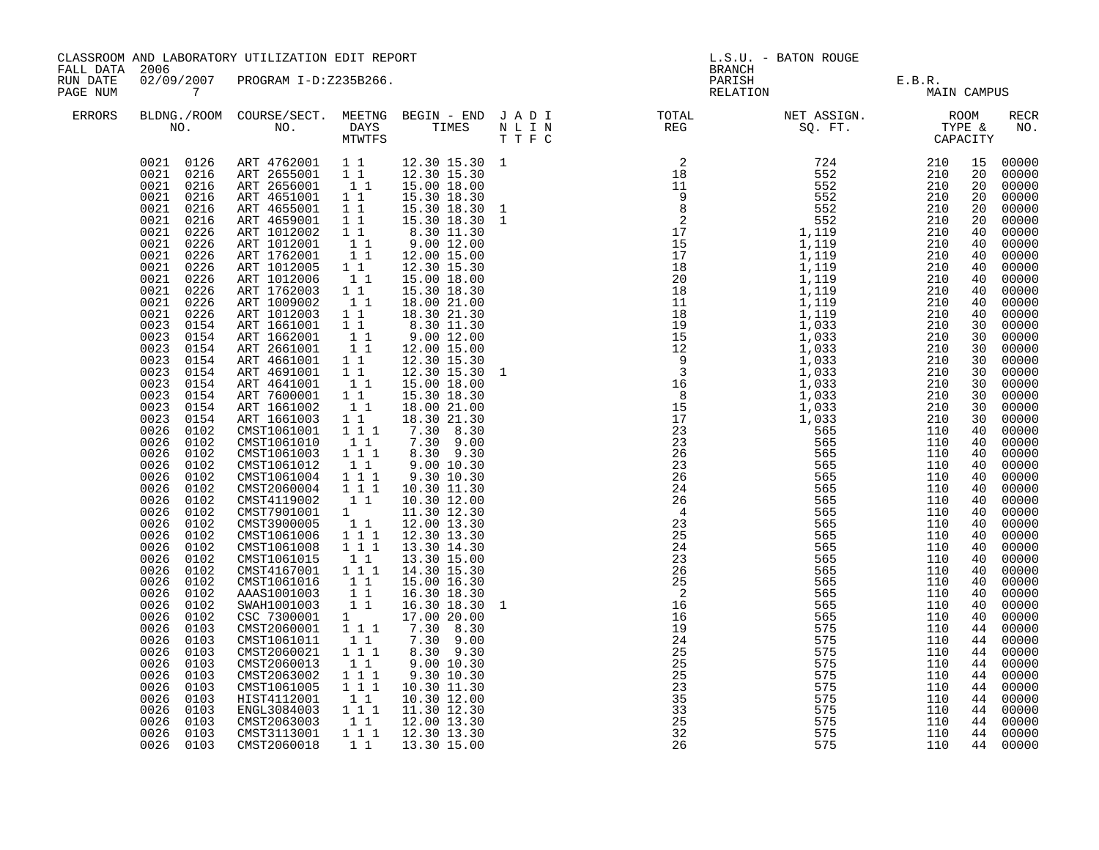| FALL DATA 2006       |                                                                                                                                                                                                                                                                                                                                                                                                                                                                                                                                                                                                                                                                                                                                                                                                | CLASSROOM AND LABORATORY UTILIZATION EDIT REPORT                                                                                                                                                                                                                                                                                                                                                                                                                                                                                                                                                                                                                                                                                                                                                                                                                                                         |                                                                                                                                                                                                                                                                                                                                                                                                             |                                                                                                                                                                                                                                                                                                                                                                                                                                                                                                                                                                                                                                                                                                                                  | L.S.U. - BATON ROUGE<br><b>BRANCH</b> |                                                                                                                                                                                                                                                                                                                                                                                                                                                                                                               |                                |             |  |                                                                                                                                                                                                                                                                                                                                                                                                                                                                                  |
|----------------------|------------------------------------------------------------------------------------------------------------------------------------------------------------------------------------------------------------------------------------------------------------------------------------------------------------------------------------------------------------------------------------------------------------------------------------------------------------------------------------------------------------------------------------------------------------------------------------------------------------------------------------------------------------------------------------------------------------------------------------------------------------------------------------------------|----------------------------------------------------------------------------------------------------------------------------------------------------------------------------------------------------------------------------------------------------------------------------------------------------------------------------------------------------------------------------------------------------------------------------------------------------------------------------------------------------------------------------------------------------------------------------------------------------------------------------------------------------------------------------------------------------------------------------------------------------------------------------------------------------------------------------------------------------------------------------------------------------------|-------------------------------------------------------------------------------------------------------------------------------------------------------------------------------------------------------------------------------------------------------------------------------------------------------------------------------------------------------------------------------------------------------------|----------------------------------------------------------------------------------------------------------------------------------------------------------------------------------------------------------------------------------------------------------------------------------------------------------------------------------------------------------------------------------------------------------------------------------------------------------------------------------------------------------------------------------------------------------------------------------------------------------------------------------------------------------------------------------------------------------------------------------|---------------------------------------|---------------------------------------------------------------------------------------------------------------------------------------------------------------------------------------------------------------------------------------------------------------------------------------------------------------------------------------------------------------------------------------------------------------------------------------------------------------------------------------------------------------|--------------------------------|-------------|--|----------------------------------------------------------------------------------------------------------------------------------------------------------------------------------------------------------------------------------------------------------------------------------------------------------------------------------------------------------------------------------------------------------------------------------------------------------------------------------|
| RUN DATE<br>PAGE NUM | $\overline{7}$                                                                                                                                                                                                                                                                                                                                                                                                                                                                                                                                                                                                                                                                                                                                                                                 | 02/09/2007 PROGRAM I-D:Z235B266.                                                                                                                                                                                                                                                                                                                                                                                                                                                                                                                                                                                                                                                                                                                                                                                                                                                                         |                                                                                                                                                                                                                                                                                                                                                                                                             |                                                                                                                                                                                                                                                                                                                                                                                                                                                                                                                                                                                                                                                                                                                                  |                                       |                                                                                                                                                                                                                                                                                                                                                                                                                                                                                                               | PARISH E.B.R.<br>RELATION MAIN | MAIN CAMPUS |  |                                                                                                                                                                                                                                                                                                                                                                                                                                                                                  |
| <b>ERRORS</b>        |                                                                                                                                                                                                                                                                                                                                                                                                                                                                                                                                                                                                                                                                                                                                                                                                |                                                                                                                                                                                                                                                                                                                                                                                                                                                                                                                                                                                                                                                                                                                                                                                                                                                                                                          |                                                                                                                                                                                                                                                                                                                                                                                                             |                                                                                                                                                                                                                                                                                                                                                                                                                                                                                                                                                                                                                                                                                                                                  |                                       |                                                                                                                                                                                                                                                                                                                                                                                                                                                                                                               |                                |             |  | <b>RECR</b><br>NO.                                                                                                                                                                                                                                                                                                                                                                                                                                                               |
|                      | 0021 0216<br>0021 0216<br>0021 0216<br>0021 0216<br>0021 0216<br>0021 0226<br>0021<br>0226<br>0021<br>0226<br>0021<br>0226<br>0021<br>0226<br>0021<br>0226<br>0021<br>0226<br>0021<br>0226<br>0023<br>0154<br>0023<br>0154<br>0023<br>0154<br>0023<br>0154<br>0023<br>0154<br>0023<br>0154<br>0023<br>0154<br>0023<br>0154<br>0023<br>0154<br>0026<br>0102<br>0026<br>0102<br>0026 0102<br>0026 0102<br>0026 0102<br>0026<br>0102<br>0026<br>0102<br>0026<br>0102<br>0026<br>0102<br>0026<br>0102<br>0026<br>0102<br>0026<br>0102<br>0026<br>0102<br>0026<br>0102<br>0026<br>0102<br>0026<br>0102<br>0026<br>0102<br>0026<br>0103<br>0026<br>0103<br>0026<br>0103<br>0026<br>0103<br>0026<br>0103<br>0026<br>0103<br>0026<br>0103<br>0026<br>0103<br>0026<br>0103<br>0026<br>0103<br>0026 0103 | 0021 0126 ART 4762001 11 12.30 15.30 1<br>ART 2655001 11 12.30 15.30<br>ART 2656001 11 15.00 18.00<br>ART 4651001 11<br>ART 4655001 1 1<br>ART 4659001<br>ART 1012002 11<br>ART 1012001 11<br>ART 1762001<br>ART 1012005 11<br>ART 1012006<br>ART 1762003<br>ART 1009002<br>ART 1012003 1 1<br>ART 1661001 1 1<br>ART 1662001<br>ART 2661001<br>ART 4661001 1 1<br>ART 4691001 1 1<br>ART 4641001<br>ART 7600001<br>ART 1661002<br>ART 1661003 1 1<br>CMST1061001 111<br>CMST1061010<br>CMST1061003 1 1 1<br>CMST1061012<br>CMST1061004<br>CMST2060004<br>CMST4119002<br>CMST7901001<br>CMST3900005<br>CMST1061006<br>CMST1061008<br>CMST1061015<br>CMST4167001<br>CMST1061016<br>AAAS1001003 11<br>SWAH1001003 11<br>CSC 7300001 1<br>CMST2060001<br>CMST1061011<br>CMST2060021<br>CMST2060013<br>CMST2063002<br>CMST1061005<br>HIST4112001<br>ENGL3084003<br>CMST2063003<br>CMST3113001<br>CMST2060018 | 11<br>$1\quad1$<br>$\begin{bmatrix} 1 \\ 1 \end{bmatrix}$<br>11<br>$\begin{bmatrix} 1\\ 1\\ 1 \end{bmatrix}$<br>$1\quad1$<br>11<br>11<br>$1\quad1$<br>$1\quad1$<br>$1 1 1$<br>1 1 1<br>$1\quad1$<br>1 1 1<br>$1\quad1$<br>$1 1 1$<br>$\begin{bmatrix} 1 \\ 1 \end{bmatrix}$<br>$1 1 1$<br>$1\quad1$<br>1 1 1<br>11<br>$1 1 1$<br>$1 1 1$<br>$\begin{bmatrix} 1 & 1 \\ 1 & 1 \end{bmatrix}$<br>11<br>$1 1 1$ | 15.30 18.30<br>15.30 18.30<br>15.30 18.30<br>8.30 11.30<br>9.00 12.00<br>12.00 15.00<br>12.30 15.30<br>15.00 18.00<br>15.30 18.30<br>18.00 21.00<br>18.30 21.30<br>8.30 11.30<br>9.00 12.00<br>12.00 15.00<br>12.30 15.30<br>12.30 15.30<br>15.00 18.00<br>15.30 18.30<br>18.00 21.00<br>18.30 21.30<br>7.30 8.30<br>7.30 9.00<br>8.30 9.30<br>9.00 10.30<br>9.30 10.30<br>10.30 11.30<br>10.30 12.00<br>11.30 12.30<br>12.00 13.30<br>12.30 13.30<br>13.30 14.30<br>13.30 15.00<br>14.30 15.30<br>15.00 16.30<br>16.30 18.30<br>16.30 18.30<br>17.00 20.00<br>7.30 8.30<br>$7.30$ 9.00<br>8.30 9.30<br>9.00 10.30<br>9.30 10.30<br>10.30 11.30<br>10.30 12.00<br>11.30 12.30<br>12.00 13.30<br>12.30 13.30<br>1 1 1 13.30 15.00 |                                       | $\begin{array}{cccccccc} \texttt{N} & \texttt{T} & \texttt{R} & \texttt{R} & \texttt{R} & \texttt{R} & \texttt{R} & \texttt{R} & \texttt{R} & \texttt{R} & \texttt{R} & \texttt{R} & \texttt{R} & \texttt{R} & \texttt{R} & \texttt{R} & \texttt{R} & \texttt{R} & \texttt{R} & \texttt{R} & \texttt{R} & \texttt{R} & \texttt{R} & \texttt{R} & \texttt{R} & \texttt{R} & \texttt{R} & \texttt{R} & \texttt{R} & \texttt{R} & \texttt$<br>$\begin{array}{ccc}\n & 30 \\ 30 \\ 2.00 \\ 35 \\ 33\n\end{array}$ | 575                            | 110         |  | 00000<br>00000<br>00000<br>00000<br>00000<br>00000<br>00000<br>00000<br>00000<br>00000<br>00000<br>00000<br>00000<br>00000<br>00000<br>00000<br>00000<br>00000<br>00000<br>00000<br>00000<br>00000<br>00000<br>00000<br>00000<br>00000<br>00000<br>00000<br>00000<br>00000<br>00000<br>00000<br>00000<br>00000<br>00000<br>00000<br>00000<br>00000<br>00000<br>00000<br>00000<br>00000<br>00000<br>00000<br>00000<br>00000<br>00000<br>00000<br>44 00000<br>44 00000<br>44 00000 |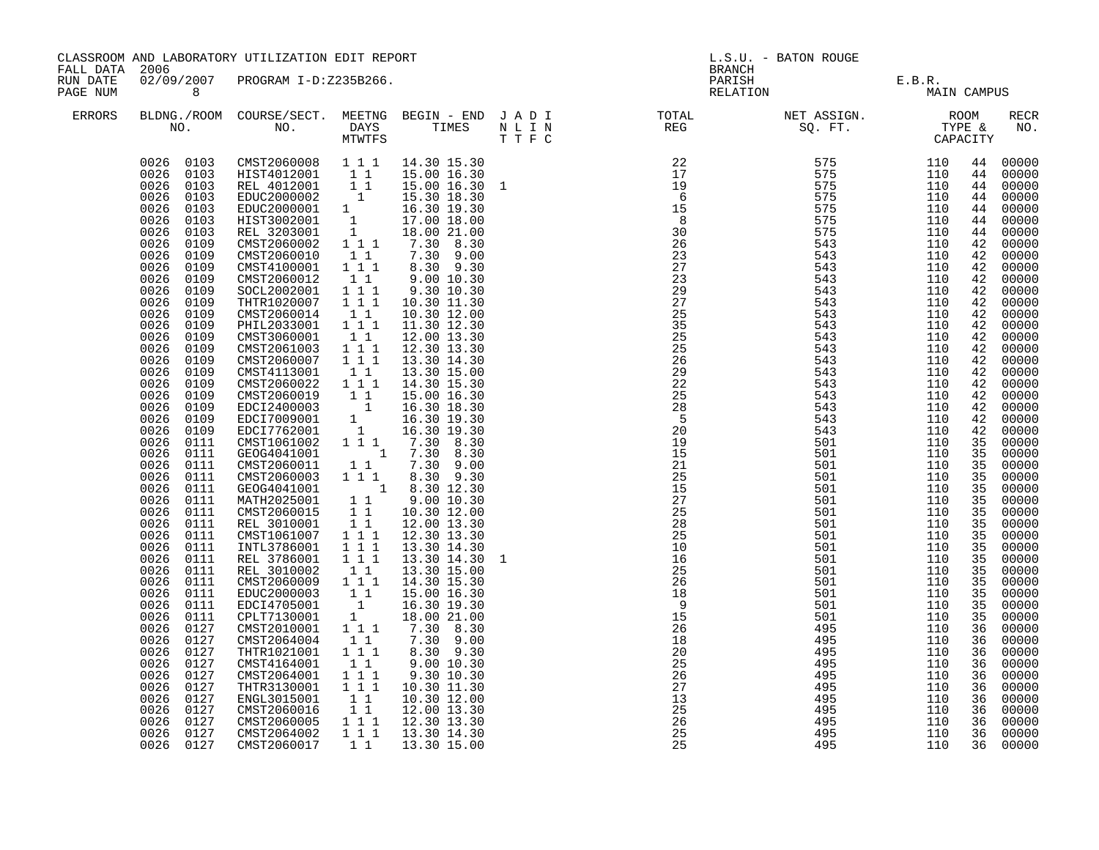| FALL DATA 2006       |                                                                                                                                                                                                                                                                                                                                                                                                                                                                                                                                                                                                                                                                                                            | CLASSROOM AND LABORATORY UTILIZATION EDIT REPORT                                                                                                                                                                                                                                                                                                                                                                                                                                                                                                                                                                                                                                                                                                                                                                                                                                                                                                                                                                                                                                                                                                                                                                                                  |                                                                                                                                                                                               |                                                                                                                                                                                                                                |                                                                                                                                |                                                             |                                                             |                                                                                                                                                                                        |                                                                                                                                                                                                                                                                                                                                                                                                                                                                                               |  |
|----------------------|------------------------------------------------------------------------------------------------------------------------------------------------------------------------------------------------------------------------------------------------------------------------------------------------------------------------------------------------------------------------------------------------------------------------------------------------------------------------------------------------------------------------------------------------------------------------------------------------------------------------------------------------------------------------------------------------------------|---------------------------------------------------------------------------------------------------------------------------------------------------------------------------------------------------------------------------------------------------------------------------------------------------------------------------------------------------------------------------------------------------------------------------------------------------------------------------------------------------------------------------------------------------------------------------------------------------------------------------------------------------------------------------------------------------------------------------------------------------------------------------------------------------------------------------------------------------------------------------------------------------------------------------------------------------------------------------------------------------------------------------------------------------------------------------------------------------------------------------------------------------------------------------------------------------------------------------------------------------|-----------------------------------------------------------------------------------------------------------------------------------------------------------------------------------------------|--------------------------------------------------------------------------------------------------------------------------------------------------------------------------------------------------------------------------------|--------------------------------------------------------------------------------------------------------------------------------|-------------------------------------------------------------|-------------------------------------------------------------|----------------------------------------------------------------------------------------------------------------------------------------------------------------------------------------|-----------------------------------------------------------------------------------------------------------------------------------------------------------------------------------------------------------------------------------------------------------------------------------------------------------------------------------------------------------------------------------------------------------------------------------------------------------------------------------------------|--|
| RUN DATE<br>PAGE NUM | 8 <sup>1</sup>                                                                                                                                                                                                                                                                                                                                                                                                                                                                                                                                                                                                                                                                                             | 02/09/2007 PROGRAM I-D:Z235B266.                                                                                                                                                                                                                                                                                                                                                                                                                                                                                                                                                                                                                                                                                                                                                                                                                                                                                                                                                                                                                                                                                                                                                                                                                  |                                                                                                                                                                                               |                                                                                                                                                                                                                                |                                                                                                                                | E.B.R.<br>MAIN CAMPUS                                       |                                                             |                                                                                                                                                                                        |                                                                                                                                                                                                                                                                                                                                                                                                                                                                                               |  |
| ERRORS               |                                                                                                                                                                                                                                                                                                                                                                                                                                                                                                                                                                                                                                                                                                            |                                                                                                                                                                                                                                                                                                                                                                                                                                                                                                                                                                                                                                                                                                                                                                                                                                                                                                                                                                                                                                                                                                                                                                                                                                                   |                                                                                                                                                                                               |                                                                                                                                                                                                                                |                                                                                                                                |                                                             |                                                             |                                                                                                                                                                                        | RECR<br>NO.                                                                                                                                                                                                                                                                                                                                                                                                                                                                                   |  |
|                      | 0026 0103<br>0026<br>0103<br>0026<br>0103<br>0026<br>0109<br>0026<br>0109<br>0026<br>0109<br>0026<br>0109<br>0026<br>0109<br>0026<br>0109<br>0026<br>0109<br>0026<br>0109<br>0026<br>0109<br>0026<br>0109<br>0026<br>0109<br>0026<br>0109<br>0026<br>0109<br>0026<br>0109<br>0026 0109<br>0026<br>0109<br>0026 0109<br>0026<br>0111<br>0026 0111<br>0026<br>0111<br>0026<br>0111<br>0026<br>0111<br>0026<br>0111<br>0026<br>0111<br>0026<br>0111<br>0026<br>0111<br>0026<br>0111<br>0026<br>0111<br>0026<br>0111<br>0026 0111<br>0026<br>0111<br>0026 0111<br>0026<br>0111<br>0026<br>0127<br>0026<br>0127<br>0026<br>0127<br>0026<br>0127<br>0026<br>0127<br>0026<br>0127<br>0026<br>0127<br>0026<br>0127 | $\begin{array}{cccc} 0026 & 0103 & \textrm{CMST2060008} & 1 & 1 & 1 & 14.30 & 15.30 \\ 0026 & 0103 & \textrm{HIST4012001} & 1 & 1 & 15.00 & 16.30 \\ 0026 & 0103 & \textrm{REL 4012001} & 1 & 1 & 15.00 & 16.30 \\ 0026 & 0103 & \textrm{EDUC2000002} & 1 & 15.30 & 18.30 \\ \end{array}$<br>REL 401200002<br>EDUC2000002<br>EDUC2000001 1 16.30<br>HIST3002001 1 17.00 18.00<br>REL 3203001 1 18.00 21.00<br>REL 3203001 1 18.00 21.00<br>A 30 9.30<br>1 7.30 9.00<br>2 30 9.30<br>CMST2060012<br>SOCL2002001<br>THTR1020007<br>CMST2060014<br>PHIL2033001<br>CMST3060001<br>CMST2061003<br>CMST2060007<br>CMST4113001<br>CMST2060022 1 1 1<br>CMST2060019 11<br>EDCI2400003 1<br>EDCI7009001<br>EDCI7762001<br>CMST1061002<br>GEOG4041001<br>CMST2060011<br>$\begin{tabular}{ccc} \texttt{CMST2060003} & 1 & 1 & 8.30 & 9.30 \\ \texttt{GEOG4041001} & 1 & 8.30 & 12.30 \\ \end{tabular}$<br>MATH2025001 1 9.00 10.30<br>CMST2060015 1 1 10.30 12.00<br>REL 3010001<br>CMST1061007 1 1 1<br>INTL3786001<br>REL 3786001 111<br>REL 3010002 1 1<br>CMST2060009 1 1 1<br>EDUC2000003 1 1<br>EDC14705001 1<br>CPLT7130001 1<br>CMST2010001<br>CMST2064004<br>THTR1021001<br>CMST4164001<br>CMST2064001<br>THTR3130001<br>ENGL3015001<br>CMST2060016 | $\overline{1}$ $\overline{1}$<br>$1 1 1$<br>$1 1 1$<br>$1\quad1$<br>111<br>$1\quad1$<br>$\begin{array}{ccc} 1&1&1\\ 1&1&1 \end{array}$<br>$\begin{array}{ccc} & 1 & 1 \\ & 1 & 1 \end{array}$ | $\begin{array}{rrrr} 1 & 16.30 & 19.30 \\ 1 & 16.30 & 19.30 \\ 1 & 1 & 7.30 & 8.30 \end{array}$<br>18.00 21.00<br>7.30 8.30<br>7.30 9.00<br>8.30 9.30<br>9.00 10.30<br>9.30 10.30<br>10.30 11.30<br>10.30 12.00<br>12.00 13.30 | 15<br>26<br>18<br>$\frac{20}{25}$<br>26<br>$\overline{27}$<br>$\overline{13}$<br>$\begin{array}{c} 25 \\ 25 \\ 26 \end{array}$ | 501<br>495<br>495<br>495<br>495<br>495<br>495<br>495<br>495 | 110<br>110<br>110<br>110<br>110<br>110<br>110<br>110<br>110 | 44<br>44<br>44<br>42<br>42<br>42<br>42<br>42<br>42<br>42<br>35<br>35<br>35<br>35<br>35<br>35<br>35<br>35<br>35<br>35<br>35<br>35<br>35<br>36<br>36<br>36<br>36<br>36<br>36<br>36<br>36 | 00000<br>00000<br>44 00000<br>44 00000<br>44 00000<br>00000<br>44 00000<br>42 00000<br>4200000<br>00000<br>00000<br>42 00000<br>42 00000<br>4200000<br>00000<br>00000<br>00000<br>42 00000<br>00000<br>42 00000<br>42 00000<br>42 00000<br>00000<br>42 00000<br>35 00000<br>35 00000<br>35 00000<br>00000<br>00000<br>00000<br>00000<br>00000<br>00000<br>00000<br>00000<br>00000<br>00000<br>00000<br>00000<br>00000<br>00000<br>00000<br>00000<br>00000<br>00000<br>00000<br>00000<br>00000 |  |
|                      | 0026<br>0127<br>0026 0127<br>0026 0127                                                                                                                                                                                                                                                                                                                                                                                                                                                                                                                                                                                                                                                                     | CMST2060005<br>CMST2064002<br>CMST2060017                                                                                                                                                                                                                                                                                                                                                                                                                                                                                                                                                                                                                                                                                                                                                                                                                                                                                                                                                                                                                                                                                                                                                                                                         | $1^{\overline{1}}1^{\overline{1}}$<br>$1 1 1$<br>$1\;1$                                                                                                                                       | 12.30 13.30<br>13.30 14.30<br>13.30 15.00                                                                                                                                                                                      | 25<br>25                                                                                                                       | 495<br>495<br>495                                           | 110<br>110<br>110                                           | 36                                                                                                                                                                                     | 00000<br>36 00000<br>36 00000                                                                                                                                                                                                                                                                                                                                                                                                                                                                 |  |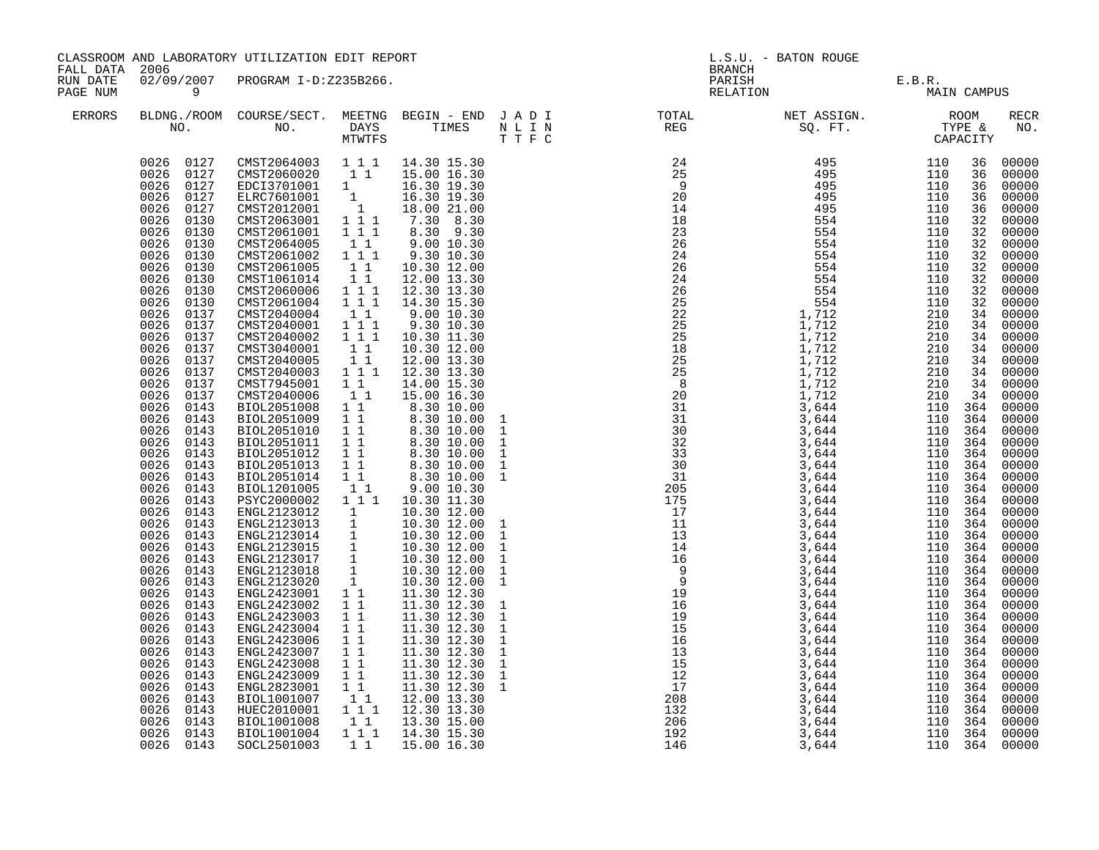| FALL DATA 2006       |                                                                                                                                                                                                                                                                                                                                                                                                                                                                                                                                                                                                                                                                                                                                                     | CLASSROOM AND LABORATORY UTILIZATION EDIT REPORT                                                                                                                                                                                                                                                                                                                                                                                                                                                                                                                                                                                                                                                                                                                                                                                                                                                                                                                                                                                                                                                                                                                                                                                                                                                                                                       |                                                                                                                                                                                                                                                                                                                                                      |                                                                                                                                                                                                                                                                                                                                                                                                                                                                                                                                                                                                                                                                                                                        | L.S.U. - BATON ROUGE<br><b>BRANCH</b> |                                                                                                                                                                                                                                                                                                                                                                                            |                                |             |  |                    |
|----------------------|-----------------------------------------------------------------------------------------------------------------------------------------------------------------------------------------------------------------------------------------------------------------------------------------------------------------------------------------------------------------------------------------------------------------------------------------------------------------------------------------------------------------------------------------------------------------------------------------------------------------------------------------------------------------------------------------------------------------------------------------------------|--------------------------------------------------------------------------------------------------------------------------------------------------------------------------------------------------------------------------------------------------------------------------------------------------------------------------------------------------------------------------------------------------------------------------------------------------------------------------------------------------------------------------------------------------------------------------------------------------------------------------------------------------------------------------------------------------------------------------------------------------------------------------------------------------------------------------------------------------------------------------------------------------------------------------------------------------------------------------------------------------------------------------------------------------------------------------------------------------------------------------------------------------------------------------------------------------------------------------------------------------------------------------------------------------------------------------------------------------------|------------------------------------------------------------------------------------------------------------------------------------------------------------------------------------------------------------------------------------------------------------------------------------------------------------------------------------------------------|------------------------------------------------------------------------------------------------------------------------------------------------------------------------------------------------------------------------------------------------------------------------------------------------------------------------------------------------------------------------------------------------------------------------------------------------------------------------------------------------------------------------------------------------------------------------------------------------------------------------------------------------------------------------------------------------------------------------|---------------------------------------|--------------------------------------------------------------------------------------------------------------------------------------------------------------------------------------------------------------------------------------------------------------------------------------------------------------------------------------------------------------------------------------------|--------------------------------|-------------|--|--------------------|
| RUN DATE<br>PAGE NUM | $\overline{9}$                                                                                                                                                                                                                                                                                                                                                                                                                                                                                                                                                                                                                                                                                                                                      | 02/09/2007 PROGRAM I-D:Z235B266.                                                                                                                                                                                                                                                                                                                                                                                                                                                                                                                                                                                                                                                                                                                                                                                                                                                                                                                                                                                                                                                                                                                                                                                                                                                                                                                       |                                                                                                                                                                                                                                                                                                                                                      |                                                                                                                                                                                                                                                                                                                                                                                                                                                                                                                                                                                                                                                                                                                        |                                       |                                                                                                                                                                                                                                                                                                                                                                                            | PARISH E.B.R.<br>RELATION MAIN | MAIN CAMPUS |  |                    |
| ERRORS               |                                                                                                                                                                                                                                                                                                                                                                                                                                                                                                                                                                                                                                                                                                                                                     |                                                                                                                                                                                                                                                                                                                                                                                                                                                                                                                                                                                                                                                                                                                                                                                                                                                                                                                                                                                                                                                                                                                                                                                                                                                                                                                                                        |                                                                                                                                                                                                                                                                                                                                                      |                                                                                                                                                                                                                                                                                                                                                                                                                                                                                                                                                                                                                                                                                                                        |                                       |                                                                                                                                                                                                                                                                                                                                                                                            |                                |             |  | <b>RECR</b><br>NO. |
|                      | 0026 0127<br>0026<br>0130<br>0026<br>0130<br>0026<br>0130<br>0026<br>0130<br>0026<br>0130<br>0026<br>0130<br>0026<br>0130<br>0026<br>0130<br>0026<br>0137<br>0026<br>0137<br>0026<br>0137<br>0026<br>0137<br>0026<br>0137<br>0026<br>0137<br>0026<br>0137<br>0026<br>0137<br>0026<br>0143<br>0026<br>0143<br>0026<br>0143<br>0026<br>0143<br>0026<br>0143<br>0026<br>0143<br>0026<br>0143<br>0026<br>0143<br>0026<br>0143<br>0026<br>0143<br>0026<br>0143<br>0026<br>0143<br>0026<br>0143<br>0026<br>0143<br>0026<br>0143<br>0026<br>0143<br>0026<br>0143<br>0026<br>0143<br>0026<br>0143<br>0026<br>0143<br>0026<br>0143<br>0026<br>0143<br>0026<br>0143<br>0026<br>0143<br>0026<br>0143<br>0026<br>0143<br>0026<br>0143<br>0026 0143<br>0026 0143 | $\begin{array}{cccc} 0026 & 0127 & \textrm{CMST2064003} & 1 & 1 & 1 & 14.30 & 15.30 \\ 0026 & 0127 & \textrm{CMST2060020} & 1 & 1 & 15.00 & 16.30 \\ 0026 & 0127 & \textrm{EDC13701001} & 1 & 16.30 & 19.30 \\ 0026 & 0127 & \textrm{ELRC7601001} & 1 & 16.30 & 19.30 \\ \end{array}$<br>CMST2012001<br>CMST2063001<br>CMST2061001 111<br>CMST2064005<br>CMST2061002<br>CMST2061005<br>CMST1061014<br>CMST2060006<br>CMST2061004<br>CMST2040004<br>CMST2040001<br>CMST2040002<br>CMST3040001<br>CMST2040005<br>CMST2040003 1 1 1<br>CMST7945001 1 1<br>CMST2040006<br>BIOL2051008 1 <sup>1</sup><br>BIOL2051009 1 1<br>BIOL2051010 1 1<br>BIOL2051011<br>BIOL2051012 1 1<br>BIOL2051013<br>BIOL2051014 1 1<br>BIOL1201005 1 1<br>PSYC2000002 1 1 1<br>$\begin{tabular}{l c c c c} \multicolumn{1}{c}{\textbf{ENCL2100002}} & 1 & 1 & 10.30 & 11.30 \\ \multicolumn{1}{c}{\textbf{ENGL2123012}} & 1 & 10.30 & 12.00 \\ \multicolumn{1}{c}{\textbf{ENGL2123013}} & 1 & 10.30 & 12.00 \\ \multicolumn{1}{c}{\textbf{ENGL2123014}} & 1 & 10.30 & 12.00 \\ \multicolumn{1}{c}{\textbf{ENGL2123015}} & 1 & 10.30 & 12.$<br>ENGL2423001 1 1<br>ENGL2423002 1 1<br>ENGL2423003 1 1<br>ENGL2423004<br>ENGL2423006<br>ENGL2423007 1 1<br>ENGL2423008 1 1<br>ENGL2423009<br>ENGL2823001 1 1<br>BIOL1001007 1 1<br>HUEC2010001 1 1 1<br>BIOL1001008<br>BIOL1001004 | $\begin{array}{c} 1 \\ 1 \ 1 \ 1 \end{array}$<br>11<br>$1 1 1$<br>11<br>11<br>$1^{\circ}1^{\circ}1$<br>$1 1 1$<br>$1\quad1$<br>1 1 1<br>$\overline{1}$ $\overline{1}$ $\overline{1}$<br>$\begin{bmatrix} 1\\ 1\\ 1 \end{bmatrix}$<br>$1\quad1$<br>$1\quad1$<br>$1\quad1$<br>$1\quad1$<br>11<br>$1\quad1$<br>11<br>$1\quad1$<br>$1^{\circ}1^{\circ}1$ | 18.00 21.00<br>7.30 8.30<br>8.30 9.30<br>9.00 10.30<br>9.30 10.30<br>10.30 12.00<br>12.00 13.30<br>12.30 13.30<br>14.30 15.30<br>9.00 10.30<br>9.30 10.30<br>10.30 11.30<br>10.30 12.00<br>12.00 13.30<br>12.30 13.30<br>14.00 15.30<br>15.00 16.30<br>$\begin{smallmatrix} 1 & 0.00 & 16 & 0.90\ 8 & 30 & 10 & 00\ 8 & 30 & 10 & 00\ 8 & 30 & 10 & 00\ 8 & 30 & 10 & 00\ 8 & 30 & 10 & 00\ 8 & 30 & 10 & 00\ 8 & 30 & 10 & 00\ 8 & 30 & 10 & 00\ 9 & 00 & 10 & 30\ \end{smallmatrix}$<br>9.00 10.30<br>10.30 11.30<br>11.30 12.30<br>11.30 12.30<br>11.30 12.30<br>11.30 12.30<br>11.30 12.30<br>11.30 12.30<br>11.30 12.30<br>11.30 12.30<br>11.30 12.30<br>12.00 13.30<br>12.30 13.30<br>13.30 15.00<br>14.30 15.30 |                                       | $\begin{smallmatrix} \textbf{R}^T & \textbf{R}^T & \textbf{R}^T & \textbf{R}^T & \textbf{R}^T & \textbf{R}^T & \textbf{R}^T & \textbf{R}^T & \textbf{R}^T & \textbf{R}^T & \textbf{R}^T & \textbf{R}^T & \textbf{R}^T & \textbf{R}^T & \textbf{R}^T & \textbf{R}^T & \textbf{R}^T & \textbf{R}^T & \textbf{R}^T & \textbf{R}^T & \textbf{R}^T & \textbf{R}^T & \textbf{R}^T & \textbf{R}^$ |                                |             |  |                    |
|                      | 0026 0143                                                                                                                                                                                                                                                                                                                                                                                                                                                                                                                                                                                                                                                                                                                                           | SOCL2501003                                                                                                                                                                                                                                                                                                                                                                                                                                                                                                                                                                                                                                                                                                                                                                                                                                                                                                                                                                                                                                                                                                                                                                                                                                                                                                                                            | $1\quad1$                                                                                                                                                                                                                                                                                                                                            | 15.00 16.30                                                                                                                                                                                                                                                                                                                                                                                                                                                                                                                                                                                                                                                                                                            |                                       | 146                                                                                                                                                                                                                                                                                                                                                                                        |                                |             |  |                    |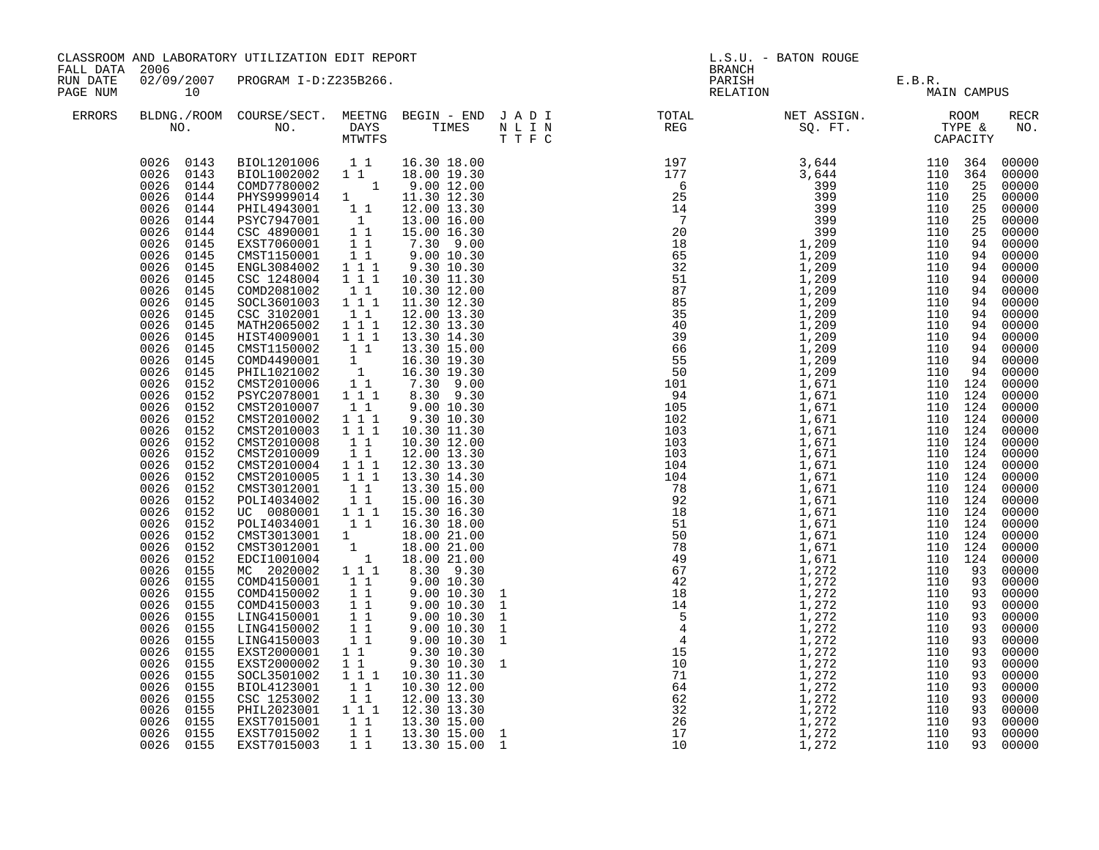| FALL DATA 2006       |                                                                                                                                                                                                                                                                                                                                                                                                                                                                                                                                                                                                                                              | CLASSROOM AND LABORATORY UTILIZATION EDIT REPORT                                                                                                                                                                                                                                                                                                                                                                                                                                                                                                                                                                                                                                                                                                                                                                                                                                                                                                                       |                                                                                                                                                                                                                                                                                                                                                                                                                                                                      |                                                                                                                                                                                                                                                                                                                                                                                                                                                                                                                                                                                        |  |                                                                                                                                                                                                                                                                                                         | L.S.U. - BATON ROUGE<br><b>BRANCH</b> |             |  |                                                                                                                                                                                                                                                                                                                                                                                                                                                                            |  |
|----------------------|----------------------------------------------------------------------------------------------------------------------------------------------------------------------------------------------------------------------------------------------------------------------------------------------------------------------------------------------------------------------------------------------------------------------------------------------------------------------------------------------------------------------------------------------------------------------------------------------------------------------------------------------|------------------------------------------------------------------------------------------------------------------------------------------------------------------------------------------------------------------------------------------------------------------------------------------------------------------------------------------------------------------------------------------------------------------------------------------------------------------------------------------------------------------------------------------------------------------------------------------------------------------------------------------------------------------------------------------------------------------------------------------------------------------------------------------------------------------------------------------------------------------------------------------------------------------------------------------------------------------------|----------------------------------------------------------------------------------------------------------------------------------------------------------------------------------------------------------------------------------------------------------------------------------------------------------------------------------------------------------------------------------------------------------------------------------------------------------------------|----------------------------------------------------------------------------------------------------------------------------------------------------------------------------------------------------------------------------------------------------------------------------------------------------------------------------------------------------------------------------------------------------------------------------------------------------------------------------------------------------------------------------------------------------------------------------------------|--|---------------------------------------------------------------------------------------------------------------------------------------------------------------------------------------------------------------------------------------------------------------------------------------------------------|---------------------------------------|-------------|--|----------------------------------------------------------------------------------------------------------------------------------------------------------------------------------------------------------------------------------------------------------------------------------------------------------------------------------------------------------------------------------------------------------------------------------------------------------------------------|--|
| RUN DATE<br>PAGE NUM | 10                                                                                                                                                                                                                                                                                                                                                                                                                                                                                                                                                                                                                                           | 02/09/2007 PROGRAM I-D:Z235B266.                                                                                                                                                                                                                                                                                                                                                                                                                                                                                                                                                                                                                                                                                                                                                                                                                                                                                                                                       |                                                                                                                                                                                                                                                                                                                                                                                                                                                                      |                                                                                                                                                                                                                                                                                                                                                                                                                                                                                                                                                                                        |  |                                                                                                                                                                                                                                                                                                         | PARISH E.B.R.<br>RELATION MAIN        | MAIN CAMPUS |  |                                                                                                                                                                                                                                                                                                                                                                                                                                                                            |  |
| ERRORS               |                                                                                                                                                                                                                                                                                                                                                                                                                                                                                                                                                                                                                                              |                                                                                                                                                                                                                                                                                                                                                                                                                                                                                                                                                                                                                                                                                                                                                                                                                                                                                                                                                                        |                                                                                                                                                                                                                                                                                                                                                                                                                                                                      |                                                                                                                                                                                                                                                                                                                                                                                                                                                                                                                                                                                        |  |                                                                                                                                                                                                                                                                                                         |                                       |             |  | RECR<br>NO.                                                                                                                                                                                                                                                                                                                                                                                                                                                                |  |
|                      | 0026<br>0145<br>0026<br>0145<br>0026<br>0145<br>0026<br>0145<br>0026<br>0145<br>0026<br>0145<br>0026<br>0145<br>0026<br>0145<br>0026<br>0145<br>0026<br>0145<br>0026<br>0152<br>0026<br>0152<br>0026<br>0152<br>0026<br>0152<br>0026<br>0152<br>0026<br>0152<br>0026<br>0152<br>0026<br>0152<br>0026<br>0152<br>0026<br>0152<br>0026<br>0152<br>0026<br>0152<br>0026<br>0152<br>0026<br>0152<br>0026<br>0152<br>0026<br>0152<br>0026<br>0155<br>0026<br>0155<br>0026<br>0155<br>0026<br>0155<br>0026<br>0155<br>0026<br>0155<br>0026<br>0155<br>0026<br>0155<br>0026<br>0155<br>0026<br>0155<br>0026<br>0155<br>0026<br>0155<br>0026<br>0155 | $\begin{tabular}{cccc} 0.026 & 0.143 & BIOL1201006 & 1 & 1 & 16.30 & 18.00 \\ 0.026 & 0.143 & BIOL1002002 & 1 & 1 & 18.00 & 19.30 \\ 0.026 & 0.144 & COMD7780002 & 1 & 9.00 & 12.00 \\ 0.026 & 0.144 & PHYS9999014 & 1 & 11.30 & 12.30 \\ 0.026 & 0.144 & PHIL4943001 & 1 & 12.00 & 13.30 \\$<br>ENGL3084002 111<br>CSC 1248004<br>COMD2081002<br>SOCL3601003 1 1 1<br>CSC 3102001<br>MATH2065002 111<br>HIST4009001 111<br>CMST1150002<br>COMD4490001<br>PHIL1021002<br>CMST2010006<br>PSYC2078001<br>CMST2010007<br>CMST2010002<br>CMST2010003<br>CMST2010008<br>CMST2010009 1 1<br>CMST2010004 1 1 1<br>CMST2010005<br>CMST2010005<br>CMST3012001<br>POLI4034002<br>UC 0080001 111<br>POLI4034001 11<br>CMST3013001 1<br>CMST3012001 1<br>EDCI1001004 1<br>MC 2020002 1 1 1<br>COMD4150001<br>COMD4150002<br>COMD4150003<br>LING4150001<br>LING4150002<br>LING4150003<br>EXST2000001<br>EXST2000002<br>SOCL3501002<br>BIOL4123001<br>CSC 1253002<br>PHIL2023001 111 | $\overline{1}$ $\overline{1}$ $\overline{1}$<br>11<br>$1\quad1$<br>$1\overline{1}$<br>$\begin{bmatrix} 1 \\ 1 \\ 1 \\ 1 \end{bmatrix}$<br>$\begin{bmatrix} 1 \\ 1 \\ 1 \end{bmatrix}$<br>$1\quad1$<br>$1 1 1$<br>$\begin{array}{rr} 1 & 1 & 1 \\ 1 & 1 \end{array}$<br>$\begin{array}{rrrr} & & \overline{1} & \overline{1} \\ & & 1 & 1 \\ & & 1 & 1 \end{array}$<br>$1\quad1$<br>11<br>11<br>$1\quad1$<br>11<br>11<br>11<br>$1\quad1$<br>11<br>$1 1 1$<br>11<br>11 | 9.30 10.30<br>10.30 11.30<br>10.30 12.00<br>11.30 12.30<br>12.00 13.30<br>12.30 13.30<br>13.30 14.30<br>13.30 15.00<br>16.30 19.30<br>16.30 19.30<br>7.30 9.00<br>8.30 9.30<br>9.0010.30<br>9.30 10.30<br>10.30 11.30<br>10.30 12.00<br>12.00 13.30<br>12.30 13.30<br>13.30 14.30<br>13.30 15.00<br>15.00 16.30<br>15.30 16.30<br>16.30 18.00<br>18.00 21.00<br>18.00 21.00<br>18.00 21.00<br>8.30 9.30<br>9.00 10.30<br>9.00 10.30<br>9.00 10.30<br>9.00 10.30<br>9.00 10.30<br>$9.00\ 10.30$<br>9.30 10.30<br>9.30 10.30<br>10.30 11.30<br>10.30 12.00<br>12.00 13.30<br>12.30 13.30 |  | $\begin{smallmatrix} 11.78 \\ 10.77 \\ 10.77 \\ 10.77 \\ 10.77 \\ 10.77 \\ 10.77 \\ 10.77 \\ 10.77 \\ 10.77 \\ 10.77 \\ 10.77 \\ 10.77 \\ 10.77 \\ 10.77 \\ 10.77 \\ 10.77 \\ 10.77 \\ 10.77 \\ 10.77 \\ 10.77 \\ 10.77 \\ 10.77 \\ 10.77 \\ 10.77 \\ 10.77 \\ 10.77 \\ 10.77 \\ 10.77 \\ 10.77 \\ 10.$ |                                       |             |  | 00000<br>00000<br>00000<br>00000<br>00000<br>00000<br>00000<br>94 00000<br>94 00000<br>00000<br>00000<br>94 00000<br>94 00000<br>94 00000<br>00000<br>94 00000<br>94 00000<br>94 00000<br>00000<br>00000<br>00000<br>00000<br>00000<br>00000<br>00000<br>00000<br>00000<br>00000<br>00000<br>00000<br>00000<br>00000<br>00000<br>00000<br>00000<br>00000<br>00000<br>00000<br>00000<br>00000<br>00000<br>00000<br>00000<br>00000<br>00000<br>93 00000<br>93 00000<br>00000 |  |
|                      | 0026<br>0155<br>0026 0155<br>0026 0155                                                                                                                                                                                                                                                                                                                                                                                                                                                                                                                                                                                                       | EXST7015001<br>EXST7015002<br>EXST7015003                                                                                                                                                                                                                                                                                                                                                                                                                                                                                                                                                                                                                                                                                                                                                                                                                                                                                                                              | $1\;1$<br>11<br>$1\quad1$                                                                                                                                                                                                                                                                                                                                                                                                                                            | 13.30 15.00<br>13.30 15.00 1<br>13.30 15.00 1                                                                                                                                                                                                                                                                                                                                                                                                                                                                                                                                          |  |                                                                                                                                                                                                                                                                                                         |                                       |             |  | 93 00000<br>93 00000<br>93 00000                                                                                                                                                                                                                                                                                                                                                                                                                                           |  |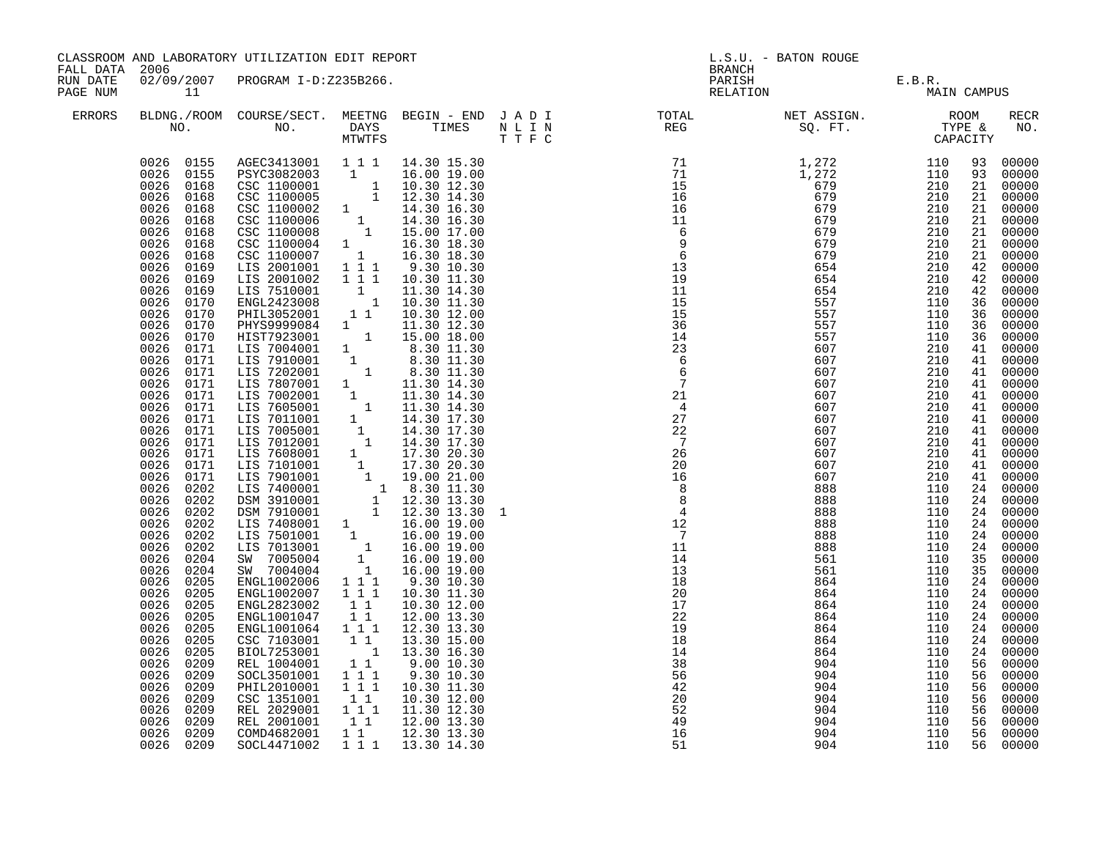| FALL DATA 2006       |                                                                                                                                                                                                                                                                                                                                                                                                                                                                                                                                                                                                                                                                                                                                                                                                         | CLASSROOM AND LABORATORY UTILIZATION EDIT REPORT                                                                                                                                                                                                                                                                                                                                                                                                                                                                                                                                                                                                                                                                                                                                                                                                                                                                                                                    |                                                                                                         |                                                                                                                                                                                                                                                                                                                        | L.S.U. - BATON ROUGE<br><b>BRANCH</b> |                                                                                                                                                                             |                                                                                                                     |                                                                                                                     |                                                                                                                      |                                                                                                                                                                                                                                                                                                                                                                                                                                                                                                                                                                                                                                                                                                                  |
|----------------------|---------------------------------------------------------------------------------------------------------------------------------------------------------------------------------------------------------------------------------------------------------------------------------------------------------------------------------------------------------------------------------------------------------------------------------------------------------------------------------------------------------------------------------------------------------------------------------------------------------------------------------------------------------------------------------------------------------------------------------------------------------------------------------------------------------|---------------------------------------------------------------------------------------------------------------------------------------------------------------------------------------------------------------------------------------------------------------------------------------------------------------------------------------------------------------------------------------------------------------------------------------------------------------------------------------------------------------------------------------------------------------------------------------------------------------------------------------------------------------------------------------------------------------------------------------------------------------------------------------------------------------------------------------------------------------------------------------------------------------------------------------------------------------------|---------------------------------------------------------------------------------------------------------|------------------------------------------------------------------------------------------------------------------------------------------------------------------------------------------------------------------------------------------------------------------------------------------------------------------------|---------------------------------------|-----------------------------------------------------------------------------------------------------------------------------------------------------------------------------|---------------------------------------------------------------------------------------------------------------------|---------------------------------------------------------------------------------------------------------------------|----------------------------------------------------------------------------------------------------------------------|------------------------------------------------------------------------------------------------------------------------------------------------------------------------------------------------------------------------------------------------------------------------------------------------------------------------------------------------------------------------------------------------------------------------------------------------------------------------------------------------------------------------------------------------------------------------------------------------------------------------------------------------------------------------------------------------------------------|
| RUN DATE<br>PAGE NUM | $\overline{11}$                                                                                                                                                                                                                                                                                                                                                                                                                                                                                                                                                                                                                                                                                                                                                                                         | 02/09/2007 PROGRAM I-D:Z235B266.                                                                                                                                                                                                                                                                                                                                                                                                                                                                                                                                                                                                                                                                                                                                                                                                                                                                                                                                    |                                                                                                         |                                                                                                                                                                                                                                                                                                                        |                                       |                                                                                                                                                                             |                                                                                                                     | PARISH E.B.R.<br>RELATION MAIN CAMPUS                                                                               |                                                                                                                      |                                                                                                                                                                                                                                                                                                                                                                                                                                                                                                                                                                                                                                                                                                                  |
| <b>ERRORS</b>        |                                                                                                                                                                                                                                                                                                                                                                                                                                                                                                                                                                                                                                                                                                                                                                                                         |                                                                                                                                                                                                                                                                                                                                                                                                                                                                                                                                                                                                                                                                                                                                                                                                                                                                                                                                                                     |                                                                                                         |                                                                                                                                                                                                                                                                                                                        |                                       |                                                                                                                                                                             |                                                                                                                     |                                                                                                                     |                                                                                                                      | <b>RECR</b><br>NO.                                                                                                                                                                                                                                                                                                                                                                                                                                                                                                                                                                                                                                                                                               |
|                      | 0026 0155<br>0026 0168<br>0026<br>0168<br>0026<br>0168<br>0026<br>0168<br>0026<br>0168<br>0026<br>0168<br>0026<br>0168<br>0026<br>0169<br>0026<br>0169<br>0026<br>0169<br>0026<br>0170<br>0026<br>0170<br>0026<br>0170<br>0026<br>0170<br>0026<br>0171<br>0026 0171<br>0026 0171<br>0026 0171<br>0026<br>0171<br>0026 0171<br>0026<br>0171<br>0026<br>0171<br>0026<br>0171<br>0026<br>0171<br>0026<br>0171<br>0026<br>0171<br>0026<br>0202<br>0026<br>0202<br>0026<br>0202<br>0026<br>0202<br>0026<br>0202<br>0026<br>0202<br>0026<br>0204<br>0026<br>0204<br>0026<br>0205<br>0026<br>0205<br>0026<br>0205<br>0026<br>0205<br>0026<br>0205<br>0026<br>0205<br>0026<br>0205<br>0026<br>0209<br>0026<br>0209<br>0026<br>0209<br>0026<br>0209<br>0026<br>0209<br>0026<br>0209<br>0026<br>0209<br>0026 0209 | 0026 0155 AGEC3413001 1 1 1 14.30 15.30<br>PSYC3082003 1 16.00 19.00<br>CSC 1100001 1 10.30 12.30<br>CSC 1100005 1 12.30 14.30<br>CSC 1100005 1 12.30 14.30<br>CSC 1100006 1 14.30 16.30<br>CSC 1100006 1 14.30 16.30<br>CSC 1100006 1 15.00 17.00<br>CSC 1100004 1 16.30 18.30<br>CSC 1100007 1 16.30 18.30<br>CSC 1100007 1 16.30 18.30<br>LIS 2001001 1 1 1 9.30 10.30<br>LIS<br>ENGL2423008<br>PHIL3052001<br>PHYS9999084 1 11.30 12.30<br>HIST7923001 1 15.00 18.00<br>41.30 18.00<br>HIST7923001 1 8.30 11.30<br>LIST7923001 1 8.30 11.30<br>LIST7923001 1 8.30 11.30<br>LIST792001 1 8.30 11.30<br>LIST87002001 1 11.30 14.30<br>LIST8702001 1 11.30 14.30<br>LIST7002001 1 11.30 14.30<br>LIST7002001 1 14.30 17.3<br>ENGL1002007<br>ENGL2823002<br>ENGL1001047<br>ENGL1001064 1 1 1<br>CSC 7103001 1 1<br>BIOL7253001<br>REL 1004001<br>SOCL3501001<br>PHIL2010001<br>CSC 1351001 11<br>REL 2029001 111<br>REL 2001001 11<br>COMD4682001 11<br>SOCL4471002 | $1 1 1$<br>$1\quad1$<br>$1\quad1$<br>11<br>$\begin{array}{rrrr} & 1 & 1 & 1 \\ & 1 & 1 & 1 \end{array}$ | $\begin{array}{rrrr} 1 & 11.30 & 14.30 \\ 1 & 10.30 & 11.30 \\ 1 & 10.30 & 12.00 \end{array}$<br>10.30 11.30<br>10.30 12.00<br>12.00 13.30<br>12.30 13.30<br>13.30 15.00<br>1 13.30 16.30<br>9.0010.30<br>9.30 10.30<br>10.30 11.30<br>10.30 12.00<br>11.30 12.30<br>12.00 13.30<br>12.30 13.30<br>1 1 1 1 13.30 14.30 |                                       | $\begin{array}{c}\n11 \\ \hline\n14\n\end{array}$<br>14<br>13<br>18<br>20<br>17<br>22<br>19<br>18<br>14<br>38<br>56<br>42<br>$\overline{20}$<br>$\frac{52}{49}$<br>16<br>51 | 561<br>561<br>864<br>864<br>864<br>864<br>864<br>864<br>864<br>904<br>904<br>904<br>904<br>904<br>904<br>904<br>904 | 110<br>110<br>110<br>110<br>110<br>110<br>110<br>110<br>110<br>110<br>110<br>110<br>110<br>110<br>110<br>110<br>110 | 93<br>21<br>21<br>21<br>21<br>36<br>36<br>36<br>41<br>41<br>41<br>35<br>24<br>24<br>56<br>56<br>56<br>56<br>56<br>56 | 93 00000<br>00000<br>00000<br>00000<br>$\begin{bmatrix} 21 & 00000 \\ 21 & 00000 \end{bmatrix}$<br>00000<br>00000<br>21 00000<br>4200000<br>42 00000<br>42 00000<br>00000<br>36 00000<br>00000<br>00000<br>00000<br>41 00000<br>00000<br>41 00000<br>$\begin{matrix}41 & 00000\\ 41 & 00000\end{matrix}$<br>00000<br>41 00000<br>$\begin{bmatrix} 41 & 00000 \\ 41 & 00000 \\ 41 & 00000 \end{bmatrix}$<br>41 00000<br>24 00000<br>24 00000<br>24 00000<br>24 00000<br>24 00000<br>24 00000<br>35 00000<br>00000<br>00000<br>24 00000<br>24 00000<br>00000<br>24 00000<br>$\begin{bmatrix} 24 & 00000 \\ 24 & 00000 \end{bmatrix}$<br>00000<br>00000<br>00000<br>56 00000<br>00000<br>00000<br>00000<br>56 00000 |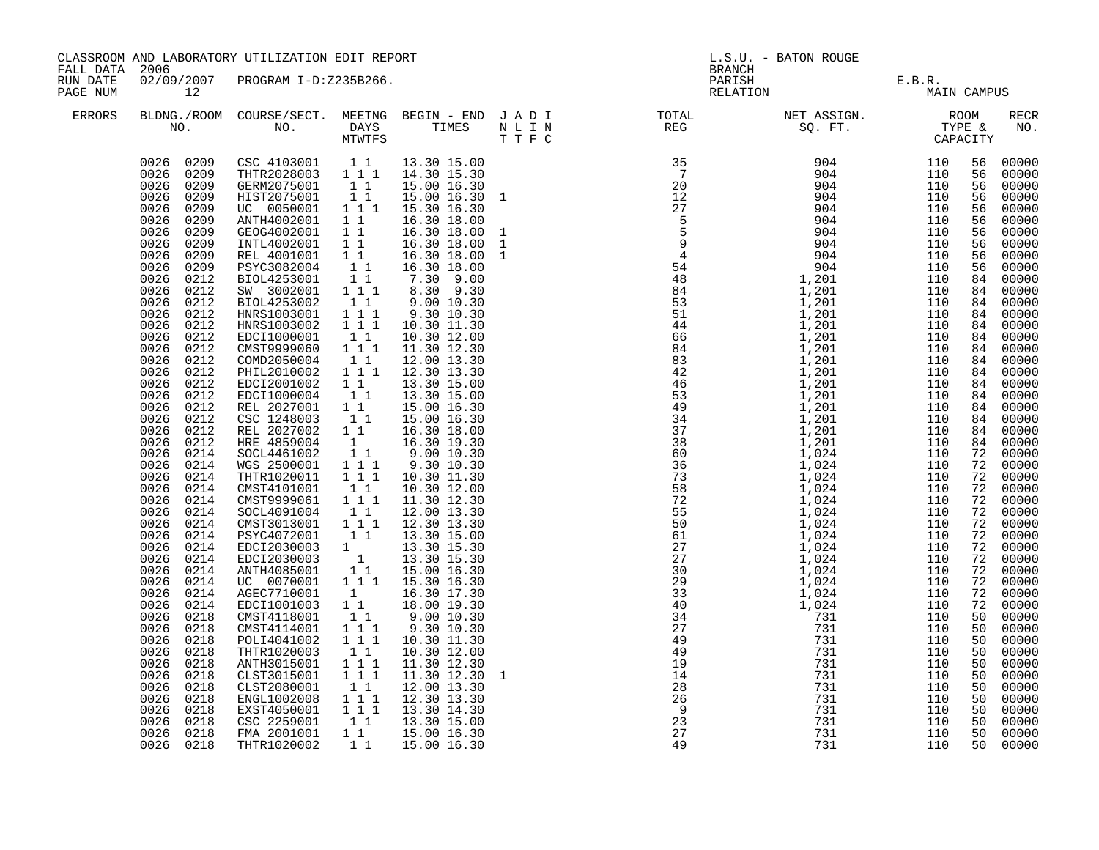|                                              |                                                                                                                                                                                                                                                                                                                                                                                                                                                                                                                                                                                                                                                                                                                                                                                            | CLASSROOM AND LABORATORY UTILIZATION EDIT REPORT                                                                                                                                                                                                                                                                                                                                                                                                                                                                                                                                                                                                                                                                                                                                                                                                                                                                                                                                                                                                                                                                  |                                                                                                                                                                                                                                              |                                                                                                                                                                                                                                                                                                                                                                                                                                                                                                                                                                                                                                                                                 |                                             | L.S.U. - BATON ROUGE<br><b>BRANCH</b> |                                   |             |                                                                                                                                                                                              |                                                                                                                                                                                                                                                                                                                                                                                                                                                                                                                                  |  |
|----------------------------------------------|--------------------------------------------------------------------------------------------------------------------------------------------------------------------------------------------------------------------------------------------------------------------------------------------------------------------------------------------------------------------------------------------------------------------------------------------------------------------------------------------------------------------------------------------------------------------------------------------------------------------------------------------------------------------------------------------------------------------------------------------------------------------------------------------|-------------------------------------------------------------------------------------------------------------------------------------------------------------------------------------------------------------------------------------------------------------------------------------------------------------------------------------------------------------------------------------------------------------------------------------------------------------------------------------------------------------------------------------------------------------------------------------------------------------------------------------------------------------------------------------------------------------------------------------------------------------------------------------------------------------------------------------------------------------------------------------------------------------------------------------------------------------------------------------------------------------------------------------------------------------------------------------------------------------------|----------------------------------------------------------------------------------------------------------------------------------------------------------------------------------------------------------------------------------------------|---------------------------------------------------------------------------------------------------------------------------------------------------------------------------------------------------------------------------------------------------------------------------------------------------------------------------------------------------------------------------------------------------------------------------------------------------------------------------------------------------------------------------------------------------------------------------------------------------------------------------------------------------------------------------------|---------------------------------------------|---------------------------------------|-----------------------------------|-------------|----------------------------------------------------------------------------------------------------------------------------------------------------------------------------------------------|----------------------------------------------------------------------------------------------------------------------------------------------------------------------------------------------------------------------------------------------------------------------------------------------------------------------------------------------------------------------------------------------------------------------------------------------------------------------------------------------------------------------------------|--|
| FALL DATA 2006<br>RUN DATE<br>12<br>PAGE NUM |                                                                                                                                                                                                                                                                                                                                                                                                                                                                                                                                                                                                                                                                                                                                                                                            | 02/09/2007 PROGRAM I-D:Z235B266.                                                                                                                                                                                                                                                                                                                                                                                                                                                                                                                                                                                                                                                                                                                                                                                                                                                                                                                                                                                                                                                                                  |                                                                                                                                                                                                                                              |                                                                                                                                                                                                                                                                                                                                                                                                                                                                                                                                                                                                                                                                                 |                                             |                                       | PARISH E.B.R.<br>RELATION MAIN CA | MAIN CAMPUS |                                                                                                                                                                                              |                                                                                                                                                                                                                                                                                                                                                                                                                                                                                                                                  |  |
| ERRORS                                       |                                                                                                                                                                                                                                                                                                                                                                                                                                                                                                                                                                                                                                                                                                                                                                                            |                                                                                                                                                                                                                                                                                                                                                                                                                                                                                                                                                                                                                                                                                                                                                                                                                                                                                                                                                                                                                                                                                                                   |                                                                                                                                                                                                                                              |                                                                                                                                                                                                                                                                                                                                                                                                                                                                                                                                                                                                                                                                                 |                                             |                                       |                                   |             |                                                                                                                                                                                              | RECR<br>NO.                                                                                                                                                                                                                                                                                                                                                                                                                                                                                                                      |  |
|                                              | 0026 0209<br>0026<br>0209<br>0026<br>0209<br>0026<br>0209<br>0026<br>0209<br>0026<br>0209<br>0026<br>0209<br>0026<br>0209<br>0026<br>0212<br>0026<br>0212<br>0026<br>0212<br>0026<br>0212<br>0026<br>0212<br>0026<br>0212<br>0026<br>0212<br>0026<br>0212<br>0026<br>0212<br>0026<br>0212<br>0026<br>0212<br>0026<br>0212<br>0026<br>0212<br>0026<br>0212<br>0026<br>0212<br>0026<br>0214<br>0026<br>0214<br>0026<br>0214<br>0026<br>0214<br>0026 0214<br>0026<br>0214<br>0026 0214<br>0026<br>0214<br>0026 0214<br>0026<br>0214<br>0026<br>0214<br>0026<br>0214<br>0026<br>0214<br>0026<br>0214<br>0026<br>0218<br>0026<br>0218<br>0026<br>0218<br>0026<br>0218<br>0026<br>0218<br>0026<br>0218<br>0026<br>0218<br>0026<br>0218<br>0026<br>0218<br>0026<br>0218<br>0026 0218<br>0026 0218 | $\begin{array}{cccccc} 0026 & 0209 & \text{CSC } 4103001 & 1 & 1 & 13.30 & 15.00 \\ 0026 & 0209 & \text{THTR} 2028003 & 1 & 1 & 1 & 14.30 & 15.30 \end{array}$<br>GERM2075001 1 1<br>HIST2075001<br>UC 0050001 111<br>ANTH4002001<br>GEOG4002001 1 1<br>11<br>INTL4002001<br>REL 4001001<br>PSYC3082004<br>BIOL4253001 11<br>SW 3002001 111<br>BIOL4253002<br>HNRS1003001 111<br>HNRS1003002 111<br>EDCI1000001<br>CMST9999060<br>COMD2050004<br>PHIL2010002<br>EDCI2001002<br>EDCI1000004<br>REL 2027001 11<br>CSC 1248003<br>REL 2027002 1 1<br>HRE 4859004 1<br>SOCL4461002 1 1<br>WGS 2500001 1 1 1<br>THTR1020011   1   1   1<br>CMST4101001<br>CMST9999061 111<br>SOCL4091004 1 1<br>CMST3013001 111<br>PSYC4072001 11<br>PSYC4072001<br>BDCI2030003 1 13.30 15.30<br>BDCI2030003 1 13.30 15.30<br>ANTH4085001 1 15.00 16.30<br>UC 0070001 1 1 15.30 16.30<br>AGEC7710001 1<br>EDCI1001003 11<br>CMST4118001<br>CMST4114001<br>POLI4041002<br>THTR1020003<br>ANTH3015001<br>CLST3015001<br>CLST2080001<br>ENGL1002008 1 1 1<br>EXST4050001 111<br>CSC 2259001<br>FMA 2001001<br>THTR1020002 1 1 15.00 16.30 | $1\quad1$<br>11<br>$1\quad1$<br>11<br>$1\quad1$<br>$1\quad1$<br>111<br>11<br>$1 1 1$<br>$1\quad1$<br>11<br>11<br>11<br>$\begin{smallmatrix}1&1\\1&1&1\end{smallmatrix}$<br>1 1 1<br>$1\quad1$<br>$1\overline{1}$<br>1 1 1<br>11<br>$1\quad1$ | 15.00 16.30<br>15.00 16.30 1<br>15.30 16.30<br>16.30 18.00<br>16.30 18.00<br>16.30 18.00<br>16.30 18.00<br>16.30 18.00<br>7.30 9.00<br>8.30 9.30<br>9.00 10.30<br>9.30 10.30<br>10.30 11.30<br>10.30 12.00<br>11.30 12.30<br>12.00 13.30<br>12.30 13.30<br>13.30 15.00<br>13.30 15.00<br>15.00 16.30<br>15.00 16.30<br>16.30 18.00<br>16.30 19.30<br>$9.00$ 10.30<br>9.30 10.30<br>10.30 11.30<br>10.30 12.00<br>11.30 12.30<br>12.00 13.30<br>12.30 13.30<br>13.30 15.00<br>16.30 17.30<br>18.00 19.30<br>9.0010.30<br>9.30 10.30<br>10.30 11.30<br>10.30 12.00<br>11.30 12.30<br>11.30 12.30 1<br>12.00 13.30<br>12.30 13.30<br>13.30 14.30<br>1 1 13.30 15.00<br>15.00 16.30 | 1<br>$144$<br>$286$<br>$23$<br>$27$<br>$49$ |                                       | 731                               | 110         | 56<br>56<br>56<br>56<br>56<br>56<br>56<br>56<br>56<br>56<br>84<br>84<br>72<br>72<br>72<br>72<br>72<br>72<br>72<br>72<br>50<br>50<br>50<br>50<br>50<br>50<br>50<br>50<br>50<br>50<br>50<br>50 | 00000<br>00000<br>00000<br>00000<br>00000<br>00000<br>00000<br>00000<br>00000<br>00000<br>00000<br>84 00000<br>84 00000<br>84 00000<br>84 00000<br>84 00000<br>84 00000<br>84 00000<br>84 00000<br>84 00000<br>84 00000<br>84 00000<br>00000<br>84 00000<br>84 00000<br>72 00000<br>00000<br>72 00000<br>72 00000<br>00000<br>00000<br>72 00000<br>72 00000<br>72 00000<br>00000<br>00000<br>00000<br>00000<br>00000<br>00000<br>00000<br>00000<br>00000<br>00000<br>00000<br>00000<br>00000<br>00000<br>00000<br>00000<br>00000 |  |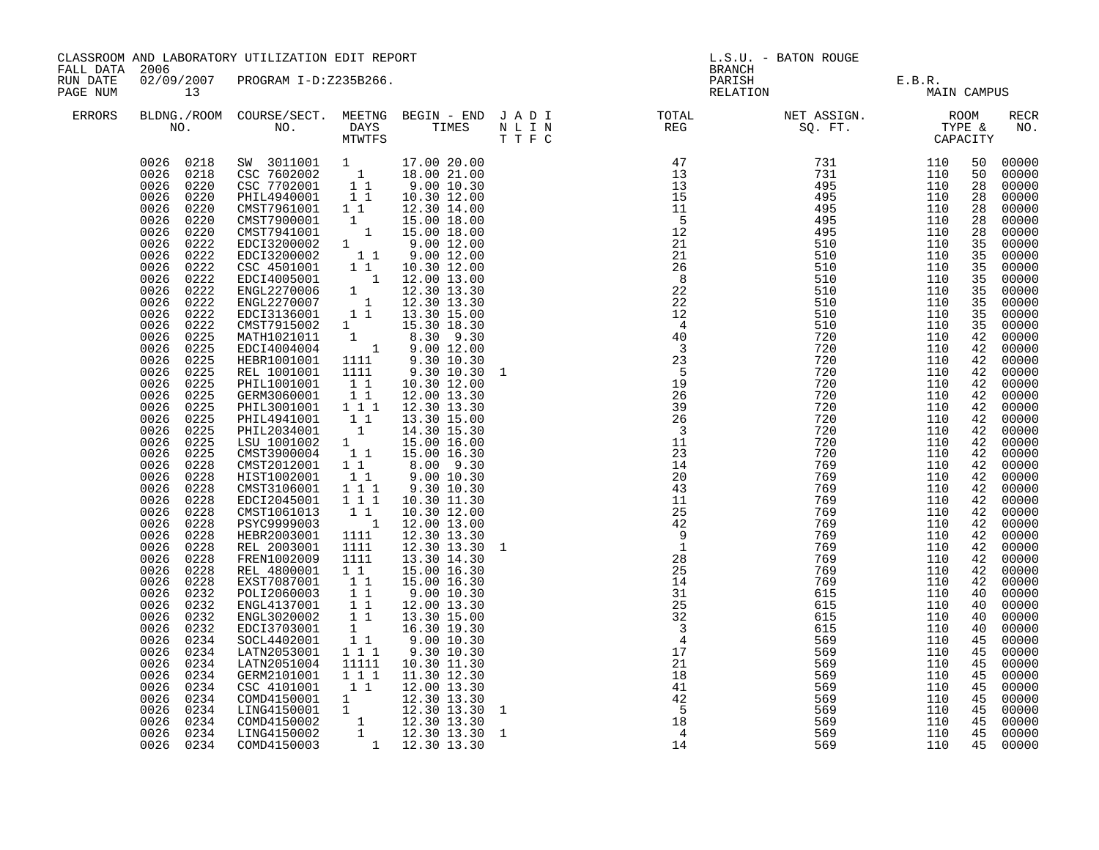|                                                        |                                                                                                                                                                                                                                                                                                                                                                                                                                                                                                                                                                                                                                                                                                                                                                           | CLASSROOM AND LABORATORY UTILIZATION EDIT REPORT                                                                                                                                                                                                                                                                                                                                                                                                                                                                                                                                                                                                                                                                                                                                                                                                                                                                                                                                                                                                                                                                                                                                                                                                                                 |                                                                                                                                                                                                                                                                                                                                                |                                                                                                                                                                                                                                                                                                                                                                                                                                                        | L.S.U. - BATON ROUGE<br><b>BRANCH</b> |                                                                                                     |                                                      |                                                      |                                                                                                                                                                                                                                                                                                                |                                                                                                                                                                                                                                                                                                                                                                                                                                                                         |
|--------------------------------------------------------|---------------------------------------------------------------------------------------------------------------------------------------------------------------------------------------------------------------------------------------------------------------------------------------------------------------------------------------------------------------------------------------------------------------------------------------------------------------------------------------------------------------------------------------------------------------------------------------------------------------------------------------------------------------------------------------------------------------------------------------------------------------------------|----------------------------------------------------------------------------------------------------------------------------------------------------------------------------------------------------------------------------------------------------------------------------------------------------------------------------------------------------------------------------------------------------------------------------------------------------------------------------------------------------------------------------------------------------------------------------------------------------------------------------------------------------------------------------------------------------------------------------------------------------------------------------------------------------------------------------------------------------------------------------------------------------------------------------------------------------------------------------------------------------------------------------------------------------------------------------------------------------------------------------------------------------------------------------------------------------------------------------------------------------------------------------------|------------------------------------------------------------------------------------------------------------------------------------------------------------------------------------------------------------------------------------------------------------------------------------------------------------------------------------------------|--------------------------------------------------------------------------------------------------------------------------------------------------------------------------------------------------------------------------------------------------------------------------------------------------------------------------------------------------------------------------------------------------------------------------------------------------------|---------------------------------------|-----------------------------------------------------------------------------------------------------|------------------------------------------------------|------------------------------------------------------|----------------------------------------------------------------------------------------------------------------------------------------------------------------------------------------------------------------------------------------------------------------------------------------------------------------|-------------------------------------------------------------------------------------------------------------------------------------------------------------------------------------------------------------------------------------------------------------------------------------------------------------------------------------------------------------------------------------------------------------------------------------------------------------------------|
| FALL DATA 2006<br>RUN DATE<br>PAGE NUM<br>13<br>ERRORS |                                                                                                                                                                                                                                                                                                                                                                                                                                                                                                                                                                                                                                                                                                                                                                           | 02/09/2007 PROGRAM I-D:Z235B266.                                                                                                                                                                                                                                                                                                                                                                                                                                                                                                                                                                                                                                                                                                                                                                                                                                                                                                                                                                                                                                                                                                                                                                                                                                                 |                                                                                                                                                                                                                                                                                                                                                |                                                                                                                                                                                                                                                                                                                                                                                                                                                        |                                       |                                                                                                     | PARISH E.B.R.<br>RELATION MAIN                       | MAIN CAMPUS                                          |                                                                                                                                                                                                                                                                                                                |                                                                                                                                                                                                                                                                                                                                                                                                                                                                         |
|                                                        |                                                                                                                                                                                                                                                                                                                                                                                                                                                                                                                                                                                                                                                                                                                                                                           |                                                                                                                                                                                                                                                                                                                                                                                                                                                                                                                                                                                                                                                                                                                                                                                                                                                                                                                                                                                                                                                                                                                                                                                                                                                                                  |                                                                                                                                                                                                                                                                                                                                                |                                                                                                                                                                                                                                                                                                                                                                                                                                                        |                                       |                                                                                                     |                                                      |                                                      |                                                                                                                                                                                                                                                                                                                | RECR<br>NO.                                                                                                                                                                                                                                                                                                                                                                                                                                                             |
|                                                        | 0026<br>0220<br>0026<br>0220<br>0026<br>0220<br>0026<br>0222<br>0026<br>0222<br>0026<br>0222<br>0026<br>0222<br>0026<br>0222<br>0026<br>0222<br>0026<br>0222<br>0026<br>0222<br>0026<br>0225<br>0026<br>0225<br>0026<br>0225<br>0026<br>0225<br>0225<br>0026<br>0026<br>0225<br>0026<br>0225<br>0026<br>0225<br>0026<br>0225<br>0026<br>0225<br>0026<br>0225<br>0026<br>0228<br>0026<br>0228<br>0026<br>0228<br>0026<br>0228<br>0026<br>0228<br>0026<br>0228<br>0026<br>0228<br>0026<br>0228<br>0026<br>0228<br>0026<br>0228<br>0026<br>0228<br>0026<br>0232<br>0026<br>0232<br>0026<br>0232<br>0026<br>0232<br>0026<br>0234<br>0026<br>0234<br>0026<br>0234<br>0026<br>0234<br>0026<br>0234<br>0026<br>0234<br>0026<br>0234<br>0026<br>0234<br>0026<br>0234<br>0026 0234 | $\begin{array}{cccc} 0026 & 0218 & \textrm{SW} & 3011001 & 1 & 17.00 & 20.00 \\ 0026 & 0218 & \textrm{CSC} & 7602002 & 1 & 18.00 & 21.00 \\ 0026 & 0220 & \textrm{CSC} & 7702001 & 1 & 9.00 & 10.30 \\ 0026 & 0220 & \textrm{PHIL4940001} & 1 & 1 & 10.30 & 12.00 \end{array}$<br>CMST7961001 1 1<br>CMST7961001 1 1 12.30 14.00<br>CMST7941001 1 15.00 18.00<br>CMST7941001 1 15.00 18.00<br>EDCI3200002 1 9.00 12.00<br>EDCI3200002 1 9.00 12.00<br>CSC 4501001 1 1 10.30 12.00<br>EDCI4005001 1 12.00 13.00<br>ENGL2270006 1 12.30 13.30<br>ENGL<br>CMST7915002 1 15.30 18.30<br>MATH1021011 1 8.30 9.30<br>EDCI4004004 1 9.00 12.00<br>HEBR1001001<br>REL 1001001<br>PHIL1001001<br>GERM3060001<br>PHIL3001001 111<br>PHIL4941001<br>PHIL2034001<br>LSU 1001002<br>CMST3900004<br>CMST2012001<br>HIST1002001<br>CMST3106001<br>EDCI2045001<br>CMST1061013<br>PSYC9999003<br>HEBR2003001<br>REL 2003001<br>FREN1002009<br>REL 4800001<br>EXST7087001<br>POLI2060003<br>ENGL4137001<br>ENGL3020002<br>EDCI3703001<br>SOCL4402001<br>LATN2053001 111<br>LATN2051004<br>GERM2101001<br>CSC 4101001<br>COMD4150001 1 12.30 13.30<br>LING4150001 1 12.30 13.30<br>COMD4150002 1 12.30 13.30<br>LING4150002 1 12.30 13.30<br>COMD4150002 1 12.30 13.30<br>COMD4150003 1 12.30 13.30 | 1111<br>1111<br>$1\quad1$<br>11<br>11<br>$\overline{1}$<br>$1$ <sup><math>\sim</math></sup><br>11<br>$1\quad1$<br>$\begin{smallmatrix}1&1\\1&1&1\end{smallmatrix}$<br>111<br>$1\quad1$<br>$\overline{\phantom{a}}$<br>1111<br>1111<br>1111<br>1 1<br>11<br>$\frac{1}{1}$ $\frac{1}{1}$<br>$1\bar{1}$<br>1<br>11<br>11111<br>1 1 1<br>$1\quad1$ | 12.30 14.00<br>9.30 10.30<br>9.30 10.30<br>10.30 12.00<br>12.00 13.30<br>12.30 13.30<br>13.30 15.00<br>14.30 15.30<br>15.00 16.00<br>15.00 16.30<br>8.00 9.30<br>9.00 10.30<br>9.30 10.30<br>10.30 11.30<br>10.30 12.00<br>12.00 13.00<br>12.30 13.30<br>12.30 13.30 1<br>13.30 14.30<br>15.00 16.30<br>15.00 16.30<br>9.00 10.30<br>12.00 13.30<br>13.30 15.00<br>16.30 19.30<br>9.0010.30<br>9.30 10.30<br>10.30 11.30<br>11.30 12.30<br>12.00 13.30 | $\mathbf{1}$<br><sup>1</sup>          | 21<br>$\frac{21}{18}$<br>41<br>42<br>$\begin{array}{r} 42 \\ -5 \\ 18 \\ 4 \\ 14 \end{array}$<br>14 | 569<br>569<br>569<br>569<br>569<br>569<br>569<br>569 | 110<br>110<br>110<br>110<br>110<br>110<br>110<br>110 | 50<br>50<br>28<br>28<br>28<br>28<br>28<br>35<br>35<br>35<br>35<br>35<br>35<br>35<br>35<br>42<br>42<br>42<br>42<br>42<br>42<br>42<br>42<br>42<br>42<br>42<br>42<br>42<br>42<br>42<br>42<br>42<br>42<br>42<br>42<br>42<br>42<br>40<br>40<br>40<br>40<br>45<br>45<br>45<br>45<br>45<br>45<br>45<br>45<br>45<br>45 | 00000<br>00000<br>00000<br>00000<br>00000<br>00000<br>00000<br>00000<br>00000<br>00000<br>00000<br>00000<br>00000<br>00000<br>00000<br>00000<br>00000<br>00000<br>00000<br>00000<br>00000<br>00000<br>00000<br>00000<br>00000<br>00000<br>00000<br>00000<br>00000<br>00000<br>00000<br>00000<br>00000<br>00000<br>00000<br>00000<br>00000<br>00000<br>00000<br>00000<br>00000<br>00000<br>00000<br>00000<br>00000<br>00000<br>00000<br>00000<br>00000<br>00000<br>00000 |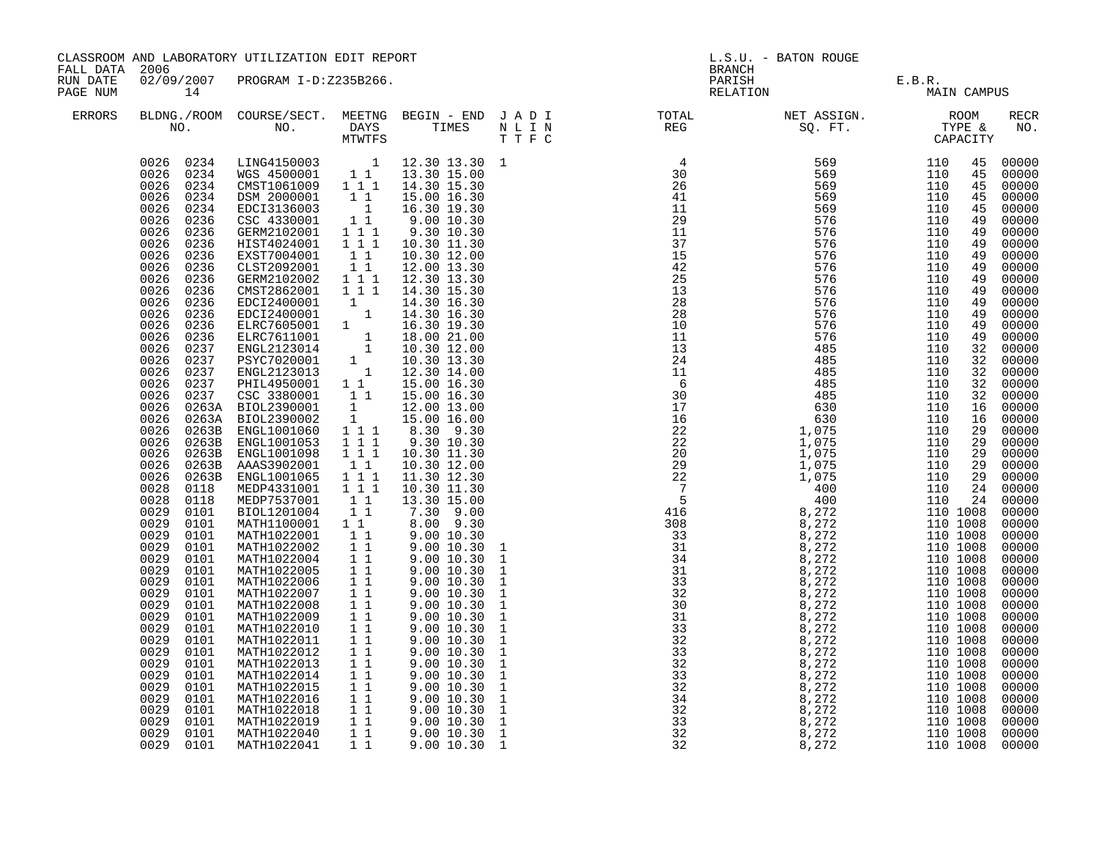| FALL DATA 2006       |                                                                                                                                                                                                                                                                                                                                                                                                                                                                                                                                                                                      | CLASSROOM AND LABORATORY UTILIZATION EDIT REPORT                                                                                                                                                                                                                                                                                                                                                                                                                                                                                                                                                                                                                                                                                                                                                                                                                                                                                                                        |                                                                                                                                                                                                                                                                                 |                                                                                                                                                                                                                                                                                                                                                                           | <b>BRANCH</b>                                                                                                                                                                                                                                                                                                                                                                                                               | L.S.U. - BATON ROUGE           |             |                                                                                                                                                                                                                                                                                                                                                                                                                                                               |
|----------------------|--------------------------------------------------------------------------------------------------------------------------------------------------------------------------------------------------------------------------------------------------------------------------------------------------------------------------------------------------------------------------------------------------------------------------------------------------------------------------------------------------------------------------------------------------------------------------------------|-------------------------------------------------------------------------------------------------------------------------------------------------------------------------------------------------------------------------------------------------------------------------------------------------------------------------------------------------------------------------------------------------------------------------------------------------------------------------------------------------------------------------------------------------------------------------------------------------------------------------------------------------------------------------------------------------------------------------------------------------------------------------------------------------------------------------------------------------------------------------------------------------------------------------------------------------------------------------|---------------------------------------------------------------------------------------------------------------------------------------------------------------------------------------------------------------------------------------------------------------------------------|---------------------------------------------------------------------------------------------------------------------------------------------------------------------------------------------------------------------------------------------------------------------------------------------------------------------------------------------------------------------------|-----------------------------------------------------------------------------------------------------------------------------------------------------------------------------------------------------------------------------------------------------------------------------------------------------------------------------------------------------------------------------------------------------------------------------|--------------------------------|-------------|---------------------------------------------------------------------------------------------------------------------------------------------------------------------------------------------------------------------------------------------------------------------------------------------------------------------------------------------------------------------------------------------------------------------------------------------------------------|
| RUN DATE<br>PAGE NUM | 14                                                                                                                                                                                                                                                                                                                                                                                                                                                                                                                                                                                   | 02/09/2007 PROGRAM I-D:Z235B266.                                                                                                                                                                                                                                                                                                                                                                                                                                                                                                                                                                                                                                                                                                                                                                                                                                                                                                                                        |                                                                                                                                                                                                                                                                                 |                                                                                                                                                                                                                                                                                                                                                                           |                                                                                                                                                                                                                                                                                                                                                                                                                             | PARISH E.B.R.<br>RELATION MAIN | MAIN CAMPUS |                                                                                                                                                                                                                                                                                                                                                                                                                                                               |
| <b>ERRORS</b>        |                                                                                                                                                                                                                                                                                                                                                                                                                                                                                                                                                                                      |                                                                                                                                                                                                                                                                                                                                                                                                                                                                                                                                                                                                                                                                                                                                                                                                                                                                                                                                                                         |                                                                                                                                                                                                                                                                                 |                                                                                                                                                                                                                                                                                                                                                                           |                                                                                                                                                                                                                                                                                                                                                                                                                             |                                |             | RECR<br>NO.                                                                                                                                                                                                                                                                                                                                                                                                                                                   |
|                      | 0234<br>0026<br>0026<br>0236<br>0026<br>0236<br>0026<br>0236<br>0026<br>0236<br>0026<br>0026<br>0026<br>0026<br>0026<br>0026<br>0026<br>0026<br>0026<br>0026<br>0026<br>0026<br>0026<br>0026<br>0026<br>0026<br>0026<br>0026<br>0026<br>0028<br>0118<br>0028<br>0118<br>0029<br>0101<br>0029<br>0101<br>0029<br>0101<br>0029<br>0101<br>0029<br>0101<br>0029<br>0101<br>0029<br>0101<br>0029<br>0101<br>0029<br>0101<br>0029<br>0101<br>0029<br>0101<br>0029<br>0101<br>0029<br>0101<br>0029<br>0101<br>0029<br>0101<br>0029<br>0101<br>0029<br>0101<br>0029<br>0101<br>0029<br>0101 | $\begin{array}{cccc} 0026 & 0234 & \text{LING4150003} & 1 & 12.30 & 13.30 & 1 \\ 0026 & 0234 & \text{WGS } 4500001 & 1 & 1 & 13.30 & 15.00 \\ 0026 & 0234 & \text{CMST1061009} & 1 & 1 & 14.30 & 15.30 \\ 0026 & 0234 & \text{DSM } 2000001 & 1 & 1 & 15.00 & 16.30 \end{array}$<br>EDCI3136003<br>CSC 4330001<br>GERM2102001 111<br>HIST4024001<br>EXST7004001<br>XST700001<br>CERM2102001<br>CERM2102002<br>CMST2862001 1 1 1<br>EDCI2400001 1 1 1 4.30 16.30<br><br>EDCI2400001 1 14.30 16.30<br><br>EDCI2400001 1 14.30 16.30<br><br>ELRC761001 1 16.00 21.00<br>37 ENGL2123014 1 10.30 12.00<br>237 ENGL2123013 1 10<br>ENGL1001065<br>MEDP4331001<br>MEDP7537001<br>BIOL1201004<br>MATH1100001 1 1<br>MATH1022001<br>MATH1022002<br>MATH1022004<br>MATH1022005<br>MATH1022006<br>MATH1022007<br>MATH1022008<br>MATH1022009<br>MATH1022010<br>MATH1022011<br>MATH1022012<br>MATH1022013<br>MATH1022014<br>MATH1022015<br>MATH1022016<br>MATH1022018<br>MATH1022019 | $\begin{smallmatrix}&&1\\&&1\\1&1\end{smallmatrix}$<br>$1 1 1$<br>11<br>1 1 1<br>$\begin{smallmatrix}1&1\\1&1\end{smallmatrix}$<br>11<br>11<br>11<br>11<br>11<br>11<br>11<br>$1\,1$<br>$1\,1$<br>$1\quad1$<br>$1\quad1$<br>11<br>$1\;\;1$<br>$1\quad1$<br>$1\quad1$<br>11<br>11 | 16.30 19.30<br>9.00 10.30<br>9.30 10.30<br>10.30 11.30<br>10.30 12.00<br>10.30 11.30<br>13.30 15.00<br>7.30 9.00<br>8.00 9.30<br>9.00 10.30<br>9.0010.30<br>9.00 10.30<br>9.00 10.30<br>9.00 10.30<br>9.00 10.30<br>9.00 10.30<br>9.00 10.30<br>9.00 10.30<br>9.00 10.30<br>9.00 10.30<br>9.00 10.30<br>9.00 10.30<br>9.00 10.30<br>9.00 10.30<br>9.00 10.30<br>9.0010.30 | $\begin{smallmatrix} \textbf{N} & \textbf{L} & \textbf{L} & \textbf{R} \\ \textbf{30} & \textbf{10} & \textbf{10} \\ \textbf{11} & \textbf{12} & \textbf{10} \\ \textbf{12} & \textbf{13} & \textbf{15} \\ \textbf{13} & \textbf{14} & \textbf{15} \\ \textbf{14} & \textbf{15} \\ \textbf{15} & \textbf{16} \\ \textbf{17} & \textbf{18} \\ \textbf{18} & \textbf{18} \\ \textbf{19} & \textbf{19} \\ \textbf{10} & \text$ |                                |             | 00000<br>00000<br>00000<br>00000<br>00000<br>00000<br>00000<br>00000<br>00000<br>00000<br>00000<br>00000<br>00000<br>00000<br>00000<br>00000<br>00000<br>00000<br>00000<br>00000<br>00000<br>00000<br>00000<br>00000<br>$00000$<br>00000<br>00000<br>00000<br>00000<br>$00000$<br>00000<br>00000<br>00000<br>00000<br>00000<br>00000<br>00000<br>00000<br>00000<br>00000<br>00000<br>00000<br>00000<br>00000<br>00000<br>$00000$<br>$00000$<br>00000<br>00000 |
|                      | 0029<br>0101<br>0029 0101                                                                                                                                                                                                                                                                                                                                                                                                                                                                                                                                                            | MATH1022040<br>MATH1022041                                                                                                                                                                                                                                                                                                                                                                                                                                                                                                                                                                                                                                                                                                                                                                                                                                                                                                                                              | 11<br>$1\quad1$                                                                                                                                                                                                                                                                 | 9.00 10.30<br>9.0010.30                                                                                                                                                                                                                                                                                                                                                   |                                                                                                                                                                                                                                                                                                                                                                                                                             |                                |             | 00000<br>00000                                                                                                                                                                                                                                                                                                                                                                                                                                                |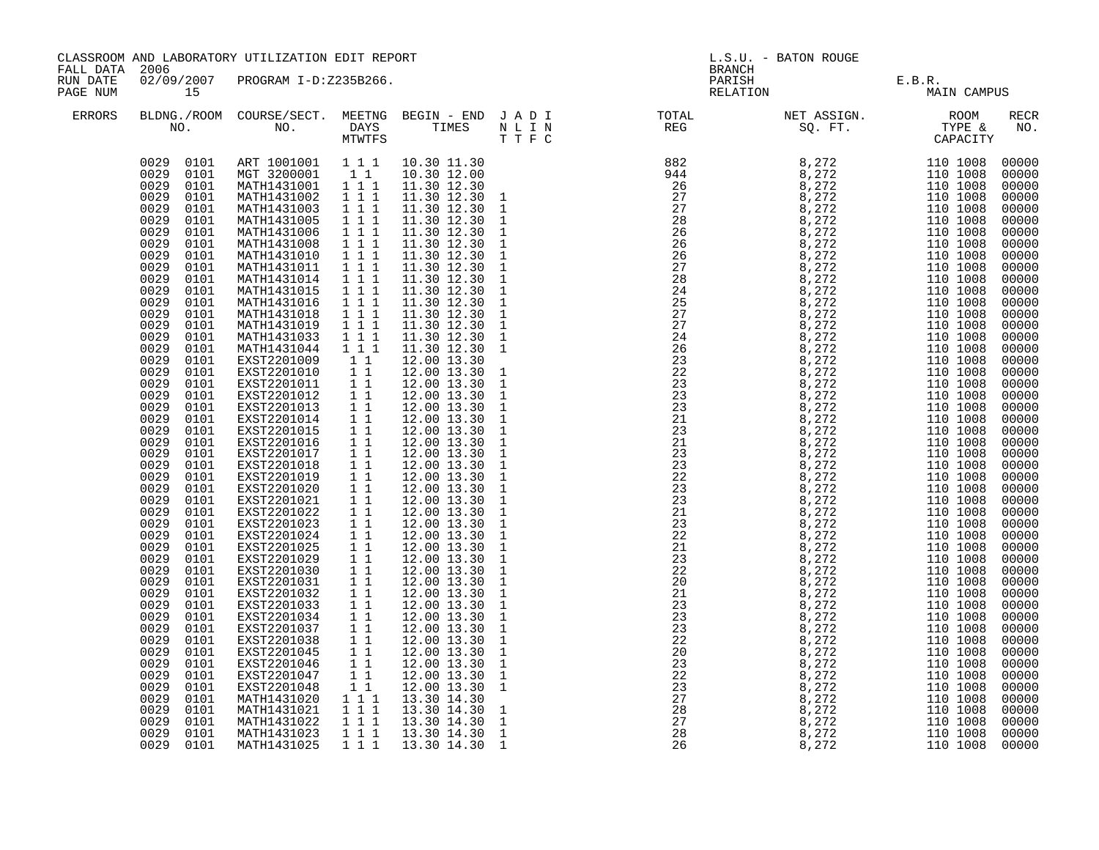| FALL DATA 2006       |                                                                                                                                                                                                                                                                                                                                                                                                                                                                                                                                                                                                                                                                                                                                                                                                                                     | CLASSROOM AND LABORATORY UTILIZATION EDIT REPORT                                                                                                                                                                                                                                                                                                                                                                                                                                                                                                                                                                                                                                                                                                                                                                                                |                                                                                                                                                                                                                                                                                                                                                                                                                                                                                                                                                                                                     |  | <b>BRANCH</b> | L.S.U. - BATON ROUGE                                                                                                                                                                                                                                                                                                                                                   |                    |                       |                                                                                                                                                                                                                                                                                                                                                                                                                                                                           |
|----------------------|-------------------------------------------------------------------------------------------------------------------------------------------------------------------------------------------------------------------------------------------------------------------------------------------------------------------------------------------------------------------------------------------------------------------------------------------------------------------------------------------------------------------------------------------------------------------------------------------------------------------------------------------------------------------------------------------------------------------------------------------------------------------------------------------------------------------------------------|-------------------------------------------------------------------------------------------------------------------------------------------------------------------------------------------------------------------------------------------------------------------------------------------------------------------------------------------------------------------------------------------------------------------------------------------------------------------------------------------------------------------------------------------------------------------------------------------------------------------------------------------------------------------------------------------------------------------------------------------------------------------------------------------------------------------------------------------------|-----------------------------------------------------------------------------------------------------------------------------------------------------------------------------------------------------------------------------------------------------------------------------------------------------------------------------------------------------------------------------------------------------------------------------------------------------------------------------------------------------------------------------------------------------------------------------------------------------|--|---------------|------------------------------------------------------------------------------------------------------------------------------------------------------------------------------------------------------------------------------------------------------------------------------------------------------------------------------------------------------------------------|--------------------|-----------------------|---------------------------------------------------------------------------------------------------------------------------------------------------------------------------------------------------------------------------------------------------------------------------------------------------------------------------------------------------------------------------------------------------------------------------------------------------------------------------|
| RUN DATE<br>PAGE NUM | 15                                                                                                                                                                                                                                                                                                                                                                                                                                                                                                                                                                                                                                                                                                                                                                                                                                  | 02/09/2007 PROGRAM I-D:Z235B266.                                                                                                                                                                                                                                                                                                                                                                                                                                                                                                                                                                                                                                                                                                                                                                                                                |                                                                                                                                                                                                                                                                                                                                                                                                                                                                                                                                                                                                     |  |               | PARISH                                                                                                                                                                                                                                                                                                                                                                 | PARISH<br>RELATION | E.B.R.<br>MAIN CAMPUS |                                                                                                                                                                                                                                                                                                                                                                                                                                                                           |
| <b>ERRORS</b>        | NO.                                                                                                                                                                                                                                                                                                                                                                                                                                                                                                                                                                                                                                                                                                                                                                                                                                 | BLDNG./ROOM COURSE/SECT. MEETNG BEGIN - END J A D I<br>NO. DAYS TIMES NLIN<br>MTWTFS TTFC                                                                                                                                                                                                                                                                                                                                                                                                                                                                                                                                                                                                                                                                                                                                                       | MTWTFS                                                                                                                                                                                                                                                                                                                                                                                                                                                                                                                                                                                              |  | T T F C       | TOTAL NET ASSIGN. ROOM<br>REG SQ. FT. TYPE &<br>CAPACITY                                                                                                                                                                                                                                                                                                               |                    |                       | RECR<br>NO.                                                                                                                                                                                                                                                                                                                                                                                                                                                               |
|                      | 0029 0101<br>0029 0101<br>0029<br>0101<br>0029<br>0101<br>0029<br>0101<br>0029<br>0101<br>0029<br>0101<br>0029<br>0101<br>0029<br>0101<br>0029<br>0101<br>0029<br>0101<br>0029<br>0101<br>0029<br>0101<br>0029<br>0101<br>0029<br>0101<br>0029<br>0101<br>0029<br>0101<br>0029<br>0101<br>0029<br>0101<br>0029<br>0101<br>0029<br>0101<br>0029<br>0101<br>0029<br>0101<br>0029<br>0101<br>0029<br>0101<br>0029<br>0101<br>0029<br>0101<br>0029<br>0101<br>0029<br>0101<br>0029<br>0101<br>0029<br>0101<br>0029<br>0101<br>0029<br>0101<br>0029<br>0101<br>0029<br>0101<br>0029<br>0101<br>0029<br>0101<br>0029<br>0101<br>0029<br>0101<br>0029<br>0101<br>0029<br>0101<br>0029<br>0101<br>0029<br>0101<br>0029<br>0101<br>0029<br>0101<br>0029<br>0101<br>0029<br>0101<br>0029<br>0101<br>0029<br>0101<br>0029<br>0101<br>0029 0101 | ART 1001001 1 1 1 10.30 11.30<br>MGT 3200001 1 1<br>MATH1431001 111<br>MATH1431002 111<br>MATH1431003<br>MATH1431005<br>MATH1431006 1 1 1<br>MATH1431008<br>MATH1431010<br>MATH1431011 1 1 1<br>MATH1431014 1 1 1<br>MATH1431015 1 1 1<br>MATH1431016<br>MATH1431018<br>MATH1431019<br>MATH1431033<br>MATH1431044<br>EXST2201009<br>EXST2201010<br>EXST2201011<br>EXST2201012<br>EXST2201013<br>EXST2201014<br>EXST2201015<br>EXST2201016<br>EXST2201017<br>EXST2201018<br>EXST2201019<br>EXST2201020<br>EXST2201021<br>EXST2201022<br>EXST2201023<br>EXST2201024<br>EXST2201025<br>EXST2201029<br>EXST2201030<br>EXST2201031<br>EXST2201032<br>EXST2201033<br>EXST2201034<br>EXST2201037<br>EXST2201038<br>EXST2201045<br>EXST2201046<br>EXST2201047<br>EXST2201048<br>MATH1431020<br>MATH1431021<br>MATH1431021<br>MATH1431023<br>MATH1431025 | 111<br>$1 1 1$<br>$1 1 1$<br>$1 1 1$<br>$1 1 1$<br>1 1 1<br>$1 1 1$<br>$\begin{array}{rrrr} 1&1&1\\ 1&1&1 \end{array}$<br>$\begin{array}{ccc} & 1 & 1 \\ & 1 & 1 \end{array}$<br>$\begin{array}{ccc} 1 & 1 \\ 1 & 1 \\ 1 & 1 \end{array}$<br>11<br>$1\quad1$<br>11<br>$1\,1$<br>11<br>11<br>$11$<br>11<br>$1\,1$<br>11<br>11<br>11<br>$1\quad1$<br>$1\,1$<br>11<br>$11$<br>11<br>11<br>11<br>$\overline{1}$ $\overline{1}$<br>$\begin{array}{ccc} & 1 & 1 \\ & 1 & 1 \end{array}$<br>11<br>11<br>$1 1 1$<br>$\begin{array}{rrrr} & 1 & 1 \\ 1 & 1 & 1 \\ 1 & 1 & 1 \end{array}$<br>1 1 1<br>$1 1 1$ |  |               | $\begin{array}{cccccccccccc} \textbf{10.15} & \textbf{11.27} & \textbf{12.38} & \textbf{13.49} & \textbf{14.49} & \textbf{15.40} & \textbf{16.40} & \textbf{17.40} & \textbf{18.41} & \textbf{19.42} & \textbf{19.43} & \textbf{19.44} & \textbf{19.45} & \textbf{19.46} & \textbf{19.47} & \textbf{19.48} & \textbf{19.49} & \textbf{19.49} & \textbf{19.41} & \text$ |                    |                       | 00000<br>00000<br>00000<br>00000<br>00000<br>00000<br>00000<br>00000<br>00000<br>00000<br>00000<br>00000<br>00000<br>00000<br>$00000$<br>00000<br>$00000$<br>$00000$<br>$00000$<br>00000<br>00000<br>00000<br>$00000$<br>00000<br>00000<br>00000<br>$00000$<br>$00000$<br>00000<br>$00000$<br>00000<br>00000<br>00000<br>00000<br>$00000$<br>00000<br>00000<br>00000<br>00000<br>00000<br>$00000$<br>00000<br>00000<br>00000<br>00000<br>00000<br>00000<br>00000<br>00000 |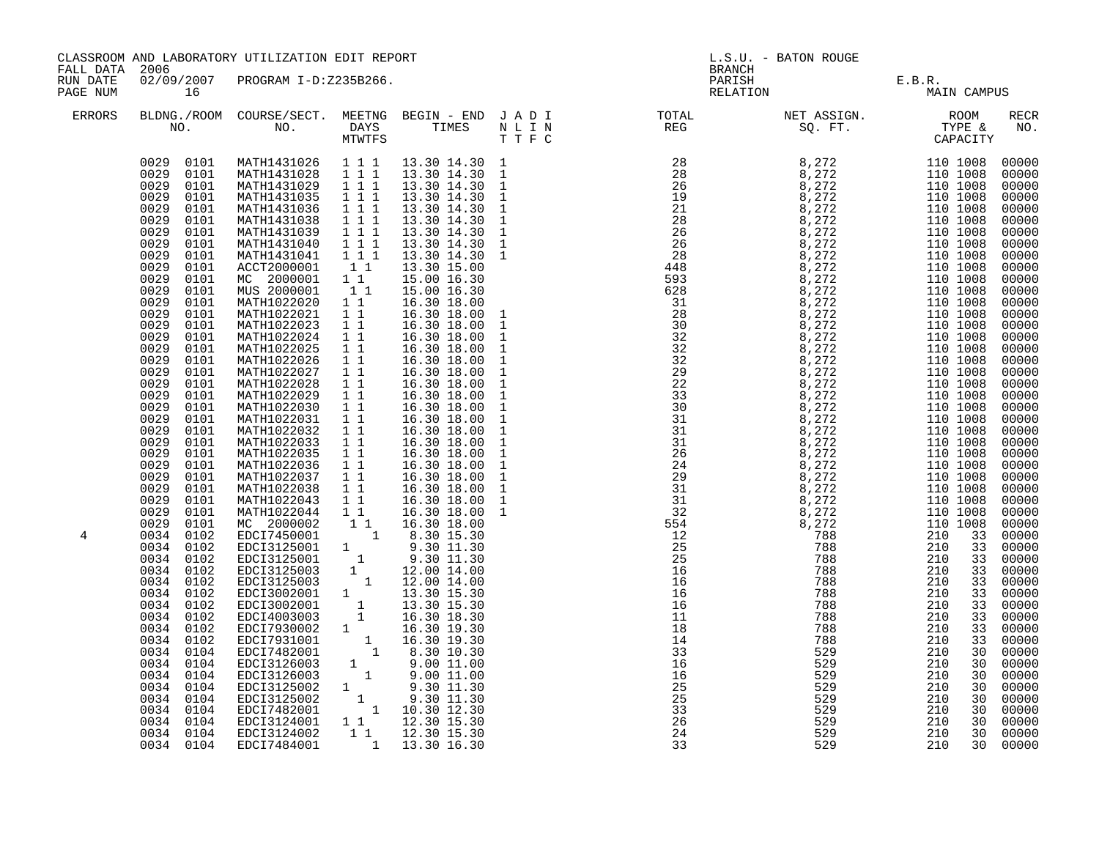|                                                               |                                                                                                                                                                                                                                                                                                                                                                                                                                                                                                                                                                                                                                                                                                                                                                                       | CLASSROOM AND LABORATORY UTILIZATION EDIT REPORT                                                                                                                                                                                                                                                                                                                                                                                                                                                                                                                                                                                                                                                                                                                                                                                                                                                                                                                                                                                                                                         |                                                                                                                                                                                                                                                                                                                          |                                                                                                                                                                                                                                                                                                                                                                                                                                                                                                                  | <b>BRANCH</b>                                                                                                                                                                                                                                                                                                                                                                                                                                                                   | L.S.U. - BATON ROUGE                          |                                                                                         |                                                                                                                                                                                                                                                                                                                                                                                                                                                                                       |
|---------------------------------------------------------------|---------------------------------------------------------------------------------------------------------------------------------------------------------------------------------------------------------------------------------------------------------------------------------------------------------------------------------------------------------------------------------------------------------------------------------------------------------------------------------------------------------------------------------------------------------------------------------------------------------------------------------------------------------------------------------------------------------------------------------------------------------------------------------------|------------------------------------------------------------------------------------------------------------------------------------------------------------------------------------------------------------------------------------------------------------------------------------------------------------------------------------------------------------------------------------------------------------------------------------------------------------------------------------------------------------------------------------------------------------------------------------------------------------------------------------------------------------------------------------------------------------------------------------------------------------------------------------------------------------------------------------------------------------------------------------------------------------------------------------------------------------------------------------------------------------------------------------------------------------------------------------------|--------------------------------------------------------------------------------------------------------------------------------------------------------------------------------------------------------------------------------------------------------------------------------------------------------------------------|------------------------------------------------------------------------------------------------------------------------------------------------------------------------------------------------------------------------------------------------------------------------------------------------------------------------------------------------------------------------------------------------------------------------------------------------------------------------------------------------------------------|---------------------------------------------------------------------------------------------------------------------------------------------------------------------------------------------------------------------------------------------------------------------------------------------------------------------------------------------------------------------------------------------------------------------------------------------------------------------------------|-----------------------------------------------|-----------------------------------------------------------------------------------------|---------------------------------------------------------------------------------------------------------------------------------------------------------------------------------------------------------------------------------------------------------------------------------------------------------------------------------------------------------------------------------------------------------------------------------------------------------------------------------------|
| FALL DATA 2006<br>RUN DATE<br>PAGE NUM<br>16<br><b>ERRORS</b> |                                                                                                                                                                                                                                                                                                                                                                                                                                                                                                                                                                                                                                                                                                                                                                                       | 02/09/2007 PROGRAM I-D:Z235B266.                                                                                                                                                                                                                                                                                                                                                                                                                                                                                                                                                                                                                                                                                                                                                                                                                                                                                                                                                                                                                                                         |                                                                                                                                                                                                                                                                                                                          |                                                                                                                                                                                                                                                                                                                                                                                                                                                                                                                  | PARISH<br>RELATION                                                                                                                                                                                                                                                                                                                                                                                                                                                              | E.B.R.<br>MAIN                                | MAIN CAMPUS                                                                             |                                                                                                                                                                                                                                                                                                                                                                                                                                                                                       |
|                                                               |                                                                                                                                                                                                                                                                                                                                                                                                                                                                                                                                                                                                                                                                                                                                                                                       |                                                                                                                                                                                                                                                                                                                                                                                                                                                                                                                                                                                                                                                                                                                                                                                                                                                                                                                                                                                                                                                                                          |                                                                                                                                                                                                                                                                                                                          |                                                                                                                                                                                                                                                                                                                                                                                                                                                                                                                  | BLDNG./ROOM COURSE/SECT. MEETNG BEGIN – END JADI TOTAL NET ASSIGN. NET ASSIGN. ROOM ROOM NO. DAYS TIMES NLIN REG REG SQ.FT. TYPE &                                                                                                                                                                                                                                                                                                                                              |                                               |                                                                                         | <b>RECR</b><br>NO.                                                                                                                                                                                                                                                                                                                                                                                                                                                                    |
| 4                                                             | 0029 0101<br>0029 0101<br>0029<br>0101<br>0029<br>0101<br>0029<br>0101<br>0029<br>0101<br>0029<br>0101<br>0029<br>0101<br>0029<br>0101<br>0029<br>0101<br>0029<br>0101<br>0029<br>0101<br>0029<br>0101<br>0029<br>0101<br>0029<br>0101<br>0029<br>0101<br>0029<br>0101<br>0029<br>0101<br>0029<br>0101<br>0029<br>0101<br>0029<br>0101<br>0029<br>0101<br>0029<br>0101<br>0029<br>0101<br>0029<br>0101<br>0029<br>0101<br>0029<br>0101<br>0029<br>0101<br>0029<br>0101<br>0029<br>0101<br>0029<br>0101<br>0034 0102<br>0034 0102<br>0034 0102<br>0034 0102<br>0034 0102<br>0034 0102<br>0034 0102<br>0034 0102<br>0034 0102<br>0034<br>0102<br>0034<br>0104<br>0034<br>0104<br>0034<br>0104<br>0034<br>0104<br>0034<br>0104<br>0034<br>0104<br>0034<br>0104<br>0034 0104<br>0034 0104 | 0029 0101 MATH1431026 1 1 1 13.30 14.30 1<br>MATH1431028 1 1 1<br>MATH1431036<br>MATH1431038<br>MATH1431039<br>MATH1431040<br>MATH1431041<br>ACCT2000001<br>MC 2000001 1 1<br>MUS 2000001 1 1<br>MATH1022020 1 1<br>MATH1022021 11<br>MATH1022023 1 1<br>MATH1022024 11<br>MATH1022025<br>MATH1022026 1 1<br>MATH1022027 1 1<br>MATH1022028 1 1<br>MATH1022029<br>MATH1022030<br>MATH1022031 11<br>MATH1022032<br>MATH1022033<br>MATH1022035<br>MATH1022036 1 1<br>MATH1022037 1 1<br>MATH1022038 1 1<br>MATH1022043 11<br>MATH1022043 1 1 16.30 18.00<br>MC 200002 1 1 16.30 18.00<br>MC 200002 1 1 8.30 18.00<br>EDCI7450001 1 8.30 15.30<br>EDCI3125001 1 9.30 11.30<br>EDCI3125001 1 9.30 11.30<br>EDCI3125003 1 12.00 14.00<br>EDCI3125003 1 12.00 14.00<br>EDCI3002<br>EDCI4003002<br>EDCI7930002<br>EDCI7931001 1 16.30 19.30<br>EDCI7931001 1 16.30 19.30<br>EDCI7482001 1 8.30 10.30<br>EDCI3126003 1 9.00 11.00<br>EDCI3125002 1 9.30 11.30<br>EDCI3125002 1 9.30 11.30<br>EDCI3125002 1 9.30 11.30<br>EDCI3125002<br>EDCI7482001<br>EDCI3124001<br>EDCI3124002<br>EDCI7484001 | 1 1 1<br>$\begin{array}{rrrr} & 1 & 1 & 1 \\ & 1 & 1 & 1 \\ & & 1 & 1 & 1 \end{array}$<br>$\begin{array}{cccc}\n1 & 1 & 1 \\ 1 & 1 & 1\n\end{array}$<br>11<br>11<br>$\begin{array}{ccc} \overline{1} & \overline{1} \\ 1 & 1 \end{array}$<br>$1\quad1$<br>$\overline{1}$ $\overline{1}$<br>$\overline{1}$ $\overline{1}$ | 13.30 14.30 1<br>13.30 14.30 1<br>13.30 14.30 1<br>13.30 14.30<br>13.30 14.30<br>13.30 14.30<br>13.30 14.30<br>13.30 14.30<br>13.30 15.00<br>15.00 16.30<br>15.00 16.30<br>16.30 18.00<br>16.30 18.00<br>16.30 18.00<br>16.30 18.00<br>16.30 18.00<br>16.30 18.00<br>16.30 18.00<br>16.30 18.00<br>16.30 18.00<br>16.30 18.00<br>16.30 18.00<br>16.30 18.00<br>16.30 18.00<br>16.30 18.00<br>16.30 18.00<br>16.30 18.00<br>16.30 18.00<br>16.30 18.00<br>$1 1 12.30 15.30$<br>$1 1 12.30 15.30$<br>1 13.30 16.30 | $\begin{array}{cccccccc} \textbf{1.1} & \textbf{1.2} & \textbf{1.3} & \textbf{1.4} & \textbf{1.5} & \textbf{1.6} & \textbf{1.6} & \textbf{1.6} \\ \textbf{2.7} & \textbf{2.8} & \textbf{3.8} & \textbf{2.72} & \textbf{1.10} & \textbf{10.008} & \textbf{10.008} \\ \textbf{2.8} & \textbf{3.7} & \textbf{2.7} & \textbf{1.10} & \textbf{10.008} & \textbf{10.008} \\ \textbf{2.8}$<br>16<br>$\overline{25}$<br>25<br>$\begin{array}{r} 23 \\ 33 \\ 26 \end{array}$<br>24<br>33 | 529<br>529<br>529<br>529<br>529<br>529<br>529 | 210<br>30<br>210<br>30<br>210<br>30<br>210<br>30<br>210<br>30<br>210<br>30<br>210<br>30 | 00000<br>00000<br>00000<br>00000<br>$00000$<br>$00000$<br>00000<br>00000<br>00000<br>00000<br>00000<br>00000<br>$00000$<br>$00000$<br>00000<br>00000<br>$00000$<br>00000<br>00000<br>00000<br>$00000$<br>00000<br>00000<br>00000<br>00000<br>$00000$<br>00000<br>00000<br>00000<br>00000<br>00000<br>00000<br>00000<br>00000<br>00000<br>00000<br>00000<br>00000<br>00000<br>00000<br>00000<br>00000<br>00000<br>00000<br>00000<br>00000<br>00000<br>00000<br>00000<br>00000<br>00000 |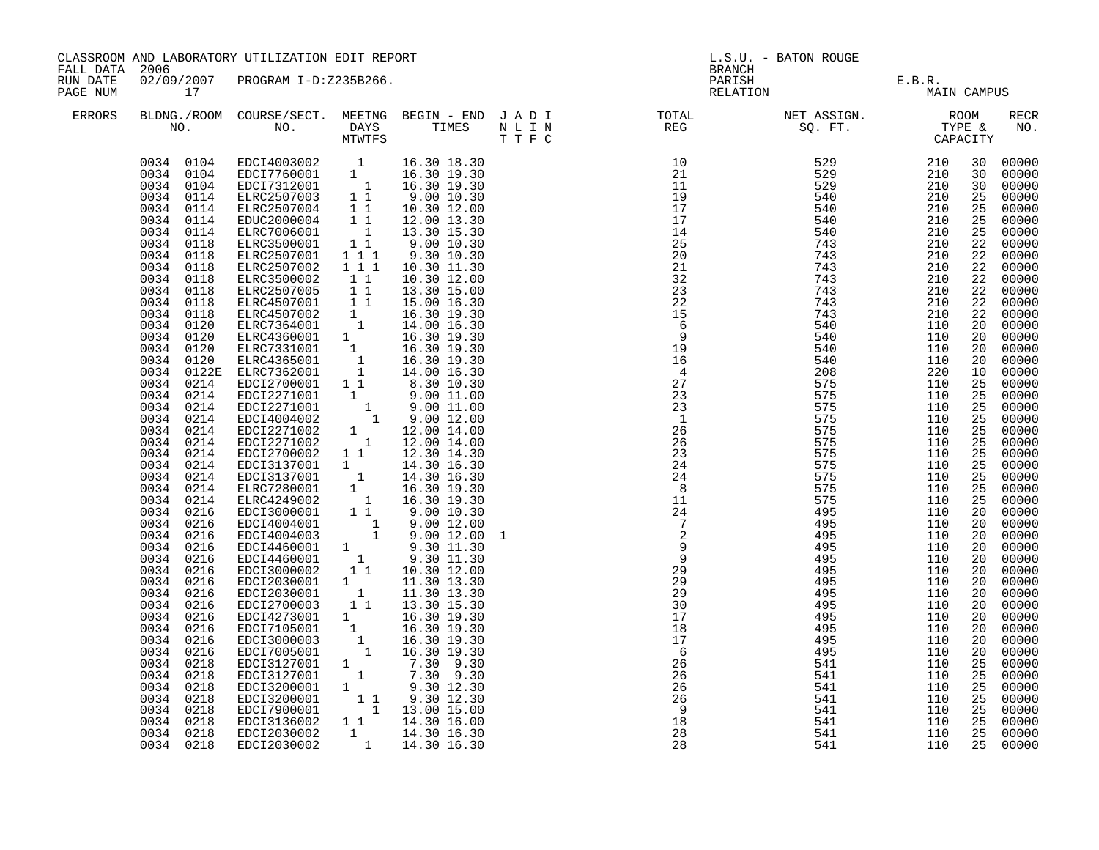| FALL DATA 2006       |                                                                                                                                                                                                                                                                                                                                                                                                                                                                                                                                                                                                                                                                                                                                               | CLASSROOM AND LABORATORY UTILIZATION EDIT REPORT                                                                                                                                                                                                                                                                                                                                                                                                                                                                                                                                                                                                                                                                                                                                                                                                                                                                                                                                                                                                                                                                                                                                                                                                                                                                                                                                                   |                                                                                                                      |                                                                                                                                                                                                                                                                                                                                                         | L.S.U. - BATON ROUGE<br><b>BRANCH</b> |                                                                                                                         |                                                                                  |                                                                                  |                                                                                                                                                                                                                                                                                                           |                                                                                                                                                                                                                                                                                                                                                                                                                                                                                  |
|----------------------|-----------------------------------------------------------------------------------------------------------------------------------------------------------------------------------------------------------------------------------------------------------------------------------------------------------------------------------------------------------------------------------------------------------------------------------------------------------------------------------------------------------------------------------------------------------------------------------------------------------------------------------------------------------------------------------------------------------------------------------------------|----------------------------------------------------------------------------------------------------------------------------------------------------------------------------------------------------------------------------------------------------------------------------------------------------------------------------------------------------------------------------------------------------------------------------------------------------------------------------------------------------------------------------------------------------------------------------------------------------------------------------------------------------------------------------------------------------------------------------------------------------------------------------------------------------------------------------------------------------------------------------------------------------------------------------------------------------------------------------------------------------------------------------------------------------------------------------------------------------------------------------------------------------------------------------------------------------------------------------------------------------------------------------------------------------------------------------------------------------------------------------------------------------|----------------------------------------------------------------------------------------------------------------------|---------------------------------------------------------------------------------------------------------------------------------------------------------------------------------------------------------------------------------------------------------------------------------------------------------------------------------------------------------|---------------------------------------|-------------------------------------------------------------------------------------------------------------------------|----------------------------------------------------------------------------------|----------------------------------------------------------------------------------|-----------------------------------------------------------------------------------------------------------------------------------------------------------------------------------------------------------------------------------------------------------------------------------------------------------|----------------------------------------------------------------------------------------------------------------------------------------------------------------------------------------------------------------------------------------------------------------------------------------------------------------------------------------------------------------------------------------------------------------------------------------------------------------------------------|
| RUN DATE<br>PAGE NUM | 17                                                                                                                                                                                                                                                                                                                                                                                                                                                                                                                                                                                                                                                                                                                                            | 02/09/2007 PROGRAM I-D:Z235B266.                                                                                                                                                                                                                                                                                                                                                                                                                                                                                                                                                                                                                                                                                                                                                                                                                                                                                                                                                                                                                                                                                                                                                                                                                                                                                                                                                                   |                                                                                                                      |                                                                                                                                                                                                                                                                                                                                                         |                                       |                                                                                                                         | PARISH E.B.R.<br>RELATION MAIN                                                   | MAIN CAMPUS                                                                      |                                                                                                                                                                                                                                                                                                           |                                                                                                                                                                                                                                                                                                                                                                                                                                                                                  |
| ERRORS               |                                                                                                                                                                                                                                                                                                                                                                                                                                                                                                                                                                                                                                                                                                                                               |                                                                                                                                                                                                                                                                                                                                                                                                                                                                                                                                                                                                                                                                                                                                                                                                                                                                                                                                                                                                                                                                                                                                                                                                                                                                                                                                                                                                    |                                                                                                                      |                                                                                                                                                                                                                                                                                                                                                         |                                       |                                                                                                                         |                                                                                  |                                                                                  |                                                                                                                                                                                                                                                                                                           | RECR<br>NO.                                                                                                                                                                                                                                                                                                                                                                                                                                                                      |
|                      | 0034 0104<br>0034 0104<br>0034 0104<br>0034 0114<br>0034 0114<br>0034<br>0114<br>0034<br>0114<br>0034<br>0118<br>0034<br>0118<br>0034<br>0118<br>0034<br>0118<br>0034 0118<br>0034 0118<br>0034 0118<br>0034 0120<br>0034 0120<br>0034 0120<br>0034 0120<br>0034 0122E<br>0034 0214<br>0034 0214<br>0034 0214<br>0034 0214<br>0034 0214<br>0034<br>0214<br>0034<br>0214<br>0034<br>0214<br>0034<br>0214<br>0034<br>0214<br>0034<br>0214<br>0034<br>0216<br>0034 0216<br>0034 0216<br>0034 0216<br>0034 0216<br>0034 0216<br>0034 0216<br>0034 0216<br>0034 0216<br>0034 0216<br>0034 0216<br>0034<br>0216<br>0034 0216<br>0034 0218<br>0034<br>0218<br>0034<br>0218<br>0034<br>0218<br>0034<br>0218<br>0034<br>0218<br>0034 0218<br>0034 0218 | EDCI4003002 1 16.30 18.30<br>EDCI7760001 1 16.30 19.30<br>EDCI7312001 1 16.30 19.30<br>ELRC2507003 1 1 9.00 10.30<br>ELRC2507004 1 1 10.30 12.00<br>EDCZ000004 1 1 12.00 13.30<br>ETDCZ000004 1 1 12.00 13.30<br>ELRC7006001<br>ELRC3500001<br>ELRC2507001<br>ELRC2507002<br>ELRC3500002<br>ELRC2507005 11<br>ELRC4507001 11<br>ELRC4507002 1<br>ELRC7364001 1<br>ELRC7364001 1<br>ELRC4360001 1 16.30 19.30<br>ELRC7331001 1 16.30 19.30<br>ELRC4365001<br>ELRC7362001<br>EDCI2700001 1 1 8.30 10.30<br>EDCI2271001 1 9.00 11.00<br>EDCI2271001 1 9.00 11.00<br>EDCI2271001 1 9.00 11.00<br>EDCI2271002 1 9.00 12.00<br>EDCI2271002 1 12.00 14.00<br>EDCI2271002 1 12.00 14.00<br>EDCI2700002 1 1 12.30 14.30<br>EDCI3137001 1 14.30 16.30<br>EDCI3137001 1 14.30 16.30<br>ELRC730001 1 14.30 16.30<br>ELRC7280001 1 16.30 19.30<br>ELRC7300002 1 16.30 19.30<br>EDCI3000001 1 9.00 10.30<br>EDCI4004001 1 9.00 12.00<br>EDCI4004003 1 9.00 12.00<br>EDCI4460001 1 9.30 11.30<br>EDCI4460001<br>EDCI2030001 1 11.30 13.30<br>EDCI2030001<br>EDCI2700003<br>EDCI4273001 1 16.30 19.30<br>EDCI7105001 1 16.30 19.30<br>EDCI7105001 1 16.30 19.30<br>EDCI3000003 1 16.30 19.30<br>EDCI7005001 1 16.30 19.30<br>EDCI3127001 1 7.30 9.30<br>EDCI3127001 1 7.30 9.30<br>EDCI3200001 1 9.30 12.30<br>EDCI3200001 1 9.30 12.30<br>EDCI7900001 1 1 3.00 15.00<br>EDCI3136002<br>EDCI2030002<br>EDCI2030002 | $\begin{array}{c} 1 \\ 1 \\ 1 \end{array}$<br>111<br>$1 1 1$<br>11<br>$\begin{smallmatrix} &1\\1&1\end{smallmatrix}$ | 13.30 15.30<br>9.00 10.30<br>9.30 10.30<br>10.30 11.30<br>10.30 12.00<br>13.30 15.00<br>15.00 16.30<br>16.30 19.30<br>14.00 16.30<br>$\begin{array}{cccc}\n1 & 16.30 & 19.30 \\ 1 & 16.30 & 19.30 \\ 1 & 14.00 & 16.30\n\end{array}$<br>11.30 13.30<br>13.30 15.30<br>$7.30$ 9.30<br>$7.30$ 9.30<br>$1 1 14.30 16.00$<br>1 14.30 16.00<br>1 14.30 16.30 | 1                                     | 17<br>18<br>17<br>$6\overline{6}$<br>26<br>26<br>$\overline{26}$<br>$\overline{26}$<br>$\overline{9}$<br>18<br>28<br>28 | 495<br>495<br>495<br>495<br>541<br>541<br>541<br>541<br>541<br>541<br>541<br>541 | 110<br>110<br>110<br>110<br>110<br>110<br>110<br>110<br>110<br>110<br>110<br>110 | 30<br>25<br>25<br>25<br>25<br>22<br>22<br>22<br>22<br>22<br>22<br>22<br>20<br>20<br>20<br>20<br>10<br>25<br>25<br>25<br>25<br>25<br>25<br>25<br>$\overline{25}$<br>25<br>25<br>25<br>20<br>20<br>20<br>20<br>20<br>20<br>20<br>20<br>20<br>20<br>20<br>20<br>20<br>25<br>25<br>25<br>25<br>25<br>25<br>25 | 30 00000<br>30 00000<br>00000<br>00000<br>00000<br>00000<br>00000<br>00000<br>00000<br>00000<br>00000<br>00000<br>00000<br>00000<br>00000<br>00000<br>00000<br>00000<br>00000<br>00000<br>00000<br>00000<br>00000<br>00000<br>00000<br>00000<br>00000<br>00000<br>00000<br>00000<br>00000<br>00000<br>00000<br>00000<br>00000<br>00000<br>00000<br>00000<br>00000<br>00000<br>00000<br>00000<br>00000<br>00000<br>00000<br>00000<br>00000<br>00000<br>00000<br>00000<br>25 00000 |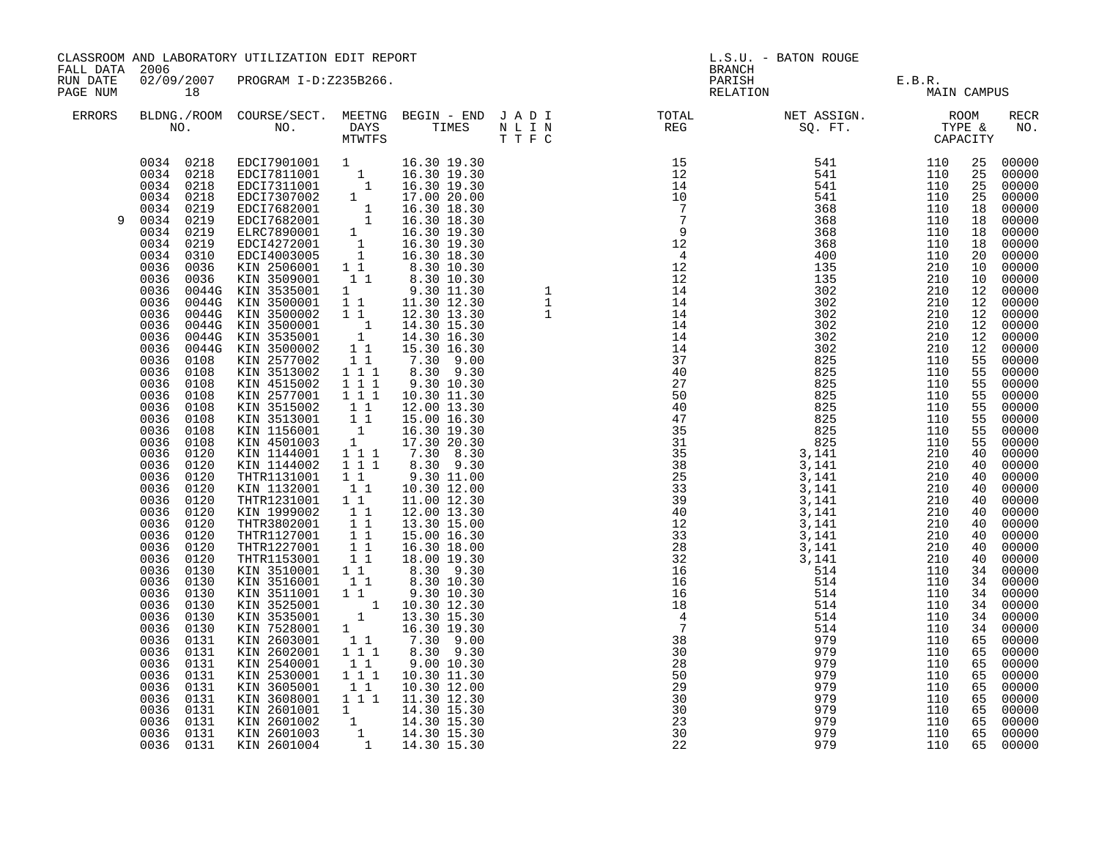| CLASSROOM AND LABORATORY UTILIZATION EDIT REPORT<br>FALL DATA 2006<br>02/09/2007 PROGRAM I-D:Z235B266. |                                                                                                                                                                                                                                                                                                                                                                                                                                                                                                                                                                                                                                                                                                              |                                                                                                                                                                                                                                                                                                                                                                                                                                                                                                                                                                                                                                                                                                                                                                                                                                                                                                                                                                     |                                                                        | L.S.U. - BATON ROUGE<br><b>BRANCH</b>                                                                                                                                                                                                                                                                                         |                                                                                                                                                                                                                                                                                                                                                                         |                                                             |                                                                                                                                                                                                         |                                                                            |                                                                                                                                                                                                                                                                                                                                                                                             |
|--------------------------------------------------------------------------------------------------------|--------------------------------------------------------------------------------------------------------------------------------------------------------------------------------------------------------------------------------------------------------------------------------------------------------------------------------------------------------------------------------------------------------------------------------------------------------------------------------------------------------------------------------------------------------------------------------------------------------------------------------------------------------------------------------------------------------------|---------------------------------------------------------------------------------------------------------------------------------------------------------------------------------------------------------------------------------------------------------------------------------------------------------------------------------------------------------------------------------------------------------------------------------------------------------------------------------------------------------------------------------------------------------------------------------------------------------------------------------------------------------------------------------------------------------------------------------------------------------------------------------------------------------------------------------------------------------------------------------------------------------------------------------------------------------------------|------------------------------------------------------------------------|-------------------------------------------------------------------------------------------------------------------------------------------------------------------------------------------------------------------------------------------------------------------------------------------------------------------------------|-------------------------------------------------------------------------------------------------------------------------------------------------------------------------------------------------------------------------------------------------------------------------------------------------------------------------------------------------------------------------|-------------------------------------------------------------|---------------------------------------------------------------------------------------------------------------------------------------------------------------------------------------------------------|----------------------------------------------------------------------------|---------------------------------------------------------------------------------------------------------------------------------------------------------------------------------------------------------------------------------------------------------------------------------------------------------------------------------------------------------------------------------------------|
| RUN DATE<br>PAGE NUM                                                                                   | 18                                                                                                                                                                                                                                                                                                                                                                                                                                                                                                                                                                                                                                                                                                           |                                                                                                                                                                                                                                                                                                                                                                                                                                                                                                                                                                                                                                                                                                                                                                                                                                                                                                                                                                     |                                                                        |                                                                                                                                                                                                                                                                                                                               |                                                                                                                                                                                                                                                                                                                                                                         | PARISH E.B.R.<br>RELATION MAI                               | MAIN CAMPUS                                                                                                                                                                                             |                                                                            |                                                                                                                                                                                                                                                                                                                                                                                             |
| ERRORS                                                                                                 |                                                                                                                                                                                                                                                                                                                                                                                                                                                                                                                                                                                                                                                                                                              |                                                                                                                                                                                                                                                                                                                                                                                                                                                                                                                                                                                                                                                                                                                                                                                                                                                                                                                                                                     |                                                                        |                                                                                                                                                                                                                                                                                                                               | BLDNG./ROOM COURSE/SECT. MEETNG BEGIN – END JADI TOTAL TOTAL NET ASSIGN. REG ROOM NO. DAYS TIMES NLIN REG SQ.FT. TYPE &                                                                                                                                                                                                                                                 |                                                             |                                                                                                                                                                                                         |                                                                            | RECR<br>NO.                                                                                                                                                                                                                                                                                                                                                                                 |
| 9                                                                                                      | 0034 0218<br>0034 0218<br>0034 0218<br>0034 0218<br>0034 0219<br>0034 0219<br>0034 0219<br>0034 0219<br>0034 0310<br>0036 0036<br>0036<br>0036<br>0036<br>0036<br>0036<br>0036<br>0036<br>0036 0108<br>0036<br>0108<br>0036<br>0108<br>0036<br>0108<br>0036<br>0108<br>0036<br>0108<br>0036<br>0108<br>0036<br>0108<br>0036<br>0120<br>0036<br>0120<br>0036<br>0120<br>0036 0120<br>0036<br>0120<br>0036 0120<br>0036 0120<br>0036 0120<br>0036<br>0120<br>0036 0120<br>0036 0130<br>0036 0130<br>0036<br>0130<br>0036 0130<br>0036 0130<br>0036 0130<br>0036<br>0131<br>0036<br>0131<br>0036 0131<br>0036<br>0131<br>0036<br>0131<br>0036<br>0131<br>0036<br>0131<br>0036<br>0131<br>0036 0131<br>0036 0131 | $\begin{tabular}{cccc} 0.218 & EDC17901001 & 1 & 16.30 & 19.30 \\ 0.218 & EDC17811001 & 1 & 16.30 & 19.30 \\ 0.218 & EDC17311001 & 1 & 16.30 & 19.30 \\ 0.218 & EDC17362001 & 1 & 17.00 & 20.9 \\ 0.219 & EDC17682001 & 1 & 16.30 & 18.30 \\ 0.219 & EDC17682001 & 1 & 16.30 & 18.30 \\ 0.$<br>KIN 2577002 11<br>KIN 3513002 111<br>KIN 4515002 111<br>KIN 2577001 111<br>KIN 3515002<br>KIN 3513001 11<br>KIN 1156001 11<br>KIN 4501003 1<br>KIN 4501003 1<br>KIN 1144001 111<br>KIN 1144002 111<br>THTR1131001 1 1<br>KIN 1132001<br>THTR1231001 1 1<br>KIN 1999002 1 1<br>THTR3802001 1 1<br>THTR1127001 1 1<br>THTR1127001 1 1<br>THTR1153001 1 1<br>KIN 7528001<br>KIN 2603001<br>KIN 2602001<br>KIN 2540001<br>KIN 2530001 111 19.30 11.30<br>KIN 2530001 111 10.30 11.30<br>KIN 3605001 11 10.30 12.00<br>KIN 3608001 11 11.30 12.30<br>KIN 2601001 1 14.30 15.30<br>KIN 2601002 1 14.30 15.30<br>KIN 2601003 1 14.30 15.30<br>KIN 2601003 1 14.30 15.30<br> | $1\quad1$<br>$\begin{array}{c} 1 \\ 1 \end{array}$<br>111<br>$1\quad1$ | 7.30 9.00<br>8.30 9.30<br>9.30 10.30<br>10.30 11.30<br>12.00 13.30<br>15.00 16.30<br>16.30 19.30<br>17.30 20.30<br>$7.30$ 8.30<br>8.30 9.30<br>9.30 11.00<br>10.30 12.00<br>11.00 12.30<br>12.00 13.30<br>13.30 15.00<br>15.00 16.30<br>16.30 18.00<br>18.00 19.30<br>16.30 19.30<br>$7.30 - 9.00$<br>8.30 9.30<br>9.00 10.30 | $\begin{array}{cccc} 12 & 3368 & 4400 \\ 4 & 4200 & 1335 \\ 12 & 144 & 3002 \\ 14 & 44 & 3002 \\ 14 & 44 & 3002 \\ 14 & 14 & 3002 \\ 14 & 14 & 3002 \\ 14 & 14 & 3002 \\ 14 & 14 & 3002 \\ 14 & 14 & 3002 \\ 14 & 14 & 3002 \\ 14 & 14 & 3002 \\ 14 & 14 & 3002 \\ 14 & 14 & 3002 \\ 14 & 14 & 3002$<br>30<br>28<br>50<br>29<br>30<br>30<br>$\overline{23}$<br>30<br>22 | 979<br>979<br>979<br>979<br>979<br>979<br>979<br>979<br>979 | 110<br>110<br>110<br>210<br>210<br>210<br>210<br>210<br>210<br>210<br>210<br>210<br>210<br>110<br>110<br>110<br>110<br>110<br>110<br>110<br>110<br>110<br>110<br>110<br>110<br>110<br>110<br>110<br>110 | 55<br>55<br>40<br>40<br>40<br>40<br>40<br>34<br>65<br>65<br>65<br>65<br>65 | 00000<br>00000<br>55 00000<br>$00000$<br>00000<br>00000<br>00000<br>$\begin{array}{cc} 40 & 00000 \\ 40 & 00000 \end{array}$<br>00000<br>40 00000<br>$\begin{bmatrix} 40 & 00000 \\ 40 & 00000 \end{bmatrix}$<br>00000<br>34 00000<br>34 00000<br>34 00000<br>34 00000<br>34 00000<br>00000<br>65 00000<br>00000<br>00000<br>00000<br>65 00000<br>65 00000<br>00000<br>65 00000<br>65 00000 |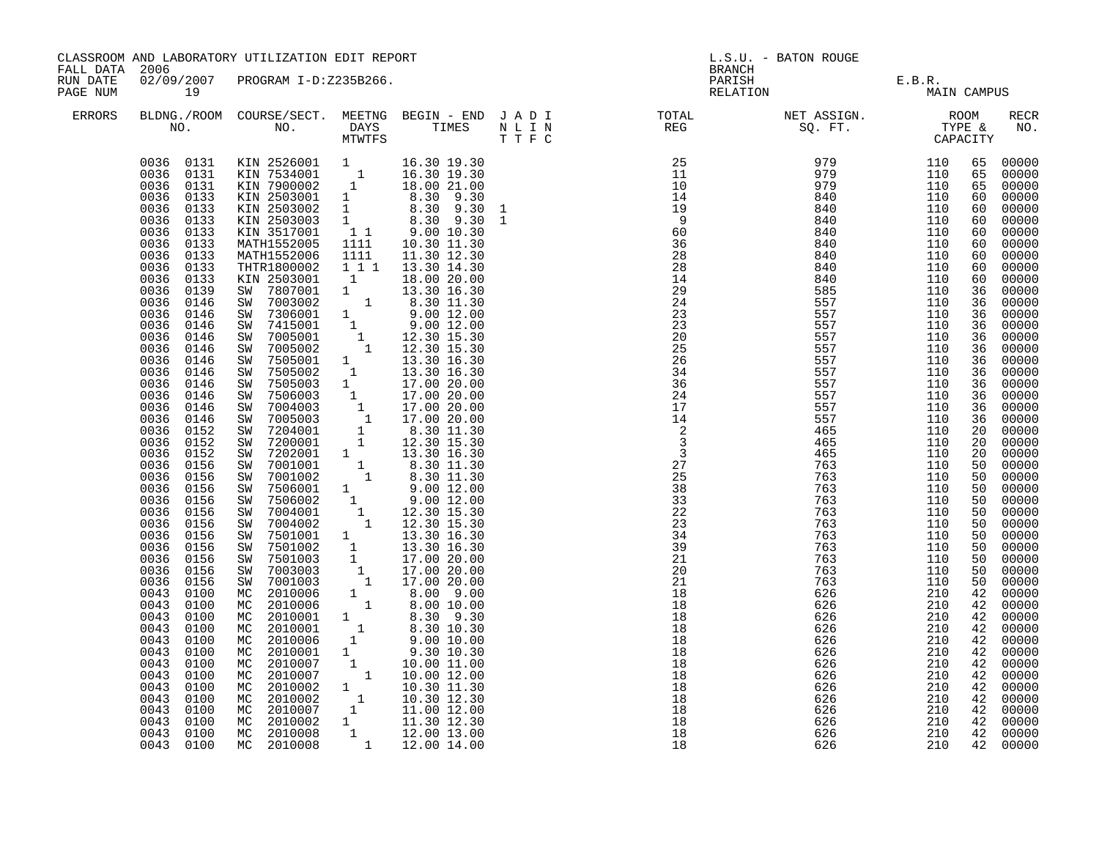| CLASSROOM AND LABORATORY UTILIZATION EDIT REPORT<br>FALL DATA 2006<br>02/09/2007 PROGRAM I-D:Z235B266.<br>RUN DATE |                                                                                                                                                                                                                                                                                                                                                                                                                                                                                                                                                                                                                                                                                                                                        |                                                                                                                                                                                                                                                                                                                                                                                                                                                                                                                                                                                                                                                                                                                                                                                                                                                                                                                                                                                                                                                                                                                                                                                                                                                                                                                                 |                                    |                                                                                                                                                                                                                                                                                                                                                                                                                                                                                                                                                                                                                        | <b>BRANCH</b>                                                                                                                                                                                                                                                                                                                                                                                                                                         | L.S.U. - BATON ROUGE                          |                                               |                                                                                                                                                                                                                                                                                  |                                                                                                                                                                                                                                                                                                                                                                                                                                                                |
|--------------------------------------------------------------------------------------------------------------------|----------------------------------------------------------------------------------------------------------------------------------------------------------------------------------------------------------------------------------------------------------------------------------------------------------------------------------------------------------------------------------------------------------------------------------------------------------------------------------------------------------------------------------------------------------------------------------------------------------------------------------------------------------------------------------------------------------------------------------------|---------------------------------------------------------------------------------------------------------------------------------------------------------------------------------------------------------------------------------------------------------------------------------------------------------------------------------------------------------------------------------------------------------------------------------------------------------------------------------------------------------------------------------------------------------------------------------------------------------------------------------------------------------------------------------------------------------------------------------------------------------------------------------------------------------------------------------------------------------------------------------------------------------------------------------------------------------------------------------------------------------------------------------------------------------------------------------------------------------------------------------------------------------------------------------------------------------------------------------------------------------------------------------------------------------------------------------|------------------------------------|------------------------------------------------------------------------------------------------------------------------------------------------------------------------------------------------------------------------------------------------------------------------------------------------------------------------------------------------------------------------------------------------------------------------------------------------------------------------------------------------------------------------------------------------------------------------------------------------------------------------|-------------------------------------------------------------------------------------------------------------------------------------------------------------------------------------------------------------------------------------------------------------------------------------------------------------------------------------------------------------------------------------------------------------------------------------------------------|-----------------------------------------------|-----------------------------------------------|----------------------------------------------------------------------------------------------------------------------------------------------------------------------------------------------------------------------------------------------------------------------------------|----------------------------------------------------------------------------------------------------------------------------------------------------------------------------------------------------------------------------------------------------------------------------------------------------------------------------------------------------------------------------------------------------------------------------------------------------------------|
| PAGE NUM<br>ERRORS                                                                                                 | 19                                                                                                                                                                                                                                                                                                                                                                                                                                                                                                                                                                                                                                                                                                                                     |                                                                                                                                                                                                                                                                                                                                                                                                                                                                                                                                                                                                                                                                                                                                                                                                                                                                                                                                                                                                                                                                                                                                                                                                                                                                                                                                 |                                    |                                                                                                                                                                                                                                                                                                                                                                                                                                                                                                                                                                                                                        |                                                                                                                                                                                                                                                                                                                                                                                                                                                       | PARISH E.B.R.<br>RELATION MAIN CAMPUS         |                                               |                                                                                                                                                                                                                                                                                  |                                                                                                                                                                                                                                                                                                                                                                                                                                                                |
|                                                                                                                    |                                                                                                                                                                                                                                                                                                                                                                                                                                                                                                                                                                                                                                                                                                                                        |                                                                                                                                                                                                                                                                                                                                                                                                                                                                                                                                                                                                                                                                                                                                                                                                                                                                                                                                                                                                                                                                                                                                                                                                                                                                                                                                 |                                    |                                                                                                                                                                                                                                                                                                                                                                                                                                                                                                                                                                                                                        | $\begin{array}{cccccccccccccc} \texttt{BLDNA} \cdot \texttt{ROOM} & \texttt{COURSE/SECT.} & \texttt{MEETNG} & \texttt{BEGIN} & - & \texttt{END} & \texttt{J} & \texttt{A} & \texttt{D} & \texttt{I} & & & & & & & & & \\ \texttt{NO.} & \texttt{NO.} & \texttt{DAYS} & \texttt{TIMES} & \texttt{N} & \texttt{L} & \texttt{I} & \texttt{N} & & & & & & & & \\ \texttt{NO.} & \texttt{NO.} & \texttt{MTVTFS} & \texttt{T'F} & \texttt{C} & & & & & & &$ |                                               |                                               |                                                                                                                                                                                                                                                                                  | <b>RECR</b><br>NO.                                                                                                                                                                                                                                                                                                                                                                                                                                             |
|                                                                                                                    | 0036 0133<br>0036<br>0133<br>0036<br>0133<br>0036<br>0133<br>0036<br>0133<br>0036<br>0133<br>0036<br>0133<br>0036<br>0139<br>0036<br>0146<br>0036<br>0146<br>0036<br>0146<br>0036<br>0146<br>0036<br>0146<br>0036<br>0146<br>0036<br>0146<br>0036<br>0146<br>0036<br>0146<br>0036<br>0146<br>0036<br>0146<br>0036 0152<br>0036<br>0152<br>0036<br>0152<br>0036<br>0156<br>0036<br>0156<br>0036<br>0156<br>0036<br>0156<br>0036<br>0156<br>0036<br>0156<br>0036<br>0156<br>0036<br>0156<br>0036<br>0156<br>0036<br>0156<br>0036<br>0156<br>0043<br>0100<br>0043<br>0100<br>0043<br>0100<br>0043<br>0100<br>0043<br>0100<br>0043<br>0100<br>0043<br>0100<br>0043<br>0100<br>0043<br>0100<br>0043<br>0100<br>0043<br>0100<br>0043<br>0100 | 0036 0131 KIN 2526001 1 16.30 19.30<br>0036 0131 KIN 7534001 1 16.30 19.30<br>0036 0131 KIN 7900002 1 18.00 21.00<br>0036 0133 KIN 2503001 1 8.30 9.30<br>KIN 2503002 1 8.30 9.30 1<br>KIN 2503003 1 8.30 9.30 1<br>KIN 3517001 11 9.00 10.30<br>MATH1552005 1111 10.30 11.30<br>MATH1552005<br>MATH1552006<br>THTR1800002<br>KIN 2503001<br>SW 7807001<br>SW 7003002<br>SW 7306001<br>SW 7415001<br>SW 7005001<br>SW 7005002<br>SW 7505001<br>8W 7505001 1 13.30 16.30<br>8W 7505002 1 13.30 16.30<br>8W 7505003 1 17.00 20.00<br>8W 7506003 1 17.00 20.00<br>8W 7004003 1 17.00 20.00<br>8W 7005003 1 17.00 20.00<br>8W 7204001 1 8.30 11.30<br>8W 7204001 1 12.30 15.30<br>8W 7200001 1 12<br>8W 7200001 1 12.30 15.30<br>8W 7001001 1 13.30 16.30<br>8W 7001002 1 8.30 11.30<br>8W 7506001 1 9.00 12.00<br>8W 7506002 1 9.00 12.00<br>8W 7004001 1 12.30 15.30<br>8W 7004002 1 12.30 15.30<br>8W 7501001 1 13.30 15.30<br>8W 7501001 1 13.3<br>SW 7501002<br>SW 7501003<br>SW 7003003<br>SW 7001003<br>MC 2010006<br>MC 2010006<br>MC 2010001<br>MC 2010001<br>MC 2010006<br>MC 2010006 1 9.00 10.00<br>MC 2010001 1 9.30 10.30<br>MC 2010007 1 10.00 11.00<br>MC 2010007 1 10.00 12.00<br>MC 2010002 1 10.30 11.30<br>MC 2010002 1 10.30 12.30<br>MC 2010002 1 11.30 12.30<br>MC 2010002 1 11.30 12.30<br>MC 2010002 1 11. | 1111<br>$\overline{\phantom{a}}$ 1 | 11.30 12.30<br>1 1 1 1 13.30 14.30<br>18.00 20.00<br>$\begin{array}{cccc} 1 & & 18\, .00 & 20\, .00\ 1 & & 13\, .30 & 16\, .30\ 1 & & 8\, .30 & 11\, .30\ 1 & & 9\, .00 & 12\, .00\ 1 & & 12\, .30 & 15\, .30\ 1 & & 12\, .30 & 15\, .30\ 1 & & 13\, .30 & 16\, .30\ \end{array}$<br>$\begin{bmatrix} 1 & 13.30 & 16.30 \ 1 & 17.00 & 20.00 \ 1 & 17.00 & 20.00 \ 1 & 17.00 & 20.00 \end{bmatrix}$<br>$\begin{array}{cccc} 1 & 2 & 0.00 & 9.00 \\ 1 & 8.00 & 10.00 \end{array}$<br>$\begin{array}{ccc} 1 & \phantom{00} & 8.30 & 9.30 \\ 1 & \phantom{0} & 8.30 & 10.30 \\ 1 & \phantom{0} & 9.00 & 10.00 \end{array}$ | $\begin{array}{cccc} \texttt{N} & \texttt{R} \texttt{R} \texttt{R} \texttt{R} \texttt{R} \texttt{R} \texttt{R} \texttt{R} \texttt{R} \texttt{R} \texttt{R} \texttt{R} \texttt{R} \texttt{R} \texttt{R} \texttt{R} \texttt{R} \texttt{R} \texttt{R} \texttt{R} \texttt{R} \texttt{R} \texttt{R} \texttt{R} \texttt{R} \texttt{R} \texttt{R} \texttt{R} \texttt{R} \texttt{R} \texttt{R} \texttt{R} \texttt{R} \texttt{R} \text$<br>$\frac{16}{18}$     | 626<br>626<br>626<br>626<br>626<br>626<br>626 | 210<br>210<br>210<br>210<br>210<br>210<br>210 | 65<br>65<br>65<br>60<br>60<br>60<br>60<br>60<br>60<br>60<br>60<br>36<br>36<br>36<br>36<br>36<br>36<br>36<br>36<br>36<br>36<br>36<br>36<br>20<br>20<br>20<br>50<br>50<br>50<br>50<br>50<br>50<br>50<br>50<br>50<br>50<br>50<br>42<br>42<br>42<br>42<br>42<br>42<br>42<br>42<br>42 | 00000<br>00000<br>00000<br>00000<br>00000<br>00000<br>00000<br>00000<br>00000<br>00000<br>00000<br>00000<br>00000<br>00000<br>00000<br>00000<br>00000<br>00000<br>00000<br>00000<br>00000<br>00000<br>00000<br>00000<br>00000<br>00000<br>00000<br>00000<br>00000<br>00000<br>00000<br>00000<br>00000<br>00000<br>00000<br>00000<br>00000<br>00000<br>00000<br>00000<br>00000<br>00000<br>00000<br>00000<br>00000<br>42 00000<br>42 00000<br>00000<br>42 00000 |
|                                                                                                                    | 0043<br>0100<br>0043 0100                                                                                                                                                                                                                                                                                                                                                                                                                                                                                                                                                                                                                                                                                                              | MC 2010008                                                                                                                                                                                                                                                                                                                                                                                                                                                                                                                                                                                                                                                                                                                                                                                                                                                                                                                                                                                                                                                                                                                                                                                                                                                                                                                      |                                    | 1 12.00 14.00                                                                                                                                                                                                                                                                                                                                                                                                                                                                                                                                                                                                          |                                                                                                                                                                                                                                                                                                                                                                                                                                                       | 626<br>626                                    | 210<br>210                                    | 42<br>42                                                                                                                                                                                                                                                                         | 00000<br>00000                                                                                                                                                                                                                                                                                                                                                                                                                                                 |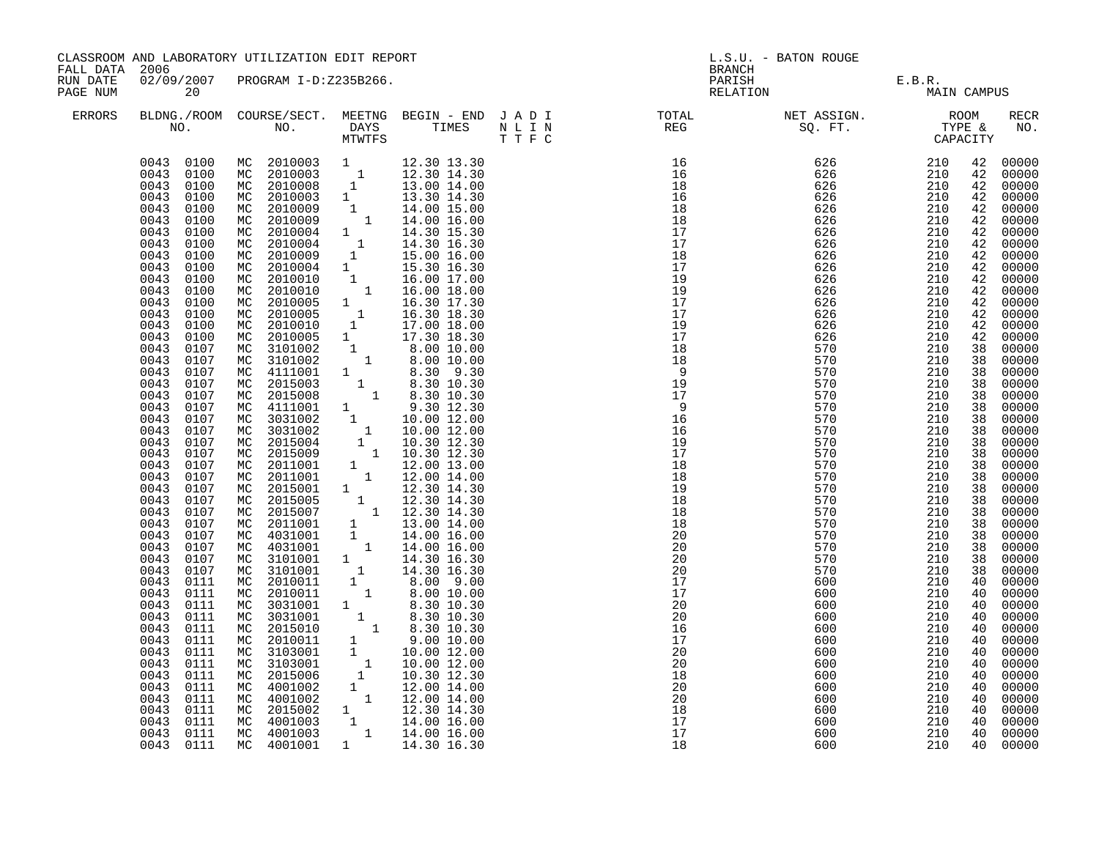| FALL DATA 2006       |                                                                                                                                              | CLASSROOM AND LABORATORY UTILIZATION EDIT REPORT                                                                                                                                                                                                                                                                                         |                                                                                        |                                                                                                     | L.S.U. - BATON ROUGE<br><b>BRANCH</b>                                                                                                                                                                                                                                                                                                                     |                                                      |                                                      |                                                    |                                                                                        |
|----------------------|----------------------------------------------------------------------------------------------------------------------------------------------|------------------------------------------------------------------------------------------------------------------------------------------------------------------------------------------------------------------------------------------------------------------------------------------------------------------------------------------|----------------------------------------------------------------------------------------|-----------------------------------------------------------------------------------------------------|-----------------------------------------------------------------------------------------------------------------------------------------------------------------------------------------------------------------------------------------------------------------------------------------------------------------------------------------------------------|------------------------------------------------------|------------------------------------------------------|----------------------------------------------------|----------------------------------------------------------------------------------------|
| RUN DATE<br>PAGE NUM | 20                                                                                                                                           | 02/09/2007 PROGRAM I-D:Z235B266.                                                                                                                                                                                                                                                                                                         |                                                                                        |                                                                                                     |                                                                                                                                                                                                                                                                                                                                                           | PARISH E.B.R.<br>RELATION MAIN CAMPUS                |                                                      |                                                    |                                                                                        |
| <b>ERRORS</b>        |                                                                                                                                              |                                                                                                                                                                                                                                                                                                                                          |                                                                                        |                                                                                                     |                                                                                                                                                                                                                                                                                                                                                           |                                                      |                                                      |                                                    | <b>RECR</b><br>NO.                                                                     |
|                      | 0043 0100<br>0043 0100<br>0043 0100<br>0043<br>0100<br>0043<br>0100<br>0043<br>0100<br>0043<br>0100<br>0043<br>0100<br>0043<br>0100          | MC 2010003 1 12.30 13.30<br>MC 2010003 1 12.30 14.30<br>MC 2010008 1 13.00 14.00<br>MC 2010003 1 13.30 14.30<br>MC 2010009 1 14.00 15.00<br>MC 2010004 1 14.30 15.30<br>MC 2010004 1 14.30 16.30<br>MC 2010004 1 14.30 16.30<br>MC 2010004 1 1                                                                                           |                                                                                        |                                                                                                     | $\begin{tabular}{lllllllllllll} \hline n & \text{F1} & \text{F1} & \text{F1} & \text{F1} & \text{F1} \\ \hline \text{R} & \text{R} & \text{R} & \text{R} & \text{R} & \text{R} \\ \hline 16 & 6 & 626 & 210 & 0 \\ 16 & 626 & 210 & 0 \\ 18 & 626 & 210 & 0 \\ 18 & 626 & 210 & 0 \\ 19 & 626 & 210 & 0 \\ 19 & 626 & 210 & 0 \\ 19 & 626 & 210 & 0 \\ 1$ |                                                      |                                                      | 42<br>42<br>42<br>42<br>42<br>42<br>42<br>42       | 00000<br>00000<br>00000<br>00000<br>42 00000<br>00000<br>00000<br>00000<br>00000       |
|                      | 0043<br>0100<br>0043<br>0100<br>0043<br>0100<br>0043<br>0100<br>0043<br>0100<br>0043<br>0100<br>0043<br>0100<br>0043<br>0107<br>0043<br>0107 | MC 2010004 1 15.30 16.30<br>MC 2010010 1 16.00 17.00<br>MC 2010010 1 16.00 18.00<br>MC 2010005<br>MC 2010005<br>MC 2010010 1 17.00 18.00<br>MC 2010005 1 17.30 18.30<br>MC 3101002 1 8.00 10.00<br>MC 3101002 1 8.00 10.00                                                                                                               |                                                                                        | $\begin{array}{rrrr} 1 & 131.30 & 171.30 \\ 1 & 161.30 & 171.30 \\ 1 & 161.30 & 181.30 \end{array}$ |                                                                                                                                                                                                                                                                                                                                                           |                                                      |                                                      | 42<br>42<br>42<br>42<br>42<br>42<br>42<br>38<br>38 | 00000<br>00000<br>00000<br>00000<br>00000<br>00000<br>00000<br>00000<br>00000          |
|                      | 0043<br>0107<br>0043<br>0107<br>0043<br>0107<br>0043<br>0107<br>0043<br>0107<br>0043<br>0107<br>0043<br>0107                                 | MC 3101002 1 8.00 10.00<br>MC 4111001 1 8.30 9.30<br>MC 2015008 1 8.30 10.30<br>MC 4111001 1 8.30 10.30<br>MC 4111001 1 9.30 12.30<br>MC 3031002 1 10.00 12.00<br>MC 2015004 1 10.30 12.30<br>MC 2015004 1 10.30 12.30<br>MC 2015009 1 10.30 1                                                                                           |                                                                                        |                                                                                                     |                                                                                                                                                                                                                                                                                                                                                           |                                                      |                                                      | 38<br>38<br>38<br>38<br>38<br>38                   | 00000<br>00000<br>$00000$<br>00000<br>00000<br>00000                                   |
|                      | 0043<br>0107<br>0043<br>0107<br>0043<br>0107<br>0043<br>0107<br>0043<br>0107<br>0043<br>0107<br>0043<br>0107<br>0043<br>0107                 | MC 2015005 1 12.30 14.30<br>MC 2015005 1 12.30 14.30<br>MC 2015007 1 12.30 14.30<br>MC 2011001 1 13.00 14.00<br>MC 4031001 1 14.00 16.00                                                                                                                                                                                                 |                                                                                        |                                                                                                     |                                                                                                                                                                                                                                                                                                                                                           |                                                      |                                                      | 38<br>38<br>38<br>38<br>38<br>38                   | 38 00000<br>38 00000<br>38 00000<br>00000<br>00000<br>00000<br>00000<br>00000<br>00000 |
|                      | 0043<br>0107<br>0043<br>0107<br>0043<br>0107<br>0043<br>0111<br>0043<br>0111<br>0043<br>0111<br>0043<br>0111                                 | MC 4031001<br>MC 3101001<br>MC 3101001<br>MC 2010011<br>MC 2010011<br>MC 3031001                                                                                                                                                                                                                                                         | $\begin{smallmatrix} &1\\&1\end{smallmatrix}$<br>$\begin{array}{c} 1 \\ 1 \end{array}$ | $1$ 14.00 16.00<br>1 14.30 16.30<br>14.30 16.30<br>8.00 9.00<br>8.00 10.00<br>8.30 10.30            | 17<br>20<br>20                                                                                                                                                                                                                                                                                                                                            | 600<br>600<br>600                                    | 210<br>210<br>210                                    | 38<br>38<br>38<br>40<br>40<br>40<br>40             | 00000<br>00000<br>00000<br>00000<br>00000<br>00000<br>00000                            |
|                      | 0043<br>0111<br>0043<br>0111<br>0043<br>0111<br>0043<br>0111<br>0043<br>0111<br>0043<br>0111<br>0043<br>0111<br>0043<br>0111                 | MC 3031001 1 8.30 10.30<br>MC 2015010 1 8.30 10.30<br>MC 2015010 1 8.30 10.30<br>MC 2010011 1 9.00 10.00<br>MC 3103001 1 10.00 12.00<br>MC 2015006 1 10.30 12.30<br>MC 2015006 1 10.30 12.30<br>NC 4001002 1 12.00 14.00<br>MC 4001002 1 12.00 14.00<br>MC 2015002 1 12.30 14.00<br>MC 4001003 1 14.00 16.00<br>MC 4001003 1 14.00 16.00 |                                                                                        |                                                                                                     | 16<br>17<br>20<br>20<br>$\begin{array}{r} 20 \\ 18 \\ 20 \\ 18 \\ 17 \\ 17 \end{array}$                                                                                                                                                                                                                                                                   | 600<br>600<br>600<br>600<br>600<br>600<br>600<br>600 | 210<br>210<br>210<br>210<br>210<br>210<br>210<br>210 | 40<br>40<br>40<br>40<br>40<br>40<br>40<br>40       | 00000<br>00000<br>00000<br>00000<br>00000<br>$00000$<br>00000<br>00000                 |
|                      | 0043<br>0111<br>0043 0111<br>0043 0111                                                                                                       | MC 4001001 1 14.30 16.30                                                                                                                                                                                                                                                                                                                 |                                                                                        |                                                                                                     | 17<br>18                                                                                                                                                                                                                                                                                                                                                  | 600<br>600<br>600                                    | 210<br>210<br>210                                    | 40<br>40<br>40                                     | 00000<br>00000<br>00000                                                                |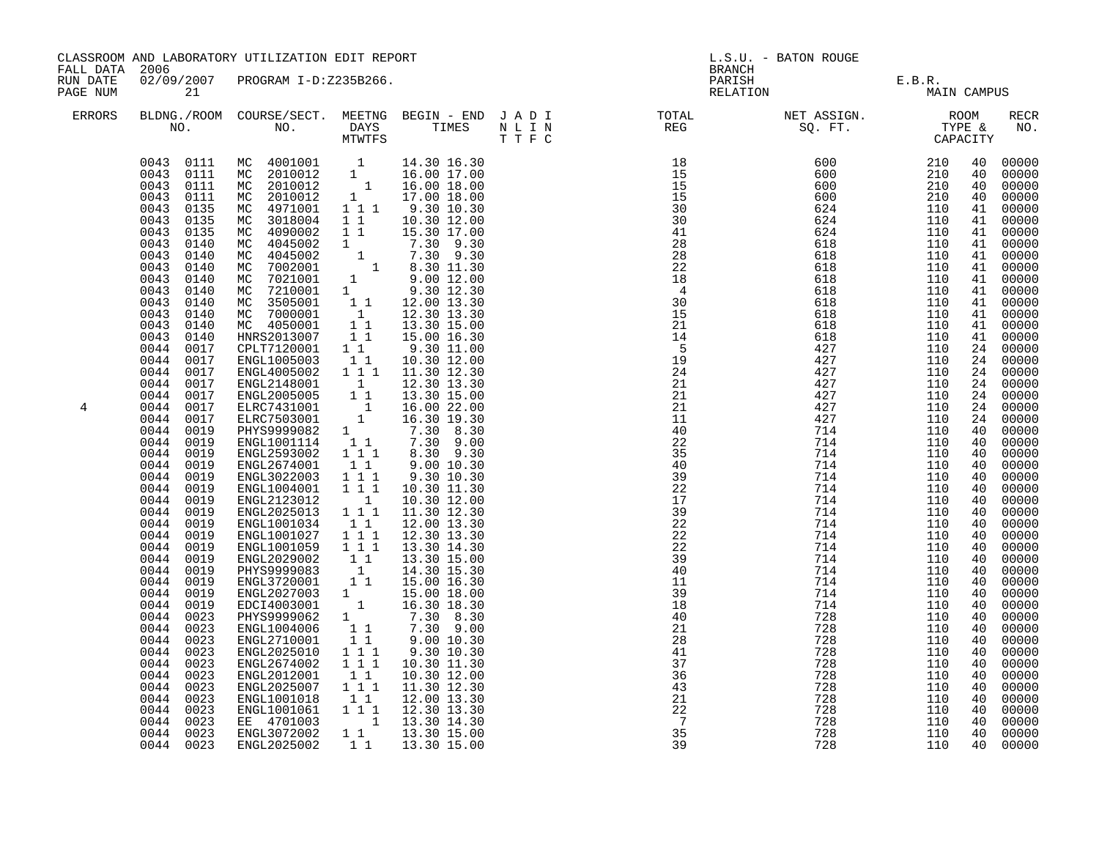| CLASSROOM AND LABORATORY UTILIZATION EDIT REPORT<br>FALL DATA 2006<br>02/09/2007 PROGRAM I-D:Z235B266. |                                                                                                                                                                                                                                                                                                                                                                                                                                                                                                                                                                                                                                                                                                                                                              |                                                                                                                                                                                                                                                                                                                                                                                                                                                                                                                                                                                                                                                                                                                                                                                                                                                                                                                                                                                                       | L.S.U. - BATON ROUGE<br><b>BRANCH</b>                                                                                                                                                                                                                                                                                                                                                                                                                                                                                                                                                                          |                                                                                                                                                                                                                                                                                                                                                                                                                                                                                                                                                                                                                                                                                                                                                                                                                                                                 |                                                                                                                                                                                                     |                                                                                                                                                                                                         |                                                                                                                                                                                                         |                                                                                                                                                                                                                                                                                                          |                                                                                                                                                                                                                                                                                                                                                                                                                                                                            |
|--------------------------------------------------------------------------------------------------------|--------------------------------------------------------------------------------------------------------------------------------------------------------------------------------------------------------------------------------------------------------------------------------------------------------------------------------------------------------------------------------------------------------------------------------------------------------------------------------------------------------------------------------------------------------------------------------------------------------------------------------------------------------------------------------------------------------------------------------------------------------------|-------------------------------------------------------------------------------------------------------------------------------------------------------------------------------------------------------------------------------------------------------------------------------------------------------------------------------------------------------------------------------------------------------------------------------------------------------------------------------------------------------------------------------------------------------------------------------------------------------------------------------------------------------------------------------------------------------------------------------------------------------------------------------------------------------------------------------------------------------------------------------------------------------------------------------------------------------------------------------------------------------|----------------------------------------------------------------------------------------------------------------------------------------------------------------------------------------------------------------------------------------------------------------------------------------------------------------------------------------------------------------------------------------------------------------------------------------------------------------------------------------------------------------------------------------------------------------------------------------------------------------|-----------------------------------------------------------------------------------------------------------------------------------------------------------------------------------------------------------------------------------------------------------------------------------------------------------------------------------------------------------------------------------------------------------------------------------------------------------------------------------------------------------------------------------------------------------------------------------------------------------------------------------------------------------------------------------------------------------------------------------------------------------------------------------------------------------------------------------------------------------------|-----------------------------------------------------------------------------------------------------------------------------------------------------------------------------------------------------|---------------------------------------------------------------------------------------------------------------------------------------------------------------------------------------------------------|---------------------------------------------------------------------------------------------------------------------------------------------------------------------------------------------------------|----------------------------------------------------------------------------------------------------------------------------------------------------------------------------------------------------------------------------------------------------------------------------------------------------------|----------------------------------------------------------------------------------------------------------------------------------------------------------------------------------------------------------------------------------------------------------------------------------------------------------------------------------------------------------------------------------------------------------------------------------------------------------------------------|
| RUN DATE<br>PAGE NUM                                                                                   | 21                                                                                                                                                                                                                                                                                                                                                                                                                                                                                                                                                                                                                                                                                                                                                           |                                                                                                                                                                                                                                                                                                                                                                                                                                                                                                                                                                                                                                                                                                                                                                                                                                                                                                                                                                                                       |                                                                                                                                                                                                                                                                                                                                                                                                                                                                                                                                                                                                                |                                                                                                                                                                                                                                                                                                                                                                                                                                                                                                                                                                                                                                                                                                                                                                                                                                                                 | PARISH<br>RELATION                                                                                                                                                                                  | E.B.R.<br>MAIN CAMPUS                                                                                                                                                                                   |                                                                                                                                                                                                         |                                                                                                                                                                                                                                                                                                          |                                                                                                                                                                                                                                                                                                                                                                                                                                                                            |
| ERRORS                                                                                                 |                                                                                                                                                                                                                                                                                                                                                                                                                                                                                                                                                                                                                                                                                                                                                              |                                                                                                                                                                                                                                                                                                                                                                                                                                                                                                                                                                                                                                                                                                                                                                                                                                                                                                                                                                                                       |                                                                                                                                                                                                                                                                                                                                                                                                                                                                                                                                                                                                                |                                                                                                                                                                                                                                                                                                                                                                                                                                                                                                                                                                                                                                                                                                                                                                                                                                                                 |                                                                                                                                                                                                     |                                                                                                                                                                                                         |                                                                                                                                                                                                         |                                                                                                                                                                                                                                                                                                          | <b>RECR</b><br>NO.                                                                                                                                                                                                                                                                                                                                                                                                                                                         |
| 4                                                                                                      | 0043<br>0135<br>0043<br>0135<br>0043<br>0140<br>0043<br>0140<br>0043<br>0140<br>0043<br>0140<br>0043<br>0140<br>0043<br>0140<br>0043<br>0140<br>0043<br>0140<br>0043<br>0140<br>0044<br>0017<br>0044<br>0017<br>0044<br>0017<br>0044<br>0017<br>0044<br>0017<br>0044<br>0017<br>0044<br>0017<br>0044<br>0019<br>0044<br>0019<br>0044<br>0019<br>0044<br>0019<br>0044<br>0019<br>0044<br>0019<br>0044<br>0019<br>0044<br>0019<br>0044<br>0019<br>0044<br>0019<br>0044<br>0019<br>0044<br>0019<br>0044<br>0019<br>0044<br>0019<br>0044<br>0019<br>0044<br>0019<br>0044<br>0023<br>0044<br>0023<br>0044<br>0023<br>0044<br>0023<br>0044<br>0023<br>0044<br>0023<br>0044<br>0023<br>0044<br>0023<br>0044<br>0023<br>0044<br>0023<br>0023<br>0044<br>0044<br>0023 | $\begin{tabular}{cccc} 0.043 & 0111 & MC & 4001001 & 1 & 14.30 16.30 \\ 0.043 & 0111 & MC & 2010012 & 1 & 16.00 17.00 \\ 0.043 & 0111 & MC & 2010012 & 1 & 16.00 18.00 \\ 0.043 & 0111 & MC & 2010012 & 1 & 17.00 18.00 \\ 0.043 & 0.135 & MC & 4971001 & 1 & 1 & 9.30 10.30 \\ \end{tabular}$<br>MC 3018004<br>MC 4090002<br>MC 4045002<br>MC 4045002<br>MC 7002001<br>MC 7021001<br>MC 7210001<br>MC 3505001<br>MC 7000001<br>MC 4050001<br>HNRS2013007<br>CPLT7120001<br>ENGL1005003<br>ENGL4005002<br>ENGL2148001<br>ENGL2005005<br>ELRC7431001<br>ELRC7503001<br>PHYS9999082<br>ENGL1001114<br>ENGL2593002<br>ENGL2674001<br>ENGL3022003<br>ENGL1004001<br>ENGL2123012<br>ENGL2025013<br>ENGL1001034<br>ENGL1001027<br>ENGL1001059<br>ENGL2029002<br>PHYS9999083<br>ENGL3720001<br>ENGL2027003<br>EDCI4003001<br>PHYS9999062<br>ENGL1004006<br>ENGL2710001<br>ENGL2025010<br>ENGL2674002<br>ENGL2012001<br>ENGL2025007<br>ENGL1001018<br>ENGL1001061<br>EE 4701003<br>ENGL3072002<br>ENGL2025002 | $1\quad1$<br>$\begin{array}{cc} 1 & 1 \\ 1 & 1 \end{array}$<br>$1\quad1$<br>11<br>1 1 1<br>$\overline{\mathbf{1}}$<br>$1^{\circ}1$<br>$1 \quad \blacksquare$<br>$1\quad1$<br>$1 1 1$<br>$1\quad1$<br>$1 1 1$<br>$1 1 1$<br>$\begin{smallmatrix}&&1\\1&1&1\end{smallmatrix}$<br>$1\;1$<br>1 1 1<br>1 1 1<br>11<br>$\begin{smallmatrix} &1\\1&1\end{smallmatrix}$<br>$\begin{smallmatrix}1&&\\&1\end{smallmatrix}$<br>$\begin{smallmatrix}1\1\1\end{smallmatrix}$<br>11<br>$1\hspace{0.1cm} 1\hspace{0.1cm} 1$<br>$\overline{1}$ $\overline{1}$ $\overline{1}$<br>$1\quad1$<br>1 1 1<br>11<br>1 1 1<br>$1\quad1$ | 10.30 12.00<br>1 1 1 15.30 17.00<br>$\begin{array}{cccc} 1 & 7.30 & 9.30 \ 1 & 7.30 & 9.30 \ 1 & 8.30 & 11.30 \ 1 & 9.00 & 12.00 \ 1 & 9.30 & 12.30 \ \end{array}$<br>$\begin{bmatrix} 1 & 1 & 12.00 & 13.30 \\ 1 & 12.30 & 13.30 \end{bmatrix}$<br>13.30 15.00<br>15.00 16.30<br>9.30 11.00<br>10.30 12.00<br>11.30 12.30<br>12.30 13.30<br>13.30 15.00<br>$\begin{bmatrix} 1 & 16.00 & 22.00 \\ 1 & 16.30 & 19.30 \end{bmatrix}$<br>7.30 8.30<br>7.30 9.00<br>8.30 9.30<br>9.00 10.30<br>9.30 10.30<br>10.30 11.30<br>10.30 12.00<br>11.30 12.30<br>12.00 13.30<br>12.30 13.30<br>13.30 14.30<br>13.30 15.00<br>14.30 15.30<br>15.00 16.30<br>15.00 18.00<br>16.30 18.30<br>7.30 8.30<br>7.30 9.00<br>9.0010.30<br>9.30 10.30<br>10.30 11.30<br>10.30 12.00<br>11.30 12.30<br>12.00 13.30<br>12.30 13.30<br>1 13.30 14.30<br>13.30 15.00<br>1 1 1 13.30 15.00 | 11<br>40<br>22<br>35<br>40<br>39<br>$\frac{22}{17}$<br>17<br>39<br>22<br>22<br>22<br>39<br>40<br>11<br>39<br>18<br>40<br>21<br>28<br>41<br>37<br>36<br>43<br>21<br>22<br>$\overline{7}$<br>35<br>39 | 427<br>714<br>714<br>714<br>714<br>714<br>714<br>714<br>714<br>714<br>714<br>714<br>714<br>714<br>714<br>714<br>714<br>728<br>728<br>728<br>728<br>728<br>728<br>728<br>728<br>728<br>728<br>728<br>728 | 110<br>110<br>110<br>110<br>110<br>110<br>110<br>110<br>110<br>110<br>110<br>110<br>110<br>110<br>110<br>110<br>110<br>110<br>110<br>110<br>110<br>110<br>110<br>110<br>110<br>110<br>110<br>110<br>110 | 40<br>40<br>40<br>40<br>41<br>41<br>41<br>41<br>41<br>41<br>41<br>41<br>41<br>41<br>41<br>24<br>24<br>24<br>24<br>24<br>24<br>24<br>40<br>40<br>40<br>40<br>40<br>40<br>40<br>40<br>40<br>40<br>40<br>40<br>40<br>40<br>40<br>40<br>40<br>40<br>40<br>40<br>40<br>40<br>40<br>40<br>40<br>40<br>40<br>40 | 00000<br>00000<br>00000<br>00000<br>00000<br>00000<br>00000<br>00000<br>00000<br>00000<br>00000<br>00000<br>41 00000<br>00000<br>00000<br>00000<br>00000<br>00000<br>00000<br>00000<br>00000<br>00000<br>00000<br>00000<br>00000<br>00000<br>00000<br>00000<br>00000<br>00000<br>00000<br>00000<br>00000<br>00000<br>00000<br>00000<br>00000<br>00000<br>00000<br>00000<br>00000<br>00000<br>00000<br>00000<br>00000<br>00000<br>00000<br>00000<br>00000<br>00000<br>00000 |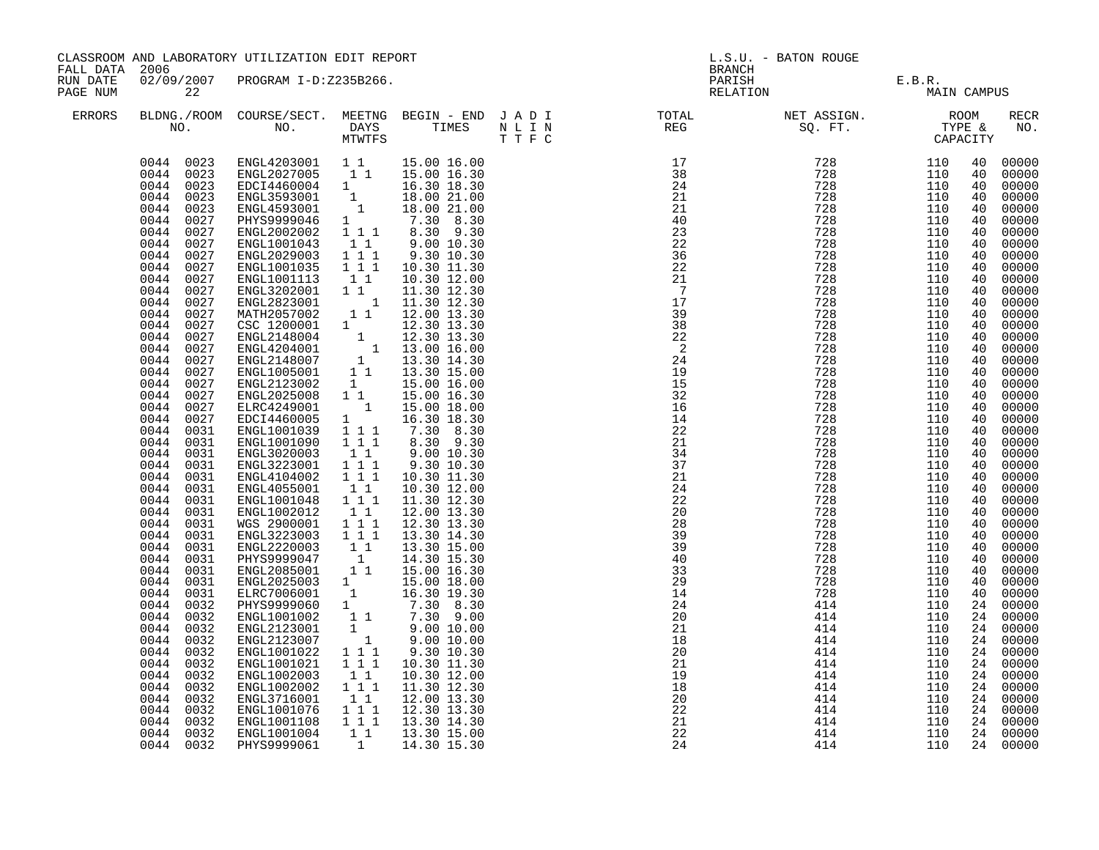| CLASSROOM AND LABORATORY UTILIZATION EDIT REPORT<br>FALL DATA 2006<br>02/09/2007 PROGRAM I-D:Z235B266.<br>RUN DATE |                                                                                                                                                                                                                                                                                                                                                                                                                                                                                                                                                                                                                                                                                                                                                                                                     |                                                                                                                                                                                                                                                                                                                                                                                                                                                                                                                                                                                                                                                                                                                                                                                                                                                                                  |                                                                                                                                                                                                                                                                                                                                                                                                                                                                                | L.S.U. - BATON ROUGE<br><b>BRANCH</b>                                                                                                                                                                                                                                                                                                                                                                                                                                                                                                                                                                                                       |                                                                                                                                                                                                                                                                                                                                                                                                                                                                |                                                                           |                                                                           |                                                                                                                                                                                                                                                                                                    |                                                                                                                                                                                                                                                                                                                                                                                                                                              |
|--------------------------------------------------------------------------------------------------------------------|-----------------------------------------------------------------------------------------------------------------------------------------------------------------------------------------------------------------------------------------------------------------------------------------------------------------------------------------------------------------------------------------------------------------------------------------------------------------------------------------------------------------------------------------------------------------------------------------------------------------------------------------------------------------------------------------------------------------------------------------------------------------------------------------------------|----------------------------------------------------------------------------------------------------------------------------------------------------------------------------------------------------------------------------------------------------------------------------------------------------------------------------------------------------------------------------------------------------------------------------------------------------------------------------------------------------------------------------------------------------------------------------------------------------------------------------------------------------------------------------------------------------------------------------------------------------------------------------------------------------------------------------------------------------------------------------------|--------------------------------------------------------------------------------------------------------------------------------------------------------------------------------------------------------------------------------------------------------------------------------------------------------------------------------------------------------------------------------------------------------------------------------------------------------------------------------|---------------------------------------------------------------------------------------------------------------------------------------------------------------------------------------------------------------------------------------------------------------------------------------------------------------------------------------------------------------------------------------------------------------------------------------------------------------------------------------------------------------------------------------------------------------------------------------------------------------------------------------------|----------------------------------------------------------------------------------------------------------------------------------------------------------------------------------------------------------------------------------------------------------------------------------------------------------------------------------------------------------------------------------------------------------------------------------------------------------------|---------------------------------------------------------------------------|---------------------------------------------------------------------------|----------------------------------------------------------------------------------------------------------------------------------------------------------------------------------------------------------------------------------------------------------------------------------------------------|----------------------------------------------------------------------------------------------------------------------------------------------------------------------------------------------------------------------------------------------------------------------------------------------------------------------------------------------------------------------------------------------------------------------------------------------|
| PAGE NUM                                                                                                           | 22                                                                                                                                                                                                                                                                                                                                                                                                                                                                                                                                                                                                                                                                                                                                                                                                  |                                                                                                                                                                                                                                                                                                                                                                                                                                                                                                                                                                                                                                                                                                                                                                                                                                                                                  |                                                                                                                                                                                                                                                                                                                                                                                                                                                                                |                                                                                                                                                                                                                                                                                                                                                                                                                                                                                                                                                                                                                                             |                                                                                                                                                                                                                                                                                                                                                                                                                                                                | PARISH E.B.R.<br>RELATION MAIN                                            | MAIN CAMPUS                                                               |                                                                                                                                                                                                                                                                                                    |                                                                                                                                                                                                                                                                                                                                                                                                                                              |
| ERRORS                                                                                                             |                                                                                                                                                                                                                                                                                                                                                                                                                                                                                                                                                                                                                                                                                                                                                                                                     |                                                                                                                                                                                                                                                                                                                                                                                                                                                                                                                                                                                                                                                                                                                                                                                                                                                                                  |                                                                                                                                                                                                                                                                                                                                                                                                                                                                                |                                                                                                                                                                                                                                                                                                                                                                                                                                                                                                                                                                                                                                             | $\begin{array}{cccccccccccccc} \texttt{BLDNA} \cdot \texttt{ROOM} & \texttt{COURSE/SECT.} & \texttt{METING} & \texttt{BEGIN} & - & \texttt{END} & \texttt{J} & \texttt{A} & \texttt{D} & \texttt{I} & & & & \texttt{TOTAL} & & & \texttt{NET} & \texttt{ASSIGN.} & & & \texttt{ROOM} \\ \texttt{NO.} & \texttt{NO.} & \texttt{DAYS} & \texttt{TIMES} & \texttt{N} & \texttt{L} & \texttt{I} & & & & \texttt{REG} & & & \texttt{SQ. FT.} & & & \texttt{TYPE} &$ |                                                                           |                                                                           |                                                                                                                                                                                                                                                                                                    | <b>RECR</b><br>NO.                                                                                                                                                                                                                                                                                                                                                                                                                           |
|                                                                                                                    | 0044 0023<br>0044 0023<br>0044 0023<br>0044<br>0023<br>0044<br>0023<br>0044<br>0027<br>0044<br>0027<br>0044<br>0027<br>0044<br>0027<br>0044<br>0027<br>0044<br>0027<br>0044<br>0027<br>0044<br>0027<br>0044<br>0027<br>0044<br>0027<br>0044<br>0027<br>0044<br>0027<br>0044<br>0027<br>0044<br>0027<br>0044<br>0027<br>0044<br>0027<br>0044<br>0027<br>0044<br>0027<br>0044<br>0031<br>0044<br>0031<br>0044<br>0031<br>0044<br>0031<br>0044<br>0031<br>0044<br>0031<br>0044<br>0031<br>0044<br>0031<br>0044<br>0031<br>0044<br>0031<br>0044<br>0031<br>0044<br>0031<br>0044<br>0031<br>0044<br>0031<br>0044<br>0031<br>0044<br>0032<br>0044<br>0032<br>0044<br>0032<br>0044<br>0032<br>0044<br>0032<br>0044<br>0032<br>0044<br>0032<br>0044<br>0032<br>0044<br>0032<br>0044<br>0032<br>0044<br>0032 | ENGL4203001 11 15.00 16.00<br>ENGL2027005 1 1 15.00 16.30<br>EDCI4460004 1 16.30 18.30<br>ENGL3593001<br>ENGL4593001<br>PHYS9999046<br>ENGL2002002<br>ENGL1001043<br>ENGL2029003<br>ENGL1001035<br>ENGL1001113<br>ENGL3202001<br>ENGL2823001<br>MATH2057002<br>CSC 1200001 1 12.30 13.30<br>ENGL2148004 1 12.30 13.30<br>ENGL2148004 1 13.00 16.00<br>ENGL2148007 1 13.30 14.30<br>ENGL1005001 1 13.30 15.00<br>ENGL2123002<br>ENGL2025008<br>ELRC4249001<br>EDCI4460005<br>ENGL1001039<br>ENGL1001090<br>ENGL3020003<br>ENGL3223001<br>ENGL4104002<br>ENGL4055001<br>ENGL1001048<br>ENGL1002012<br>WGS 2900001<br>ENGL3223003<br>ENGL2220003<br>PHYS9999047<br>ENGL2085001<br>ENGL2025003 1<br>ELRC7006001<br>PHYS9999060<br>ENGL1001002<br>ENGL2123001<br>ENGL2123007<br>ENGL1001022<br>ENGL1001021<br>ENGL1002003<br>ENGL1002002<br>ENGL3716001<br>ENGL1001076<br>ENGL1001108 | 1<br>1<br>$\frac{1}{1}$ 1 1<br>$1\quad1$<br>$1 1 1$<br>111<br>11<br>$1\quad1$<br>$\mathbf{1}$<br>$1\quad1$<br>$\begin{smallmatrix}&&1\\1&&&\end{smallmatrix}$<br>$1 1 1$<br>1 1 1<br>11<br>$1 1 1$<br>1 1 1<br>11<br>1 1 1<br>$1\quad1$<br>1 1 1<br>1 1 1<br>$\begin{bmatrix} 1 & 1 \\ 1 & \end{bmatrix}$<br>11<br>1<br>$1 \quad \blacksquare$<br>11<br>$\begin{smallmatrix}1&&\\&1\end{smallmatrix}$<br>$1 1 1$<br>1 1 1<br>$1\quad1$<br>111<br>$1\quad1$<br>$1 1 1$<br>1 1 1 | 18.00 21.00<br>18.00 21.00<br>$1 \t 7.30 \t 8.30$<br>8.30 9.30<br>$9.00\ 10.30$<br>9.30 10.30<br>10.30 11.30<br>10.30 12.00<br>11.30 12.30<br>$1$ $11.30$ $12.30$<br>1 1 $12.00$ 13.30<br>15.00 16.00<br>15.00 16.30<br>15.00 18.00<br>16.30 18.30<br>7.30 8.30<br>8.30 9.30<br>9.00 10.30<br>9.30 10.30<br>10.30 11.30<br>10.30 12.00<br>11.30 12.30<br>12.00 13.30<br>12.30 13.30<br>13.30 14.30<br>13.30 15.00<br>14.30 15.30<br>15.00 16.30<br>15.00 18.00<br>16.30 19.30<br>7.30 8.30<br>7.30 9.00<br>9.00 10.00<br>9.00 10.00<br>9.30 10.30<br>10.30 11.30<br>10.30 12.00<br>11.30 12.30<br>12.00 13.30<br>12.30 13.30<br>13.30 14.30 | $\begin{array}{cccc} 1.7 & 728 & 1110 & 1.718 & 1.718 & 1.718 & 1.718 & 1.718 & 1.718 & 1.728 & 1.728 & 1.728 & 1.728 & 1.728 & 1.728 & 1.728 & 1.728 & 1.728 & 1.728 & 1.728 & 1.729 & 1.728 & 1.729 & 1.728 & 1.729 & 1.728 & 1.729 & 1.728 & 1.729 & 1.728 & 1.729 & $<br>24<br>20<br>$\frac{21}{18}$<br>20<br>21<br>$\frac{21}{19}$<br>20                                                                                                                  | 414<br>414<br>414<br>414<br>414<br>414<br>414<br>414<br>414<br>414<br>414 | 110<br>110<br>110<br>110<br>110<br>110<br>110<br>110<br>110<br>110<br>110 | 40<br>40<br>40<br>40<br>40<br>40<br>40<br>40<br>40<br>40<br>40<br>40<br>40<br>40<br>40<br>40<br>40<br>40<br>40<br>40<br>40<br>40<br>40<br>40<br>40<br>40<br>40<br>40<br>40<br>40<br>40<br>40<br>40<br>40<br>40<br>40<br>40<br>40<br>24<br>24<br>24<br>24<br>24<br>24<br>24<br>24<br>24<br>24<br>24 | 00000<br>00000<br>00000<br>00000<br>00000<br>00000<br>00000<br>00000<br>00000<br>00000<br>00000<br>00000<br>00000<br>00000<br>00000<br>00000<br>00000<br>00000<br>00000<br>00000<br>00000<br>00000<br>00000<br>00000<br>00000<br>00000<br>00000<br>00000<br>00000<br>00000<br>00000<br>00000<br>00000<br>00000<br>00000<br>00000<br>00000<br>00000<br>00000<br>00000<br>00000<br>00000<br>00000<br>00000<br>00000<br>00000<br>00000<br>00000 |
|                                                                                                                    | 0044 0032<br>0044 0032                                                                                                                                                                                                                                                                                                                                                                                                                                                                                                                                                                                                                                                                                                                                                                              | ENGL1001004<br>PHYS9999061                                                                                                                                                                                                                                                                                                                                                                                                                                                                                                                                                                                                                                                                                                                                                                                                                                                       | $1\quad1$<br>1                                                                                                                                                                                                                                                                                                                                                                                                                                                                 | 13.30 15.00<br>14.30 15.30                                                                                                                                                                                                                                                                                                                                                                                                                                                                                                                                                                                                                  | $\frac{22}{21}$<br>21<br>22<br>24                                                                                                                                                                                                                                                                                                                                                                                                                              | 414<br>414                                                                | 110<br>110                                                                | 24                                                                                                                                                                                                                                                                                                 | 00000<br>24 00000<br>00000                                                                                                                                                                                                                                                                                                                                                                                                                   |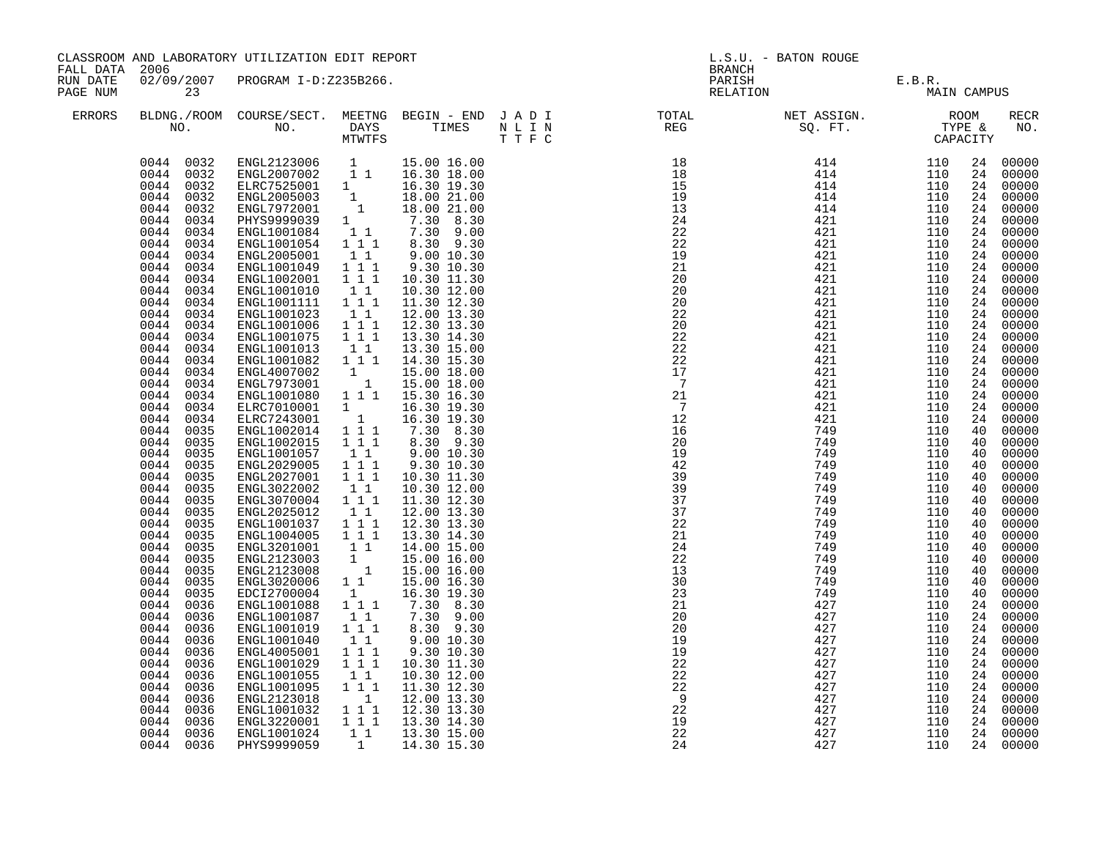| FALL DATA 2006       |                                                                                           | CLASSROOM AND LABORATORY UTILIZATION EDIT REPORT                                                                                                                                                                                                                                      |                                                                               |                                                                                                                           | <b>BRANCH</b>                                      | L.S.U. - BATON ROUGE                                                                                         |                                        |                                  |                                                                |
|----------------------|-------------------------------------------------------------------------------------------|---------------------------------------------------------------------------------------------------------------------------------------------------------------------------------------------------------------------------------------------------------------------------------------|-------------------------------------------------------------------------------|---------------------------------------------------------------------------------------------------------------------------|----------------------------------------------------|--------------------------------------------------------------------------------------------------------------|----------------------------------------|----------------------------------|----------------------------------------------------------------|
| RUN DATE<br>PAGE NUM | 23                                                                                        | 02/09/2007 PROGRAM I-D:Z235B266.                                                                                                                                                                                                                                                      |                                                                               |                                                                                                                           | PARISH<br>RELATION                                 | E.B.R.<br>MAIN                                                                                               | MAIN CAMPUS                            |                                  |                                                                |
| ERRORS               |                                                                                           |                                                                                                                                                                                                                                                                                       |                                                                               |                                                                                                                           |                                                    |                                                                                                              |                                        |                                  | <b>RECR</b><br>NO.                                             |
|                      | 0044 0032<br>0044 0032<br>0044 0032<br>0044<br>0032<br>0044<br>0032<br>0044<br>0034       | $\begin{tabular}{l c c c c} \hline \texttt{ENGL2123006} & 1 & 15.00 16.00 \\ \hline \texttt{ENGL2007002} & 1 1 & 16.30 18.00 \\ \hline \texttt{ELRC7525001} & 1 & 16.30 19.30 \\ \hline \texttt{ENGL2005003} & 1 & 18.00 21.00 \\ \hline \end{tabular}$<br>ENGL7972001<br>PHYS9999039 |                                                                               | $\begin{matrix} 1 & 18.00 & 21.00 \\ 1 & 7.30 & 8.30 \\ 1 & 7.30 & 9.00 \\ 2 & 2 & 2 & 30 \\ 2 & 2 & 2 & 30 \end{matrix}$ |                                                    |                                                                                                              |                                        | 24<br>24<br>24<br>24<br>24       | 00000<br>00000<br>00000<br>00000<br>24 00000<br>00000          |
|                      | 0044<br>0034<br>0044<br>0034<br>0044<br>0034<br>0044<br>0034<br>0044<br>0034              | ENGL1001084<br>ENGL1001054<br>ENGL2005001<br>ENGL1001049<br>ENGL1002001                                                                                                                                                                                                               | $1 1 1$<br>$1\quad1$<br>$1 1 1$<br>1 1 1                                      | 8.30 9.30<br>9.0010.30<br>9.30 10.30<br>10.30 11.30                                                                       |                                                    |                                                                                                              |                                        | 24<br>24<br>24<br>24             | 00000<br>24 00000<br>00000<br>00000<br>00000                   |
|                      | 0044<br>0034<br>0044<br>0034<br>0044<br>0034<br>0044<br>0034<br>0044 0034<br>0044<br>0034 | ENGL1001010<br>ENGL1001111<br>ENGL1001023<br>ENGL1001006<br>ENGL1001075<br>ENGL1001013                                                                                                                                                                                                | $1\quad1$<br>1 1 1<br>11<br>111<br>$1 1 1$<br>$1\quad1$                       | 10.30 12.00<br>11.30 12.30<br>12.00 13.30<br>12.30 13.30<br>13.30 14.30<br>13.30 15.00                                    |                                                    |                                                                                                              |                                        | 24<br>24                         | 24 00000<br>24 00000<br>24 00000<br>00000<br>00000<br>24 00000 |
|                      | 0044 0034<br>0044 0034<br>0044 0034<br>0044<br>0034<br>0044<br>0034                       | ENGL1001082<br>ENGL4007002<br>ENGL7973001<br>ENGL1001080<br>ELRC7010001                                                                                                                                                                                                               | $1 1 1$<br>$\begin{bmatrix} 1 \\ 1 \end{bmatrix}$<br>$\mathbf{1}$             | 14.30 15.30<br>15.00 18.00<br>15.00 18.00<br>1 1 1 1 15.30 16.30<br>16.30 19.30                                           | 22<br>17<br>$\overline{7}$<br>21<br>$\overline{7}$ | $\begin{array}{l} 4\,21\\ 4\,21\\ 4\,21\\ 4\,21\\ 4\,21\\ 4\,21\\ 7\,4\,9\\ 7\,4\,9\\ 7\,4\,9\\ \end{array}$ | 110<br>110<br>110<br>110<br>110        | 24<br>24<br>24<br>24             | 24 00000<br>00000<br>00000<br>00000<br>00000                   |
|                      | 0044<br>0034<br>0044<br>0035<br>0044<br>0035<br>0044<br>0035<br>0044<br>0035              | ELRC7243001<br>ENGL1002014<br>ENGL1002015<br>ENGL1001057<br>ENGL2029005                                                                                                                                                                                                               | $\begin{bmatrix} 1 \end{bmatrix}$<br>1 1 1<br>1 1 1<br>$1\quad1$<br>$1\ 1\ 1$ | 16.30 19.30<br>7.30 8.30<br>8.30 9.30<br>9.00 10.30<br>9.30 10.30                                                         | 12<br>16<br>20<br>19<br>42                         | 749<br>749                                                                                                   | 110<br>110<br>110<br>110<br>110        | 24<br>40<br>40<br>40<br>40       | 00000<br>00000<br>00000<br>00000<br>00000                      |
|                      | 0044<br>0035<br>0044<br>0035<br>0044<br>0035<br>0044<br>0035<br>0044<br>0035              | ENGL2027001<br>ENGL3022002<br>ENGL3070004<br>ENGL2025012<br>ENGL1001037                                                                                                                                                                                                               | 1 1 1<br>11<br>1 1 1<br>$1\quad1$<br>$1 1 1$                                  | 10.30 11.30<br>10.30 12.00<br>11.30 12.30<br>12.00 13.30<br>12.30 13.30                                                   | 39<br>39<br>37<br>37<br>22                         | 749<br>749<br>749<br>749<br>749                                                                              | 110<br>110<br>110<br>110<br>110        | 40<br>40<br>40<br>40<br>40       | 00000<br>00000<br>00000<br>00000<br>00000                      |
|                      | 0044<br>0035<br>0044<br>0035<br>0044<br>0035<br>0044<br>0035<br>0044 0035<br>0044<br>0035 | ENGL1004005<br>ENGL3201001<br>ENGL2123003<br>ENGL2123008<br>ENGL3020006<br>EDCI2700004                                                                                                                                                                                                | $1 1 1$<br>11<br>$\frac{1}{1}$<br>$1\quad1$<br>$\mathbf{1}$                   | 13.30 14.30<br>14.00 15.00<br>15.00 16.00<br>15.00 16.00<br>15.00 16.30                                                   | 21<br>24<br>22<br>13<br>30<br>23                   | 749<br>749<br>749<br>749<br>749<br>749                                                                       | 110<br>110<br>110<br>110<br>110<br>110 | 40<br>40<br>40<br>40<br>40<br>40 | 00000<br>00000<br>00000<br>00000<br>00000<br>00000             |
|                      | 0044<br>0036<br>0044<br>0036<br>0044<br>0036<br>0044<br>0036<br>0044<br>0036              | ENGL1001088<br>ENGL1001087<br>ENGL1001019<br>ENGL1001040<br>ENGL4005001                                                                                                                                                                                                               | $1 1 1$<br>$1\quad1$<br>1 1 1<br>1 1<br>1 1 1                                 | 16.30 19.30<br>7.30 8.30<br>7.30 9.00<br>8.30 9.30<br>9.00 10.30<br>9.30 10.30                                            | 21<br>20<br>20<br>19<br>19                         | 427<br>427<br>427<br>427<br>427                                                                              | 110<br>110<br>110<br>110<br>110        | 24<br>24<br>24<br>24<br>24       | 00000<br>00000<br>00000<br>00000<br>00000                      |
|                      | 0044<br>0036<br>0044<br>0036<br>0044<br>0036<br>0044<br>0036<br>0044<br>0036              | ENGL1001029<br>ENGL1001055<br>ENGL1001095<br>ENGL2123018<br>ENGL1001032                                                                                                                                                                                                               | $1 1 1$<br>11<br>$1^{\circ}1^{\circ}1$<br>$\overline{1}$<br>$1 1 1$           | 10.30 11.30<br>10.30 12.00<br>11.30 12.30<br>12.00 13.30<br>12.30 13.30                                                   | 22<br>$^{22}_{22}$<br>$\overline{9}$<br>22         | 427<br>427<br>427<br>427<br>427                                                                              | 110<br>110<br>110<br>110<br>110        | 24<br>24<br>24<br>24             | 00000<br>00000<br>00000<br>24 00000<br>00000                   |
|                      | 0044<br>0036<br>0044<br>0036<br>0044 0036                                                 | ENGL3220001<br>ENGL1001024<br>PHYS9999059                                                                                                                                                                                                                                             | $1 1 1$<br>11<br>$\mathbf{1}$                                                 | 13.30 14.30<br>13.30 15.00<br>14.30 15.30                                                                                 | 19<br>22<br>24                                     | 427<br>427<br>427                                                                                            | 110<br>110<br>110                      | 24                               | 00000<br>24 00000<br>24 00000                                  |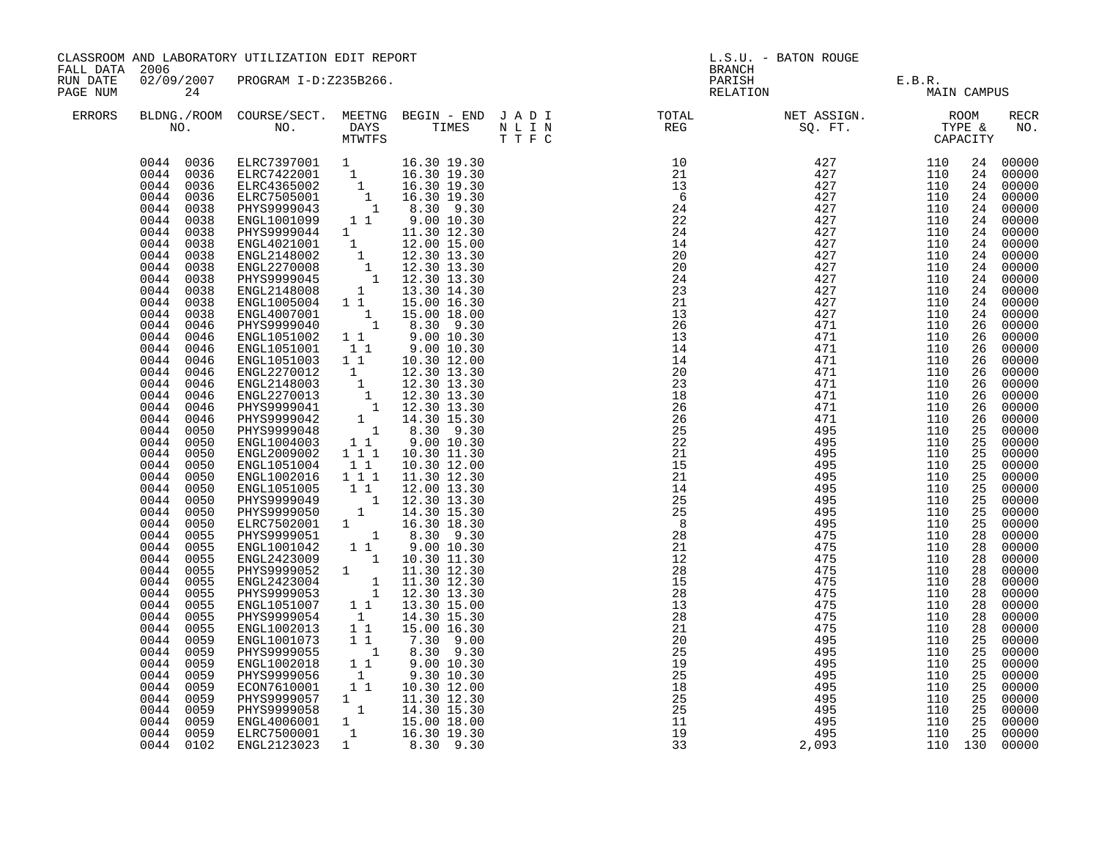| FALL DATA 2006       | CLASSROOM AND LABORATORY UTILIZATION EDIT REPORT                                                                                                                                                                                                                                                                                                                                                                                                                                                                                                                                                                                                                                                                                                                                                                    |                                                                                                                                                                                                                                                                                                                                                                                                                                                                                                                                                                                                                                                                                                                                                                                                                                                                                                                                                                                                                                                                                                                                                                                                                         |                                                                                                                                                                                                                                              |                                                                                                                                                                                                                                                                                                                                                                                                                                                                                                                                                                                       |  | L.S.U. - BATON ROUGE<br><b>BRANCH</b>                                                                                                                                                                                                                                                                                                                                                                                                                                                                              |                                                                                                                                                               |                                                                                                                                                               |                                                                                                                                                                                                                                                                                  |                                                                                                                                                                                                                                                                                                                                                                                                                                                                            |
|----------------------|---------------------------------------------------------------------------------------------------------------------------------------------------------------------------------------------------------------------------------------------------------------------------------------------------------------------------------------------------------------------------------------------------------------------------------------------------------------------------------------------------------------------------------------------------------------------------------------------------------------------------------------------------------------------------------------------------------------------------------------------------------------------------------------------------------------------|-------------------------------------------------------------------------------------------------------------------------------------------------------------------------------------------------------------------------------------------------------------------------------------------------------------------------------------------------------------------------------------------------------------------------------------------------------------------------------------------------------------------------------------------------------------------------------------------------------------------------------------------------------------------------------------------------------------------------------------------------------------------------------------------------------------------------------------------------------------------------------------------------------------------------------------------------------------------------------------------------------------------------------------------------------------------------------------------------------------------------------------------------------------------------------------------------------------------------|----------------------------------------------------------------------------------------------------------------------------------------------------------------------------------------------------------------------------------------------|---------------------------------------------------------------------------------------------------------------------------------------------------------------------------------------------------------------------------------------------------------------------------------------------------------------------------------------------------------------------------------------------------------------------------------------------------------------------------------------------------------------------------------------------------------------------------------------|--|--------------------------------------------------------------------------------------------------------------------------------------------------------------------------------------------------------------------------------------------------------------------------------------------------------------------------------------------------------------------------------------------------------------------------------------------------------------------------------------------------------------------|---------------------------------------------------------------------------------------------------------------------------------------------------------------|---------------------------------------------------------------------------------------------------------------------------------------------------------------|----------------------------------------------------------------------------------------------------------------------------------------------------------------------------------------------------------------------------------------------------------------------------------|----------------------------------------------------------------------------------------------------------------------------------------------------------------------------------------------------------------------------------------------------------------------------------------------------------------------------------------------------------------------------------------------------------------------------------------------------------------------------|
| RUN DATE<br>PAGE NUM | 24                                                                                                                                                                                                                                                                                                                                                                                                                                                                                                                                                                                                                                                                                                                                                                                                                  | 02/09/2007 PROGRAM I-D:Z235B266.                                                                                                                                                                                                                                                                                                                                                                                                                                                                                                                                                                                                                                                                                                                                                                                                                                                                                                                                                                                                                                                                                                                                                                                        |                                                                                                                                                                                                                                              |                                                                                                                                                                                                                                                                                                                                                                                                                                                                                                                                                                                       |  |                                                                                                                                                                                                                                                                                                                                                                                                                                                                                                                    | PARISH E.B.R.<br>RELATION MAIN                                                                                                                                | MAIN CAMPUS                                                                                                                                                   |                                                                                                                                                                                                                                                                                  |                                                                                                                                                                                                                                                                                                                                                                                                                                                                            |
| ERRORS               |                                                                                                                                                                                                                                                                                                                                                                                                                                                                                                                                                                                                                                                                                                                                                                                                                     |                                                                                                                                                                                                                                                                                                                                                                                                                                                                                                                                                                                                                                                                                                                                                                                                                                                                                                                                                                                                                                                                                                                                                                                                                         |                                                                                                                                                                                                                                              |                                                                                                                                                                                                                                                                                                                                                                                                                                                                                                                                                                                       |  | BLDNG./ROOM COURSE/SECT. MEETNG BEGIN – END JADI TOTAL NET ASSIGN. NET ASSIGN. ROOM ROOM NO. DAYS TIMES NLIN REG REG SQ.FT. TYPE &                                                                                                                                                                                                                                                                                                                                                                                 |                                                                                                                                                               |                                                                                                                                                               |                                                                                                                                                                                                                                                                                  | RECR<br>NO.                                                                                                                                                                                                                                                                                                                                                                                                                                                                |
|                      | 0044 0036<br>0044 0036<br>0044 0036<br>0044<br>0036<br>0044<br>0038<br>0044<br>0038<br>0044<br>0038<br>0044<br>0038<br>0044<br>0038<br>0044<br>0038<br>0044<br>0038<br>0044<br>0038<br>0044<br>0038<br>0044<br>0038<br>0044<br>0046<br>0044<br>0046<br>0044<br>0046<br>0044<br>0046<br>0044<br>0046<br>0044<br>0046<br>0044<br>0046<br>0044<br>0046<br>0044<br>0046<br>0044<br>0050<br>0044<br>0050<br>0044<br>0050<br>0044<br>0050<br>0044<br>0050<br>0044<br>0050<br>0044<br>0050<br>0044<br>0050<br>0044<br>0050<br>0044<br>0055<br>0044<br>0055<br>0044<br>0055<br>0044<br>0055<br>0044<br>0055<br>0044<br>0055<br>0044<br>0055<br>0044<br>0055<br>0044<br>0055<br>0044<br>0059<br>0044<br>0059<br>0044<br>0059<br>0044<br>0059<br>0044<br>0059<br>0044<br>0059<br>0044<br>0059<br>0044<br>0059<br>0044<br>0059 | ELRC7397001 1 16.30 19.30<br>ELRC7422001 1 16.30 19.30<br>ELRC4365002 1 16.30 19.30<br>ELRC7505001 1 16.30 19.30<br>PHYS9999043 1 8.30 9.30<br>ENGL1001099 1 1 9.00 10.30<br>ENGL1001099 1<br>PHYS9999044 1<br>ENGL2148002 1<br>ENGL2148002 1<br>ENGL2148002 1<br>2.30 13.30<br>ENGL2270008 1<br>12.30 13.30<br>ENGL2148008 1<br>2.30 13.30<br>ENGL2148008 1<br>13.30 14.30<br>ENGL2148008 1<br>13.30 14.30<br>ENGL2148008 1<br>13.30 14.<br>ENGL4007001<br>PHYS9999040<br>ENGL1051002   1   1   9.00   10.30<br>ENGL1051001   1   1   9.00   10.30<br>ENGL1051003<br>ENGL2270012<br>ENGL2148003<br>ENGL2270013<br>PHYS9999041<br>PHYS9999042<br>PHYS9999048<br>ENGL1004003<br>ENGL2009002<br>ENGL1051004<br>ENGL1002016<br>ENGL1051005<br>PHYS9999049<br>PHYS9999050<br>ELRC7502001 1 16.30 18.30<br>PHYS9999051 1 8.30 9.30<br>ENGL1001042 1 9.00 10.30<br>ENGL2423009 1 1.30 11.30<br>PHYS9999052 1 11.30 12.30<br>ENGL2423004 1 11.30 12.30<br>PHYS9999053 1 12.30 13.30<br>ENGL1051007<br>PHYS9999054<br>ENGL1002013<br>ENGL1001073<br>PHYS9999055<br>ENGL1002018<br>PHYS9999056<br>ECON7610001<br>PHYS9999057<br>PHYS9999058<br>ENGL4006001 1 15.00 18.00<br>ELRC7500001 1 16.30 19.30<br>ENGL2123023 1 8.30 9.30 | $1\quad1$<br>1<br>1 1 1<br>11<br>1 1 1<br>$1\quad1$<br>$1\quad1$<br>1<br>11<br>11<br>$\begin{smallmatrix}&&&1\\&&1\\1&1\end{smallmatrix}$<br>$\begin{smallmatrix} &1\\1&1\end{smallmatrix}$<br>$\begin{smallmatrix}1&&\\&1\end{smallmatrix}$ | $\begin{bmatrix} 1 & 15.00 & 18.00 \\ 1 & 8.30 & 9.30 \end{bmatrix}$<br>10.30 12.00<br>12.30 13.30<br>$\begin{bmatrix} 1 & 12.30 & 13.30 \ 1 & 12.30 & 13.30 \ 1 & 12.30 & 13.30 \ 1 & 12.30 & 13.30 \ 1 & 14.30 & 15.30 \ 1 & 8.30 & 9.30 \ 1 & 1 & 9.00 & 10.30 \ \end{bmatrix}$<br>10.30 11.30<br>10.30 12.00<br>11.30 12.30<br>12.00 13.30<br>$\begin{array}{cccc}\n & 1 & 12.30 & 13.30 \\  & 1 & 14.30 & 15.30\n\end{array}$<br>13.30 15.00<br>14.30 15.30<br>15.00 16.30<br>7.30 9.00<br>8.30 9.30<br>$9.00\ 10.30$<br>9.30 10.30<br>10.30 12.00<br>11.30 12.30<br>14.30 15.30 |  | $\begin{array}{lcccc} \text{F} & \text{C} & \text{CAPA} & \text{CAPA} & \text{CAPA} \\ \text{10} & 427 & 110 & & & \\ 11 & 427 & 110 & & & \\ 6 & 427 & 110 & & & \\ 24 & 427 & 110 & & & \\ 24 & 427 & 110 & & & \\ 24 & 427 & 110 & & & \\ 24 & 427 & 110 & & & \\ 24 & 427 & 110 & & & \\ 24 & 427 & 110 & & & \\ 24 & 427 & 110 & & & \\ 24 & 4$<br>21<br>14<br>25<br>$2\bar{5}$<br>$\overline{8}$<br>28<br>21<br>12<br>28<br>15<br>28<br>13<br>28<br>21<br>20<br>25<br>19<br>25<br>18<br>25<br>25<br>11<br>19 | 495<br>495<br>495<br>495<br>495<br>475<br>475<br>475<br>475<br>475<br>475<br>475<br>475<br>475<br>495<br>495<br>495<br>495<br>495<br>495<br>495<br>495<br>495 | 110<br>110<br>110<br>110<br>110<br>110<br>110<br>110<br>110<br>110<br>110<br>110<br>110<br>110<br>110<br>110<br>110<br>110<br>110<br>110<br>110<br>110<br>110 | 24<br>24<br>24<br>24<br>24<br>24<br>24<br>24<br>24<br>24<br>26<br>26<br>26<br>26<br>26<br>26<br>26<br>26<br>26<br>25<br>25<br>25<br>25<br>25<br>25<br>25<br>25<br>25<br>28<br>28<br>28<br>28<br>28<br>28<br>28<br>28<br>28<br>25<br>25<br>25<br>25<br>25<br>25<br>25<br>25<br>25 | 00000<br>00000<br>00000<br>24 00000<br>24 00000<br>24 00000<br>00000<br>24 00000<br>00000<br>00000<br>00000<br>00000<br>00000<br>00000<br>00000<br>00000<br>00000<br>00000<br>00000<br>00000<br>00000<br>00000<br>00000<br>00000<br>00000<br>00000<br>00000<br>00000<br>00000<br>00000<br>00000<br>00000<br>00000<br>00000<br>00000<br>00000<br>00000<br>00000<br>00000<br>00000<br>00000<br>00000<br>00000<br>00000<br>00000<br>00000<br>00000<br>00000<br>00000<br>00000 |
|                      | 0044 0102                                                                                                                                                                                                                                                                                                                                                                                                                                                                                                                                                                                                                                                                                                                                                                                                           |                                                                                                                                                                                                                                                                                                                                                                                                                                                                                                                                                                                                                                                                                                                                                                                                                                                                                                                                                                                                                                                                                                                                                                                                                         |                                                                                                                                                                                                                                              | 8.30 9.30                                                                                                                                                                                                                                                                                                                                                                                                                                                                                                                                                                             |  | 33                                                                                                                                                                                                                                                                                                                                                                                                                                                                                                                 | 2,093                                                                                                                                                         | 110 130 00000                                                                                                                                                 |                                                                                                                                                                                                                                                                                  |                                                                                                                                                                                                                                                                                                                                                                                                                                                                            |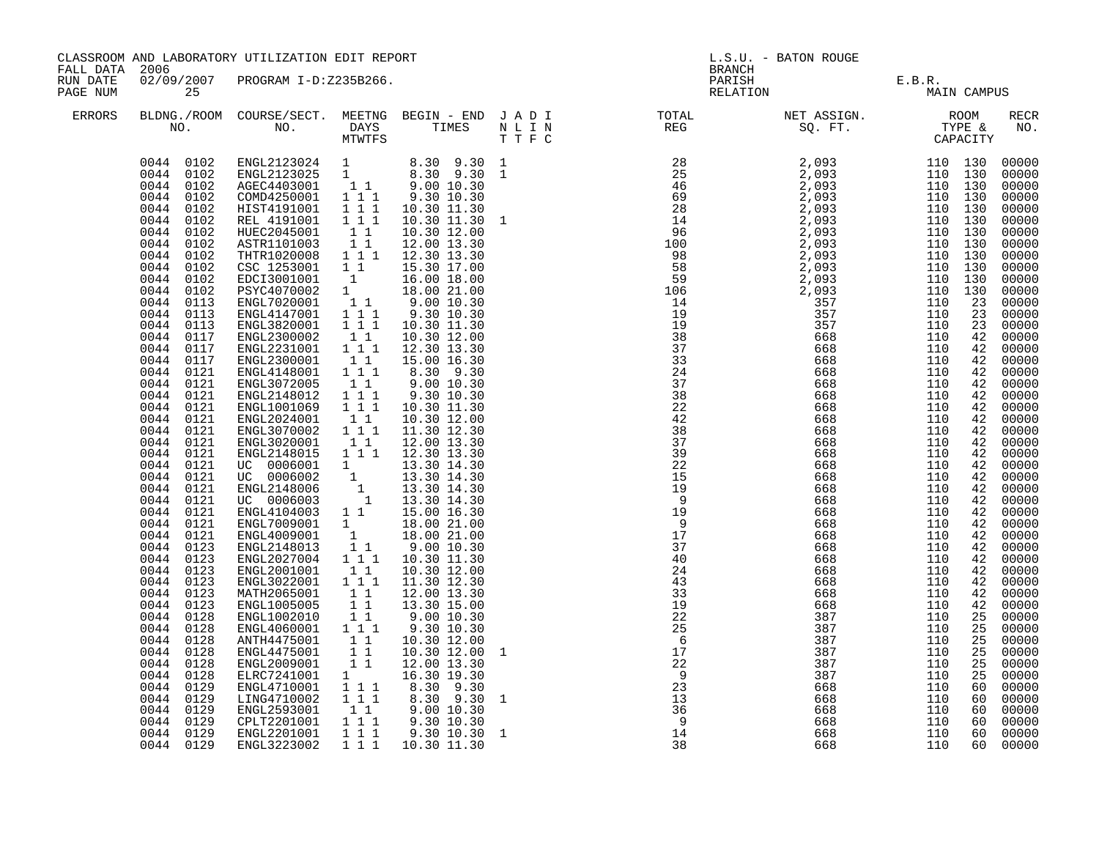| CLASSROOM AND LABORATORY UTILIZATION EDIT REPORT<br>FALL DATA 2006<br>02/09/2007 PROGRAM I-D:Z235B266.<br>RUN DATE |                                                                                                                                                                                                                                                                                                                                                                                                                                                                                                                                                                                                                                                                                                                                                            |                                                                                                                                                                                                                                                                                                                                                                                                                                                                                                                                                                                                                                                                                                                                                                                                                                                                                                                                                                                |                                                                                                                                                                                                                                                                                                                                                                                                                                                                                        |                                                                       | L.S.U. - BATON ROUGE |                                                                                                                                                                                                                                                                                                                                                                                                                |                                 |                                 |                            |                                                                                                                                                                                                                                                                                                                                                                                                                                                                   |
|--------------------------------------------------------------------------------------------------------------------|------------------------------------------------------------------------------------------------------------------------------------------------------------------------------------------------------------------------------------------------------------------------------------------------------------------------------------------------------------------------------------------------------------------------------------------------------------------------------------------------------------------------------------------------------------------------------------------------------------------------------------------------------------------------------------------------------------------------------------------------------------|--------------------------------------------------------------------------------------------------------------------------------------------------------------------------------------------------------------------------------------------------------------------------------------------------------------------------------------------------------------------------------------------------------------------------------------------------------------------------------------------------------------------------------------------------------------------------------------------------------------------------------------------------------------------------------------------------------------------------------------------------------------------------------------------------------------------------------------------------------------------------------------------------------------------------------------------------------------------------------|----------------------------------------------------------------------------------------------------------------------------------------------------------------------------------------------------------------------------------------------------------------------------------------------------------------------------------------------------------------------------------------------------------------------------------------------------------------------------------------|-----------------------------------------------------------------------|----------------------|----------------------------------------------------------------------------------------------------------------------------------------------------------------------------------------------------------------------------------------------------------------------------------------------------------------------------------------------------------------------------------------------------------------|---------------------------------|---------------------------------|----------------------------|-------------------------------------------------------------------------------------------------------------------------------------------------------------------------------------------------------------------------------------------------------------------------------------------------------------------------------------------------------------------------------------------------------------------------------------------------------------------|
| PAGE NUM                                                                                                           | 25                                                                                                                                                                                                                                                                                                                                                                                                                                                                                                                                                                                                                                                                                                                                                         |                                                                                                                                                                                                                                                                                                                                                                                                                                                                                                                                                                                                                                                                                                                                                                                                                                                                                                                                                                                |                                                                                                                                                                                                                                                                                                                                                                                                                                                                                        |                                                                       |                      |                                                                                                                                                                                                                                                                                                                                                                                                                | E.B.R.<br>MAIN CAMPUS           |                                 |                            |                                                                                                                                                                                                                                                                                                                                                                                                                                                                   |
| ERRORS                                                                                                             |                                                                                                                                                                                                                                                                                                                                                                                                                                                                                                                                                                                                                                                                                                                                                            |                                                                                                                                                                                                                                                                                                                                                                                                                                                                                                                                                                                                                                                                                                                                                                                                                                                                                                                                                                                |                                                                                                                                                                                                                                                                                                                                                                                                                                                                                        |                                                                       |                      | $\begin{tabular}{lllllllllllllllllllll} \textsc{BLONG.} \textsc{F1} & \textsc{R1} & \textsc{R2} & \textsc{R3} & \textsc{R4} & \textsc{R5} & \textsc{R5} & \textsc{R6} & \textsc{R6} & \textsc{R6} & \textsc{R6} & \textsc{R6} & \textsc{R6} & \textsc{R6} & \textsc{R6} & \textsc{R6} & \textsc{R6} & \textsc{R6} & \textsc{R6} & \textsc{R6} & \textsc{R6} & \textsc{R6} & \textsc{R6} & \textsc{R6} & \text$ |                                 |                                 |                            | RECR<br>NO.                                                                                                                                                                                                                                                                                                                                                                                                                                                       |
|                                                                                                                    | 0044 0102<br>0044 0102<br>0044 0102<br>0044 0102<br>0044 0102<br>0044<br>0102<br>0044 0102<br>0044<br>0102<br>0044<br>0102<br>0044 0102<br>0044 0102<br>0044<br>0102<br>0044 0113<br>0044 0113<br>0044 0113<br>0044<br>0117<br>0044<br>0117<br>0044 0117<br>0044 0121<br>0044<br>0121<br>0044<br>0121<br>0044<br>0121<br>0044<br>0121<br>0044<br>0121<br>0044<br>0121<br>0044<br>0121<br>0044<br>0121<br>0044<br>0121<br>0044<br>0121<br>0044<br>0121<br>0044 0121<br>0044 0121<br>0044 0121<br>0044 0123<br>0044 0123<br>0044 0123<br>0044<br>0123<br>0044<br>0123<br>0044 0123<br>0044 0128<br>0044<br>0128<br>0044<br>0128<br>0044<br>0128<br>0044<br>0128<br>0044<br>0128<br>0044<br>0129<br>0044<br>0129<br>0044<br>0129<br>0044<br>0129<br>0044 0129 | ENGL2123024 1 8.30 9.30 1<br>ENGL2123025 1 8.30 9.30 1<br>AGEC4403001 11 9.00 10.30<br>COMD4250001<br>HIST4191001<br>REL 4191001<br>HUEC2045001<br>ASTR1101003<br>THTR1020008 1 1 1<br>CSC 1253001<br>EDCI3001001<br>PSYC4070002<br>ENGL7020001<br>ENGL4147001<br>ENGL3820001<br>ENGL2300002<br>ENGL2231001<br>ENGL2300001<br>ENGL4148001<br>ENGL3072005<br>ENGL2148012<br>ENGL1001069<br>ENGL2024001<br>ENGL3070002<br>ENGL3020001<br>ENGL2148015 1 1 1 12.30 13.30<br>$\begin{array}{ccc} 1 & 1 & 1 \ 0 & 0 & 0 & 0 & 0 & 0 \ 0 & 0 & 0 & 0 & 0 & 0 & 0 \ 0 & 0 & 0 & 0 & 0 & 0 & 0 \ 0 & 0 & 0 & 0 & 0 & 0 & 0 \ 0 & 0 & 0 & 0 & 0 & 0 & 0 \end{array}$<br>ENGL4104003 1 1<br>ENGL7009001 1<br>ENGL4009001 1<br>ENGL2148013<br>ENGL2027004<br>ENGL2001001<br>ENGL3022001<br>MATH2065001<br>ENGL1005005<br>ENGL1002010<br>ENGL4060001<br>ANTH4475001<br>ENGL4475001<br>ENGL2009001<br>ELRC7241001<br>ENGL4710001<br>LING4710002<br>ENGL2593001<br>CPLT2201001<br>ENGL2201001 | 1 1 1<br>$1 1 1$<br>111<br>$1\quad1$<br>11<br>$1\quad1$<br>$\begin{smallmatrix} &1\\1&\end{smallmatrix}$<br>11<br>$1\overline{1}$<br>1 1 1<br>$1\quad1$<br>$1\quad1$<br>1 1 1<br>11<br>1 1 1<br>$1 1 1$<br>$1\quad1$<br>$1^{\overline{1}}1^{\overline{1}}$<br>$1\quad1$<br>$1\quad1$<br>1 1 1<br>$1\quad1$<br>$1^{\degree}1^{\degree}1$<br>11<br>11<br>$\begin{smallmatrix}1&1\\1&1&1\end{smallmatrix}$<br>$1\quad1$<br>11<br>$1\quad1$<br>1<br>1 1 1<br>1 1 1<br>11<br>1 1 1<br>1 1 1 | 8.30 9.30<br>8.30 9.30<br>$9.00\ 10.30$<br>9.30 10.30<br>9.30 10.30 1 | $\mathbf{1}$         | $2\overline{3}$<br>13<br>36<br>$\overline{9}$<br>14                                                                                                                                                                                                                                                                                                                                                            | 668<br>668<br>668<br>668<br>668 | 110<br>110<br>110<br>110<br>110 | 60<br>60<br>60<br>60<br>60 | 00000<br>00000<br>00000<br>00000<br>00000<br>00000<br>00000<br>00000<br>00000<br>00000<br>00000<br>00000<br>00000<br>00000<br>00000<br>00000<br>00000<br>00000<br>00000<br>00000<br>00000<br>00000<br>00000<br>00000<br>00000<br>00000<br>00000<br>00000<br>00000<br>00000<br>00000<br>00000<br>00000<br>42 00000<br>00000<br>00000<br>00000<br>00000<br>00000<br>00000<br>00000<br>00000<br>00000<br>00000<br>00000<br>00000<br>00000<br>00000<br>00000<br>00000 |
|                                                                                                                    | 0044 0129                                                                                                                                                                                                                                                                                                                                                                                                                                                                                                                                                                                                                                                                                                                                                  | ENGL3223002                                                                                                                                                                                                                                                                                                                                                                                                                                                                                                                                                                                                                                                                                                                                                                                                                                                                                                                                                                    |                                                                                                                                                                                                                                                                                                                                                                                                                                                                                        | 1 1 1 1 10.30 11.30                                                   |                      | 38                                                                                                                                                                                                                                                                                                                                                                                                             | 668                             | 110                             | 60                         | 00000                                                                                                                                                                                                                                                                                                                                                                                                                                                             |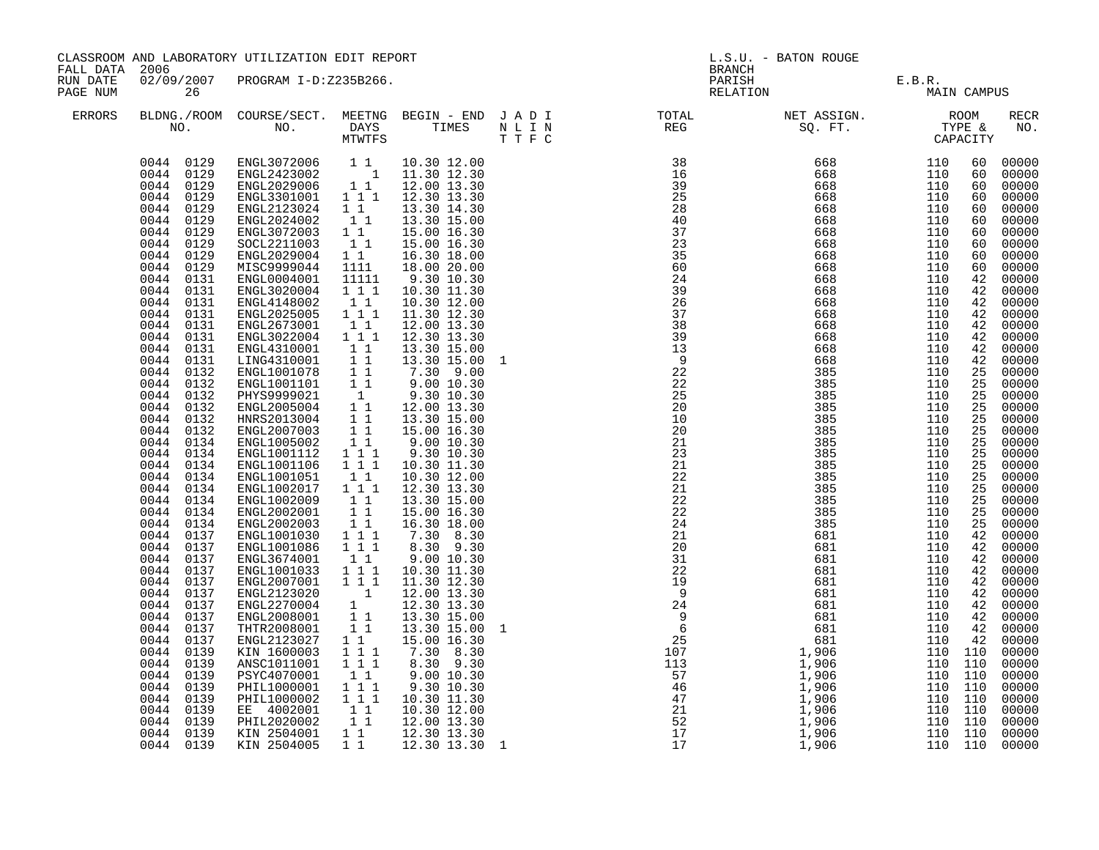| CLASSROOM AND LABORATORY UTILIZATION EDIT REPORT<br>FALL DATA<br>2006<br>02/09/2007 PROGRAM I-D:Z235B266.<br>RUN DATE |                                                                                                                                                                                                                                                                                                                                                                                                                                                                                                                                                                                                                                                                                                                                                                   |                                                                                                                                                                                                                                                                                                                                                                                                                                                                                                                                                                                                                                                                                                                               |                                                                                                                                                                                                                                                                                                                                                                                                                                                                                                                                  | L.S.U. - BATON ROUGE<br><b>BRANCH</b><br>PARISH<br>E.B.R.<br>MAIN CAMPUS                                                                                                                                                                                                                                                                                                                                                                                                                                                                                                                                                                                                                                     |   |                                                                                                                                                                                                                                                                                                                                                                                                                                                                |                                                                                                                                                                                                                                                          |                                                                                                                                                                                                                                                                                                                                    |                                                                                                                                                                                                                                                     |                                                                                                                                                                                                                                                                                                                                                                                                                                                                         |
|-----------------------------------------------------------------------------------------------------------------------|-------------------------------------------------------------------------------------------------------------------------------------------------------------------------------------------------------------------------------------------------------------------------------------------------------------------------------------------------------------------------------------------------------------------------------------------------------------------------------------------------------------------------------------------------------------------------------------------------------------------------------------------------------------------------------------------------------------------------------------------------------------------|-------------------------------------------------------------------------------------------------------------------------------------------------------------------------------------------------------------------------------------------------------------------------------------------------------------------------------------------------------------------------------------------------------------------------------------------------------------------------------------------------------------------------------------------------------------------------------------------------------------------------------------------------------------------------------------------------------------------------------|----------------------------------------------------------------------------------------------------------------------------------------------------------------------------------------------------------------------------------------------------------------------------------------------------------------------------------------------------------------------------------------------------------------------------------------------------------------------------------------------------------------------------------|--------------------------------------------------------------------------------------------------------------------------------------------------------------------------------------------------------------------------------------------------------------------------------------------------------------------------------------------------------------------------------------------------------------------------------------------------------------------------------------------------------------------------------------------------------------------------------------------------------------------------------------------------------------------------------------------------------------|---|----------------------------------------------------------------------------------------------------------------------------------------------------------------------------------------------------------------------------------------------------------------------------------------------------------------------------------------------------------------------------------------------------------------------------------------------------------------|----------------------------------------------------------------------------------------------------------------------------------------------------------------------------------------------------------------------------------------------------------|------------------------------------------------------------------------------------------------------------------------------------------------------------------------------------------------------------------------------------------------------------------------------------------------------------------------------------|-----------------------------------------------------------------------------------------------------------------------------------------------------------------------------------------------------------------------------------------------------|-------------------------------------------------------------------------------------------------------------------------------------------------------------------------------------------------------------------------------------------------------------------------------------------------------------------------------------------------------------------------------------------------------------------------------------------------------------------------|
| PAGE NUM                                                                                                              | 26                                                                                                                                                                                                                                                                                                                                                                                                                                                                                                                                                                                                                                                                                                                                                                |                                                                                                                                                                                                                                                                                                                                                                                                                                                                                                                                                                                                                                                                                                                               |                                                                                                                                                                                                                                                                                                                                                                                                                                                                                                                                  |                                                                                                                                                                                                                                                                                                                                                                                                                                                                                                                                                                                                                                                                                                              |   | RELATION                                                                                                                                                                                                                                                                                                                                                                                                                                                       |                                                                                                                                                                                                                                                          |                                                                                                                                                                                                                                                                                                                                    |                                                                                                                                                                                                                                                     |                                                                                                                                                                                                                                                                                                                                                                                                                                                                         |
| ERRORS                                                                                                                |                                                                                                                                                                                                                                                                                                                                                                                                                                                                                                                                                                                                                                                                                                                                                                   |                                                                                                                                                                                                                                                                                                                                                                                                                                                                                                                                                                                                                                                                                                                               |                                                                                                                                                                                                                                                                                                                                                                                                                                                                                                                                  |                                                                                                                                                                                                                                                                                                                                                                                                                                                                                                                                                                                                                                                                                                              |   | $\begin{array}{cccccccccccccc} \texttt{BLDNA} \cdot \texttt{ROOM} & \texttt{COURSE/SECT.} & \texttt{METING} & \texttt{BEGIN} & - & \texttt{END} & \texttt{J} & \texttt{A} & \texttt{D} & \texttt{I} & & & & \texttt{TOTAL} & & & \texttt{NET} & \texttt{ASSIGN.} & & & \texttt{ROOM} \\ \texttt{NO.} & \texttt{NO.} & \texttt{DAYS} & \texttt{TIMES} & \texttt{N} & \texttt{L} & \texttt{I} & & & & \texttt{REG} & & & \texttt{SQ. FT.} & & & \texttt{TYPE} &$ |                                                                                                                                                                                                                                                          |                                                                                                                                                                                                                                                                                                                                    |                                                                                                                                                                                                                                                     | <b>RECR</b><br>NO.                                                                                                                                                                                                                                                                                                                                                                                                                                                      |
|                                                                                                                       | 0044 0129<br>0044 0129<br>0044 0129<br>$0044$ $0129$<br>0044<br>0129<br>0044<br>0129<br>0044<br>0129<br>0044<br>0129<br>0044<br>0129<br>0044<br>0129<br>0044<br>0131<br>0044<br>0131<br>0044<br>0131<br>0044<br>0131<br>0044 0131<br>0044 0131<br>0044 0131<br>0044 0131<br>0044 0132<br>0044 0132<br>0044 0132<br>0044 0132<br>0044 0132<br>0044 0132<br>0044<br>0134<br>0044<br>0134<br>0044<br>0134<br>0044<br>0134<br>0044<br>0134<br>0044<br>0134<br>0044<br>0134<br>0044<br>0134<br>0044<br>0137<br>0044<br>0137<br>0044<br>0137<br>0044 0137<br>0044 0137<br>0044 0137<br>0044 0137<br>0044 0137<br>0044 0137<br>0044<br>0137<br>0044<br>0139<br>0044<br>0139<br>0044<br>0139<br>0044<br>0139<br>0044<br>0139<br>0044<br>0139<br>0044<br>0139<br>0044 0139 | ENGL2123024<br>ENGL2024002<br>ENGL3072003<br>SOCL2211003<br>ENGL2029004<br>MISC9999044<br>ENGL0004001<br>ENGL3020004<br>ENGL4148002<br>ENGL2025005<br>ENGL2673001<br>ENGL3022004<br>ENGL4310001<br>LING4310001<br>ENGL1001078<br>ENGL1001101<br>PHYS9999021<br>ENGL2005004<br>HNRS2013004<br>ENGL2007003<br>ENGL1005002<br>ENGL1001112<br>ENGL1001106<br>ENGL1001051<br>ENGL1002017 1 1 1<br>ENGL1002009<br>ENGL2002001<br>ENGL2002003<br>ENGL1001030<br>ENGL1001086<br>ENGL3674001<br>ENGL1001033 1 1 1<br>ENGL2007001 111<br>ENGL2123020<br>ENGL2270004<br>ENGL2008001<br>THTR2008001<br>ENGL2123027<br>KIN 1600003<br>ANSC1011001<br>PSYC4070001<br>PHIL1000001<br>PHIL1000002<br>EE 4002001<br>PHIL2020002<br>KIN 2504001 | $\begin{smallmatrix}1&&1\\&1\\1&&1\end{smallmatrix}$<br>$1\quad1$<br>11<br>$1\quad1$<br>1111<br>11111<br>111<br>$1\quad1$<br>$1 1 1$<br>$1\quad1$<br>$1 1 1$<br>11<br>11<br>$1\quad1$<br>$1\quad1$<br>$\overline{1}$<br>11<br>11<br>11<br>11<br>1 1 1<br>$1\ 1\ 1$<br>$1\quad1$<br>11<br>$\overline{1}$ 1<br>11<br>1 1 1<br>$1\quad 1\quad 1$<br>$1\quad1$<br>$\begin{smallmatrix}&&1\\&&1\\1&&\end{smallmatrix}$<br>11<br>11<br>$1\quad1$<br>111<br>$1 1 1$<br>$1\quad1$<br>$1\ \ 1\ \ 1$<br>$1\ 1\ 1$<br>11<br>11<br>$1\quad1$ | 13.30 14.30<br>13.30 15.00<br>15.00 16.30<br>15.00 16.30<br>16.30 18.00<br>18.00 20.00<br>9.30 10.30<br>10.30 11.30<br>10.30 12.00<br>11.30 12.30<br>12.00 13.30<br>12.30 13.30<br>13.30 15.00<br>13.30 15.00<br>7.30 9.00<br>$9.00$ 10.30<br>9.30 10.30<br>9.30 10.30<br>12.00 13.30<br>13.30 15.00<br>15.00 16.30<br>9.00 10.30<br>9.30 10.30<br>10.30 11.30<br>10.30 12.00<br>12.30 13.30<br>13.30 15.00<br>15.00 16.30<br>16.30 18.00<br>7.30 8.30<br>8.30 9.30<br>9.00 10.30<br>10.30 11.30<br>11.30 12.30<br>12.00 13.30<br>12.30 13.30<br>13.30 15.00<br>13.30 15.00<br>15.00 16.30<br>7.30 8.30<br>8.30 9.30<br>9.00 10.30<br>9.30 10.30<br>10.30 11.30<br>10.30 12.00<br>12.00 13.30<br>12.30 13.30 | 1 | $\begin{array}{cccc} 38 & 668 & 110 \\ 16 & 668 & 110 \\ 39 & 668 & 110 \\ 25 & 668 & 110 \\ 28 & 668 & 110 \\ 40 & 668 & 110 \\ 37 & 668 & 110 \\ 23 & 668 & 110 \\ 35 & 668 & 110 \\ 35 & 668 & 110 \\ \end{array}$<br>35<br>60<br>24<br>39<br>26<br>37<br>38<br>39<br>13<br>$\frac{9}{22}$<br>22<br>25<br>20<br>10<br>20<br>21<br>$\overline{2}\overline{3}$<br>$\overline{21}$<br>22<br>21<br>22<br>22<br>24<br>21                                         | 668<br>668<br>668<br>668<br>668<br>668<br>668<br>668<br>668<br>668<br>385<br>385<br>385<br>385<br>385<br>385<br>385<br>385<br>385<br>385<br>385<br>385<br>385<br>385<br>681<br>$1,906$<br>$1,906$<br>$1,906$<br>$1,906$<br>$1,906$<br>$1,906$<br>$1,906$ | 110<br>110<br>110<br>110<br>110<br>110<br>110<br>110<br>110<br>110<br>110<br>110<br>110<br>110<br>110<br>110<br>110<br>110<br>110<br>110<br>110<br>110<br>110<br>110<br>110<br>110<br>110<br>110<br>110<br>110<br>110<br>110<br>110<br>110<br>110 110<br>110 110<br>110 110<br>110 110<br>110 110<br>110 110<br>110 110<br>110 110 | 60<br>60<br>60<br>60<br>60<br>60<br>60<br>60<br>60<br>60<br>42<br>42<br>42<br>42<br>42<br>42<br>42<br>42<br>25<br>25<br>25<br>25<br>25<br>25<br>25<br>25<br>25<br>25<br>25<br>25<br>$\overline{25}$<br>25<br>42<br>42<br>42<br>42<br>42<br>42<br>42 | 00000<br>00000<br>00000<br>00000<br>00000<br>00000<br>00000<br>00000<br>00000<br>00000<br>00000<br>00000<br>00000<br>00000<br>00000<br>00000<br>00000<br>00000<br>00000<br>00000<br>00000<br>00000<br>00000<br>00000<br>00000<br>00000<br>00000<br>00000<br>00000<br>00000<br>00000<br>00000<br>00000<br>00000<br>42 00000<br>00000<br>00000<br>42 00000<br>42 00000<br>00000<br>00000<br>00000<br>00000<br>00000<br>00000<br>00000<br>00000<br>00000<br>00000<br>00000 |
|                                                                                                                       | 0044 0139                                                                                                                                                                                                                                                                                                                                                                                                                                                                                                                                                                                                                                                                                                                                                         | KIN 2504005                                                                                                                                                                                                                                                                                                                                                                                                                                                                                                                                                                                                                                                                                                                   | $1\quad1$                                                                                                                                                                                                                                                                                                                                                                                                                                                                                                                        | 12.30 13.30 1                                                                                                                                                                                                                                                                                                                                                                                                                                                                                                                                                                                                                                                                                                |   |                                                                                                                                                                                                                                                                                                                                                                                                                                                                |                                                                                                                                                                                                                                                          | 110 110                                                                                                                                                                                                                                                                                                                            |                                                                                                                                                                                                                                                     | 00000                                                                                                                                                                                                                                                                                                                                                                                                                                                                   |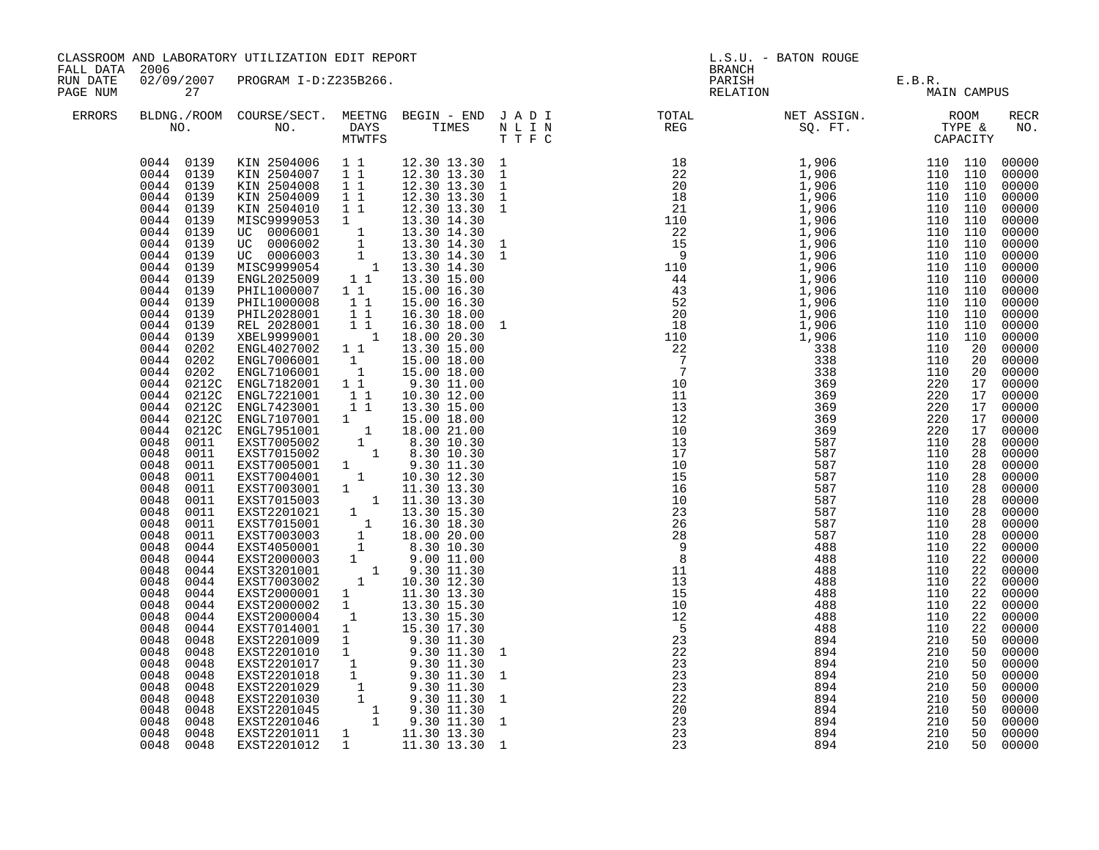| CLASSROOM AND LABORATORY UTILIZATION EDIT REPORT<br>FALL DATA 2006<br>02/09/2007 PROGRAM I-D:Z235B266.<br>RUN DATE |                                                                                                                                                                                                                                                                                                                                                                                                                                                                                                                                                                                                                                                                                                                                             |                                                                                                                                                                                                                                                                                                                                                                                                                                                                                                                                                                                                                                                                                                                                                                                                                                                                                                                                                                                                                                                                                                                                 | <b>BRANCH</b>                                           | L.S.U. - BATON ROUGE                                                                                                                                                                                                                                                                         |                                                   |                                                                                                        |                                                                           |                                                                           |                                                                |                                                                                                                                                                                                                                                                                                                                                                                                                                                                         |
|--------------------------------------------------------------------------------------------------------------------|---------------------------------------------------------------------------------------------------------------------------------------------------------------------------------------------------------------------------------------------------------------------------------------------------------------------------------------------------------------------------------------------------------------------------------------------------------------------------------------------------------------------------------------------------------------------------------------------------------------------------------------------------------------------------------------------------------------------------------------------|---------------------------------------------------------------------------------------------------------------------------------------------------------------------------------------------------------------------------------------------------------------------------------------------------------------------------------------------------------------------------------------------------------------------------------------------------------------------------------------------------------------------------------------------------------------------------------------------------------------------------------------------------------------------------------------------------------------------------------------------------------------------------------------------------------------------------------------------------------------------------------------------------------------------------------------------------------------------------------------------------------------------------------------------------------------------------------------------------------------------------------|---------------------------------------------------------|----------------------------------------------------------------------------------------------------------------------------------------------------------------------------------------------------------------------------------------------------------------------------------------------|---------------------------------------------------|--------------------------------------------------------------------------------------------------------|---------------------------------------------------------------------------|---------------------------------------------------------------------------|----------------------------------------------------------------|-------------------------------------------------------------------------------------------------------------------------------------------------------------------------------------------------------------------------------------------------------------------------------------------------------------------------------------------------------------------------------------------------------------------------------------------------------------------------|
| PAGE NUM                                                                                                           | 27                                                                                                                                                                                                                                                                                                                                                                                                                                                                                                                                                                                                                                                                                                                                          |                                                                                                                                                                                                                                                                                                                                                                                                                                                                                                                                                                                                                                                                                                                                                                                                                                                                                                                                                                                                                                                                                                                                 |                                                         |                                                                                                                                                                                                                                                                                              |                                                   |                                                                                                        | PARISH E.B.R.<br>RELATION MAIN CAMPUS                                     |                                                                           |                                                                |                                                                                                                                                                                                                                                                                                                                                                                                                                                                         |
| ERRORS                                                                                                             |                                                                                                                                                                                                                                                                                                                                                                                                                                                                                                                                                                                                                                                                                                                                             |                                                                                                                                                                                                                                                                                                                                                                                                                                                                                                                                                                                                                                                                                                                                                                                                                                                                                                                                                                                                                                                                                                                                 |                                                         |                                                                                                                                                                                                                                                                                              |                                                   |                                                                                                        |                                                                           |                                                                           |                                                                | RECR<br>NO.                                                                                                                                                                                                                                                                                                                                                                                                                                                             |
|                                                                                                                    | 0044 0139<br>0044 0139<br>0044 0139<br>0044 0139<br>0044 0139<br>0044 0139<br>0044 0139<br>0044 0139<br>0044 0139<br>0044 0139<br>0044<br>0139<br>0044 0139<br>0044<br>0139<br>0044<br>0139<br>0044<br>0139<br>0044<br>0202<br>0044<br>0202<br>0044<br>0044<br>0044<br>0212C<br>0044<br>0212C<br>0044<br>0044<br>0212C<br>0048<br>0048<br>0048<br>0048<br>0011<br>0048<br>0011<br>0048<br>0011<br>0048<br>0011<br>0048<br>0011<br>0048<br>0011<br>0048<br>0044<br>0048<br>0044<br>0048<br>0044<br>0048<br>0044<br>0048<br>0044<br>0048<br>0044<br>0048<br>0044<br>0048<br>0044<br>0048<br>0048<br>0048<br>0048<br>0048<br>0048<br>0048<br>0048<br>0048<br>0048<br>0048<br>0048<br>0048<br>0048<br>0048<br>0048<br>0048<br>0048<br>0048 0048 | 0044 0139 KIN 2504006 11 12.30 13.30 1<br>XIN 2504007 11 12.30 13.30 1<br>XIN 2504008 11 12.30 13.30 1<br>KIN 2504009 1 1<br>KIN 2504010<br>XIM 25999053 1<br>MISC9999053 1 13.30 14.30<br>UC 0006002 1 13.30 14.30<br>UC 0006002 1 13.30 14.30<br>UC 0006002 1 13.30 14.30<br>UC 0006003 1 13.30 14.30<br>MISC9999054 1 13.30 14.30<br>ENGL2025009 1 1 13.30 15.00<br>PHILI000007 1 1 15.<br>PHIL1000008<br>PHIL2028001<br>REL 2028001<br>XBEL9999001<br>ENGL4027002 1 1 13.30 15.00<br>0202 ENGL7006001 1 15.00 18.00<br>0202 ENGL7106001 1 15.00 18.00<br>0212C ENGL7182001 1 1 9.30 11.00<br>ENGL7221001 11<br>ENGL7423001 11<br>0212C ENGL7107001 1 15.00 18.00<br>0212C ENGL7107001 1 18.00 21.00<br>0212C ENGL7951001 1 18.00 21.00<br>0011 EXST7015002 1 8.30 10.30<br>0011 EXST7015002 1 8.30 10.30<br>0011 EXST7005001 1 9.30 11.30<br>EXST7005001 1 9.30 11.30<br>EXST7003001 1 10.30 12.30<br>EXST7003001 1 11.30 13.30<br>EXST7015003 1 11.30 13.30<br>EXST7015003 1 13.30 15.30<br>EXST7015001 1 16.30 18.30<br>EXST7003003 1 18.00 20.00<br>EXST4050001 1 9.30 11.00<br>EXST3201<br>EXST2000004<br>EXST7014001 1 | $1\quad1$<br>$1\quad1$<br>$\overline{1}$ $\overline{1}$ | 12.30 13.30<br>12.30 13.30 1<br>13.30 14.30 1<br>15.00 16.30<br>16.30 18.00<br>$1\quad 1 \quad 16.30\ 18.00 \ 1 \quad 18.00\ 20.30$<br>16.30 18.00<br>10.30 12.00<br>13.30 15.00<br>13.30 15.30<br>$\begin{array}{cccc} 1 & 13.30 & 15.30 \\ 1 & 15.30 & 17.30 \end{array}$<br>11.30 13.30 1 | $\mathbf{1}$<br>1<br>$\mathbf{1}$<br>$\mathbf{1}$ | $5^{\circ}$<br>23<br>22<br>23<br>$\begin{array}{r} 23 \\ 22 \\ 20 \\ 23 \\ 23 \\ 23 \\ 27 \end{array}$ | 488<br>894<br>894<br>894<br>894<br>894<br>894<br>894<br>894<br>894<br>894 | 110<br>210<br>210<br>210<br>210<br>210<br>210<br>210<br>210<br>210<br>210 | 22<br>50<br>50<br>50<br>50<br>50<br>50<br>50<br>50<br>50<br>50 | 00000<br>00000<br>00000<br>00000<br>00000<br>00000<br>00000<br>00000<br>00000<br>00000<br>00000<br>00000<br>00000<br>00000<br>00000<br>00000<br>00000<br>00000<br>00000<br>00000<br>00000<br>00000<br>00000<br>00000<br>00000<br>00000<br>00000<br>00000<br>00000<br>00000<br>00000<br>00000<br>00000<br>00000<br>00000<br>00000<br>00000<br>00000<br>00000<br>00000<br>00000<br>00000<br>00000<br>00000<br>00000<br>00000<br>00000<br>00000<br>00000<br>00000<br>00000 |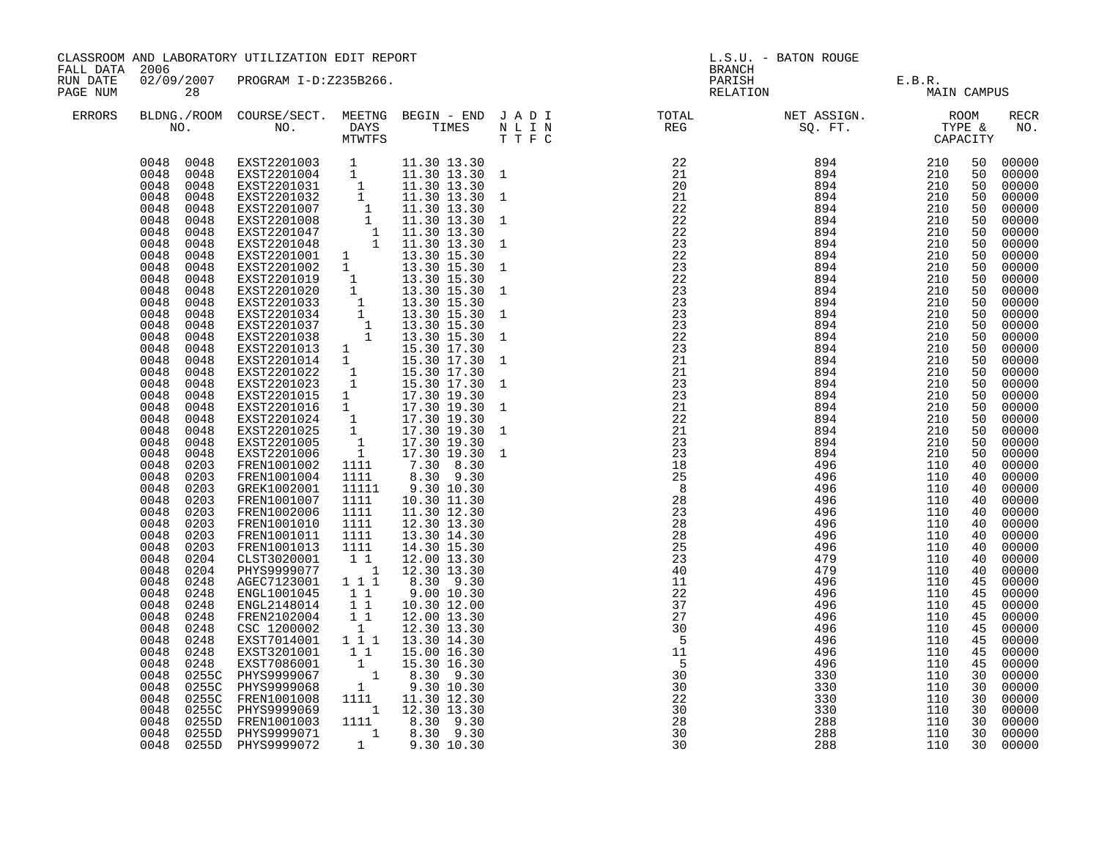| CLASSROOM AND LABORATORY UTILIZATION EDIT REPORT<br>FALL DATA 2006<br>RUN DATE<br>28 |              |              |                                                                                                                                                                                                                                                                                                                                                                                                                                                                                                                                   |                                                |                                         |          |                                       |            |          |                |
|--------------------------------------------------------------------------------------|--------------|--------------|-----------------------------------------------------------------------------------------------------------------------------------------------------------------------------------------------------------------------------------------------------------------------------------------------------------------------------------------------------------------------------------------------------------------------------------------------------------------------------------------------------------------------------------|------------------------------------------------|-----------------------------------------|----------|---------------------------------------|------------|----------|----------------|
| PAGE NUM                                                                             |              |              | 02/09/2007 PROGRAM I-D:Z235B266.                                                                                                                                                                                                                                                                                                                                                                                                                                                                                                  |                                                |                                         |          | PARISH E.B.R.<br>RELATION MAIN CAMPUS |            |          |                |
| ERRORS                                                                               |              |              |                                                                                                                                                                                                                                                                                                                                                                                                                                                                                                                                   |                                                |                                         |          |                                       |            |          | RECR<br>NO.    |
|                                                                                      |              |              | $\begin{tabular}{cccc} 0048 & 0048 & EXST2201003 & 1 & 11.30 13.30 \\ 0048 & 0048 & EXST2201004 & 1 & 11.30 13.30 1 \\ 0048 & 0048 & EXST2201031 & 1 & 11.30 13.30 \\ 0048 & 0048 & EXST2201032 & 1 & 11.30 13.30 1 \\ 0048 & 0048 & EXST2201007 & 1 & 11.30 13.30 1 \\ 0048 & 0048 & EXST22$                                                                                                                                                                                                                                     |                                                |                                         |          |                                       |            |          | 00000          |
|                                                                                      |              |              |                                                                                                                                                                                                                                                                                                                                                                                                                                                                                                                                   |                                                |                                         |          |                                       |            |          | 00000          |
|                                                                                      |              |              |                                                                                                                                                                                                                                                                                                                                                                                                                                                                                                                                   |                                                |                                         |          |                                       |            |          | 00000          |
|                                                                                      |              |              |                                                                                                                                                                                                                                                                                                                                                                                                                                                                                                                                   |                                                |                                         |          |                                       |            |          | 00000          |
|                                                                                      |              |              |                                                                                                                                                                                                                                                                                                                                                                                                                                                                                                                                   |                                                |                                         |          |                                       |            |          | 00000          |
|                                                                                      |              |              |                                                                                                                                                                                                                                                                                                                                                                                                                                                                                                                                   |                                                |                                         |          |                                       |            |          | 00000          |
|                                                                                      |              |              |                                                                                                                                                                                                                                                                                                                                                                                                                                                                                                                                   |                                                |                                         |          |                                       |            |          | 00000          |
|                                                                                      |              |              |                                                                                                                                                                                                                                                                                                                                                                                                                                                                                                                                   |                                                |                                         |          |                                       |            |          | 00000          |
|                                                                                      | 0048         | 0048         |                                                                                                                                                                                                                                                                                                                                                                                                                                                                                                                                   |                                                |                                         |          |                                       |            |          | 00000          |
|                                                                                      | 0048<br>0048 | 0048<br>0048 |                                                                                                                                                                                                                                                                                                                                                                                                                                                                                                                                   |                                                |                                         |          |                                       |            |          | 00000<br>00000 |
|                                                                                      | 0048         | 0048         |                                                                                                                                                                                                                                                                                                                                                                                                                                                                                                                                   |                                                |                                         |          |                                       |            |          | 00000          |
|                                                                                      | 0048         | 0048         |                                                                                                                                                                                                                                                                                                                                                                                                                                                                                                                                   |                                                |                                         |          |                                       |            |          | 00000          |
|                                                                                      | 0048         | 0048         |                                                                                                                                                                                                                                                                                                                                                                                                                                                                                                                                   |                                                |                                         |          |                                       |            |          | 00000          |
|                                                                                      | 0048         | 0048         |                                                                                                                                                                                                                                                                                                                                                                                                                                                                                                                                   |                                                |                                         |          |                                       |            |          | 00000          |
|                                                                                      | 0048         | 0048         |                                                                                                                                                                                                                                                                                                                                                                                                                                                                                                                                   |                                                |                                         |          |                                       |            |          | 00000          |
|                                                                                      | 0048         | 0048         |                                                                                                                                                                                                                                                                                                                                                                                                                                                                                                                                   |                                                |                                         |          |                                       |            |          | 00000          |
|                                                                                      | 0048         | 0048         |                                                                                                                                                                                                                                                                                                                                                                                                                                                                                                                                   |                                                |                                         |          |                                       |            |          | 00000          |
|                                                                                      | 0048         | 0048         |                                                                                                                                                                                                                                                                                                                                                                                                                                                                                                                                   |                                                |                                         |          |                                       |            |          | 00000          |
|                                                                                      | 0048         | 0048         | $\begin{tabular}{@{}c@{\thinspace}c@{\thinspace}c@{\thinspace}c@{\thinspace}c@{\thinspace}c@{\thinspace}c@{\thinspace}c@{\thinspace}c@{\thinspace}c@{\thinspace}c@{\thinspace}c@{\thinspace}c@{\thinspace}c@{\thinspace}c@{\thinspace}c@{\thinspace}c@{\thinspace}c@{\thinspace}c@{\thinspace}c@{\thinspace}c@{\thinspace}c@{\thinspace}c@{\thinspace}c@{\thinspace}c@{\thinspace}c@{\thinspace}c@{\thinspace}c@{\thinspace}c@{\thinspace}c@{\thinspace}c@{\thinspace}c@{\thinspace}c@{\thinspace}c@{\thinspace}c@{\thinspace}c@$ |                                                |                                         |          |                                       |            |          | 00000          |
|                                                                                      | 0048         | 0048         | 17.30 19.30<br>EXST2201024 1 17.30 19.30<br>EXST2201024 1 17.30 19.30<br>EXST2201025 1 17.30 19.30<br>EXST2201005 1 17.30 19.30<br>EXST2201006 1 17.30 19.30<br>FRENT1001002 1111                                                                                                                                                                                                                                                                                                                                                 |                                                |                                         |          |                                       |            |          | 00000          |
|                                                                                      | 0048         | 0048         |                                                                                                                                                                                                                                                                                                                                                                                                                                                                                                                                   |                                                |                                         |          |                                       |            |          | 00000          |
|                                                                                      | 0048         | 0048         |                                                                                                                                                                                                                                                                                                                                                                                                                                                                                                                                   |                                                |                                         |          |                                       |            |          | 00000          |
|                                                                                      | 0048         | 0048         |                                                                                                                                                                                                                                                                                                                                                                                                                                                                                                                                   |                                                |                                         |          |                                       |            |          | 00000          |
|                                                                                      | 0048<br>0048 | 0048<br>0048 |                                                                                                                                                                                                                                                                                                                                                                                                                                                                                                                                   |                                                |                                         |          |                                       |            |          | 00000<br>00000 |
|                                                                                      | 0048         | 0203         |                                                                                                                                                                                                                                                                                                                                                                                                                                                                                                                                   |                                                |                                         |          |                                       |            |          | 00000          |
|                                                                                      | 0048         | 0203         | FREN1001004                                                                                                                                                                                                                                                                                                                                                                                                                                                                                                                       | 1111                                           |                                         |          |                                       |            |          | 00000          |
|                                                                                      | 0048         | 0203         | GREK1002001                                                                                                                                                                                                                                                                                                                                                                                                                                                                                                                       | 11111                                          |                                         |          |                                       |            |          | 00000          |
|                                                                                      | 0048         | 0203         | FREN1001007                                                                                                                                                                                                                                                                                                                                                                                                                                                                                                                       | 1111                                           |                                         |          |                                       |            |          | 00000          |
|                                                                                      | 0048         | 0203         | FREN1002006                                                                                                                                                                                                                                                                                                                                                                                                                                                                                                                       | 1111                                           |                                         |          |                                       |            |          | 00000          |
|                                                                                      | 0048         | 0203         | FREN1001010                                                                                                                                                                                                                                                                                                                                                                                                                                                                                                                       | 1111                                           |                                         |          |                                       |            |          | 00000          |
|                                                                                      | 0048         | 0203         | FREN1001011                                                                                                                                                                                                                                                                                                                                                                                                                                                                                                                       | 1111                                           |                                         |          |                                       |            |          | 00000          |
|                                                                                      | 0048         | 0203         | FREN1001013                                                                                                                                                                                                                                                                                                                                                                                                                                                                                                                       | 1111                                           |                                         |          |                                       |            |          | 00000          |
|                                                                                      | 0048         | 0204         | CLST3020001                                                                                                                                                                                                                                                                                                                                                                                                                                                                                                                       | $\begin{smallmatrix}1&1\\&1\end{smallmatrix}$  |                                         |          |                                       |            |          | 00000          |
|                                                                                      | 0048         | 0204         | PHYS9999077                                                                                                                                                                                                                                                                                                                                                                                                                                                                                                                       |                                                | 12.30 13.30                             | 40       | 479                                   | 110        | 40       | 00000          |
|                                                                                      | 0048         | 0248         | AGEC7123001 111                                                                                                                                                                                                                                                                                                                                                                                                                                                                                                                   |                                                | 8.30 9.30                               | 11       | 496                                   | 110        | 45       | 00000          |
|                                                                                      | 0048<br>0048 | 0248         | ENGL1001045                                                                                                                                                                                                                                                                                                                                                                                                                                                                                                                       | $\begin{smallmatrix}1&1\\1&1\end{smallmatrix}$ | 9.00 10.30                              | 22<br>37 | 496                                   | 110<br>110 | 45       | 00000          |
|                                                                                      |              | 0248         | ENGL2148014                                                                                                                                                                                                                                                                                                                                                                                                                                                                                                                       |                                                | 10.30 12.00                             |          | 496                                   |            | 45       | 00000          |
|                                                                                      | 0048<br>0048 | 0248<br>0248 | FREN2102004<br>CSC 1200002                                                                                                                                                                                                                                                                                                                                                                                                                                                                                                        | $\frac{1}{1}$                                  | 12.00 13.30<br>12.30 13.30              | 27<br>30 | 496<br>496                            | 110<br>110 | 45<br>45 | 00000<br>00000 |
|                                                                                      | 0048         | 0248         | EXST7014001  1  1  1                                                                                                                                                                                                                                                                                                                                                                                                                                                                                                              |                                                | 13.30 14.30                             | $-5$     | 496                                   | 110        | 45       | 00000          |
|                                                                                      | 0048         | 0248         | EXST3201001                                                                                                                                                                                                                                                                                                                                                                                                                                                                                                                       | 11                                             | 15.00 16.30                             | 11       | 496                                   | 110        | 45       | 00000          |
|                                                                                      | 0048         | 0248         |                                                                                                                                                                                                                                                                                                                                                                                                                                                                                                                                   |                                                |                                         | $-5$     | 496                                   | 110        | 45       | 00000          |
|                                                                                      | 0048         | 0255C        | 0.130 16.30<br>0.30 EXST7086001 1 15.30 16.30<br>0.30 EHYS9999068 1 9.30 10.30<br>0.30 EREN1001008 1111 11.30 12.30<br>PHYS9999067                                                                                                                                                                                                                                                                                                                                                                                                |                                                |                                         | 30       | 330                                   | 110        | 30       | 00000          |
|                                                                                      | 0048         | 0255C        |                                                                                                                                                                                                                                                                                                                                                                                                                                                                                                                                   |                                                |                                         | 30       | 330                                   | 110        | 30       | 00000          |
|                                                                                      | 0048         | 0255C        |                                                                                                                                                                                                                                                                                                                                                                                                                                                                                                                                   |                                                |                                         | 22       | 330                                   | 110        |          | 30 00000       |
|                                                                                      | 0048         |              | 0255C PHYS9999069                                                                                                                                                                                                                                                                                                                                                                                                                                                                                                                 |                                                | 1 12.30 13.30                           | 30       | 330                                   | 110        | 30       | 00000          |
|                                                                                      | 0048         |              | 0255D FREN1001003 1111 8.30 9.30                                                                                                                                                                                                                                                                                                                                                                                                                                                                                                  |                                                |                                         | 28       | 288                                   | 110        | 30       | 00000          |
|                                                                                      | 0048         |              | 0255D PHYS9999071                                                                                                                                                                                                                                                                                                                                                                                                                                                                                                                 |                                                | $1$ $8.30$ $9.30$<br>$1$ $9.30$ $10.30$ | 30       | 288                                   | 110        | 30       | 00000          |
|                                                                                      |              |              | 0048 0255D PHYS9999072                                                                                                                                                                                                                                                                                                                                                                                                                                                                                                            |                                                |                                         | 30       | 288                                   | 110        |          | 30 00000       |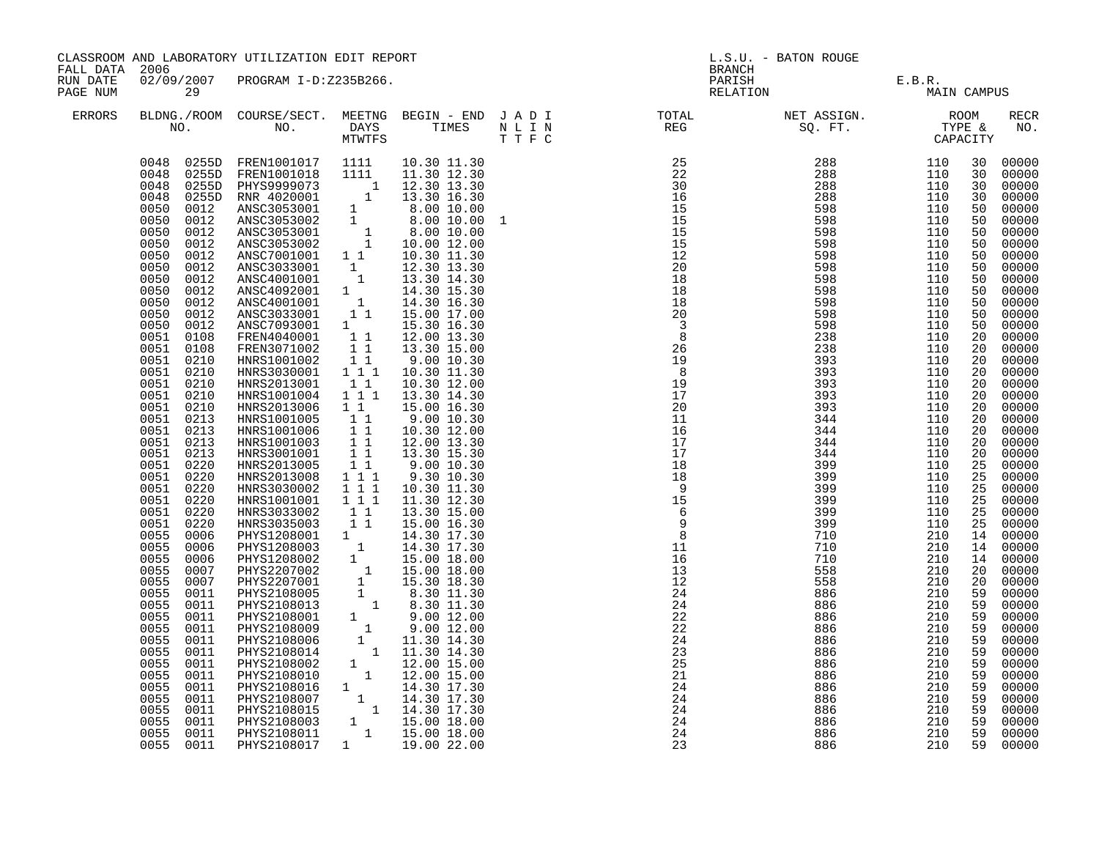| FALL DATA 2006<br>RUN DATE |                                                                                                                                                                                                                                                                                                                                                                                                                                                                                                                                                                                                                                                                                                                                                                                                    | CLASSROOM AND LABORATORY UTILIZATION EDIT REPORT                                                                                                                                                                                                                                                                                                                                                    |                                                                                                                                                                                                                                                                                                                                                                                                                                                                                                                                                                                                                                                                                                                                                                                                                                                                                                                                                                                                                                                                                                                                                                                              |  | L.S.U. - BATON ROUGE<br><b>BRANCH</b>                                                                                                                                                                                                                                                                                                                                                                                                      |                                               |                                                                                                                                                                                                                                                                                                                                         |                                                                                                                                                                                                                                                                                                                                                                                                                                                                                              |
|----------------------------|----------------------------------------------------------------------------------------------------------------------------------------------------------------------------------------------------------------------------------------------------------------------------------------------------------------------------------------------------------------------------------------------------------------------------------------------------------------------------------------------------------------------------------------------------------------------------------------------------------------------------------------------------------------------------------------------------------------------------------------------------------------------------------------------------|-----------------------------------------------------------------------------------------------------------------------------------------------------------------------------------------------------------------------------------------------------------------------------------------------------------------------------------------------------------------------------------------------------|----------------------------------------------------------------------------------------------------------------------------------------------------------------------------------------------------------------------------------------------------------------------------------------------------------------------------------------------------------------------------------------------------------------------------------------------------------------------------------------------------------------------------------------------------------------------------------------------------------------------------------------------------------------------------------------------------------------------------------------------------------------------------------------------------------------------------------------------------------------------------------------------------------------------------------------------------------------------------------------------------------------------------------------------------------------------------------------------------------------------------------------------------------------------------------------------|--|--------------------------------------------------------------------------------------------------------------------------------------------------------------------------------------------------------------------------------------------------------------------------------------------------------------------------------------------------------------------------------------------------------------------------------------------|-----------------------------------------------|-----------------------------------------------------------------------------------------------------------------------------------------------------------------------------------------------------------------------------------------------------------------------------------------------------------------------------------------|----------------------------------------------------------------------------------------------------------------------------------------------------------------------------------------------------------------------------------------------------------------------------------------------------------------------------------------------------------------------------------------------------------------------------------------------------------------------------------------------|
| PAGE NUM                   | 29                                                                                                                                                                                                                                                                                                                                                                                                                                                                                                                                                                                                                                                                                                                                                                                                 | 02/09/2007 PROGRAM I-D:Z235B266.                                                                                                                                                                                                                                                                                                                                                                    |                                                                                                                                                                                                                                                                                                                                                                                                                                                                                                                                                                                                                                                                                                                                                                                                                                                                                                                                                                                                                                                                                                                                                                                              |  |                                                                                                                                                                                                                                                                                                                                                                                                                                            | PARISH E.B.R.<br>RELATION MAIN                | MAIN CAMPUS                                                                                                                                                                                                                                                                                                                             |                                                                                                                                                                                                                                                                                                                                                                                                                                                                                              |
| ERRORS                     |                                                                                                                                                                                                                                                                                                                                                                                                                                                                                                                                                                                                                                                                                                                                                                                                    |                                                                                                                                                                                                                                                                                                                                                                                                     |                                                                                                                                                                                                                                                                                                                                                                                                                                                                                                                                                                                                                                                                                                                                                                                                                                                                                                                                                                                                                                                                                                                                                                                              |  | $\begin{tabular}{lllllllllllllllllllll} \textsc{BLONG.} \textsc{F100M.} & \textsc{CUIRSE/SECT.} & \textsc{METING.} & \textsc{BEGIN - END.} & \textsc{J A D I} & \textsc{DTQTAL} & \textsc{NET ASSIGN.} & \textsc{ROOM} \\ \textsc{NO.} & \textsc{NO.} & \textsc{DAYS} & \textsc{TIMES} & \textsc{N L I N} & \textsc{REG} & \textsc{SQ. FT.} & \textsc{TTPE & \texttt{C} \\ \textsc{MTVFTS} & \textsc{DTT T F C} & \textsc{STG} & \textsc{$ |                                               |                                                                                                                                                                                                                                                                                                                                         | RECR<br>NO.                                                                                                                                                                                                                                                                                                                                                                                                                                                                                  |
|                            | 0048<br>0255D<br>0048<br>0255D<br>0050<br>0012<br>0050<br>0012<br>0050<br>0012<br>0050<br>0012<br>0050<br>0012<br>0050<br>0012<br>0050<br>0012<br>0050<br>0012<br>0050<br>0012<br>0050<br>0012<br>0050<br>0012<br>0051<br>0108<br>0051<br>0108<br>0051 0210<br>0051<br>0210<br>0051 0210<br>0051<br>0210<br>0051<br>0210<br>0051 0213<br>0051<br>0213<br>0051<br>0213<br>0051<br>0213<br>0051<br>0220<br>0051<br>0220<br>0051<br>0220<br>0051<br>0220<br>0051<br>0220<br>0051<br>0220<br>0055<br>0006<br>0055<br>0006<br>0055<br>0006<br>0055<br>0007<br>0055<br>0007<br>0055<br>0011<br>0055<br>0011<br>0055<br>0011<br>0055<br>0011<br>0055<br>0011<br>0055<br>0011<br>0055<br>0011<br>0055<br>0011<br>0055<br>0011<br>0055<br>0011<br>0055<br>0011<br>0055<br>0011<br>0055<br>0011<br>0055 0011 | ANSC3033001<br>ANSC4001001<br>ANSC4092001 1<br>ANSC4001001 1<br>ANSC3033001 1 1<br>ANSC3033001<br>ANSC7093001 1<br>FREN4040001 11<br>FREN3071002 11<br>HNRS1001002<br>HNRS3030001<br>HNRS2013001<br>HNRS1001004<br>HNRS2013006<br>HNRS1001005<br>HNRS1001006<br>HNRS1001003<br>HNRS3001001<br>HNRS2013005<br>HNRS2013008<br>HNRS3030002<br>HNRS1001001<br>HNRS3033002<br>HNRS3035003<br>PHYS2108017 | 0048  0255D FREN1001017  1111  10.30  11.30<br>0048  0255D FREN1001018  1111  11.30  12.30<br>PREM10010101<br>PHYS9999073 1 12.30 13.30<br>RNR 4020001 1 13.30 16.30<br>ANSC3053001 1 8.00 10.00<br>ANSC3053002 1 8.00 10.00 1<br>ANSC3053002 1 10.00 12.00<br>ANSC3053002 1 10.00 12.00<br>ANSC7001001 1 1 10.30 11.30<br>NSC7001001 1 1 10<br>$\begin{smallmatrix}1\cr-1\end{smallmatrix}$<br>12.30 13.30<br>13.30 14.30<br>14.30 15.30<br>14.30 16.30<br>15.00 17.00<br>15.30 16.30<br>12.00 13.30<br>13.30 15.00<br>11<br>9.00 10.30<br>$1^-1^-1$<br>10.30 11.30<br>$1\quad1$<br>10.30 12.00<br>$1^{\degree}1^{\degree}1$<br>13.30 14.30<br>$1\quad1$<br>15.00 16.30<br>9.00 10.30<br>10.30 12.00<br>12.00 13.30<br>$\begin{array}{cc} 1 & 1 \\ 1 & 1 \end{array}$<br>13.30 15.30<br>9.0010.30<br>$1 1 1$<br>9.30 10.30<br>1 1 1<br>10.30 11.30<br>1 1 1<br>11.30 12.30<br>11<br>13.30 15.00<br>11<br>15.00 16.30<br>HNRS3035003 1 1 15.00 16.30<br>PHYS1208001 1 14.30 17.30<br>PHYS1208003 1 14.30 17.30<br>PHYS1208002 1 15.00 18.00<br>PHYS2207001 1 15.00 18.00<br>PHYS2207001 1 15.00 18.00<br>PHYS2108005 1 8.30 11.30<br>PHYS2108005 1 8.30 11.30<br>PHYS21<br>1   19.00   22.00 |  | 21<br>$\overline{24}$<br>$\overline{24}$<br>24<br>$\overline{24}$<br>24<br>23                                                                                                                                                                                                                                                                                                                                                              | 886<br>886<br>886<br>886<br>886<br>886<br>886 | 30<br>30<br>50<br>50<br>50<br>50<br>50<br>50<br>50<br>50<br>50<br>50<br>50<br>20<br>20<br>20<br>20<br>20<br>20<br>20<br>20<br>20<br>20<br>20<br>25<br>25<br>25<br>25<br>25<br>25<br>14<br>14<br>14<br>20<br>20<br>59<br>59<br>59<br>59<br>59<br>59<br>210<br>59<br>210<br>59<br>210<br>59<br>210<br>59<br>210<br>59<br>210<br>59<br>210 | 00000<br>30<br>30<br>00000<br>00000<br>00000<br>00000<br>00000<br>00000<br>00000<br>00000<br>00000<br>00000<br>00000<br>00000<br>00000<br>00000<br>00000<br>00000<br>00000<br>00000<br>00000<br>00000<br>00000<br>00000<br>00000<br>00000<br>00000<br>00000<br>00000<br>00000<br>00000<br>00000<br>00000<br>00000<br>00000<br>00000<br>00000<br>00000<br>00000<br>59<br>00000<br>00000<br>00000<br>00000<br>00000<br>00000<br>00000<br>00000<br>00000<br>00000<br>00000<br>00000<br>59 00000 |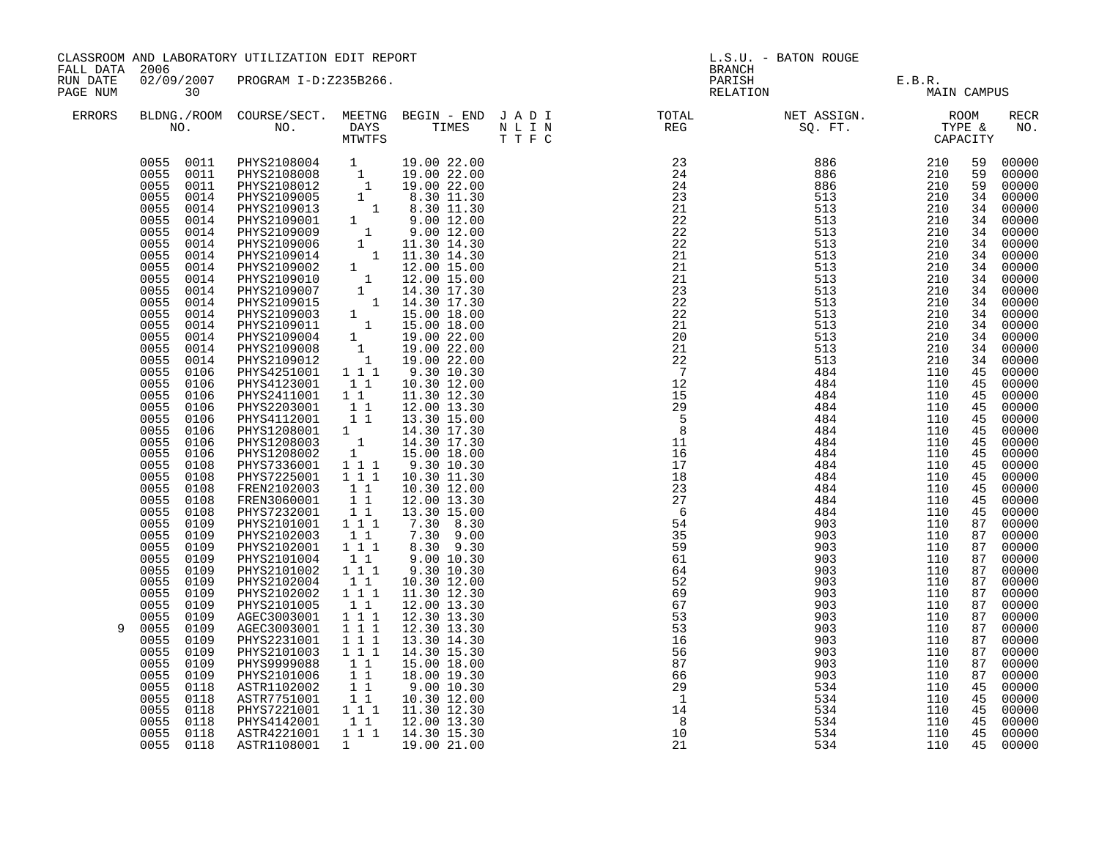| CLASSROOM AND LABORATORY UTILIZATION EDIT REPORT<br>FALL DATA 2006<br>02/09/2007 PROGRAM I-D:Z235B266.<br>RUN DATE |                                                                                                                                                                                                                                                                                                                                                                                                                                                                                           | <b>BRANCH</b>                                                                                                                                                                                                                                                                                                                                                                                                                                                                                                                                                     | L.S.U. - BATON ROUGE                                                                                                                                                                                                                                                                                                                                                     |                                                                                                                                                                                                                                                                                                                                                                            |                                                                                                                                                                                                                                                                                                                                                                                                                                                                                                                                                                                                                                                                                                                                             |                                                                                                                                                                                                                                                                               |                                                                                                                                                                                                                                                                        |                                                                                                                                                                                              |                                                                                                                                                                                                                                                                                                                                                                                                                                                                                                                       |
|--------------------------------------------------------------------------------------------------------------------|-------------------------------------------------------------------------------------------------------------------------------------------------------------------------------------------------------------------------------------------------------------------------------------------------------------------------------------------------------------------------------------------------------------------------------------------------------------------------------------------|-------------------------------------------------------------------------------------------------------------------------------------------------------------------------------------------------------------------------------------------------------------------------------------------------------------------------------------------------------------------------------------------------------------------------------------------------------------------------------------------------------------------------------------------------------------------|--------------------------------------------------------------------------------------------------------------------------------------------------------------------------------------------------------------------------------------------------------------------------------------------------------------------------------------------------------------------------|----------------------------------------------------------------------------------------------------------------------------------------------------------------------------------------------------------------------------------------------------------------------------------------------------------------------------------------------------------------------------|---------------------------------------------------------------------------------------------------------------------------------------------------------------------------------------------------------------------------------------------------------------------------------------------------------------------------------------------------------------------------------------------------------------------------------------------------------------------------------------------------------------------------------------------------------------------------------------------------------------------------------------------------------------------------------------------------------------------------------------------|-------------------------------------------------------------------------------------------------------------------------------------------------------------------------------------------------------------------------------------------------------------------------------|------------------------------------------------------------------------------------------------------------------------------------------------------------------------------------------------------------------------------------------------------------------------|----------------------------------------------------------------------------------------------------------------------------------------------------------------------------------------------|-----------------------------------------------------------------------------------------------------------------------------------------------------------------------------------------------------------------------------------------------------------------------------------------------------------------------------------------------------------------------------------------------------------------------------------------------------------------------------------------------------------------------|
| PAGE NUM                                                                                                           | $\overline{30}$                                                                                                                                                                                                                                                                                                                                                                                                                                                                           |                                                                                                                                                                                                                                                                                                                                                                                                                                                                                                                                                                   |                                                                                                                                                                                                                                                                                                                                                                          |                                                                                                                                                                                                                                                                                                                                                                            |                                                                                                                                                                                                                                                                                                                                                                                                                                                                                                                                                                                                                                                                                                                                             | PARISH E.B.R.<br>RELATION MAIN CAMPUS                                                                                                                                                                                                                                         |                                                                                                                                                                                                                                                                        |                                                                                                                                                                                              |                                                                                                                                                                                                                                                                                                                                                                                                                                                                                                                       |
| <b>ERRORS</b>                                                                                                      |                                                                                                                                                                                                                                                                                                                                                                                                                                                                                           |                                                                                                                                                                                                                                                                                                                                                                                                                                                                                                                                                                   |                                                                                                                                                                                                                                                                                                                                                                          |                                                                                                                                                                                                                                                                                                                                                                            | $\begin{array}{cccccccccccccc} \texttt{BLDNA} \texttt{.} \texttt{.} \texttt{.} \texttt{.} \texttt{.} \texttt{.} \texttt{.} \texttt{.} \texttt{.} \texttt{.} \texttt{.} \texttt{.} \texttt{.} \texttt{.} \texttt{.} \texttt{.} \texttt{.} \texttt{.} \texttt{.} \texttt{.} \texttt{.} \texttt{.} \texttt{.} \texttt{.} \texttt{.} \texttt{.} \texttt{.} \texttt{.} \texttt{.} \texttt{.} \texttt{.} \texttt{.} \texttt{.} \texttt{.$                                                                                                                                                                                                                                                                                                         |                                                                                                                                                                                                                                                                               |                                                                                                                                                                                                                                                                        |                                                                                                                                                                                              | RECR<br>NO.                                                                                                                                                                                                                                                                                                                                                                                                                                                                                                           |
| 9                                                                                                                  | 0055<br>0106<br>0055<br>0106<br>0055<br>0106<br>0055<br>0106<br>0055<br>0106<br>0055<br>0106<br>0055<br>0106<br>0055<br>0108<br>0055<br>0108<br>0055<br>0108<br>0055<br>0108<br>0055<br>0108<br>0055 0109<br>0055<br>0109<br>0055<br>0109<br>0055<br>0109<br>0055<br>0109<br>0055<br>0109<br>0055<br>0109<br>0055<br>0109<br>0055<br>0109<br>0055<br>0109<br>0055<br>0109<br>0055<br>0109<br>0055<br>0109<br>0055<br>0109<br>0055<br>0118<br>0055<br>0118<br>0055<br>0118<br>0055<br>0118 | PHYS4123001 11<br>PHYS2411001 11<br>PHYS2203001 1<br>PHYS4112001 11<br>PHYS1208001 1 14.30 17.30<br>PHYS1208003 1 14.30 17.30<br>PHYS1208002 1 15.00 18.00<br>PHYS7336001 1 1 9.30 10.30<br>PHYS7225001 111<br>FREN2102003<br>FREN3060001<br>PHYS7232001 11<br>PHYS2101001 111<br>PHYS2102003<br>PHYS2102001<br>PHYS2101004<br>PHYS2101002<br>PHYS2102004<br>PHYS2102002<br>PHYS2101005<br>AGEC3003001<br>AGEC3003001<br>PHYS2231001<br>PHYS2101003<br>PHYS9999088<br>PHYS2101006<br>ASTR1102002<br>ASTR7751001<br>PHYS7221001 111 11.30 12.30<br>PHYS4142001 1 1 | 11<br>$1\overline{1}$<br>$\begin{smallmatrix}1&1\\1&1&1\end{smallmatrix}$<br>$\begin{smallmatrix}1&1\\1&1&1\end{smallmatrix}$<br>$\begin{smallmatrix}1&1\\1&1&1\end{smallmatrix}$<br>11<br>$1 1 1$<br>$\overline{1}$ $\overline{1}$ $\overline{1}$<br>$\frac{1}{1}$ $\frac{1}{1}$ $\frac{1}{1}$<br>$1 1 1$<br>11<br>11<br>$\begin{array}{cc} 1 & 1 \\ 1 & 1 \end{array}$ | 10.30 12.00<br>11.30 12.30<br>12.00 13.30<br>13.30 15.00<br>10.30 11.30<br>10.30 12.00<br>12.00 13.30<br>13.30 15.00<br>7.30 8.30<br>7.30 9.00<br>8.30 9.30<br>9.00 10.30<br>9.30 10.30<br>10.30 12.00<br>11.30 12.30<br>12.00 13.30<br>12.30 13.30<br>12.30 13.30<br>13.30 14.30<br>14.30 15.30<br>15.00 18.00<br>18.00 19.30<br>9.00 10.30<br>10.30 12.00<br>12.00 13.30 | $\begin{array}{cccc} 23 & 886 & 210 \\ 24 & 886 & 210 \\ 24 & 886 & 210 \\ 23 & 513 & 210 \\ 21 & 513 & 210 \\ 22 & 513 & 210 \\ 22 & 513 & 210 \\ 22 & 513 & 210 \\ 21 & 513 & 210 \\ 21 & 513 & 210 \\ 21 & 513 & 210 \\ 21 & 513 & 210 \\ 21 & 513 & 210 \\ 21 & 513 & 210 \\ 21 & 513 & 210 \\ 21$<br>21<br>23<br>22<br>22<br>21<br>20<br>21<br>$\frac{2}{7}$<br>12<br>$\overline{15}$<br>$\begin{array}{r} 29 \\ 29 \\ 5 \\ 8 \end{array}$<br>11<br>$\begin{array}{c}\n 11 \\  16 \\  17\n \end{array}$<br>18<br>$\begin{array}{c} 2 \\ 27 \\ 6 \end{array}$<br>54<br>35<br>59<br>61<br>64<br>52<br>69<br>67<br>53<br>$\overline{53}$<br>$\overline{16}$<br>56<br>87<br>66<br>29<br>$\overline{1}$<br>$1\frac{1}{4}$<br>8 <sup>8</sup> | 513<br>513<br>513<br>513<br>513<br>513<br>513<br>513<br>484<br>484<br>484<br>484<br>484<br>484<br>484<br>484<br>484<br>484<br>484<br>484<br>484<br>903<br>903<br>903<br>903<br>903<br>903<br>903<br>903<br>903<br>903<br>903<br>903<br>903<br>903<br>534<br>534<br>534<br>534 | 210<br>210<br>210<br>210<br>210<br>210<br>210<br>210<br>110<br>110<br>110<br>110<br>110<br>110<br>110<br>110<br>110<br>110<br>110<br>110<br>110<br>110<br>110<br>110<br>110<br>110<br>110<br>110<br>110<br>110<br>110<br>110<br>110<br>110<br>110<br>110<br>110<br>110 | 59<br>59<br>34<br>45<br>45<br>45<br>45<br>45<br>45<br>45<br>45<br>45<br>45<br>45<br>87<br>87<br>87<br>87<br>87<br>87<br>87<br>87<br>87<br>87<br>87<br>87<br>87<br>87<br>45<br>45<br>45<br>45 | 00000<br>00000<br>59 00000<br>34 00000<br>34 00000<br>34 00000<br>34 00000<br>34 00000<br>34 00000<br>34 00000<br>34 00000<br>34 00000<br>34 00000<br>34 00000<br>00000<br>34 00000<br>34 00000<br>$\frac{34}{45}$ 00000<br>45 00000<br>45 00000<br>00000<br>00000<br>00000<br>00000<br>00000<br>00000<br>00000<br>00000<br>00000<br>00000<br>00000<br>00000<br>00000<br>00000<br>00000<br>00000<br>00000<br>00000<br>00000<br>00000<br>00000<br>00000<br>00000<br>00000<br>00000<br>00000<br>00000<br>00000<br>00000 |
|                                                                                                                    | 0055 0118<br>0055 0118                                                                                                                                                                                                                                                                                                                                                                                                                                                                    | ASTR4221001  1  1  1  14.30  15.30<br>ASTR1108001                                                                                                                                                                                                                                                                                                                                                                                                                                                                                                                 | $\mathbf{1}$                                                                                                                                                                                                                                                                                                                                                             | 19.00 21.00                                                                                                                                                                                                                                                                                                                                                                | $\begin{array}{c} 8 \\ 10 \end{array}$<br>21                                                                                                                                                                                                                                                                                                                                                                                                                                                                                                                                                                                                                                                                                                | 534<br>534                                                                                                                                                                                                                                                                    | $\begin{array}{c} 110 \\ 110 \\ 110 \\ 110 \end{array}$                                                                                                                                                                                                                |                                                                                                                                                                                              | 45 00000<br>45 00000                                                                                                                                                                                                                                                                                                                                                                                                                                                                                                  |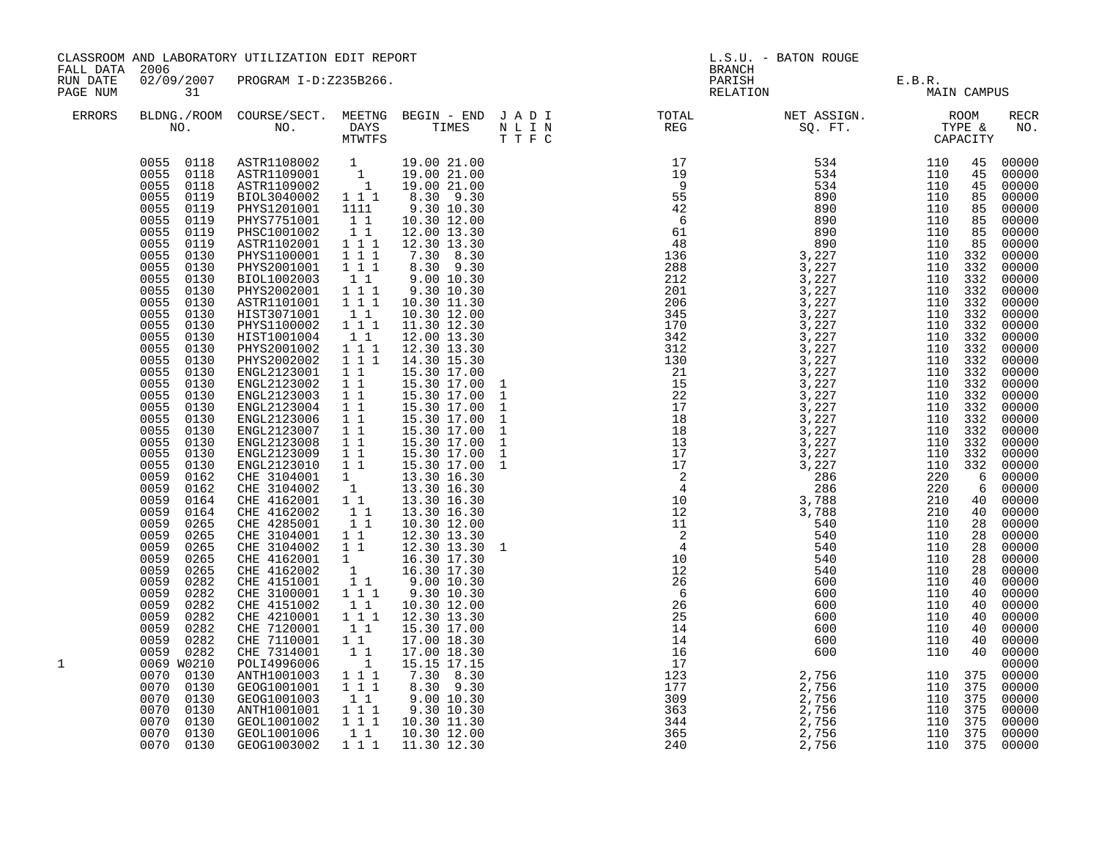| CLASSROOM AND LABORATORY UTILIZATION EDIT REPORT<br>FALL DATA<br>2006<br>02/09/2007 PROGRAM I-D:Z235B266.<br>RUN DATE<br>31<br>PAGE NUM |                                                                                                                                                                                                                                                                                                                                                                                                                                                                                                                                                                                                                                                             |                                                                                                                                                                                                                                                                                                                                                                                                                                                                                                                                                                                                                                                                                                                                                                                                                                                                                                                                                                  |                                                                                                                                                                                                                                                                                                                                                                                                                                                                                                                     | L.S.U. - BATON ROUGE<br><b>BRANCH</b><br>PARISH<br>E.B.R.<br>MAI1                                                                                                                                                                                                                                                                                                                                                                                                                                                             |          |  |                                                                                                                                                                                                                                                                                                                                              |                                                                                                                          |                                                                                                                                                                                                                                                                                                                                                                                                                                               |
|-----------------------------------------------------------------------------------------------------------------------------------------|-------------------------------------------------------------------------------------------------------------------------------------------------------------------------------------------------------------------------------------------------------------------------------------------------------------------------------------------------------------------------------------------------------------------------------------------------------------------------------------------------------------------------------------------------------------------------------------------------------------------------------------------------------------|------------------------------------------------------------------------------------------------------------------------------------------------------------------------------------------------------------------------------------------------------------------------------------------------------------------------------------------------------------------------------------------------------------------------------------------------------------------------------------------------------------------------------------------------------------------------------------------------------------------------------------------------------------------------------------------------------------------------------------------------------------------------------------------------------------------------------------------------------------------------------------------------------------------------------------------------------------------|---------------------------------------------------------------------------------------------------------------------------------------------------------------------------------------------------------------------------------------------------------------------------------------------------------------------------------------------------------------------------------------------------------------------------------------------------------------------------------------------------------------------|-------------------------------------------------------------------------------------------------------------------------------------------------------------------------------------------------------------------------------------------------------------------------------------------------------------------------------------------------------------------------------------------------------------------------------------------------------------------------------------------------------------------------------|----------|--|----------------------------------------------------------------------------------------------------------------------------------------------------------------------------------------------------------------------------------------------------------------------------------------------------------------------------------------------|--------------------------------------------------------------------------------------------------------------------------|-----------------------------------------------------------------------------------------------------------------------------------------------------------------------------------------------------------------------------------------------------------------------------------------------------------------------------------------------------------------------------------------------------------------------------------------------|
|                                                                                                                                         |                                                                                                                                                                                                                                                                                                                                                                                                                                                                                                                                                                                                                                                             |                                                                                                                                                                                                                                                                                                                                                                                                                                                                                                                                                                                                                                                                                                                                                                                                                                                                                                                                                                  |                                                                                                                                                                                                                                                                                                                                                                                                                                                                                                                     |                                                                                                                                                                                                                                                                                                                                                                                                                                                                                                                               | RELATION |  | MAIN CAMPUS                                                                                                                                                                                                                                                                                                                                  |                                                                                                                          |                                                                                                                                                                                                                                                                                                                                                                                                                                               |
| <b>ERRORS</b>                                                                                                                           |                                                                                                                                                                                                                                                                                                                                                                                                                                                                                                                                                                                                                                                             |                                                                                                                                                                                                                                                                                                                                                                                                                                                                                                                                                                                                                                                                                                                                                                                                                                                                                                                                                                  |                                                                                                                                                                                                                                                                                                                                                                                                                                                                                                                     |                                                                                                                                                                                                                                                                                                                                                                                                                                                                                                                               |          |  |                                                                                                                                                                                                                                                                                                                                              |                                                                                                                          | RECR<br>NO.                                                                                                                                                                                                                                                                                                                                                                                                                                   |
|                                                                                                                                         | 0055<br>0119<br>0055<br>0119<br>0055<br>0119<br>0055<br>0119<br>0055<br>0130<br>0055<br>0130<br>0055<br>0130<br>0055<br>0130<br>0055<br>0130<br>0055<br>0130<br>0055<br>0130<br>0055<br>0130<br>0055<br>0130<br>0055<br>0130<br>0055<br>0130<br>$0055$<br>$0055$<br>0130<br>0130<br>0055<br>0130<br>0055<br>0130<br>0055<br>0130<br>0055<br>0130<br>0055<br>0130<br>0055<br>0130<br>0059<br>0162<br>0059<br>0162<br>0059<br>0164<br>0059<br>0164<br>0059<br>0265<br>0059<br>0265<br>0059<br>0265<br>0059<br>0265<br>0059<br>0265<br>0059<br>0282<br>0059<br>0282<br>0059<br>0282<br>0059<br>0282<br>0059<br>0282<br>0059<br>0282<br>0059 0282<br>0069 W0210 | $\begin{array}{cccc} 0055 & 0118 & \text{ASTR}1108002 & 1 & 19.00 & 21.00 \\ 0055 & 0118 & \text{ASTR}1109001 & 1 & 19.00 & 21.00 \\ 0055 & 0118 & \text{ASTR}1109002 & 1 & 19.00 & 21.00 \\ 0055 & 0119 & \text{BIOL}3040002 & 1 & 1 & 8.30 & 9.30 \\ \end{array}$<br>PHYS1201001 1111<br>PHYS7751001<br>PHSC1001002<br>ASTR1102001<br>PHYS1100001<br>PHYS2001001<br>BIOL1002003<br>PHYS2002001<br>ASTR1101001<br>HIST3071001<br>PHYS1100002<br>HIST1001004<br>PHYS2001002<br>PHYS2002002<br>ENGL2123001 1 1<br>ENGL2123002 1 1<br>ENGL2123003 1 1<br>ENGL2123004 1 1<br>ENGL2123006 1 1<br>ENGL2123007 1 1<br>ENGL2123008<br>ENGL2123009<br>ENGL2123010<br>CHE 4162001<br>CHE 4162002<br>CHE 4285001<br>CHE 3104001<br>CHE 3104002<br>CHE 4162001 1 16.30 17.30<br>CHE 4162002 1 16.30 17.30<br>CHE 4151001 1 9.00 10.30<br>CHE 3100001 1 1 9.30 10.30<br>CHE 4151002 111<br>CHE 4210001 111<br>CHE 7120001 11<br>CHE 7110001 11<br>CHE 7314001<br>POLI4996006 | 11<br>$\begin{array}{rrrr} & 1 & 1 & \\ 1 & 1 & 1 & \\ 1 & 1 & 1 & \\ \end{array}$<br>$1 1 1$<br>$\begin{smallmatrix}1&1\\1&1&1\end{smallmatrix}$<br>$\overline{1}$ $\overline{1}$ $\overline{1}$<br>11<br>1 1 1<br>$\begin{bmatrix} 1 \\ 1 \end{bmatrix}$<br>$1 1 1$<br>$1 1 1$<br>$\begin{array}{ccc} & 1 & 1 \\ & 1 & 1 \end{array}$<br>$\overline{1}$ $\overline{1}$<br>$\begin{array}{c} \begin{array}{c} 1 \\ 1 \\ 1 \\ 1 \\ 1 \end{array} \end{array}$<br>11<br>11<br>$\begin{bmatrix} 1 \\ 1 \end{bmatrix}$ | 9.30 10.30<br>10.30 12.00<br>12.00 13.30<br>12.30 13.30<br>$7.30$ $8.30$<br>$8.30$ $9.30$<br>9.00 10.30<br>9.30 10.30<br>10.30 11.30<br>10.30 12.00<br>11.30 12.30<br>12.00 13.30<br>12.30 13.30<br>14.30 15.30<br>15.30 17.00<br>15.30 17.00<br>15.30 17.00<br>15.30 17.00<br>15.30 17.00<br>15.30 17.00<br>15.30 17.00<br>15.30 17.00<br>15.30 17.00<br>13.30 16.30<br>13.30 16.30<br>10.30 12.00<br>12.30 13.30<br>12.30 13.30 1<br>10.30 12.00<br>12.30 13.30<br>15.30 17.00<br>17.00 18.30<br>17.00 18.30<br>15.15 17.15 |          |  | 110 332<br>110 332<br>110 332<br>$\overline{110}$ $\overline{332}$<br>110 332<br>$\overline{110}$ 332<br>110 332<br>$\begin{array}{rrr} 110 & 332 \\ 110 & 332 \end{array}$<br>110 332<br>110 332<br>$\begin{array}{cc} 110 & 332 \\ 110 & 332 \end{array}$<br>110 332<br>110 332<br>110 332<br>110 332<br>$\overline{110}$ 332<br>$110$ 332 | 45<br>45<br>45<br>85<br>85<br>85<br>85<br>85<br>6<br>6<br>28<br>28<br>28<br>28<br>28<br>40<br>40<br>40<br>40<br>40<br>40 | 00000<br>00000<br>00000<br>00000<br>00000<br>00000<br>00000<br>$00000$<br>$00000$<br>00000<br>00000<br>00000<br>00000<br>00000<br>00000<br>00000<br>00000<br>00000<br>$00000$<br>00000<br>00000<br>00000<br>$00000$<br>00000<br>00000<br>00000<br>00000<br>$\begin{array}{cc} 40 & 00000 \\ 40 & 00000 \end{array}$<br>00000<br>00000<br>00000<br>00000<br>00000<br>$00000$<br>00000<br>00000<br>00000<br>00000<br>00000<br>40 00000<br>00000 |
| 1                                                                                                                                       | 0070<br>0130<br>0070<br>0130<br>0070<br>0130<br>0070<br>0130<br>0070<br>0130<br>0070 0130<br>0070 0130                                                                                                                                                                                                                                                                                                                                                                                                                                                                                                                                                      | ANTH1001003 111<br>GEOG1001001<br>GEOG1001003<br>ANTH1001001 1 1 1<br>GEOL1001002 1 1 1<br>GEOL1001006<br>GEOG1003002                                                                                                                                                                                                                                                                                                                                                                                                                                                                                                                                                                                                                                                                                                                                                                                                                                            | $\frac{1}{1}$ $\frac{1}{1}$ $\frac{1}{1}$<br>11<br>$1\quad1$<br>1 1 1                                                                                                                                                                                                                                                                                                                                                                                                                                               | 7.30 8.30<br>8.30 9.30<br>9.00 10.30<br>$9.30$ 10.30<br>10.30 11.30<br>10.30 12.00<br>11.30 12.30                                                                                                                                                                                                                                                                                                                                                                                                                             |          |  | 110 375<br>110 375<br>110 375<br>110 375<br>$\overline{110}$ 375<br>110 375<br>110 375                                                                                                                                                                                                                                                       |                                                                                                                          | 00000<br>00000<br>00000<br>00000<br>00000<br>00000<br>00000                                                                                                                                                                                                                                                                                                                                                                                   |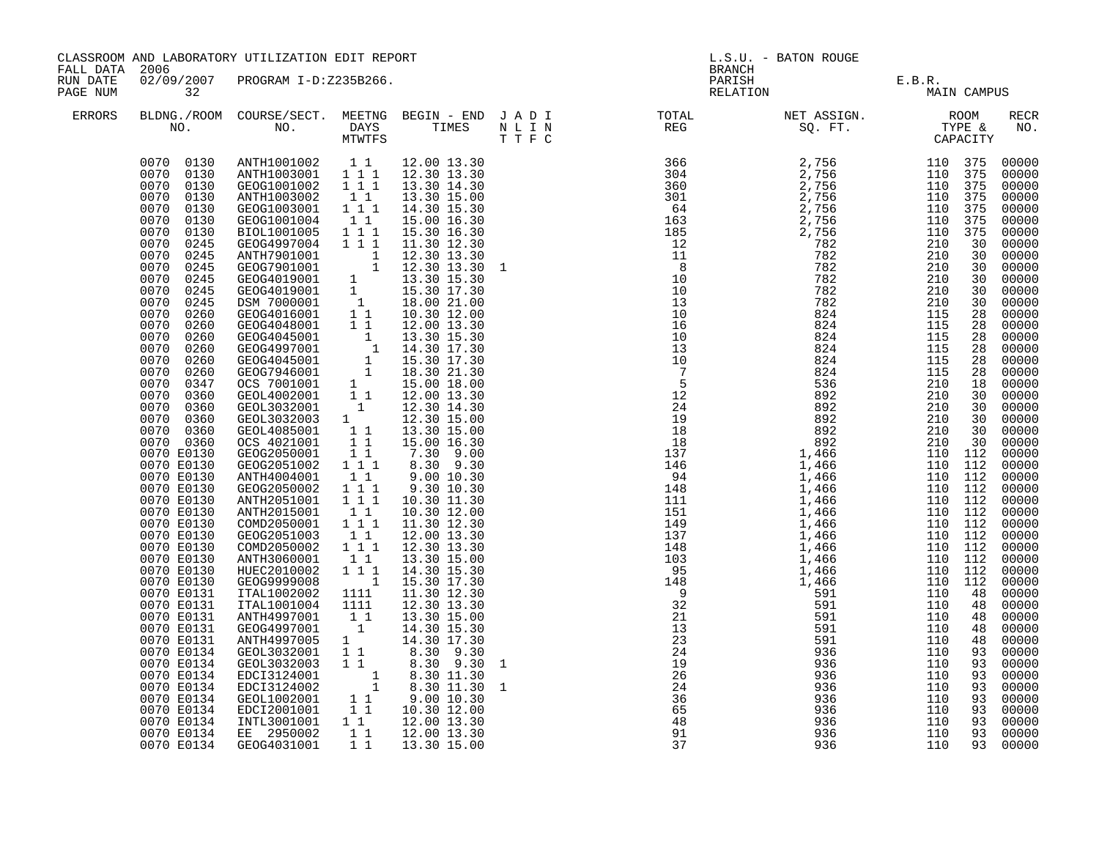| CLASSROOM AND LABORATORY UTILIZATION EDIT REPORT<br>FALL DATA 2006<br>02/09/2007 PROGRAM I-D:Z235B266.<br>RUN DATE |                                                                                                                                                                                                                                                                                                                                                                                                                                                                                                                                                                                                                                                                                                                                                                        |                                                                                                                                                                                                                                                                                                                                                                                                                                                                                                                                                                                                                                                                                                                                                                                                                                                                                                                                              |                                                                                                                                                                                                                                                                                              | L.S.U. - BATON ROUGE<br>BRANCH<br>PARISH E.B.R.<br>RELATION MAI                                                                                                                                                                                                                                                                                                                                                                                                                                                                                                                                                                                                                                                                        |              |                                                          |                                               |                                               |                                  |                                                                                                                                                                                                                                                                                                                                                                                                                                                                               |
|--------------------------------------------------------------------------------------------------------------------|------------------------------------------------------------------------------------------------------------------------------------------------------------------------------------------------------------------------------------------------------------------------------------------------------------------------------------------------------------------------------------------------------------------------------------------------------------------------------------------------------------------------------------------------------------------------------------------------------------------------------------------------------------------------------------------------------------------------------------------------------------------------|----------------------------------------------------------------------------------------------------------------------------------------------------------------------------------------------------------------------------------------------------------------------------------------------------------------------------------------------------------------------------------------------------------------------------------------------------------------------------------------------------------------------------------------------------------------------------------------------------------------------------------------------------------------------------------------------------------------------------------------------------------------------------------------------------------------------------------------------------------------------------------------------------------------------------------------------|----------------------------------------------------------------------------------------------------------------------------------------------------------------------------------------------------------------------------------------------------------------------------------------------|----------------------------------------------------------------------------------------------------------------------------------------------------------------------------------------------------------------------------------------------------------------------------------------------------------------------------------------------------------------------------------------------------------------------------------------------------------------------------------------------------------------------------------------------------------------------------------------------------------------------------------------------------------------------------------------------------------------------------------------|--------------|----------------------------------------------------------|-----------------------------------------------|-----------------------------------------------|----------------------------------|-------------------------------------------------------------------------------------------------------------------------------------------------------------------------------------------------------------------------------------------------------------------------------------------------------------------------------------------------------------------------------------------------------------------------------------------------------------------------------|
| PAGE NUM                                                                                                           | 32                                                                                                                                                                                                                                                                                                                                                                                                                                                                                                                                                                                                                                                                                                                                                                     |                                                                                                                                                                                                                                                                                                                                                                                                                                                                                                                                                                                                                                                                                                                                                                                                                                                                                                                                              |                                                                                                                                                                                                                                                                                              |                                                                                                                                                                                                                                                                                                                                                                                                                                                                                                                                                                                                                                                                                                                                        |              |                                                          |                                               | MAIN CAMPUS                                   |                                  |                                                                                                                                                                                                                                                                                                                                                                                                                                                                               |
| ERRORS                                                                                                             | NO.                                                                                                                                                                                                                                                                                                                                                                                                                                                                                                                                                                                                                                                                                                                                                                    | BLDNG./ROOM COURSE/SECT. MEETNG BEGIN - END J A D I<br>NO. DAYS TIMES NLIN                                                                                                                                                                                                                                                                                                                                                                                                                                                                                                                                                                                                                                                                                                                                                                                                                                                                   | MTWTFS                                                                                                                                                                                                                                                                                       |                                                                                                                                                                                                                                                                                                                                                                                                                                                                                                                                                                                                                                                                                                                                        | T T F C      | TOTAL NET ASSIGN. ROOM<br>REG SQ. FT. TYPE &<br>CAPACITY |                                               |                                               |                                  | RECR<br>NO.                                                                                                                                                                                                                                                                                                                                                                                                                                                                   |
|                                                                                                                    | 0070 0130<br>0070 0130<br>0070 0130<br>0070 0130<br>0070<br>0130<br>0070<br>0130<br>0070<br>0130<br>0070<br>0245<br>0070<br>0245<br>0070<br>0245<br>0070<br>0245<br>0070<br>0245<br>0070<br>0245<br>0070<br>0260<br>0070<br>0260<br>0070<br>0260<br>0070<br>0260<br>0070<br>0260<br>0070<br>0260<br>0070<br>0347<br>0070<br>0360<br>0070<br>0360<br>0070<br>0360<br>0070 0360<br>0070 0360<br>0070 E0130<br>0070 E0130<br>0070 E0130<br>0070 E0130<br>0070 E0130<br>0070 E0130<br>0070 E0130<br>0070 E0130<br>0070 E0130<br>0070 E0130<br>0070 E0130<br>0070 E0130<br>0070 E0131<br>0070 E0131<br>0070 E0131<br>0070 E0131<br>0070 E0131<br>0070 E0134<br>0070 E0134<br>0070 E0134<br>0070 E0134<br>0070 E0134<br>0070 E0134<br>0070 E0134<br>0070 E0134<br>0070 E0134 | ANTH1001002 1 1 12.00 13.30<br>ANTH1003001 1 1 1 12.30 13.30<br>GEOG1001002 111<br>ANTH1003002<br>GEOG1003001<br>GEOG1001004<br>BIOL1001005<br>GEOG4997004 1 1 1<br>ANTH7901001<br>GEOG7901001<br>GEOG4019001 1<br>GEOG4019001 1<br>DSM 7000001 1<br>GEOG4016001 1 1<br>GEOG4048001<br>GEOG4045001 1 13.30 15.30<br>GEOG4045001 1 14.30 17.30<br>GEOG4045001 1 15.30 17.30<br>GEOG7946001 1 18.30 21.30<br>OCS 7001001 1<br>GEOL4002001 11<br>GEOL3032001 1<br>GEOL3032003 1<br>GEOL4085001<br>OCS 4021001<br>GEOG2050001<br>GEOG2051002 111<br>ANTH4004001<br>GEOG2050002<br>ANTH2051001<br>ANTH2015001<br>COMD2050001 111<br>GEOG2051003<br>COMD2050002<br>ANTH3060001<br>HUEC2010002<br>GEOG9999008<br>ITAL1002002<br>ITAL1001004<br>ANTH4997001<br>GEOG4997001<br>ANTH4997005<br>GEOL3032001<br>GEOL3032003 1 1<br>EDCI3124001<br>EDCI3124002<br>GEOL1002001<br>EDCI2001001<br>INTL3001001  1  12.00  13.30<br>EE 2950002<br>GEOG4031001 | 11<br>1 1 1<br>11<br>$1 1 1$<br>$1\quad1$<br>$1\quad1$<br>11<br>$1\quad1$<br>11<br>111<br>111<br>$1\quad1$<br>$\begin{smallmatrix}1&1\\1&1&1\end{smallmatrix}$<br>$1\quad1$<br>1 1 1<br>$\sim$ 1<br>1111<br>1111<br>11<br>$\overline{1}$<br>$1$ <sup>-</sup><br>1 1<br>$1\quad1$<br>11<br>11 | 13.30 14.30<br>13.30 15.00<br>14.30 15.30<br>15.00 16.30<br>15.30 16.30<br>11.30 12.30<br>$\begin{bmatrix} 1 & 12.30 & 13.30 \\ 1 & 12.30 & 13.30 \\ 1 & 12.30 & 13.30 \end{bmatrix}$<br>13.30 15.30<br>15.30 17.30<br>18.00 21.00<br>10.30 12.00<br>12.00 13.30<br>15.00 18.00<br>12.00 13.30<br>12.30 14.30<br>12.30 15.00<br>13.30 15.00<br>15.00 16.30<br>7.30 9.00<br>8.30 9.30<br>9.00 10.30<br>9.30 10.30<br>10.30 11.30<br>10.30 12.00<br>11.30 12.30<br>12.00 13.30<br>12.30 13.30<br>13.30 15.00<br>14.30 15.30<br>15.30 17.30<br>11.30 12.30<br>12.30 13.30<br>13.30 15.00<br>14.30 15.30<br>14.30 17.30<br>8.30 9.30<br>8.30 9.30<br>8.30 11.30<br>$8.30$ 11.30<br>9.00 10.30<br>10.30 12.00<br>12.00 13.30<br>13.30 15.00 | $\mathbf{1}$ | 26<br>24<br>$\frac{1}{36}$<br>65<br>48<br>91<br>37       | 936<br>936<br>936<br>936<br>936<br>936<br>936 | 110<br>110<br>110<br>110<br>110<br>110<br>110 | 93<br>93<br>93<br>93<br>93<br>93 | 00000<br>00000<br>00000<br>00000<br>00000<br>00000<br>00000<br>00000<br>00000<br>00000<br>00000<br>00000<br>00000<br>00000<br>00000<br>00000<br>00000<br>00000<br>00000<br>00000<br>00000<br>00000<br>00000<br>00000<br>00000<br>00000<br>00000<br>00000<br>00000<br>00000<br>00000<br>00000<br>00000<br>00000<br>00000<br>00000<br>00000<br>00000<br>48 00000<br>00000<br>00000<br>00000<br>00000<br>00000<br>00000<br>00000<br>00000<br>00000<br>00000<br>00000<br>93 00000 |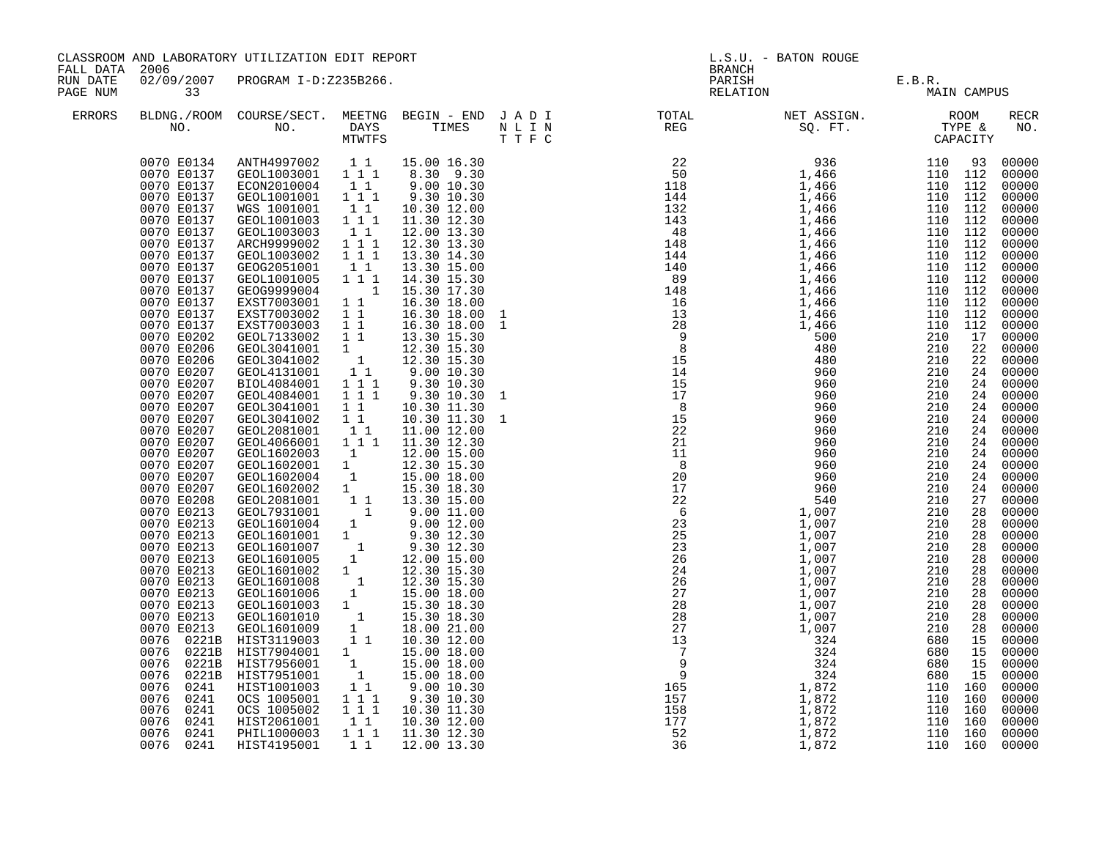| FALL DATA 2006       |                                                                                                                                                                                                                                                                                                                                                                                                                                                                                                                                                                                                                                                                                                                                                    | CLASSROOM AND LABORATORY UTILIZATION EDIT REPORT                                                                                                                                                                                                                                                                                                                                                                                                                                                                                                                                                                                                                                                                                                                                                                                                                 |                                                                                                                                                                                                                                                                                                                                                                        |                                                                                                                                                                                                                                                                                                                                                                                                                                                                                                                                                                                                                                                                                                                                                         |                    | <b>BRANCH</b>                                                                       | L.S.U. - BATON ROUGE                                                                  |                                                                                                             |                                                                                                                     |                                                                                                                                                                                                                                                                                                                                                                                                                                                                                              |
|----------------------|----------------------------------------------------------------------------------------------------------------------------------------------------------------------------------------------------------------------------------------------------------------------------------------------------------------------------------------------------------------------------------------------------------------------------------------------------------------------------------------------------------------------------------------------------------------------------------------------------------------------------------------------------------------------------------------------------------------------------------------------------|------------------------------------------------------------------------------------------------------------------------------------------------------------------------------------------------------------------------------------------------------------------------------------------------------------------------------------------------------------------------------------------------------------------------------------------------------------------------------------------------------------------------------------------------------------------------------------------------------------------------------------------------------------------------------------------------------------------------------------------------------------------------------------------------------------------------------------------------------------------|------------------------------------------------------------------------------------------------------------------------------------------------------------------------------------------------------------------------------------------------------------------------------------------------------------------------------------------------------------------------|---------------------------------------------------------------------------------------------------------------------------------------------------------------------------------------------------------------------------------------------------------------------------------------------------------------------------------------------------------------------------------------------------------------------------------------------------------------------------------------------------------------------------------------------------------------------------------------------------------------------------------------------------------------------------------------------------------------------------------------------------------|--------------------|-------------------------------------------------------------------------------------|---------------------------------------------------------------------------------------|-------------------------------------------------------------------------------------------------------------|---------------------------------------------------------------------------------------------------------------------|----------------------------------------------------------------------------------------------------------------------------------------------------------------------------------------------------------------------------------------------------------------------------------------------------------------------------------------------------------------------------------------------------------------------------------------------------------------------------------------------|
| RUN DATE<br>PAGE NUM | 33                                                                                                                                                                                                                                                                                                                                                                                                                                                                                                                                                                                                                                                                                                                                                 | 02/09/2007 PROGRAM I-D:Z235B266.                                                                                                                                                                                                                                                                                                                                                                                                                                                                                                                                                                                                                                                                                                                                                                                                                                 |                                                                                                                                                                                                                                                                                                                                                                        |                                                                                                                                                                                                                                                                                                                                                                                                                                                                                                                                                                                                                                                                                                                                                         |                    |                                                                                     | PARISH<br>RELATION                                                                    | E.B.R.<br>MAIN CAMPUS                                                                                       |                                                                                                                     |                                                                                                                                                                                                                                                                                                                                                                                                                                                                                              |
| <b>ERRORS</b>        | NO.                                                                                                                                                                                                                                                                                                                                                                                                                                                                                                                                                                                                                                                                                                                                                | BLDNG./ROOM COURSE/SECT. MEETNG BEGIN - END J A D I<br>NO. DAYS                                                                                                                                                                                                                                                                                                                                                                                                                                                                                                                                                                                                                                                                                                                                                                                                  | MTWTFS                                                                                                                                                                                                                                                                                                                                                                 |                                                                                                                                                                                                                                                                                                                                                                                                                                                                                                                                                                                                                                                                                                                                                         | TIMES NLIN<br>TTFC |                                                                                     |                                                                                       |                                                                                                             |                                                                                                                     | RECR<br>NO.                                                                                                                                                                                                                                                                                                                                                                                                                                                                                  |
|                      | 0070 E0134<br>0070 E0137<br>0070 E0137<br>0070 E0137<br>0070 E0137<br>0070 E0137<br>0070 E0137<br>0070 E0137<br>0070 E0137<br>0070 E0137<br>0070 E0137<br>0070 E0137<br>0070 E0137<br>0070 E0137<br>0070 E0137<br>0070 E0202<br>0070 E0206<br>0070 E0206<br>0070 E0207<br>0070 E0207<br>0070 E0207<br>0070 E0207<br>0070 E0207<br>0070 E0207<br>0070 E0207<br>0070 E0207<br>0070 E0207<br>0070 E0207<br>0070 E0207<br>0070 E0208<br>0070 E0213<br>0070 E0213<br>0070 E0213<br>0070 E0213<br>0070 E0213<br>0070 E0213<br>0070 E0213<br>0070 E0213<br>0070 E0213<br>0070 E0213<br>0070 E0213<br>0076 0221B<br>0076 0221B<br>0076 0221B<br>0076<br>0221B<br>0076<br>0241<br>0076<br>0241<br>0076<br>0241<br>0076<br>0241<br>0076<br>0241<br>0076 0241 | ANTH4997002 11 15.00 16.30<br>GEOL1003001 111 8.30 9.30<br>ECON2010004 1 1<br>GEOL1001001<br>WGS 1001001<br>GEOL1001003<br>GEOL1003003<br>ARCH9999002<br>GEOL1003002<br>GEOG2051001<br>GEOL1001005<br>GEOG9999004<br>EXST7003001<br>EXST7003002<br>EXST7003003 1 1<br>GEOL7133002<br>GEOL3041001<br>GEOL3041002<br>GEOL4131001<br>BIOL4084001<br>GEOL4084001<br>GEOL3041001<br>GEOL3041002<br>GEOL2081001<br>GEOL4066001<br>GEOL1602003<br>GEOL1602001 1<br>GEOL1602004 1<br>GEOL1602002 1<br>GEOL2081001 1<br>GEOL7931001 1<br>GEOL1601004 1<br>GEOL1601001 1<br>GEOL1601007 1<br>GEOL1601005 1<br>GEOL1601002 1<br>GEOL1601008 1<br>GEOL1601006 1<br>GEOL1601003 1<br>GEOL1601003 1<br>GEOL1601010 1<br>HIST3119003 1 1<br>HIST7904001<br>HIST7956001<br>HIST7951001<br>HIST1001003<br>OCS 1005001<br>OCS 1005002<br>HIST2061001<br>PHIL1000003<br>HIST4195001 | $1 1 1$<br>$1\quad1$<br>111<br>11<br>1 1 1<br>111<br>11<br>1 1 1<br>$\overline{1}$<br>$1\quad1$<br>$1\quad1$<br>11<br>1<br>$\begin{smallmatrix} &1\&1\1&1\end{smallmatrix}$<br>1 1 1<br>$1 1 1$<br>$1\quad1$<br>$1\quad1$<br>$1\;1$<br>1 1 1<br>$\frac{1}{2}$<br>$\frac{1}{1}$<br>$\begin{bmatrix} 1 \\ 1 \end{bmatrix}$<br>1 1 1<br>$1\ 1\ 1$<br>11<br>$1 1 1$<br>1 1 | 9.0010.30<br>9.30 10.30<br>10.30 12.00<br>11.30 12.30<br>12.00 13.30<br>12.30 13.30<br>13.30 14.30<br>13.30 15.00<br>14.30 15.30<br>15.30 17.30<br>16.30 18.00<br>16.30 18.00<br>16.30 18.00<br>13.30 15.30<br>12.30 15.30<br>12.30 15.30<br>9.00 10.30<br>9.30 10.30<br>9.30 10.30<br>10.30 11.30<br>10.30 11.30<br>11.00 12.00<br>11.30 12.30<br>12.00 15.00<br>12.30 15.30<br>15.00 18.00<br>15.30 18.30<br>13.30 15.00<br>$9.00$ 11.00<br>$9.00$ 12.00<br>$9.30$ 12.30<br>$9.30$ 12.30<br>12.00 15.00<br>12.30 15.30<br>12.30 15.30<br>15.00 18.00<br>15.30 18.30<br>15.30 18.30<br>18.00 21.00<br>10.30 12.00<br>15.00 18.00<br>15.00 18.00<br>15.00 18.00<br>9.00 10.30<br>9.30 10.30<br>10.30 11.30<br>10.30 12.00<br>11.30 12.30<br>12.00 13.30 |                    | 22<br>$\begin{array}{r} 7 \\ 9 \\ 165 \\ 157 \\ 158 \\ 177 \\ 52 \\ 36 \end{array}$ | 960<br>$\begin{array}{ccc}\n & 2 \\ 1,872 \\ 1,872 \\ 1,872 \\ 872 \\ \end{array}$ 1. | 210<br>210<br>210<br>210<br>680<br>680<br>680<br>680<br>110 160<br>110 160<br>110 160<br>110 160<br>110 160 | 24<br>24<br>27<br>28<br>28<br>28<br>28<br>28<br>28<br>28<br>28<br>28<br>28<br>28<br>15<br>15<br>15<br>15<br>110 160 | 00000<br>00000<br>00000<br>00000<br>00000<br>00000<br>00000<br>00000<br>00000<br>00000<br>00000<br>00000<br>00000<br>00000<br>00000<br>00000<br>00000<br>00000<br>00000<br>24 00000<br>24 00000<br>24 00000<br>00000<br>00000<br>24 00000<br>24 00000<br>24 00000<br>00000<br>24 00000<br>00000<br>00000<br>00000<br>00000<br>00000<br>00000<br>00000<br>00000<br>00000<br>00000<br>00000<br>00000<br>00000<br>00000<br>00000<br>00000<br>00000<br>00000<br>00000<br>00000<br>00000<br>00000 |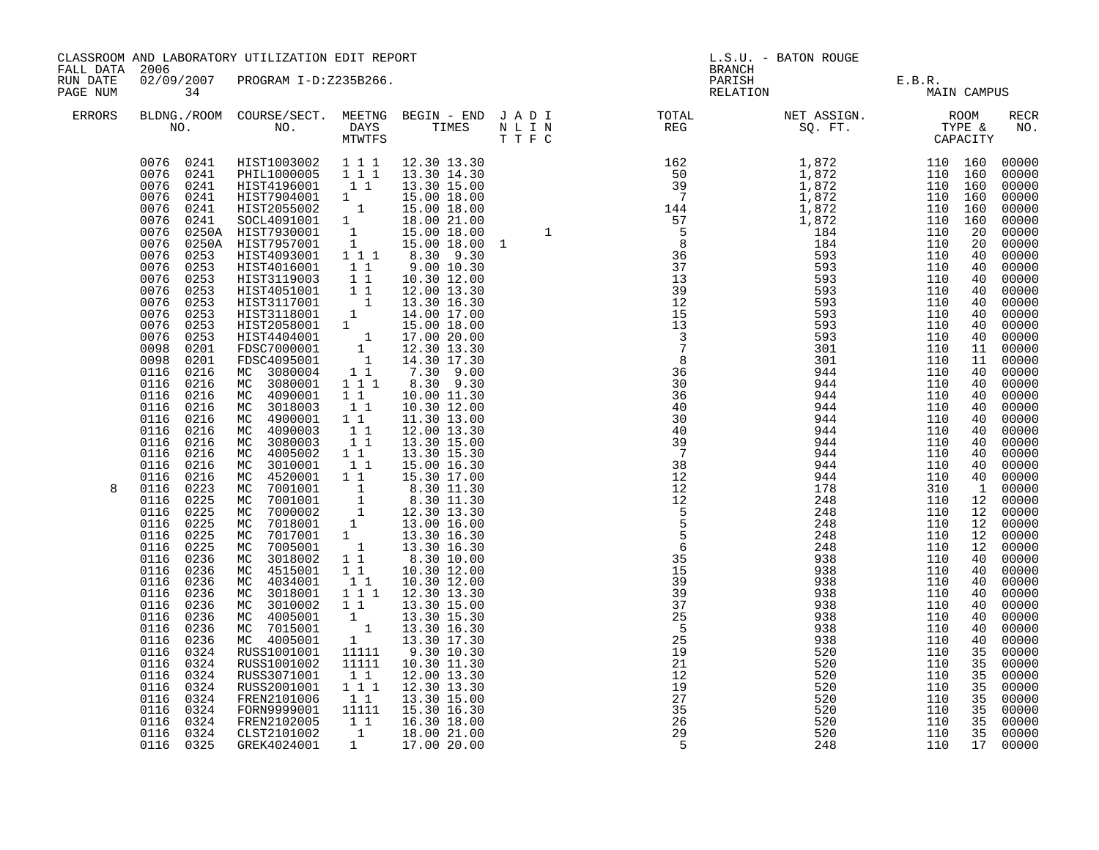| FALL DATA 2006<br>RUN DATE |                                                                                                                                                                                                                                                                                                                                                                                                                                                                                                                                                                                                                                                                                                                                                                                | CLASSROOM AND LABORATORY UTILIZATION EDIT REPORT                                                                                                                                                                                                                                                                                                                                                                                                                                                                                                                                                                                                                                                                                                                                                                                                                                                                                                                                                                                                                                     |                                                                                                                                                                                                                                                                                                                  |                                                                                                                                                                                                                                                                                                                                                                                                                                                                                                                                                                                                                                                     | <b>BRANCH</b>                                                                                                             | L.S.U. - BATON ROUGE           |             |                                                                                                                                                                                                                                                                                                                                                                                                                                                                            |
|----------------------------|--------------------------------------------------------------------------------------------------------------------------------------------------------------------------------------------------------------------------------------------------------------------------------------------------------------------------------------------------------------------------------------------------------------------------------------------------------------------------------------------------------------------------------------------------------------------------------------------------------------------------------------------------------------------------------------------------------------------------------------------------------------------------------|--------------------------------------------------------------------------------------------------------------------------------------------------------------------------------------------------------------------------------------------------------------------------------------------------------------------------------------------------------------------------------------------------------------------------------------------------------------------------------------------------------------------------------------------------------------------------------------------------------------------------------------------------------------------------------------------------------------------------------------------------------------------------------------------------------------------------------------------------------------------------------------------------------------------------------------------------------------------------------------------------------------------------------------------------------------------------------------|------------------------------------------------------------------------------------------------------------------------------------------------------------------------------------------------------------------------------------------------------------------------------------------------------------------|-----------------------------------------------------------------------------------------------------------------------------------------------------------------------------------------------------------------------------------------------------------------------------------------------------------------------------------------------------------------------------------------------------------------------------------------------------------------------------------------------------------------------------------------------------------------------------------------------------------------------------------------------------|---------------------------------------------------------------------------------------------------------------------------|--------------------------------|-------------|----------------------------------------------------------------------------------------------------------------------------------------------------------------------------------------------------------------------------------------------------------------------------------------------------------------------------------------------------------------------------------------------------------------------------------------------------------------------------|
| PAGE NUM                   | 34                                                                                                                                                                                                                                                                                                                                                                                                                                                                                                                                                                                                                                                                                                                                                                             | 02/09/2007 PROGRAM I-D:Z235B266.                                                                                                                                                                                                                                                                                                                                                                                                                                                                                                                                                                                                                                                                                                                                                                                                                                                                                                                                                                                                                                                     |                                                                                                                                                                                                                                                                                                                  |                                                                                                                                                                                                                                                                                                                                                                                                                                                                                                                                                                                                                                                     |                                                                                                                           | PARISH E.B.R.<br>RELATION MAIN | MAIN CAMPUS |                                                                                                                                                                                                                                                                                                                                                                                                                                                                            |
| ERRORS                     |                                                                                                                                                                                                                                                                                                                                                                                                                                                                                                                                                                                                                                                                                                                                                                                |                                                                                                                                                                                                                                                                                                                                                                                                                                                                                                                                                                                                                                                                                                                                                                                                                                                                                                                                                                                                                                                                                      |                                                                                                                                                                                                                                                                                                                  |                                                                                                                                                                                                                                                                                                                                                                                                                                                                                                                                                                                                                                                     | BLDNG./ROOM COURSE/SECT. MEETNG BEGIN – END JADI TOTAL NET ASSIGN. NET ASSIGN. ROOM NO. DAYS TIMES NLIN REG SQ.FT. TYPE & |                                |             | RECR<br>NO.                                                                                                                                                                                                                                                                                                                                                                                                                                                                |
| 8                          | 0076 0241<br>0076 0241<br>0076 0241<br>0076<br>0241<br>0076<br>0076<br>0076<br>0076<br>0076<br>0253<br>0076<br>0253<br>0076<br>0253<br>0076<br>0253<br>0076<br>0253<br>0076<br>0253<br>0076<br>0253<br>0076<br>0253<br>0098<br>0201<br>0098<br>0201<br>0116<br>0216<br>0116<br>0216<br>0116<br>0216<br>0116<br>0216<br>0116<br>0216<br>0116<br>0216<br>0116<br>0216<br>0116<br>0216<br>0116<br>0216<br>0116<br>0216<br>0116<br>0223<br>0225<br>0116<br>0225<br>0116<br>0116<br>0225<br>0116<br>0225<br>0225<br>0116<br>0116<br>0236<br>0116<br>0236<br>0116<br>0236<br>0116<br>0236<br>0236<br>0116<br>0116<br>0236<br>0236<br>0116<br>0116<br>0236<br>0116 0324<br>0116 0324<br>0116 0324<br>0324<br>0116<br>0116 0324<br>0116<br>0324<br>0116 0324<br>0116 0324<br>0116 0325 | HIST1003002 1 1 1 12.30 13.30<br>PHIL1000005 1 1 1 13.30 14.30<br>HIST4196001 11<br>HIST7904001 1<br>0241 HIST2055002 1 15.00 18.00<br>0241 SOCL4091001 1 18.00 21.00<br>0250A HIST7930001 1 15.00 18.00<br>0250A HIST7957001 1 15.00 18.00<br>HIST4093001 111<br>HIST4016001 1 1<br>HIST4016001 1 1<br>HIST3119003 1 1<br>HIST3117001 1<br>HIST3118001 1<br>HIST3118001 1<br>HIST2058001 1<br>HIST2058001 1<br>FDSC7000001 1<br>FDSC4095001 1<br>MC 3080004<br>MC 3080001<br>MC 4090001<br>MC 3018003<br>MC 4900001<br>MC 4090003<br>MC 3080003<br>MC 4005002<br>MC 3010001<br>MC 4520001<br>MC 4520001 1 1 15.30 17.00<br>MC 7001001 1 8.30 11.30<br>MC 7001001 1 8.30 11.30<br>MC 7000002 1 12.30 13.30<br>MC 7018001 1 13.00 16.00<br>MC 7017001 1 13.30 16.30<br>MC 7005001 1 13.30 16.30<br>MC 3018002 1 1 8.30 10.00<br>MC 3018002 1<br>MC 4515001<br>MC 4034001<br>MC 3018001<br>MC 3010002<br>MC 4005001<br>MC 7015001<br>MC 4005001<br>RUSS1001001<br>RUSS1001002<br>RUSS3071001<br>RUSS2001001<br>FREN2101006<br>FORN9999001<br>FREN2102005<br>CLST2101002<br>GREK4024001 | $1\quad1$<br>1 1 1<br>$1\quad1$<br>11<br>11<br>$\begin{array}{ccc} & 1 & 1 \\ & 1 & 1 \end{array}$<br>$\begin{smallmatrix}1&&1\\&1\\1&&1\end{smallmatrix}$<br>1 1<br>$1\quad1$<br>11<br>$1 1 1$<br>11<br>11111<br>11111<br>$1\quad1$<br>$1 1 1$<br>11<br>11111<br>$\begin{bmatrix} 1 & 1 \\ 1 & 1 \end{bmatrix}$ | 13.30 15.00<br>15.00 18.00<br>15.00 18.00 1<br>8.30 9.30<br>9.00 10.30<br>10.30 12.00<br>12.00 13.30<br>13.30 16.30<br>14.00 17.00<br>15.00 18.00<br>17.00 20.00<br>12.30 13.30<br>14.30 17.30<br>7.30 9.00<br>8.30 9.30<br>10.00 11.30<br>10.30 12.00<br>11.30 13.00<br>12.00 13.30<br>13.30 15.00<br>13.30 15.30<br>15.00 16.30<br>15.30 17.00<br>10.30 12.00<br>10.30 12.00<br>12.30 13.30<br>13.30 15.00<br>$\begin{bmatrix} 1 & 13.30 & 15.30 \\ 1 & 13.30 & 16.30 \\ 1 & 13.30 & 17.30 \end{bmatrix}$<br>9.30 10.30<br>10.30 11.30<br>12.00 13.30<br>12.30 13.30<br>13.30 15.00<br>15.30 16.30<br>16.30 18.00<br>18.00 21.00<br>1 17.00 20.00 | $\begin{array}{c} 19 \\ 21 \\ 12 \\ 29 \\ 35 \\ 26 \\ 29 \\ \hline \end{array}$                                           | 248                            | 110         | 00000<br>00000<br>00000<br>00000<br>00000<br>00000<br>00000<br>00000<br>00000<br>00000<br>00000<br>00000<br>00000<br>00000<br>00000<br>00000<br>00000<br>00000<br>00000<br>00000<br>00000<br>00000<br>00000<br>00000<br>00000<br>00000<br>00000<br>00000<br>00000<br>00000<br>00000<br>00000<br>00000<br>00000<br>00000<br>00000<br>00000<br>00000<br>00000<br>00000<br>00000<br>00000<br>00000<br>00000<br>00000<br>00000<br>00000<br>00000<br>00000<br>00000<br>17 00000 |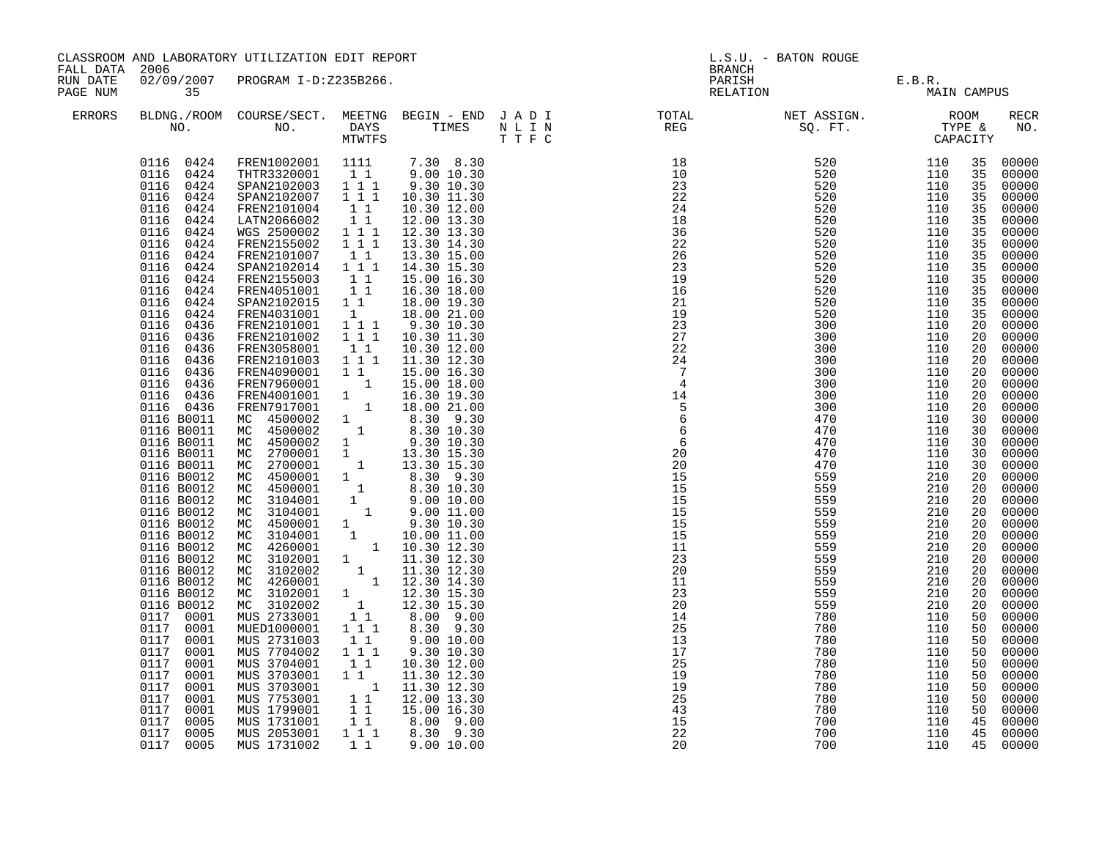| FALL DATA 2006<br>RUN DATE |                                                                                                                                                                                                                                                                                                                                                                                                                                                                                                                                                                                                                                                                                                                                                | CLASSROOM AND LABORATORY UTILIZATION EDIT REPORT                                                                                                                                                                                                                                                                                                                                                                                                                                                                                                                                                                                                                                                                                                                                                                                                                                                                                                                                                                                                                                             |                                                                                                                                                                                                                                                                                                                             |                                                                                                                                                                                                                                                                                                                                                                                                                                                                                                           | <b>BRANCH</b>                                                                                                                                                                                                                                                                                                                                                                                                                                                                                                                                                                                                                                                                                                                                       | L.S.U. - BATON ROUGE                                                                                                                                                                                                                                                   |                                                                                                                                                                                                                                                                        |                                                                                                                                                                                                                                                                                                          |                                                                                                                                                                                                                                                                                                                                                                                                                                                                              |
|----------------------------|------------------------------------------------------------------------------------------------------------------------------------------------------------------------------------------------------------------------------------------------------------------------------------------------------------------------------------------------------------------------------------------------------------------------------------------------------------------------------------------------------------------------------------------------------------------------------------------------------------------------------------------------------------------------------------------------------------------------------------------------|----------------------------------------------------------------------------------------------------------------------------------------------------------------------------------------------------------------------------------------------------------------------------------------------------------------------------------------------------------------------------------------------------------------------------------------------------------------------------------------------------------------------------------------------------------------------------------------------------------------------------------------------------------------------------------------------------------------------------------------------------------------------------------------------------------------------------------------------------------------------------------------------------------------------------------------------------------------------------------------------------------------------------------------------------------------------------------------------|-----------------------------------------------------------------------------------------------------------------------------------------------------------------------------------------------------------------------------------------------------------------------------------------------------------------------------|-----------------------------------------------------------------------------------------------------------------------------------------------------------------------------------------------------------------------------------------------------------------------------------------------------------------------------------------------------------------------------------------------------------------------------------------------------------------------------------------------------------|-----------------------------------------------------------------------------------------------------------------------------------------------------------------------------------------------------------------------------------------------------------------------------------------------------------------------------------------------------------------------------------------------------------------------------------------------------------------------------------------------------------------------------------------------------------------------------------------------------------------------------------------------------------------------------------------------------------------------------------------------------|------------------------------------------------------------------------------------------------------------------------------------------------------------------------------------------------------------------------------------------------------------------------|------------------------------------------------------------------------------------------------------------------------------------------------------------------------------------------------------------------------------------------------------------------------|----------------------------------------------------------------------------------------------------------------------------------------------------------------------------------------------------------------------------------------------------------------------------------------------------------|------------------------------------------------------------------------------------------------------------------------------------------------------------------------------------------------------------------------------------------------------------------------------------------------------------------------------------------------------------------------------------------------------------------------------------------------------------------------------|
| PAGE NUM                   | 35                                                                                                                                                                                                                                                                                                                                                                                                                                                                                                                                                                                                                                                                                                                                             | 02/09/2007 PROGRAM I-D:Z235B266.                                                                                                                                                                                                                                                                                                                                                                                                                                                                                                                                                                                                                                                                                                                                                                                                                                                                                                                                                                                                                                                             |                                                                                                                                                                                                                                                                                                                             |                                                                                                                                                                                                                                                                                                                                                                                                                                                                                                           |                                                                                                                                                                                                                                                                                                                                                                                                                                                                                                                                                                                                                                                                                                                                                     | PARISH<br>RELATION                                                                                                                                                                                                                                                     | E.B.R.<br>MAIN CAMPUS                                                                                                                                                                                                                                                  |                                                                                                                                                                                                                                                                                                          |                                                                                                                                                                                                                                                                                                                                                                                                                                                                              |
| ERRORS                     |                                                                                                                                                                                                                                                                                                                                                                                                                                                                                                                                                                                                                                                                                                                                                |                                                                                                                                                                                                                                                                                                                                                                                                                                                                                                                                                                                                                                                                                                                                                                                                                                                                                                                                                                                                                                                                                              |                                                                                                                                                                                                                                                                                                                             |                                                                                                                                                                                                                                                                                                                                                                                                                                                                                                           |                                                                                                                                                                                                                                                                                                                                                                                                                                                                                                                                                                                                                                                                                                                                                     |                                                                                                                                                                                                                                                                        |                                                                                                                                                                                                                                                                        |                                                                                                                                                                                                                                                                                                          | RECR<br>NO.                                                                                                                                                                                                                                                                                                                                                                                                                                                                  |
|                            | 0116 0424<br>0116 0424<br>0116 0424<br>0116<br>0424<br>0116<br>0424<br>0116<br>0424<br>0116<br>0424<br>0424<br>0116<br>0116<br>0424<br>0116<br>0424<br>0116<br>0424<br>0116 0424<br>0116<br>0424<br>0116 0424<br>0116 0436<br>0116 0436<br>0116 0436<br>0116 0436<br>0116 0436<br>0116 0436<br>0116 0436<br>0116 0436<br>0116 B0011<br>0116 B0011<br>0116 B0011<br>0116 B0011<br>0116 B0011<br>0116 B0012<br>0116 B0012<br>0116 B0012<br>0116 B0012<br>0116 B0012<br>0116 B0012<br>0116 B0012<br>0116 B0012<br>0116 B0012<br>0116 B0012<br>0116 B0012<br>0116 B0012<br>0117 0001<br>0117 0001<br>0117 0001<br>0117 0001<br>0117<br>0001<br>0117 0001<br>0117<br>0001<br>0117 0001<br>0117<br>0001<br>0117<br>0005<br>0117<br>0005<br>0117 0005 | FREN1002001 1111<br>THTR3320001 1 1 9.00 10.30<br>SPAN2102003 111<br>SPAN2102007<br>FREN2101004<br>LATN2066002<br>WGS 2500002<br>FREN2155002<br>FREN2101007<br>SPAN2102014 1 1 1<br>FREN2155003<br>FREN4051001<br>SPAN2102015 1 1<br>FREN4031001<br>FREN2101001<br>FREN2101002<br>FREN3058001<br>FREN2101003<br>FREN4090001<br>FREN7960001<br>FREN4001001<br>FREN7917001<br>MC 4500002<br>MC 4500002 1 8.30 10.30<br>MC 4500002 1 9.30 10.30<br>MC 2700001 1 13.30 15.30<br>MC 2700001 1 13.30 15.30<br>MC 4500001 1 3.30 9.30<br>MC 4500001 1 8.30 9.30<br>MC 3104001 1 9.00 10.30<br>MC 3104001 1 9.00 10.00<br>MC 4500001 1 9.30 10.30<br>MC 4500001 1 9.30 10.30<br>MC 3104001 1 10.00 11.00<br>MC 3104001 1 10.00 11.00<br>MC 4260001 1 10.30 12.30<br>MC 3102001 1 11.30 12.30<br>MC 3102002 1 11.30 12.30<br>MC 4260001 1 12.30 14.30<br>MC 3102001 1 12.30 15.30<br>MC 3102002 1 12.30 15.30<br>MUS 2733001<br>MUED1000001<br>MUS 2731003<br>MUS 7704002<br>MUS 3704001<br>MUS 3703001 1 1<br>MUS 3703001<br>MUS 7753001<br>MUS 1799001<br>MUS 1731001<br>MUS 2053001<br>MUS 1731002 | $1\quad 1\quad 1$<br>11<br>11<br>111<br>$1 1 1$<br>$1\quad1$<br>$1\quad1$<br>11<br>1<br>$1 1 1$<br>$1\quad 1\quad \bar{1}$<br>11<br>1 1 1<br>11<br>$\begin{array}{cc} & 1 \\ 1 & \\ & 1 \end{array}$<br>1<br>$\overline{1}$<br>$1\quad1$<br>$1 1 1$<br>11<br>$1 1 1$<br>11<br>11<br>11<br>$1\quad1$<br>$1 1 1$<br>$1\quad1$ | 7.30 8.30<br>9.30 10.30<br>10.30 11.30<br>10.30 12.00<br>12.00 13.30<br>12.30 13.30<br>13.30 14.30<br>13.30 15.00<br>14.30 15.30<br>15.00 16.30<br>16.30 18.00<br>18.00 19.30<br>18.00 21.00<br>9.30 10.30<br>10.30 11.30<br>10.30 12.00<br>11.30 12.30<br>15.00 16.30<br>15.00 18.00<br>16.30 19.30<br>18.00 21.00<br>8.30 9.30<br>8.00 9.00<br>8.30 9.30<br>9.0010.00<br>9.30 10.30<br>10.30 12.00<br>11.30 12.30<br>1 11.30 12.30<br>12.00 13.30<br>15.00 16.30<br>8.00 9.00<br>8.30 9.30<br>9.0010.00 | $\begin{array}{cccc} 18 & 520 & 110 \\ 10 & 520 & 110 \\ 23 & 520 & 110 \\ 24 & 520 & 110 \\ 18 & 520 & 110 \\ 36 & 520 & 110 \\ 22 & 520 & 110 \\ 26 & 520 & 110 \\ 23 & 520 & 110 \\ 23 & 520 & 110 \\ 19 & 520 & 110 \\ 16 & 520 & 110 \\ 21 & 520 & 110 \\ 21 & 520 & 110 \\ 21 & 520 & 110 \\ 21$<br>19<br>23<br>27<br>22<br>24<br>$\overline{7}$<br>$\overline{4}$<br>$\begin{array}{c}\n14 \\ 14 \\ 5\n\end{array}$<br>$\begin{array}{c} 5 \\ 5 \\ 6 \end{array}$<br>$\overline{6}$<br>$6\overline{6}$<br>$\begin{matrix}6\\20\end{matrix}$<br>20<br>15<br>15<br>15<br>15<br>15<br>$\begin{array}{c}\n 15 \\  15 \\  11\n \end{array}$<br>23<br>20<br>11<br>23<br>20<br>14<br>25<br>13<br>17<br>25<br>19<br>19<br>25<br>43<br>15<br>22<br>20 | 520<br>300<br>300<br>300<br>300<br>300<br>300<br>300<br>300<br>470<br>470<br>470<br>470<br>470<br>559<br>559<br>559<br>559<br>559<br>559<br>559<br>559<br>559<br>559<br>559<br>559<br>780<br>780<br>780<br>780<br>780<br>780<br>780<br>780<br>780<br>700<br>700<br>700 | 110<br>110<br>110<br>110<br>110<br>110<br>110<br>110<br>110<br>110<br>110<br>110<br>110<br>110<br>210<br>210<br>210<br>210<br>210<br>210<br>210<br>210<br>210<br>210<br>210<br>210<br>110<br>110<br>110<br>110<br>110<br>110<br>110<br>110<br>110<br>110<br>110<br>110 | 35<br>35<br>35<br>35<br>35<br>35<br>35<br>35<br>35<br>35<br>35<br>35<br>35<br>35<br>20<br>20<br>20<br>20<br>20<br>20<br>20<br>20<br>30<br>30<br>30<br>30<br>30<br>20<br>20<br>20<br>20<br>20<br>20<br>20<br>20<br>20<br>20<br>20<br>20<br>50<br>50<br>50<br>50<br>50<br>50<br>50<br>50<br>50<br>45<br>45 | 00000<br>00000<br>00000<br>00000<br>00000<br>00000<br>00000<br>00000<br>00000<br>00000<br>00000<br>00000<br>00000<br>00000<br>00000<br>00000<br>00000<br>00000<br>00000<br>00000<br>00000<br>00000<br>00000<br>00000<br>00000<br>00000<br>00000<br>00000<br>00000<br>00000<br>00000<br>00000<br>00000<br>00000<br>00000<br>00000<br>00000<br>00000<br>00000<br>00000<br>00000<br>00000<br>00000<br>00000<br>00000<br>$00000$<br>00000<br>00000<br>00000<br>00000<br>45 00000 |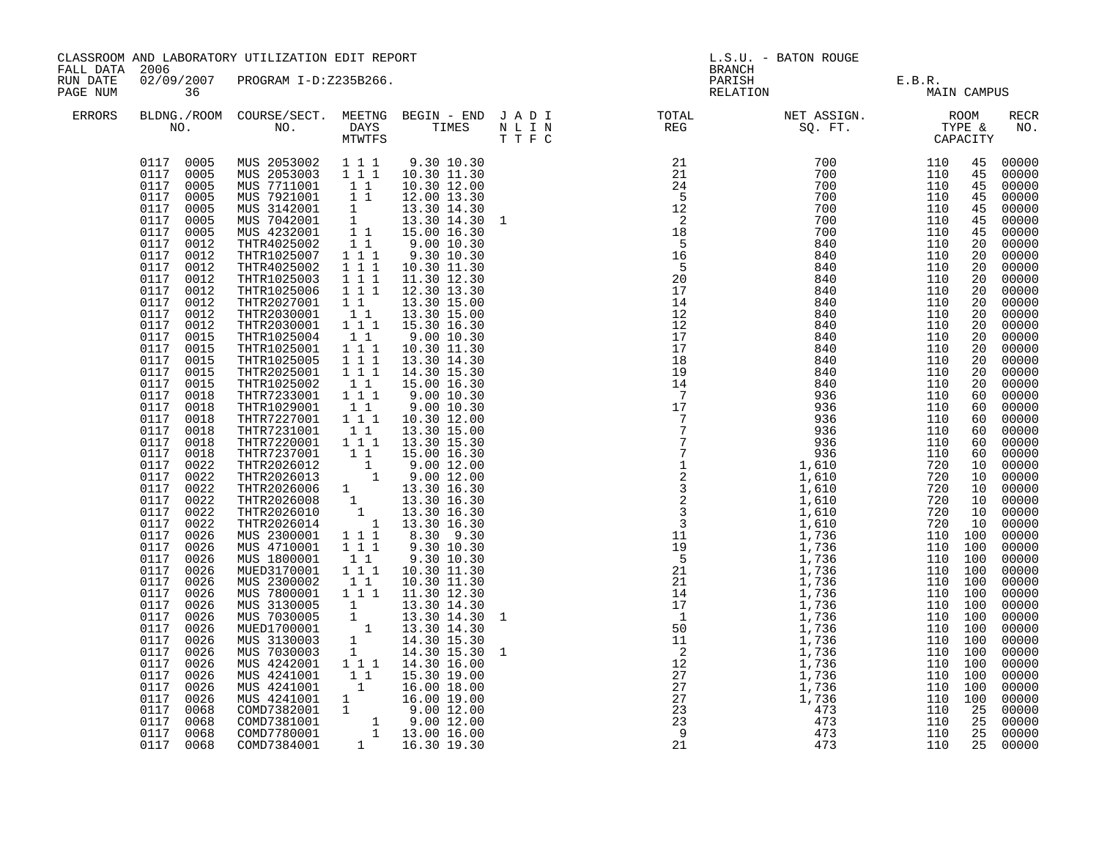| FALL DATA 2006       |                                                                                                                                                                                                                                                                                                                                                                                                                                                                                                                                                                                                                                                                                                                       | CLASSROOM AND LABORATORY UTILIZATION EDIT REPORT                                                                                                                                                                                                                                                                                                                                                                                                                                                                                                                                                                                                                                                                                                                                                                                                                                                                                                                                                                                                                                                                                                                                                                                                                        |                                                                                                                             |                                                                                                                                                                                                                                                                                                                                                                                                                                                                       | <b>BRANCH</b>                                                                                                                                                                                                                                                                                                                                                                                                                                                                               | L.S.U. - BATON ROUGE                  |                                                                                                                                                                                                                                                                                                                                                 |                                                                                                                                                                                              |                                                                                                                                                                                                                                                                                                                                                                                                                                                                           |
|----------------------|-----------------------------------------------------------------------------------------------------------------------------------------------------------------------------------------------------------------------------------------------------------------------------------------------------------------------------------------------------------------------------------------------------------------------------------------------------------------------------------------------------------------------------------------------------------------------------------------------------------------------------------------------------------------------------------------------------------------------|-------------------------------------------------------------------------------------------------------------------------------------------------------------------------------------------------------------------------------------------------------------------------------------------------------------------------------------------------------------------------------------------------------------------------------------------------------------------------------------------------------------------------------------------------------------------------------------------------------------------------------------------------------------------------------------------------------------------------------------------------------------------------------------------------------------------------------------------------------------------------------------------------------------------------------------------------------------------------------------------------------------------------------------------------------------------------------------------------------------------------------------------------------------------------------------------------------------------------------------------------------------------------|-----------------------------------------------------------------------------------------------------------------------------|-----------------------------------------------------------------------------------------------------------------------------------------------------------------------------------------------------------------------------------------------------------------------------------------------------------------------------------------------------------------------------------------------------------------------------------------------------------------------|---------------------------------------------------------------------------------------------------------------------------------------------------------------------------------------------------------------------------------------------------------------------------------------------------------------------------------------------------------------------------------------------------------------------------------------------------------------------------------------------|---------------------------------------|-------------------------------------------------------------------------------------------------------------------------------------------------------------------------------------------------------------------------------------------------------------------------------------------------------------------------------------------------|----------------------------------------------------------------------------------------------------------------------------------------------------------------------------------------------|---------------------------------------------------------------------------------------------------------------------------------------------------------------------------------------------------------------------------------------------------------------------------------------------------------------------------------------------------------------------------------------------------------------------------------------------------------------------------|
| RUN DATE<br>PAGE NUM | 36                                                                                                                                                                                                                                                                                                                                                                                                                                                                                                                                                                                                                                                                                                                    | 02/09/2007 PROGRAM I-D:Z235B266.                                                                                                                                                                                                                                                                                                                                                                                                                                                                                                                                                                                                                                                                                                                                                                                                                                                                                                                                                                                                                                                                                                                                                                                                                                        |                                                                                                                             |                                                                                                                                                                                                                                                                                                                                                                                                                                                                       |                                                                                                                                                                                                                                                                                                                                                                                                                                                                                             | PARISH E.B.R.<br>RELATION MAIN CAMPUS |                                                                                                                                                                                                                                                                                                                                                 |                                                                                                                                                                                              |                                                                                                                                                                                                                                                                                                                                                                                                                                                                           |
| <b>ERRORS</b>        |                                                                                                                                                                                                                                                                                                                                                                                                                                                                                                                                                                                                                                                                                                                       |                                                                                                                                                                                                                                                                                                                                                                                                                                                                                                                                                                                                                                                                                                                                                                                                                                                                                                                                                                                                                                                                                                                                                                                                                                                                         |                                                                                                                             |                                                                                                                                                                                                                                                                                                                                                                                                                                                                       |                                                                                                                                                                                                                                                                                                                                                                                                                                                                                             |                                       |                                                                                                                                                                                                                                                                                                                                                 |                                                                                                                                                                                              | RECR<br>NO.                                                                                                                                                                                                                                                                                                                                                                                                                                                               |
|                      | 0117 0005<br>0117<br>0005<br>0117 0005<br>0117<br>0005<br>0117<br>0005<br>0117<br>0012<br>0117 0012<br>0117 0012<br>0117<br>0012<br>0117 0012<br>0117 0012<br>0117 0012<br>0117<br>0012<br>0117 0015<br>0117 0015<br>0117 0015<br>0117 0015<br>0117 0015<br>0117<br>0018<br>0117 0018<br>0117 0018<br>0117 0018<br>0117 0018<br>0117 0018<br>0117 0022<br>0117 0022<br>0117 0022<br>0117 0022<br>0117 0022<br>0117<br>0022<br>0117<br>0026<br>0117<br>0026<br>0117 0026<br>0117<br>0026<br>0117 0026<br>0117<br>0026<br>0117 0026<br>0117<br>0026<br>0117 0026<br>0117<br>0026<br>0117 0026<br>0117<br>0026<br>0117<br>0026<br>0117<br>0026<br>0117<br>0026<br>0117<br>0068<br>0117<br>0068<br>0117 0068<br>0117 0068 | $\begin{array}{cccc} 0117 & 0005 & \text{MUS} & 2053002 & 1 & 1 & 1 \\ 0117 & 0005 & \text{MUS} & 2053003 & 1 & 1 & 1 \end{array}$<br>MUS 2033003 1 1 1<br>MUS 7921001 1 1<br>MUS 3142001 1<br>MUS 3142001 1<br>MUS 4232001 1<br>MUS 4232001 1 1<br>THTR4025002 1 1<br>THTR1025007 1 1 1<br>THTR1025007 1 1 1<br>THTR4025002 111<br>THTR1025003 1 1 1 11.30 12.30<br>THTR1025006 1 1 1 12.30 13.30<br>THTR2027001 1 1<br>THTR2030001 1 1<br>THTR2030001 1 1 1 15.30 16.30<br>THTR1025004<br>THTR1025001<br>THTR1025005 111<br>THTR1025005 111<br>THTR1025002 1 1<br>THTR7233001 1 1 1<br>THTR1029001<br>THTR7227001 111<br>THTR7231001<br>THTR7220001  1  1  1<br>THIR7230001 1 1 15.30 15.30<br>THIR7237001 1 1 15.00 16.30<br>THIR2026012 1 9.00 12.00<br>THIR2026013 1 9.00 12.00<br>THIR2026006 1 13.30 16.30<br>THIR2026010 1 13.30 16.30<br>THIR2026010 1 13.30 16.30<br>THIR2026010 1 13.30 16.30<br>THIR<br>MUS 2300001<br>MUS 4710001<br>MUS 1800001<br>MUED3170001<br>MUS 2300002<br>MUS 7800001 111 11.30 12.30<br>MUS 3130005<br>MUS 3130005<br>MUS 7030005<br>MUS 7030005<br>1 13.30 14.30<br>MUS 7030005<br>1 13.30 14.30<br>MUS 3130003<br>1 14.30 15.30<br>MUS 7030003<br>1 14.30 15.30<br>MUS 4242001<br>1 14.30 15.30<br>MUS 4242001<br>1 14.30 15.30 | $\begin{bmatrix} 1\\ 1\\ 1 \end{bmatrix}$<br>$1\quad1$<br>11<br>$\begin{smallmatrix}1&1\\1&1\end{smallmatrix}$<br>$1\quad1$ | 9.30 10.30<br>10.30 11.30<br>10.30 12.00<br>12.00 13.30<br>13.30 14.30<br>13.30 14.30<br>15.00 16.30<br>9.00 10.30<br>9.30 10.30<br>10.30 11.30<br>13.30 15.00<br>13.30 15.00<br>9.00 10.30<br>10.30 11.30<br>13.30 14.30<br>14.30 15.30<br>15.00 16.30<br>9.00 10.30<br>9.0010.30<br>10.30 12.00<br>13.30 15.00<br>13.30 15.30<br>$1 \quad 1 \quad 8.30 \quad 9.30$<br>$1 \quad 1 \quad 9.30 \quad 10.30$<br>9.30 10.30<br>10.30 11.30<br>10.30 11.30<br>14.30 15.30 | $\begin{array}{cccc} 21 & & & & & & 21\ 21 & & & & & & 24\ 24 & & & & & & 5\ 12 & & & & & & 2\ 18 & & & & & & 5\ 16 & & & & & & 5\ 16 & & & & & & 5\ 20 & & 17 & & & & 14\ 17 & & & & 14\ 11 & & & & & 1\ \end{array}$<br>$\begin{array}{cccc} 20& 840\\ 17& 840\\ 14& 840\\ 12& 840\\ 12& 840\\ 17& 840\\ 17& 840\\ 18& 840\\ 19& 840\\ 19& 840\\ 19& 840\\ 19& 840\\ 19& 840\\ 19& 840\\ 19& 840\\ 19& 840\\ 19& 840\\ 19& 840\\ 19& 840\\ 19& 840\\ 19& 840\\ 19& 840\\ 19& 840\\ 19& 8$ |                                       | 110<br>110<br>110<br>110<br>110<br>110<br>110<br>110<br>110<br>110<br>110<br>110<br>110<br>110<br>720<br>720<br>720<br>720 10<br>720<br>720 10<br>110 100<br>110 100<br>110 100<br>110 100<br>110 100<br>110 100<br>110 100<br>110 100<br>110 100<br>110 100<br>110 100<br>110 100<br>110 100<br>110 100<br>110 100<br>110<br>110<br>110<br>110 | 45<br>45<br>45<br>45<br>45<br>20<br>20<br>20<br>20<br>20<br>20<br>20<br>20<br>20<br>20<br>20<br>20<br>20<br>60<br>60<br>60<br>60<br>60<br>60<br>10<br>10<br>10<br>10<br>25<br>25<br>25<br>25 | 00000<br>00000<br>45 00000<br>00000<br>45 00000<br>00000<br>00000<br>00000<br>00000<br>00000<br>00000<br>00000<br>00000<br>00000<br>00000<br>00000<br>00000<br>00000<br>00000<br>00000<br>$00000$<br>00000<br>00000<br>00000<br>$00000$<br>$00000$<br>$00000$<br>00000<br>00000<br>$00000$<br>$00000$<br>00000<br>00000<br>00000<br>00000<br>00000<br>00000<br>00000<br>00000<br>00000<br>00000<br>00000<br>00000<br>00000<br>$00000$<br>00000<br>00000<br>00000<br>00000 |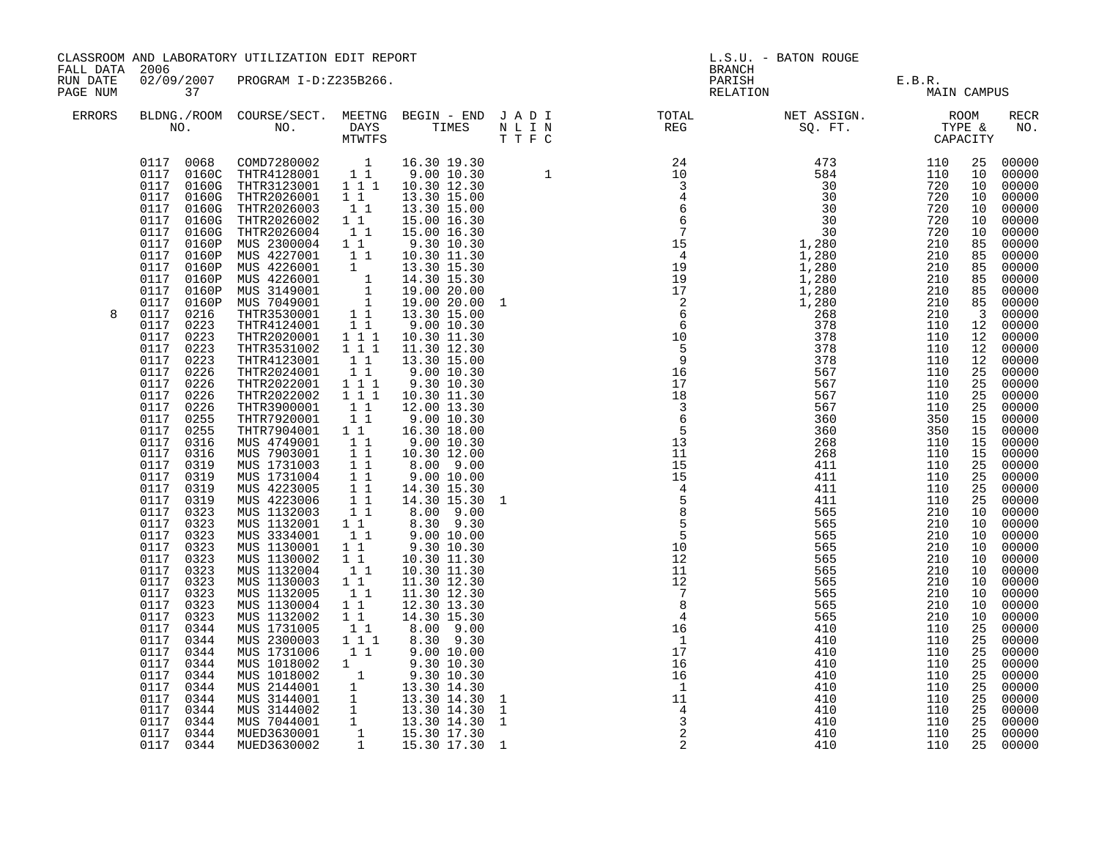| CLASSROOM AND LABORATORY UTILIZATION EDIT REPORT<br>FALL DATA 2006                                                                                                                                                                                                                                                                                                                                                                                                                                                                                                                                                                                                                                                                                                                                                                                                                                              | L.S.U. - BATON ROUGE<br><b>BRANCH</b>                                                                                      |                                              |                                                                                                                                                                                                                                                                                                                                                                                                                                                                                                    |  |
|-----------------------------------------------------------------------------------------------------------------------------------------------------------------------------------------------------------------------------------------------------------------------------------------------------------------------------------------------------------------------------------------------------------------------------------------------------------------------------------------------------------------------------------------------------------------------------------------------------------------------------------------------------------------------------------------------------------------------------------------------------------------------------------------------------------------------------------------------------------------------------------------------------------------|----------------------------------------------------------------------------------------------------------------------------|----------------------------------------------|----------------------------------------------------------------------------------------------------------------------------------------------------------------------------------------------------------------------------------------------------------------------------------------------------------------------------------------------------------------------------------------------------------------------------------------------------------------------------------------------------|--|
| 02/09/2007 PROGRAM I-D:Z235B266.<br>RUN DATE<br>PAGE NUM<br>37                                                                                                                                                                                                                                                                                                                                                                                                                                                                                                                                                                                                                                                                                                                                                                                                                                                  | PARISH E.B.R.<br>RELATION MAIN CAMPUS                                                                                      |                                              |                                                                                                                                                                                                                                                                                                                                                                                                                                                                                                    |  |
| $\begin{tabular}{lllllllllllllllllllll} \textsc{BLONG.} \textsc{F1} & \textsc{R1} & \textsc{R2} & \textsc{R3} & \textsc{R4} & \textsc{R5} & \textsc{R5} & \textsc{R6} & \textsc{R6} & \textsc{R6} & \textsc{R6} & \textsc{R6} & \textsc{R6} & \textsc{R6} & \textsc{R6} & \textsc{R6} & \textsc{R6} & \textsc{R6} & \textsc{R6} & \textsc{R6} & \textsc{R6} & \textsc{R6} & \textsc{R6} & \textsc{R6} & \text$<br>ERRORS                                                                                                                                                                                                                                                                                                                                                                                                                                                                                        |                                                                                                                            |                                              | RECR<br>NO.                                                                                                                                                                                                                                                                                                                                                                                                                                                                                        |  |
| $\begin{smallmatrix} 101.7 & 3000 & 3000 & 70000 & 71.7 & 10000 & 71.7 & 10000 & 71.7 & 10000 & 71.7 & 10000 & 71.7 & 10000 & 71.7 & 10000 & 71.7 & 10000 & 71.7 & 10000 & 71.7 & 10000 & 71.7 & 10000 & 71.7 & 10000 & 71.7 & 10000 & 71.7 & 10000 & 71.7 & 10000 & 71.7 &$<br>8<br>$\begin{array}{cccc}\n & 10.00 \\  & 30 & 10.30 \\  & 30 & 11.30 \\  & 12.30 & 12.30 \\  & 12.30 & 3.30 \\  & 3.0 & 30 \\  & 0 & 0\n\end{array}$<br>MUS 1731006<br>0117 0344<br>$1\quad1$<br>9.00 10.00<br>9.30 10.30<br>MUS 1018002<br>0117<br>0344<br>1<br>MUS 1018002 1<br>MUS 1018002 1<br>MUS 2144001 1<br>MUS 3144001 1<br>MUS 3144001 1<br>MUS 3144002 1<br>13.30 14.30 1<br>MUS 7044001 1<br>13.30 14.30 1<br>MUS 7044001 1<br>13.30 14.30 1<br>MUS 7044001 1<br>15.30 17.30<br>MUED3630002 1<br>15.30 17.30 1<br>0117 0344<br>0117<br>0344<br>0117<br>0344<br>0117<br>0344<br>0117 0344<br>0117 0344<br>0117 0344 | 410<br>110<br>410<br>110<br>110<br>410<br>410<br>110<br>110<br>410<br>410<br>110<br>110<br>410<br>410<br>110<br>410<br>110 | 25<br>25<br>25<br>25<br>25<br>25<br>25<br>25 | 25 00000<br>00000<br>00000<br>00000<br>00000<br>00000<br>00000<br>00000<br>85 00000<br>85 00000<br>00000<br>85 00000<br>85 00000<br>00000<br>00000<br>12 00000<br>00000<br>00000<br>00000<br>25 00000<br>00000<br>00000<br>00000<br>00000<br>00000<br>00000<br>00000<br>00000<br>00000<br>00000<br>00000<br>00000<br>10 00000<br>00000<br>00000<br>00000<br>00000<br>00000<br>00000<br>00000<br>00000<br>00000<br>00000<br>00000<br>00000<br>00000<br>00000<br>00000<br>00000<br>00000<br>25 00000 |  |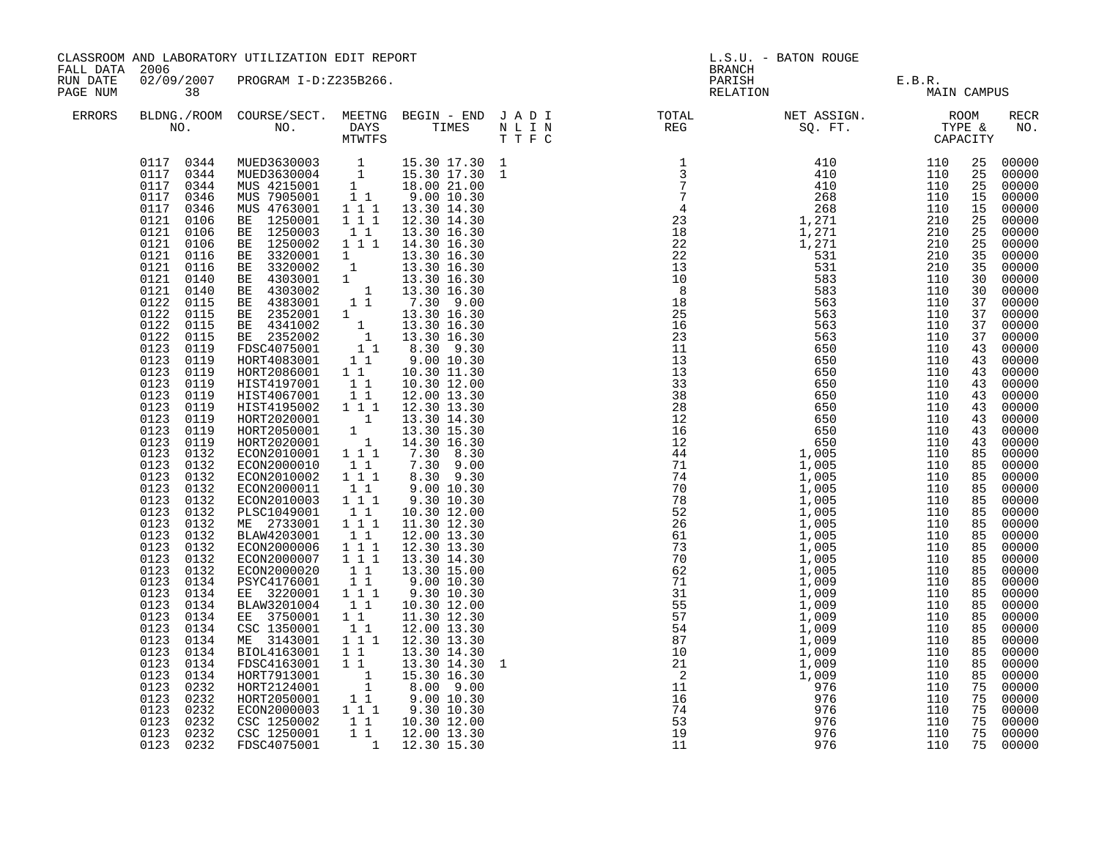| FALL DATA 2006       |                                                                                                                                                                                                                                                                                                                                                                                                                                                                                                                                                                                                                                                                                               | CLASSROOM AND LABORATORY UTILIZATION EDIT REPORT                                                                                                                                                                                                                                                                                                                                                                                                                                                                                                                                                                                                                                                                                                                                                                                                                         |                                                                                              |                                                                                                                                                                                                                                                                                         |  |                                                                                                                                                                                                                                                                                                                                                                                                                                                   | L.S.U. - BATON ROUGE                  |                                                                                                                                                                                                                                                                            |                                                                                                                                                                                                                                                                                                                                                                                                                                                                                   |
|----------------------|-----------------------------------------------------------------------------------------------------------------------------------------------------------------------------------------------------------------------------------------------------------------------------------------------------------------------------------------------------------------------------------------------------------------------------------------------------------------------------------------------------------------------------------------------------------------------------------------------------------------------------------------------------------------------------------------------|--------------------------------------------------------------------------------------------------------------------------------------------------------------------------------------------------------------------------------------------------------------------------------------------------------------------------------------------------------------------------------------------------------------------------------------------------------------------------------------------------------------------------------------------------------------------------------------------------------------------------------------------------------------------------------------------------------------------------------------------------------------------------------------------------------------------------------------------------------------------------|----------------------------------------------------------------------------------------------|-----------------------------------------------------------------------------------------------------------------------------------------------------------------------------------------------------------------------------------------------------------------------------------------|--|---------------------------------------------------------------------------------------------------------------------------------------------------------------------------------------------------------------------------------------------------------------------------------------------------------------------------------------------------------------------------------------------------------------------------------------------------|---------------------------------------|----------------------------------------------------------------------------------------------------------------------------------------------------------------------------------------------------------------------------------------------------------------------------|-----------------------------------------------------------------------------------------------------------------------------------------------------------------------------------------------------------------------------------------------------------------------------------------------------------------------------------------------------------------------------------------------------------------------------------------------------------------------------------|
| RUN DATE<br>PAGE NUM | 38                                                                                                                                                                                                                                                                                                                                                                                                                                                                                                                                                                                                                                                                                            | 02/09/2007 PROGRAM I-D:Z235B266.                                                                                                                                                                                                                                                                                                                                                                                                                                                                                                                                                                                                                                                                                                                                                                                                                                         |                                                                                              |                                                                                                                                                                                                                                                                                         |  | <b>BRANCH</b>                                                                                                                                                                                                                                                                                                                                                                                                                                     | PARISH E.B.R.<br>RELATION MAIN CAMPUS |                                                                                                                                                                                                                                                                            |                                                                                                                                                                                                                                                                                                                                                                                                                                                                                   |
| ERRORS               |                                                                                                                                                                                                                                                                                                                                                                                                                                                                                                                                                                                                                                                                                               |                                                                                                                                                                                                                                                                                                                                                                                                                                                                                                                                                                                                                                                                                                                                                                                                                                                                          |                                                                                              |                                                                                                                                                                                                                                                                                         |  | $\begin{tabular}{lllllllllllllllllllll} \textsc{BLONG.} \textsc{ROOM} & \textsc{CUIRSE/SECT.} & \textsc{METING} & \textsc{BEGIN} & - & \textsc{END} & \textsc{J} & \textsc{A} & \textsc{D} & \textsc{I} & & & \textsc{TOTAL} & & \textsc{NET} & \textsc{ASSIGN.} & & \textsc{ROOM} \\ \textsc{NO.} & \textsc{NO.} & \textsc{DAYS} & \textsc{TIMES} & \textsc{N} & \textsc{L} & \textsc{I} & \textsc{NEG} & & \textsc{SEG} & & \textsc{ST.} & & \$ |                                       |                                                                                                                                                                                                                                                                            | RECR<br>NO.                                                                                                                                                                                                                                                                                                                                                                                                                                                                       |
|                      | 0117 0344<br>0117 0344<br>0117 0344<br>0117 0346<br>0117 0346<br>0121 0106<br>0121 0106<br>0121 0106<br>0121 0116<br>0121 0116<br>0121 0140<br>0121 0140<br>0122 0115<br>0122 0115<br>0122 0115<br>0122<br>0115<br>0123 0119<br>0123 0119<br>0123 0119<br>0123<br>0119<br>0123<br>0119<br>0123 0119<br>0123 0119<br>0123 0119<br>0123 0119<br>0123 0132<br>0123 0132<br>0123 0132<br>0123 0132<br>0123 0132<br>0123 0132<br>0123 0132<br>0123 0132<br>0123 0132<br>0123 0132<br>0123 0132<br>0123<br>0134<br>0123<br>0134<br>0123 0134<br>0123<br>0134<br>0123<br>0134<br>0123<br>0134<br>0123<br>0134<br>0123<br>0134<br>0123<br>0134<br>0123<br>0232<br>0123 0232<br>0123 0232<br>0123 0232 | MUED3630003 1 15.30 17.30 1<br>MUED3630004 1 15.30 17.30 1<br>MUS 4215001 1 18.00 21.00<br>MUS 7905001 1 1 9.00 10.30<br>MUS 4763001 1 1 1 13.30 14.30<br>BE 1250001 1 1 1 12.30 14.30<br>BE 1250003<br>HIST4195002 1 1<br>HORT2020001 1 13.30 14.30<br>HORT2050001 1 13.30 15.30<br>HORT2020001 1 14.30 16.30<br>ECON2010001 1 1 7.30 8.30<br>FONT200001 1 7.30 9.00<br>ECON2000010 11<br>ECON2010002 111<br>ECON2000011<br>ECON2010003 111<br>PLSC1049001 1 1<br>ECON2000006 111<br>ECON2000007 111<br>ECON2000020 11<br>PSYC4176001 11<br>EE 3220001 1 1<br>BLAW3201004 1 1<br>EE 3750001 11<br>CSC 1350001<br>ME 3143001 1 1 1 12.30 13.30<br>BIOL4163001 11<br>FDSC4163001 11<br>HORT7913001 1<br>HORT2124001 1<br>HORT2050001 1<br>HORT2124001 1 8.00 9.00<br>HORT2050001 1 9.00 10.30<br>ECON2000003 1 1 9.30 10.30<br>CSC 1250002 1 1 10.30 12.00<br>CSC 1250001 | $\begin{array}{cc} 1 & 1 \end{array}$<br>$1\quad1$<br>$\begin{bmatrix} 1 \\ 1 \end{bmatrix}$ | 13.30 16.30<br>8.30 9.30<br>9.00 10.30<br>9.30 10.30<br>10.30 12.00<br>11.30 12.30<br>12.00 13.30<br>12.30 13.30<br>13.30 14.30<br>13.30 15.00<br>9.00 10.30<br>9.30 10.30<br>10.30 12.00<br>11.30 12.30<br>12.00 13.30<br>13.30 14.30<br>13.30 14.30<br>15.30 16.30<br>1 1 12.00 13.30 |  | $\begin{array}{cccc} \texttt{NP} & \texttt{RDO} & \texttt{SPO} & \texttt{STTE} \\ \texttt{N} & \texttt{1} & \texttt{1} & \texttt{1} & \texttt{1} & \texttt{1} & \texttt{1} \\ \texttt{1} & \texttt{1} & \texttt{1} & \texttt{1} & \texttt{1} & \texttt{1} \\ \texttt{2} & \texttt{2} & \texttt{2} & \texttt{2} & \texttt{2} & \texttt{2} \\ \texttt{3} & \texttt{3} & \texttt{2} & \texttt{2} & \texttt{2} & \texttt{2} \\ \texttt{3} &$          |                                       | 25<br>25<br>25<br>15<br>15<br>25<br>25<br>25<br>35<br>35<br>30<br>30<br>37<br>37<br>37<br>37<br>43<br>43<br>43<br>43<br>43<br>43<br>43<br>85<br>85<br>85<br>85<br>85<br>85<br>85<br>85<br>85<br>85<br>85<br>85<br>85<br>85<br>85<br>85<br>85<br>75<br>75<br>75<br>75<br>75 | 00000<br>00000<br>00000<br>00000<br>00000<br>00000<br>00000<br>00000<br>00000<br>00000<br>00000<br>$00000$<br>00000<br>00000<br>00000<br>00000<br>43 00000<br>00000<br>00000<br>00000<br>43 00000<br>00000<br>00000<br>00000<br>00000<br>00000<br>00000<br>00000<br>00000<br>00000<br>00000<br>00000<br>00000<br>85 00000<br>00000<br>85 00000<br>00000<br>85 00000<br>00000<br>00000<br>00000<br>00000<br>00000<br>00000<br>00000<br>$00000$<br>00000<br>00000<br>00000<br>00000 |
|                      | 0123 0232<br>0123 0232                                                                                                                                                                                                                                                                                                                                                                                                                                                                                                                                                                                                                                                                        | FDSC4075001                                                                                                                                                                                                                                                                                                                                                                                                                                                                                                                                                                                                                                                                                                                                                                                                                                                              |                                                                                              | 1 12.30 15.30                                                                                                                                                                                                                                                                           |  |                                                                                                                                                                                                                                                                                                                                                                                                                                                   |                                       | 75                                                                                                                                                                                                                                                                         | 00000                                                                                                                                                                                                                                                                                                                                                                                                                                                                             |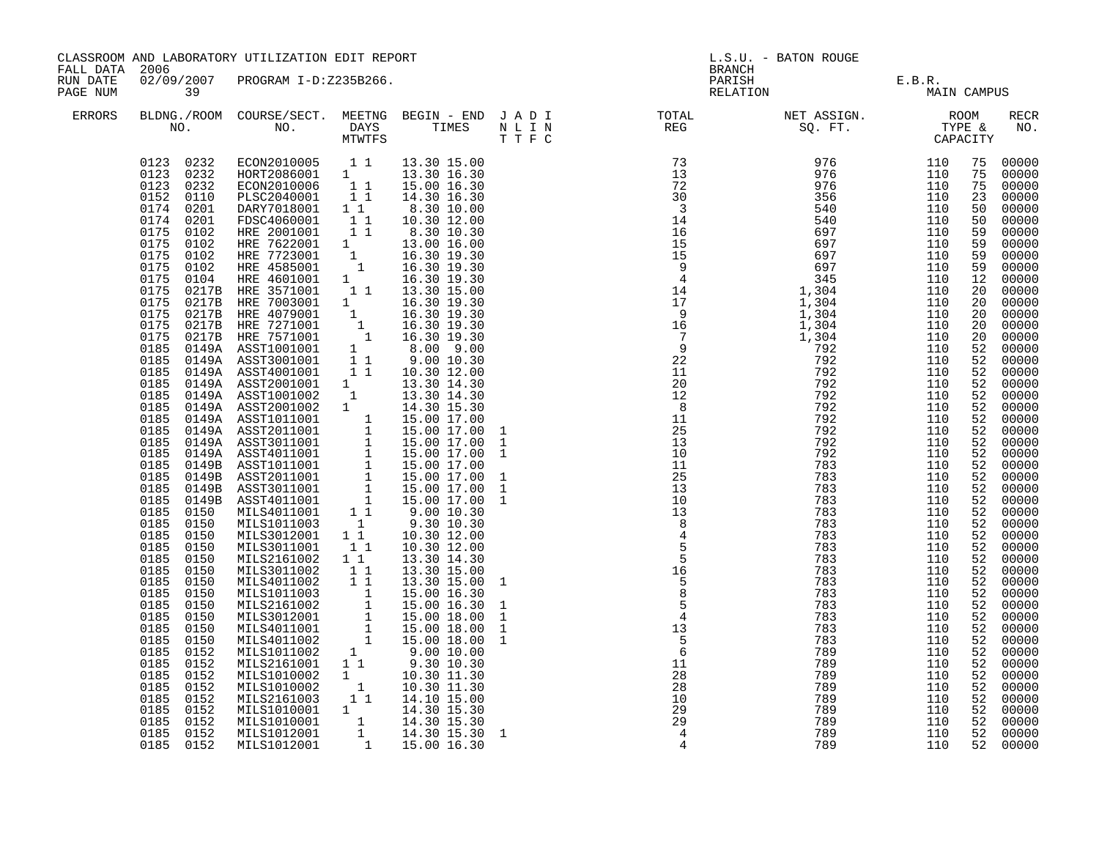| 02/09/2007 PROGRAM I-D:Z235B266.<br>RUN DATE<br>PARISH E.B.R.<br>RELATION MAIN CAMPUS<br>PAGE NUM<br>39<br><b>ERRORS</b><br>$\begin{array}{cccc} \texttt{N} \texttt{P} \texttt{R} \texttt{R} \texttt{R} \texttt{R} \texttt{R} \texttt{R} \texttt{R} \texttt{R} \texttt{R} \texttt{R} \texttt{R} \texttt{R} \texttt{R} \texttt{R} \texttt{R} \texttt{R} \texttt{R} \texttt{R} \texttt{R} \texttt{R} \texttt{R} \texttt{R} \texttt{R} \texttt{R} \texttt{R} \texttt{R} \texttt{R} \texttt{R} \texttt{R} \texttt{R} \texttt{R} \texttt{R} \texttt{R} \texttt$<br>$\begin{array}{cccc} 0123 & 0232 & \text{ECON2010005} & 1 & 1 & 13.30 & 15.00 \\ 0123 & 0232 & \text{HORT2086001} & 1 & 13.30 & 16.30 \\ 0123 & 0232 & \text{ECON2010006} & 1 & 1 & 15.00 & 16.30 \\ 0152 & 0110 & \text{PLSC2040001} & 1 & 1 & 14.30 & 16.30 \\ \end{array}$<br>75<br>75<br>23<br>0174 0201<br>$\begin{tabular}{@{}lllllllllllll@{}} \texttt{PBCX2040001} & 1 & 1 & 1 & 3.30 & 10.00 \\ \texttt{DRK27018001} & 1 & 1 & 8.30 & 10.00 \\ \texttt{HRE 2001001} & 1 & 1 & 10.30 & 12.00 \\ \texttt{HRE 2001001} & 1 & 1 & 8.30 & 10.30 \\ \texttt{HRE 7622001} & 1 & 13.00 & 16.00 \\ \texttt{HRE 7723001} & 1 & 16.30 &$<br>$0174$ $0201$<br>50<br>0175<br>0102<br>59<br>0175<br>0102<br>59<br>0175<br>0102<br>59<br>0175<br>0102 HRE 4585001<br>0104 HRE 4601001<br>0217B HRE 3571001<br>0102<br>59<br>0175<br>$\begin{array}{ccc} 1 & 16.30 & 19.30 \\ 1 & 13.30 & 15.00 \end{array}$<br>12<br>0175<br>20<br>$\begin{tabular}{cccc} 0.175 & 0.104 & 1064 & 1064 & 1064 & 1064 & 1064 & 1064 & 1064 & 1064 & 1064 & 1064 & 1064 & 1064 & 1064 & 1064 & 1064 & 1064 & 1064 & 1064 & 1064 & 1064 & 1064 & 1064 & 1064 & 1064 & 1064 & 1064 & 1064 & 1064 & 1064 & 1064 & 1064 & 1064 & 1064 &$<br>20<br>20<br>20<br>52<br>52<br>52<br>52<br>52<br>52<br>52<br>52<br>52<br>52<br>52<br>0185<br>0150<br>52<br>0185<br>0150<br>52<br>0185<br>0150<br>52 | FALL DATA 2006 |           | CLASSROOM AND LABORATORY UTILIZATION EDIT REPORT |  |  |  |  | L.S.U. - BATON ROUGE<br><b>BRANCH</b> |  |  |                                                                                                                                                                                                                                                                                                                                                                                                                                                                                                                                                                               |  |
|---------------------------------------------------------------------------------------------------------------------------------------------------------------------------------------------------------------------------------------------------------------------------------------------------------------------------------------------------------------------------------------------------------------------------------------------------------------------------------------------------------------------------------------------------------------------------------------------------------------------------------------------------------------------------------------------------------------------------------------------------------------------------------------------------------------------------------------------------------------------------------------------------------------------------------------------------------------------------------------------------------------------------------------------------------------------------------------------------------------------------------------------------------------------------------------------------------------------------------------------------------------------------------------------------------------------------------------------------------------------------------------------------------------------------------------------------------------------------------------------------------------------------------------------------------------------------------------------------------------------------------------------------------------------------------------------------------------------------------------------------------------------------------------------------------------------------------------------------------------------------------------------------------------------------------|----------------|-----------|--------------------------------------------------|--|--|--|--|---------------------------------------|--|--|-------------------------------------------------------------------------------------------------------------------------------------------------------------------------------------------------------------------------------------------------------------------------------------------------------------------------------------------------------------------------------------------------------------------------------------------------------------------------------------------------------------------------------------------------------------------------------|--|
|                                                                                                                                                                                                                                                                                                                                                                                                                                                                                                                                                                                                                                                                                                                                                                                                                                                                                                                                                                                                                                                                                                                                                                                                                                                                                                                                                                                                                                                                                                                                                                                                                                                                                                                                                                                                                                                                                                                                 |                |           |                                                  |  |  |  |  |                                       |  |  |                                                                                                                                                                                                                                                                                                                                                                                                                                                                                                                                                                               |  |
|                                                                                                                                                                                                                                                                                                                                                                                                                                                                                                                                                                                                                                                                                                                                                                                                                                                                                                                                                                                                                                                                                                                                                                                                                                                                                                                                                                                                                                                                                                                                                                                                                                                                                                                                                                                                                                                                                                                                 |                |           |                                                  |  |  |  |  |                                       |  |  | RECR<br>NO.                                                                                                                                                                                                                                                                                                                                                                                                                                                                                                                                                                   |  |
| MILS2161002 1 1 13.30 14.30<br>MILS3011002 1 1 13.30 15.00<br>MILS4011003 1 1 15.00 15.00<br>MILS1011003 1 15.00 16.30<br>MILS2161002 1 15.00 16.30<br>MILS3012001 1 15.00 18.00<br>MILS4011001 1 15.00 18.00<br>MILS4011002 1 9.00 10.00<br>M<br>0185 0150<br>52<br>0185<br>0150<br>52<br>0185<br>0150<br>0185 0152<br>0185 0152<br>52<br>$\frac{28}{28}$<br>0185 0152<br>MILS2101002 1 9.30 10.30<br>MILS1010002 1 10.30 11.30<br>MILS1010002 1 10.30 11.30<br>MILS2161003 1 14.10 15.00<br>MILS1010001 1 14.30 15.30<br>MILS1012001 1 14.30 15.30<br>MILS1012001 1 14.30 15.30<br>MILS1012001 1 15.00 16.30<br>789<br>110<br>52<br>$\begin{array}{r} 28 \\ 28 \\ 10 \\ 29 \\ 29 \\ 4 \\ 4 \end{array}$<br>0185<br>789<br>52<br>0152<br>110<br>0185<br>789<br>110<br>0152<br>0185<br>0152<br>789<br>52<br>110<br>0185<br>0152<br>789<br>110<br>52<br>0185<br>0152<br>789<br>110<br>$\mathbf{1}$                                                                                                                                                                                                                                                                                                                                                                                                                                                                                                                                                                                                                                                                                                                                                                                                                                                                                                                                                                                                                               |                | 0185 0150 |                                                  |  |  |  |  |                                       |  |  | 75 00000<br>00000<br>00000<br>00000<br>50 00000<br>00000<br>00000<br>00000<br>00000<br>00000<br>00000<br>00000<br>20 00000<br>00000<br>00000<br>00000<br>00000<br>52 00000<br>00000<br>00000<br>$00000$<br>00000<br>00000<br>00000<br>00000<br>$\overline{52}$ 00000<br>52 00000<br>00000<br>00000<br>52 00000<br>52 00000<br>00000<br>52 00000<br>52 00000<br>52 00000<br>00000<br>00000<br>00000<br>52 00000<br>00000<br>00000<br>$\begin{bmatrix} 52 & 00000 \\ 52 & 00000 \end{bmatrix}$<br>00000<br>00000<br>00000<br>52 00000<br>00000<br>00000<br>52 00000<br>52 00000 |  |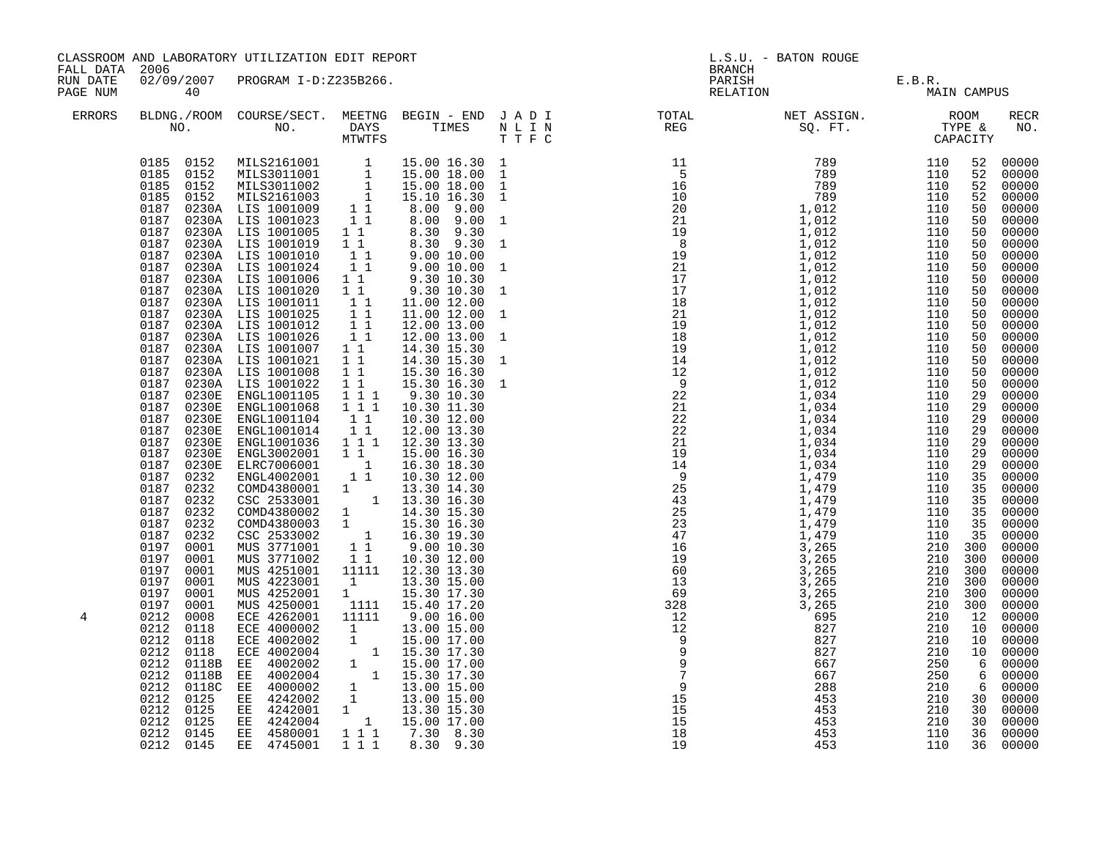|                      | CLASSROOM AND LABORATORY UTILIZATION EDIT REPORT<br>FALL DATA 2006 |                                                                                                                                                                                                                                                                                                                                                                                                                                                                                                                                                                                                                                                                                                                                                                                                                                                                                                                                                                                                                                                                                                                                                                                                                                                                                                                                                                                          |                                             |                                                                                                                                                                                            |                                                                                              | <b>BRANCH</b>                                                                                                                                                                                                                                                                                                                                                                                                                                                                           | L.S.U. - BATON ROUGE     |                                                                                                                          |    |                                                                                                                                                                                                                                                                                                                                                                                                                                                                                                |
|----------------------|--------------------------------------------------------------------|------------------------------------------------------------------------------------------------------------------------------------------------------------------------------------------------------------------------------------------------------------------------------------------------------------------------------------------------------------------------------------------------------------------------------------------------------------------------------------------------------------------------------------------------------------------------------------------------------------------------------------------------------------------------------------------------------------------------------------------------------------------------------------------------------------------------------------------------------------------------------------------------------------------------------------------------------------------------------------------------------------------------------------------------------------------------------------------------------------------------------------------------------------------------------------------------------------------------------------------------------------------------------------------------------------------------------------------------------------------------------------------|---------------------------------------------|--------------------------------------------------------------------------------------------------------------------------------------------------------------------------------------------|----------------------------------------------------------------------------------------------|-----------------------------------------------------------------------------------------------------------------------------------------------------------------------------------------------------------------------------------------------------------------------------------------------------------------------------------------------------------------------------------------------------------------------------------------------------------------------------------------|--------------------------|--------------------------------------------------------------------------------------------------------------------------|----|------------------------------------------------------------------------------------------------------------------------------------------------------------------------------------------------------------------------------------------------------------------------------------------------------------------------------------------------------------------------------------------------------------------------------------------------------------------------------------------------|
| RUN DATE<br>PAGE NUM | 40                                                                 | 02/09/2007 PROGRAM I-D:Z235B266.                                                                                                                                                                                                                                                                                                                                                                                                                                                                                                                                                                                                                                                                                                                                                                                                                                                                                                                                                                                                                                                                                                                                                                                                                                                                                                                                                         |                                             |                                                                                                                                                                                            |                                                                                              | PARISH<br>RELATION                                                                                                                                                                                                                                                                                                                                                                                                                                                                      | E.B.R.<br>MAIN CAMPUS    |                                                                                                                          |    |                                                                                                                                                                                                                                                                                                                                                                                                                                                                                                |
| ERRORS               |                                                                    |                                                                                                                                                                                                                                                                                                                                                                                                                                                                                                                                                                                                                                                                                                                                                                                                                                                                                                                                                                                                                                                                                                                                                                                                                                                                                                                                                                                          |                                             |                                                                                                                                                                                            |                                                                                              |                                                                                                                                                                                                                                                                                                                                                                                                                                                                                         |                          |                                                                                                                          |    | RECR<br>NO.                                                                                                                                                                                                                                                                                                                                                                                                                                                                                    |
| 4                    |                                                                    | $\begin{tabular}{cccc} 0185 & 0152 & MILS2161001 & 1 & 15.00 16.30 1 \\ 0185 & 0152 & MILS3011001 & 1 & 15.00 18.00 1 \\ 0185 & 0152 & MILS2011002 & 1 & 15.00 18.00 1 \\ 0185 & 0152 & MILS2161003 & 1 & 15.10 16.30 1 \\ 0187 & 0230A & LIS 1001009 & 1 & 8.00 9.00 1 \\ 0187 & 0$<br>0187 0230A LIS 1001010<br>0187 0230A LIS 1001024 1<br>0187 0230A LIS 1001024 1<br>0187 0230A LIS 1001020 1 1<br>0187 0230A LIS 1001011 1<br>0187 0230A LIS 1001025 1 1<br>0187 0230A LIS 1001012 1 1<br>0187 0230A LIS 1001012 1 1<br>0187 0230A LIS 1001026 1 1<br>0187 0230A LIS 1001007 1 1<br>0187 0230A LIS 1001021 11<br>0187 0230A LIS 1001008 1 1 15.30 16.30<br>0187 0230A LIS 1001022 1 1<br>0187 0230E ENGL1001105 1 1 1<br>0187 0230E ENGL1001068 1 1 1<br>$\begin{array}{cccccccc} 0187 & 0230\text{E} & \text{ENGL1001168} & 1 & 1 & 1 & 10.30 & 11.30 \\ 0187 & 0230\text{E} & \text{ENGL1001104} & 1 & 1 & 10.30 & 12.00 \\ 0187 & 0230\text{E} & \text{ENGL1001104} & 1 & 1 & 10.30 & 12.00 \\ 0187 & 0230\text{E} & \text{ENGL1001016} & 1 & 1 & 12.00 & 13.30 \\ 0187$<br>$\begin{array}{cccc} 0212 & 0008 & \text{ECE } 4262001 & 11111 & 9.00\ 16.00 \\ 0212 & 0118 & \text{ECE } 4002002 & 1 & 13.00\ 15.00 \\ 0212 & 0118 & \text{ECE } 4002002 & 1 & 15.00\ 17.00 \\ 0212 & 0118 & \text{ECE } 4002004 & 1 & 15.00\ 17.00 \\ 0212 & 0118B & \text{EE } 4002002 & 1 & 15$ | $\begin{bmatrix} 1 \\ 1 \\ 1 \end{bmatrix}$ | 9.00 10.00<br>9.00 10.00<br>9.30 10.30<br>9.30 10.30<br>11.00 12.00<br>11.00 12.00<br>12.00 13.00<br>12.00 13.00<br>14.30 15.30<br>14.30 15.30<br>15.30 16.30<br>9.30 10.30<br>10.30 11.30 | $\mathbf{1}$<br>$\mathbf{1}$<br>$\mathbf{1}$<br>$\mathbf{1}$<br>$\mathbf{1}$<br>$\mathbf{1}$ | $\begin{array}{cccccccc} \texttt{NED} & \texttt{REO} & \texttt{SQ}, & \texttt{FT}, & \texttt{TTYBE} & \texttt{S} & \texttt{C}\Delta\texttt{PACITY} & \texttt{C}\Delta\texttt{PACITY} & \texttt{C}\Delta\texttt{PACITY} & \texttt{C}\Delta\texttt{PACITY} & \texttt{C}\Delta\texttt{PACITY} & \texttt{C}\Delta\texttt{PACITY} & \texttt{C}\Delta\texttt{PACITY} & \texttt{C}\Delta\texttt{PACITY} & \texttt{C}\Delta\texttt{PACITY} & \texttt{C}\Delta\texttt{P$<br>15<br>15<br>18<br>19 | 453<br>453<br>453<br>453 | $\begin{array}{rrrr} 110 & 35 & 00000 \ 210 & 300 & 00000 \ 210 & 300 & 00000 \ \end{array}$<br>210<br>210<br>110<br>110 | 30 | 52 00000<br>00000<br>00000<br>00000<br>50 00000<br>00000<br>50 00000<br>50 00000<br>50 00000<br>50 00000<br>00000<br>00000<br>00000<br>00000<br>50 00000<br>00000<br>$00000$<br>00000<br>00000<br>00000<br>00000<br>$00000$<br>00000<br>00000<br>00000<br>29 00000<br>$\frac{29}{29}$ 00000<br>29 00000<br>00000<br>00000<br>35 00000<br>00000<br>00000<br>00000<br>10 00000<br>10 00000<br>10 00000<br>6 00000<br>6 00000<br>6 00000<br>30 00000<br>30 00000<br>00000<br>36 00000<br>36 00000 |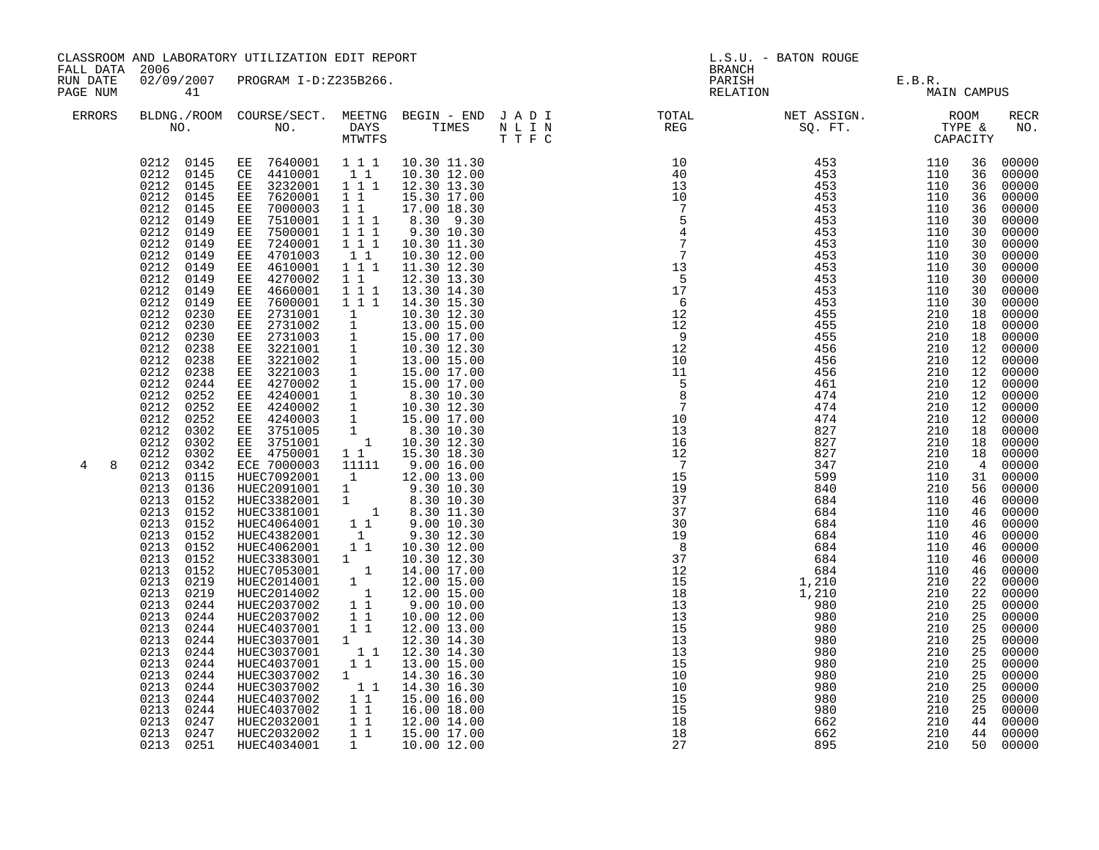| FALL DATA 2006       |                                                                                                                                                                                                                                                                                                                                                                                                                                                                                                                                                                                                                                                                                                                                       | CLASSROOM AND LABORATORY UTILIZATION EDIT REPORT                                                                                                                                                                                                                                                                                                                                                                                                                                                                                                                                                                                                                                                                                                                                                                                                                                                                                                                                                                                                                                                                                                                                                                                                                                           |                                                                                                                                                              |                                                                                                                                                                                                                                                                                                                                                                                                                                                                                                           |  |                                                                                                                                                                                                                                                                                                                                                                                                                                       | L.S.U. - BATON ROUGE<br>BRANCH        |  |                                                                                  |                                                                                                                                                                                                                                                                                                                                                                                                                                                                                                                                                          |  |
|----------------------|---------------------------------------------------------------------------------------------------------------------------------------------------------------------------------------------------------------------------------------------------------------------------------------------------------------------------------------------------------------------------------------------------------------------------------------------------------------------------------------------------------------------------------------------------------------------------------------------------------------------------------------------------------------------------------------------------------------------------------------|--------------------------------------------------------------------------------------------------------------------------------------------------------------------------------------------------------------------------------------------------------------------------------------------------------------------------------------------------------------------------------------------------------------------------------------------------------------------------------------------------------------------------------------------------------------------------------------------------------------------------------------------------------------------------------------------------------------------------------------------------------------------------------------------------------------------------------------------------------------------------------------------------------------------------------------------------------------------------------------------------------------------------------------------------------------------------------------------------------------------------------------------------------------------------------------------------------------------------------------------------------------------------------------------|--------------------------------------------------------------------------------------------------------------------------------------------------------------|-----------------------------------------------------------------------------------------------------------------------------------------------------------------------------------------------------------------------------------------------------------------------------------------------------------------------------------------------------------------------------------------------------------------------------------------------------------------------------------------------------------|--|---------------------------------------------------------------------------------------------------------------------------------------------------------------------------------------------------------------------------------------------------------------------------------------------------------------------------------------------------------------------------------------------------------------------------------------|---------------------------------------|--|----------------------------------------------------------------------------------|----------------------------------------------------------------------------------------------------------------------------------------------------------------------------------------------------------------------------------------------------------------------------------------------------------------------------------------------------------------------------------------------------------------------------------------------------------------------------------------------------------------------------------------------------------|--|
| RUN DATE<br>PAGE NUM | 41                                                                                                                                                                                                                                                                                                                                                                                                                                                                                                                                                                                                                                                                                                                                    | 02/09/2007 PROGRAM I-D:Z235B266.                                                                                                                                                                                                                                                                                                                                                                                                                                                                                                                                                                                                                                                                                                                                                                                                                                                                                                                                                                                                                                                                                                                                                                                                                                                           |                                                                                                                                                              |                                                                                                                                                                                                                                                                                                                                                                                                                                                                                                           |  |                                                                                                                                                                                                                                                                                                                                                                                                                                       | PARISH E.B.R.<br>RELATION MAIN CAMPUS |  |                                                                                  |                                                                                                                                                                                                                                                                                                                                                                                                                                                                                                                                                          |  |
| ERRORS               |                                                                                                                                                                                                                                                                                                                                                                                                                                                                                                                                                                                                                                                                                                                                       |                                                                                                                                                                                                                                                                                                                                                                                                                                                                                                                                                                                                                                                                                                                                                                                                                                                                                                                                                                                                                                                                                                                                                                                                                                                                                            |                                                                                                                                                              |                                                                                                                                                                                                                                                                                                                                                                                                                                                                                                           |  |                                                                                                                                                                                                                                                                                                                                                                                                                                       |                                       |  |                                                                                  | RECR<br>NO.                                                                                                                                                                                                                                                                                                                                                                                                                                                                                                                                              |  |
| 8<br>4               | 0212<br>0145<br>0149<br>0212<br>0212<br>0149<br>0212<br>0149<br>0212<br>0149<br>0212<br>0149<br>0212<br>0149<br>0212<br>0149<br>0212<br>0149<br>0212<br>0230<br>0212<br>0230<br>0212 0230<br>0212<br>0238<br>0212 0238<br>0212 0238<br>0212 0244<br>0212<br>0252<br>0212<br>0252<br>0212 0252<br>0212 0302<br>0212<br>0302<br>0212<br>0302<br>0212<br>0342<br>0213<br>0115<br>0213<br>0136<br>0213<br>0152<br>0213 0152<br>0213<br>0152<br>0213<br>0152<br>0213<br>0152<br>0213 0152<br>0213 0152<br>0213 0219<br>0213<br>0219<br>0213<br>0244<br>0213 0244<br>0213<br>0244<br>0213<br>0244<br>0213<br>0244<br>0213<br>0244<br>0213<br>0244<br>0213<br>0244<br>0213<br>0244<br>0213<br>0244<br>0213<br>0247<br>0213 0247<br>0213 0251 | $\begin{array}{cccccc} 0.212 & 0.145 & \text{EE} & 7640001 & 1 & 1 & 1 & 10.30 & 11.30 \\ 0.212 & 0.145 & \text{CE} & 4410001 & 1 & 1 & 10.30 & 12.00 \\ 0.212 & 0.145 & \text{EE} & 3232001 & 1 & 1 & 12.30 & 13.30 \\ 0.212 & 0.145 & \text{EE} & 7620001 & 1 & 1 & 15.30 & 17.00 \end{array}$<br>EE 7000003<br>EE 7510001<br>EE 7500001<br>EE 7240001<br>EE 4701003<br>EE 4610001<br>EE 4270002<br>EE 4660001<br>EE 7600001<br>EE 2731001<br>EE 2731001 1 10.30 12.30<br>EE 2731002 1 13.00 15.00<br>EE 2731003 1 15.00 17.00<br>EE 3221001 1 13.00 17.00<br>EE 3221002 1 13.00 15.00<br>EE 4270002 1 15.00 17.00<br>EE 4270002 1 15.00 17.00<br>EE 4240001 1 8.30 10.30<br>EE 4240003 1 15<br>ECE 7090003<br>HUEC2091001 1 12.00 13.00<br>HUEC2091001 1 9.30 10.30<br>HUEC2091001 1 9.30 10.30<br>HUEC3382001 1 8.30 11.30<br>HUEC4064001 1 9.00 10.30<br>HUEC4382001 1 9.30 12.30<br>HUEC4362001 1 10.30 12.00<br>HUEC4382001 1 10.30 12.00<br>HUEC3383001 1<br>HUEC3383001 1<br>HUEC7053001 1<br>HUEC7053001 1<br>HUEC2014002 1<br>HUEC2037002 1 1<br>HUEC2037002 1 1<br>HUEC2037002 1 1<br>HUEC4037001<br>HUEC3037001<br>HUEC3037001<br>HUEC4037001<br>HUEC3037002 1<br>HUEC3037002 11<br>HUEC4037002 11<br>HUEC4037002<br>HUEC4037002<br>HUEC2032001<br>HUEC2032002<br>HUEC4034001 | $1 1 1$<br>$\overline{1}$ $\overline{1}$ $\overline{1}$<br>$1\;1$<br>$1\quad1$<br>1 1 1<br>$1 1 1$<br>1<br>$1\quad1$<br>1<br>$1\quad1$<br>11<br>$\mathbf{1}$ | $\begin{array}{cccc} 1 & 1 & & 17.00 & 18.30 \\ 1 & 1 & 1 & & 8.30 & 9.30 \end{array}$<br>9.30 10.30<br>10.30 11.30<br>10.30 12.00<br>1 1 1 1 11.30 12.30<br>12.30 13.30<br>13.30 14.30<br>14.30 15.30<br>10.30 12.30<br>10.30 12.30<br>14.00 17.00<br>12.00 15.00<br>12.00 15.00<br>9.00 10.00<br>10.00 12.00<br>12.00 13.00<br>12.30 14.30<br>1 1 12.30 14.30<br>13.00 15.00<br>14.30 16.30<br>14.30 16.30<br>15.00 16.00<br>16.00 18.00<br>$1\ 1\ 12.00\ 14.00$<br>$1\ 1\ 15.00\ 17.00$<br>10.00 12.00 |  | $\begin{tabular}{cccccccc} \hline \textbf{R} & \textbf{R} & \textbf{R} & \textbf{R} & \textbf{R} & \textbf{R} & \textbf{R} & \textbf{R} & \textbf{R} & \textbf{R} & \textbf{R} & \textbf{R} & \textbf{R} & \textbf{R} & \textbf{R} & \textbf{R} & \textbf{R} & \textbf{R} & \textbf{R} & \textbf{R} & \textbf{R} & \textbf{R} & \textbf{R} & \textbf{R} & \textbf{R} & \textbf{R} & \textbf{R} & \textbf{R} & \textbf{R} & \textbf{R$ |                                       |  | 36<br>36<br>30<br>30<br>12<br>12<br>46<br>46<br>46<br>25<br>25<br>25<br>25<br>25 | 00000<br>00000<br>00000<br>00000<br>36 00000<br>00000<br>00000<br>00000<br>00000<br>00000<br>00000<br>00000<br>00000<br>00000<br>00000<br>18 00000<br>12 00000<br>12 00000<br>00000<br>12 00000<br>00000<br>12 00000<br>12 00000<br>18 00000<br>18 00000<br>18 00000<br>400000<br>31 00000<br>56 00000<br>46 00000<br>46 00000<br>00000<br>46 00000<br>00000<br>46 00000<br>00000<br>22 00000<br>22 00000<br>25 00000<br>00000<br>25 00000<br>25 00000<br>25 00000<br>25 00000<br>00000<br>00000<br>$00000$<br>00000<br>44 00000<br>44 00000<br>50 00000 |  |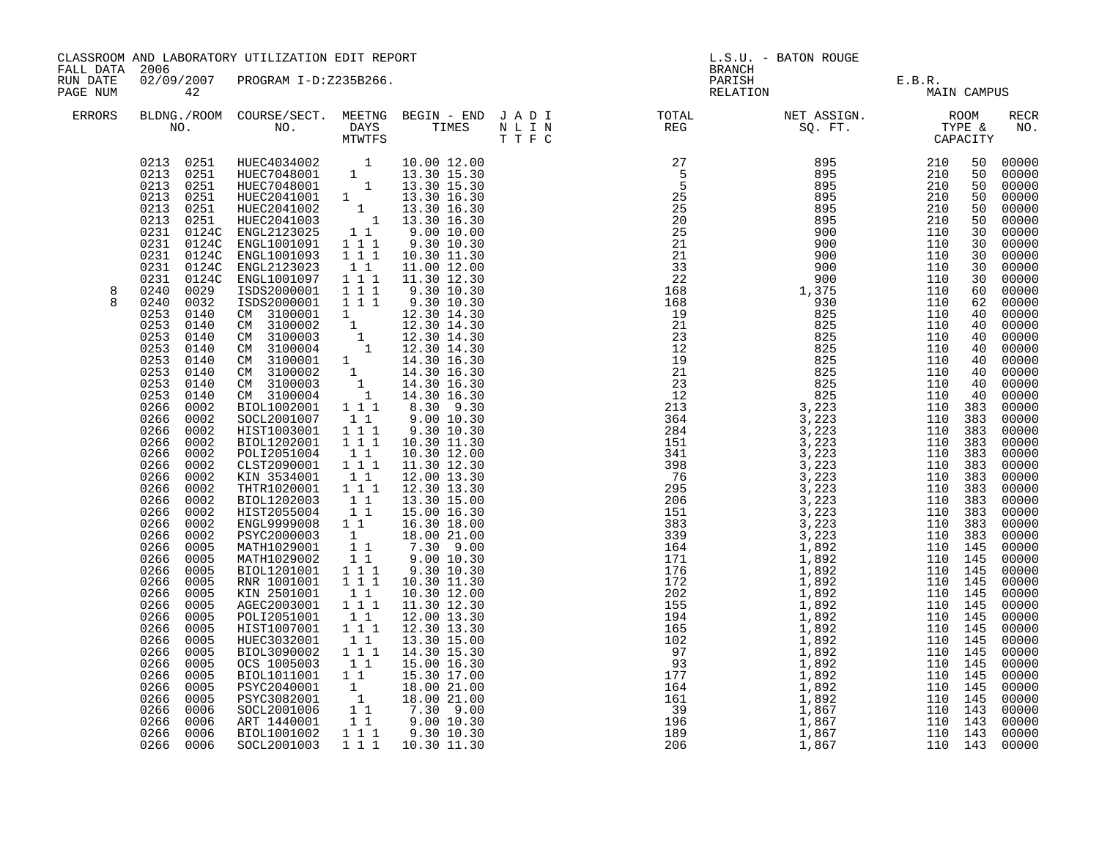|                                                                                                                                                                                                                                                                                                                                                                                                                                                                                                                                                                                                                                           |                                                                                                                                                                                                                                                                                                                                                                                              |                                                                               |                                                                                                                                                                                                                                                                                                                                                                                                                                                                      |                                                                                                                                                                                                                                                                                                                                                                                                                                                                                                                                                                                                                                                                                                                                                                                                                                                                                                                                                                                                                                                                            | L.S.U. - BATON ROUGE |  |               |                                |                                                                                                                                                                                                                                                                                                                                                                                                                                                  |
|-------------------------------------------------------------------------------------------------------------------------------------------------------------------------------------------------------------------------------------------------------------------------------------------------------------------------------------------------------------------------------------------------------------------------------------------------------------------------------------------------------------------------------------------------------------------------------------------------------------------------------------------|----------------------------------------------------------------------------------------------------------------------------------------------------------------------------------------------------------------------------------------------------------------------------------------------------------------------------------------------------------------------------------------------|-------------------------------------------------------------------------------|----------------------------------------------------------------------------------------------------------------------------------------------------------------------------------------------------------------------------------------------------------------------------------------------------------------------------------------------------------------------------------------------------------------------------------------------------------------------|----------------------------------------------------------------------------------------------------------------------------------------------------------------------------------------------------------------------------------------------------------------------------------------------------------------------------------------------------------------------------------------------------------------------------------------------------------------------------------------------------------------------------------------------------------------------------------------------------------------------------------------------------------------------------------------------------------------------------------------------------------------------------------------------------------------------------------------------------------------------------------------------------------------------------------------------------------------------------------------------------------------------------------------------------------------------------|----------------------|--|---------------|--------------------------------|--------------------------------------------------------------------------------------------------------------------------------------------------------------------------------------------------------------------------------------------------------------------------------------------------------------------------------------------------------------------------------------------------------------------------------------------------|
| 42                                                                                                                                                                                                                                                                                                                                                                                                                                                                                                                                                                                                                                        |                                                                                                                                                                                                                                                                                                                                                                                              |                                                                               |                                                                                                                                                                                                                                                                                                                                                                                                                                                                      |                                                                                                                                                                                                                                                                                                                                                                                                                                                                                                                                                                                                                                                                                                                                                                                                                                                                                                                                                                                                                                                                            |                      |  | MAIN CAMPUS   |                                |                                                                                                                                                                                                                                                                                                                                                                                                                                                  |
|                                                                                                                                                                                                                                                                                                                                                                                                                                                                                                                                                                                                                                           |                                                                                                                                                                                                                                                                                                                                                                                              |                                                                               |                                                                                                                                                                                                                                                                                                                                                                                                                                                                      |                                                                                                                                                                                                                                                                                                                                                                                                                                                                                                                                                                                                                                                                                                                                                                                                                                                                                                                                                                                                                                                                            |                      |  |               |                                | RECR<br>NO.                                                                                                                                                                                                                                                                                                                                                                                                                                      |
| 0231 0124C<br>0231 0124C<br>0231<br>0124C<br>0240<br>0029<br>0240<br>0032<br>0253<br>0140<br>0253<br>0140<br>0253<br>0140<br>0253<br>0140<br>0253<br>0140<br>0253<br>0140<br>0253<br>0140<br>0253<br>0140<br>0266<br>0002<br>0266<br>0002<br>0266<br>0002<br>0266<br>0002<br>0266<br>0002<br>0266<br>0002<br>0266<br>0002<br>0266<br>0002<br>0266<br>0002<br>0266<br>0002<br>0266<br>0002<br>0266<br>0002<br>0266<br>0005<br>0266<br>0005<br>0266<br>0005<br>0266<br>0005<br>0266<br>0005<br>0266<br>0005<br>0266<br>0005<br>0266<br>0005<br>0266<br>0005<br>0266<br>0005<br>0266<br>0005<br>0266<br>0005<br>0266<br>0005<br>0266<br>0005 | ISDS2000001<br>CM 3100001<br>CM 3100002<br>CM 3100003<br>CM 3100004<br>CM 3100003<br>CM 3100004<br>BIOL1002001<br>SOCL2001007<br>HIST1003001<br>BIOL1202001<br>POLI2051004<br>KIN 3534001<br>BIOL1202003<br>HIST2055004<br>PSYC2000003<br>MATH1029001<br>MATH1029002<br>BIOL1201001<br>KIN 2501001<br>POLI2051001<br>HIST1007001<br>HUEC3032001<br>OCS 1005003<br>PSYC2040001<br>PSYC3082001 | $1\overline{1}$<br>$1\quad1$<br>$1 1 1$<br>$1\quad1$<br>$1\quad1$<br>11<br>11 | 10.30 12.00<br>12.00 13.30<br>13.30 15.00<br>18.00 21.00<br>7.30 9.00<br>10.30 12.00<br>12.00 13.30<br>13.30 15.00                                                                                                                                                                                                                                                                                                                                                   |                                                                                                                                                                                                                                                                                                                                                                                                                                                                                                                                                                                                                                                                                                                                                                                                                                                                                                                                                                                                                                                                            |                      |  |               |                                | 00000<br>00000<br>00000<br>00000<br>00000<br>00000<br>00000<br>00000<br>00000<br>00000<br>00000<br>00000<br>00000<br>00000<br>00000<br>$00000$<br>$00000$<br>00000<br>00000<br>00000<br>00000<br>00000<br>00000<br>00000<br>00000<br>00000<br>00000<br>00000<br>00000<br>00000<br>00000<br>00000<br>00000<br>00000<br>00000<br>00000<br>00000<br>00000<br>00000<br>00000<br>00000<br>00000<br>00000<br>00000<br>00000<br>00000<br>00000<br>00000 |
| 0266<br>0006<br>0266 0006                                                                                                                                                                                                                                                                                                                                                                                                                                                                                                                                                                                                                 | BIOL1001002<br>SOCL2001003                                                                                                                                                                                                                                                                                                                                                                   |                                                                               |                                                                                                                                                                                                                                                                                                                                                                                                                                                                      |                                                                                                                                                                                                                                                                                                                                                                                                                                                                                                                                                                                                                                                                                                                                                                                                                                                                                                                                                                                                                                                                            |                      |  |               |                                | 00000<br>00000<br>00000                                                                                                                                                                                                                                                                                                                                                                                                                          |
|                                                                                                                                                                                                                                                                                                                                                                                                                                                                                                                                                                                                                                           | FALL DATA 2006<br>0266<br>0006<br>0266<br>0006                                                                                                                                                                                                                                                                                                                                               | 0231 0124C ENGL2123023<br>SOCL2001006<br>ART 1440001                          | ENGL1001091 111<br>ENGL1001093 1 1 1<br>ENGL2123023 11<br>ENGL1001097 111<br>ISDS2000001 111<br>1 1 1<br>111<br>CLST2090001 1 1 1<br>$1\quad1$<br>THTR1020001 1 1 1<br>$\begin{array}{rr} & 1 & 1 \\ & 1 & 1 \end{array}$<br>ENGL9999008 1 1<br>$\qquad \qquad 1$<br>11<br>$1\quad1$<br>$1 1 1$<br>RNR 1001001 1 1 1<br>$1\quad1$<br>AGEC2003001 111<br>$1 1 1$<br>BIOL3090002 111<br>BIOL1011001 11<br>$\begin{bmatrix} 1 \\ 1 \\ 1 \end{bmatrix}$<br>11<br>$1 1 1$ | CLASSROOM AND LABORATORY UTILIZATION EDIT REPORT<br>02/09/2007 PROGRAM I-D:Z235B266.<br>$\begin{tabular}{cccc} 0213 & 0251 & HUEC4034002 & 1 & 10.00 12.00 \\ 0213 & 0251 & HUEC7048001 & 1 & 13.30 15.30 \\ 0213 & 0251 & HUEC7048001 & 1 & 13.30 15.30 \\ 0213 & 0251 & HUEC2041001 & 1 & 13.30 16.30 \\ 0213 & 0251 & HUEC2041002 & 1 & 13.30 16.30 \\ 0213 & 0251 & HUEC20$<br>9.30 10.30<br>10.30 11.30<br>11.00 12.00<br>11.30 12.30<br>9.30 10.30<br>9.30 10.30<br>$\begin{array}{rrrr} 1 & 1 & 1.30 & 14.30 \ 1 & 12.30 & 14.30 \ 1 & 12.30 & 14.30 \ 1 & 12.30 & 14.30 \ 1 & 12.30 & 14.30 \end{array}$<br>CM 3100001 1 14.30 16.30<br>CM 3100002 1 14.30 16.30<br>CM 3100003 1 14.30 16.30<br>CM 3100004 1 14.30 16.30<br>8.30 9.30<br>9.00 10.30<br>9.30 10.30<br>10.30 11.30<br>11.30 12.30<br>12.30 13.30<br>15.00 16.30<br>16.30 18.00<br>9.00 10.30<br>9.30 10.30<br>10.30 11.30<br>11.30 12.30<br>12.30 13.30<br>14.30 15.30<br>15.00 16.30<br>15.30 17.00<br>18.00 21.00<br>18.00 21.00<br>$7.30$ 9.00<br>9.00 10.30<br>9.30 10.30<br>1 1 1 1 10.30 11.30 |                      |  | <b>BRANCH</b> | PARISH E.B.R.<br>RELATION MAIL | $\begin{smallmatrix} 11.78 \\ 17.79 \\ 18.79 \\ 19.79 \\ 19.71 \\ 19.72 \\ 19.73 \\ 19.74 \\ 19.75 \\ 19.77 \\ 19.78 \\ 19.79 \\ 19.79 \\ 19.79 \\ 19.71 \\ 19.71 \\ 19.72 \\ 19.73 \\ 19.74 \\ 19.75 \\ 19.77 \\ 19.78 \\ 19.79 \\ 19.71 \\ 19.71 \\ 19.72 \\ 19.73 \\ 19.74 \\ 19.73 \\ 19.74 \\ 19.$                                                                                                                                          |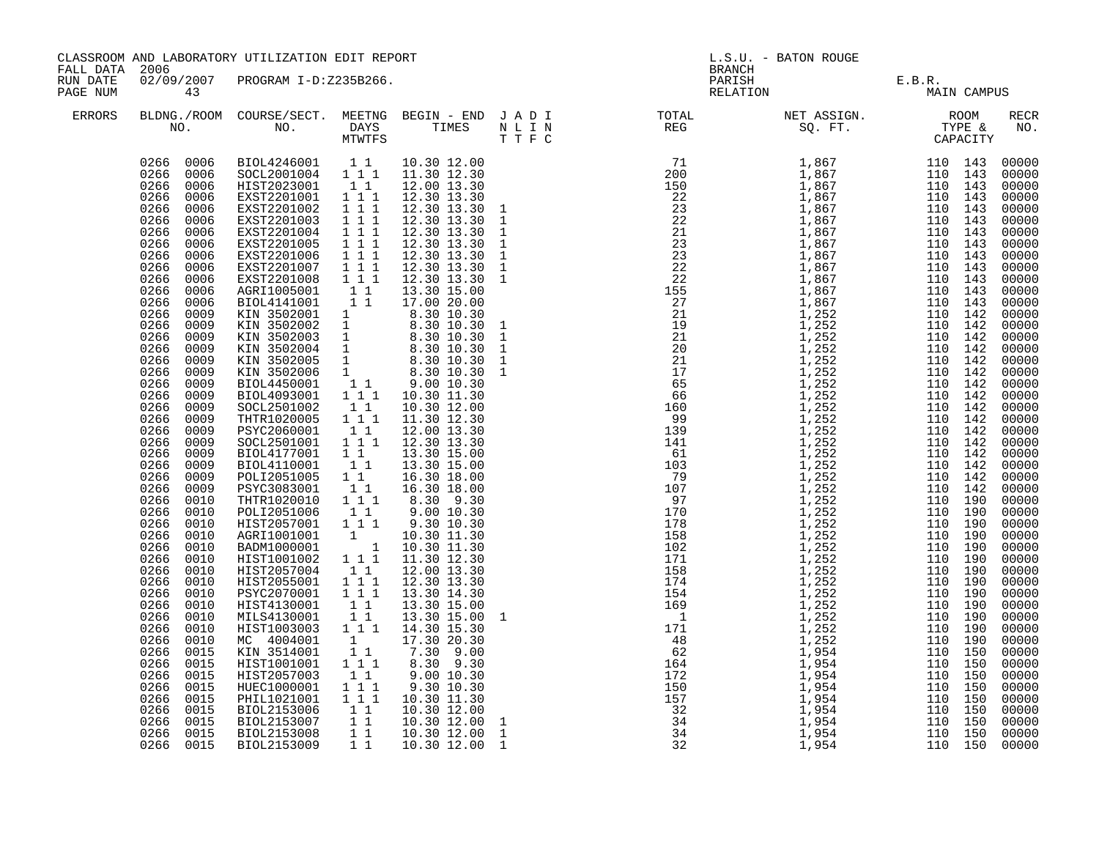| CLASSROOM AND LABORATORY UTILIZATION EDIT REPORT<br>FALL DATA 2006 |                                                                                                                                                                                                                                                                                                                                                                                                                                                                                                                                                                                                                                                                                                                                                                                                                               |                                                                                                                                                                                                                                                                                                                                                                                                                                                                                                                                                                                                                                                                                                                                                                                             |                                                                                                                                                                                                                                                                                                                                                              |                                                                                                                              | L.S.U. - BATON ROUGE<br><b>BRANCH</b> |  |                                       |                                                                                                                                                                                                                                                                                                                                                                                                                                                                             |  |
|--------------------------------------------------------------------|-------------------------------------------------------------------------------------------------------------------------------------------------------------------------------------------------------------------------------------------------------------------------------------------------------------------------------------------------------------------------------------------------------------------------------------------------------------------------------------------------------------------------------------------------------------------------------------------------------------------------------------------------------------------------------------------------------------------------------------------------------------------------------------------------------------------------------|---------------------------------------------------------------------------------------------------------------------------------------------------------------------------------------------------------------------------------------------------------------------------------------------------------------------------------------------------------------------------------------------------------------------------------------------------------------------------------------------------------------------------------------------------------------------------------------------------------------------------------------------------------------------------------------------------------------------------------------------------------------------------------------------|--------------------------------------------------------------------------------------------------------------------------------------------------------------------------------------------------------------------------------------------------------------------------------------------------------------------------------------------------------------|------------------------------------------------------------------------------------------------------------------------------|---------------------------------------|--|---------------------------------------|-----------------------------------------------------------------------------------------------------------------------------------------------------------------------------------------------------------------------------------------------------------------------------------------------------------------------------------------------------------------------------------------------------------------------------------------------------------------------------|--|
| RUN DATE<br>PAGE NUM<br>43<br>ERRORS                               |                                                                                                                                                                                                                                                                                                                                                                                                                                                                                                                                                                                                                                                                                                                                                                                                                               | 02/09/2007 PROGRAM I-D:Z235B266.                                                                                                                                                                                                                                                                                                                                                                                                                                                                                                                                                                                                                                                                                                                                                            |                                                                                                                                                                                                                                                                                                                                                              |                                                                                                                              |                                       |  | PARISH E.B.R.<br>RELATION MAIN CAMPUS |                                                                                                                                                                                                                                                                                                                                                                                                                                                                             |  |
|                                                                    | NO.                                                                                                                                                                                                                                                                                                                                                                                                                                                                                                                                                                                                                                                                                                                                                                                                                           | BLDNG./ROOM COURSE/SECT. MEETNG BEGIN - END J A D I<br>NO. DAYS TIMES NLIN<br>MTWTFS TIFC                                                                                                                                                                                                                                                                                                                                                                                                                                                                                                                                                                                                                                                                                                   |                                                                                                                                                                                                                                                                                                                                                              |                                                                                                                              |                                       |  |                                       | RECR<br>NO.                                                                                                                                                                                                                                                                                                                                                                                                                                                                 |  |
|                                                                    | 0266 0006<br>0266 0006<br>0266<br>0006<br>0266<br>0006<br>0266<br>0006<br>0266<br>0006<br>0266<br>0006<br>0266<br>0006<br>0266<br>0006<br>0266<br>0006<br>0266<br>0006<br>0266<br>0006<br>0266<br>0006<br>0266<br>0009<br>0266<br>0009<br>0266<br>0009<br>0266<br>0009<br>0266 0009<br>0266<br>0009<br>0266<br>0009<br>0266<br>0009<br>0266<br>0009<br>0266<br>0009<br>0266<br>0009<br>0266<br>0009<br>0266<br>0009<br>0266<br>0009<br>0266<br>0009<br>0266<br>0009<br>0266<br>0010<br>0266<br>0010<br>0266<br>0010<br>0266<br>0010<br>0266<br>0010<br>0266<br>0010<br>0266<br>0010<br>0266<br>0010<br>0266<br>0010<br>0266 0010<br>0266<br>0010<br>0266<br>0010<br>0266<br>0010<br>0266<br>0015<br>0266<br>0015<br>0266<br>0015<br>0266<br>0015<br>0266<br>0015<br>0266<br>0015<br>0266<br>0015<br>0266<br>0015<br>0266 0015 | BIOL4246001   1   10.30   12.00<br>SOCL2001004   1   1   11.30   12.30<br>HIST2023001 11<br>EXST2201001 111<br>EXST2201002<br>EXST2201003<br>EXST2201004<br>EXST2201005<br>EXST2201006<br>SOCL2501002<br>THTR1020005<br>PSYC2060001<br>SOCL2501001<br>BIOL4177001<br>BIOL4110001<br>POLI2051005<br>PSYC3083001<br>THTR1020010 1 1 1<br>POLI2051006 1 1<br>HIST2057001 1 1 1<br>AGRI1001001 1 10.30 11.30<br>BADM1000001 1 10.30 11.30<br>HIST1001002 1 1 1 11.30 12.30<br>HIST2057004 11<br>HIST2057004 11<br>PSYC2070001<br>HIST4130001<br>MILS4130001<br>HIST1003003<br>MC 4004001<br>KIN 3514001<br>HIST1001001<br>HIST100101<br>HIST2057003 1 1<br>HUEC1000001 1 1 1<br>HIL1021001 1 1 1<br>BIOL2153006 1 1<br>BIOL2153007 1 1<br>BIOL2153008 1 1<br>BIOL2153008 1 1<br>BIOL2153009 1 1 | 111<br>$\begin{array}{rrrr} & 1 & 1 & 1 \\ & 1 & 1 & 1 \\ & & 1 & 1 & 1 \end{array}$<br>111<br>$\overline{1}$ $\overline{1}$ $\overline{1}$<br>$\begin{bmatrix} 1 & 1 \\ 1 & 1 & 1 \end{bmatrix}$<br>$\begin{bmatrix} 1 & 1 \\ 1 & 1 \\ 1 & 1 \\ 1 & 1 \\ 1 & 1 \end{bmatrix}$<br>$1\quad1$<br>$\begin{bmatrix} 1 \\ 1 \end{bmatrix}$<br>$1 1 1$<br>11<br>11 | $\begin{array}{rrrr} 1 & 1 & 1 & 13.3 & 15.30 \ 1 & & 17.30 & 20.30 \ 1 & & 7.30 & 9.00 \ 1 & 1 & & 8.30 & 9.30 \end{array}$ |                                       |  |                                       | 00000<br>00000<br>00000<br>00000<br>00000<br>00000<br>00000<br>00000<br>00000<br>00000<br>00000<br>00000<br>$00000$<br>$00000$<br>00000<br>$00000$<br>00000<br>00000<br>00000<br>$00000$<br>$00000$<br>$00000$<br>00000<br>00000<br>00000<br>$00000$<br>$00000$<br>00000<br>00000<br>00000<br>00000<br>00000<br>00000<br>00000<br>00000<br>$00000$<br>$00000$<br>00000<br>$00000$<br>00000<br>00000<br>00000<br>00000<br>00000<br>00000<br>00000<br>00000<br>00000<br>00000 |  |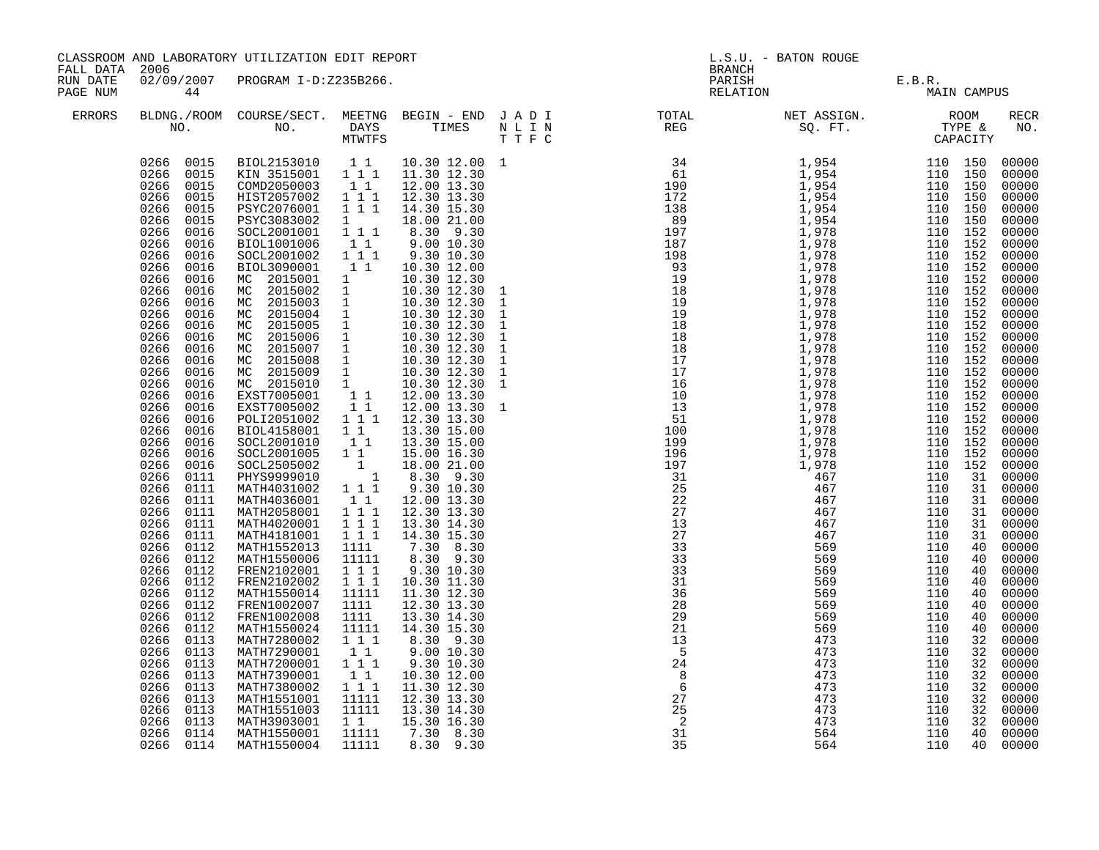| FALL DATA 2006       |                                                                                                                                                                                                                                                                                                                                                                                                                                                                                                                                                                                                                                                                                                                                                                               | CLASSROOM AND LABORATORY UTILIZATION EDIT REPORT                                                                                                                                                                                                                                                                                                                                                                                                                                                                                                                                                                                                                                                                                                                                                                                                                                                                                                                                                         |                                                                                                                                                                                                                                                                                                                                                        |                                                                                                                                                                                                                                                                                                                                                                                                                                                                                                                                                           |  | L.S.U. - BATON ROUGE<br><b>BRANCH</b>                                                                                                             |                                                                           |                                                                           |                                                                |                                                                                                                                                                                                                                                                                                                                                                                                                                                                      |
|----------------------|-------------------------------------------------------------------------------------------------------------------------------------------------------------------------------------------------------------------------------------------------------------------------------------------------------------------------------------------------------------------------------------------------------------------------------------------------------------------------------------------------------------------------------------------------------------------------------------------------------------------------------------------------------------------------------------------------------------------------------------------------------------------------------|----------------------------------------------------------------------------------------------------------------------------------------------------------------------------------------------------------------------------------------------------------------------------------------------------------------------------------------------------------------------------------------------------------------------------------------------------------------------------------------------------------------------------------------------------------------------------------------------------------------------------------------------------------------------------------------------------------------------------------------------------------------------------------------------------------------------------------------------------------------------------------------------------------------------------------------------------------------------------------------------------------|--------------------------------------------------------------------------------------------------------------------------------------------------------------------------------------------------------------------------------------------------------------------------------------------------------------------------------------------------------|-----------------------------------------------------------------------------------------------------------------------------------------------------------------------------------------------------------------------------------------------------------------------------------------------------------------------------------------------------------------------------------------------------------------------------------------------------------------------------------------------------------------------------------------------------------|--|---------------------------------------------------------------------------------------------------------------------------------------------------|---------------------------------------------------------------------------|---------------------------------------------------------------------------|----------------------------------------------------------------|----------------------------------------------------------------------------------------------------------------------------------------------------------------------------------------------------------------------------------------------------------------------------------------------------------------------------------------------------------------------------------------------------------------------------------------------------------------------|
| RUN DATE<br>PAGE NUM | 44                                                                                                                                                                                                                                                                                                                                                                                                                                                                                                                                                                                                                                                                                                                                                                            | 02/09/2007 PROGRAM I-D:Z235B266.                                                                                                                                                                                                                                                                                                                                                                                                                                                                                                                                                                                                                                                                                                                                                                                                                                                                                                                                                                         |                                                                                                                                                                                                                                                                                                                                                        |                                                                                                                                                                                                                                                                                                                                                                                                                                                                                                                                                           |  | PARISH<br>RELATION                                                                                                                                | E.B.R.<br>MAIN                                                            | MAIN CAMPUS                                                               |                                                                |                                                                                                                                                                                                                                                                                                                                                                                                                                                                      |
| <b>ERRORS</b>        |                                                                                                                                                                                                                                                                                                                                                                                                                                                                                                                                                                                                                                                                                                                                                                               | NO. DAYS TIMES NLIN<br>MTWTFS TTFC                                                                                                                                                                                                                                                                                                                                                                                                                                                                                                                                                                                                                                                                                                                                                                                                                                                                                                                                                                       |                                                                                                                                                                                                                                                                                                                                                        |                                                                                                                                                                                                                                                                                                                                                                                                                                                                                                                                                           |  | BLDNG./ROOM COURSE/SECT. MEETNG BEGIN – END JADI TOTAL NET ASSIGN. NET ASSIGN. ROOM ROOM NO. DAYS TIMES NLIN REG REG SQ.FT. TYPE &                |                                                                           |                                                                           |                                                                | RECR<br>NO.                                                                                                                                                                                                                                                                                                                                                                                                                                                          |
|                      | 0266 0015<br>0266<br>0015<br>0266 0015<br>0266<br>0015<br>0266<br>0016<br>0266<br>0016<br>0266<br>0016<br>0266<br>0016<br>0266<br>0016<br>0266<br>0016<br>0266<br>0016<br>0266<br>0016<br>0266<br>0016<br>0266<br>0016<br>0266<br>0016<br>0266<br>0016<br>0266<br>0016<br>0266<br>0016<br>0266<br>0016<br>0266 0016<br>0266<br>0016<br>0266<br>0016<br>0266<br>0016<br>0266 0016<br>0266<br>0016<br>0266<br>0111<br>0266<br>0111<br>0266<br>0111<br>0266<br>0111<br>0266<br>0111<br>0266<br>0111<br>0266<br>0112<br>0266<br>0112<br>0266<br>0112<br>0266<br>0112<br>0266<br>0112<br>0266 0112<br>0266<br>0112<br>0266<br>0112<br>0266<br>0113<br>0266<br>0113<br>0266<br>0113<br>0266<br>0113<br>0266<br>0113<br>0266<br>0113<br>0266<br>0113<br>0266<br>0113<br>0266<br>0114 | 0266 0015 BIOL2153010 1 1 10.30 12.00 1<br>0266 0015 KIN 3515001 1 1 1 11.30 12.30<br>COMD2050003 11<br>HIST2057002 111<br>PSYC2076001<br>PSYC3083002<br>SOCL2001001<br>BIOL1001006<br>SOCL2001002<br>BIOL3090001<br>MC 2015001 1<br>MC 2015001 1<br>MC 2015002 1<br>MC 2015002 1 10.30 12.30<br>MC 2015003 1 10.30 12.30<br>MC 2015005 1 10.30 12.30<br>MC 2015005 1 10.30 12.30<br>MC 2015006 1 10.30 12.30<br>MC 2015006 1 10.30 12.30<br>MC 2015009 1 10.30 12.30<br>MC 2015009 1 10.30 12.30<br>MC 2015009 1 1<br>POLI2051002 1 1 1 12.30 13.30<br>BIOL4158001 1 1<br>SOCL2001010<br>SOCL2001005 1 1<br>SOCL2505002 1<br>PHYS9999010 1<br>MATH4031002 111<br>MATH4036001<br>MATH2058001<br>MATH4020001<br>MATH4181001<br>MATH1552013<br>MATH1550006<br>FREN2102001<br>FREN2102002<br>MATH1550014<br>FREN1002007<br>FREN1002008<br>MATH1550024<br>MATH7280002<br>MATH7290001<br>MATH7200001<br>MATH7390001<br>MATH7380002<br>MATH7380002<br>MATH1551001<br>MATH1551003<br>MATH3903001<br>MATH1550001 | 1 1 1<br>$1 \quad \blacksquare$<br>$1 1 1$<br>11<br>1 1 1<br>$1\quad1$<br>$1\quad1$<br>$1\quad1$<br>$1^{\degree}1^{\degree}1$<br>$1 1 1$<br>1 1 1<br>1111<br>11111<br>$1 1 1$<br>$1 1 1$<br>11111<br>1111<br>1111<br>11111<br>111<br>11<br>$1\overline{1}$<br>$\begin{smallmatrix}1&1\\1&1&1\end{smallmatrix}$<br>11111<br>11111<br>$1\quad1$<br>11111 | 12.00 13.30<br>12.30 13.30<br>14.30 15.30<br>18.00 21.00<br>8.30 9.30<br>9.00 10.30<br>9.30 10.30<br>10.30 12.00<br>10.30 12.30<br>10.30 12.30<br>12.00 13.30 1<br>13.30 15.00<br>13.30 15.00<br>15.00 16.30<br>18.00 21.00<br>8.30 9.30<br>9.30 10.30<br>12.00 13.30<br>12.30 13.30<br>13.30 14.30<br>14.30 15.30<br>7.30 8.30<br>8.30 9.30<br>9.30 10.30<br>10.30 11.30<br>11.30 12.30<br>12.30 13.30<br>13.30 14.30<br>14.30 15.30<br>8.30 9.30<br>9.00 10.30<br>9.30 10.30<br>10.30 12.00<br>11.30 12.30<br>12.30 13.30<br>13.30 14.30<br>15.30 16.30 |  | 29<br>21<br>$\frac{1}{13}$<br>$\frac{5}{24}$<br>$\begin{array}{c} 8 \\ 6 \end{array}$<br>27<br>$\begin{array}{c} 25 \\ 25 \\ 2 \\ 31 \end{array}$ | 569<br>569<br>473<br>473<br>473<br>473<br>473<br>473<br>473<br>473<br>564 | 110<br>110<br>110<br>110<br>110<br>110<br>110<br>110<br>110<br>110<br>110 | 40<br>40<br>32<br>32<br>32<br>32<br>32<br>32<br>32<br>32<br>40 | 00000<br>00000<br>00000<br>00000<br>00000<br>00000<br>00000<br>00000<br>00000<br>00000<br>00000<br>00000<br>00000<br>00000<br>00000<br>00000<br>00000<br>00000<br>00000<br>00000<br>$00000$<br>00000<br>00000<br>00000<br>$00000$<br>00000<br>00000<br>00000<br>00000<br>00000<br>00000<br>00000<br>00000<br>00000<br>00000<br>00000<br>00000<br>00000<br>00000<br>00000<br>00000<br>$00000$<br>00000<br>00000<br>00000<br>00000<br>00000<br>00000<br>00000<br>00000 |
|                      | 0266 0114                                                                                                                                                                                                                                                                                                                                                                                                                                                                                                                                                                                                                                                                                                                                                                     | MATH1550004                                                                                                                                                                                                                                                                                                                                                                                                                                                                                                                                                                                                                                                                                                                                                                                                                                                                                                                                                                                              | 11111                                                                                                                                                                                                                                                                                                                                                  | 7.30 8.30<br>8.30 9.30                                                                                                                                                                                                                                                                                                                                                                                                                                                                                                                                    |  | 35                                                                                                                                                | 564                                                                       | 110                                                                       |                                                                | 40 00000                                                                                                                                                                                                                                                                                                                                                                                                                                                             |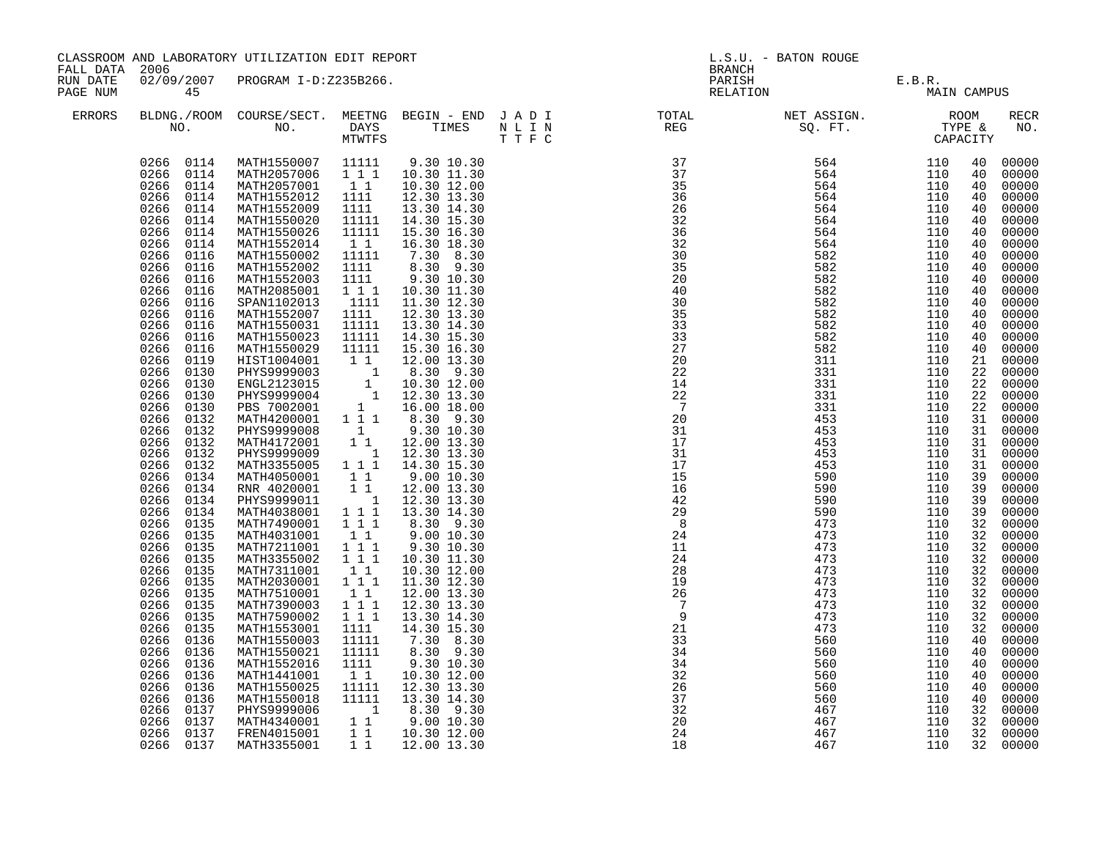| FALL DATA 2006       |                                                                                                                                                                                                                                                                                                                                                                                                                                                                                                                                                                                                                                                                                                                                                                        | CLASSROOM AND LABORATORY UTILIZATION EDIT REPORT                                                                                                                                                                                                                                                                                                                                                                                                                                                                                                                                                                                                                                                                                                                                                                                                                                                                                  |                                                                                                                                                                                                                                                                                                                                         |                                                                                                                                                                                                                                                                                                                                                                                                                                                                                                                                                                                                                                                                                                                | L.S.U. - BATON ROUGE<br><b>BRANCH</b> |                                                                                                                                                                                                                                                                                                                                                                                                                                                                                                                                                                                                                                                                              |                                                                                         |                                                                                         |                                                                            |                                                                                                                                                                                                                                                                                                                                                                                                                                                                |
|----------------------|------------------------------------------------------------------------------------------------------------------------------------------------------------------------------------------------------------------------------------------------------------------------------------------------------------------------------------------------------------------------------------------------------------------------------------------------------------------------------------------------------------------------------------------------------------------------------------------------------------------------------------------------------------------------------------------------------------------------------------------------------------------------|-----------------------------------------------------------------------------------------------------------------------------------------------------------------------------------------------------------------------------------------------------------------------------------------------------------------------------------------------------------------------------------------------------------------------------------------------------------------------------------------------------------------------------------------------------------------------------------------------------------------------------------------------------------------------------------------------------------------------------------------------------------------------------------------------------------------------------------------------------------------------------------------------------------------------------------|-----------------------------------------------------------------------------------------------------------------------------------------------------------------------------------------------------------------------------------------------------------------------------------------------------------------------------------------|----------------------------------------------------------------------------------------------------------------------------------------------------------------------------------------------------------------------------------------------------------------------------------------------------------------------------------------------------------------------------------------------------------------------------------------------------------------------------------------------------------------------------------------------------------------------------------------------------------------------------------------------------------------------------------------------------------------|---------------------------------------|------------------------------------------------------------------------------------------------------------------------------------------------------------------------------------------------------------------------------------------------------------------------------------------------------------------------------------------------------------------------------------------------------------------------------------------------------------------------------------------------------------------------------------------------------------------------------------------------------------------------------------------------------------------------------|-----------------------------------------------------------------------------------------|-----------------------------------------------------------------------------------------|----------------------------------------------------------------------------|----------------------------------------------------------------------------------------------------------------------------------------------------------------------------------------------------------------------------------------------------------------------------------------------------------------------------------------------------------------------------------------------------------------------------------------------------------------|
| RUN DATE<br>PAGE NUM | 45                                                                                                                                                                                                                                                                                                                                                                                                                                                                                                                                                                                                                                                                                                                                                                     | 02/09/2007 PROGRAM I-D:Z235B266.                                                                                                                                                                                                                                                                                                                                                                                                                                                                                                                                                                                                                                                                                                                                                                                                                                                                                                  |                                                                                                                                                                                                                                                                                                                                         |                                                                                                                                                                                                                                                                                                                                                                                                                                                                                                                                                                                                                                                                                                                |                                       |                                                                                                                                                                                                                                                                                                                                                                                                                                                                                                                                                                                                                                                                              | PARISH E.B.R.<br>RELATION MAIN                                                          | MAIN CAMPUS                                                                             |                                                                            |                                                                                                                                                                                                                                                                                                                                                                                                                                                                |
| ERRORS               |                                                                                                                                                                                                                                                                                                                                                                                                                                                                                                                                                                                                                                                                                                                                                                        |                                                                                                                                                                                                                                                                                                                                                                                                                                                                                                                                                                                                                                                                                                                                                                                                                                                                                                                                   |                                                                                                                                                                                                                                                                                                                                         |                                                                                                                                                                                                                                                                                                                                                                                                                                                                                                                                                                                                                                                                                                                |                                       |                                                                                                                                                                                                                                                                                                                                                                                                                                                                                                                                                                                                                                                                              |                                                                                         |                                                                                         |                                                                            | RECR<br>NO.                                                                                                                                                                                                                                                                                                                                                                                                                                                    |
|                      | 0266 0114<br>0266 0114<br>0266 0114<br>0266<br>0114<br>0266<br>0114<br>0114<br>0266<br>0266<br>0114<br>0266<br>0114<br>0266<br>0116<br>0266<br>0116<br>0266<br>0116<br>0266<br>0116<br>0266<br>0116<br>0266 0116<br>0266<br>0116<br>0266<br>0116<br>0266<br>0116<br>0266 0119<br>0266 0130<br>0266 0130<br>0266<br>0130<br>0266 0130<br>0266 0132<br>0266<br>0132<br>0266<br>0132<br>0266<br>0132<br>0266 0132<br>0266<br>0134<br>0266<br>0134<br>0266<br>0134<br>0266 0134<br>0266<br>0135<br>0266<br>0135<br>0266<br>0135<br>0266 0135<br>0266 0135<br>0266 0135<br>0266 0135<br>0266 0135<br>0266 0135<br>0266<br>0135<br>0266<br>0136<br>0266<br>0136<br>0266<br>0136<br>0266<br>0136<br>0266<br>0136<br>0266<br>0136<br>0266<br>0137<br>0266<br>0137<br>0266 0137 | MATH1550007 11111<br>MATH2057006 111<br>MATH2057001<br>MATH1552012<br>MATH1552009<br>MATH1550020<br>MATH1550026<br>MATH1552014<br>MATH1550002<br>MATH1552002<br>MATH1552003<br>MATH2085001<br>SPAN1102013<br>MATH1552007<br>MATH1550031<br>MATH1550023<br>MATH1550029<br>HIST1004001<br>PHYS9999003<br>ENGL2123015<br>PHYS9999004<br>PBS 7002001<br>MATH4200001 1 1 1 8.30 9.30<br>PHYS9999008<br>MATH4172001<br>PHYS9999009 1 12.30 13.30<br>MATH3355005 1 1 1 14.30 15.30<br>MATH4050001 11<br>RNR 4020001 11<br>PHYS9999011 1 12.30 13.30<br>MATH4038001 1 1 1 13.30 14.30<br>MATH7490001 1 1 1 8.30 9.30<br>MATH4031001<br>MATH7211001<br>MATH3355002 111<br>MATH7311001<br>MATH2030001 1 1 1<br>MATH7510001<br>MATH7390003<br>MATH7590002<br>MATH1553001<br>MATH1550003<br>MATH1550021<br>MATH1552016<br>MATH1441001<br>MATH1550025<br>MATH1550018<br>PHYS9999006<br>MATH4340001 1 9.00 10.30<br>FREN4015001 1 1 10.30 12.00 | $\begin{smallmatrix}1&1\1111\end{smallmatrix}$<br>1111<br>11111<br>11111<br>11<br>11111<br>1111<br>1111<br>$1 1 1$<br>1111<br>1111<br>11111<br>11111<br>11111<br>1<br>$1\quad1$<br>$1\quad1$<br>$1 1 1$<br>11<br>$1\quad1$<br>$1\ 1\ 1$<br>$1\ 1\ 1$<br>1111<br>11111<br>11111<br>1111<br>$1\quad1$<br>11111<br>11111<br>$\overline{1}$ | 9.30 10.30<br>10.30 11.30<br>10.30 12.00<br>12.30 13.30<br>13.30 14.30<br>14.30 15.30<br>15.30 16.30<br>16.30 18.30<br>7.30 8.30<br>8.30 9.30<br>9.30 10.30<br>10.30 11.30<br>11.30 12.30<br>12.30 13.30<br>13.30 14.30<br>14.30 15.30<br>15.30 16.30<br>$\begin{array}{rrrr} 111 & 12.00 & 13.30 \ 1 & 8.30 & 9.30 \ 1 & 10.30 & 12.00 \ 1 & 12.30 & 13.30 \ 1 & 16.00 & 18.00 \ \end{array}$<br>9.30 10.30<br>12.00 13.30<br>9.00 10.30<br>12.00 13.30<br>8.30 9.30<br>9.00 10.30<br>9.30 10.30<br>10.30 11.30<br>10.30 12.00<br>11.30 12.30<br>12.00 13.30<br>12.30 13.30<br>13.30 14.30<br>14.30 15.30<br>$7.30$ 8.30<br>8.30 9.30<br>9.30 10.30<br>10.30 12.00<br>12.30 13.30<br>13.30 14.30<br>8.30 9.30 |                                       | $\begin{array}{cccc} \text{ $T$ } \begin{tabular}{@{}c@{}} $T$ } \begin{tabular}{@{}c@{}} $T$ } \end{tabular} & \begin{tabular}{@{}c@{}} $SQ$, $P$ } \end{tabular} & \begin{tabular}{@{}c@{}} $T$ } \end{tabular} & \begin{tabular}{@{}c@{}} $T$ } \end{tabular} & \begin{tabular}{@{}c@{}} $T$ } \end{tabular} & \begin{tabular}{@{}c@{}} $T$ } \end{tabular} & \begin{tabular}{@{}c@{}} $T$ } \end{tabular} & \begin{tabular}{@{}c@{}} $T$ } \end{tabular} & \begin$<br>$\begin{array}{c} 19 \\ 26 \\ 7 \end{array}$<br>$\frac{1}{7}$<br>$\overline{9}$<br>21<br>$\frac{1}{33}$<br>34<br>$\frac{5}{34}$<br>32<br>$\frac{5}{26}$<br>37<br>$\frac{32}{20}$<br>20<br>24<br>18 | 473<br>473<br>473<br>473<br>560<br>560<br>560<br>560<br>560<br>560<br>467<br>467<br>467 | 110<br>110<br>110<br>110<br>110<br>110<br>110<br>110<br>110<br>110<br>110<br>110<br>110 | 32<br>32<br>32<br>32<br>40<br>40<br>40<br>40<br>40<br>40<br>32<br>32<br>32 | 00000<br>00000<br>00000<br>00000<br>00000<br>00000<br>00000<br>00000<br>00000<br>00000<br>00000<br>00000<br>00000<br>00000<br>00000<br>00000<br>00000<br>00000<br>00000<br>00000<br>00000<br>00000<br>00000<br>00000<br>00000<br>00000<br>00000<br>00000<br>00000<br>00000<br>00000<br>00000<br>00000<br>00000<br>00000<br>00000<br>00000<br>00000<br>00000<br>00000<br>00000<br>00000<br>00000<br>00000<br>00000<br>00000<br>00000<br>00000<br>00000<br>00000 |
|                      | 0266 0137                                                                                                                                                                                                                                                                                                                                                                                                                                                                                                                                                                                                                                                                                                                                                              | MATH3355001                                                                                                                                                                                                                                                                                                                                                                                                                                                                                                                                                                                                                                                                                                                                                                                                                                                                                                                       | $1\quad1$                                                                                                                                                                                                                                                                                                                               | 12.00 13.30                                                                                                                                                                                                                                                                                                                                                                                                                                                                                                                                                                                                                                                                                                    |                                       |                                                                                                                                                                                                                                                                                                                                                                                                                                                                                                                                                                                                                                                                              | 467                                                                                     | 110                                                                                     |                                                                            | 32 00000                                                                                                                                                                                                                                                                                                                                                                                                                                                       |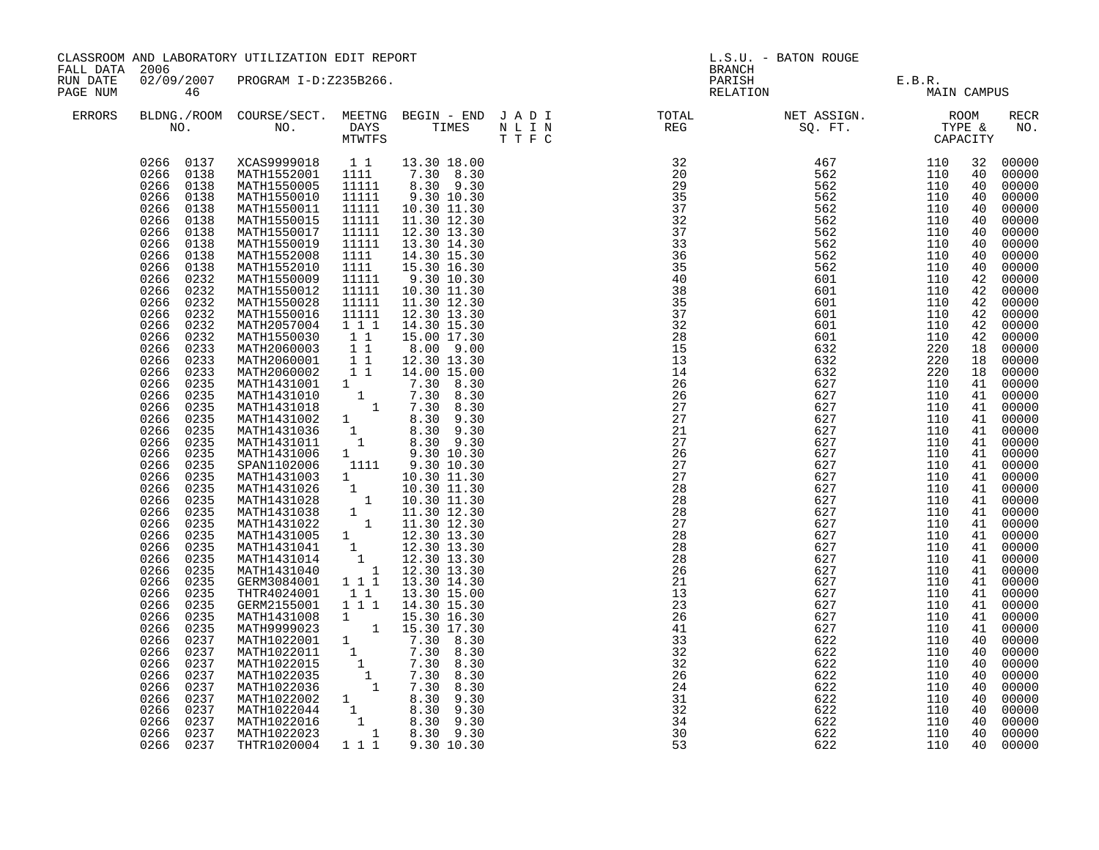| CLASSROOM AND LABORATORY UTILIZATION EDIT REPORT<br>FALL DATA 2006 |                                                                                                                                                                                                                                                                                                                                                                                                                                                                                                                                                                                                                                                                                                                                                     |                                                                                                                                                                                                                                                                                                                                                                                                                                                                                                                                                                                                                                                                                                                                                                                                                                                                                                                                                                                                                                                                                                                                                                         |                                                                                                                                                                           |                                                                                                                                                                                                                                                                                                                     | L.S.U. - BATON ROUGE<br>BRANCH                                                                                                                                                                                                                                                                                                              |                   |                                               |          |                                                                                                                                                                                                                                                                                                                                                                                                                                                                                                                      |
|--------------------------------------------------------------------|-----------------------------------------------------------------------------------------------------------------------------------------------------------------------------------------------------------------------------------------------------------------------------------------------------------------------------------------------------------------------------------------------------------------------------------------------------------------------------------------------------------------------------------------------------------------------------------------------------------------------------------------------------------------------------------------------------------------------------------------------------|-------------------------------------------------------------------------------------------------------------------------------------------------------------------------------------------------------------------------------------------------------------------------------------------------------------------------------------------------------------------------------------------------------------------------------------------------------------------------------------------------------------------------------------------------------------------------------------------------------------------------------------------------------------------------------------------------------------------------------------------------------------------------------------------------------------------------------------------------------------------------------------------------------------------------------------------------------------------------------------------------------------------------------------------------------------------------------------------------------------------------------------------------------------------------|---------------------------------------------------------------------------------------------------------------------------------------------------------------------------|---------------------------------------------------------------------------------------------------------------------------------------------------------------------------------------------------------------------------------------------------------------------------------------------------------------------|---------------------------------------------------------------------------------------------------------------------------------------------------------------------------------------------------------------------------------------------------------------------------------------------------------------------------------------------|-------------------|-----------------------------------------------|----------|----------------------------------------------------------------------------------------------------------------------------------------------------------------------------------------------------------------------------------------------------------------------------------------------------------------------------------------------------------------------------------------------------------------------------------------------------------------------------------------------------------------------|
| RUN DATE<br>PAGE NUM                                               | 46                                                                                                                                                                                                                                                                                                                                                                                                                                                                                                                                                                                                                                                                                                                                                  | 02/09/2007 PROGRAM I-D:Z235B266.                                                                                                                                                                                                                                                                                                                                                                                                                                                                                                                                                                                                                                                                                                                                                                                                                                                                                                                                                                                                                                                                                                                                        |                                                                                                                                                                           |                                                                                                                                                                                                                                                                                                                     |                                                                                                                                                                                                                                                                                                                                             |                   | PARISH E.B.R.<br>RELATION MAIN<br>MAIN CAMPUS |          |                                                                                                                                                                                                                                                                                                                                                                                                                                                                                                                      |
| ERRORS                                                             |                                                                                                                                                                                                                                                                                                                                                                                                                                                                                                                                                                                                                                                                                                                                                     |                                                                                                                                                                                                                                                                                                                                                                                                                                                                                                                                                                                                                                                                                                                                                                                                                                                                                                                                                                                                                                                                                                                                                                         |                                                                                                                                                                           |                                                                                                                                                                                                                                                                                                                     | BLDNG./ROOM COURSE/SECT. MEETNG BEGIN – END JADI TOTAL NET ASSIGN. NET ASSIGN. ROOM NO. DAYS TIMES NLIN REG SQ.FT. TYPE &                                                                                                                                                                                                                   |                   |                                               |          | RECR<br>NO.                                                                                                                                                                                                                                                                                                                                                                                                                                                                                                          |
|                                                                    | 0266 0138<br>0266 0138<br>0266 0138<br>0266 0138<br>0266 0138<br>0266 0138<br>0266<br>0138<br>0266 0138<br>0266<br>0232<br>0266 0232<br>0266<br>0232<br>0266 0232<br>0266<br>0232<br>0266<br>0232<br>0266<br>0233<br>0266<br>0233<br>0266<br>0233<br>0266<br>0235<br>0266<br>0235<br>0266<br>0235<br>0266<br>0235<br>0266<br>0235<br>0266<br>0235<br>0235<br>0266<br>0266 0235<br>0266 0235<br>0266 0235<br>0235<br>0266<br>0266 0235<br>0266 0235<br>0266 0235<br>0266<br>0235<br>0266 0235<br>0266<br>0235<br>0266<br>0235<br>0266<br>0235<br>0266<br>0235<br>0266<br>0235<br>0266<br>0235<br>0266<br>0237<br>0266<br>0237<br>0266<br>0237<br>0266<br>0237<br>0266<br>0237<br>0266<br>0237<br>0266 0237<br>0266<br>0237<br>0266 0237<br>0266 0237 | MATH1550005 11111<br>MATH1550010<br>MATH1550011<br>MATH1550015<br>MATH1550017<br>MATH1550019<br>MATH1552008<br>MATH1552010<br>MATH1550009<br>MATH1550012<br>MATH1550028<br>MATH1550016<br>MATH2057004<br>MATH1550030<br>MATH2060003<br>MATH2060001 1<br>MATH2060002 11<br>MATH1101000<br>MATH1431001 1 7.30 8.30<br>MATH1431010 1 7.30 8.30<br>MATH1431010 1 7.30 8.30<br>MATH1431018 1 7.30 8.30<br>MATH1431012 1 8.30 9.30<br>MATH1431036 1 8.30 9.30<br>MATH1431011 1 8.30 9.30<br>MATH1431011 1 8.30 9.30<br>MATH1431011 1 8.30 9.3<br>SPAN1102006 1111 9.30 10.30<br>8PANI102006 1111 9.30 10.30<br>MATH1431026 1 10.30 11.30<br>MATH1431026 1 10.30 11.30<br>MATH1431028 1 10.30 11.30<br>MATH1431028 1 11.30 12.30<br>MATH1431022 1 11.30 12.30<br>MATH1431045 1 12.30 13.30<br>MATH1431041 1 12.30 13.30<br>MATH<br>GERM3084001 111 13.30 14.30<br>THTR4024001<br>GERM2155001<br>GERM2155001 1 1 1 1 4.30 15.30<br>MATH1431008 1 15.30 16.30<br>MATH1022001 1 7.30 8.30<br>MATH1022011 1 7.30 8.30<br>MATH1022011 1 7.30 8.30<br>MATH1022015 1 7.30 8.30<br>MATH1022035 1 7.30 8.30<br>MATH1022036 1 7.30 8.30<br>MATH1022022 1<br>THTR1020004 1 1 1 9.30 10.30 | 11111<br>11111<br>11111<br>11111<br>11111<br>1111<br>1111<br>11111<br>11111<br>11111<br>11111<br>111<br>$\begin{array}{rr} & 1 & 1 \\ & 1 & 1 \end{array}$<br>11<br>1 1 1 | 13.30 18.00<br>7.30 8.30<br>8.30 9.30<br>9.30 10.30<br>10.30 11.30<br>11.30 12.30<br>12.30 13.30<br>13.30 14.30<br>14.30 15.30<br>15.30 16.30<br>9.30 10.30<br>10.30 11.30<br>11.30 12.30<br>12.30 13.30<br>14.30 15.30<br>15.00 17.30<br>$8.00$ $9.00$<br>12.30 13.30<br>14.00 15.00<br>13.30 15.00<br>14.30 15.30 | $\begin{tabular}{cccccccc} $0$ & $0$ & $1000$ & $1000$ & $1000$ & $1000$ & $1000$ & $1000$ & $1000$ & $1000$ & $1000$ & $1000$ & $1000$ & $1000$ & $1000$ & $1000$ & $1000$ & $1000$ & $1000$ & $1000$ & $1000$ & $1000$ & $1000$ & $1000$ & $1000$ & $1000$ & $1000$ & $1000$ & $1000$ & $1000$ & $1000$ &$<br>$\frac{32}{34}$<br>30<br>53 | 622<br>622<br>622 | 110<br>110<br>110                             | 40<br>40 | 00000<br>00000<br>00000<br>00000<br>00000<br>00000<br>00000<br>00000<br>00000<br>40 00000<br>00000<br>00000<br>00000<br>42 00000<br>00000<br>00000<br>00000<br>00000<br>00000<br>00000<br>41 00000<br>00000<br>41 00000<br>00000<br>41 00000<br>41 00000<br>41 00000<br>00000<br>41 00000<br>00000<br>41 00000<br>00000<br>41 00000<br>41 00000<br>41 00000<br>00000<br>00000<br>41 00000<br>41 00000<br>00000<br>00000<br>00000<br>00000<br>00000<br>00000<br>00000<br>00000<br>00000<br>00000<br>00000<br>40 00000 |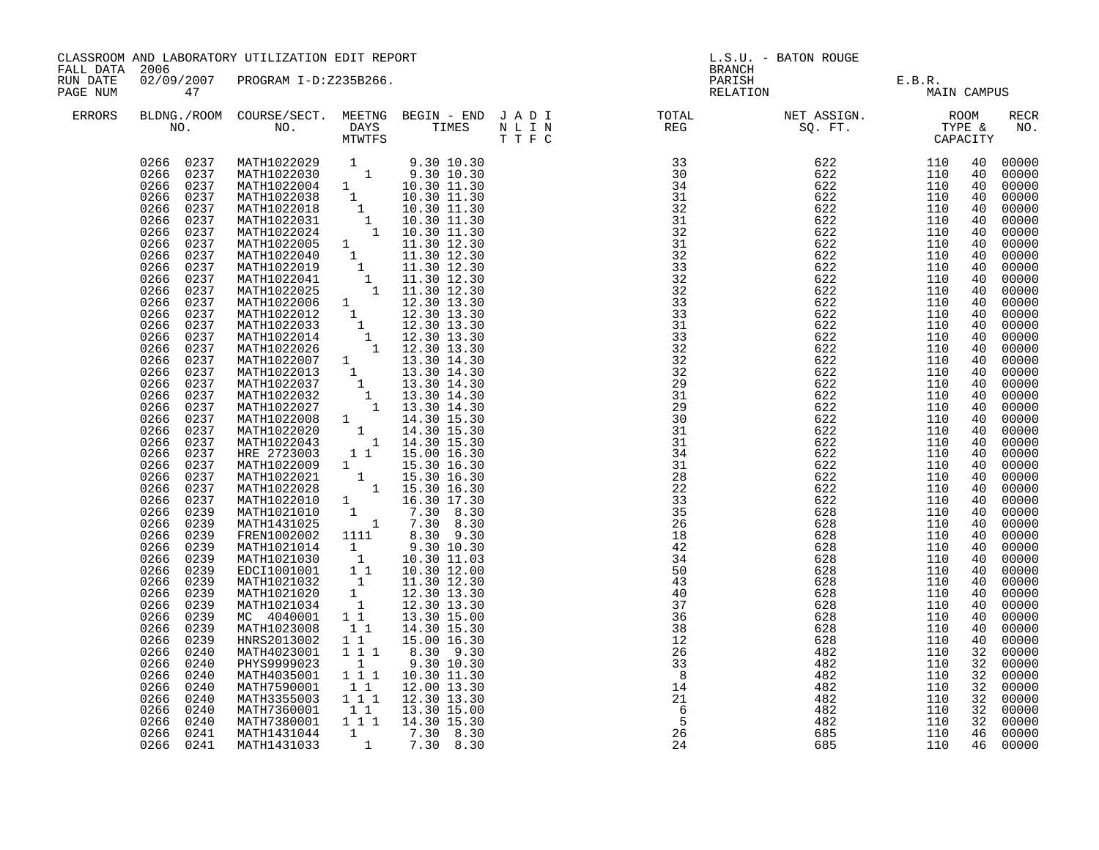| 02/09/2007 PROGRAM I-D:Z235B266.<br>PARISH E.B.R.<br>RELATION MAIN CAMPUS<br>RUN DATE<br>PAGE NUM<br>47<br>ERRORS<br>RECR<br>NO.<br>0266 0237<br>MATH1022029 1 9.30 10.30<br>MATH1022039 1 9.30 10.30<br>MATH1022030 1 9.30 10.30<br>MATH1022038 1 10.30 11.30<br>MATH1022038 1 10.30 11.30<br>MATH1022018 1 10.30 11.30<br>MATH1022024 1 10.30 11.30<br>MATH1022024 1 10.30 11.30<br>MATH10220<br>00000<br>0266 0237<br>00000<br>0266 0237<br>00000<br>0266<br>0237<br>00000<br>0266 0237<br>00000<br>0266<br>0237<br>00000<br>0266<br>0237<br>00000<br>0237<br>0266<br>00000<br>0266<br>0237<br>00000<br>0266 0237<br>00000<br>0266<br>0237<br>00000<br>0266 0237<br>00000<br>0266<br>0237<br>00000<br>0266 0237<br>00000<br>0266 0237<br>00000<br>0266 0237<br>00000<br>0266<br>0237<br>00000<br>40 00000<br>0266 0237<br>0266 0237<br>00000<br>0266 0237<br>00000<br>0266<br>0237<br>00000<br>00000<br>0266 0237<br>0266 0237<br>00000<br>0266<br>0237<br>00000<br>0266<br>0237<br>00000<br>00000<br>0266<br>0237<br>00000<br>0266 0237<br>MATH1022021 1 15.30 16.30<br>MATH1022028 1 15.30 16.30<br>0266<br>0237<br>00000<br>0266<br>0237<br>00000<br>MATH1022010 1 16.30 17.30<br>MATH1021010 1 7.30 8.30<br>MATH1431025 1 7.30 8.30<br>0266<br>0237<br>00000<br>0266 0239<br>00000<br>0266<br>0239<br>00000<br>FREN1002002 1111 8.30 9.30<br>MATH1021014 1 9.30 10.30<br>0266 0239<br>00000<br>0266<br>0239<br>FRENI02002<br>MATH1021014 1 9.30 10.30<br>MATH1021030 1 10.30 11.03<br>EDCI1001001 1 10.30 12.00<br>MATH1021032 1 11.30 12.30<br>MATH1021020 1 12.30 13.30<br>MATH1021034 1 12.30 13.30<br>MATH1021034 1 12.30 13.30<br>00000<br>0266 0239<br>00000<br>0266 0239<br>00000<br>0266 0239<br>00000<br>0266 0239<br>40 00000<br>40 00000<br>0266 0239<br>11<br>0266 0239<br>MC 4040001<br>13.30 15.00<br>00000<br>0266<br>0239<br>MATH1023008<br>$1\quad1$<br>14.30 15.30<br>40 00000<br>0266<br>0239<br>$1\quad1$<br>00000<br>HNRS2013002<br>15.00 16.30<br>$1 1 1$<br>0266<br>0240<br>MATH4023001<br>PHYS9999023<br>8.30 9.30<br>32 00000<br>9.30 10.30<br>1<br>00000<br>0266<br>0240<br>MATH4035001 111 10.30 11.30<br>0266<br>0240<br>00000<br>11<br>0266<br>0240<br>MATH7590001 11<br>MATH3355003 111<br>12.00 13.30<br>00000<br>0266<br>0240<br>12.30 13.30<br>32 00000<br>MATH7360001<br>$\overline{6}$<br>32 00000<br>0266<br>0240<br>11<br>13.30 15.00<br>$\overline{5}$<br>1 1 1 1 14.30 15.30<br>0266<br>110<br>0240<br>MATH7380001<br>482<br>32<br>00000<br>46 00000 | CLASSROOM AND LABORATORY UTILIZATION EDIT REPORT<br>FALL DATA 2006 |           |             |                                                                      | L.S.U. - BATON ROUGE<br><b>BRANCH</b> |     |     |  |  |
|----------------------------------------------------------------------------------------------------------------------------------------------------------------------------------------------------------------------------------------------------------------------------------------------------------------------------------------------------------------------------------------------------------------------------------------------------------------------------------------------------------------------------------------------------------------------------------------------------------------------------------------------------------------------------------------------------------------------------------------------------------------------------------------------------------------------------------------------------------------------------------------------------------------------------------------------------------------------------------------------------------------------------------------------------------------------------------------------------------------------------------------------------------------------------------------------------------------------------------------------------------------------------------------------------------------------------------------------------------------------------------------------------------------------------------------------------------------------------------------------------------------------------------------------------------------------------------------------------------------------------------------------------------------------------------------------------------------------------------------------------------------------------------------------------------------------------------------------------------------------------------------------------------------------------------------------------------------------------------------------------------------------------------------------------------------------------------------------------------------------------------------------------------------------------------------------------------------------------------------------------------------------------------------------------------------------------------------------------------------------------------------------------------------------------------------------------------------------------------------------------|--------------------------------------------------------------------|-----------|-------------|----------------------------------------------------------------------|---------------------------------------|-----|-----|--|--|
|                                                                                                                                                                                                                                                                                                                                                                                                                                                                                                                                                                                                                                                                                                                                                                                                                                                                                                                                                                                                                                                                                                                                                                                                                                                                                                                                                                                                                                                                                                                                                                                                                                                                                                                                                                                                                                                                                                                                                                                                                                                                                                                                                                                                                                                                                                                                                                                                                                                                                                    |                                                                    |           |             |                                                                      |                                       |     |     |  |  |
|                                                                                                                                                                                                                                                                                                                                                                                                                                                                                                                                                                                                                                                                                                                                                                                                                                                                                                                                                                                                                                                                                                                                                                                                                                                                                                                                                                                                                                                                                                                                                                                                                                                                                                                                                                                                                                                                                                                                                                                                                                                                                                                                                                                                                                                                                                                                                                                                                                                                                                    |                                                                    |           |             |                                                                      |                                       |     |     |  |  |
| 24<br>46 00000<br>0266 0241<br>MATH1431033<br>685<br>110                                                                                                                                                                                                                                                                                                                                                                                                                                                                                                                                                                                                                                                                                                                                                                                                                                                                                                                                                                                                                                                                                                                                                                                                                                                                                                                                                                                                                                                                                                                                                                                                                                                                                                                                                                                                                                                                                                                                                                                                                                                                                                                                                                                                                                                                                                                                                                                                                                           |                                                                    | 0266 0241 | MATH1431044 | $\begin{array}{cccc} 1 & 7.30 & 8.30 \\ 1 & 7.30 & 8.30 \end{array}$ | 26                                    | 685 | 110 |  |  |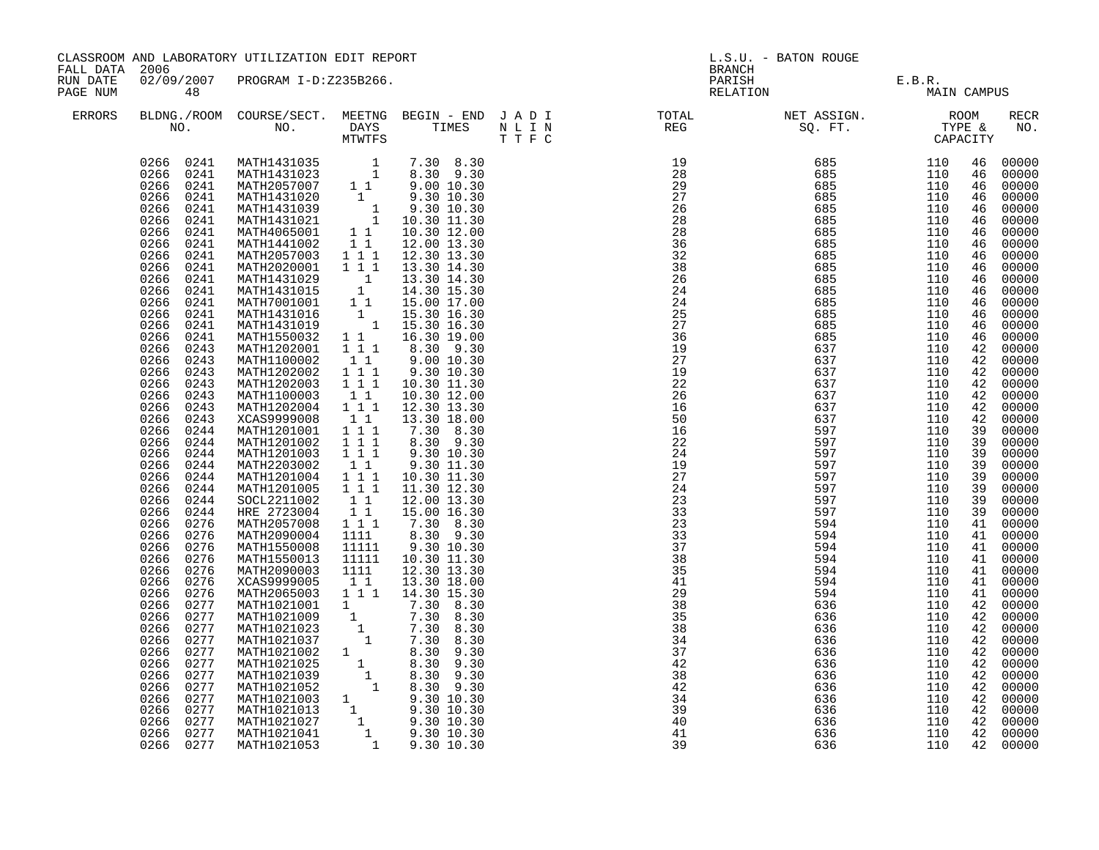| FALL DATA 2006       |                                                                                                                                                                                                                                                                                                                                                                                                                                                                                                                                                                                                       | CLASSROOM AND LABORATORY UTILIZATION EDIT REPORT                                                                                                                                                                                                                                                                                                                                                                                                                                                                                                                                                                                                                                                                                                                                                                                                                                                                                                                                                                                                                                                                                                       |                                                                                                                                                                                                                      |                                                                                                                                                                                                                                                                                                                                                                      |  | L.S.U. - BATON ROUGE<br><b>BRANCH</b> |                                       |                   |                                                                                                                                                                                              |                                                                                                                                                                                                                                                                                                                                                                                                                                                                                              |
|----------------------|-------------------------------------------------------------------------------------------------------------------------------------------------------------------------------------------------------------------------------------------------------------------------------------------------------------------------------------------------------------------------------------------------------------------------------------------------------------------------------------------------------------------------------------------------------------------------------------------------------|--------------------------------------------------------------------------------------------------------------------------------------------------------------------------------------------------------------------------------------------------------------------------------------------------------------------------------------------------------------------------------------------------------------------------------------------------------------------------------------------------------------------------------------------------------------------------------------------------------------------------------------------------------------------------------------------------------------------------------------------------------------------------------------------------------------------------------------------------------------------------------------------------------------------------------------------------------------------------------------------------------------------------------------------------------------------------------------------------------------------------------------------------------|----------------------------------------------------------------------------------------------------------------------------------------------------------------------------------------------------------------------|----------------------------------------------------------------------------------------------------------------------------------------------------------------------------------------------------------------------------------------------------------------------------------------------------------------------------------------------------------------------|--|---------------------------------------|---------------------------------------|-------------------|----------------------------------------------------------------------------------------------------------------------------------------------------------------------------------------------|----------------------------------------------------------------------------------------------------------------------------------------------------------------------------------------------------------------------------------------------------------------------------------------------------------------------------------------------------------------------------------------------------------------------------------------------------------------------------------------------|
| RUN DATE<br>PAGE NUM | 48                                                                                                                                                                                                                                                                                                                                                                                                                                                                                                                                                                                                    | 02/09/2007 PROGRAM I-D:Z235B266.                                                                                                                                                                                                                                                                                                                                                                                                                                                                                                                                                                                                                                                                                                                                                                                                                                                                                                                                                                                                                                                                                                                       |                                                                                                                                                                                                                      |                                                                                                                                                                                                                                                                                                                                                                      |  |                                       | PARISH E.B.R.<br>RELATION MAIN CAMPUS |                   |                                                                                                                                                                                              |                                                                                                                                                                                                                                                                                                                                                                                                                                                                                              |
| ERRORS               |                                                                                                                                                                                                                                                                                                                                                                                                                                                                                                                                                                                                       |                                                                                                                                                                                                                                                                                                                                                                                                                                                                                                                                                                                                                                                                                                                                                                                                                                                                                                                                                                                                                                                                                                                                                        |                                                                                                                                                                                                                      |                                                                                                                                                                                                                                                                                                                                                                      |  |                                       |                                       |                   |                                                                                                                                                                                              | <b>RECR</b><br>NO.                                                                                                                                                                                                                                                                                                                                                                                                                                                                           |
|                      | 0266<br>0241<br>0266<br>0241<br>0266<br>0241<br>0266<br>0241<br>0266<br>0241<br>0266<br>0241<br>0266<br>0241<br>0266<br>0241<br>0266<br>0243<br>0266 0243<br>0266 0243<br>0266 0243<br>0266<br>0243<br>0266 0243<br>0266 0243<br>0266 0244<br>0266<br>0244<br>0266<br>0244<br>0266<br>0244<br>0266<br>0244<br>0266<br>0244<br>0266<br>0244<br>0266<br>0244<br>0266<br>0276<br>0266<br>0276<br>0266<br>0276<br>0266 0276<br>0266<br>0276<br>0266 0276<br>0266<br>0276<br>0266 0277<br>0266 0277<br>0266 0277<br>0266<br>0277<br>0266 0277<br>0266 0277<br>0266<br>0277<br>0266<br>0277<br>0266<br>0277 | $\begin{tabular}{cccc} 0.266 & 0.241 & \text{MATH1431035} & 1 & 7.30 & 8.30 \\ 0.266 & 0.241 & \text{MATH1431023} & 1 & 8.30 & 9.30 \\ 0.266 & 0.241 & \text{MATH2057007} & 11 & 9.00 & 10.30 \\ 0.266 & 0.241 & \text{MATH1431020} & 1 & 9.30 & 10.30 \\ 0.266 & 0.241 & \text{MATH1431039} & 1 & 9.30 &$<br>MATH2057003 1 1 1<br>MATH2020001 111<br>MATH1431029 1 13.30 14.30<br>MATH1431015 1 14.30 15.30<br>MATH7001001 1 1 15.00 17.00<br>MATH1431016 1 15.30 16.30<br>MATH1431019 1 15.30 16.30<br>MATH1550032 1 1<br>MATH1202001<br>MATH1100002 11<br>MATH1202002 111<br>MATH1202003 111<br>MATH1100003<br>MATH1202004 1 1 1<br>XCAS9999008<br>MATH1201001<br>MATH1201002<br>MATH1201003<br>MATH2203002<br>MATH1201004<br>MATH1201005<br>SOCL2211002<br>HRE 2723004<br>MATH2057008 1 1 1<br>MATH2090004 1111<br>MATH1550008<br>MATH1550013<br>MATH2090003<br>XCAS9999005<br>MATH2065003 1 1 1<br>MATH1021001 1 14.30 15.30<br>MATH1021001 1 7.30 8.30<br>MATH1021009 1 7.30 8.30<br>MATH1021023 1 7.30 8.30<br>MATH1021037 1 7.30 8.30<br>MATH1021037 1 8.30 9.30<br>MATH1021025 1 8.30 9.30<br>MATH1021039 1 8.30 9.30<br>MATH1021052 1 8.30 9 | $1\overline{1}1$<br>11<br>11<br>$1 1 1$<br>111<br>1 1 1<br>$1\quad1$<br>111<br>$\overline{1}$ $\overline{1}$ $\overline{1}$<br>$\begin{bmatrix} 1 & 1 \\ 1 & 1 \end{bmatrix}$<br>11111<br>11111<br>1111<br>$1\quad1$ | 12.30 13.30<br>13.30 14.30<br>16.30 19.00<br>8.30 9.30<br>9.00 10.30<br>9.30 10.30<br>10.30 11.30<br>10.30 12.00<br>12.30 13.30<br>13.30 18.00<br>7.30 8.30<br>8.30 9.30<br>9.30 10.30<br>9.30 11.30<br>10.30 11.30<br>11.30 12.30<br>12.00 13.30<br>15.00 16.30<br>7.30 8.30<br>8.30 9.30<br>9.30 10.30<br>10.30 11.30<br>12.30 13.30<br>13.30 18.00<br>14.30 15.30 |  |                                       |                                       |                   | 46<br>46<br>46<br>46<br>46<br>46<br>46<br>46<br>46<br>46<br>46<br>46<br>46<br>42<br>42<br>39<br>39<br>39<br>39<br>39<br>39<br>39<br>39<br>41<br>41<br>41<br>42<br>42<br>42<br>42<br>42<br>42 | 00000<br>00000<br>00000<br>00000<br>46 00000<br>00000<br>46 00000<br>00000<br>00000<br>00000<br>00000<br>00000<br>00000<br>00000<br>00000<br>46 00000<br>42 00000<br>42 00000<br>00000<br>42 00000<br>42 00000<br>42 00000<br>00000<br>00000<br>00000<br>00000<br>00000<br>00000<br>00000<br>00000<br>00000<br>00000<br>41 00000<br>41 00000<br>41 00000<br>00000<br>41 00000<br>00000<br>42 00000<br>00000<br>00000<br>00000<br>42 00000<br>00000<br>00000<br>00000<br>42 00000<br>42 00000 |
|                      | 0266<br>0277<br>0266<br>0277<br>0266 0277<br>0266 0277                                                                                                                                                                                                                                                                                                                                                                                                                                                                                                                                                |                                                                                                                                                                                                                                                                                                                                                                                                                                                                                                                                                                                                                                                                                                                                                                                                                                                                                                                                                                                                                                                                                                                                                        |                                                                                                                                                                                                                      |                                                                                                                                                                                                                                                                                                                                                                      |  | $\overline{40}$<br>41<br>39           | 636<br>636<br>636                     | 110<br>110<br>110 | 42                                                                                                                                                                                           | 00000<br>42 00000<br>42 00000                                                                                                                                                                                                                                                                                                                                                                                                                                                                |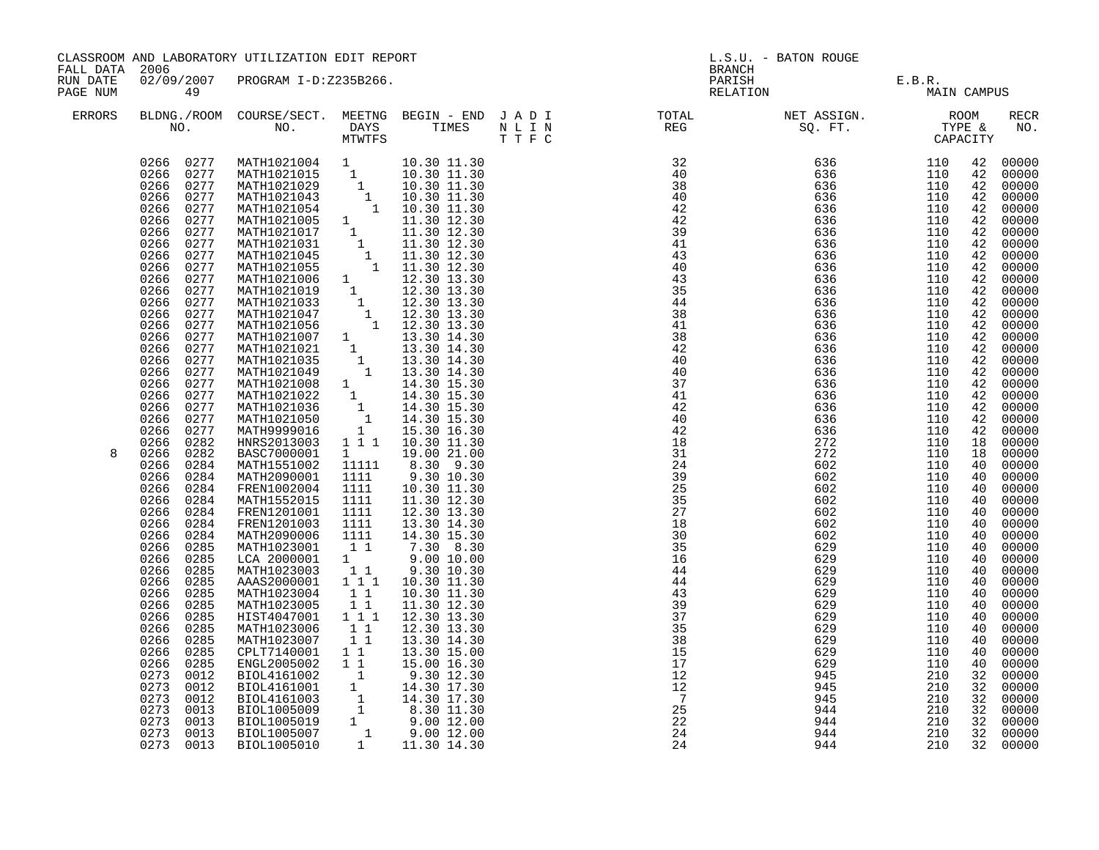| FALL DATA 2006       |                                                                                                                                                                                                                                                                                                                                                                                                                                                                                                                                                                                                                                                                                                                                                                                                                                  | CLASSROOM AND LABORATORY UTILIZATION EDIT REPORT                                                                                                                                                                                                                                                                                                                                                                                                                                                                                                                                                                                                                                                                                                                                                                                                                                                                                                                                                                                                                                                                                                                                                                                     |                                                                                                                                              |                                                                                                                                                                                                                                                                                                   | L.S.U. - BATON ROUGE<br><b>BRANCH</b> |                                                                                                                                                                                                                                                                                  |                                   |             |                                                                                                                                                                                                                                                                                                                |                                                                                                                                                                                                                                                                                                                                                                                                                                                                         |
|----------------------|----------------------------------------------------------------------------------------------------------------------------------------------------------------------------------------------------------------------------------------------------------------------------------------------------------------------------------------------------------------------------------------------------------------------------------------------------------------------------------------------------------------------------------------------------------------------------------------------------------------------------------------------------------------------------------------------------------------------------------------------------------------------------------------------------------------------------------|--------------------------------------------------------------------------------------------------------------------------------------------------------------------------------------------------------------------------------------------------------------------------------------------------------------------------------------------------------------------------------------------------------------------------------------------------------------------------------------------------------------------------------------------------------------------------------------------------------------------------------------------------------------------------------------------------------------------------------------------------------------------------------------------------------------------------------------------------------------------------------------------------------------------------------------------------------------------------------------------------------------------------------------------------------------------------------------------------------------------------------------------------------------------------------------------------------------------------------------|----------------------------------------------------------------------------------------------------------------------------------------------|---------------------------------------------------------------------------------------------------------------------------------------------------------------------------------------------------------------------------------------------------------------------------------------------------|---------------------------------------|----------------------------------------------------------------------------------------------------------------------------------------------------------------------------------------------------------------------------------------------------------------------------------|-----------------------------------|-------------|----------------------------------------------------------------------------------------------------------------------------------------------------------------------------------------------------------------------------------------------------------------------------------------------------------------|-------------------------------------------------------------------------------------------------------------------------------------------------------------------------------------------------------------------------------------------------------------------------------------------------------------------------------------------------------------------------------------------------------------------------------------------------------------------------|
| RUN DATE<br>PAGE NUM | 49                                                                                                                                                                                                                                                                                                                                                                                                                                                                                                                                                                                                                                                                                                                                                                                                                               | 02/09/2007 PROGRAM I-D:Z235B266.                                                                                                                                                                                                                                                                                                                                                                                                                                                                                                                                                                                                                                                                                                                                                                                                                                                                                                                                                                                                                                                                                                                                                                                                     |                                                                                                                                              |                                                                                                                                                                                                                                                                                                   |                                       |                                                                                                                                                                                                                                                                                  | PARISH E.B.R.<br>RELATION MAIN CA | MAIN CAMPUS |                                                                                                                                                                                                                                                                                                                |                                                                                                                                                                                                                                                                                                                                                                                                                                                                         |
| ERRORS               |                                                                                                                                                                                                                                                                                                                                                                                                                                                                                                                                                                                                                                                                                                                                                                                                                                  |                                                                                                                                                                                                                                                                                                                                                                                                                                                                                                                                                                                                                                                                                                                                                                                                                                                                                                                                                                                                                                                                                                                                                                                                                                      |                                                                                                                                              |                                                                                                                                                                                                                                                                                                   |                                       | BLDNG./ROOM COURSE/SECT. MEETNG BEGIN – END JADI TOTAL NET ASSIGN. NET ASSIGN. ROOM NO. DAYS TIMES NLIN REG SQ.FT. TYPE &                                                                                                                                                        |                                   |             |                                                                                                                                                                                                                                                                                                                | RECR<br>NO.                                                                                                                                                                                                                                                                                                                                                                                                                                                             |
| 8                    | 0266 0277<br>0266 0277<br>0266 0277<br>0266<br>0277<br>0266<br>0277<br>0277<br>0266<br>0266<br>0277<br>0277<br>0266<br>0266<br>0277<br>0266<br>0277<br>0266<br>0277<br>0266<br>0277<br>0266<br>0277<br>0266<br>0277<br>0266<br>0277<br>0266<br>0277<br>0266<br>0277<br>0266<br>0277<br>0266<br>0277<br>0266<br>0277<br>0266<br>0277<br>0266<br>0277<br>0266<br>0277<br>0266<br>0277<br>0266<br>0282<br>0266<br>0282<br>0266<br>0284<br>0266<br>0284<br>0266<br>0284<br>0266<br>0284<br>0266<br>0284<br>0266<br>0284<br>0284<br>0266<br>0266<br>0285<br>0266<br>0285<br>0266<br>0285<br>0266<br>0285<br>0266<br>0285<br>0266<br>0285<br>0266<br>0285<br>0266<br>0285<br>0266<br>0285<br>0266<br>0285<br>0266<br>0285<br>0273<br>0012<br>0273<br>0012<br>0273<br>0012<br>0273<br>0013<br>0273<br>0013<br>0273<br>0013<br>0273 0013 | $\begin{tabular}{l c c c} \texttt{MATHI021004} & & & & & 10.30 & 11.30 \\ \texttt{MATHI021015} & & & & 10.30 & 11.30 \\ \texttt{MATHI021029} & & & 10.30 & 11.30 \\ \texttt{MATHI021043} & & & 10.30 & 11.30 \\ \texttt{MATHI021054} & & & 10.30 & 11.30 \\ \texttt{MATHI021005} & & & 11.30 & 12.30 \\ \texttt{MATHI021017} & & & 11.30 & $<br>MATH1021007 1 13.30 14.30<br>MATH1021021 1 13.30 14.30<br>MATH1021035 1 13.30 14.30<br>MATH1021049 1 13.30 14.30<br>MATH1021008 1 14.30 15.30<br>MATH1021022 1 14.30 15.30<br>MATH1021036 1 14.30 15.30<br>MATH1021050 1 14.30 15.30<br>MATH1021050 1 14.30 15.30<br>MATH9999016 1 15.30 16.30<br>HNRS2013003<br>BASC7000001<br>MATH1551002<br>MATH2090001<br>FREN1002004<br>MATH1552015<br>FREN1201001<br>FREN1201003<br>MATH2090006<br>MATH1023001<br>LCA 2000001<br>MATH1023003<br>AAAS2000001 111<br>MATH1023004<br>MATH1023005<br>HIST4047001<br>MATH1023006<br>MATH1023007<br>CPLT7140001 1 1<br>ENGL2005002<br>BIOL4161002<br>BIOL4161002<br>BIOL4161002<br>BIOL4161003<br>BIOL4161003<br>1 14.30 17.30<br>BIOL1005009<br>1 8.30 11.30<br>BIOL1005009<br>1 9.00 12.00<br>BIOL1005007<br>1 9.00 12.00<br>BIOL1005007<br>1 14.30 12.30<br>BIOL1005007<br>1 14.30 12.30<br>BIOL1 | 111<br>$1 \quad \blacksquare$<br>11111<br>1111<br>1111<br>1111<br>1111<br>1111<br>1111<br>11<br>1<br>11<br>11<br>11<br>111<br>11<br>11<br>11 | 10.30 11.30<br>19.00 21.00<br>8.30 9.30<br>9.30 10.30<br>10.30 11.30<br>11.30 12.30<br>12.30 13.30<br>13.30 14.30<br>14.30 15.30<br>7.30 8.30<br>9.00 10.00<br>9.30 10.30<br>10.30 11.30<br>10.30 11.30<br>11.30 12.30<br>12.30 13.30<br>12.30 13.30<br>13.30 14.30<br>13.30 15.00<br>15.00 16.30 |                                       | $\begin{array}{cccccccc} 0.11 & 0.12 & 0.13 & 0.14 & 0.10 & 0.10 & 0.10 & 0.10 & 0.10 & 0.10 & 0.10 & 0.10 & 0.10 & 0.10 & 0.10 & 0.10 & 0.10 & 0.10 & 0.10 & 0.10 & 0.10 & 0.10 & 0.10 & 0.10 & 0.10 & 0.10 & 0.10 & 0.10 & 0.10 & 0.10 & 0.10 & 0.10 & 0.10 & 0.10 & 0.10 & 0$ |                                   |             | 42<br>42<br>42<br>42<br>42<br>42<br>42<br>42<br>42<br>42<br>42<br>42<br>42<br>42<br>42<br>42<br>42<br>42<br>42<br>42<br>42<br>42<br>42<br>42<br>18<br>18<br>40<br>40<br>40<br>40<br>40<br>40<br>40<br>40<br>40<br>40<br>40<br>40<br>40<br>40<br>40<br>40<br>40<br>40<br>32<br>32<br>32<br>32<br>32<br>32<br>32 | 00000<br>00000<br>00000<br>00000<br>00000<br>00000<br>00000<br>00000<br>00000<br>00000<br>00000<br>00000<br>00000<br>00000<br>00000<br>00000<br>00000<br>00000<br>00000<br>00000<br>00000<br>00000<br>00000<br>00000<br>00000<br>00000<br>00000<br>00000<br>00000<br>00000<br>00000<br>00000<br>00000<br>00000<br>00000<br>00000<br>00000<br>00000<br>00000<br>00000<br>00000<br>00000<br>00000<br>00000<br>00000<br>00000<br>00000<br>00000<br>00000<br>00000<br>00000 |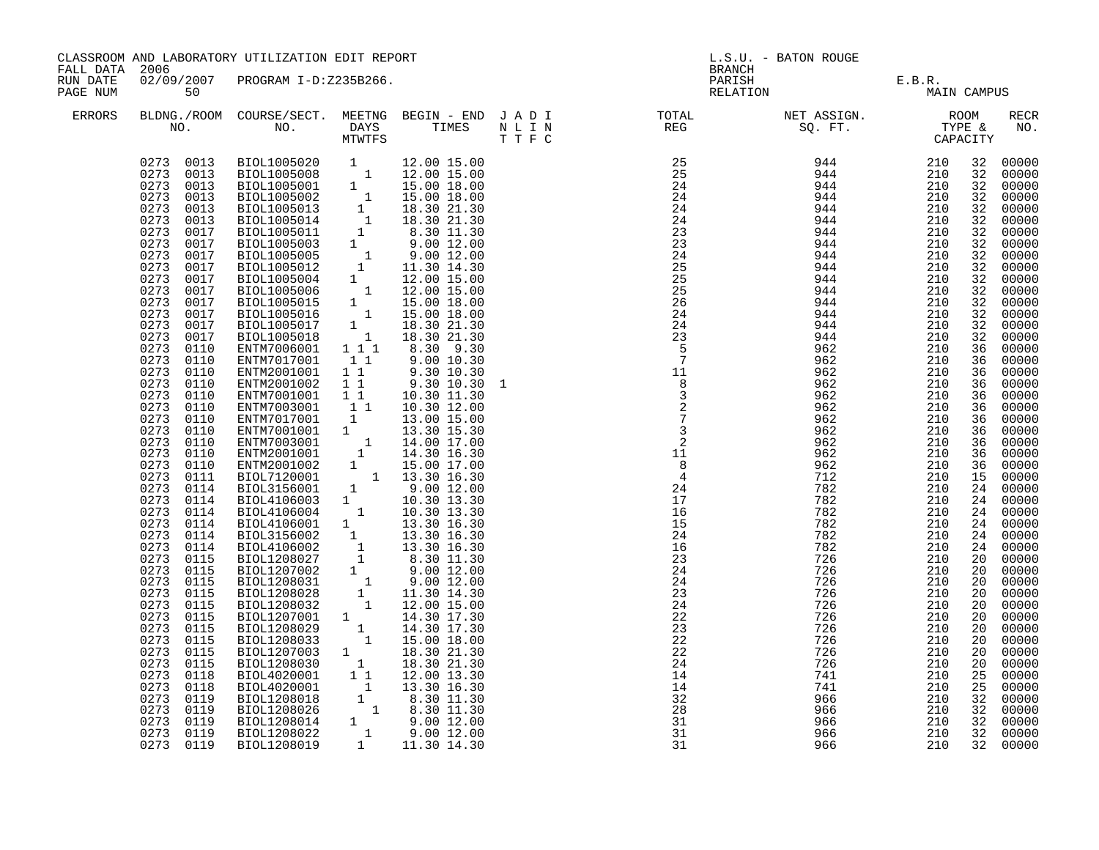| FALL DATA 2006       |                                                                                                                                                                                                                                                                                                                                                                                                                                                                                                                                                                                                                                                                                                                                                                                                                      | CLASSROOM AND LABORATORY UTILIZATION EDIT REPORT                                                                                                                                                                                                                                                                                                                                                                                                                                                                                                                                                                                                                                                                                                                                                                                                                                                                                                                                                                                                                                                                                                                                      |                                           |                                                                                                                                      | L.S.U. - BATON ROUGE<br><b>BRANCH</b> |                                                                                                                                    |                                |                          |                                                                                                                                                                                                                                                          |                                                                                                                                                                                                                                                                                                                                                                                                                                                                                                    |
|----------------------|----------------------------------------------------------------------------------------------------------------------------------------------------------------------------------------------------------------------------------------------------------------------------------------------------------------------------------------------------------------------------------------------------------------------------------------------------------------------------------------------------------------------------------------------------------------------------------------------------------------------------------------------------------------------------------------------------------------------------------------------------------------------------------------------------------------------|---------------------------------------------------------------------------------------------------------------------------------------------------------------------------------------------------------------------------------------------------------------------------------------------------------------------------------------------------------------------------------------------------------------------------------------------------------------------------------------------------------------------------------------------------------------------------------------------------------------------------------------------------------------------------------------------------------------------------------------------------------------------------------------------------------------------------------------------------------------------------------------------------------------------------------------------------------------------------------------------------------------------------------------------------------------------------------------------------------------------------------------------------------------------------------------|-------------------------------------------|--------------------------------------------------------------------------------------------------------------------------------------|---------------------------------------|------------------------------------------------------------------------------------------------------------------------------------|--------------------------------|--------------------------|----------------------------------------------------------------------------------------------------------------------------------------------------------------------------------------------------------------------------------------------------------|----------------------------------------------------------------------------------------------------------------------------------------------------------------------------------------------------------------------------------------------------------------------------------------------------------------------------------------------------------------------------------------------------------------------------------------------------------------------------------------------------|
| RUN DATE<br>PAGE NUM | 50                                                                                                                                                                                                                                                                                                                                                                                                                                                                                                                                                                                                                                                                                                                                                                                                                   | 02/09/2007 PROGRAM I-D:Z235B266.                                                                                                                                                                                                                                                                                                                                                                                                                                                                                                                                                                                                                                                                                                                                                                                                                                                                                                                                                                                                                                                                                                                                                      |                                           |                                                                                                                                      |                                       |                                                                                                                                    | PARISH E.B.R.<br>RELATION MAIN | MAIN CAMPUS              |                                                                                                                                                                                                                                                          |                                                                                                                                                                                                                                                                                                                                                                                                                                                                                                    |
| ERRORS               |                                                                                                                                                                                                                                                                                                                                                                                                                                                                                                                                                                                                                                                                                                                                                                                                                      |                                                                                                                                                                                                                                                                                                                                                                                                                                                                                                                                                                                                                                                                                                                                                                                                                                                                                                                                                                                                                                                                                                                                                                                       |                                           |                                                                                                                                      |                                       | BLDNG./ROOM COURSE/SECT. MEETNG BEGIN – END JADI TOTAL NET ASSIGN. NET ASSIGN. ROOM ROOM NO. DAYS TIMES NLIN REG REG SQ.FT. TYPE & |                                |                          |                                                                                                                                                                                                                                                          | RECR<br>NO.                                                                                                                                                                                                                                                                                                                                                                                                                                                                                        |
|                      | 0273 0013<br>0273 0013<br>0273 0013<br>0273<br>0013<br>0273<br>0013<br>0273<br>0013<br>0273<br>0017<br>0273<br>0017<br>0273<br>0017<br>0273<br>0017<br>0273<br>0017<br>0273<br>0017<br>0273<br>0017<br>0273<br>0017<br>0273<br>0017<br>0273<br>0017<br>0273<br>0110<br>0273<br>0110<br>0273<br>0110<br>0273<br>0110<br>0273<br>0110<br>0273<br>0110<br>0273<br>0110<br>0273<br>0110<br>0273<br>0110<br>0273<br>0110<br>0273<br>0110<br>0273<br>0111<br>0273<br>0114<br>0273<br>0114<br>0273<br>0114<br>0273 0114<br>0273 0114<br>0273<br>0114<br>0273<br>0115<br>0273<br>0115<br>0273 0115<br>0273<br>0115<br>0273<br>0115<br>0273<br>0115<br>0273<br>0115<br>0273<br>0115<br>0273<br>0115<br>0273<br>0115<br>0273<br>0118<br>0273<br>0118<br>0273<br>0119<br>0119<br>0273<br>0273<br>0119<br>0273 0119<br>0273 0119 | $\begin{tabular}{@{}c@{\hspace{6ex}}c@{\hspace{6ex}}c@{\hspace{6ex}}c@{\hspace{6ex}}c@{\hspace{6ex}}c@{\hspace{6ex}}c@{\hspace{6ex}}c@{\hspace{6ex}}c@{\hspace{6ex}}c@{\hspace{6ex}}c@{\hspace{6ex}}c@{\hspace{6ex}}c@{\hspace{6ex}}c@{\hspace{6ex}}c@{\hspace{6ex}}c@{\hspace{6ex}}c@{\hspace{6ex}}c@{\hspace{6ex}}c@{\hspace{6ex}}c@{\hspace{6ex}}c@{\hspace{6ex}}c@{\hspace{6ex}}c@{\hspace{6ex}}c@{\hspace$<br>ENTM7017001<br>ENTM2001001<br>ENTM2001002<br>ENTM7001001<br>ENTM7003001<br>$\begin{tabular}{l c c c} \multicolumn{4}{c}{ENTM7003001} & 1 & 10.30 & 12.00 \\ \multicolumn{4}{c}{ENTM7017001} & 1 & 13.00 & 15.00 \\ \multicolumn{4}{c}{ENTM7001001} & 1 & 13.30 & 15.30 \\ \multicolumn{4}{c}{ENTM7003001} & 1 & 14.00 & 17.00 \\ \multicolumn{4}{c}{ENTM7003001} & 1 & 14.00 & 17.00 \\ \multicolumn{4}{c}{ENTM2001002} & $<br>BIOL1208029 1<br>BIOL1208033 1<br>BIOL1207003 1<br>BIOL1208030 1<br>DIOL1208030 1<br>BIOLA020001 1 1 12.00 21.30<br>BIOLA020001 1 12.00 13.30<br>BIOLA020001 1 13.30 16.30<br>BIOL1208018 1 8.30 11.30<br>BIOL1208026 1 8.30 11.30<br>BIOL1208022 1 9.00 12.00<br>BIOL1208022 1 9.00 12.00<br>BIOL1208022 1 9.00 12.00<br>BIOL12080 | $1\quad1$<br>$1\quad1$<br>1 1<br>11<br>11 | 9.00 10.30<br>9.30 10.30<br>9.30 10.30<br>$10.30$ $11.30$<br>10.30 12.00<br>14.30 17.30<br>15.00 18.00<br>18.30 21.30<br>18.30 21.30 |                                       | 28<br>$\overline{31}$<br>31<br>31                                                                                                  | 966<br>966<br>966<br>966       | 210<br>210<br>210<br>210 | 32<br>32<br>32<br>32<br>32<br>32<br>32<br>32<br>32<br>36<br>36<br>36<br>36<br>36<br>36<br>36<br>36<br>36<br>36<br>15<br>24<br>24<br>24<br>24<br>24<br>24<br>20<br>20<br>20<br>20<br>20<br>20<br>20<br>20<br>20<br>20<br>25<br>25<br>32<br>32<br>32<br>32 | 32 00000<br>32 00000<br>32 00000<br>32 00000<br>32 00000<br>32 00000<br>00000<br>00000<br>00000<br>00000<br>00000<br>00000<br>00000<br>32 00000<br>00000<br>00000<br>00000<br>36 00000<br>00000<br>00000<br>00000<br>00000<br>00000<br>00000<br>00000<br>00000<br>00000<br>00000<br>00000<br>00000<br>00000<br>00000<br>00000<br>00000<br>00000<br>00000<br>00000<br>00000<br>00000<br>00000<br>00000<br>00000<br>00000<br>00000<br>00000<br>00000<br>00000<br>00000<br>00000<br>00000<br>32 00000 |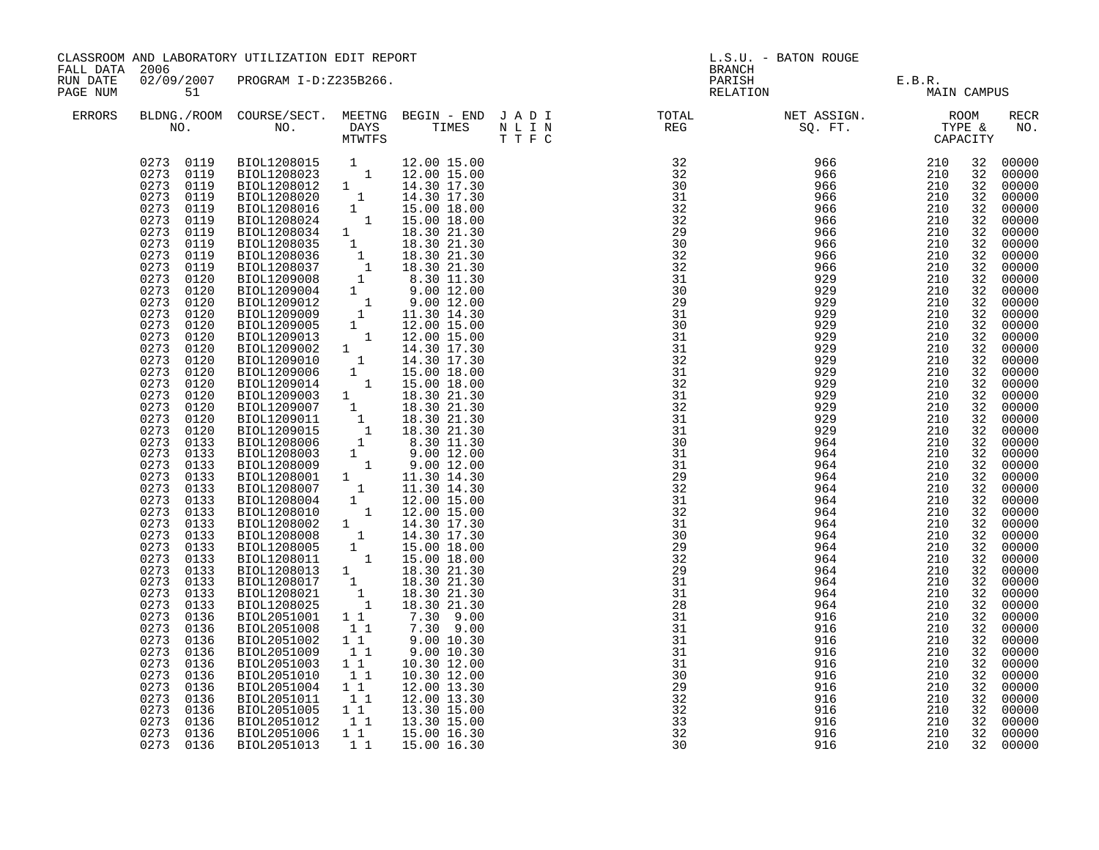| CLASSROOM AND LABORATORY UTILIZATION EDIT REPORT                                                                                                                                                                                                                                                                                                                                                                                                                                                                                                                                                                                                                                                                                                                                                                                                                                                                                                                                                                                                                                                                                                                                                                                                                                                                                                                                                                                                                                                                                                                                                                                                                                                                                                                                                                                                                         | L.S.U. - BATON ROUGE                                                                                                                                                                                                                                                                                                                                                                                                                                                                                                                                                                                                                                                                                                                                                                                                                                                                        |  |  |  |  |
|--------------------------------------------------------------------------------------------------------------------------------------------------------------------------------------------------------------------------------------------------------------------------------------------------------------------------------------------------------------------------------------------------------------------------------------------------------------------------------------------------------------------------------------------------------------------------------------------------------------------------------------------------------------------------------------------------------------------------------------------------------------------------------------------------------------------------------------------------------------------------------------------------------------------------------------------------------------------------------------------------------------------------------------------------------------------------------------------------------------------------------------------------------------------------------------------------------------------------------------------------------------------------------------------------------------------------------------------------------------------------------------------------------------------------------------------------------------------------------------------------------------------------------------------------------------------------------------------------------------------------------------------------------------------------------------------------------------------------------------------------------------------------------------------------------------------------------------------------------------------------|---------------------------------------------------------------------------------------------------------------------------------------------------------------------------------------------------------------------------------------------------------------------------------------------------------------------------------------------------------------------------------------------------------------------------------------------------------------------------------------------------------------------------------------------------------------------------------------------------------------------------------------------------------------------------------------------------------------------------------------------------------------------------------------------------------------------------------------------------------------------------------------------|--|--|--|--|
| FALL DATA 2006                                                                                                                                                                                                                                                                                                                                                                                                                                                                                                                                                                                                                                                                                                                                                                                                                                                                                                                                                                                                                                                                                                                                                                                                                                                                                                                                                                                                                                                                                                                                                                                                                                                                                                                                                                                                                                                           | <b>BRANCH</b>                                                                                                                                                                                                                                                                                                                                                                                                                                                                                                                                                                                                                                                                                                                                                                                                                                                                               |  |  |  |  |
| PARISH E.B.R.<br>RELATION BLATION MAIN CA<br>02/09/2007 PROGRAM I-D:Z235B266.<br>RUN DATE<br>PAGE NUM<br>51                                                                                                                                                                                                                                                                                                                                                                                                                                                                                                                                                                                                                                                                                                                                                                                                                                                                                                                                                                                                                                                                                                                                                                                                                                                                                                                                                                                                                                                                                                                                                                                                                                                                                                                                                              | MAIN CAMPUS                                                                                                                                                                                                                                                                                                                                                                                                                                                                                                                                                                                                                                                                                                                                                                                                                                                                                 |  |  |  |  |
| $\begin{tabular}{lllllllllllllllllllll} \textsc{BLONG.} \textsc{ROOM} & \textsc{Course/SECT.} & \textsc{METING} & \textsc{BEGIN} & - & \textsc{END} & \textsc{J} & \textsc{A} & \textsc{D} & \textsc{I} & & & \textsc{TOT.} & \textsc{TOTAL} & & \textsc{NET} & \textsc{ASIGN.} & & \textsc{ROOM} \\ \textsc{NO.} & \textsc{NO.} & \textsc{DAYS} & \textsc{TIMES} & \textsc{N} & \textsc{L} & \textsc{I} & \textsc{NEG} & & \textsc{SEG} & & \textsc{ST$                                                                                                                                                                                                                                                                                                                                                                                                                                                                                                                                                                                                                                                                                                                                                                                                                                                                                                                                                                                                                                                                                                                                                                                                                                                                                                                                                                                                                 | RECR                                                                                                                                                                                                                                                                                                                                                                                                                                                                                                                                                                                                                                                                                                                                                                                                                                                                                        |  |  |  |  |
| ERRORS                                                                                                                                                                                                                                                                                                                                                                                                                                                                                                                                                                                                                                                                                                                                                                                                                                                                                                                                                                                                                                                                                                                                                                                                                                                                                                                                                                                                                                                                                                                                                                                                                                                                                                                                                                                                                                                                   | NO.                                                                                                                                                                                                                                                                                                                                                                                                                                                                                                                                                                                                                                                                                                                                                                                                                                                                                         |  |  |  |  |
| 0273 0119<br>$\begin{tabular}{cccc} \hline & \textbf{MTFFS} & \textbf{2.133} \\ \hline \textbf{BIOL1208003} & 1 & 12.00 & 15.00 \\ \textbf{BIOL1208003} & 1 & 12.00 & 15.00 \\ \textbf{BIOL1208012} & 1 & 14.30 & 17.30 \\ \textbf{BIOL1208016} & 1 & 15.00 & 18.00 \\ \textbf{BIOL1208036} & 1 & 18.30 & 21.30 \\ \textbf{BIOL1208036} & 1 & $<br>0273 0119<br>0273 0119<br>0273<br>0119<br>0273<br>0119<br>0273 0119<br>0273<br>0119<br>0273<br>0119<br>0273<br>0119<br>0273<br>0119<br>0273<br>0120<br>0273<br>0120<br>0273<br>0120<br>0273<br>0120<br>0273<br>0120<br>0273<br>0120<br>0273<br>0120<br>0273 0120<br>0273 0120<br>0273 0120<br>0273<br>0120<br>0273 0120<br>0273<br>0120<br>0273<br>0120<br>0273<br>0133<br>0273<br>0133<br>0273 0133<br>0273<br>0133<br>0273<br>0133<br>0273<br>0133<br>0273<br>0133<br>0273<br>0133<br>0273<br>0133<br>0273<br>0133<br>0273<br>0133<br>0273<br>0133<br>0273<br>0133<br>31<br>0273<br>0133<br>964<br>0273<br>28<br>0133<br>964<br>BIOL2051001 11<br>31<br>0273<br>0136<br>7.30 9.00<br>916<br>7.30 9.00<br>0273 0136<br>11<br>31<br>BIOL2051008<br>916<br>$9.00$ 10.30<br>31<br>0273<br>0136<br>$1\quad1$<br>916<br>BIOL2051002<br>11<br>31<br>0273<br>0136<br>BIOL2051009<br>9.0010.30<br>916<br>11<br>0273<br>0136<br>BIOL2051003<br>10.30 12.00<br>31<br>916<br>11<br>0273 0136<br>BIOL2051010<br>10.30 12.00<br>916<br>$\frac{30}{29}$<br>$\frac{29}{32}$<br>$\frac{32}{32}$<br>$\frac{33}{32}$<br>11<br>0273<br>0136<br>BIOL2051004<br>12.00 13.30<br>916<br>0273<br>0136<br>BIOL2051011<br>11<br>12.00 13.30<br>916<br>$\begin{smallmatrix}1&&1\\&1\\1&&1\end{smallmatrix}$<br>0273<br>0136<br>BIOL2051005<br>13.30 15.00<br>916<br>0273<br>0136<br>BIOL2051012<br>13.30 15.00<br>916<br>BIOL2051006<br>$1\quad1$<br>0273<br>0136<br>15.00 16.30<br>916<br>11<br>0273 0136<br>BIOL2051013<br>15.00 16.30<br>916 | 32<br>00000<br>32<br>00000<br>00000<br>32<br>32<br>00000<br>32<br>00000<br>00000<br>32<br>00000<br>32<br>00000<br>32<br>32<br>00000<br>00000<br>32<br>00000<br>32<br>32<br>00000<br>32<br>00000<br>00000<br>32<br>32<br>00000<br>00000<br>32<br>32<br>00000<br>00000<br>32<br>00000<br>32<br>00000<br>32<br>32<br>00000<br>00000<br>32<br>32<br>00000<br>00000<br>32<br>32<br>00000<br>00000<br>32<br>00000<br>32<br>32<br>00000<br>32<br>00000<br>00000<br>32<br>00000<br>32<br>00000<br>32<br>32<br>00000<br>32<br>00000<br>00000<br>32<br>32<br>00000<br>32<br>00000<br>210<br>00000<br>32<br>210<br>00000<br>32<br>210<br>32<br>00000<br>210<br>00000<br>32<br>210<br>32<br>00000<br>00000<br>210<br>32<br>210<br>00000<br>32<br>210<br>32<br>00000<br>210<br>32<br>00000<br>00000<br>210<br>32<br>210<br>00000<br>32<br>210<br>32<br>00000<br>210<br>32<br>00000<br>210<br>00000<br>32 |  |  |  |  |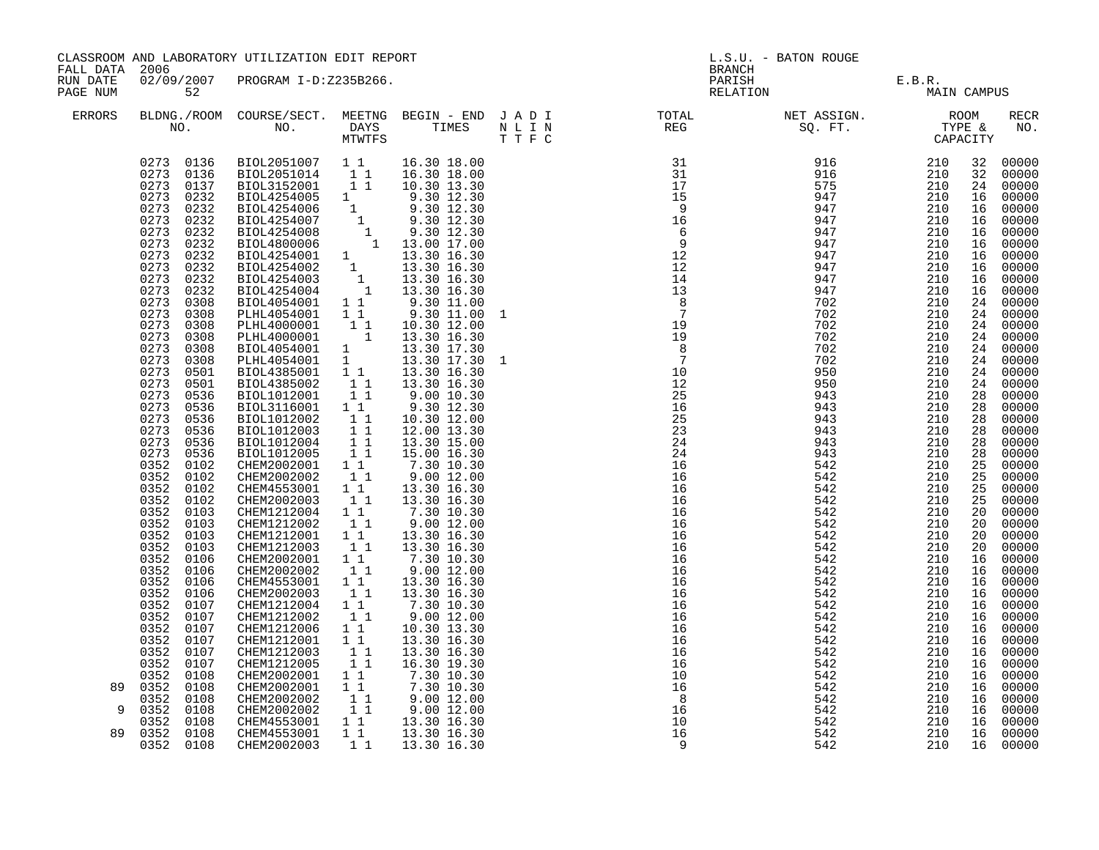| FALL DATA 2006       |                                                                                                                                                                                                                                                                                                                                                                                                                                                                                                                                                                                                                                                                                                          | CLASSROOM AND LABORATORY UTILIZATION EDIT REPORT                                                                                                                                                                                                                                                                                                                                                                                                                                                                                                                                                                                                                                                                                                                                                                                                                                                                                       |                                                                                                                                                                                            |                                                                                                                                                                                                                                                                                                                                                                                                                                                                                                                   | L.S.U. - BATON ROUGE<br><b>BRANCH</b> |                                                                                                                           |                                           |             |          |                |
|----------------------|----------------------------------------------------------------------------------------------------------------------------------------------------------------------------------------------------------------------------------------------------------------------------------------------------------------------------------------------------------------------------------------------------------------------------------------------------------------------------------------------------------------------------------------------------------------------------------------------------------------------------------------------------------------------------------------------------------|----------------------------------------------------------------------------------------------------------------------------------------------------------------------------------------------------------------------------------------------------------------------------------------------------------------------------------------------------------------------------------------------------------------------------------------------------------------------------------------------------------------------------------------------------------------------------------------------------------------------------------------------------------------------------------------------------------------------------------------------------------------------------------------------------------------------------------------------------------------------------------------------------------------------------------------|--------------------------------------------------------------------------------------------------------------------------------------------------------------------------------------------|-------------------------------------------------------------------------------------------------------------------------------------------------------------------------------------------------------------------------------------------------------------------------------------------------------------------------------------------------------------------------------------------------------------------------------------------------------------------------------------------------------------------|---------------------------------------|---------------------------------------------------------------------------------------------------------------------------|-------------------------------------------|-------------|----------|----------------|
| RUN DATE<br>PAGE NUM | 52                                                                                                                                                                                                                                                                                                                                                                                                                                                                                                                                                                                                                                                                                                       | 02/09/2007 PROGRAM I-D:Z235B266.                                                                                                                                                                                                                                                                                                                                                                                                                                                                                                                                                                                                                                                                                                                                                                                                                                                                                                       |                                                                                                                                                                                            |                                                                                                                                                                                                                                                                                                                                                                                                                                                                                                                   |                                       |                                                                                                                           | PARISH E.B.R.<br>RELATION BLATION MAIN CA | MAIN CAMPUS |          |                |
| ERRORS               |                                                                                                                                                                                                                                                                                                                                                                                                                                                                                                                                                                                                                                                                                                          |                                                                                                                                                                                                                                                                                                                                                                                                                                                                                                                                                                                                                                                                                                                                                                                                                                                                                                                                        |                                                                                                                                                                                            |                                                                                                                                                                                                                                                                                                                                                                                                                                                                                                                   |                                       | BLDNG./ROOM COURSE/SECT. MEETNG BEGIN – END JADI TOTAL NET ASSIGN. NET ASSIGN. ROOM NO. DAYS TIMES NLIN REG SQ.FT. TYPE & |                                           |             |          |                |
|                      | 0273 0136<br>0273 0136<br>0273 0137<br>0273 0232<br>0273<br>0232<br>0273<br>0232<br>0273<br>0232<br>0273<br>0232<br>0273<br>0232<br>0273<br>0232<br>0273<br>0232<br>0273<br>0232<br>0273<br>0308<br>0273 0308<br>0273<br>0308<br>0273<br>0308<br>0273<br>0308<br>0273 0308<br>0273 0501<br>0273<br>0501<br>0273<br>0536<br>0273<br>0536<br>0273<br>0536<br>0273<br>0536<br>0273<br>0536<br>0273<br>0536<br>0352 0102<br>0352<br>0102<br>0352<br>0102<br>0352<br>0102<br>0352<br>0103<br>0352<br>0103<br>0352<br>0103<br>0352<br>0103<br>0352<br>0106<br>0352<br>0106<br>0352<br>0106<br>0352<br>0106<br>0352 0107<br>0352 0107<br>0352 0107<br>0352<br>0107<br>0352 0107<br>0352<br>0107<br>0352<br>0108 | BIOL2051007   1   16.30   18.00<br>BIOL2051014   1   16.30   18.00<br>BIOL3152001 11<br>BIOL4254005 1<br>BIOL4254005<br>BIOL4254006<br>BIOL4254006<br>BIOL4254007<br>BIOL4254007<br>1<br>9.30 12.30<br>BIOL4254007<br>1<br>9.30 12.30<br>BIOL4254008<br>1<br>13.30 16.30<br>BIOL4254002<br>1<br>13.30 16.30<br>BIOL4254002<br>1<br>13.30 16.30<br>BIOL4254003<br>1<br>BIOL4254003<br>BIOL4054001 11<br>PLHL4054001 1 1<br>PLHL4000001 1<br>PLHL4000001 1<br>BIOL4054001 1<br>PLHL4054001 1<br>BIOL4385001 11 13.30 16.30<br>BIOL4385002<br>BIOL1012001<br>BIOL3116001 1 1<br>BIOL1012002<br>BIOL1012003<br>BIOL1012004<br>BIOL1012005<br>CHEM2002001 1 1<br>CHEM2002002<br>CHEM4553001<br>CHEM2002003<br>CHEM1212004<br>CHEM1212002<br>CHEM1212001<br>CHEM1212003<br>CHEM2002001<br>CHEM2002002<br>CHEM4553001<br>CHEM2002003<br>CHEM1212004<br>CHEM1212002<br>CHEM1212006<br>CHEM1212001<br>CHEM1212003<br>CHEM1212005<br>CHEM2002001 | 11<br>$1\quad1$<br>11<br>11<br>11<br>11<br>11<br>$1\quad1$<br>11<br>$1\quad1$<br>11<br>$1\quad1$<br>11<br>11<br>11<br>11<br>11<br>11<br>11<br>$1\quad1$<br>$1\quad1$<br>11<br>11<br>$1\,1$ | 10.30 13.30<br>9.30 12.30<br>9.30 11.00<br>9.30 11.00 1<br>10.30 12.00<br>13.30 16.30<br>13.30 17.30<br>13.30 17.30<br>13.30 16.30<br>9.0010.30<br>9.30 12.30<br>10.30 12.00<br>12.00 13.30<br>13.30 15.00<br>15.00 16.30<br>7.30 10.30<br>9.00 12.00<br>13.30 16.30<br>13.30 16.30<br>7.30 10.30<br>9.00 12.00<br>13.30 16.30<br>13.30 16.30<br>7.30 10.30<br>9.00 12.00<br>13.30 16.30<br>13.30 16.30<br>$7.30$ $10.30$<br>9.00 12.00<br>10.30 13.30<br>13.30 16.30<br>13.30 16.30<br>16.30 19.30<br>7.30 10.30 |                                       |                                                                                                                           |                                           |             |          |                |
|                      | 89 0352<br>0108<br>0352<br>0108<br>9 0352<br>0108                                                                                                                                                                                                                                                                                                                                                                                                                                                                                                                                                                                                                                                        | CHEM2002001<br>CHEM2002002<br>CHEM2002002                                                                                                                                                                                                                                                                                                                                                                                                                                                                                                                                                                                                                                                                                                                                                                                                                                                                                              | $1\quad1$<br>$\begin{bmatrix} 1 \\ 1 \\ 1 \end{bmatrix}$                                                                                                                                   | $7.\overline{30}$ 10.30<br>$9.00$ 12.00<br>9.00 12.00                                                                                                                                                                                                                                                                                                                                                                                                                                                             |                                       |                                                                                                                           |                                           |             |          |                |
|                      | 0352<br>0108<br>89 0352<br>0108                                                                                                                                                                                                                                                                                                                                                                                                                                                                                                                                                                                                                                                                          | CHEM4553001<br>CHEM4553001                                                                                                                                                                                                                                                                                                                                                                                                                                                                                                                                                                                                                                                                                                                                                                                                                                                                                                             | $1\quad1$                                                                                                                                                                                  | 1 1 13.30 16.30                                                                                                                                                                                                                                                                                                                                                                                                                                                                                                   |                                       |                                                                                                                           | 542<br>542                                | 210<br>210  | 16<br>16 | 00000<br>00000 |
|                      | 0352 0108                                                                                                                                                                                                                                                                                                                                                                                                                                                                                                                                                                                                                                                                                                | CHEM2002003                                                                                                                                                                                                                                                                                                                                                                                                                                                                                                                                                                                                                                                                                                                                                                                                                                                                                                                            | 11                                                                                                                                                                                         | 13.30 16.30<br>13.30 16.30                                                                                                                                                                                                                                                                                                                                                                                                                                                                                        |                                       |                                                                                                                           | 542                                       | 210         |          | 16 00000       |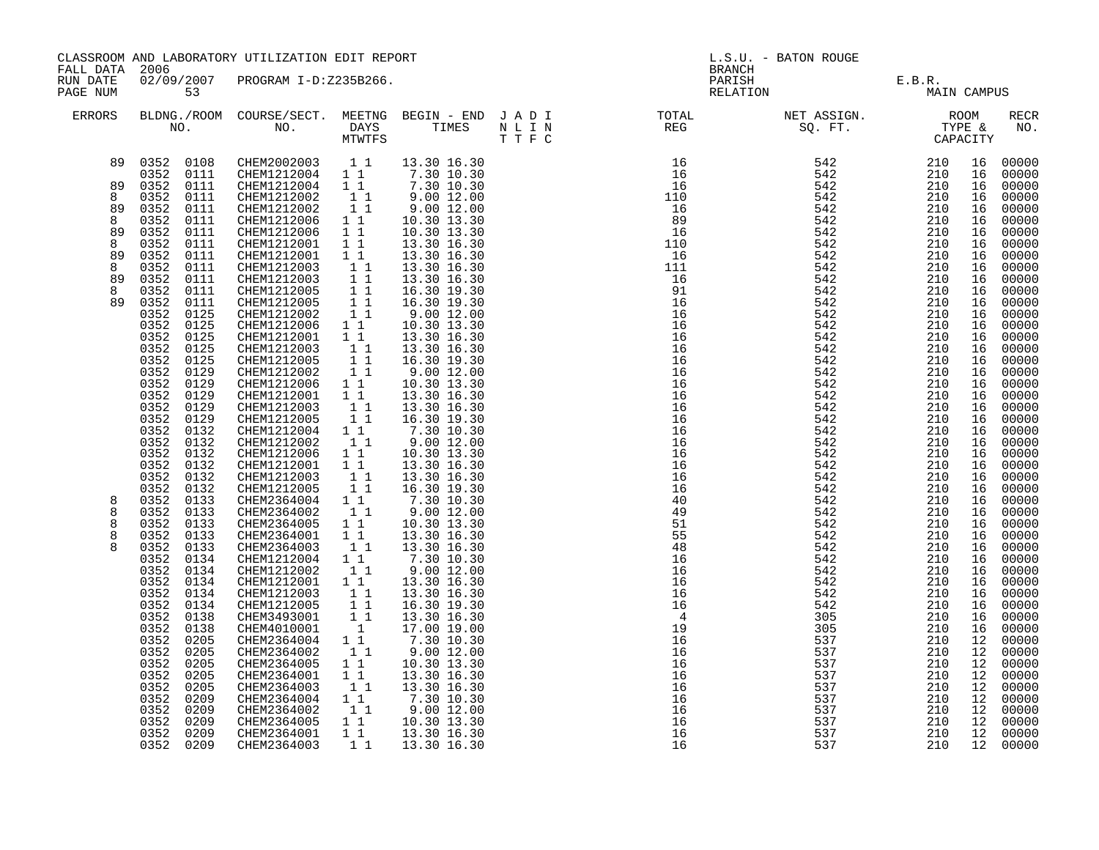|                                        |                           | CLASSROOM AND LABORATORY UTILIZATION EDIT REPORT                                                                                                                                                                                  |                                                     |                                                                                                        |  |                                                                                                                                                                                                                                                                                           | L.S.U. - BATON ROUGE                  |              |    |                |  |
|----------------------------------------|---------------------------|-----------------------------------------------------------------------------------------------------------------------------------------------------------------------------------------------------------------------------------|-----------------------------------------------------|--------------------------------------------------------------------------------------------------------|--|-------------------------------------------------------------------------------------------------------------------------------------------------------------------------------------------------------------------------------------------------------------------------------------------|---------------------------------------|--------------|----|----------------|--|
| FALL DATA 2006<br>RUN DATE<br>PAGE NUM | 53                        | 02/09/2007 PROGRAM I-D:Z235B266.                                                                                                                                                                                                  |                                                     |                                                                                                        |  | BRANCH                                                                                                                                                                                                                                                                                    | PARISH E.B.R.<br>RELATION MAIN CAMPUS |              |    |                |  |
| ERRORS                                 |                           |                                                                                                                                                                                                                                   |                                                     |                                                                                                        |  |                                                                                                                                                                                                                                                                                           |                                       |              |    | RECR<br>NO.    |  |
|                                        |                           | $\begin{array}{cccccccc} 89 & 0352 & 0108 & \text{CHEM2002003} & 1 & 1 & 13.30 & 16.30 \\ 0352 & 0111 & \text{CHEM1212004} & 1 & 1 & 7.30 & 10.30 \\ 89 & 0352 & 0111 & \text{CHEM1212004} & 1 & 1 & 7.30 & 10.30 \\ \end{array}$ |                                                     |                                                                                                        |  |                                                                                                                                                                                                                                                                                           |                                       |              |    | 00000          |  |
|                                        |                           |                                                                                                                                                                                                                                   |                                                     |                                                                                                        |  |                                                                                                                                                                                                                                                                                           |                                       |              |    | 00000          |  |
| 8                                      | 0352                      | CHEM1212002                                                                                                                                                                                                                       | 11                                                  | $9.00$ 12.00                                                                                           |  |                                                                                                                                                                                                                                                                                           |                                       |              |    | 00000          |  |
| 89                                     | 0111<br>0352<br>0111      | CHEM1212002                                                                                                                                                                                                                       | 11                                                  | 9.0012.00                                                                                              |  |                                                                                                                                                                                                                                                                                           |                                       |              |    | 00000<br>00000 |  |
| 8                                      | 0352<br>0111              | CHEM1212006                                                                                                                                                                                                                       | $1\quad1$                                           | 10.30 13.30                                                                                            |  |                                                                                                                                                                                                                                                                                           |                                       |              |    | 00000          |  |
| 89                                     | 0352<br>0111              | CHEM1212006                                                                                                                                                                                                                       | 11                                                  | 10.30 13.30                                                                                            |  |                                                                                                                                                                                                                                                                                           |                                       |              |    | 00000          |  |
| 8                                      | 0352<br>0111              | CHEM1212001                                                                                                                                                                                                                       | 1 1                                                 | 13.30 16.30                                                                                            |  |                                                                                                                                                                                                                                                                                           |                                       |              |    | 00000          |  |
| 89                                     | 0352<br>0111              | CHEM1212001                                                                                                                                                                                                                       | 11                                                  | 13.30 16.30                                                                                            |  |                                                                                                                                                                                                                                                                                           |                                       |              |    | 00000          |  |
| 8                                      | 0352<br>0111              | CHEM1212003                                                                                                                                                                                                                       | 11                                                  | 13.30 16.30                                                                                            |  |                                                                                                                                                                                                                                                                                           |                                       |              |    | 00000          |  |
| 89                                     | 0352<br>0111              | CHEM1212003                                                                                                                                                                                                                       |                                                     | 13.30 16.30                                                                                            |  |                                                                                                                                                                                                                                                                                           |                                       |              |    | 00000          |  |
| 8                                      | 0352<br>0111              | CHEM1212005                                                                                                                                                                                                                       | $\begin{array}{rr} & 1 & 1 \\ & 1 & 1 \end{array}$  | 16.30 19.30                                                                                            |  |                                                                                                                                                                                                                                                                                           |                                       |              |    | 00000          |  |
| 89                                     | 0352<br>0111              | CHEM1212005                                                                                                                                                                                                                       |                                                     | 16.30 19.30                                                                                            |  |                                                                                                                                                                                                                                                                                           |                                       |              |    | 00000          |  |
|                                        | 0352<br>0125              | CHEM1212002                                                                                                                                                                                                                       | $\begin{smallmatrix}1&1\\1&1\end{smallmatrix}$      | 9.0012.00                                                                                              |  |                                                                                                                                                                                                                                                                                           |                                       |              |    | 00000          |  |
|                                        | 0352<br>0125              | CHEM1212006 1 1                                                                                                                                                                                                                   |                                                     | 10.30 13.30                                                                                            |  |                                                                                                                                                                                                                                                                                           |                                       |              |    | 00000          |  |
|                                        | 0352<br>0125              | CHEM1212001                                                                                                                                                                                                                       | $1\quad1$                                           | 13.30 16.30                                                                                            |  |                                                                                                                                                                                                                                                                                           |                                       |              |    | 00000          |  |
|                                        | 0352<br>0125              | CHEM1212003                                                                                                                                                                                                                       | 11                                                  | 13.30 16.30                                                                                            |  |                                                                                                                                                                                                                                                                                           |                                       |              |    | 00000          |  |
|                                        | 0352<br>0125              | CHEM1212005                                                                                                                                                                                                                       | 11                                                  | 16.30 19.30                                                                                            |  |                                                                                                                                                                                                                                                                                           |                                       |              |    | 00000          |  |
|                                        | 0352<br>0129              | CHEM1212002                                                                                                                                                                                                                       | 11                                                  | $9.00$ $12.00$                                                                                         |  |                                                                                                                                                                                                                                                                                           |                                       |              |    | 00000          |  |
|                                        | 0352<br>0129              | CHEM1212006                                                                                                                                                                                                                       | 11                                                  | 10.30 13.30                                                                                            |  |                                                                                                                                                                                                                                                                                           |                                       |              |    | 00000          |  |
|                                        | 0352<br>0129<br>0352 0129 | CHEM1212001<br>CHEM1212003                                                                                                                                                                                                        | $1\quad1$<br>11                                     | 13.30 16.30                                                                                            |  |                                                                                                                                                                                                                                                                                           |                                       |              |    | 00000<br>00000 |  |
|                                        | 0352<br>0129              | CHEM1212005                                                                                                                                                                                                                       | 11                                                  | 13.30 16.30<br>16.30 19.30                                                                             |  |                                                                                                                                                                                                                                                                                           |                                       |              |    | 00000          |  |
|                                        | 0352 0132                 | CHEM1212004 1 1                                                                                                                                                                                                                   |                                                     | 7.30 10.30                                                                                             |  |                                                                                                                                                                                                                                                                                           |                                       |              |    | 00000          |  |
|                                        | 0352 0132                 | CHEM1212002                                                                                                                                                                                                                       | 11                                                  | 9.00 12.00                                                                                             |  |                                                                                                                                                                                                                                                                                           |                                       |              |    | 00000          |  |
|                                        | 0352 0132                 | CHEM1212006                                                                                                                                                                                                                       | $1\quad1$                                           | 10.30 13.30                                                                                            |  |                                                                                                                                                                                                                                                                                           |                                       |              |    | 00000          |  |
|                                        | 0352 0132                 | CHEM1212001                                                                                                                                                                                                                       | $1\quad1$                                           | 13.30 16.30                                                                                            |  |                                                                                                                                                                                                                                                                                           |                                       |              |    | 00000          |  |
|                                        | 0352 0132                 | CHEM1212003                                                                                                                                                                                                                       | 11                                                  | 13.30 16.30                                                                                            |  |                                                                                                                                                                                                                                                                                           |                                       |              |    | 00000          |  |
|                                        | 0352 0132                 | CHEM1212005                                                                                                                                                                                                                       | 11                                                  | 16.30 19.30                                                                                            |  |                                                                                                                                                                                                                                                                                           |                                       |              |    | 00000          |  |
| 8                                      | 0352 0133                 | CHEM2364004 1 1                                                                                                                                                                                                                   |                                                     | 7.30 10.30<br>9.00 12.00                                                                               |  |                                                                                                                                                                                                                                                                                           |                                       |              |    | 00000          |  |
| 8                                      | 0352 0133                 | CHEM2364002                                                                                                                                                                                                                       | 11                                                  |                                                                                                        |  |                                                                                                                                                                                                                                                                                           |                                       |              |    | 00000          |  |
| 8                                      | 0352 0133                 | CHEM2364005                                                                                                                                                                                                                       | 11                                                  | 10.30 13.30                                                                                            |  |                                                                                                                                                                                                                                                                                           |                                       |              |    | 00000          |  |
| 8                                      | 0352 0133                 | CHEM2364001                                                                                                                                                                                                                       | 11                                                  | 13.30 16.30                                                                                            |  |                                                                                                                                                                                                                                                                                           |                                       |              |    | 00000          |  |
| $\mathsf{R}$                           | 0352 0133                 | CHEM2364003                                                                                                                                                                                                                       | 11                                                  | 13.30 16.30                                                                                            |  |                                                                                                                                                                                                                                                                                           |                                       |              |    | 00000          |  |
|                                        | 0352 0134                 | CHEM1212004                                                                                                                                                                                                                       | $1\quad1$                                           | 7.30 10.30                                                                                             |  |                                                                                                                                                                                                                                                                                           |                                       |              |    | 00000          |  |
|                                        | 0352 0134                 | CHEM1212002                                                                                                                                                                                                                       | 11                                                  | 9.00 12.00                                                                                             |  |                                                                                                                                                                                                                                                                                           |                                       |              |    | 00000          |  |
|                                        | 0352<br>0134              | CHEM1212001                                                                                                                                                                                                                       | $1\quad1$                                           | 13.30 16.30                                                                                            |  |                                                                                                                                                                                                                                                                                           |                                       |              |    | 00000          |  |
|                                        | 0352 0134                 | CHEM1212003                                                                                                                                                                                                                       | $\begin{array}{ccc} & 1 & 1 \\ & 1 & 1 \end{array}$ | 13.30 16.30                                                                                            |  |                                                                                                                                                                                                                                                                                           |                                       |              |    | 00000          |  |
|                                        | 0352 0134                 | CHEM1212005                                                                                                                                                                                                                       |                                                     | 16.30 19.30                                                                                            |  |                                                                                                                                                                                                                                                                                           |                                       |              |    | 00000          |  |
|                                        | 0352 0138<br>0352<br>0138 | CHEM3493001<br>CHEM4010001                                                                                                                                                                                                        | $\begin{smallmatrix}1&1\\&1\end{smallmatrix}$       | 13.30 16.30<br>17.00 19.00                                                                             |  |                                                                                                                                                                                                                                                                                           |                                       |              |    | 00000<br>00000 |  |
|                                        | 0352 0205                 | CHEM2364004                                                                                                                                                                                                                       | $1\quad1$                                           | 7.30 10.30                                                                                             |  |                                                                                                                                                                                                                                                                                           |                                       |              |    | 00000          |  |
|                                        | 0352 0205                 | CHEM2364002                                                                                                                                                                                                                       | 11                                                  | 9.00 12.00                                                                                             |  |                                                                                                                                                                                                                                                                                           |                                       |              |    | 00000          |  |
|                                        | 0352<br>0205              | CHEM2364005                                                                                                                                                                                                                       | 1 1                                                 | 10.30 13.30                                                                                            |  |                                                                                                                                                                                                                                                                                           |                                       |              |    | 00000          |  |
|                                        | 0352<br>0205              | CHEM2364001                                                                                                                                                                                                                       | $1\quad1$                                           | 13.30 16.30                                                                                            |  |                                                                                                                                                                                                                                                                                           |                                       |              |    | 00000          |  |
|                                        | 0352<br>0205              | CHEM2364003                                                                                                                                                                                                                       | 11                                                  | 13.30 16.30                                                                                            |  | $\begin{array}{c} 0.30 \\ -0.16.30 \\ -0.16.30 \\ 0.30 \\ 0.16.30 \\ 0.16.30 \\ 0.16.30 \\ 0.16.30 \\ 0.16.30 \\ 0.16.30 \\ 0.16.30 \\ 0.16.30 \\ 0.16.30 \\ 0.16.30 \\ 0.16.30 \\ 0.16.30 \\ 0.16.30 \\ 0.16.30 \\ 0.16.30 \\ 0.16.30 \\ 0.16.30 \\ 0.16.30 \\ 0.16.30 \\ 0.16.30 \\ 0.$ |                                       |              |    | 00000          |  |
|                                        | 0352<br>0209              | CHEM2364004 1 1                                                                                                                                                                                                                   |                                                     | $\begin{array}{cccc} 1 & 1 & -7.30 & 10.30 \ 1 & 1 & 9.00 & 12.00 \ 1 & 1 & 10.30 & 13.30 \end{array}$ |  |                                                                                                                                                                                                                                                                                           |                                       |              |    | 00000          |  |
|                                        | 0352<br>0209              | CHEM2364002                                                                                                                                                                                                                       |                                                     |                                                                                                        |  |                                                                                                                                                                                                                                                                                           |                                       |              |    | 00000          |  |
|                                        | 0352<br>0209              | CHEM2364005                                                                                                                                                                                                                       |                                                     |                                                                                                        |  |                                                                                                                                                                                                                                                                                           |                                       |              |    | 00000          |  |
|                                        | 0352 0209                 | CHEM2364001                                                                                                                                                                                                                       | $1\quad1$                                           | 13.30 16.30                                                                                            |  |                                                                                                                                                                                                                                                                                           | 537                                   | 210          | 12 | 00000          |  |
|                                        | 0352 0209                 | CHEM2364003                                                                                                                                                                                                                       |                                                     | 1 1 1 13.30 16.30                                                                                      |  |                                                                                                                                                                                                                                                                                           | 537                                   | 210 12 00000 |    |                |  |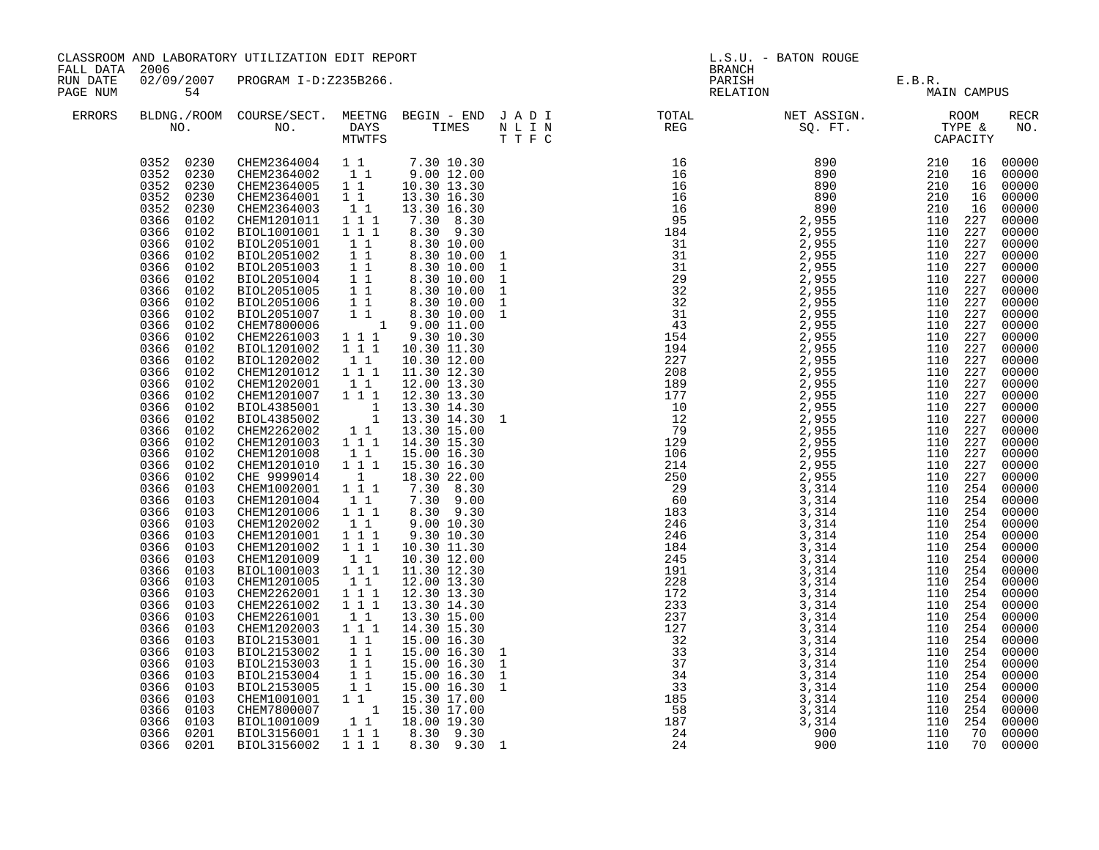| FALL DATA 2006       |                                                                                                                                                                                                                                                                                                                                                                                                                                                                                                                                                                                                                                                                                                                                                                 | CLASSROOM AND LABORATORY UTILIZATION EDIT REPORT                                                                                                                                                                                                                                                                                                                                                                                                                                                                                                                                                                                                                                                                                                                                                                                                                                                                                                                                                                       |                                                                                                                                                                                                                                                                                                                                                                                                                                                                                                                                                                                      |                                                                                                                                                                                                                                                                                                                                                                                                                                                                                                                                                                                                                                                                                                                                                                                                                                        | L.S.U. - BATON ROUGE<br><b>BRANCH</b> |                                                                                                                                                                                                                                                                           |                                       |  |             |
|----------------------|-----------------------------------------------------------------------------------------------------------------------------------------------------------------------------------------------------------------------------------------------------------------------------------------------------------------------------------------------------------------------------------------------------------------------------------------------------------------------------------------------------------------------------------------------------------------------------------------------------------------------------------------------------------------------------------------------------------------------------------------------------------------|------------------------------------------------------------------------------------------------------------------------------------------------------------------------------------------------------------------------------------------------------------------------------------------------------------------------------------------------------------------------------------------------------------------------------------------------------------------------------------------------------------------------------------------------------------------------------------------------------------------------------------------------------------------------------------------------------------------------------------------------------------------------------------------------------------------------------------------------------------------------------------------------------------------------------------------------------------------------------------------------------------------------|--------------------------------------------------------------------------------------------------------------------------------------------------------------------------------------------------------------------------------------------------------------------------------------------------------------------------------------------------------------------------------------------------------------------------------------------------------------------------------------------------------------------------------------------------------------------------------------|----------------------------------------------------------------------------------------------------------------------------------------------------------------------------------------------------------------------------------------------------------------------------------------------------------------------------------------------------------------------------------------------------------------------------------------------------------------------------------------------------------------------------------------------------------------------------------------------------------------------------------------------------------------------------------------------------------------------------------------------------------------------------------------------------------------------------------------|---------------------------------------|---------------------------------------------------------------------------------------------------------------------------------------------------------------------------------------------------------------------------------------------------------------------------|---------------------------------------|--|-------------|
| RUN DATE<br>PAGE NUM | 54                                                                                                                                                                                                                                                                                                                                                                                                                                                                                                                                                                                                                                                                                                                                                              | 02/09/2007 PROGRAM I-D:Z235B266.                                                                                                                                                                                                                                                                                                                                                                                                                                                                                                                                                                                                                                                                                                                                                                                                                                                                                                                                                                                       |                                                                                                                                                                                                                                                                                                                                                                                                                                                                                                                                                                                      |                                                                                                                                                                                                                                                                                                                                                                                                                                                                                                                                                                                                                                                                                                                                                                                                                                        |                                       |                                                                                                                                                                                                                                                                           | PARISH E.B.R.<br>RELATION MAIN CAMPUS |  |             |
| ERRORS               |                                                                                                                                                                                                                                                                                                                                                                                                                                                                                                                                                                                                                                                                                                                                                                 | NO. DAYS TIMES N L I N<br>MTWTFS T T F C                                                                                                                                                                                                                                                                                                                                                                                                                                                                                                                                                                                                                                                                                                                                                                                                                                                                                                                                                                               |                                                                                                                                                                                                                                                                                                                                                                                                                                                                                                                                                                                      |                                                                                                                                                                                                                                                                                                                                                                                                                                                                                                                                                                                                                                                                                                                                                                                                                                        |                                       | BLDNG./ROOM COURSE/SECT. MEETNG BEGIN – END JADI TOTAL TOTAL NET ASSIGN. NO ROOM NO. DAYS TIMES NLIN REG SQ.FT. TYPE &                                                                                                                                                    |                                       |  | RECR<br>NO. |
|                      | 0352 0230<br>0352<br>0230<br>0352<br>0230<br>0366<br>0102<br>0366<br>0102<br>0366<br>0102<br>0366<br>0102<br>0366<br>0102<br>0366<br>0102<br>0366<br>0102<br>0366<br>0102<br>0366<br>0102<br>0366<br>0102<br>0366<br>0102<br>0366<br>0102<br>0366 0102<br>0366 0102<br>0366 0102<br>0366<br>0102<br>0366 0102<br>0366 0102<br>0366 0102<br>0366<br>0102<br>0366 0102<br>0366<br>0102<br>0366<br>0102<br>0366<br>0103<br>0366<br>0103<br>0366<br>0103<br>0366<br>0103<br>0366<br>0103<br>0366<br>0103<br>0366<br>0103<br>0366<br>0103<br>0366<br>0103<br>0366<br>0103<br>0366 0103<br>0366<br>0103<br>0366 0103<br>0366<br>0103<br>0366 0103<br>0366<br>0103<br>0366 0103<br>0366<br>0103<br>0366 0103<br>0366<br>0103<br>0366 0103<br>0366<br>0201<br>0366 0201 | $\begin{array}{cccccccc} 0352 & 0230 & \text{CHEM}2364004 & 1 & 7.30 & 10.30 \\ 0352 & 0230 & \text{CHEM}2364002 & 1 & 9.00 & 12.00 \end{array}$<br>CHEM2364005 1 1 10.30 13.30<br>CHEM2364001 1 1 13.30 16.30<br>CHEM2364003<br>CHEM1201011<br>BIOL1001001<br>BIOL2051001<br>BIOL2051002<br>BIOL2051003<br>BIOL2051004<br>BIOL2051005<br>BIOL2051006<br>BIOL2051007<br>CHEM7800006<br>CHEM2261003 1 1 1<br>BIOL1201002<br>BIOL1202002 11<br>CHEM1201012 111<br>CHEM1202001 11<br>CHEM1201007 111<br>BIOL4385001<br>BIOL4385002<br>CHEM2262002<br>CHEM1201003<br>CHEM1201008<br>CHEM1201010<br>CHE 9999014 1<br>CHEM1002001 111<br>CHEM1201004<br>CHEM1201006<br>CHEM1202002<br>CHEM1201001<br>CHEM1201002<br>CHEM1201009<br>BIOL1001003<br>CHEM1201005<br>CHEM2262001<br>CHEM2261002<br>CHEM2261001<br>CHEM1202003<br>BIOL2153001<br>BIOL2153002<br>BIOL2153003<br>BIOL2153004<br>BIOL2153005<br>CHEM1001001 1 1 15.30 17.00<br>CHEM7800007 1 15.30 17.00<br>CHEM7800007<br>BIOL1001009<br>BIOL3156001<br>BIOL3156002 | 11<br>$1^{\degree}1^{\degree}1$<br>$\overline{1}$ $\overline{1}$ $\overline{1}$<br>11<br>11<br>11<br>$\begin{array}{ccc} 1 & 1 \\ 1 & 1 \\ 1 & 1 \end{array}$<br>$1 1 1$<br>11<br>$1^{\circ}1^{\circ}1$<br>11<br>$1^{\circ}1^{\circ}1$<br>$1\quad1$<br>$1 1 1$<br>$\overline{1}$ $\overline{1}$ $\overline{1}$<br>$\begin{smallmatrix}1&1\\1&1&1\end{smallmatrix}$<br>11<br>1 1 1<br>$1 1 1$<br>11<br>$\begin{array}{c} 1 \\ 1 \\ 1 \end{array}$<br>$\begin{array}{ccc} & 1 & 1 \\ & 1 & 1 \end{array}$<br>$\frac{1}{1}$ $\frac{1}{1}$<br>$11^{-}$<br>$1^{\circ}1^{\circ}1$<br>1 1 1 | 13.30 16.30<br>7.30 8.30<br>8.30 9.30<br>8.30 10.00<br>8.30 10.00<br>8.30 10.00<br>8.30 10.00<br>8.30 10.00<br>8.30 10.00<br>$\begin{array}{rrrr} 1 & 1 & 8.30 & 10.00 \\ 1 & 9.00 & 11.00 \end{array}$<br>9.30 10.30<br>10.30 11.30<br>10.30 12.00<br>11.30 12.30<br>12.00 13.30<br>12.30 13.30<br>$\begin{array}{rrrr} 1 & 1 & 13.30 & 14.30 \\ & 1 & 13.30 & 14.30 \\ & 1 & 13.30 & 14.30 \\ & 1 & 1 & 13.30 & 15.00 \\ & 1 & 1 & 14.30 & 15.30 \\ \end{array}$<br>15.00 16.30<br>15.30 16.30<br>18.30 22.00<br>7.30 8.30<br>7.30 9.00<br>$8.30$ $9.30$<br>9.00 10.30<br>9.30 10.30<br>10.30 11.30<br>10.30 12.00<br>11.30 12.30<br>12.00 13.30<br>12.30 13.30<br>13.30 14.30<br>13.30 15.00<br>14.30 15.30<br>15.00 16.30<br>15.00 16.30<br>15.00 16.30<br>15.00 16.30<br>15.00 16.30 1<br>18.00 19.30<br>8.30 9.30<br>8.30 9.30 1 |                                       | $\begin{smallmatrix} 0.77 & 0.77 & 0.876 & 0.877 & 0.876 & 0.876 & 0.876 & 0.876 & 0.876 & 0.876 & 0.876 & 0.876 & 0.876 & 0.876 & 0.876 & 0.876 & 0.876 & 0.876 & 0.876 & 0.876 & 0.876 & 0.876 & 0.876 & 0.876 & 0.876 & 0.876 & 0.876 & 0.876 & 0.876 & 0.876 & 0.876$ |                                       |  |             |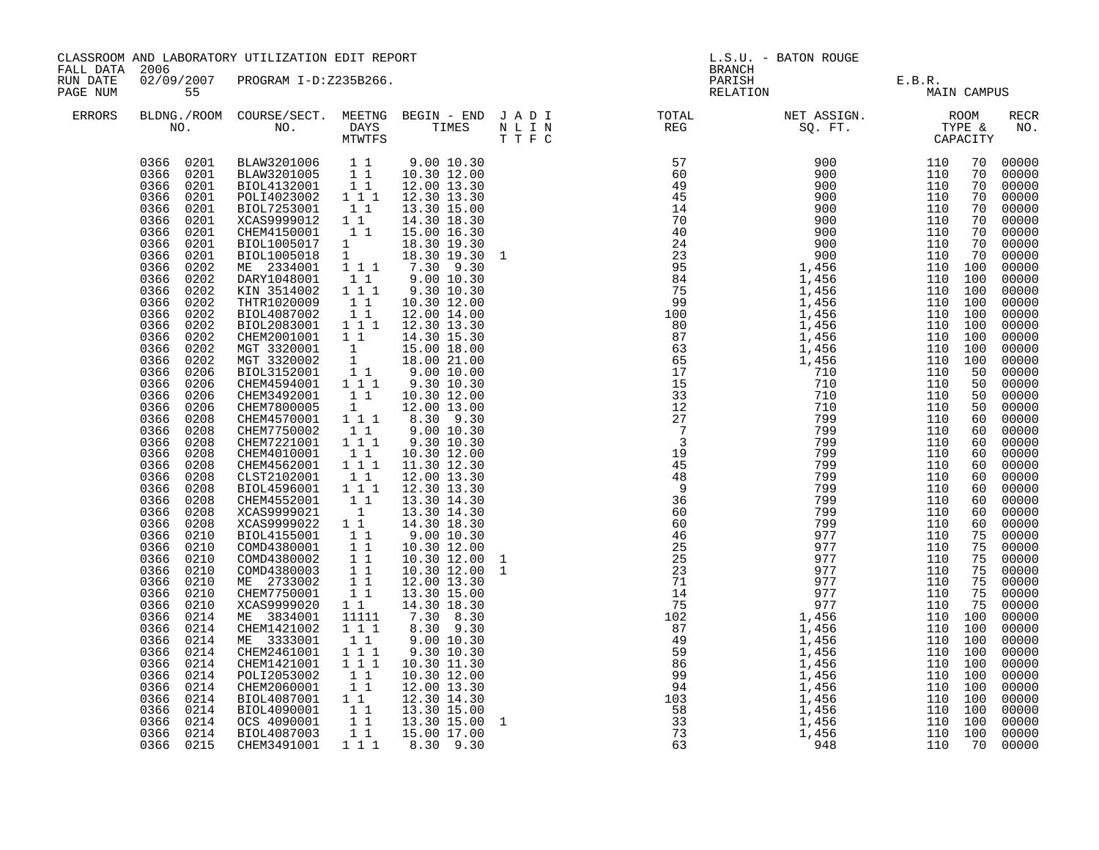| CLASSROOM AND LABORATORY UTILIZATION EDIT REPORT<br>FALL DATA 2006                                                                                                                                                                                                                                                                                                                                                                                                                                                                                                                                                                                                                                                                                                                                                                                                                                                                                                                                                                                                                                                                                                                                                                                                                                                                                                                                                                                                                                                                                                                                                                                                                                                                                                                                                                                                                                                                                                                                                                                                                                                                                                                                                                                                                                                                                                                                                                                                                                                                                                                                                                                                                                                                                                                                                                                                                                                                                                                                                                                  | L.S.U. - BATON ROUGE<br>BRANCH                                                                                                                                                                                                                                                                                                                                                                                                                                                                                                |                                                                                                                                                                                                                                                                                                                                                                                                                                                                                                                                                                                                                                                                                                                                                                                                                                                                                                             |  |  |  |
|-----------------------------------------------------------------------------------------------------------------------------------------------------------------------------------------------------------------------------------------------------------------------------------------------------------------------------------------------------------------------------------------------------------------------------------------------------------------------------------------------------------------------------------------------------------------------------------------------------------------------------------------------------------------------------------------------------------------------------------------------------------------------------------------------------------------------------------------------------------------------------------------------------------------------------------------------------------------------------------------------------------------------------------------------------------------------------------------------------------------------------------------------------------------------------------------------------------------------------------------------------------------------------------------------------------------------------------------------------------------------------------------------------------------------------------------------------------------------------------------------------------------------------------------------------------------------------------------------------------------------------------------------------------------------------------------------------------------------------------------------------------------------------------------------------------------------------------------------------------------------------------------------------------------------------------------------------------------------------------------------------------------------------------------------------------------------------------------------------------------------------------------------------------------------------------------------------------------------------------------------------------------------------------------------------------------------------------------------------------------------------------------------------------------------------------------------------------------------------------------------------------------------------------------------------------------------------------------------------------------------------------------------------------------------------------------------------------------------------------------------------------------------------------------------------------------------------------------------------------------------------------------------------------------------------------------------------------------------------------------------------------------------------------------------------|-------------------------------------------------------------------------------------------------------------------------------------------------------------------------------------------------------------------------------------------------------------------------------------------------------------------------------------------------------------------------------------------------------------------------------------------------------------------------------------------------------------------------------|-------------------------------------------------------------------------------------------------------------------------------------------------------------------------------------------------------------------------------------------------------------------------------------------------------------------------------------------------------------------------------------------------------------------------------------------------------------------------------------------------------------------------------------------------------------------------------------------------------------------------------------------------------------------------------------------------------------------------------------------------------------------------------------------------------------------------------------------------------------------------------------------------------------|--|--|--|
| 02/09/2007 PROGRAM I-D:Z235B266.<br>RUN DATE<br>PAGE NUM<br>55                                                                                                                                                                                                                                                                                                                                                                                                                                                                                                                                                                                                                                                                                                                                                                                                                                                                                                                                                                                                                                                                                                                                                                                                                                                                                                                                                                                                                                                                                                                                                                                                                                                                                                                                                                                                                                                                                                                                                                                                                                                                                                                                                                                                                                                                                                                                                                                                                                                                                                                                                                                                                                                                                                                                                                                                                                                                                                                                                                                      | PARISH E.B.R.<br>RELATION MAIN                                                                                                                                                                                                                                                                                                                                                                                                                                                                                                | MAIN CAMPUS                                                                                                                                                                                                                                                                                                                                                                                                                                                                                                                                                                                                                                                                                                                                                                                                                                                                                                 |  |  |  |
| <b>ERRORS</b>                                                                                                                                                                                                                                                                                                                                                                                                                                                                                                                                                                                                                                                                                                                                                                                                                                                                                                                                                                                                                                                                                                                                                                                                                                                                                                                                                                                                                                                                                                                                                                                                                                                                                                                                                                                                                                                                                                                                                                                                                                                                                                                                                                                                                                                                                                                                                                                                                                                                                                                                                                                                                                                                                                                                                                                                                                                                                                                                                                                                                                       |                                                                                                                                                                                                                                                                                                                                                                                                                                                                                                                               | <b>RECR</b><br>NO.                                                                                                                                                                                                                                                                                                                                                                                                                                                                                                                                                                                                                                                                                                                                                                                                                                                                                          |  |  |  |
| 0366 0201<br>BLAW3201006 1 1 9.00 10.30<br>BLAW3201005 1 1 10.30 12.00<br>BIOL4132001 1 1 12.00 13.30<br>POLI4023002 1 1 1 12.30 13.30<br>0366 0201<br>0366 0201<br>0366<br>0201<br>0366 0201<br>BIOL7253001 11<br>XCAS9999012 11<br>CHEM4150001 11<br>13.30 15.00<br>0366<br>0201<br>14.30 18.30<br>0366<br>0201<br>15.00 16.30<br>$\begin{smallmatrix}1&-1\1&1&1\end{smallmatrix}$<br>BIOL1005017<br>0366<br>0201<br>18.30 19.30<br>0366<br>BIOL1005018<br>18.30 19.30 1<br>0201<br>7.30 9.30<br>0366<br>0202<br>ME 2334001<br>0366<br>0202<br>DARY1048001<br>$1\quad1$<br>9.00 10.30<br>$1^{\circ}1^{\circ}1$<br>0366<br>KIN 3514002<br>9.30 10.30<br>0202<br>0366<br>0202<br>THTR1020009<br>$\begin{array}{rr} & 1 & 1 \\ & 1 & 1 \end{array}$<br>10.30 12.00<br>0366<br>0202<br>BIOL4087002<br>12.00 14.00<br>0366<br>BIOL2083001 111 12.30 13.30<br>0202<br>0366<br>0202<br>CHEM2001001<br>$1\quad1$<br>14.30 15.30<br>0366<br>0202<br>MGT 3320001<br>$\begin{bmatrix} 1 \\ 1 \\ 1 \end{bmatrix}$<br>15.00 18.00<br>0366<br>0202<br>MGT 3320002<br>18.00 21.00<br>0366<br>0206<br>BIOL3152001<br>9.00 10.00<br>CHEM4594001 111<br>CHEM3492001 11<br>0366<br>0206<br>9.30 10.30<br>0366<br>0206<br>10.30 12.00<br>0366<br>CHEM7800005<br>$\mathbf{1}$<br>0206<br>12.00 13.00<br>$1 1 1$<br>8.30 9.30<br>0366<br>0208<br>CHEM4570001<br>0366<br>0208<br>CHEM7750002<br>11<br>9.00 10.30<br>$1 1 1$<br>9.30 10.30<br>0208<br>CHEM7221001<br>0366<br>0366<br>0208<br>CHEM4010001<br>$\begin{smallmatrix}1&1\\1&1&1\end{smallmatrix}$<br>10.30 12.00<br>0366<br>0208<br>CHEM4562001<br>11.30 12.30<br>0366<br>0208<br>CLST2102001<br>BIOL4596001<br>$\begin{smallmatrix}1&1\\1&1&1\end{smallmatrix}$<br>12.00 13.30<br>0366<br>0208<br>12.30 13.30<br>CHEM4552001<br>0366<br>0208<br>$\begin{smallmatrix}1&1\\1\end{smallmatrix}$<br>13.30 14.30<br>0366<br>0208<br>XCAS9999021<br>13.30 14.30<br>0366<br>XCAS9999022 1 1<br>0208<br>14.30 18.30<br>BIOL4155001<br>11<br>0366<br>0210<br>9.0010.30<br>$\overline{1}$ $\overline{1}$<br>0366<br>0210<br>COMD4380001<br>10.30 12.00<br>11<br>0366<br>0210<br>COMD4380002<br>10.30 12.00<br>$\overline{1}$ $\overline{1}$<br>0366<br>0210<br>COMD4380003<br>10.30 12.00<br>11<br>0366<br>0210<br>ME 2733002<br>12.00 13.30<br>11<br>0366<br>CHEM7750001<br>13.30 15.00<br>0210<br>0366<br>0210<br>XCAS9999020<br>$1\quad1$<br>14.30 18.30<br>0366<br>7.30 8.30<br>0214<br>ME 3834001<br>11111<br>CHEM1421002<br>8.30 9.30<br>0366<br>0214<br>$1 1 1$<br>0366<br>0214<br>ME 3333001<br>11<br>9.00 10.30<br>$1 1 1$<br>0366<br>0214<br>CHEM2461001<br>9.30 10.30<br>111<br>10.30 11.30<br>0366<br>0214<br>CHEM1421001<br>$1\quad1$<br>0366<br>0214<br>POLI2053002<br>10.30 12.00<br>0214<br>$1\quad1$<br>12.00 13.30<br>0366<br>CHEM2060001<br>0366 0214<br>BIOL4087001 1 1<br>BIOL4090001 1 1<br>12.30 14.30<br>0366<br>0214<br>13.30 15.00<br>$1\quad1$<br>0366 0214<br>OCS 4090001<br>13.30 15.00<br>11<br>0366 0214<br>BIOL4087003<br>15.00 17.00<br>0366 0215<br>1 1 1<br>CHEM3491001<br>8.30 9.30 | $\begin{smallmatrix} \text{R1} & \text{R2} & \text{R3} & \text{P1} \end{smallmatrix} \begin{smallmatrix} \text{P1} & \text{P1} & \text{P1} \end{smallmatrix} \begin{smallmatrix} \text{P1} & \text{P1} & \text{P1} \end{smallmatrix} \begin{smallmatrix} \text{P1} & \text{P1} \end{smallmatrix} \begin{smallmatrix} \text{P1} & \text{P1} \end{smallmatrix} \begin{smallmatrix} \text{P2} & \text{P2} \end{smallmatrix} \begin{smallmatrix} \text{P1} & \text{P1} \end{smallmatrix} \begin{smallmatrix} \text{P2} & \text{P$ | 70<br>00000<br>70<br>00000<br>70<br>00000<br>70<br>00000<br>$00000$<br>$00000$<br>70<br>70<br>00000<br>70<br>00000<br>70<br>00000<br>70<br>00000<br>110 100<br>110 100<br>00000<br>110 100<br>00000<br>110 100<br>00000<br>00000<br>110 100<br>110 100<br>00000<br>110 100<br>00000<br>110 100<br>00000<br>00000<br>110 100<br>00000<br>50<br>00000<br>50<br>00000<br>00000<br>50<br>50<br>00000<br>60<br>00000<br>60<br>$00000$<br>$00000$<br>$00000$<br>60<br>60<br>60<br>00000<br>60<br>00000<br>60<br>00000<br>60<br>00000<br>60<br>00000<br>60<br>00000<br>75<br>00000<br>75<br>00000<br>75<br>75<br>00000<br>75<br>00000<br>00000<br>75<br>00000<br>75<br>110 100<br>00000<br>110 100<br>00000<br>110 100<br>00000<br>00000<br>110 100<br>110 100<br>00000<br>110 100<br>00000<br>110 100<br>$00000$<br>$00000$<br>110 100<br>110 100<br>00000<br>110 100<br>00000<br>110 100<br>00000<br>70<br>00000 |  |  |  |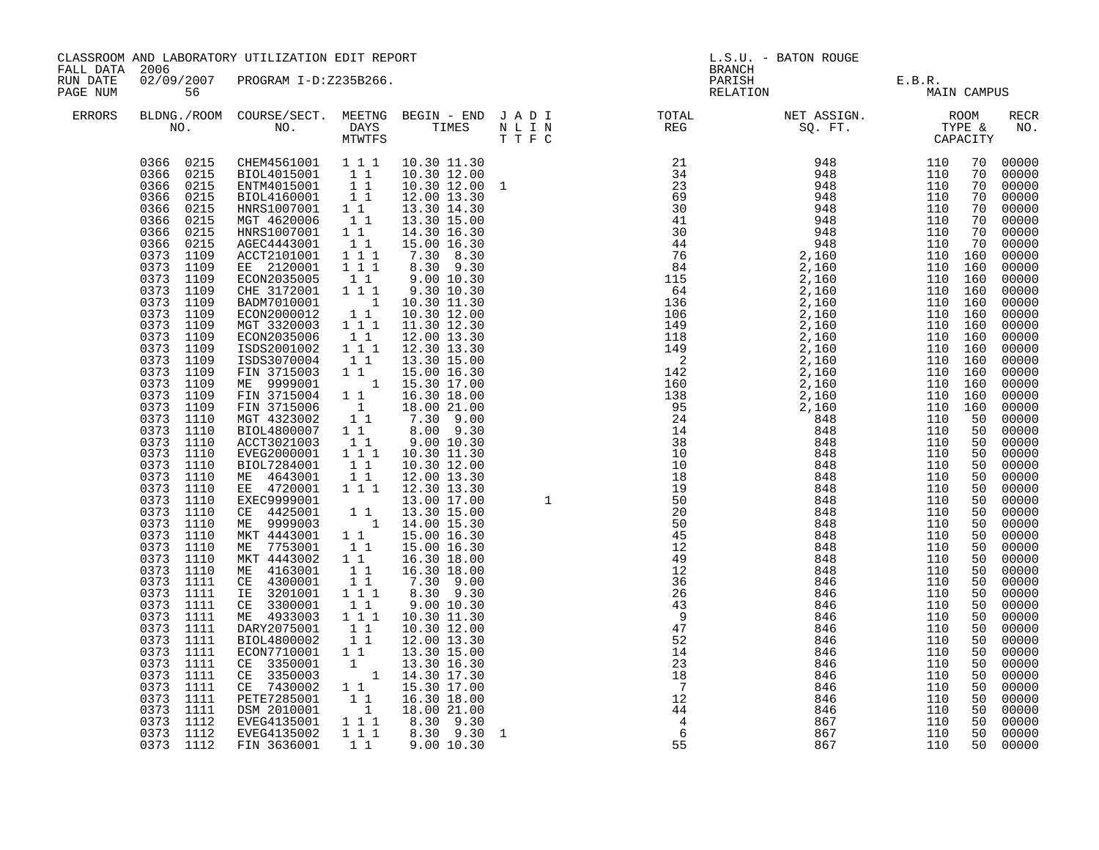| FALL DATA 2006<br>02/09/2007 PROGRAM I-D:Z235B266.<br>PARISH E.B.R.<br>RELATION MAIN CAMPUS<br>RUN DATE<br>PAGE NUM<br>56<br>ERRORS<br>$\begin{bmatrix} 0.000111000 & 0.00011000 & 0.00011000 & 0.00011000 & 0.00011000 & 0.00011000 & 0.00011000 & 0.00011000 & 0.00011000 & 0.00011000 & 0.00011000 & 0.00011000 & 0.00011000 & 0.00011000 & 0.00011000 & 0.00011000 & 0.00011000 & 0.000110$<br>$\begin{array}{cccc} 0366 & 0215 & \mathrm{CHEM4561001} & 1 & 1 & 1 & 10.30 & 11.30 \\ 0366 & 0215 & \text{BIOL4015001} & 1 & 1 & 10.30 & 12.00 \\ 0366 & 0215 & \text{ENTM4015001} & 1 & 1 & 10.30 & 12.00 \\ 0366 & 0215 & \text{BIOL4160001} & 1 & 1 & 12.00 & 13.30 \\ \end{array}$<br>70 00000<br>70<br>70<br>70<br>0366 0215<br>HNRS1007001 11<br>MGT 4620006 11<br>70<br>0366 0215<br>70<br>0366 0215<br>HNRS1007001 1 1<br>AGEC4443001 1 1<br>70<br>0366 0215<br>70<br>0373 1109<br>ACCT2101001<br>110 160<br>0373 1109<br>EE 2120001 1 1 1<br>110 160<br>0373 1109<br>0373 1109<br>ECON2035005 11<br>CHE 3172001 111<br>110 160<br>110 160<br>110 160<br>0373 1109<br>0373 1109<br>BADM7010001<br>ECON2000012<br>110 160<br>MGT 3320003 111<br>0373 1109<br>0373 1109<br>110 160<br>ECON2035006<br>110 160<br>0373 1109<br>110 160<br>ISDS2001002<br>0373 1109<br>ISDS3070004<br>110 160<br>0373 1109<br>FIN 3715003 1 1 15.00 16.30<br>ME 9999001 1 15.30 17.00<br>110 160<br>0373 1109<br>110 160<br>0373 1109<br>110 160<br>FIN 3715004 1 1<br>FIN 3715006 1<br>MGT 4323002 1 1<br>BIOL4800007 1 1<br>0373 1109<br>110 160<br>0373 1110<br>50<br>0373 1110<br>50<br>0373 1110<br>ACCT3021003 11<br>EVEG2000001 111<br>50<br>0373 1110<br>50<br>0373 1110<br>BIOL7284001<br>50<br>0373 1110<br>ME 4643001 11<br>EE 4720001 111<br>50<br>0373 1110<br>50<br>0373 1110<br>EXEC9999001<br>50<br>0373 1110<br>CE 4425001<br>50<br>0373 1110<br>ME 9999003<br>50<br>0373 1110<br>MKT 4443001<br>50<br>0373 1110<br>ME 7753001<br>50<br>0373 1110<br>MKT 4443002<br>50<br>0373 1110<br>0373 1111<br>ME 4163001<br>CE 4300001<br>50<br>50<br>IE 3201001<br>CE 3300001<br>$\begin{array}{ccc} 0373 & 1111 \\ 0373 & 1111 \end{array}$<br>50<br>50<br>$\begin{array}{ccc} 0373 & 1111 \\ 0373 & 1111 \end{array}$<br>ME 4933003 111<br>DARY2075001 11<br>50<br>50<br>0373 1111<br>BIOL4800002<br>50<br>0373 1111<br>ECON7710001 1 1<br>50<br>0373 1111<br>ECON / 10001 1<br>CE 3350003 1 14.30 17.30<br>CE 7430002 1 1 15.30 17.30<br>PETE7285001 1 16.30 17.00<br>PETE7285001 1 16.30 18.00<br>DSM 2010001 1 18.00 21.00<br>EVEG4135001 1 1 8.30 9.30<br>50<br>0373 1111<br>50<br>0373 1111<br>50<br>0373 1111<br>50<br>0373 1111<br>50 |           | CLASSROOM AND LABORATORY UTILIZATION EDIT REPORT |  |  |  |  | L.S.U. - BATON ROUGE |  |    |                                                                                                                                                                                                                                                                                                                                                                                                                                                                      |  |
|-----------------------------------------------------------------------------------------------------------------------------------------------------------------------------------------------------------------------------------------------------------------------------------------------------------------------------------------------------------------------------------------------------------------------------------------------------------------------------------------------------------------------------------------------------------------------------------------------------------------------------------------------------------------------------------------------------------------------------------------------------------------------------------------------------------------------------------------------------------------------------------------------------------------------------------------------------------------------------------------------------------------------------------------------------------------------------------------------------------------------------------------------------------------------------------------------------------------------------------------------------------------------------------------------------------------------------------------------------------------------------------------------------------------------------------------------------------------------------------------------------------------------------------------------------------------------------------------------------------------------------------------------------------------------------------------------------------------------------------------------------------------------------------------------------------------------------------------------------------------------------------------------------------------------------------------------------------------------------------------------------------------------------------------------------------------------------------------------------------------------------------------------------------------------------------------------------------------------------------------------------------------------------------------------------------------------------------------------------------------------------------------------------------------------------------------------------------------------------------------------------------------------------------------------------------------------------------------------------------------------------------------------|-----------|--------------------------------------------------|--|--|--|--|----------------------|--|----|----------------------------------------------------------------------------------------------------------------------------------------------------------------------------------------------------------------------------------------------------------------------------------------------------------------------------------------------------------------------------------------------------------------------------------------------------------------------|--|
|                                                                                                                                                                                                                                                                                                                                                                                                                                                                                                                                                                                                                                                                                                                                                                                                                                                                                                                                                                                                                                                                                                                                                                                                                                                                                                                                                                                                                                                                                                                                                                                                                                                                                                                                                                                                                                                                                                                                                                                                                                                                                                                                                                                                                                                                                                                                                                                                                                                                                                                                                                                                                                               |           |                                                  |  |  |  |  |                      |  |    |                                                                                                                                                                                                                                                                                                                                                                                                                                                                      |  |
|                                                                                                                                                                                                                                                                                                                                                                                                                                                                                                                                                                                                                                                                                                                                                                                                                                                                                                                                                                                                                                                                                                                                                                                                                                                                                                                                                                                                                                                                                                                                                                                                                                                                                                                                                                                                                                                                                                                                                                                                                                                                                                                                                                                                                                                                                                                                                                                                                                                                                                                                                                                                                                               |           |                                                  |  |  |  |  |                      |  |    | RECR<br>NO.                                                                                                                                                                                                                                                                                                                                                                                                                                                          |  |
| 0373 1112<br>EVEG4135002<br>50<br>0373 1112 FIN 3636001<br>50                                                                                                                                                                                                                                                                                                                                                                                                                                                                                                                                                                                                                                                                                                                                                                                                                                                                                                                                                                                                                                                                                                                                                                                                                                                                                                                                                                                                                                                                                                                                                                                                                                                                                                                                                                                                                                                                                                                                                                                                                                                                                                                                                                                                                                                                                                                                                                                                                                                                                                                                                                                 | 0373 1112 |                                                  |  |  |  |  |                      |  | 50 | 00000<br>00000<br>00000<br>00000<br>00000<br>00000<br>00000<br>00000<br>00000<br>00000<br>00000<br>00000<br>00000<br>00000<br>00000<br>00000<br>00000<br>00000<br>00000<br>00000<br>00000<br>00000<br>00000<br>00000<br>00000<br>00000<br>00000<br>$00000$<br>00000<br>00000<br>00000<br>00000<br>00000<br>00000<br>00000<br>00000<br>00000<br>00000<br>00000<br>00000<br>00000<br>00000<br>00000<br>00000<br>$00000$<br>$00000$<br>00000<br>00000<br>00000<br>00000 |  |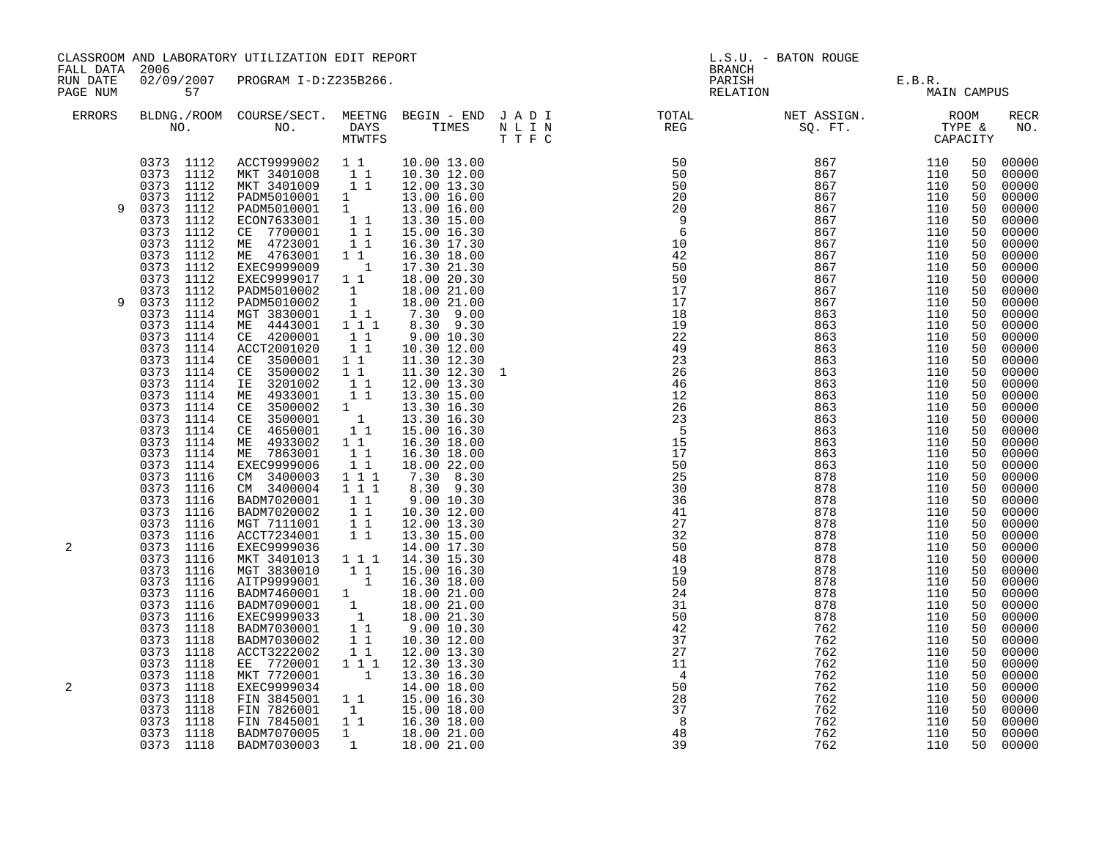|                      | CLASSROOM AND LABORATORY UTILIZATION EDIT REPORT<br>FALL DATA 2006                                                                                                                                                                                                  |                                                                                                                                                                                                                                                                                                                                                                   |                                                                                                                                                                                                                |                                                                                                                                                                                                                                                                                                                                                                                               |              | L.S.U. - BATON ROUGE<br><b>BRANCH</b>                                                                                                                                                                                                                                                                  |                                                                                                              |                                                                                                              |                                                                                                    |                                                                                                                                                             |  |
|----------------------|---------------------------------------------------------------------------------------------------------------------------------------------------------------------------------------------------------------------------------------------------------------------|-------------------------------------------------------------------------------------------------------------------------------------------------------------------------------------------------------------------------------------------------------------------------------------------------------------------------------------------------------------------|----------------------------------------------------------------------------------------------------------------------------------------------------------------------------------------------------------------|-----------------------------------------------------------------------------------------------------------------------------------------------------------------------------------------------------------------------------------------------------------------------------------------------------------------------------------------------------------------------------------------------|--------------|--------------------------------------------------------------------------------------------------------------------------------------------------------------------------------------------------------------------------------------------------------------------------------------------------------|--------------------------------------------------------------------------------------------------------------|--------------------------------------------------------------------------------------------------------------|----------------------------------------------------------------------------------------------------|-------------------------------------------------------------------------------------------------------------------------------------------------------------|--|
| RUN DATE<br>PAGE NUM | 57                                                                                                                                                                                                                                                                  | 02/09/2007 PROGRAM I-D:Z235B266.                                                                                                                                                                                                                                                                                                                                  |                                                                                                                                                                                                                |                                                                                                                                                                                                                                                                                                                                                                                               |              | PARISH<br>RELATION                                                                                                                                                                                                                                                                                     |                                                                                                              | E.B.R.<br>MAIN CAMPUS                                                                                        |                                                                                                    |                                                                                                                                                             |  |
| <b>ERRORS</b>        |                                                                                                                                                                                                                                                                     | NO. DAYS TIMES NLIN<br>MTWTFS TTFC                                                                                                                                                                                                                                                                                                                                |                                                                                                                                                                                                                |                                                                                                                                                                                                                                                                                                                                                                                               |              | BLDNG./ROOM COURSE/SECT. MEETNG BEGIN – END JADI TOTAL NET ASSIGN. NO. ROOM NO. DAYS TIMES NLIN REG SQ.FT. TYPE &                                                                                                                                                                                      |                                                                                                              |                                                                                                              |                                                                                                    | <b>RECR</b><br>NO.                                                                                                                                          |  |
| 9                    | 0373 1112<br>0373 1112<br>0373 1112<br>0373 1112<br>0373 1112<br>0373 1112<br>0373 1112<br>0373<br>1112<br>0373 1112<br>0373<br>1112<br>$\begin{array}{ccc} 0373 & 1112 \\ 0373 & 1112 \end{array}$                                                                 | ACCT9999002 1 1<br>MKT 3401008 1 1<br>MKT 3401009 1 1<br>PADM5010001 1<br>PADM5010001 1<br>ECON7633001 1 1<br>T<br>CE 7700001<br>ME 4723001<br>ME 4763001<br>EXEC9999009<br>EXEC9999017<br>PADM5010002                                                                                                                                                            | $\frac{1}{1}$ $\frac{1}{1}$<br>$1\overline{1}$<br>$1$<br>$1\quad1$                                                                                                                                             | 10.00 13.00<br>10.30 12.00<br>12.00 13.30<br>13.00 16.00<br>13.00 16.00<br>13.30 15.00<br>15.00 16.30<br>16.30 17.30<br>16.30 18.00<br>17.30 21.30<br>18.00 20.30                                                                                                                                                                                                                             |              | $\begin{array}{cccc} 50 & 867 & 110 \\ 50 & 867 & 110 \\ 20 & 867 & 110 \\ 20 & 867 & 110 \\ 9 & 867 & 110 \\ 6 & 867 & 110 \\ 6 & 867 & 110 \\ 10 & 867 & 110 \\ 42 & 867 & 110 \\ 50 & 867 & 110 \\ 50 & 867 & 110 \\ 17 & 867 & 110 \\ 17 & 867 & 110 \\ 17 & 867 & 110 \\ 1867 & 110 & 110 \\ 196$ |                                                                                                              |                                                                                                              | 50<br>50<br>50<br>50<br>50<br>50<br>50<br>50<br>50<br>50<br>50                                     | 00000<br>00000<br>00000<br>00000<br>00000<br>00000<br>00000<br>00000<br>00000<br>00000<br>00000                                                             |  |
| 9                    | 1112<br>0373<br>0373<br>1114<br>0373<br>1114<br>0373<br>1114<br>0373<br>1114<br>0373 1114<br>0373 1114<br>0373 1114<br>0373 1114<br>0373 1114<br>0373 1114<br>0373 1114<br>0373<br>1114<br>$\begin{array}{ccc} 0373 & 1114 \\ 0373 & 1114 \end{array}$<br>0373 1116 | PADM5010002<br>MGT 3830001<br>ME 4443001<br>CE 4200001<br>ACCT2001020<br>CE 3500001<br>CE 3500002<br>IE 3201002<br>ME 4933001<br>CE 3500002<br>CE 3500001<br>CE 4650001<br>ME 4933002<br>ME 7863001<br>EXEC9999006<br>CM 3400003                                                                                                                                  | $\mathbf{1}$<br>1<br>$\overline{1}$ 1<br>1 1 1<br>$1^{-}1^{-}$<br>11<br>11<br>11<br>11<br>11<br>$\begin{bmatrix} 1\\ 1\\ 1\\ 1 \end{bmatrix}$<br>11<br>$\begin{smallmatrix}1&1\\1&1\end{smallmatrix}$<br>1 1 1 | 18.00 21.00<br>18.00 21.00<br>7.30 9.00<br>8.30 9.30<br>9.00 10.30<br>10.30 12.00<br>11.30 12.30<br>11.30 12.30<br>12.00 13.30<br>13.30 15.00<br>13.30 16.30<br>13.30 16.30<br>15.00 16.30<br>16.30 18.00<br>16.30 18.00<br>18.00 22.00<br>7.30 8.30                                                                                                                                          | $\mathbf{1}$ | 17<br>18<br>19<br>22<br>49<br>23<br>26<br>46<br>12<br>26<br>23<br>$5^{\circ}$<br>15<br>17<br>50<br>25                                                                                                                                                                                                  | 867<br>863<br>863<br>863<br>863<br>863<br>863<br>863<br>863<br>863<br>863<br>863<br>863<br>863<br>863<br>878 | 110<br>110<br>110<br>110<br>110<br>110<br>110<br>110<br>110<br>110<br>110<br>110<br>110<br>110<br>110<br>110 | 50<br>50<br>50<br>50<br>50<br>50<br>50<br>50<br>50<br>50<br>50<br>50<br>50<br>50<br>50<br>50<br>50 | 00000<br>00000<br>00000<br>00000<br>00000<br>00000<br>00000<br>00000<br>00000<br>$00000$<br>$00000$<br>00000<br>00000<br>00000<br>$00000$<br>00000<br>00000 |  |
| 2                    | 1116<br>0373<br>0373<br>1116<br>0373<br>1116<br>0373 1116<br>0373 1116<br>0373 1116<br>0373 1116<br>0373 1116<br>0373 1116<br>0373 1116<br>0373 1116<br>0373 1116<br>0373 1118<br>0373 1118<br>0373                                                                 | CM 3400004 111<br>BADM7020001<br>BADM7020002<br>MGT 7111001<br>ACCT7234001<br>EXEC9999036<br>MKT 3401013 1 1 1<br>MKT 3401013 1 1 1 14.30 15.30<br>MGT 3830010 1 1 15.00 16.30<br>AITP9999001 1 18.00 21.00<br>BADM7090001 1 18.00 21.00<br>EXEC9999033 1 18.00 21.00<br>EXEC9999033 1 18.00 21.30<br>BADM7030001 1 9.00 10.30<br>BADM7030002 1 1 10.30 12.00<br> | 11<br>$\begin{array}{c} \begin{array}{c} 1 \\ 1 \end{array} \\ \begin{array}{c} 1 \end{array} \end{array}$<br>11                                                                                               | $8.30$ $9.30$<br>9.00 10.30<br>10.30 12.00<br>12.00 13.30<br>13.30 15.00<br>14.00 17.30<br>14.30 15.30                                                                                                                                                                                                                                                                                        |              | 30<br>36<br>41<br>27<br>32<br>50<br>48<br>19<br>50<br>24<br>31<br>50<br>42<br>$\overline{37}$                                                                                                                                                                                                          | 878<br>878<br>878<br>878<br>878<br>878<br>878<br>878<br>878<br>878<br>878<br>878<br>762<br>762               | 110<br>110<br>110<br>110<br>110<br>110<br>110<br>110<br>110<br>110<br>110<br>110<br>110<br>110               | 50<br>50<br>50<br>50<br>50<br>50<br>50<br>50<br>50<br>50<br>50<br>50<br>50<br>50                   | 00000<br>00000<br>00000<br>00000<br>00000<br>00000<br>00000<br>00000<br>00000<br>00000<br>00000<br>00000<br>00000<br>00000                                  |  |
| 2                    | 0373 1118<br>1118<br>0373<br>0373 1118<br>1118<br>0373<br>0373<br>1118<br>0373<br>1118<br>0373 1118<br>0373 1118<br>0373 1118                                                                                                                                       | ACCT3222002<br>EE 7720001<br>MKT 7720001<br>EXEC9999034<br>FIN 3845001<br>FIN 7826001<br>FIN 7845001<br>BADM7070005<br>BADM7030003                                                                                                                                                                                                                                | 11<br>$1^{\circ}1^{\circ}1$<br>1                                                                                                                                                                               | 12.00 13.30<br>12.30 13.30<br>1 13.30 16.30<br>14.00 18.00<br>1 1 15.00 16.30<br>$\begin{bmatrix} 1 & 15.00 & 18.00 \\ 1 & 16.30 & 18.00 \\ 1 & 18.00 & 21.00 \\ 1 & 1 & 18.00 & 21.00 \\ 1 & 1 & 1 & 18.0 & 21.00 \\ 1 & 1 & 1 & 18.0 & 21.0 & 21.0 \\ 1 & 1 & 1 & 1 & 18.0 & 21.0 & 21.0 \\ 1 & 1 & 1 & 1 & 18.0 & 21.0 & 21.0 \\ 1 & 1 & 1 & 1 & 1 & 18.0 & 21.0 & 21.0 & $<br>18.00 21.00 |              | 27<br>11<br>$\overline{4}$<br>50<br>28<br>37<br>8<br>48<br>39                                                                                                                                                                                                                                          | 762<br>762<br>762<br>762<br>762<br>762<br>762<br>762<br>762                                                  | 110<br>110<br>110<br>110<br>110<br>110<br>110<br>110<br>110                                                  | 50<br>50<br>50<br>50<br>50<br>50<br>50<br>50<br>50                                                 | 00000<br>00000<br>00000<br>00000<br>00000<br>00000<br>00000<br>00000<br>00000                                                                               |  |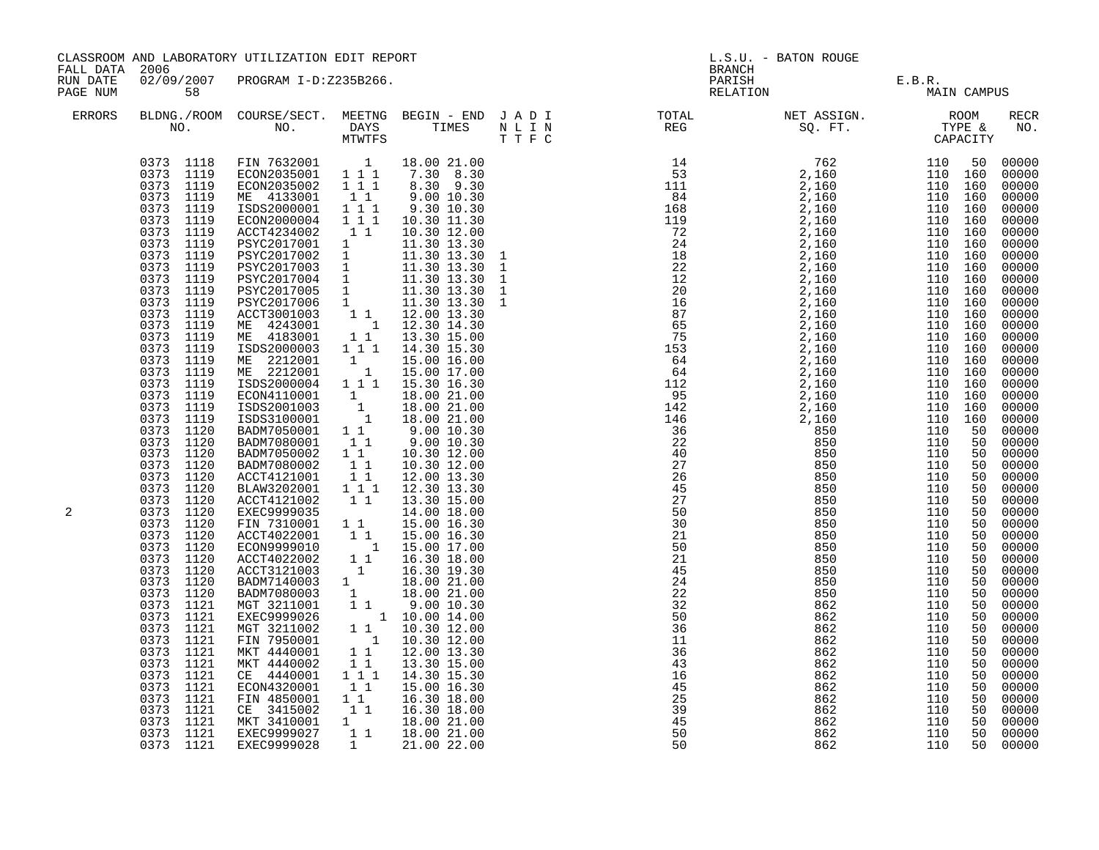| FALL DATA 2006       |                                                                                                                                                                                                                                                                                                                                                                                                                                                                                                                                                                                                                                                                                                                          | CLASSROOM AND LABORATORY UTILIZATION EDIT REPORT                                                                                                                                                                                                                                                                                                                                                                                                                                                                                                                                                                                                                                                                                                                                                                                                                                                                                                                                                                                                                                                                                                                                                                                                 |                                                                                                                                                               |                                                                                                                                                                                                           | L.S.U. - BATON ROUGE<br><b>BRANCH</b>                                                                                                                                                                                                                                                                                                                                                                                                                                                                                                                                                                                                                                                                 |                                                                                                                                                 |                                                                                                                                                 |                                                                                                                            |                                                                                                                                                                                                                                                                                                                                                                                                                                                                                     |
|----------------------|--------------------------------------------------------------------------------------------------------------------------------------------------------------------------------------------------------------------------------------------------------------------------------------------------------------------------------------------------------------------------------------------------------------------------------------------------------------------------------------------------------------------------------------------------------------------------------------------------------------------------------------------------------------------------------------------------------------------------|--------------------------------------------------------------------------------------------------------------------------------------------------------------------------------------------------------------------------------------------------------------------------------------------------------------------------------------------------------------------------------------------------------------------------------------------------------------------------------------------------------------------------------------------------------------------------------------------------------------------------------------------------------------------------------------------------------------------------------------------------------------------------------------------------------------------------------------------------------------------------------------------------------------------------------------------------------------------------------------------------------------------------------------------------------------------------------------------------------------------------------------------------------------------------------------------------------------------------------------------------|---------------------------------------------------------------------------------------------------------------------------------------------------------------|-----------------------------------------------------------------------------------------------------------------------------------------------------------------------------------------------------------|-------------------------------------------------------------------------------------------------------------------------------------------------------------------------------------------------------------------------------------------------------------------------------------------------------------------------------------------------------------------------------------------------------------------------------------------------------------------------------------------------------------------------------------------------------------------------------------------------------------------------------------------------------------------------------------------------------|-------------------------------------------------------------------------------------------------------------------------------------------------|-------------------------------------------------------------------------------------------------------------------------------------------------|----------------------------------------------------------------------------------------------------------------------------|-------------------------------------------------------------------------------------------------------------------------------------------------------------------------------------------------------------------------------------------------------------------------------------------------------------------------------------------------------------------------------------------------------------------------------------------------------------------------------------|
| RUN DATE<br>PAGE NUM | 58                                                                                                                                                                                                                                                                                                                                                                                                                                                                                                                                                                                                                                                                                                                       | 02/09/2007 PROGRAM I-D:Z235B266.                                                                                                                                                                                                                                                                                                                                                                                                                                                                                                                                                                                                                                                                                                                                                                                                                                                                                                                                                                                                                                                                                                                                                                                                                 |                                                                                                                                                               |                                                                                                                                                                                                           |                                                                                                                                                                                                                                                                                                                                                                                                                                                                                                                                                                                                                                                                                                       | PARISH E.B.R.<br>RELATION MAIN                                                                                                                  | MAIN CAMPUS                                                                                                                                     |                                                                                                                            |                                                                                                                                                                                                                                                                                                                                                                                                                                                                                     |
| <b>ERRORS</b>        |                                                                                                                                                                                                                                                                                                                                                                                                                                                                                                                                                                                                                                                                                                                          |                                                                                                                                                                                                                                                                                                                                                                                                                                                                                                                                                                                                                                                                                                                                                                                                                                                                                                                                                                                                                                                                                                                                                                                                                                                  |                                                                                                                                                               |                                                                                                                                                                                                           | BLDNG./ROOM COURSE/SECT. MEETNG BEGIN – END JADI TOTAL NET ASSIGN. NET ASSIGN. ROOM ROOM NO. DAYS TIMES NLIN REG REG SQ.FT. TYPE &                                                                                                                                                                                                                                                                                                                                                                                                                                                                                                                                                                    |                                                                                                                                                 |                                                                                                                                                 |                                                                                                                            | RECR<br>NO.                                                                                                                                                                                                                                                                                                                                                                                                                                                                         |
| 2                    | 0373 1118<br>0373 1119<br>0373 1119<br>0373 1119<br>0373 1119<br>0373 1119<br>0373 1119<br>0373 1119<br>0373 1119<br>0373 1119<br>0373 1119<br>0373 1119<br>0373 1119<br>0373 1119<br>0373 1119<br>0373 1119<br>0373 1119<br>0373 1119<br>0373 1119<br>0373 1119<br>0373 1119<br>0373 1119<br>0373 1119<br>0373 1120<br>0373 1120<br>0373 1120<br>0373 1120<br>0373 1120<br>0373 1120<br>0373 1120<br>0373 1120<br>0373 1120<br>0373 1120<br>0373 1120<br>0373 1120<br>0373 1120<br>0373 1120<br>0373 1120<br>0373 1121<br>0373 1121<br>0373 1121<br>0373 1121<br>0373 1121<br>0373 1121<br>0373 1121<br>0373 1121<br>0373 1121<br>$\begin{array}{ccc} 0373 & 1121 \\ 0373 & 1121 \end{array}$<br>0373 1121<br>0373 1121 | FIN 7632001   1   18.00   21.00<br>ECON2035001   1   1   1   7.30   8.30<br>ECON2035002 111<br>ME 4133001 11<br>ISDS2000001 111<br>ECON2000004 111<br>ACCT4234002 1 1<br>ACCT4234002 1 1 10.30 12.00<br>PSYC2017001 1 11.30 13.30<br>PSYC2017002 1 11.30 13.30<br>PSYC2017003 1 11.30 13.30<br>PSYC2017004 1 11.30 13.30<br>PSYC2017004 1 11.30 13.30<br>PSYC2017005 1 11.30 13.30<br>PSYC2017006 1 11.30 13.30<br>ACCT<br>ME 2212001 1 15.00 16.00<br>ME 2212001 1 15.00 17.00<br>ISDS2000004 111 15.30 16.30<br>ECON4110001 1 18.00 21.00<br>ISDS2001003 1 18.00 21.00<br>ISDS3100001 1 18.00 21.00<br>BADM7050001 1 9.00 10.30<br>BADM7080001<br>BADM7050002<br>BADM7080002<br>ACCT4121001<br>BLAW3202001 111<br>ACCT4121002 11<br>EXEC 9999035<br>EXEC 9999035<br>EXEC 9999035<br>TIN 7310001 1 1 15.00 16.30<br>ACCT 4022001 1 1 15.00 16.30<br>EC 0N 9999010 1 15.00 17.00<br>ACCT 4022002 1 1 16.30 18.00<br>ACCT 3121003 1 16.30 19.30<br>ACCT3121003 1 16.30 19.30<br>BADM71400003 1 18.00 21.00<br>BADM7180003 1 18.00 21.00<br>MGT 3211001 1 1 9.00 10.30<br>EXEC9999026 1 10.00 14.00<br>MGT 3211002 1 1 10.30 12.00<br>FIN 7950001 1 10.30 12.00<br>MKT 4440001 1 1 12.00 13.30<br><br>CE 4440001 111<br>ECON4320001<br>FIN 4850001 | $1\quad1$<br>$\begin{smallmatrix}1\end{smallmatrix}$ $\begin{smallmatrix}1\end{smallmatrix}$ $\begin{smallmatrix}1\end{smallmatrix}$<br>11<br>11<br>$1\quad1$ | 8.30 9.30<br>9.00 10.30<br>9.30 10.30<br>10.30 11.30<br>10.30 12.00<br>9.00 10.30<br>10.30 12.00<br>10.30 12.00<br>12.00 13.30<br>12.30 13.30<br>13.30 15.00<br>14.30 15.30<br>15.00 16.30<br>16.30 18.00 | $\begin{array}{cccccccc} \textcolor{red}{\textbf{T}} & \textcolor{red}{\textbf{T}} & \textcolor{red}{\textbf{F}} & \textcolor{red}{\textbf{G}\textbf{R}} & \textcolor{red}{\textbf{G}\textbf{R}} & \textcolor{red}{\textbf{G}\textbf{R}} & \textcolor{red}{\textbf{G}\textbf{R}} & \textcolor{red}{\textbf{G}\textbf{R}} & \textcolor{red}{\textbf{G}\textbf{R}} & \textcolor{red}{\textbf{G}\textbf{R}} & \textcolor{red}{\textbf{G}\textbf{R}} & \textcolor{red}{\textbf{G}\textbf{R}} & \textcolor{red}{\textbf{G}\text$<br>50<br>30<br>21<br>50<br>21<br>45<br>24<br>22<br>32<br>50<br>36<br>11<br>36<br>43<br>16<br>$\frac{45}{25}$<br>$\begin{array}{c} 25 \\ 39 \\ 45 \\ 50 \end{array}$<br>50 | 850<br>850<br>850<br>850<br>850<br>850<br>850<br>850<br>862<br>862<br>862<br>862<br>862<br>862<br>862<br>862<br>862<br>862<br>862<br>862<br>862 | 110<br>110<br>110<br>110<br>110<br>110<br>110<br>110<br>110<br>110<br>110<br>110<br>110<br>110<br>110<br>110<br>110<br>110<br>110<br>110<br>110 | 50<br>50<br>50<br>50<br>50<br>50<br>50<br>50<br>50<br>50<br>50<br>50<br>50<br>50<br>50<br>50<br>50<br>50<br>50<br>50<br>50 | 00000<br>00000<br>00000<br>00000<br>00000<br>00000<br>00000<br>00000<br>$00000$<br>00000<br>00000<br>00000<br>00000<br>00000<br>00000<br>00000<br>00000<br>00000<br>00000<br>00000<br>00000<br>00000<br>00000<br>00000<br>00000<br>$00000$<br>00000<br>00000<br>00000<br>$00000$<br>00000<br>00000<br>00000<br>00000<br>00000<br>00000<br>00000<br>00000<br>00000<br>00000<br>00000<br>00000<br>00000<br>00000<br>00000<br>$00000$<br>$00000$<br>$00000$<br>00000<br>00000<br>00000 |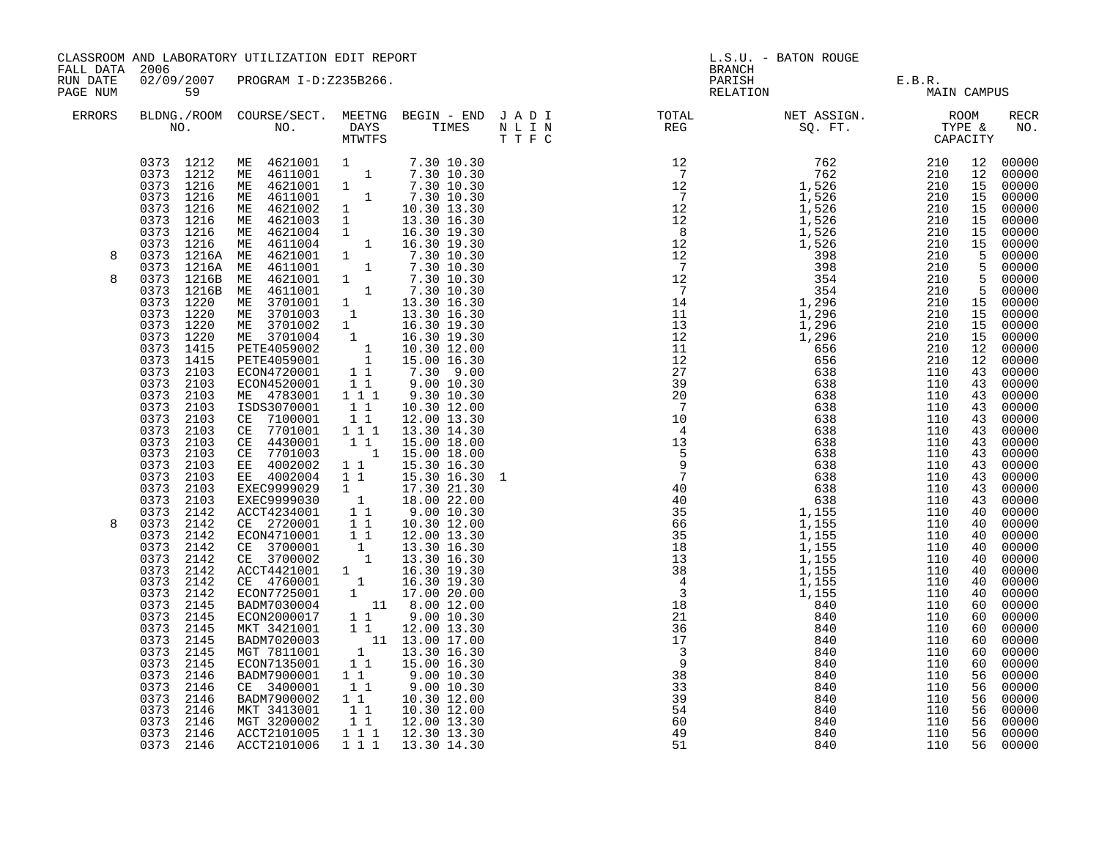| FALL DATA 2006       |                                                                                                                                                                                                                                                                                                 | CLASSROOM AND LABORATORY UTILIZATION EDIT REPORT                                                                                                                                                                                                                                                                                                                                                                                                                                                                                                                                            |                                                                                                                                          |                                                                                                      |  | L.S.U. - BATON ROUGE<br>BRANCH                                                                                                                                                                                                                                                                                                                                                                               |                   |                                       |          |                            |  |
|----------------------|-------------------------------------------------------------------------------------------------------------------------------------------------------------------------------------------------------------------------------------------------------------------------------------------------|---------------------------------------------------------------------------------------------------------------------------------------------------------------------------------------------------------------------------------------------------------------------------------------------------------------------------------------------------------------------------------------------------------------------------------------------------------------------------------------------------------------------------------------------------------------------------------------------|------------------------------------------------------------------------------------------------------------------------------------------|------------------------------------------------------------------------------------------------------|--|--------------------------------------------------------------------------------------------------------------------------------------------------------------------------------------------------------------------------------------------------------------------------------------------------------------------------------------------------------------------------------------------------------------|-------------------|---------------------------------------|----------|----------------------------|--|
| RUN DATE<br>PAGE NUM | 59                                                                                                                                                                                                                                                                                              | 02/09/2007 PROGRAM I-D:Z235B266.                                                                                                                                                                                                                                                                                                                                                                                                                                                                                                                                                            |                                                                                                                                          |                                                                                                      |  |                                                                                                                                                                                                                                                                                                                                                                                                              |                   | PARISH E.B.R.<br>RELATION MAIN CAMPUS |          |                            |  |
| <b>ERRORS</b>        |                                                                                                                                                                                                                                                                                                 |                                                                                                                                                                                                                                                                                                                                                                                                                                                                                                                                                                                             |                                                                                                                                          |                                                                                                      |  |                                                                                                                                                                                                                                                                                                                                                                                                              |                   |                                       |          | RECR<br>NO.                |  |
| 8<br>8               | 0373 1220<br>0373 1220<br>0373 1220<br>0373<br>1220<br>0373 1415<br>0373 1415<br>0373 2103<br>0373 2103<br>0373 2103<br>0373 2103<br>0373 2103<br>0373 2103<br>0373 2103<br>0373 2103<br>0373 2103<br>0373 2103<br>0373<br>2103<br>0373 2103                                                    | 0373 1216 ME 4611001 1 7.30 10.30<br>0373 1216 ME 4621002 1 10.30 13.30<br>0373 1216 ME 4621004 1 16.30 16.30<br>0373 1216 ME 4621004 1 16.30 19.30<br>0373 1216A ME 4621001 1 7.30 10.30<br>0373 1216A ME 4621001 1 7.30 10.30<br>0373 1216B ME<br>ME 4611001 1 7.30 10.30<br>ME 3701001 1 13.30 16.30<br>ME 3701002 1 13.30 16.30<br>ME 3701002 1 16.30 19.30<br>ME 3701002 1 16.30 19.30<br>ME 3701004 1 16.30 19.30<br>PETE4059002 1 10.30 12.00<br>PETE4059001 1 15.00 16.30<br>ECON4720001 1<br>ISDS3070001<br>CE 7100001<br>CE 7701001 111<br>CE 4430001<br>CE 7701003<br>EE 4002002 | $1\quad1$<br>11<br>11                                                                                                                    | 10.30 12.00<br>12.00 13.30<br>13.30 14.30<br>15.00 18.00<br>$1\quad 15.00\ 18.00$<br>1 1 15.30 16.30 |  | $\begin{smallmatrix}\n\textbf{11} & \textbf{12} & \textbf{13} & \textbf{14} & \textbf{15} & \textbf{16} & \textbf{16} & \textbf{16} & \textbf{16} & \textbf{16} & \textbf{16} & \textbf{16} & \textbf{16} & \textbf{16} & \textbf{16} & \textbf{16} & \textbf{16} & \textbf{16} & \textbf{16} & \textbf{16} & \textbf{16} & \textbf{16} & \textbf{16} & \textbf{16} & \textbf{16} & \textbf{16} & \textbf{1$ |                   |                                       |          | 00000                      |  |
| 8                    | 0373 2142<br>0373 2142<br>0373<br>2142<br>0373<br>2142<br>0373<br>2142<br>0373 2142<br>0373<br>2142<br>0373<br>2142<br>0373<br>2145<br>0373 2145<br>0373 2145<br>0373 2145<br>0373 2145<br>0373 2145<br>0373 2146<br>0373 2146<br>0373 2146<br>0373 2146<br>0373 2146<br>0373 2146<br>0373 2146 | MKT 3421001 1 1 12.00 13.30<br>BADM7020003 1 1 13.00 17.00<br>MGT 7811001 1 13.30 16.30<br>ECON7135001 1 1 15.00 16.30<br>BADM7900001 11<br>CE 3400001 11<br>BADM7900002<br>MKT 3413001<br>MGT 3200002<br>ACCT2101005<br>ACCT2101006                                                                                                                                                                                                                                                                                                                                                        | $\begin{smallmatrix}1\ 1\ 1\ 1\ \end{smallmatrix}$<br>$\begin{smallmatrix} &\overline{1}&\overline{1}\ 1&1&1 \end{smallmatrix}$<br>1 1 1 | 9.00 10.30<br>9.00 10.30<br>10.30 12.00<br>10.30 12.00<br>12.00 13.30<br>12.30 13.30<br>13.30 14.30  |  | 60<br>49<br>51                                                                                                                                                                                                                                                                                                                                                                                               | 840<br>840<br>840 | 110<br>110<br>110                     | 56<br>56 | 00000<br>00000<br>56 00000 |  |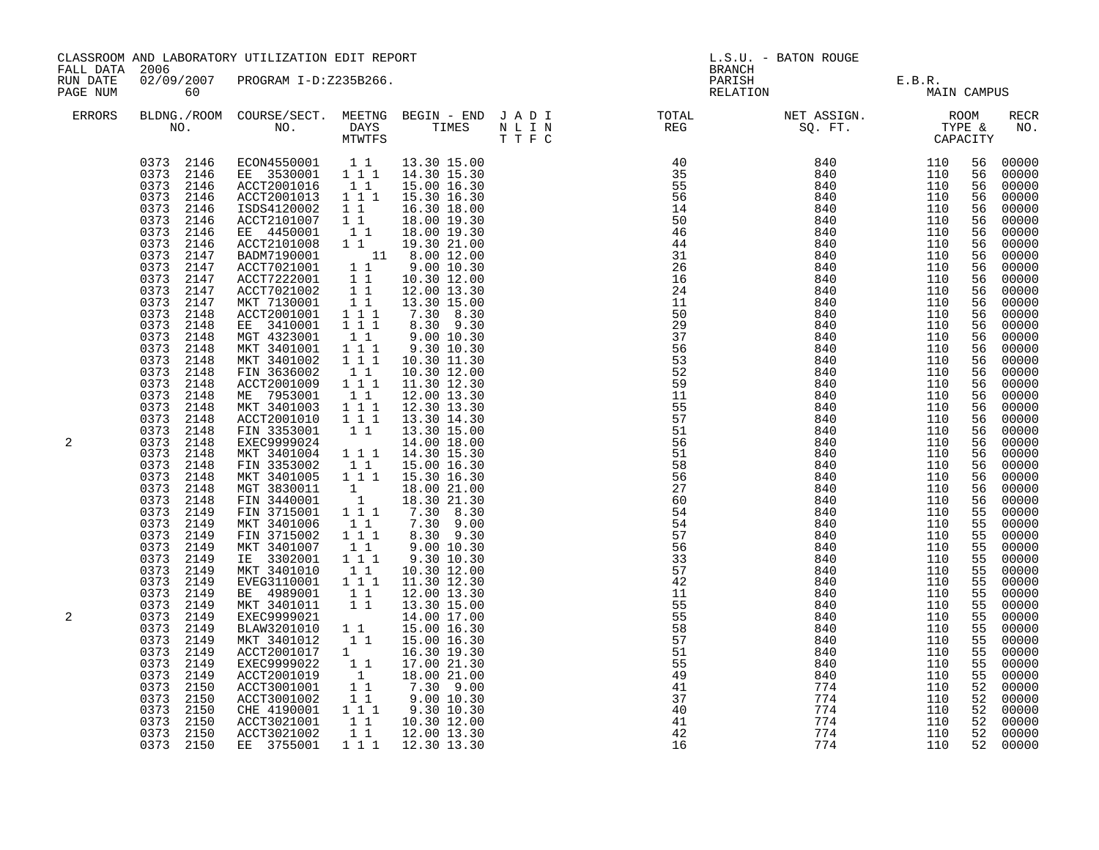| FALL DATA 2006       |                                                                                                                                                                                                                                                                                                                                                                                                                                                                                                                                                                                                                                                                                                    | CLASSROOM AND LABORATORY UTILIZATION EDIT REPORT                                                                                                                                                                                                                                                                                                                                                                                                                                                                                                                                                                                                                                                                                                                                                                                                                                                                                                                                                                      |                                                                                                                                                                                                                                                                                                                                                                                                                                                                                                                                             |                                                                                                                                                                                                                                                                                                                                                                                                                                                                                                                                                                                                                                                            | L.S.U. - BATON ROUGE<br><b>BRANCH</b> |                                                                                                                                                                                                                                                                                                                                                                                                                                                                                                                                                                                                                                                                                                        |                                                                                                                                                                                                                                                                        |                                                                                                                                                                                                                                                                        |                                                                                                                                                                                                                                                                                                          |                                                                                                                                                                                                                                                                                                                                                                                                                                                                |
|----------------------|----------------------------------------------------------------------------------------------------------------------------------------------------------------------------------------------------------------------------------------------------------------------------------------------------------------------------------------------------------------------------------------------------------------------------------------------------------------------------------------------------------------------------------------------------------------------------------------------------------------------------------------------------------------------------------------------------|-----------------------------------------------------------------------------------------------------------------------------------------------------------------------------------------------------------------------------------------------------------------------------------------------------------------------------------------------------------------------------------------------------------------------------------------------------------------------------------------------------------------------------------------------------------------------------------------------------------------------------------------------------------------------------------------------------------------------------------------------------------------------------------------------------------------------------------------------------------------------------------------------------------------------------------------------------------------------------------------------------------------------|---------------------------------------------------------------------------------------------------------------------------------------------------------------------------------------------------------------------------------------------------------------------------------------------------------------------------------------------------------------------------------------------------------------------------------------------------------------------------------------------------------------------------------------------|------------------------------------------------------------------------------------------------------------------------------------------------------------------------------------------------------------------------------------------------------------------------------------------------------------------------------------------------------------------------------------------------------------------------------------------------------------------------------------------------------------------------------------------------------------------------------------------------------------------------------------------------------------|---------------------------------------|--------------------------------------------------------------------------------------------------------------------------------------------------------------------------------------------------------------------------------------------------------------------------------------------------------------------------------------------------------------------------------------------------------------------------------------------------------------------------------------------------------------------------------------------------------------------------------------------------------------------------------------------------------------------------------------------------------|------------------------------------------------------------------------------------------------------------------------------------------------------------------------------------------------------------------------------------------------------------------------|------------------------------------------------------------------------------------------------------------------------------------------------------------------------------------------------------------------------------------------------------------------------|----------------------------------------------------------------------------------------------------------------------------------------------------------------------------------------------------------------------------------------------------------------------------------------------------------|----------------------------------------------------------------------------------------------------------------------------------------------------------------------------------------------------------------------------------------------------------------------------------------------------------------------------------------------------------------------------------------------------------------------------------------------------------------|
| RUN DATE<br>PAGE NUM | 60                                                                                                                                                                                                                                                                                                                                                                                                                                                                                                                                                                                                                                                                                                 | 02/09/2007 PROGRAM I-D:Z235B266.                                                                                                                                                                                                                                                                                                                                                                                                                                                                                                                                                                                                                                                                                                                                                                                                                                                                                                                                                                                      |                                                                                                                                                                                                                                                                                                                                                                                                                                                                                                                                             |                                                                                                                                                                                                                                                                                                                                                                                                                                                                                                                                                                                                                                                            |                                       | PARISH<br>RELATION                                                                                                                                                                                                                                                                                                                                                                                                                                                                                                                                                                                                                                                                                     |                                                                                                                                                                                                                                                                        | E.B.R.<br>MAIN CAMPUS                                                                                                                                                                                                                                                  |                                                                                                                                                                                                                                                                                                          |                                                                                                                                                                                                                                                                                                                                                                                                                                                                |
| <b>ERRORS</b>        |                                                                                                                                                                                                                                                                                                                                                                                                                                                                                                                                                                                                                                                                                                    |                                                                                                                                                                                                                                                                                                                                                                                                                                                                                                                                                                                                                                                                                                                                                                                                                                                                                                                                                                                                                       |                                                                                                                                                                                                                                                                                                                                                                                                                                                                                                                                             |                                                                                                                                                                                                                                                                                                                                                                                                                                                                                                                                                                                                                                                            |                                       |                                                                                                                                                                                                                                                                                                                                                                                                                                                                                                                                                                                                                                                                                                        |                                                                                                                                                                                                                                                                        |                                                                                                                                                                                                                                                                        |                                                                                                                                                                                                                                                                                                          | RECR<br>NO.                                                                                                                                                                                                                                                                                                                                                                                                                                                    |
| 2<br>2               | 0373 2146<br>0373 2146<br>0373 2146<br>0373 2146<br>0373 2146<br>0373<br>2146<br>0373 2147<br>0373 2147<br>0373 2147<br>0373<br>2147<br>0373<br>2147<br>0373 2148<br>0373 2148<br>0373<br>2148<br>0373<br>2148<br>0373 2148<br>0373 2148<br>0373 2148<br>0373<br>2148<br>0373 2148<br>0373 2148<br>0373 2148<br>0373<br>2148<br>0373<br>2148<br>0373<br>2148<br>0373 2148<br>0373<br>2148<br>0373<br>2148<br>0373<br>2149<br>0373 2149<br>0373 2149<br>0373 2149<br>0373 2149<br>0373 2149<br>0373 2149<br>0373 2149<br>0373 2149<br>0373 2149<br>0373 2149<br>2149<br>0373<br>0373<br>2149<br>2149<br>0373<br>0373 2149<br>0373<br>2150<br>0373<br>2150<br>0373<br>2150<br>0373 2150<br>0373 2150 | $\begin{array}{cccccccc} 0373 & 2146 & \text{ECON4550001} & 1 & 1 & 13.30 & 15.00 \\ 0373 & 2146 & \text{E} & 3530001 & 1 & 1 & 14.30 & 15.30 \end{array}$<br>ACCT2001016 1 1<br>$ACCT2001013$ $1^1$<br>ISDS4120002<br>ACCT2101007<br>EE 4450001<br>ACCT2101008 1 1 19.30 21.00<br>BADM7190001 11 8.00 12.00<br>ACCT7021001 11 9.00 10.30<br>ACCT7222001 1 10.30 12.00<br>ACCT7021002 1 1 12.00 13.30<br>MKT 7130001<br>ACCT2001001<br>EE 3410001<br>MGT 4323001<br>MKT 3401001<br>MKT 3401002<br>FIN 3636002<br>ACCT2001009<br>ME 7953001<br>MKT 3401003<br>ACCT2001010<br>FIN 3353001<br>EXEC9999024<br>MKT 3401004<br>FIN 3353002<br>MKT 3401005<br>MGT 3830011<br>FIN 3440001<br>FIN 3715001<br>MKT 3401006<br>FIN 3715002<br>MKT 3401007<br>IE 3302001 111<br>MKT 3401010<br>EVEG3110001 111<br>BE 4989001 11<br>MKT 3401011 11<br>EXEC9999021<br>BLAW3201010<br>MKT 3401012<br>ACCT2001017<br>EXEC9999022<br>ACCT2001019<br>ACCT3001001<br>ACCT3001002<br>CHE 4190001 1 1 1<br>ACCT3021001 11<br>ACCT3021002 11 | $\begin{array}{c} 1 \\ 1 \\ 1 \\ 1 \\ 1 \end{array}$<br>11<br>$1 1 1$<br>$1 1 1$<br>$\begin{bmatrix} 1 & 1 \\ 1 & 1 & 1 \end{bmatrix}$<br>$1 1 1$<br>11<br>$\begin{smallmatrix}1&&1\\&1\\1&&1\end{smallmatrix}$<br>1 1 1<br>$\overline{1}$ $\overline{1}$ $\overline{1}$<br>11<br>$1 1 1$<br>$\begin{bmatrix} 1 \\ 1 \end{bmatrix}$<br>1<br>$\begin{bmatrix} 1 \\ 1 \end{bmatrix}$<br>11<br>$1 1 1$<br>11<br>$1\quad1$<br>$\begin{smallmatrix}1&&1\\&1\\1&&1\end{smallmatrix}$<br>$\begin{bmatrix} 1\\ 1\\ 1 \end{bmatrix}$<br>$1^-1$<br>11 | 15.00 16.30<br>15.30 16.30<br>16.30 18.00<br>18.00 19.30<br>18.00 19.30<br>13.30 15.00<br>7.30 8.30<br>8.30 9.30<br>9.00 10.30<br>9.30 10.30<br>10.30 11.30<br>10.30 12.00<br>11.30 12.30<br>12.00 13.30<br>12.30 13.30<br>13.30 14.30<br>13.30 15.00<br>14.00 18.00<br>14.30 15.30<br>15.00 16.30<br>1 1 1 1 15.30 16.30<br>18.00 21.00<br>18.30 21.30<br>$7.30 - 8.30$<br>7.30 9.00<br>8.30 9.30<br>9.0010.30<br>9.30 10.30<br>10.30 12.00<br>11.30 12.30<br>12.00 13.30<br>13.30 15.00<br>14.00 17.00<br>15.00 16.30<br>15.00 16.30<br>16.30 19.30<br>17.00 21.30<br>18.00 21.00<br>7.30 9.00<br>9.00 10.30<br>9.30 10.30<br>10.30 12.00<br>12.00 13.30 |                                       | $\begin{array}{cccc} & & & & & & & & \text{CAP} \ \color{red}{APP} & \color{red}{35} & \color{red}{840} & \color{red}{110} \ \color{red}{55} & \color{red}{56} & \color{red}{840} & \color{red}{110} \ \color{red}{56} & \color{red}{840} & \color{red}{110} \ \color{red}{110} & \color{red}{50} & \color{red}{840} & \color{red}{110} \ \color{red}{46} & \color{red}{840} & \color{red}{110} \ \color{red}{44} & \color{red}{840} & \color{red}{1$<br>11<br>50<br>29<br>37<br>56<br>53<br>52<br>59<br>11<br>55<br>57<br>51<br>56<br>51<br>58<br>56<br>$\overline{27}$<br>60<br>54<br>54<br>57<br>56<br>33<br>57<br>42<br>11<br>55<br>55<br>58<br>57<br>51<br>55<br>49<br>41<br>37<br>40<br>41<br>42 | 840<br>840<br>840<br>840<br>840<br>840<br>840<br>840<br>840<br>840<br>840<br>840<br>840<br>840<br>840<br>840<br>840<br>840<br>840<br>840<br>840<br>840<br>840<br>840<br>840<br>840<br>840<br>840<br>840<br>840<br>840<br>840<br>840<br>774<br>774<br>774<br>774<br>774 | 110<br>110<br>110<br>110<br>110<br>110<br>110<br>110<br>110<br>110<br>110<br>110<br>110<br>110<br>110<br>110<br>110<br>110<br>110<br>110<br>110<br>110<br>110<br>110<br>110<br>110<br>110<br>110<br>110<br>110<br>110<br>110<br>110<br>110<br>110<br>110<br>110<br>110 | 56<br>56<br>56<br>56<br>56<br>56<br>56<br>56<br>56<br>56<br>56<br>56<br>56<br>56<br>56<br>56<br>56<br>56<br>56<br>56<br>56<br>56<br>56<br>56<br>56<br>56<br>56<br>56<br>56<br>56<br>55<br>55<br>55<br>55<br>55<br>55<br>55<br>55<br>55<br>55<br>55<br>55<br>55<br>55<br>55<br>52<br>52<br>52<br>52<br>52 | 00000<br>00000<br>00000<br>00000<br>00000<br>00000<br>00000<br>00000<br>00000<br>00000<br>00000<br>00000<br>00000<br>00000<br>00000<br>00000<br>00000<br>00000<br>00000<br>00000<br>00000<br>00000<br>00000<br>00000<br>00000<br>00000<br>00000<br>00000<br>00000<br>00000<br>00000<br>00000<br>00000<br>00000<br>00000<br>00000<br>00000<br>00000<br>00000<br>00000<br>00000<br>00000<br>00000<br>00000<br>00000<br>00000<br>00000<br>00000<br>00000<br>00000 |
|                      | 0373 2150                                                                                                                                                                                                                                                                                                                                                                                                                                                                                                                                                                                                                                                                                          | EE 3755001                                                                                                                                                                                                                                                                                                                                                                                                                                                                                                                                                                                                                                                                                                                                                                                                                                                                                                                                                                                                            | 1 1 1                                                                                                                                                                                                                                                                                                                                                                                                                                                                                                                                       | 12.30 13.30                                                                                                                                                                                                                                                                                                                                                                                                                                                                                                                                                                                                                                                |                                       | 16                                                                                                                                                                                                                                                                                                                                                                                                                                                                                                                                                                                                                                                                                                     | 774                                                                                                                                                                                                                                                                    | 110                                                                                                                                                                                                                                                                    | 52                                                                                                                                                                                                                                                                                                       | 00000                                                                                                                                                                                                                                                                                                                                                                                                                                                          |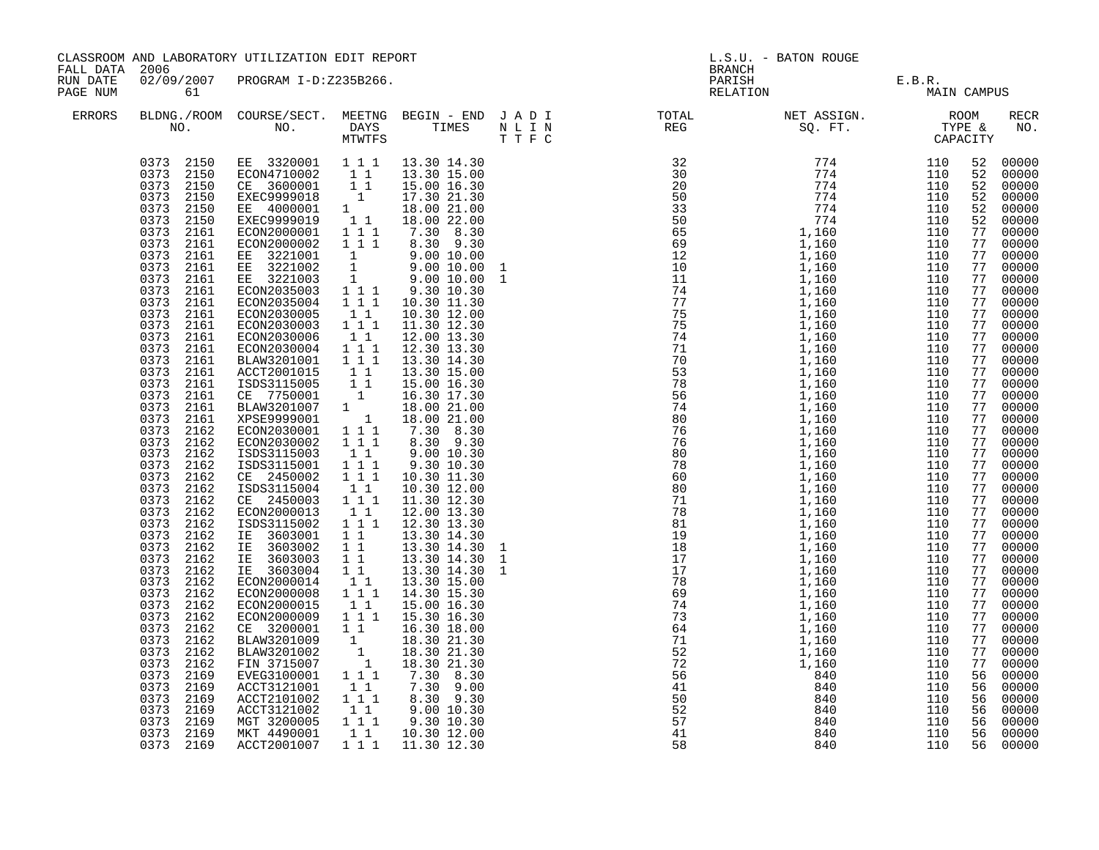| FALL DATA 2006       |                                                                                                                                                                                                                                                                                                                                                                                                                                                                                                                                                                                                                                                | CLASSROOM AND LABORATORY UTILIZATION EDIT REPORT                                                                                                                                                                                                                                                                                                                                                                                                                                                                                                                                                                                                                                                                                                                                                                                                                                                                                                                                                                                                                                                                                                                                                                                   |                                                                                                                                                                                                                                                                                                                                                         |                                                                                                                                                                                                                                                                                                                                                                                                                                                                                                                                                        | BRANCH                                                                                                                                                                                                                                                                                                                                                                                                             | L.S.U. - BATON ROUGE                  |                                                                                                          |                                                                                                                                                                                                                                                                                                                                                                                                                                                                                                                                                                                                                                                                                |
|----------------------|------------------------------------------------------------------------------------------------------------------------------------------------------------------------------------------------------------------------------------------------------------------------------------------------------------------------------------------------------------------------------------------------------------------------------------------------------------------------------------------------------------------------------------------------------------------------------------------------------------------------------------------------|------------------------------------------------------------------------------------------------------------------------------------------------------------------------------------------------------------------------------------------------------------------------------------------------------------------------------------------------------------------------------------------------------------------------------------------------------------------------------------------------------------------------------------------------------------------------------------------------------------------------------------------------------------------------------------------------------------------------------------------------------------------------------------------------------------------------------------------------------------------------------------------------------------------------------------------------------------------------------------------------------------------------------------------------------------------------------------------------------------------------------------------------------------------------------------------------------------------------------------|---------------------------------------------------------------------------------------------------------------------------------------------------------------------------------------------------------------------------------------------------------------------------------------------------------------------------------------------------------|--------------------------------------------------------------------------------------------------------------------------------------------------------------------------------------------------------------------------------------------------------------------------------------------------------------------------------------------------------------------------------------------------------------------------------------------------------------------------------------------------------------------------------------------------------|--------------------------------------------------------------------------------------------------------------------------------------------------------------------------------------------------------------------------------------------------------------------------------------------------------------------------------------------------------------------------------------------------------------------|---------------------------------------|----------------------------------------------------------------------------------------------------------|--------------------------------------------------------------------------------------------------------------------------------------------------------------------------------------------------------------------------------------------------------------------------------------------------------------------------------------------------------------------------------------------------------------------------------------------------------------------------------------------------------------------------------------------------------------------------------------------------------------------------------------------------------------------------------|
| RUN DATE<br>PAGE NUM | 61                                                                                                                                                                                                                                                                                                                                                                                                                                                                                                                                                                                                                                             | 02/09/2007 PROGRAM I-D:Z235B266.                                                                                                                                                                                                                                                                                                                                                                                                                                                                                                                                                                                                                                                                                                                                                                                                                                                                                                                                                                                                                                                                                                                                                                                                   |                                                                                                                                                                                                                                                                                                                                                         |                                                                                                                                                                                                                                                                                                                                                                                                                                                                                                                                                        |                                                                                                                                                                                                                                                                                                                                                                                                                    | PARISH E.B.R.<br>RELATION MAIN CAMPUS |                                                                                                          |                                                                                                                                                                                                                                                                                                                                                                                                                                                                                                                                                                                                                                                                                |
| <b>ERRORS</b>        |                                                                                                                                                                                                                                                                                                                                                                                                                                                                                                                                                                                                                                                |                                                                                                                                                                                                                                                                                                                                                                                                                                                                                                                                                                                                                                                                                                                                                                                                                                                                                                                                                                                                                                                                                                                                                                                                                                    |                                                                                                                                                                                                                                                                                                                                                         |                                                                                                                                                                                                                                                                                                                                                                                                                                                                                                                                                        |                                                                                                                                                                                                                                                                                                                                                                                                                    |                                       |                                                                                                          | RECR<br>NO.                                                                                                                                                                                                                                                                                                                                                                                                                                                                                                                                                                                                                                                                    |
|                      | 0373 2150<br>0373 2150<br>0373 2161<br>0373<br>2161<br>0373 2161<br>0373 2161<br>0373 2161<br>$0373$ 2161<br>0373 2161<br>$0373$ 2161<br>0373 2161<br>0373 2161<br>0373 2161<br>0373 2161<br>0373 2161<br>0373 2161<br>0373 2161<br>0373 2161<br>0373 2161<br>0373 2162<br>0373 2162<br>0373 2162<br>0373 2162<br>0373 2162<br>0373<br>2162<br>0373 2162<br>$0373$ 2162<br>0373 2162<br>0373<br>2162<br>0373 2162<br>0373 2162<br>0373 2162<br>0373 2162<br>0373 2162<br>0373 2162<br>0373 2162<br>0373 2162<br>0373 2162<br>0373 2162<br>0373 2162<br>0373 2169<br>0373 2169<br>0373 2169<br>0373 2169<br>0373 2169<br>0373 2169<br>0373 2169 | $\begin{array}{cccccc} 0373 & 2150 & \text{EE} & 3320001 & 1 & 1 & 1 & 13.30 & 14.30 \\ 0373 & 2150 & \text{ECON4710002} & 1 & 1 & 13.30 & 15.00 \\ 0373 & 2150 & \text{CE} & 3600001 & 1 & 1 & 15.00 & 16.30 \\ 0373 & 2150 & \text{EXEC9999018} & 1 & 17.30 & 21.30 \end{array}$<br>EE 4000001 1<br>EXEC9999019 11<br>ECON2000001 111<br>ECON2000002<br>EE 3221001 1 9.00 10.00<br>EE 3221002 1 9.00 10.00<br>EE 3221003 1 9.00 10.00<br>ECON2035003 1 1 9.30 10.30<br>ECON2035004 111 10.30 11.30<br>ECON2030005<br>ECON2030003 1 1 1<br>ECON2030006<br>ECON2030004 111<br>BLAW3201001 111<br>ACCT2001015 1 1<br>XCO 115005 1<br>CE 7750001 1<br>BLAW3201007 1<br>XPSE9999001 1<br>ECON2030001 111<br>ECON2030002<br>ISDS3115003<br>ISDS3115001<br>CE 2450002<br>ISDS3115004<br>CE 2450003 111<br>ECON2000013<br>ISDS3115002<br>IE 3603001<br>IE 3603002<br>1E 3603003 1 1 13.30 14.30<br>IE 3603004 1 1 13.30 14.30<br>ECON2000014 1 1 13.30 15.00<br>ECON2000008<br>ECON2000015<br>ECON2000009 1 1 1 15.30 16.30<br>CE 3200001 11 16.30 18.00<br>BLAW3201009<br>BLAW3201002<br>FIN 3715007<br>EVEG3100001 1 1 1<br>ACCT3121001<br>ACCT2101002<br>ACCT3121002<br>MGT 3200005<br>MKT 4490001<br>ACCT2001007 1 1 1 1 11.30 12.30 | 1 1 1<br>$1\quad1$<br>11<br>111<br>11<br>$1^{\circ}1^{\circ}1$<br>$1 1 1$<br>$\begin{bmatrix} 1 \\ 1 \end{bmatrix}$<br>11<br>$1 1 1$<br>$1\quad1$<br>$1\quad1$<br>$1 1 1$<br>$1\quad1$<br>$\begin{bmatrix} 1 \\ 1 \\ 1 \end{bmatrix}$<br>11<br>$1 1 1$<br>$\begin{bmatrix} 1 \\ 1 \\ 1 \end{bmatrix} \begin{bmatrix} 1 \\ 1 \end{bmatrix}$<br>$1\quad1$ | 18.00 21.00<br>18.00 22.00<br>$7.30$ $8.30$<br>$8.30$ $9.30$<br>10.30 12.00<br>11.30 12.30<br>12.00 13.30<br>12.30 13.30<br>13.30 14.30<br>13.30 15.00<br>15.00 16.30<br>16.30 17.30<br>18.00 21.00<br>18.00 21.00<br>7.30 8.30<br>8.30 9.30<br>9.00 10.30<br>9.30 10.30<br>10.30 11.30<br>10.30 12.00<br>11.30 12.30<br>12.00 13.30<br>12.30 13.30<br>13.30 14.30<br>13.30 14.30<br>14.30 15.30<br>15.00 16.30<br>18.30 21.30<br>18.30 21.30<br>18.30 21.30<br>$7.30$ $8.30$<br>$7.30$ $9.00$<br>8.30 9.30<br>9.00 10.30<br>9.30 10.30<br>10.30 12.00 | $\begin{smallmatrix} \text{RFG} & \text{RFG} & \text{STFC} \\ \text{S6} & \text{STFC} & \text{STFC} \\ \text{S8} & \text{STFC} & \text{STFC} \\ \text{S9} & \text{STFC} & \text{S1} & \text{S2} \\ \text{S10} & \text{STFC} & \text{S3} & \text{S4} \\ \text{S11} & \text{S12} & \text{S13} & \text{S14} \\ \text{S21} & \text{S22} & \text{S23} & \text{S24} \\ \text{S33} & \text{S34} & \text{S34} & \text{S34$ |                                       | 52<br>52<br>77<br>77<br>77<br>77<br>77<br>77<br>77<br>77<br>77<br>77<br>77<br>77<br>77<br>77<br>56<br>56 | 52 00000<br>00000<br>52 00000<br>00000<br>$\begin{bmatrix} 52 & 00000 \\ 52 & 00000 \end{bmatrix}$<br>00000<br>77 00000<br>7700000<br>00000<br>00000<br>77 00000<br>77 00000<br>77 00000<br>00000<br>77 00000<br>00000<br>77 00000<br>00000<br>77 00000<br>$\frac{77}{77}$ 00000<br>77 00000<br>00000<br>77 00000<br>$\begin{array}{cccc} 77 & 00000 \\ 77 & 00000 \\ 77 & 00000 \end{array}$<br>77 00000<br>7700000<br>$\frac{77}{77}$ 00000<br>77 00000<br>00000<br>77 00000<br>77 00000<br>00000<br>00000<br>77 00000<br>77 00000<br>77 00000<br>00000<br>77 00000<br>00000<br>00000<br>00000<br>56 00000<br>56 00000<br>56 00000<br>00000<br>56 00000<br>00000<br>56 00000 |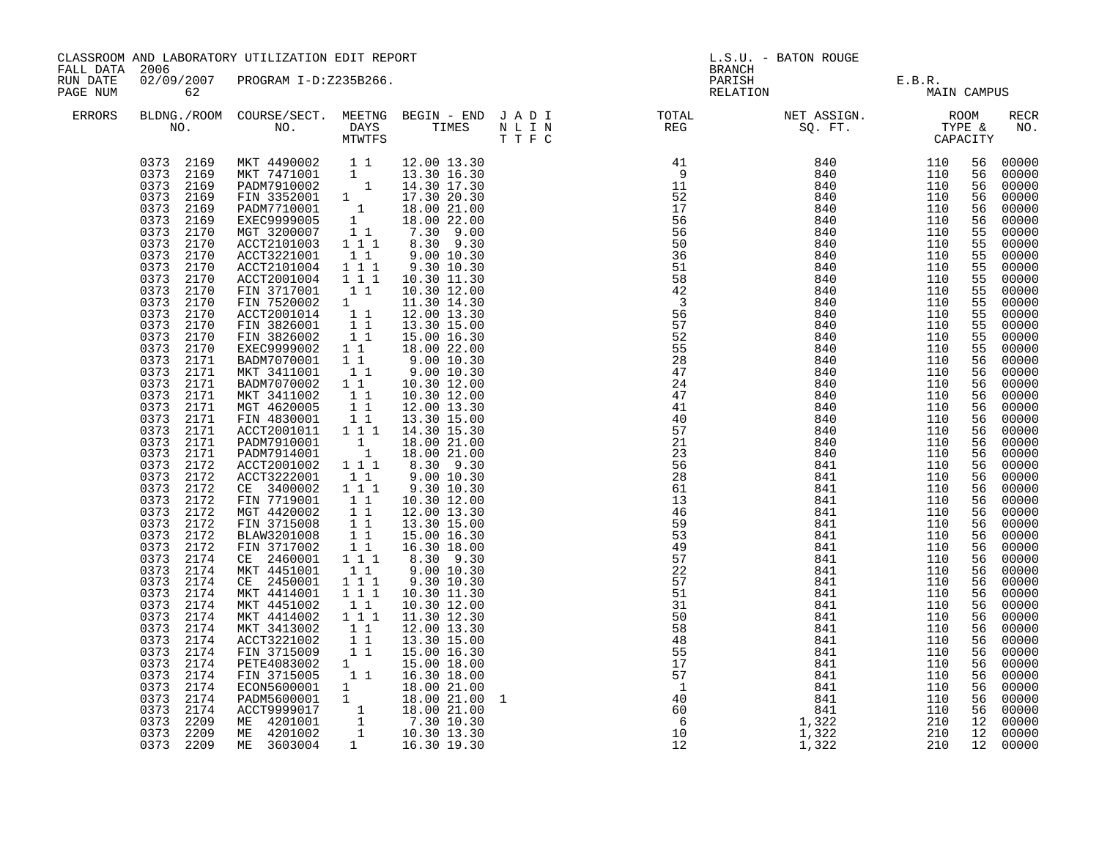|                                        |                                                                                                                                                                                                                                                                                                                                                                                                                                                                                                                                                                                                                                        | CLASSROOM AND LABORATORY UTILIZATION EDIT REPORT                                                                                                                                                                                                                                                                                                                                                                                                                                                                                                                                                                                                                                                                                                                                                                                                                                                                                                                                                                                                                                                                                                                                                                                                                                      |                                                                                                                                                                                                                                                                                                            |                                                                                                                                                                                                                                                                                                                                                                                                                                                                                                      |              |                                                                                                                                                                                                                                                                                                                                                                                                                                                                                                                                                                                                               | L.S.U. - BATON ROUGE                                                                                                                                                                                                                                              |                                                                                                                                                                                                                                                                 |                                                                                                                                                                                                                                                                                                    |                                                                                                                                                                                                                                                                                                                                                                                                                                                       |
|----------------------------------------|----------------------------------------------------------------------------------------------------------------------------------------------------------------------------------------------------------------------------------------------------------------------------------------------------------------------------------------------------------------------------------------------------------------------------------------------------------------------------------------------------------------------------------------------------------------------------------------------------------------------------------------|---------------------------------------------------------------------------------------------------------------------------------------------------------------------------------------------------------------------------------------------------------------------------------------------------------------------------------------------------------------------------------------------------------------------------------------------------------------------------------------------------------------------------------------------------------------------------------------------------------------------------------------------------------------------------------------------------------------------------------------------------------------------------------------------------------------------------------------------------------------------------------------------------------------------------------------------------------------------------------------------------------------------------------------------------------------------------------------------------------------------------------------------------------------------------------------------------------------------------------------------------------------------------------------|------------------------------------------------------------------------------------------------------------------------------------------------------------------------------------------------------------------------------------------------------------------------------------------------------------|------------------------------------------------------------------------------------------------------------------------------------------------------------------------------------------------------------------------------------------------------------------------------------------------------------------------------------------------------------------------------------------------------------------------------------------------------------------------------------------------------|--------------|---------------------------------------------------------------------------------------------------------------------------------------------------------------------------------------------------------------------------------------------------------------------------------------------------------------------------------------------------------------------------------------------------------------------------------------------------------------------------------------------------------------------------------------------------------------------------------------------------------------|-------------------------------------------------------------------------------------------------------------------------------------------------------------------------------------------------------------------------------------------------------------------|-----------------------------------------------------------------------------------------------------------------------------------------------------------------------------------------------------------------------------------------------------------------|----------------------------------------------------------------------------------------------------------------------------------------------------------------------------------------------------------------------------------------------------------------------------------------------------|-------------------------------------------------------------------------------------------------------------------------------------------------------------------------------------------------------------------------------------------------------------------------------------------------------------------------------------------------------------------------------------------------------------------------------------------------------|
| FALL DATA 2006<br>RUN DATE<br>PAGE NUM | 62                                                                                                                                                                                                                                                                                                                                                                                                                                                                                                                                                                                                                                     | 02/09/2007 PROGRAM I-D:Z235B266.                                                                                                                                                                                                                                                                                                                                                                                                                                                                                                                                                                                                                                                                                                                                                                                                                                                                                                                                                                                                                                                                                                                                                                                                                                                      |                                                                                                                                                                                                                                                                                                            |                                                                                                                                                                                                                                                                                                                                                                                                                                                                                                      |              | BRANCH                                                                                                                                                                                                                                                                                                                                                                                                                                                                                                                                                                                                        | PARISH E.B.R.<br>RELATION MAIN                                                                                                                                                                                                                                    | MAIN CAMPUS                                                                                                                                                                                                                                                     |                                                                                                                                                                                                                                                                                                    |                                                                                                                                                                                                                                                                                                                                                                                                                                                       |
| ERRORS                                 |                                                                                                                                                                                                                                                                                                                                                                                                                                                                                                                                                                                                                                        |                                                                                                                                                                                                                                                                                                                                                                                                                                                                                                                                                                                                                                                                                                                                                                                                                                                                                                                                                                                                                                                                                                                                                                                                                                                                                       |                                                                                                                                                                                                                                                                                                            |                                                                                                                                                                                                                                                                                                                                                                                                                                                                                                      |              |                                                                                                                                                                                                                                                                                                                                                                                                                                                                                                                                                                                                               |                                                                                                                                                                                                                                                                   |                                                                                                                                                                                                                                                                 |                                                                                                                                                                                                                                                                                                    | RECR<br>NO.                                                                                                                                                                                                                                                                                                                                                                                                                                           |
|                                        | 0373 2169<br>0373 2169<br>0373 2170<br>0373<br>2170<br>0373 2170<br>0373 2170<br>0373 2170<br>0373<br>2170<br>0373 2170<br>0373 2170<br>0373 2170<br>0373<br>2170<br>0373 2170<br>0373 2171<br>0373 2171<br>0373 2171<br>0373 2171<br>0373 2171<br>0373 2171<br>0373 2171<br>0373 2171<br>0373 2171<br>0373 2172<br>0373 2172<br>0373 2172<br>0373 2172<br>0373 2172<br>0373 2172<br>0373<br>2172<br>0373 2172<br>0373 2174<br>0373 2174<br>0373<br>2174<br>0373<br>2174<br>0373 2174<br>0373 2174<br>0373<br>2174<br>0373<br>2174<br>0373<br>2174<br>0373 2174<br>0373<br>2174<br>0373<br>2174<br>0373 2174<br>0373 2174<br>0373 2209 | $\begin{array}{cccc} 0373 & 2169 & \text{MKT} & 4490002 & 1 & 1 & 12.00 & 13.30 \\ 0373 & 2169 & \text{MKT} & 7471001 & 1 & 13.30 & 16.30 \\ 0373 & 2169 & \text{PADM7910002} & 1 & 14.30 & 17.30 \\ 0373 & 2169 & \text{FIN} & 3352001 & 1 & 17.30 & 20.30 \end{array}$<br>PADM7710001 1 18.00 21.00<br>EXEC9999005 1 18.00 22.00<br>MGT 3200007 11 7.30 9.00<br>ACCT2101003 111 8.30 9.30<br>ACCT3221001<br>ACCT2101004<br>ACCT2001004<br>FIN 3717001<br>FIN 7520002 1<br>ACCT2001014 11<br>FIN 3826001<br>FIN 3826002<br>EXEC9999002 1 1<br>BADM7070001 1 9.00 10.30<br>MKT 3411001 1 1 9.00 10.30<br>BADM7070002 1 1<br>MKT 3411002 1 1<br>MGT 4620005 1 1<br>FIN 4830001<br>ACCT2001011 1 1 1<br>PADM7910001 1<br>PADM7914001 1<br>ACCT2001002 111<br>ACCT3222001<br>ACCT3222001<br>CE 3400002<br>FIN 7719001<br>MGT 4420002<br>FIN 3715008<br>BLAW3201008<br>FIN 3717002<br>CE 2460001 111<br>MKT 4451001<br>CE 2450001<br>MKT 4414001<br>MKT 4451002<br>MKT 4414002 111<br>MKT 3413002<br>ACCT3221002 1 1<br>FIN 3715009 1 1<br>FIN 3/15009<br>PETE44083002 1 15.00 18.00<br>FIN 3715005 1 1 16.30 18.00<br>ECON5600001 1 18.00 21.00<br>PADM5600001 1 18.00 21.00<br>ACCT9999017 1 18.00 21.00<br>ME 4201001 1 7.30 10.30<br>ME 4201002 1 10.30 13.30<br>ME 4201002 1 10.30 1 | 1 1<br>$1 1 1$<br>$\bar{1}$ $\bar{1}$ $\bar{1}$<br>11<br>$\begin{array}{cc} & 1\\ & 1\\ & 1 \end{array}$<br>$\frac{1}{1}$<br>$1\quad1$<br>$1^{\degree}1^{\degree}1$<br>$\begin{array}{cccc}\n1 & 1 \\ 1 & 1\n\end{array}$<br>11<br>11<br>11<br>11<br>$1^{\overline{1}}1^{\overline{1}}$<br>111<br>11<br>11 | 9.00 10.30<br>9.30 10.30<br>10.30 11.30<br>10.30 12.00<br>11.30 14.30<br>12.00 13.30<br>13.30 15.00<br>15.00 16.30<br>18.00 22.00<br>10.30 12.00<br>10.30 12.00<br>12.00 13.30<br>13.30 15.00<br>14.30 15.30<br>18.00 21.00<br>18.00 21.00<br>8.30 9.30<br>9.00 10.30<br>9.30 10.30<br>10.30 12.00<br>12.00 13.30<br>13.30 15.00<br>15.00 16.30<br>16.30 18.00<br>8.30 9.30<br>$9.00\ 10.30$<br>9.30 10.30<br>10.30 11.30<br>10.30 12.00<br>11.30 12.30<br>12.00 13.30<br>13.30 15.00<br>15.00 16.30 | <sup>1</sup> | $\begin{array}{cccc} 41 & 840 & 110 \ 9 & 840 & 110 \ 11 & 840 & 110 \ 52 & 840 & 110 \ 17 & 840 & 110 \ 56 & 840 & 110 \ 56 & 840 & 110 \ 56 & 840 & 110 \ 36 & 840 & 110 \ 36 & 840 & 110 \ 51 & 840 & 110 \ 58 & 840 & 110 \ 42 & 840 & 110 \end{array}$<br>$\overline{\mathbf{3}}$<br>56<br>57<br>$\overline{52}$<br>55<br>28<br>47<br>24<br>47<br>41<br>40<br>57<br>21<br>23<br>56<br>28<br>61<br>13<br>46<br>59<br>53<br>$\frac{5}{49}$<br>$\overline{57}$<br>$\overline{2}2$<br>57<br>51<br>31<br>50<br>58<br>48<br>55<br>17<br>$\begin{bmatrix} 17 \\ 57 \\ 40 \\ 60 \\ 60 \\ 10 \\ 12 \end{bmatrix}$ | 840<br>840<br>840<br>840<br>840<br>840<br>840<br>840<br>840<br>840<br>840<br>840<br>840<br>840<br>841<br>841<br>841<br>841<br>841<br>841<br>841<br>841<br>841<br>841<br>841<br>841<br>841<br>841<br>841<br>841<br>841<br>841<br>841<br>841<br>841<br>841<br>1,322 | 110<br>110<br>110<br>110<br>110<br>110<br>110<br>110<br>110<br>110<br>110<br>110<br>110<br>110<br>110<br>110<br>110<br>110<br>110<br>110<br>110<br>110<br>110<br>110<br>110<br>110<br>110<br>110<br>110<br>110<br>110<br>110<br>110<br>110<br>110<br>110<br>210 | 56<br>56<br>56<br>56<br>56<br>56<br>55<br>55<br>55<br>55<br>55<br>55<br>55<br>55<br>55<br>55<br>55<br>56<br>56<br>56<br>56<br>56<br>56<br>56<br>56<br>56<br>56<br>56<br>56<br>56<br>56<br>56<br>56<br>56<br>56<br>56<br>56<br>56<br>56<br>56<br>56<br>56<br>56<br>56<br>56<br>56<br>56<br>56<br>12 | 00000<br>00000<br>00000<br>00000<br>00000<br>00000<br>00000<br>00000<br>00000<br>00000<br>00000<br>00000<br>00000<br>00000<br>00000<br>00000<br>00000<br>00000<br>00000<br>00000<br>00000<br>00000<br>00000<br>00000<br>00000<br>00000<br>00000<br>00000<br>00000<br>00000<br>00000<br>00000<br>00000<br>00000<br>00000<br>00000<br>00000<br>00000<br>00000<br>00000<br>00000<br>00000<br>00000<br>00000<br>00000<br>00000<br>00000<br>00000<br>00000 |
|                                        | 0373 2209<br>0373 2209                                                                                                                                                                                                                                                                                                                                                                                                                                                                                                                                                                                                                 | ME 3603004                                                                                                                                                                                                                                                                                                                                                                                                                                                                                                                                                                                                                                                                                                                                                                                                                                                                                                                                                                                                                                                                                                                                                                                                                                                                            |                                                                                                                                                                                                                                                                                                            | 1 16.30 19.30                                                                                                                                                                                                                                                                                                                                                                                                                                                                                        |              |                                                                                                                                                                                                                                                                                                                                                                                                                                                                                                                                                                                                               | 1,322<br>1,322                                                                                                                                                                                                                                                    | 210<br>210                                                                                                                                                                                                                                                      | 12<br>12                                                                                                                                                                                                                                                                                           | 00000<br>00000                                                                                                                                                                                                                                                                                                                                                                                                                                        |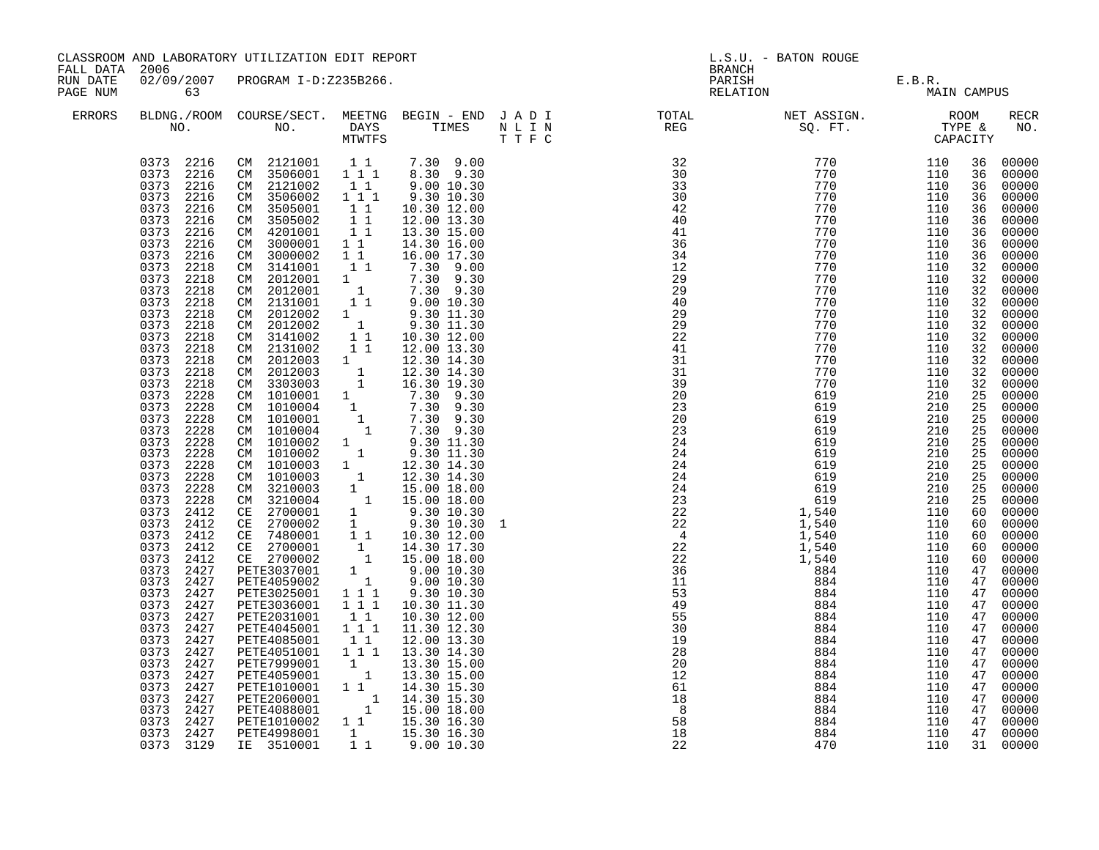| FALL DATA 2006       |                                                                                                                                                                                                                                                                                                                                                                                                                                                                                                                                                                                                                                                                                                                         | CLASSROOM AND LABORATORY UTILIZATION EDIT REPORT                                                                                                                                                                                                                                                                                                                                                                                                                                                                                                                                                                                                                                                                                                                                                                                                                                                                                                                                                                                                                                                                                                                                                                                                                                |                                                                                                                                                                                                                |                                                                                                                                                                                                                                                                                                                                                                                                                 |   | BRANCH                                                                                                                                                                                                                                                                                                                                                                                                                                                                                                                                                                                                                                                                                                                                                | L.S.U. - BATON ROUGE                                               |                                                                                                                                                                                                         |                                                                                                                                                                                                                                                                 |                                                                                                                                                                                                                                                                                                                                                                                                                                                                                                           |
|----------------------|-------------------------------------------------------------------------------------------------------------------------------------------------------------------------------------------------------------------------------------------------------------------------------------------------------------------------------------------------------------------------------------------------------------------------------------------------------------------------------------------------------------------------------------------------------------------------------------------------------------------------------------------------------------------------------------------------------------------------|---------------------------------------------------------------------------------------------------------------------------------------------------------------------------------------------------------------------------------------------------------------------------------------------------------------------------------------------------------------------------------------------------------------------------------------------------------------------------------------------------------------------------------------------------------------------------------------------------------------------------------------------------------------------------------------------------------------------------------------------------------------------------------------------------------------------------------------------------------------------------------------------------------------------------------------------------------------------------------------------------------------------------------------------------------------------------------------------------------------------------------------------------------------------------------------------------------------------------------------------------------------------------------|----------------------------------------------------------------------------------------------------------------------------------------------------------------------------------------------------------------|-----------------------------------------------------------------------------------------------------------------------------------------------------------------------------------------------------------------------------------------------------------------------------------------------------------------------------------------------------------------------------------------------------------------|---|-------------------------------------------------------------------------------------------------------------------------------------------------------------------------------------------------------------------------------------------------------------------------------------------------------------------------------------------------------------------------------------------------------------------------------------------------------------------------------------------------------------------------------------------------------------------------------------------------------------------------------------------------------------------------------------------------------------------------------------------------------|--------------------------------------------------------------------|---------------------------------------------------------------------------------------------------------------------------------------------------------------------------------------------------------|-----------------------------------------------------------------------------------------------------------------------------------------------------------------------------------------------------------------------------------------------------------------|-----------------------------------------------------------------------------------------------------------------------------------------------------------------------------------------------------------------------------------------------------------------------------------------------------------------------------------------------------------------------------------------------------------------------------------------------------------------------------------------------------------|
| RUN DATE<br>PAGE NUM | 63                                                                                                                                                                                                                                                                                                                                                                                                                                                                                                                                                                                                                                                                                                                      | 02/09/2007 PROGRAM I-D:Z235B266.                                                                                                                                                                                                                                                                                                                                                                                                                                                                                                                                                                                                                                                                                                                                                                                                                                                                                                                                                                                                                                                                                                                                                                                                                                                |                                                                                                                                                                                                                |                                                                                                                                                                                                                                                                                                                                                                                                                 |   | PARISH<br>RELATION                                                                                                                                                                                                                                                                                                                                                                                                                                                                                                                                                                                                                                                                                                                                    | E.B.R.<br>MAIN CAMPUS                                              |                                                                                                                                                                                                         |                                                                                                                                                                                                                                                                 |                                                                                                                                                                                                                                                                                                                                                                                                                                                                                                           |
| <b>ERRORS</b>        |                                                                                                                                                                                                                                                                                                                                                                                                                                                                                                                                                                                                                                                                                                                         |                                                                                                                                                                                                                                                                                                                                                                                                                                                                                                                                                                                                                                                                                                                                                                                                                                                                                                                                                                                                                                                                                                                                                                                                                                                                                 |                                                                                                                                                                                                                |                                                                                                                                                                                                                                                                                                                                                                                                                 |   |                                                                                                                                                                                                                                                                                                                                                                                                                                                                                                                                                                                                                                                                                                                                                       |                                                                    |                                                                                                                                                                                                         |                                                                                                                                                                                                                                                                 | <b>RECR</b><br>NO.                                                                                                                                                                                                                                                                                                                                                                                                                                                                                        |
|                      | 0373 2216<br>0373 2216<br>0373<br>2216<br>2216<br>0373<br>0373 2216<br>0373<br>2216<br>0373<br>2216<br>0373<br>2218<br>0373<br>2218<br>0373<br>2218<br>0373<br>2218<br>0373<br>2218<br>0373 2218<br>0373<br>2218<br>0373<br>2218<br>0373 2218<br>0373 2218<br>0373 2218<br>0373<br>2228<br>0373 2228<br>0373 2228<br>0373 2228<br>0373<br>2228<br>0373 2228<br>0373 2228<br>0373 2228<br>0373<br>2228<br>0373<br>2228<br>0373<br>2412<br>0373 2412<br>0373<br>2412<br>0373<br>2412<br>0373<br>2412<br>0373 2427<br>0373 2427<br>0373 2427<br>0373 2427<br>0373 2427<br>0373 2427<br>0373 2427<br>0373 2427<br>0373 2427<br>0373 2427<br>0373<br>2427<br>0373 2427<br>0373 2427<br>$0373$ 2427<br>0373 2427<br>0373 3129 | $\begin{array}{cccccccc} 0373 & 2216 & \text{CM} & 2121001 & 1 & 1 & 7.30 & 9.00 \\ 0373 & 2216 & \text{CM} & 3506001 & 1 & 1 & 1 & 8.30 & 9.30 \end{array}$<br>CM 2121002<br>CM 3506002<br>CM 3505001<br>CM 3505002<br>CM 4201001<br>CM 3000001<br>CM 3000002<br>CM 3141001<br>CM 2012001<br>CM 2012001<br>CM 2131001<br>CM 2012002<br>CM 2012002<br>CM 3141002<br>CM 2131002<br>CM 2012003 1<br>CM 2012003 1 12.30 14.30<br>CM 2012003 1 12.30 14.30<br>CM 330303 1 16.30 19.30<br>CM 1010001 1 7.30 9.30<br>CM 1010004 1 7.30 9.30<br>CM 1010004 1 7.30 9.30<br>CM 1010004 1 7.30 9.30<br>CM 1010002 1 9.30 11.30<br>CM 1010002 1 9.30 11.30<br><br>CM 1010003 1 12.30 14.30<br>CM 1010003 1 12.30 14.30<br>CM 3210003 1 15.00 18.00<br>CM 3210004 1 15.00 18.00<br>CE 2700001 1 9.30 10.30<br>CE 2700002 1 9.30 10.30<br>CE 7480001 1 14.30 17.30<br>CE 2700002 1 14.30 17.30<br>CE 2700002 1 15.<br>PETE3025001 111<br>PETE3025001 111<br>PETE2031001 11<br>PETE4045001 11<br>PETE4085001 11<br>PETE4085001 11<br>PETE4051001 111<br>PETE7999001 1<br>PETE7999001 1<br>PETE1010001 1 1<br>PETE1010001 1 1<br>FETE2060001 1 14.30 15.30<br>PETE4088001 1 15.00 18.00<br>PETE1010002 1 1 15.30 16.30<br>PETE4998001 1 15.30 16.30<br>PETE4998001 1 15.30 16.30<br>IE 3510001 | $1\quad1$<br>$1^{\degree}1^{\degree}1$<br>$\begin{array}{ccc} & 1 & 1 \\ & 1 & 1 \end{array}$<br>11<br>$1\quad1$<br>$\overline{1}$ $\overline{1}$<br>11<br>$\begin{smallmatrix}1&&\\&1\end{smallmatrix}$<br>11 | 9.00 10.30<br>9.30 10.30<br>10.30 12.00<br>12.00 13.30<br>13.30 15.00<br>14.30 16.00<br>16.00 17.30<br>$7.30$ 9.00<br>$7.30$ 9.30<br>$7.30$ 9.30<br>$9.00$ 10.30<br>9.30 11.30<br>$9.30$ 11.30<br>10.30 12.00<br>12.00 13.30<br>12.30 14.30<br>9.30 10.30<br>10.30 11.30<br>10.30 12.00<br>11.30 12.30<br>12.00 13.30<br>13.30 14.30<br>13.30 15.00<br>13.30 15.00<br>14.30 15.30<br>$\frac{1}{1}$ 1 9.00 10.30 | 1 | $\begin{array}{cccc} \text{TP} & \text{F} & \text{C} & \text{CPAP} \\ \text{32} & 770 & 110 \\ \text{33} & 770 & 110 \\ \text{34} & 770 & 110 \\ \text{42} & 770 & 110 \\ \text{44} & 770 & 110 \\ \text{44} & 770 & 110 \\ \text{44} & 770 & 110 \\ \text{45} & 770 & 110 \\ \text{46} & 770 & 110 \\ \text{47} & 770 & 110 \\ \text{48} & 770 & 110 \\ \$<br>20<br>23<br>$\begin{array}{cccc} 20 & 619 \ 23 & 24 & 619 \ 24 & 619 \ 24 & 619 \ 24 & 619 \ 22 & 22 & 1,540 \ 22 & 22 & 1,540 \ 22 & 22 & 1,540 \ 22 & 22 & 1,540 \ 22 & 22 & 1,540 \ 22 & 1,540 & 884 \ 23 & 36 & 884 \ 29 & 884 & 884 \ 29 & 55 & 884 \ 29 & 28 & 884 \ 20 & 884 & 884 \ 20 & 8$<br>20<br>12<br>61<br>$\frac{18}{18}$<br>$\overline{\phantom{0}}$<br>58<br>18<br>22 | 619<br>619<br>884<br>884<br>884<br>884<br>884<br>884<br>884<br>470 | 210<br>210<br>210<br>210<br>210<br>210<br>210<br>210<br>110<br>110<br>110<br>110<br>110<br>110<br>110<br>110<br>110<br>110<br>110<br>110<br>110<br>110<br>110<br>110<br>110<br>110<br>110<br>110<br>110 | 36<br>36<br>36<br>36<br>36<br>36<br>36<br>36<br>32<br>32<br>32<br>32<br>32<br>32<br>32<br>25<br>25<br>25<br>25<br>25<br>$\frac{25}{25}$<br>25<br>25<br>25<br>60<br>60<br>60<br>60<br>47<br>47<br>47<br>47<br>47<br>47<br>47<br>47<br>47<br>47<br>47<br>47<br>47 | 00000<br>00000<br>00000<br>00000<br>36 00000<br>00000<br>00000<br>00000<br>00000<br>00000<br>00000<br>32 00000<br>32 00000<br>32 00000<br>00000<br>00000<br>00000<br>32 00000<br>00000<br>00000<br>$00000$<br>00000<br>00000<br>00000<br>00000<br>$00000$<br>$00000$<br>00000<br>00000<br>00000<br>00000<br>00000<br>60 00000<br>00000<br>00000<br>00000<br>00000<br>00000<br>00000<br>00000<br>00000<br>$00000$<br>00000<br>00000<br>00000<br>00000<br>4700000<br>00000<br>47 00000<br>00000<br>31 00000 |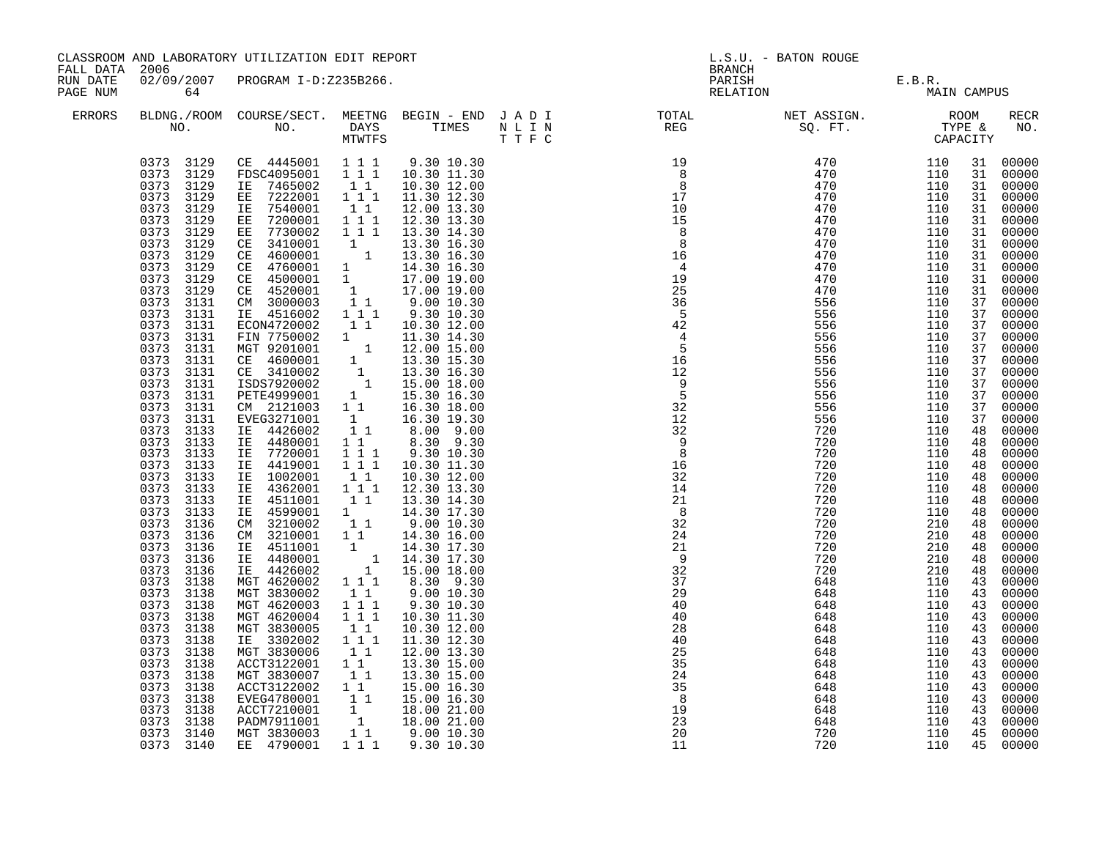|                                        |                                                                                                                                                                                                                                                                                                                                                                                                                                                                                                                                                                                                                                                                                                                    | CLASSROOM AND LABORATORY UTILIZATION EDIT REPORT                                                                                                                                                                                                                                                                                                                                                                                                                                                                                                                                                                                                                                                                                                                                                                                                                                                                                                                                                                                                                                                                                                                                                                  |                                                                                                                                                                                                                                                                                                                                                                                                        |                                                                                                                                                                                                                                                                                                                                                                                                                                                                                                                                                                                                                                                                 |                                                                                                                                                                                                                                                         | L.S.U. - BATON ROUGE                                                                                                                                                                              |                                                                                                                                                                                    |                                                                                                                                                                                                                                                                            |                                                                                                                                                                                                                                                                                                                                                                                                                                                                                     |
|----------------------------------------|--------------------------------------------------------------------------------------------------------------------------------------------------------------------------------------------------------------------------------------------------------------------------------------------------------------------------------------------------------------------------------------------------------------------------------------------------------------------------------------------------------------------------------------------------------------------------------------------------------------------------------------------------------------------------------------------------------------------|-------------------------------------------------------------------------------------------------------------------------------------------------------------------------------------------------------------------------------------------------------------------------------------------------------------------------------------------------------------------------------------------------------------------------------------------------------------------------------------------------------------------------------------------------------------------------------------------------------------------------------------------------------------------------------------------------------------------------------------------------------------------------------------------------------------------------------------------------------------------------------------------------------------------------------------------------------------------------------------------------------------------------------------------------------------------------------------------------------------------------------------------------------------------------------------------------------------------|--------------------------------------------------------------------------------------------------------------------------------------------------------------------------------------------------------------------------------------------------------------------------------------------------------------------------------------------------------------------------------------------------------|-----------------------------------------------------------------------------------------------------------------------------------------------------------------------------------------------------------------------------------------------------------------------------------------------------------------------------------------------------------------------------------------------------------------------------------------------------------------------------------------------------------------------------------------------------------------------------------------------------------------------------------------------------------------|---------------------------------------------------------------------------------------------------------------------------------------------------------------------------------------------------------------------------------------------------------|---------------------------------------------------------------------------------------------------------------------------------------------------------------------------------------------------|------------------------------------------------------------------------------------------------------------------------------------------------------------------------------------|----------------------------------------------------------------------------------------------------------------------------------------------------------------------------------------------------------------------------------------------------------------------------|-------------------------------------------------------------------------------------------------------------------------------------------------------------------------------------------------------------------------------------------------------------------------------------------------------------------------------------------------------------------------------------------------------------------------------------------------------------------------------------|
| FALL DATA 2006<br>RUN DATE<br>PAGE NUM | 64                                                                                                                                                                                                                                                                                                                                                                                                                                                                                                                                                                                                                                                                                                                 | 02/09/2007 PROGRAM I-D:Z235B266.                                                                                                                                                                                                                                                                                                                                                                                                                                                                                                                                                                                                                                                                                                                                                                                                                                                                                                                                                                                                                                                                                                                                                                                  |                                                                                                                                                                                                                                                                                                                                                                                                        |                                                                                                                                                                                                                                                                                                                                                                                                                                                                                                                                                                                                                                                                 | <b>BRANCH</b>                                                                                                                                                                                                                                           | PARISH E.B.R.<br>RELATION MAIN                                                                                                                                                                    | MAIN CAMPUS                                                                                                                                                                        |                                                                                                                                                                                                                                                                            |                                                                                                                                                                                                                                                                                                                                                                                                                                                                                     |
| ERRORS                                 |                                                                                                                                                                                                                                                                                                                                                                                                                                                                                                                                                                                                                                                                                                                    |                                                                                                                                                                                                                                                                                                                                                                                                                                                                                                                                                                                                                                                                                                                                                                                                                                                                                                                                                                                                                                                                                                                                                                                                                   |                                                                                                                                                                                                                                                                                                                                                                                                        |                                                                                                                                                                                                                                                                                                                                                                                                                                                                                                                                                                                                                                                                 |                                                                                                                                                                                                                                                         |                                                                                                                                                                                                   |                                                                                                                                                                                    |                                                                                                                                                                                                                                                                            | RECR<br>NO.                                                                                                                                                                                                                                                                                                                                                                                                                                                                         |
|                                        | 0373 3129<br>0373 3129<br>0373 3129<br>0373 3129<br>0373 3129<br>0373 3129<br>0373<br>3129<br>0373 3129<br>0373 3129<br>0373 3129<br>3129<br>0373<br>0373 3131<br>0373 3131<br>0373 3131<br>0373<br>3131<br>0373<br>3131<br>0373<br>3131<br>0373 3131<br>0373 3131<br>0373 3131<br>0373 3131<br>0373 3131<br>0373 3133<br>0373<br>3133<br>0373<br>3133<br>0373 3133<br>0373 3133<br>0373<br>3133<br>0373<br>3133<br>3133<br>0373<br>0373 3136<br>0373<br>3136<br>0373<br>3136<br>0373<br>3136<br>0373 3136<br>0373<br>3138<br>0373<br>3138<br>0373<br>3138<br>0373 3138<br>0373<br>3138<br>0373<br>3138<br>0373 3138<br>0373 3138<br>0373 3138<br>0373<br>3138<br>0373 3138<br>0373 3138<br>0373 3138<br>0373 3140 | 0373 3129 CE 4445001 111<br>FDSC4095001 111 10.30 11.30<br>IE 7465002<br>EE 7222001<br>IE 7540001<br>EE 7200001<br>EE 7730002<br>CE 3410001 1 13.30 14.30<br>CE 3410001 1 13.30 16.30<br>CE 4600001 1 14.30 16.30<br>CE 4760001 1 14.30 16.30<br>CE 4500001 1 17.00 19.00<br>CE 4520001 1 17.00 19.00<br>CM 300003 1 1 9.00 10.30<br>IE 4516002 1 1 1<br>12.00012 1 1 1 9.30 10.30<br>ECON4720002 1 1 10.30 12.00<br>FIN 7750002 1 1 12.00 15.00<br>NGT 9201001 1 12.00 15.00<br>CE 4600001 1 13.30 15.30<br>CE 3410002 1 13.30 16.30<br>ISDS7920002 1 15.00 18.00<br>PETE4999001 1 15.30 16.30<br>CM 2<br>EVEG3271001<br>IE 4426002<br>IE 4480001<br>IE 7720001<br>IE 4419001<br>IE 1002001<br>IE 4362001<br>$\begin{tabular}{ll} $\begin{array}{l} \texttt{1.5} & 4511001 & 1 & 1\\ \texttt{IE} & 4599001 & 1\\ \texttt{CM} & 3210002 & 1 & 1\\ \texttt{CM} & 3210001 & 1 & 1\\ \texttt{IE} & 4511001 & 1\\ \texttt{IE} & 4480001 & 1\\ \end{array} \end{tabular}$<br>IE 4480001<br>IE 4426002<br>MGT 4620002<br>MGT 3830002<br>MGT 4620003<br>MGT 4620004<br>MGT 3830005<br>IE 3302002<br>MGT 3830006<br>ACCT3122001<br>MGT 3830007<br>ACCT3122002<br>EVEG4780001<br>ACCT7210001<br>PADM7911001<br>MGT 3830003 | $\begin{bmatrix} 1 & 1 \\ 1 & 1 & 1 \end{bmatrix}$<br>11<br>$\begin{array}{rrrr} & 1 & 1 & 1 \\ & 1 & 1 & 1 \end{array}$<br>$1\quad1$<br>$\begin{array}{rrrr} & 1 & 1 & 1 \\ & 1 & 1 & 1 \end{array}$<br>$\begin{smallmatrix}1&1\\1&1\end{smallmatrix}$<br>$1\quad1$<br>$1 1 1$<br>$1 1 1$<br>$\begin{bmatrix} 1 & 1 \\ 1 & 1 \end{bmatrix}$<br>11<br>$1\quad1$<br>$1\quad1$<br>$1\quad1$<br>$1\quad1$ | 9.30 10.30<br>10.30 12.00<br>11.30 12.30<br>12.00 13.30<br>12.30 13.30<br>13.30 14.30<br>9.30 10.30<br>$\begin{bmatrix} 1 & 16.30 & 19.30 \\ 1 & 1 & 8.00 & 9.00 \end{bmatrix}$<br>8.30 9.30<br>9.30 10.30<br>10.30 11.30<br>10.30 12.00<br>12.30 13.30<br>13.30 14.30<br>14.30 17.30<br>$9.00\ 10.30$<br>14.30 16.00<br>$1$ $14.30$ $17.30$ $1$ $14.30$ $17.30$ $1$ $15.00$ $18.00$ $1$ $1$ $1$ $8.30$ $9.30$<br>9.00 10.30<br>9.30 10.30<br>10.30 11.30<br>10.30 12.00<br>11.30 12.30<br>12.00 13.30<br>13.30 15.00<br>13.30 15.00<br>15.00 16.30<br>15.00 16.30<br>$\begin{array}{ccc} 1 & 18.00 & 21.00 \ 1 & 18.00 & 21.00 \ 1 & 9.00 & 10.30 \end{array}$ | $\frac{1}{32}$<br>$\frac{9}{8}$<br>$1\bar{6}$<br>32<br>14<br>$\begin{array}{c} 21 \\ 8 \end{array}$<br>32<br>24<br>21<br>$\overline{9}$<br>32<br>$\overline{37}$<br>29<br>40<br>40<br>28<br>40<br>25<br>35<br>24<br>$rac{1}{35}$<br>8<br>19<br>23<br>20 | 556<br>5566<br>520<br>720<br>720<br>720<br>720<br>720<br>720<br>720<br>720<br>720<br>720<br>720<br>648<br>648<br>648<br>648<br>648<br>648<br>648<br>648<br>648<br>648<br>648<br>648<br>648<br>720 | 110<br>110<br>110<br>110<br>110<br>110<br>110<br>210<br>210<br>210<br>210<br>210<br>110<br>110<br>110<br>110<br>110<br>110<br>110<br>110<br>110<br>110<br>110<br>110<br>110<br>110 | 31<br>31<br>31<br>31<br>31<br>31<br>31<br>31<br>31<br>31<br>31<br>37<br>37<br>37<br>37<br>37<br>37<br>37<br>37<br>37<br>37<br>37<br>48<br>48<br>48<br>48<br>48<br>48<br>48<br>48<br>48<br>48<br>48<br>48<br>48<br>43<br>43<br>43<br>43<br>43<br>43<br>43<br>43<br>43<br>43 | 31 00000<br>00000<br>00000<br>00000<br>00000<br>00000<br>00000<br>00000<br>00000<br>00000<br>00000<br>00000<br>00000<br>00000<br>00000<br>00000<br>00000<br>00000<br>00000<br>00000<br>00000<br>00000<br>00000<br>00000<br>$00000$<br>00000<br>00000<br>00000<br>00000<br>$00000$<br>$00000$<br>00000<br>00000<br>00000<br>00000<br>00000<br>00000<br>00000<br>00000<br>00000<br>00000<br>00000<br>00000<br>00000<br>00000<br>43 00000<br>43 00000<br>00000<br>43 00000<br>45 00000 |
|                                        | 0373 3140                                                                                                                                                                                                                                                                                                                                                                                                                                                                                                                                                                                                                                                                                                          | EE 4790001                                                                                                                                                                                                                                                                                                                                                                                                                                                                                                                                                                                                                                                                                                                                                                                                                                                                                                                                                                                                                                                                                                                                                                                                        |                                                                                                                                                                                                                                                                                                                                                                                                        | 1 1 1 9.30 10.30                                                                                                                                                                                                                                                                                                                                                                                                                                                                                                                                                                                                                                                | 11                                                                                                                                                                                                                                                      | 720                                                                                                                                                                                               | 110                                                                                                                                                                                |                                                                                                                                                                                                                                                                            | 45 00000                                                                                                                                                                                                                                                                                                                                                                                                                                                                            |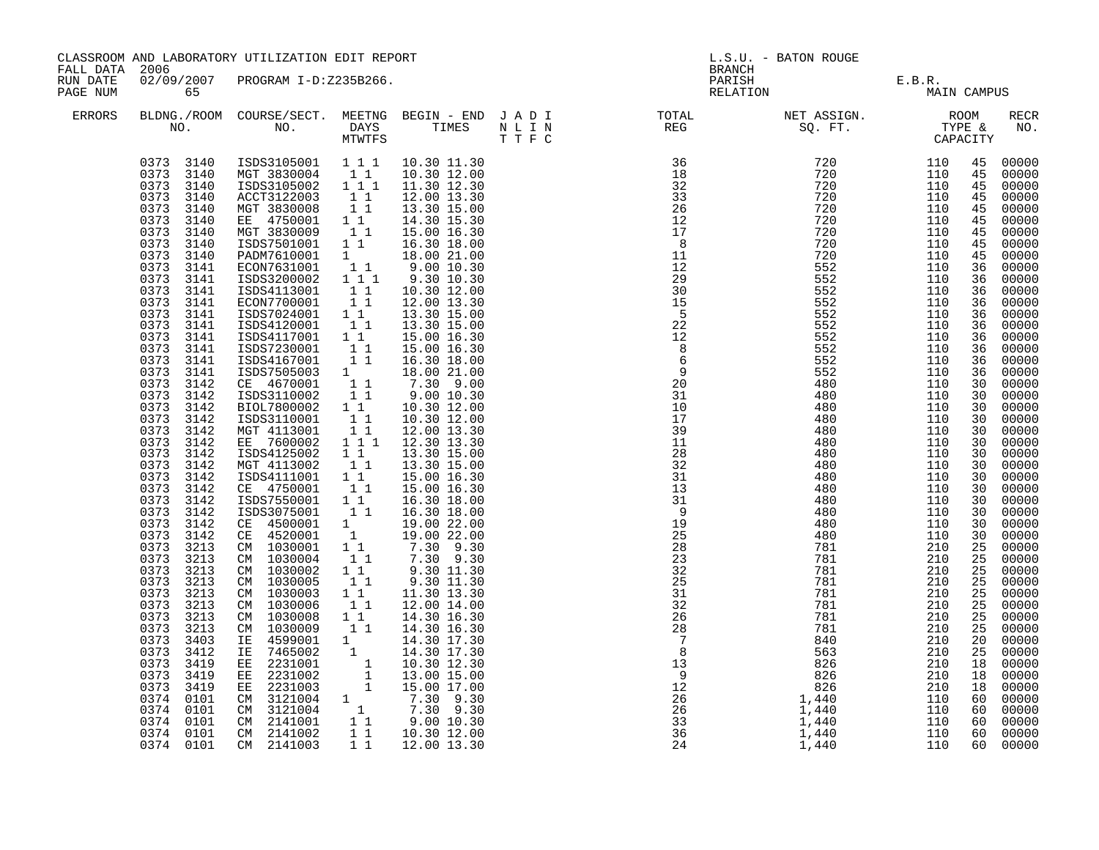| FALL DATA 2006       |                                                                                                                                                                                                                                                                                                                                                                                                                                                                                                                                                                                                                                                                                                                                                                   | CLASSROOM AND LABORATORY UTILIZATION EDIT REPORT                                                                                                                                                                                                                                                                                                                                                                                                                                                                                                                                                                                                                                                                                                                                                                                                                                                     |                                                                                                                                                                                                                                                                                                                                                                                                                                                                                    |                                                                                                                                                                                                                                                                                                                                                                                                                                                                                                                                                                                                                                                                                                                       |                                                                        | <b>BRANCH</b>                                                                                                                                                                                                                                                                                                                                                                                                                                                                                                                                                                                                                  | L.S.U. - BATON ROUGE                                                                                                                                                                                                  |                                                                                                                                                                                                         |                                                                                                                                                                                                                                                                                                    |                                                                                                                                                                                                                                                                                                                                                                                                                                                                                 |
|----------------------|-------------------------------------------------------------------------------------------------------------------------------------------------------------------------------------------------------------------------------------------------------------------------------------------------------------------------------------------------------------------------------------------------------------------------------------------------------------------------------------------------------------------------------------------------------------------------------------------------------------------------------------------------------------------------------------------------------------------------------------------------------------------|------------------------------------------------------------------------------------------------------------------------------------------------------------------------------------------------------------------------------------------------------------------------------------------------------------------------------------------------------------------------------------------------------------------------------------------------------------------------------------------------------------------------------------------------------------------------------------------------------------------------------------------------------------------------------------------------------------------------------------------------------------------------------------------------------------------------------------------------------------------------------------------------------|------------------------------------------------------------------------------------------------------------------------------------------------------------------------------------------------------------------------------------------------------------------------------------------------------------------------------------------------------------------------------------------------------------------------------------------------------------------------------------|-----------------------------------------------------------------------------------------------------------------------------------------------------------------------------------------------------------------------------------------------------------------------------------------------------------------------------------------------------------------------------------------------------------------------------------------------------------------------------------------------------------------------------------------------------------------------------------------------------------------------------------------------------------------------------------------------------------------------|------------------------------------------------------------------------|--------------------------------------------------------------------------------------------------------------------------------------------------------------------------------------------------------------------------------------------------------------------------------------------------------------------------------------------------------------------------------------------------------------------------------------------------------------------------------------------------------------------------------------------------------------------------------------------------------------------------------|-----------------------------------------------------------------------------------------------------------------------------------------------------------------------------------------------------------------------|---------------------------------------------------------------------------------------------------------------------------------------------------------------------------------------------------------|----------------------------------------------------------------------------------------------------------------------------------------------------------------------------------------------------------------------------------------------------------------------------------------------------|---------------------------------------------------------------------------------------------------------------------------------------------------------------------------------------------------------------------------------------------------------------------------------------------------------------------------------------------------------------------------------------------------------------------------------------------------------------------------------|
| RUN DATE<br>PAGE NUM | 65                                                                                                                                                                                                                                                                                                                                                                                                                                                                                                                                                                                                                                                                                                                                                                | 02/09/2007 PROGRAM I-D:Z235B266.                                                                                                                                                                                                                                                                                                                                                                                                                                                                                                                                                                                                                                                                                                                                                                                                                                                                     |                                                                                                                                                                                                                                                                                                                                                                                                                                                                                    |                                                                                                                                                                                                                                                                                                                                                                                                                                                                                                                                                                                                                                                                                                                       |                                                                        |                                                                                                                                                                                                                                                                                                                                                                                                                                                                                                                                                                                                                                | PARISH E.B.R.<br>RELATION MAIN                                                                                                                                                                                        | MAIN CAMPUS                                                                                                                                                                                             |                                                                                                                                                                                                                                                                                                    |                                                                                                                                                                                                                                                                                                                                                                                                                                                                                 |
| ERRORS               |                                                                                                                                                                                                                                                                                                                                                                                                                                                                                                                                                                                                                                                                                                                                                                   |                                                                                                                                                                                                                                                                                                                                                                                                                                                                                                                                                                                                                                                                                                                                                                                                                                                                                                      |                                                                                                                                                                                                                                                                                                                                                                                                                                                                                    |                                                                                                                                                                                                                                                                                                                                                                                                                                                                                                                                                                                                                                                                                                                       |                                                                        | $\begin{tabular}{lllllllllllllllllllll} \textsc{BLONG.} \textsc{F1} & \textsc{R1} & \textsc{R2} & \textsc{R3} & \textsc{R4} & \textsc{R5} & \textsc{R5} & \textsc{R6} & \textsc{R6} & \textsc{R6} & \textsc{R6} & \textsc{R6} & \textsc{R6} & \textsc{R6} & \textsc{R6} & \textsc{R6} & \textsc{R6} & \textsc{R6} & \textsc{R6} & \textsc{R6} & \textsc{R6} & \textsc{R6} & \textsc{R6} & \textsc{R6} & \text$                                                                                                                                                                                                                 |                                                                                                                                                                                                                       |                                                                                                                                                                                                         |                                                                                                                                                                                                                                                                                                    | RECR<br>NO.                                                                                                                                                                                                                                                                                                                                                                                                                                                                     |
|                      | 0373 3140<br>0373 3140<br>0373 3140<br>0373 3140<br>0373<br>3140<br>0373<br>3140<br>0373 3140<br>0373<br>3140<br>0373<br>3140<br>0373 3141<br>0373 3141<br>0373 3141<br>0373 3141<br>0373 3141<br>0373 3141<br>0373 3141<br>0373<br>3141<br>0373 3141<br>0373 3141<br>0373 3142<br>0373<br>3142<br>0373<br>3142<br>0373<br>3142<br>0373 3142<br>0373<br>3142<br>0373<br>3142<br>0373<br>3142<br>0373 3142<br>0373<br>3142<br>0373<br>3142<br>0373<br>3142<br>0373 3142<br>0373 3142<br>0373<br>3213<br>0373 3213<br>0373 3213<br>0373 3213<br>0373<br>3213<br>0373<br>3213<br>0373 3213<br>0373<br>3213<br>0373<br>3403<br>0373<br>3412<br>0373<br>3419<br>0373<br>3419<br>0373<br>3419<br>0374<br>0101<br>0374<br>0101<br>0374<br>0101<br>0374 0101<br>0374 0101 | ISDS3105001   1   1   1   10.30   11.30<br>MGT 3830004   1   10.30   12.00<br>ISDS3105002 1 1 1<br>ACCT3122003 1 1<br>MGT 3830008<br>EE 4750001 11<br>MGT 3830009 11<br>ISDS7501001 1 1<br>PADM7610001 1<br>ECON7631001 1 1<br>ISDS3200002 1 1 1<br>ISDS4113001<br>ECON7700001<br>ISDS7024001 1 1<br>ISDS4120001 1 1<br>ISDS4117001 1 1<br>ISDS7230001 1 1<br>15DS4167001 1<br>ISDS7505003 1<br>CE 4670001 1 1<br>ISDS3110002 1 1<br>ISDS3110002<br>BIOL7800002<br>ISDS3110001<br>MGT 4113001<br>EE 7600002<br>ISDS4125002<br>MGT 4113002<br>ISDS4111001 1 1<br>CE 4750001 1 1<br>ISDS7550001<br>ISDS3075001<br>CE 4500001<br>CE 4520001<br>CM 1030001<br>CM 1030004<br>CM 1030002<br>CM 1030005<br>CM 1030003<br>CM 1030006<br>CM 1030008<br>CM 1030009<br>IE 4599001<br>IE 7465002<br>EE 2231001<br>EE 2231002<br>EE 2231003<br>CM 3121004<br>CM 3121004<br>CM 2141001<br>CM 2141002<br>CM 2141003 | $1\quad1$<br>$\begin{bmatrix} 1 \\ 1 \\ 1 \end{bmatrix}$<br>$1\quad1$<br>$\begin{smallmatrix} 1 & 1 \\ 1 & 1 \end{smallmatrix}$<br>11<br>11<br>$\begin{smallmatrix}1\1\end{smallmatrix}$<br>$1\quad1$<br>$\begin{bmatrix} 1 \\ 1 \end{bmatrix}$<br>11<br>$\begin{bmatrix} 1 \\ 1 \\ 1 \end{bmatrix}$<br>$\begin{bmatrix} 1 \\ 1 \end{bmatrix}$<br>$\begin{bmatrix} 1 \\ 1 \end{bmatrix}$<br>$\begin{smallmatrix}1&&1\\&1\\1&&\end{smallmatrix}$<br>$1^-1$<br>11<br>$\frac{1}{1}$ 1 | 11.30 12.30<br>12.00 13.30<br>13.30 15.00<br>14.30 15.30<br>15.00 16.30<br>16.30 18.00<br>18.00 21.00<br>9.00 10.30<br>9.30 10.30<br>10.30 12.00<br>12.00 13.30<br>13.30 15.00<br>13.30 15.00<br>15.00 16.30<br>15.00 16.30<br>16.30 18.00<br>18.00 21.00<br>10.30 12.00<br>10.30 12.00<br>12.00 13.30<br>12.30 13.30<br>13.30 15.00<br>13.30 15.00<br>15.00 16.30<br>15.00 16.30<br>16.30 18.00<br>16.30 18.00<br>19.00 22.00<br>19.00 22.00<br>7.30 9.30<br>$7.30$ 9.30<br>9.30 11.30<br>9.30 11.30<br>11.30 13.30<br>12.00 14.00<br>14.30 16.30<br>14.30 16.30<br>14.30 17.30<br>14.30 17.30<br>10.30 12.30<br>13.00 15.00<br>15.00 17.00<br>$7.30$ 9.30<br>$7.30$ 9.30<br>9.0010.30<br>10.30 12.00<br>12.00 13.30 | $\begin{array}{r} 139 \\ 92 \\ 26 \\ 26 \\ 33 \\ 36 \\ 24 \end{array}$ | $\begin{array}{cccc} \text{T} & \text{T} & \text{F} & \text{C} & \text{CAPAC:} \\ \text{36} & 720 & 110 & 4 \\ \text{32} & 720 & 110 & 4 \\ \text{33} & 720 & 110 & 4 \\ \text{34} & 720 & 110 & 4 \\ \text{35} & 720 & 110 & 4 \\ \text{36} & 720 & 110 & 4 \\ \text{37} & 720 & 110 & 4 \\ \text{38} & 720 & 110 & 4 \\ \text{39} & 720 & 110 & 4 \\ \text$<br>17<br>39<br>11<br>28<br>32<br>31<br>$\begin{array}{c} 13 \\ 31 \\ 9 \end{array}$<br>9<br>$\begin{array}{c}\n 3 \\  19 \\  25 \\  20\n \end{array}$<br>28<br>23<br>32<br>25<br>31<br>$32$<br>$26$<br>$28$<br>$\frac{1}{7}$<br>8 <sup>8</sup><br>$\frac{8}{13}$ | 480<br>480<br>480<br>480<br>480<br>480<br>480<br>480<br>480<br>480<br>480<br>781<br>781<br>781<br>781<br>781<br>781<br>781<br>781<br>840<br>563<br>826<br>826<br>826<br>1,440<br>$1,440$<br>$1,440$<br>1,440<br>1,440 | 110<br>110<br>110<br>110<br>110<br>110<br>110<br>110<br>110<br>110<br>110<br>210<br>210<br>210<br>210<br>210<br>210<br>210<br>210<br>210<br>210<br>210<br>210<br>210<br>110<br>110<br>110<br>110<br>110 | 45<br>45<br>45<br>45<br>45<br>45<br>45<br>45<br>45<br>36<br>36<br>36<br>36<br>36<br>36<br>36<br>36<br>36<br>36<br>30<br>30<br>30<br>30<br>30<br>30<br>30<br>30<br>30<br>30<br>30<br>30<br>30<br>30<br>25<br>25<br>25<br>25<br>25<br>25<br>25<br>25<br>20<br>25<br>18<br>18<br>18<br>60<br>60<br>60 | 00000<br>00000<br>00000<br>00000<br>00000<br>00000<br>00000<br>00000<br>00000<br>00000<br>00000<br>00000<br>00000<br>00000<br>00000<br>00000<br>00000<br>00000<br>00000<br>00000<br>00000<br>00000<br>00000<br>00000<br>00000<br>00000<br>00000<br>00000<br>00000<br>00000<br>00000<br>00000<br>00000<br>00000<br>00000<br>00000<br>00000<br>00000<br>00000<br>00000<br>00000<br>00000<br>00000<br>00000<br>00000<br>00000<br>$00000$<br>00000<br>00000<br>60 00000<br>60 00000 |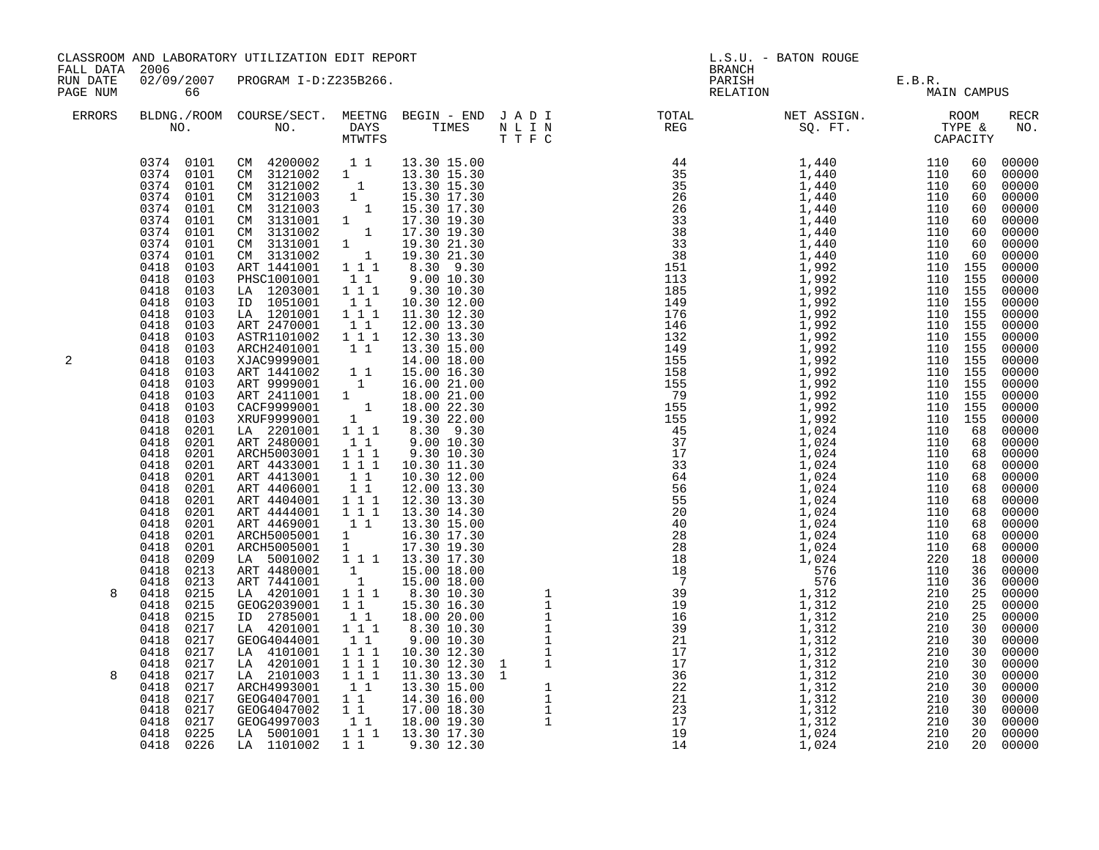| FALL DATA 2006<br>RUN DATE<br>PAGE NUM |                                                                                                                                                                                                                                                                                                                                                                                                                                                                                                                                                                                                                                                                                                           | CLASSROOM AND LABORATORY UTILIZATION EDIT REPORT                                                                                                                                                                                                                                                                                                                                                                                                                                                                                                                                                                                                                                                                                                                                                        |                                                                                                                                                                                                                                                                                |                                                                                                                                                                                                                                                                                                                                                                                                                                                                        | <b>BRANCH</b>                                                                                                                                                                                                                                                                                                                                                                                             | L.S.U. - BATON ROUGE |                       |             |
|----------------------------------------|-----------------------------------------------------------------------------------------------------------------------------------------------------------------------------------------------------------------------------------------------------------------------------------------------------------------------------------------------------------------------------------------------------------------------------------------------------------------------------------------------------------------------------------------------------------------------------------------------------------------------------------------------------------------------------------------------------------|---------------------------------------------------------------------------------------------------------------------------------------------------------------------------------------------------------------------------------------------------------------------------------------------------------------------------------------------------------------------------------------------------------------------------------------------------------------------------------------------------------------------------------------------------------------------------------------------------------------------------------------------------------------------------------------------------------------------------------------------------------------------------------------------------------|--------------------------------------------------------------------------------------------------------------------------------------------------------------------------------------------------------------------------------------------------------------------------------|------------------------------------------------------------------------------------------------------------------------------------------------------------------------------------------------------------------------------------------------------------------------------------------------------------------------------------------------------------------------------------------------------------------------------------------------------------------------|-----------------------------------------------------------------------------------------------------------------------------------------------------------------------------------------------------------------------------------------------------------------------------------------------------------------------------------------------------------------------------------------------------------|----------------------|-----------------------|-------------|
|                                        | 02/09/2007<br>66                                                                                                                                                                                                                                                                                                                                                                                                                                                                                                                                                                                                                                                                                          | PROGRAM I-D:Z235B266.                                                                                                                                                                                                                                                                                                                                                                                                                                                                                                                                                                                                                                                                                                                                                                                   |                                                                                                                                                                                                                                                                                |                                                                                                                                                                                                                                                                                                                                                                                                                                                                        | PARISH<br>RELATION                                                                                                                                                                                                                                                                                                                                                                                        |                      | E.B.R.<br>MAIN CAMPUS |             |
| ERRORS                                 |                                                                                                                                                                                                                                                                                                                                                                                                                                                                                                                                                                                                                                                                                                           |                                                                                                                                                                                                                                                                                                                                                                                                                                                                                                                                                                                                                                                                                                                                                                                                         |                                                                                                                                                                                                                                                                                |                                                                                                                                                                                                                                                                                                                                                                                                                                                                        | BLDNG./ROOM COURSE/SECT. MEETNG BEGIN – END J A D I TOTAL ASSIGN. NET ASSIGN. AND ROOM ROOM NO. DAYS TIMES N L I N REG SQ. FT. TYPE &                                                                                                                                                                                                                                                                     |                      |                       | RECR<br>NO. |
| 2<br>8<br>8                            | 0374 0101<br>0374<br>0101<br>0374<br>0101<br>0374<br>0101<br>0374<br>0101<br>0374<br>0101<br>0374<br>0101<br>0418<br>0103<br>0418<br>0103<br>0418<br>0103<br>0418<br>0103<br>0418<br>0103<br>0418<br>0103<br>0418<br>0103<br>0418<br>0103<br>0418<br>0103<br>0418<br>0103<br>0418<br>0103<br>0418<br>0103<br>0418<br>0103<br>0418<br>0103<br>0418<br>0201<br>0418<br>0201<br>0418<br>0201<br>0418<br>0201<br>0418<br>0201<br>0418<br>0201<br>0418<br>0201<br>0418<br>0201<br>0418<br>0201<br>0418<br>0201<br>0418<br>0201<br>0418<br>0209<br>0418<br>0213<br>0418<br>0213<br>0418<br>0215<br>0418<br>0215<br>0418<br>0215<br>0418<br>0217<br>0418<br>0217<br>0418<br>0217<br>0418<br>0217<br>0418<br>0217 | 0374 0101 CM 4200002 11<br>0374 0101 CM 3121002 1<br>CM 3121002 1<br>CM 3121002 1<br>CM 3121003<br>CM 3131001<br>CM 3131002<br>CM 3131001<br>CM 3131002<br>ART 1441001<br>PHSC1001001<br>LA 1203001<br>ID 1051001<br>LA 1201001<br>ART 2470001<br>ASTR1101002<br>ARCH2401001<br>XJAC9999001 11 15.00 18.00<br>ART 1441002 1 1 15.00 16.30<br>ART 9999001 1 16.00 21.00<br>ART 2411001 1 18.00 21.00<br>CACF9999001 1 18.00 22.30<br>XRUF9999001 1 19.30 22.00<br>LA 2201001<br>ART 2480001<br>ARCH5003001<br>ART 4433001<br>ART 4413001<br>ART 4406001<br>ART 4404001<br>ART 4444001 111<br>ART 4469001<br>ARCH5005001<br>ARCH5005001<br>LA 5001002<br>ART 4480001<br>ART 7441001<br>LA 4201001<br>GEOG2039001<br>ID 2785001<br>LA 4201001<br>GEOG4044001<br>LA 4101001<br>LA 4201001<br>LA 2101003 111 | 11<br>$1 1 1$<br>$1\quad1$<br>1 1 1<br>$1\quad1$<br>$\begin{smallmatrix}1&&1\\&1\\1&&1\end{smallmatrix}$<br>1 1 1<br>$1\quad1$<br>111<br>111<br>$1\quad1$<br>11<br>$1 1 1$<br>$1\quad1$<br>$\frac{1}{1}$<br>$1\quad1$<br>$1\quad1$<br>$1 1 1$<br>$1\quad1$<br>1 1 1<br>$1 1 1$ | 13.30 15.00<br>13.30 15.30<br>13.30 15.30<br>15.30 17.30<br>15.30 17.30<br>17.30 19.30<br>17.30 19.30<br>19.30 21.30<br>19.30 21.30<br>8.30 9.30<br>9.00 10.30<br>9.30 10.30<br>10.30 12.00<br>11.30 12.30<br>12.00 13.30<br>12.30 13.30<br>13.30 15.00<br>8.30 9.30<br>9.00 10.30<br>9.30 10.30<br>10.30 11.30<br>10.30 12.00<br>12.00 13.30<br>1 1 1 1 13.30 17.30<br>$\begin{bmatrix} 1 & 15.00 & 18.00 \\ 1 & 15.00 & 18.00 \\ 1 & 1 & 8.30 & 10.30 \end{bmatrix}$ | $\begin{tabular}{l c c c c} $\mathbf{R}=\mathbf{1}^{\mathsf{H}}\mathbf{1}^{\mathsf{H}}\mathbf{1}^{\mathsf{H}}\mathbf{1}^{\mathsf{H}}\mathbf{1}^{\mathsf{H}}\mathbf{1}^{\mathsf{H}}\mathbf{1}^{\mathsf{H}}\mathbf{1}^{\mathsf{H}}\mathbf{1}^{\mathsf{H}}\mathbf{1}^{\mathsf{H}}\mathbf{1}^{\mathsf{H}}\mathbf{1}^{\mathsf{H}}\mathbf{1}^{\mathsf{H}}\mathbf{1}^{\mathsf{H}}\mathbf{1}^{\mathsf{H}}\mathbf$ |                      |                       |             |
|                                        | 0217<br>0418<br>0418<br>0217<br>0217<br>0418<br>0418<br>0217<br>0418<br>0225<br>0418 0226                                                                                                                                                                                                                                                                                                                                                                                                                                                                                                                                                                                                                 | ARCH4993001<br>GEOG4047001<br>GEOG4047002<br>GEOG4997003<br>LA 5001001<br>LA 1101002                                                                                                                                                                                                                                                                                                                                                                                                                                                                                                                                                                                                                                                                                                                    | 11<br>$1\quad1$<br>$1\quad1$<br>$1\quad1$                                                                                                                                                                                                                                      | $\begin{array}{cccc} 1.1.30 & 12.30 & 1 & 1 \ 11.30 & 13.30 & 1 \ 13.30 & 15.00 & 1 \ 14.30 & 16.00 & 1 \ 17.00 & 18.30 & 1 \ 18.00 & 19.30 & 1 \ 13.30 & 17.30 & \end{array}$<br>18.00 19.30<br>1 1 1 1 13.30 17.30<br>1 1 9.30 12.30                                                                                                                                                                                                                                 |                                                                                                                                                                                                                                                                                                                                                                                                           |                      |                       |             |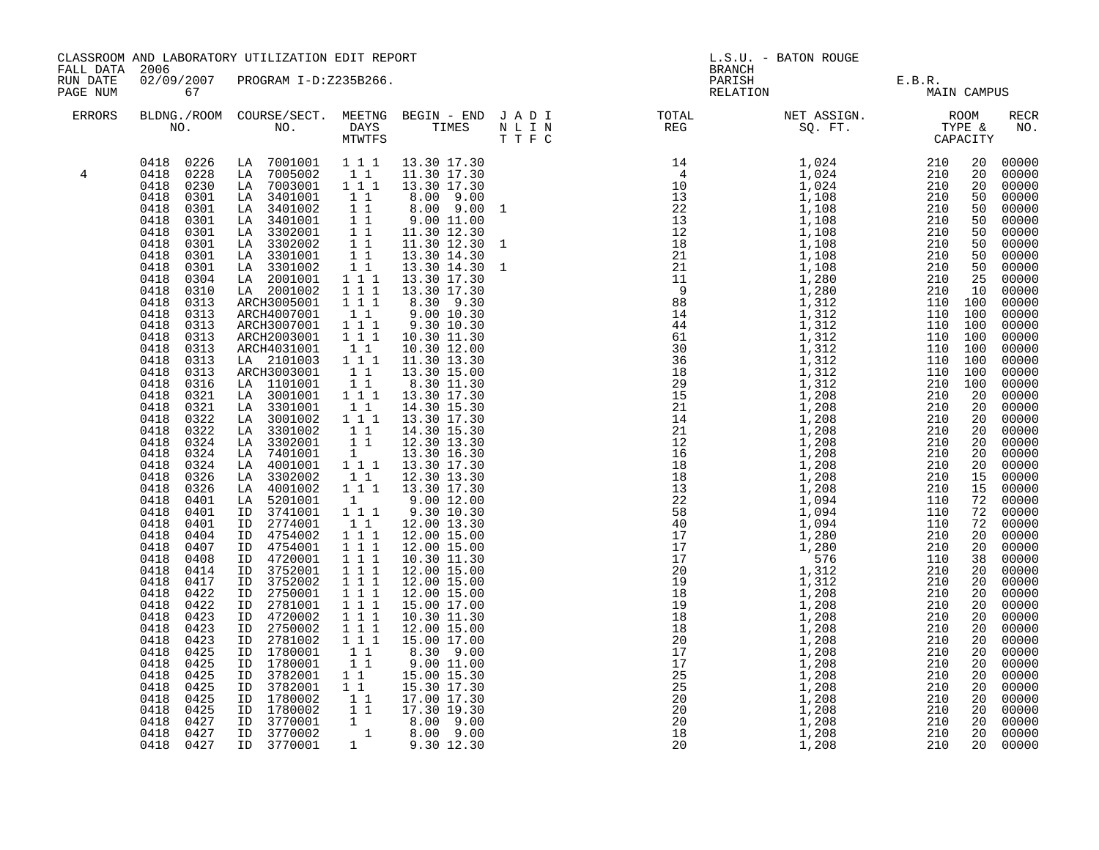| FALL DATA 2006       |                                                                                                                                                                                                                                                                                                                                                                                                                                                                                                                                                                                                                                                                                                                                                              | CLASSROOM AND LABORATORY UTILIZATION EDIT REPORT                                                                                                                                                                                                                                                                                                                                                                                                                                                                                                                                                                                                                                                                                                                                                                                                                                        |                                                                                                                                                                                                                                                                                                                                                                                                                                                                                                                                                                |                                                                                                                                                                                                                                                                                                                                                                                                                                                                                                                                                                                                                                                                                                                                                                                                                              |                              | <b>BRANCH</b> | L.S.U. - BATON ROUGE                  |  |                                                                                                                                                                                                                                                                                                                                                                                                                                                                                                                                           |
|----------------------|--------------------------------------------------------------------------------------------------------------------------------------------------------------------------------------------------------------------------------------------------------------------------------------------------------------------------------------------------------------------------------------------------------------------------------------------------------------------------------------------------------------------------------------------------------------------------------------------------------------------------------------------------------------------------------------------------------------------------------------------------------------|-----------------------------------------------------------------------------------------------------------------------------------------------------------------------------------------------------------------------------------------------------------------------------------------------------------------------------------------------------------------------------------------------------------------------------------------------------------------------------------------------------------------------------------------------------------------------------------------------------------------------------------------------------------------------------------------------------------------------------------------------------------------------------------------------------------------------------------------------------------------------------------------|----------------------------------------------------------------------------------------------------------------------------------------------------------------------------------------------------------------------------------------------------------------------------------------------------------------------------------------------------------------------------------------------------------------------------------------------------------------------------------------------------------------------------------------------------------------|------------------------------------------------------------------------------------------------------------------------------------------------------------------------------------------------------------------------------------------------------------------------------------------------------------------------------------------------------------------------------------------------------------------------------------------------------------------------------------------------------------------------------------------------------------------------------------------------------------------------------------------------------------------------------------------------------------------------------------------------------------------------------------------------------------------------------|------------------------------|---------------|---------------------------------------|--|-------------------------------------------------------------------------------------------------------------------------------------------------------------------------------------------------------------------------------------------------------------------------------------------------------------------------------------------------------------------------------------------------------------------------------------------------------------------------------------------------------------------------------------------|
| RUN DATE<br>PAGE NUM | 67                                                                                                                                                                                                                                                                                                                                                                                                                                                                                                                                                                                                                                                                                                                                                           | 02/09/2007 PROGRAM I-D:Z235B266.                                                                                                                                                                                                                                                                                                                                                                                                                                                                                                                                                                                                                                                                                                                                                                                                                                                        |                                                                                                                                                                                                                                                                                                                                                                                                                                                                                                                                                                |                                                                                                                                                                                                                                                                                                                                                                                                                                                                                                                                                                                                                                                                                                                                                                                                                              |                              |               | PARISH E.B.R.<br>RELATION MAIN CAMPUS |  |                                                                                                                                                                                                                                                                                                                                                                                                                                                                                                                                           |
| ERRORS               |                                                                                                                                                                                                                                                                                                                                                                                                                                                                                                                                                                                                                                                                                                                                                              |                                                                                                                                                                                                                                                                                                                                                                                                                                                                                                                                                                                                                                                                                                                                                                                                                                                                                         |                                                                                                                                                                                                                                                                                                                                                                                                                                                                                                                                                                |                                                                                                                                                                                                                                                                                                                                                                                                                                                                                                                                                                                                                                                                                                                                                                                                                              |                              |               |                                       |  | RECR<br>NO.                                                                                                                                                                                                                                                                                                                                                                                                                                                                                                                               |
| 4                    | 0418<br>0230<br>0418<br>0301<br>0418<br>0301<br>0418<br>0301<br>0418<br>0301<br>0418<br>0301<br>0418<br>0301<br>0418<br>0301<br>0418<br>0304<br>0418<br>0310<br>0418<br>0313<br>0418<br>0313<br>0418<br>0313<br>0418<br>0313<br>0418<br>0313<br>0418<br>0313<br>0418<br>0313<br>0418<br>0316<br>0418<br>0321<br>0418<br>0321<br>0418<br>0322<br>0418<br>0322<br>0418<br>0324<br>0418<br>0324<br>0418<br>0324<br>0418<br>0326<br>0418<br>0326<br>0418<br>0401<br>0418<br>0401<br>0418<br>0401<br>0418<br>0404<br>0418<br>0407<br>0418<br>0408<br>0418<br>0414<br>0418<br>0417<br>0418<br>0422<br>0418<br>0422<br>0418<br>0423<br>0418<br>0423<br>0418<br>0423<br>0418<br>0425<br>0418<br>0425<br>0418<br>0425<br>0418<br>0425<br>0418<br>0425<br>0418<br>0425 | 0418 0226 LA 7001001 111 13.30 17.30<br>0418 0228 LA 7005002<br>LA 7003001 111<br>LA 3401001<br>LA 3401002<br>LA 3401001<br>LA 3302001<br>LA 3302002<br>LA 3301001<br>LA 3301002<br>LA 2001001<br>LA 2001002<br>ARCH3005001<br>ARCH4007001<br>ARCH3007001<br>ARCH2003001<br>ARCH4031001<br>LA 2101003 111<br>ARCH3003001<br>LA 1101001<br>LA 3001001<br>LA 3301001<br>LA 3001002<br>LA 3301002<br>LA 3302001<br>LA 7401001<br>LA 4001001<br>LA 3302002<br>LA 4001002<br>LA 5201001<br>ID 3741001<br>ID 2774001<br>ID 4754002<br>ID 4754001<br>ID 4720001<br>ID 3752001<br>ID 3752002<br>ID 2750001<br>ID 2781001<br>ID 4720002<br>ID 2750002<br>ID 2781002<br>ID 1780001<br>ID 1780001<br>ID 3782001<br>ID 3782001<br>ID 1780002<br>ID 1780002<br>ID 3770001<br>ID 3770002<br>0418 0427 ID 3770001 1 8.00 9.00<br>0418 0427 ID 3770002 1 8.00 9.00<br>0418 0427 ID 3770002 1 9.30 12.30 | $1\quad1$<br>11<br>11<br>$\overline{1}$ 1<br>11<br>11<br>$\overline{1}$ $\overline{1}$<br>$1\quad1$<br>$1 1 1$<br>1 1 1<br>111<br>$1\quad1$<br>1 1 1<br>111<br>$1\quad1$<br>11<br>$\begin{smallmatrix}1&1\\1&1&1\end{smallmatrix}$<br>$1\quad1$<br>$1\hspace{0.1cm} 1\hspace{0.1cm} 1$<br>$1\quad1$<br>11<br>$\begin{smallmatrix}1\1\1\1\end{smallmatrix}$<br>$1\quad1$<br>$1\quad1$<br>$1 1 1$<br>$1 1 1$<br>$1 1 1$<br>$1 1 1$<br>$1 1 1$<br>$1 1 1$<br>1 1 1<br>$1 1 1$<br>$1 1 1$<br>1 1 1<br>$1\quad1$<br>11<br>$1\quad1$<br>$1\quad1$<br>$1\quad1$<br>11 | 11.30 17.30<br>13.30 17.30<br>8.00 9.00<br>8.00 9.00 1<br>9.00 11.00<br>11.30 12.30<br>11.30 12.30<br>13.30 14.30<br>13.30 14.30<br>13.30 17.30<br>13.30 17.30<br>8.30 9.30<br>9.00 10.30<br>9.30 10.30<br>10.30 11.30<br>10.30 12.00<br>11.30 13.30<br>13.30 15.00<br>8.30 11.30<br>13.30 17.30<br>14.30 15.30<br>13.30 17.30<br>14.30 15.30<br>12.30 13.30<br>13.30 16.30<br>13.30 17.30<br>12.30 13.30<br>$1\overline{1}$ $1\overline{1}$ $13.30\overline{17.30}$<br>$\begin{array}{cccc} 1 & 9.00 & 12.00 \\ 1 & 1 & 1 & 9.30 & 10.30 \end{array}$<br>12.00 13.30<br>12.00 15.00<br>12.00 15.00<br>10.30 11.30<br>12.00 15.00<br>12.00 15.00<br>12.00 15.00<br>15.00 17.00<br>10.30 11.30<br>12.00 15.00<br>15.00 17.00<br>8.30 9.00<br>$8.30$<br>9.00 11.00<br>15.00 15.30<br>15.30 17.30<br>17.00 17.30<br>17.30 19.30 | $\mathbf{1}$<br>$\mathbf{1}$ |               |                                       |  | 20 00000<br>00000<br>20 00000<br>50 00000<br>00000<br>00000<br>00000<br>00000<br>00000<br>00000<br>$00000$<br>$00000$<br>00000<br>00000<br>00000<br>00000<br>00000<br>00000<br>00000<br>00000<br>00000<br>00000<br>00000<br>20 00000<br>00000<br>00000<br>15 00000<br>72 00000<br>72 00000<br>00000<br>20 00000<br>00000<br>38 00000<br>00000<br>20 00000<br>$\begin{array}{ccc} 20 & 00000 \ 20 & 00000 \end{array}$<br>00000<br>20 00000<br>00000<br>00000<br>00000<br>00000<br>00000<br>$00000$<br>00000<br>00000<br>00000<br>20 00000 |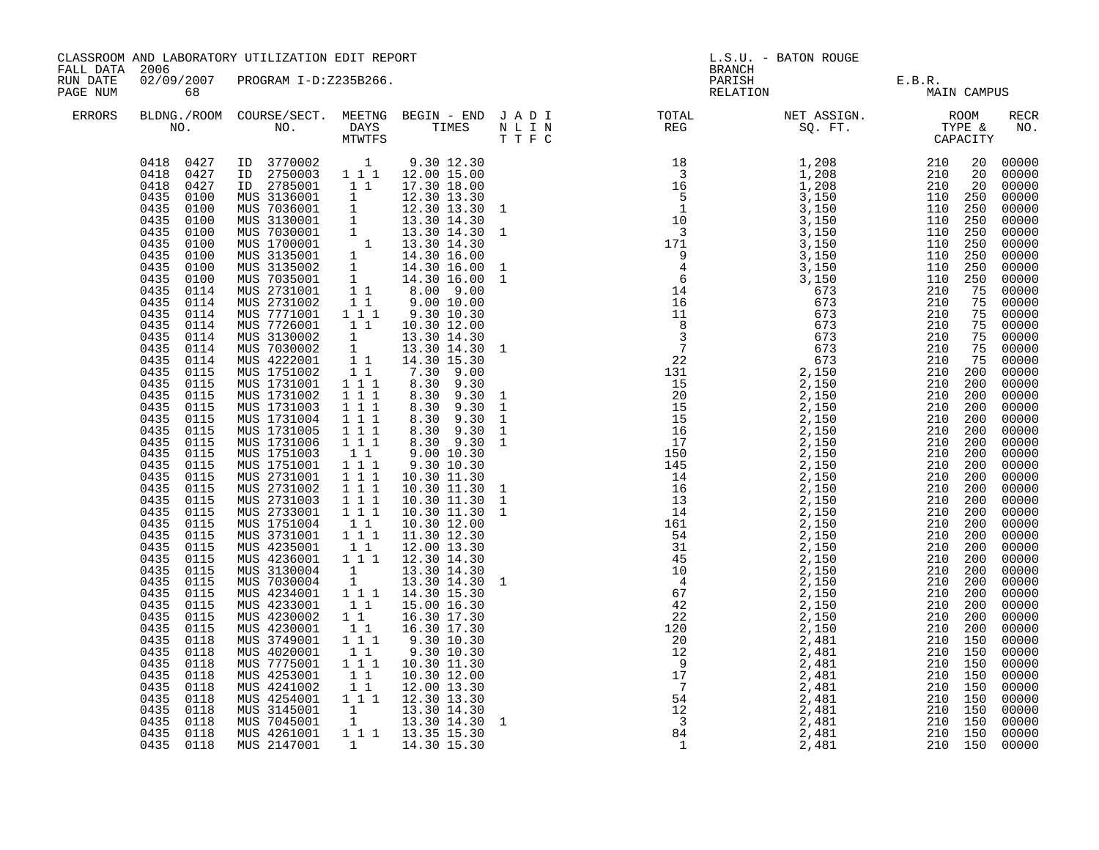|                                        |                                                                                                                                                                                                                                                                                                                                                                                                                                                                                                                                                                                                                                                                                                                                                                                                     | CLASSROOM AND LABORATORY UTILIZATION EDIT REPORT                                                                                                                                                                                                                                                                                                                                                                                                                                                                                                                                                                                                                                                                                                                                                                                                                                                                                                                                                                                                                                                                            |                                                                                                                                                                                                                                                                                                                              |                                                                                                                                                                                                                                                                                                                                                                                                                                                                                                                                                                                                        |                                                                                  |               | L.S.U. - BATON ROUGE                  |             |
|----------------------------------------|-----------------------------------------------------------------------------------------------------------------------------------------------------------------------------------------------------------------------------------------------------------------------------------------------------------------------------------------------------------------------------------------------------------------------------------------------------------------------------------------------------------------------------------------------------------------------------------------------------------------------------------------------------------------------------------------------------------------------------------------------------------------------------------------------------|-----------------------------------------------------------------------------------------------------------------------------------------------------------------------------------------------------------------------------------------------------------------------------------------------------------------------------------------------------------------------------------------------------------------------------------------------------------------------------------------------------------------------------------------------------------------------------------------------------------------------------------------------------------------------------------------------------------------------------------------------------------------------------------------------------------------------------------------------------------------------------------------------------------------------------------------------------------------------------------------------------------------------------------------------------------------------------------------------------------------------------|------------------------------------------------------------------------------------------------------------------------------------------------------------------------------------------------------------------------------------------------------------------------------------------------------------------------------|--------------------------------------------------------------------------------------------------------------------------------------------------------------------------------------------------------------------------------------------------------------------------------------------------------------------------------------------------------------------------------------------------------------------------------------------------------------------------------------------------------------------------------------------------------------------------------------------------------|----------------------------------------------------------------------------------|---------------|---------------------------------------|-------------|
| FALL DATA 2006<br>RUN DATE<br>PAGE NUM | 02/09/2007<br>68                                                                                                                                                                                                                                                                                                                                                                                                                                                                                                                                                                                                                                                                                                                                                                                    | PROGRAM I-D:Z235B266.                                                                                                                                                                                                                                                                                                                                                                                                                                                                                                                                                                                                                                                                                                                                                                                                                                                                                                                                                                                                                                                                                                       |                                                                                                                                                                                                                                                                                                                              |                                                                                                                                                                                                                                                                                                                                                                                                                                                                                                                                                                                                        |                                                                                  | <b>BRANCH</b> | PARISH E.B.R.<br>RELATION MAIN CAMPUS |             |
| <b>ERRORS</b>                          |                                                                                                                                                                                                                                                                                                                                                                                                                                                                                                                                                                                                                                                                                                                                                                                                     | BLDNG./ROOM COURSE/SECT. MEETNG BEGIN – END J A D I TOTAL TOTAL NO. DAYS TIMES N L I N REG REG T T F C                                                                                                                                                                                                                                                                                                                                                                                                                                                                                                                                                                                                                                                                                                                                                                                                                                                                                                                                                                                                                      |                                                                                                                                                                                                                                                                                                                              |                                                                                                                                                                                                                                                                                                                                                                                                                                                                                                                                                                                                        |                                                                                  |               |                                       | RECR<br>NO. |
|                                        | 0418 0427<br>0435<br>0100<br>0435<br>0100<br>0435<br>0100<br>0435<br>0100<br>0435<br>0100<br>0435<br>0100<br>0435<br>0100<br>0435<br>0100<br>0435<br>0114<br>0435<br>0114<br>0435<br>0114<br>0435<br>0114<br>0435<br>0114<br>0435<br>0114<br>0435<br>0114<br>0435<br>0115<br>0435<br>0115<br>0435<br>0115<br>0435<br>0115<br>0435<br>0115<br>0435<br>0115<br>0435<br>0115<br>0435<br>0115<br>0435<br>0115<br>0435<br>0115<br>0435<br>0115<br>0435<br>0115<br>0435<br>0115<br>0435<br>0115<br>0435<br>0115<br>0435<br>0115<br>0435<br>0115<br>0435<br>0115<br>0435<br>0115<br>0435<br>0115<br>0435<br>0115<br>0435<br>0115<br>0435<br>0115<br>0435<br>0118<br>0435<br>0118<br>0435<br>0118<br>0435<br>0118<br>0435<br>0118<br>0435<br>0118<br>0435<br>0118<br>0435<br>0118<br>0435 0118<br>0435 0118 | $\begin{array}{cccccccc} 0418 & 0427 & \text{ID} & 3770002 & & 1 & 9.30 & 12.30 \\ 0418 & 0427 & \text{ID} & 2750003 & 1 & 1 & 1 & 12.00 & 15.00 \end{array}$<br>ID 2785001 11<br>TD 2785001 1 17.30 18.00<br>MUS 3136001 1 12.30 13.30<br>MUS 7036001 1 12.30 13.30<br>MUS 3130001 1 13.30 14.30<br>MUS 7030001 1 13.30 14.30<br>MUS 1700001 1 13.30 14.30<br>MUS 3135001 1 14.30 16.00<br>MUS 3135002 1 14.30 16.00<br>MUS 703<br>MUS 2731002 1 1<br>MUS 7771001 1 1 1<br>MUS 7726001 11<br>MUS 3130002 1<br>MUS 7030002 1<br>MUS 4222001 11<br>MUS 1751002<br>MUS 1731001<br>MUS 1731002<br>MUS 1731003<br>MUS 1731004<br>MUS 1731005<br>MUS 1731006<br>MUS 1751003<br>MUS 1751001<br>MUS 2731001<br>MUS 2731002<br>MUS 2731003<br>MUS 2733001<br>MUS 1751004<br>MUS 3731001<br>MUS 4235001<br>MUS 4236001 1 1 1 12.30 14.30<br>MUS 3130004<br>MUS 7030004<br>MUS 4234001<br>MUS 4233001<br>MUS 4230002<br>MUS 4230001<br>MUS 3749001<br>MUS 4020001<br>MUS 7775001<br>MUS 4253001<br>MUS 4241002<br>MUS 4254001 111 12.30 13.30<br>MUS 3145001 1 13.30 14.30<br>MUS 7045001 1 13.30 14.30<br>MUS 4261001<br>MUS 2147001 | 11<br>1 1 1<br>$1 1 1$<br>1 1 1<br>1 1 1<br>1 1 1<br>1 1 1<br>11<br>$1 \quad 1 \quad 1$<br>$1 1 1$<br>$1 1 1$<br>$\begin{array}{rrrr} & 1 & 1 & 1 \\ & 1 & 1 & 1 \end{array}$<br>11<br>$1^{\circ}1^{\circ}1$<br>11<br>$\frac{1}{1}$<br>$1\quad1$<br>$1\quad1$<br>11<br>111<br>$1\quad1$<br>$1 1 1$<br>$1\quad1$<br>$1\quad1$ | 17.30 18.00<br>12.30 13.30 1<br>$9.00\ 10.00$<br>9.30 10.30<br>10.30 12.00<br>13.30 14.30<br>13.30 14.30 1<br>14.30 15.30<br>7.30 9.00<br>8.30 9.30<br>8.30 9.30<br>8.30 9.30<br>8.30 9.30<br>8.30 9.30 1<br>8.30 9.30 1<br>$9.00$ $10.30$<br>$9.30$ $10.30$<br>10.30 11.30<br>10.30 11.30 1<br>10.30 11.30 1<br>10.30 11.30<br>10.30 12.00<br>11.30 12.30<br>12.00 13.30<br>13.30 14.30<br>13.30 14.30 1<br>1 1 1 1 1 1 4 . 30 1 5 . 30<br>15.00 16.30<br>16.30 17.30<br>16.30 17.30<br>9.30 10.30<br>9.30 10.30<br>10.30 11.30<br>10.30 12.00<br>12.00 13.30<br>1 1 1 1 13.35 15.30<br>1 14.30 15.30 | $\mathbf{1}$<br>$\mathbf{1}$<br>$\,$ $\,$ $\,$<br>$\mathbf{1}$<br>$\overline{1}$ |               |                                       |             |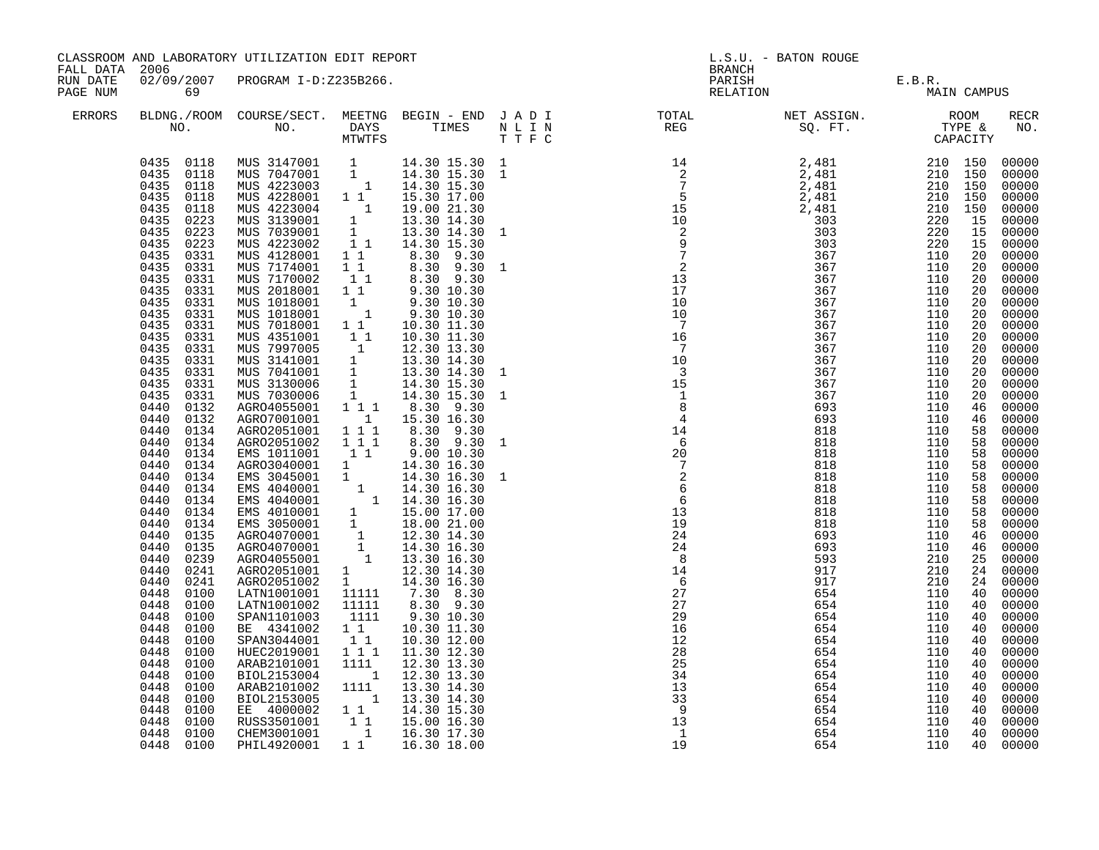|                                        |                                                                                                                                                                                                                                                                                                                                                                                                                                                                                                                                                                                                                                                                                                                                                                           | CLASSROOM AND LABORATORY UTILIZATION EDIT REPORT                                                                                                                                                                                                                                                                                                                                                                                                                                                                                                                                                                                                                                                                                                                                                                                                                                                                                                                                                                                                                                                          |                                                                                                                                                                                                                                                    |                                                                                                                                                                                                                                                                                                                                                                                                                                                                                                                                                                                                                                                                                                                                                                                                                 |                                                  |                                                                                                                                                                                                                                                                                                                                                                                                                                                                                                                                                                                                                                                                                                                               | L.S.U. - BATON ROUGE                                                                                                                                                                                                                       |                                                                                                                                                                                                                                            |                                                                                                                                                                                                    |                                                                                                                                                                                                                                                                                                                                                                                                                                                                            |
|----------------------------------------|---------------------------------------------------------------------------------------------------------------------------------------------------------------------------------------------------------------------------------------------------------------------------------------------------------------------------------------------------------------------------------------------------------------------------------------------------------------------------------------------------------------------------------------------------------------------------------------------------------------------------------------------------------------------------------------------------------------------------------------------------------------------------|-----------------------------------------------------------------------------------------------------------------------------------------------------------------------------------------------------------------------------------------------------------------------------------------------------------------------------------------------------------------------------------------------------------------------------------------------------------------------------------------------------------------------------------------------------------------------------------------------------------------------------------------------------------------------------------------------------------------------------------------------------------------------------------------------------------------------------------------------------------------------------------------------------------------------------------------------------------------------------------------------------------------------------------------------------------------------------------------------------------|----------------------------------------------------------------------------------------------------------------------------------------------------------------------------------------------------------------------------------------------------|-----------------------------------------------------------------------------------------------------------------------------------------------------------------------------------------------------------------------------------------------------------------------------------------------------------------------------------------------------------------------------------------------------------------------------------------------------------------------------------------------------------------------------------------------------------------------------------------------------------------------------------------------------------------------------------------------------------------------------------------------------------------------------------------------------------------|--------------------------------------------------|-------------------------------------------------------------------------------------------------------------------------------------------------------------------------------------------------------------------------------------------------------------------------------------------------------------------------------------------------------------------------------------------------------------------------------------------------------------------------------------------------------------------------------------------------------------------------------------------------------------------------------------------------------------------------------------------------------------------------------|--------------------------------------------------------------------------------------------------------------------------------------------------------------------------------------------------------------------------------------------|--------------------------------------------------------------------------------------------------------------------------------------------------------------------------------------------------------------------------------------------|----------------------------------------------------------------------------------------------------------------------------------------------------------------------------------------------------|----------------------------------------------------------------------------------------------------------------------------------------------------------------------------------------------------------------------------------------------------------------------------------------------------------------------------------------------------------------------------------------------------------------------------------------------------------------------------|
| FALL DATA 2006<br>RUN DATE<br>PAGE NUM | 69                                                                                                                                                                                                                                                                                                                                                                                                                                                                                                                                                                                                                                                                                                                                                                        | 02/09/2007 PROGRAM I-D:Z235B266.                                                                                                                                                                                                                                                                                                                                                                                                                                                                                                                                                                                                                                                                                                                                                                                                                                                                                                                                                                                                                                                                          |                                                                                                                                                                                                                                                    |                                                                                                                                                                                                                                                                                                                                                                                                                                                                                                                                                                                                                                                                                                                                                                                                                 |                                                  | BRANCH                                                                                                                                                                                                                                                                                                                                                                                                                                                                                                                                                                                                                                                                                                                        | PARISH E.B.R.<br>RELATION MAIN CAMPUS                                                                                                                                                                                                      |                                                                                                                                                                                                                                            |                                                                                                                                                                                                    |                                                                                                                                                                                                                                                                                                                                                                                                                                                                            |
| ERRORS                                 |                                                                                                                                                                                                                                                                                                                                                                                                                                                                                                                                                                                                                                                                                                                                                                           |                                                                                                                                                                                                                                                                                                                                                                                                                                                                                                                                                                                                                                                                                                                                                                                                                                                                                                                                                                                                                                                                                                           |                                                                                                                                                                                                                                                    |                                                                                                                                                                                                                                                                                                                                                                                                                                                                                                                                                                                                                                                                                                                                                                                                                 |                                                  | BLDNG./ROOM COURSE/SECT. MEETNG BEGIN – END JADI TOTAL NET ASSIGN. NET ASSIGN. ROOM NO. DAYS TIMES NLIN REG SQ.FT. TYPE &                                                                                                                                                                                                                                                                                                                                                                                                                                                                                                                                                                                                     |                                                                                                                                                                                                                                            |                                                                                                                                                                                                                                            |                                                                                                                                                                                                    | RECR<br>NO.                                                                                                                                                                                                                                                                                                                                                                                                                                                                |
|                                        | 0435<br>0118<br>0435<br>0223<br>0435<br>0223<br>0435<br>0223<br>0435<br>0331<br>0435<br>0331<br>0435<br>0331<br>0435<br>0331<br>0435<br>0331<br>0435<br>0331<br>0435<br>0331<br>0435<br>0331<br>0435<br>0331<br>0435<br>0331<br>0435<br>0331<br>0435<br>0331<br>0435<br>0331<br>0440<br>0132<br>0440<br>0132<br>0440<br>0134<br>0440<br>0134<br>0440<br>0134<br>0440<br>0134<br>0440<br>0134<br>0440<br>0134<br>0440<br>0134<br>0440<br>0134<br>0440<br>0134<br>0440<br>0135<br>0440<br>0135<br>0440<br>0239<br>0440<br>0241<br>0440<br>0241<br>0448<br>0100<br>0448<br>0100<br>0448<br>0100<br>0448<br>0100<br>0448<br>0100<br>0448<br>0100<br>0448<br>0100<br>0448<br>0100<br>0448<br>0100<br>0448<br>0100<br>0448<br>0100<br>0448<br>0100<br>0448<br>0100<br>0448 0100 | 0435 0118 MUS 3147001 1<br>0435 0118 MUS 7047001 1<br>0435 0118 MUS 4223003 1<br>0435 0118 MUS 4228001 1 1<br>MUS 4223004<br>MUS 3139001<br>MUS 7039001<br>MUS 4223002<br>MUS 4128001<br>MUS 7174001<br>MUS 7170002<br>MUS 2018001<br>MUS 1018001<br>MUS 1018001<br>MUS 7018001 1 1<br>NUS 4351001<br>NUS 4351001<br>NUS 7997005<br>1 12.30 13.30<br>NUS 3141001<br>1 13.30 14.30<br>NUS 7041001 1 13.30 14.30<br>MUS 3130006 1 14.30 15.30<br>MUS 7030006 1 14.30 15.30<br>AGRO4055001 1 1 1 8.30 9.30<br>AGR07001001<br>AGRO2051001 111<br>AGR02051002<br>EMS 1011001<br>AGRO3040001 1<br>EMS 3045001 1<br>EMS 3045001 1 14.30 16.30<br>EMS 4040001 1 14.30 16.30<br>EMS 4040001 1 14.30 16.30<br>EMS 4010001 1 15.00 17.00<br>EMS 3050001 1 18.00 21.00<br>AGRO4070001 1 12.30 14.30<br>AGRO4070001 1 14.30 16.30<br>AGRO4075001 1 14.30 16.30<br>AGRO40<br>AGR02051001<br>AGR02051002<br>LATN1001001<br>LATN1001002<br>SPAN1101003<br>BE 4341002<br>SPAN3044001<br>HUEC2019001<br>ARAB2101001<br>BIOL2153004<br>ARAB2101002<br>BIOL2153005<br>EE 4000002<br>RUSS3501001<br>CHEM3001001<br>PHIL4920001 | $\begin{bmatrix} 1 \\ 1 \\ 1 \end{bmatrix}$<br>$1\quad1$<br>$\begin{smallmatrix}1&&\\&1\end{smallmatrix}$<br>$\overline{1}$<br>111<br>11<br>11111<br>11111<br>1111<br>$1\quad1$<br>$1\quad1$<br>111<br>1111<br>$\overline{1}$<br>1111<br>$1\quad1$ | 14.30 15.30 1<br>14.30 15.30 1<br>14.30 15.30<br>15.30 17.00<br>19.00 21.30<br>13.30 14.30<br>13.30 14.30<br>1 1 14.30 15.30<br>$\begin{array}{cccc} 1 & 1 & & 8\, .30 & 9\, .30 \\ 1 & 1 & & 8\, .30 & 9\, .30 \end{array}$<br>$\begin{bmatrix} 1 & 1 & 8 & 30 & 9 & 30 \\ 1 & 1 & 9 & 30 & 10 & 30 \\ 1 & 9 & 30 & 10 & 30 \\ 1 & 9 & 30 & 10 & 30 \end{bmatrix}$<br>9.30 10.30<br>10.30 11.30<br>15.30 16.30<br>8.30 9.30<br>8.30 9.30<br>9.0010.30<br>14.30 16.30<br>14.30 16.30<br>$\begin{array}{ccc} 1 & 12.30 & 14.30 \\ 1 & 12.30 & 14.30 \\ 1 & 14.30 & 16.30 \end{array}$<br>7.30 8.30<br>8.30 9.30<br>9.30 10.30<br>10.30 11.30<br>10.30 12.00<br>11.30 12.30<br>12.30 13.30<br>12.30 13.30<br>13.30 14.30<br>1 13.30 14.30<br>1 1 1 14.30 15.30<br>15.00 16.30<br>1 16.30 17.30<br>1 1 16.30 18.00 | 1<br>$\mathbf{1}$<br>1<br>$\mathbf{1}$<br>1<br>1 | $\begin{array}{cccccccc} \text{T} & \text{F} & \text{C} & \text{S} & \text{S} & \text{S} & \text{S} \\ \text{14} & \text{2} & \text{2,481} & \text{210} & \text{150} \\ \text{2} & \text{2,481} & \text{210} & \text{150} \\ \text{5} & \text{2,481} & \text{210} & \text{150} \\ \text{15} & \text{2,481} & \text{210} & \text{150} \\ \text{16} & \text{2,481} & \text{210} & \text{150} \\ \text$<br>$\begin{array}{c} 7 \\ 10 \end{array}$<br>15<br>$\overline{1}$<br>$\overline{8}$<br>$\overline{4}$<br>$14$<br>$6$<br>$20$<br>$7$<br>$2$<br>$6$<br>$6\overline{6}$<br>13<br>19<br>24<br>24<br>8<br>14<br>6<br>27<br>27<br>29<br>16<br>12<br>28<br>25<br>34<br>13<br>33<br>- 9<br>$\frac{1}{3}$<br>$\overline{1}$<br>19 | 367<br>367<br>367<br>367<br>693<br>693<br>818<br>818<br>818<br>818<br>818<br>818<br>818<br>818<br>818<br>693<br>693<br>593<br>917<br>917<br>654<br>654<br>654<br>654<br>654<br>654<br>654<br>654<br>654<br>654<br>654<br>654<br>654<br>654 | 110<br>110<br>110<br>110<br>110<br>110<br>110<br>110<br>110<br>110<br>110<br>110<br>110<br>110<br>110<br>110<br>110<br>210<br>210<br>210<br>110<br>110<br>110<br>110<br>110<br>110<br>110<br>110<br>110<br>110<br>110<br>110<br>110<br>110 | 20<br>20<br>20<br>20<br>46<br>46<br>58<br>58<br>58<br>58<br>58<br>58<br>58<br>58<br>58<br>46<br>25<br>24<br>24<br>40<br>40<br>40<br>40<br>40<br>40<br>40<br>40<br>40<br>40<br>40<br>40<br>40<br>40 | 00000<br>00000<br>00000<br>00000<br>00000<br>00000<br>00000<br>00000<br>00000<br>00000<br>00000<br>00000<br>00000<br>00000<br>00000<br>00000<br>00000<br>00000<br>00000<br>00000<br>00000<br>00000<br>00000<br>00000<br>00000<br>00000<br>00000<br>00000<br>00000<br>00000<br>00000<br>00000<br>00000<br>46 00000<br>00000<br>00000<br>00000<br>00000<br>00000<br>00000<br>00000<br>00000<br>00000<br>00000<br>00000<br>00000<br>00000<br>00000<br>00000<br>00000<br>00000 |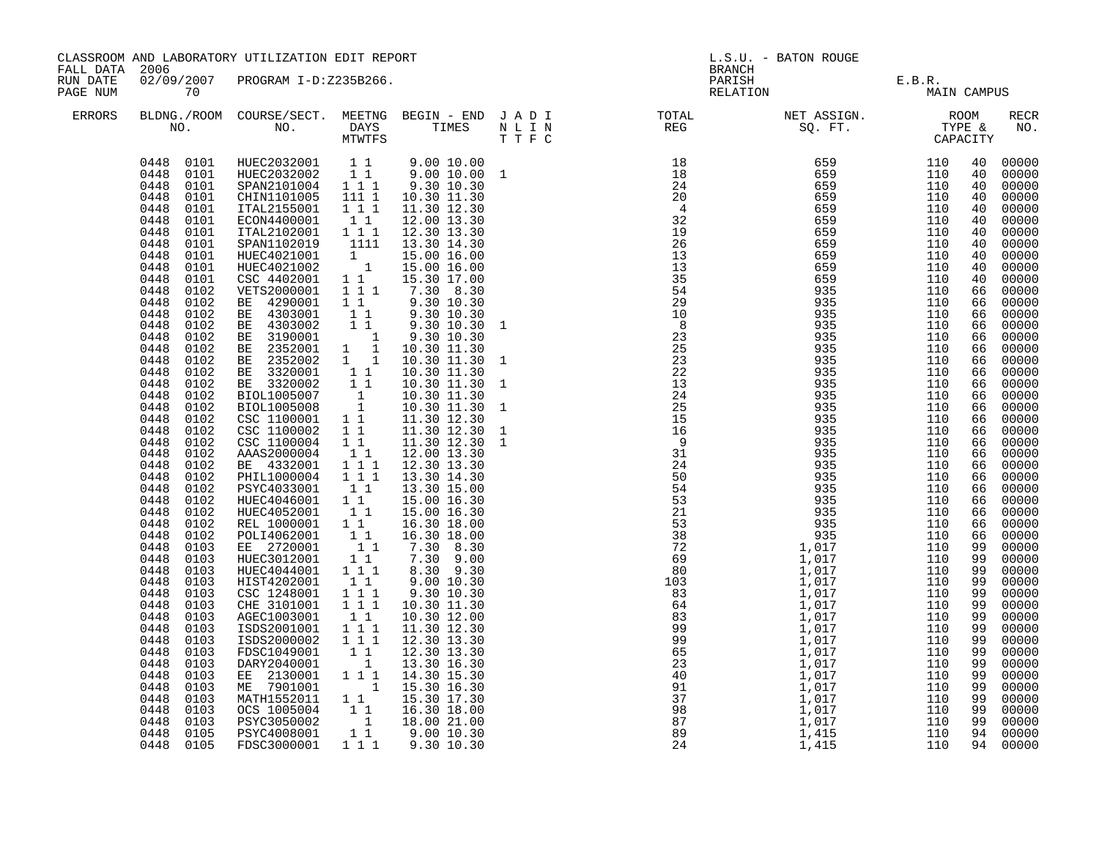| CLASSROOM AND LABORATORY UTILIZATION EDIT REPORT<br>FALL DATA<br>2006<br>02/09/2007 PROGRAM I-D:Z235B266.<br>RUN DATE<br>PAGE NUM<br>70 |                                                                                                                                                                                                                                                                                                                                                                                                                                                                                                                                                                                                                                                                                                                                                                                           |                                                                                                                                                                                                                                                                                                                                                                                                                                                                                                                                                                                                                                                                                                                                                                                                                                                      | <b>BRANCH</b>                                                                                                                                                                                                                                                                                                                                                                                                                                                                                                                            | L.S.U. - BATON ROUGE                                                                                                                                                                                                                                                                                                                                                                                                                                                                                                                                                                                                                                                               |                                                                                   |                                                                                                                                                                                                                                                                                                                                 |                                       |                                                                                                                                                                                                                                                          |                                                                                                                                                                                                                                                                                  |                                                                                                                                                                                                                                                                                                                                                                                                                                                                            |
|-----------------------------------------------------------------------------------------------------------------------------------------|-------------------------------------------------------------------------------------------------------------------------------------------------------------------------------------------------------------------------------------------------------------------------------------------------------------------------------------------------------------------------------------------------------------------------------------------------------------------------------------------------------------------------------------------------------------------------------------------------------------------------------------------------------------------------------------------------------------------------------------------------------------------------------------------|------------------------------------------------------------------------------------------------------------------------------------------------------------------------------------------------------------------------------------------------------------------------------------------------------------------------------------------------------------------------------------------------------------------------------------------------------------------------------------------------------------------------------------------------------------------------------------------------------------------------------------------------------------------------------------------------------------------------------------------------------------------------------------------------------------------------------------------------------|------------------------------------------------------------------------------------------------------------------------------------------------------------------------------------------------------------------------------------------------------------------------------------------------------------------------------------------------------------------------------------------------------------------------------------------------------------------------------------------------------------------------------------------|------------------------------------------------------------------------------------------------------------------------------------------------------------------------------------------------------------------------------------------------------------------------------------------------------------------------------------------------------------------------------------------------------------------------------------------------------------------------------------------------------------------------------------------------------------------------------------------------------------------------------------------------------------------------------------|-----------------------------------------------------------------------------------|---------------------------------------------------------------------------------------------------------------------------------------------------------------------------------------------------------------------------------------------------------------------------------------------------------------------------------|---------------------------------------|----------------------------------------------------------------------------------------------------------------------------------------------------------------------------------------------------------------------------------------------------------|----------------------------------------------------------------------------------------------------------------------------------------------------------------------------------------------------------------------------------------------------------------------------------|----------------------------------------------------------------------------------------------------------------------------------------------------------------------------------------------------------------------------------------------------------------------------------------------------------------------------------------------------------------------------------------------------------------------------------------------------------------------------|
|                                                                                                                                         |                                                                                                                                                                                                                                                                                                                                                                                                                                                                                                                                                                                                                                                                                                                                                                                           |                                                                                                                                                                                                                                                                                                                                                                                                                                                                                                                                                                                                                                                                                                                                                                                                                                                      |                                                                                                                                                                                                                                                                                                                                                                                                                                                                                                                                          |                                                                                                                                                                                                                                                                                                                                                                                                                                                                                                                                                                                                                                                                                    |                                                                                   |                                                                                                                                                                                                                                                                                                                                 | PARISH E.B.R.<br>RELATION MAIN CAMPUS |                                                                                                                                                                                                                                                          |                                                                                                                                                                                                                                                                                  |                                                                                                                                                                                                                                                                                                                                                                                                                                                                            |
| ERRORS                                                                                                                                  |                                                                                                                                                                                                                                                                                                                                                                                                                                                                                                                                                                                                                                                                                                                                                                                           |                                                                                                                                                                                                                                                                                                                                                                                                                                                                                                                                                                                                                                                                                                                                                                                                                                                      |                                                                                                                                                                                                                                                                                                                                                                                                                                                                                                                                          |                                                                                                                                                                                                                                                                                                                                                                                                                                                                                                                                                                                                                                                                                    |                                                                                   |                                                                                                                                                                                                                                                                                                                                 |                                       |                                                                                                                                                                                                                                                          |                                                                                                                                                                                                                                                                                  | <b>RECR</b><br>NO.                                                                                                                                                                                                                                                                                                                                                                                                                                                         |
|                                                                                                                                         | 0448 0101<br>0448<br>0101<br>0448<br>0101<br>0448<br>0101<br>0448<br>0101<br>0448<br>0101<br>0448<br>0101<br>0448<br>0101<br>0448<br>0101<br>0448<br>0102<br>0448<br>0102<br>0448<br>0102<br>0448<br>0102<br>0448<br>0102<br>0448<br>0102<br>0448<br>0102<br>0448<br>0102<br>0448<br>0102<br>0448<br>0102<br>0448<br>0102<br>0448<br>0102<br>0448<br>0102<br>0448<br>0102<br>0448<br>0102<br>0448<br>0102<br>0448<br>0102<br>0448<br>0102<br>0448<br>0102<br>0448<br>0102<br>0448<br>0102<br>0448<br>0102<br>0448<br>0103<br>0448<br>0103<br>0448<br>0103<br>0448<br>0103<br>0448<br>0103<br>0448<br>0103<br>0448<br>0103<br>0448<br>0103<br>0448<br>0103<br>0448<br>0103<br>0448<br>0103<br>0448<br>0103<br>0448<br>0103<br>0448<br>0103<br>0448<br>0103<br>0448<br>0103<br>0448<br>0105 | 0448  0101  HUEC2032001  11  9.00  10.00<br>0448  0101  HUEC2032002  11  9.00  10.00  1<br>SPAN2101004 1 1 1<br>CHIN1101005<br>ITAL2155001<br>ECON4400001<br>ITAL2102001<br>SPAN1102019<br>HUEC4021001<br>HUEC4021002<br>CSC 4402001<br>VETS2000001<br>BE 4290001<br>BE 4303001<br>BE 4303002<br>BE 3190001<br>BE 2352001<br>BE 2352002 1 1<br>BE 3320001<br>BE 3320002<br>BIOL1005007<br>BIOL1005008<br>CSC 1100001<br>CSC 1100002<br>CSC 1100004<br>AAAS2000004<br>BE 4332001<br>PHIL1000004 111<br>PSYC4033001<br>HUEC4046001<br>HUEC4052001<br>REL 1000001 11<br>POLI4062001<br>EE 2720001<br>HUEC3012001<br>HUEC4044001<br>HIST4202001<br>CSC 1248001<br>CHE 3101001<br>AGEC1003001<br>ISDS2001001<br>ISDS2000002<br>FDSC1049001<br>DARY2040001<br>EE 2130001 111<br>ME 7901001<br>MATH1552011 1 1<br>OCS 1005004<br>PSYC3050002<br>PSYC4008001 | 111 1<br>1 1 1<br>$1\quad1$<br>1 1 1<br>1111<br>$\begin{smallmatrix}1&&\\&1\end{smallmatrix}$<br>$1\quad1$<br>1 1 1<br>$1\quad1$<br>$1\quad1$<br>$1\quad1$<br>$\overline{\phantom{a}}$<br>$1 \quad 1$<br>11<br>$\begin{array}{c} \mathbf{1} \\ \mathbf{1} \\ \mathbf{1} \\ \mathbf{1} \end{array}$<br>1 1<br>$1\quad1$<br>$1\quad1$<br>$1\quad1$<br>$1^-1^-1$<br>11<br>$1\quad1$<br>11<br>11<br>$1\quad1$<br>$1\quad1$<br>1 1 1<br>11<br>111<br>1 1 1<br>$1\quad1$<br>1 1 1<br>1 1 1<br>$\begin{array}{cc} & 1 & 1 \\ & & 1 \end{array}$ | 9.30 10.30<br>10.30 11.30<br>11.30 12.30<br>12.00 13.30<br>12.30 13.30<br>13.30 14.30<br>15.00 16.00<br>15.00 16.00<br>15.30 17.00<br>7.30 8.30<br>9.30 10.30<br>9.30 10.30<br>9.30 10.30<br>9.30 10.30<br>10.30 11.30<br>10.30 11.30<br>10.30 11.30<br>10.30 11.30<br>10.30 11.30<br>10.30 11.30<br>11.30 12.30<br>11.30 12.30<br>11.30 12.30<br>12.00 13.30<br>12.30 13.30<br>13.30 14.30<br>13.30 15.00<br>15.00 16.30<br>15.00 16.30<br>16.30 18.00<br>16.30 18.00<br>7.30 8.30<br>7.30 9.00<br>8.30 9.30<br>9.00 10.30<br>9.30 10.30<br>10.30 11.30<br>10.30 12.00<br>11.30 12.30<br>12.30 13.30<br>12.30 13.30<br>13.30 16.30<br>14.30 15.30<br>1 15.30 16.30<br>15.30 17.30 | 1<br>$\mathbf{1}$<br>$\mathbf{1}$<br>$\mathbf{1}$<br>$\mathbf{1}$<br>$\mathbf{1}$ | $\begin{array}{@{}lllllllllllll} 29& 9& 35& 5\\ 22& 23& 24& 9& 9& 35\\ 23& 23& 24& 9& 9& 35\\ 24& 25& 5& 9& 9& 35\\ 25& 27& 9& 9& 35& 5\\ 26& 9& 9& 9& 35& 5\\ 27& 28& 9& 9& 35& 5\\ 28& 29& 9& 3& 35& 5\\ 29& 9& 9& 3& 3& 5\\ 21& 5& 9& 9& 3& 3& 5\\ 2$<br>$15$<br>$9$<br>$31$<br>$24$<br>$50$<br>$54$<br>$53$<br>$23$<br>$38$ |                                       | 110<br>110<br>110<br>110<br>110<br>110<br>110<br>110<br>110<br>110<br>110<br>110<br>110<br>110<br>110<br>110<br>110<br>110<br>110<br>110<br>110<br>110<br>110<br>110<br>110<br>110<br>110<br>110<br>110<br>110<br>110<br>110<br>110<br>110<br>110<br>110 | 40<br>40<br>40<br>40<br>40<br>40<br>40<br>40<br>40<br>40<br>40<br>66<br>66<br>66<br>66<br>66<br>66<br>66<br>66<br>66<br>66<br>66<br>66<br>66<br>66<br>66<br>66<br>66<br>66<br>66<br>66<br>66<br>99<br>99<br>99<br>99<br>99<br>99<br>99<br>99<br>99<br>99<br>99<br>99<br>99<br>99 | 00000<br>00000<br>00000<br>00000<br>00000<br>00000<br>00000<br>00000<br>00000<br>00000<br>00000<br>00000<br>00000<br>00000<br>00000<br>00000<br>00000<br>00000<br>00000<br>00000<br>00000<br>00000<br>00000<br>00000<br>00000<br>66 00000<br>00000<br>00000<br>00000<br>00000<br>00000<br>00000<br>00000<br>00000<br>00000<br>00000<br>00000<br>00000<br>00000<br>00000<br>00000<br>00000<br>00000<br>00000<br>00000<br>00000<br>99 00000<br>00000<br>99 00000<br>94 00000 |
|                                                                                                                                         | 0448 0105                                                                                                                                                                                                                                                                                                                                                                                                                                                                                                                                                                                                                                                                                                                                                                                 | FDSC3000001                                                                                                                                                                                                                                                                                                                                                                                                                                                                                                                                                                                                                                                                                                                                                                                                                                          |                                                                                                                                                                                                                                                                                                                                                                                                                                                                                                                                          | 1 1 1 9.30 10.30                                                                                                                                                                                                                                                                                                                                                                                                                                                                                                                                                                                                                                                                   |                                                                                   |                                                                                                                                                                                                                                                                                                                                 |                                       | 110                                                                                                                                                                                                                                                      |                                                                                                                                                                                                                                                                                  | 94 00000                                                                                                                                                                                                                                                                                                                                                                                                                                                                   |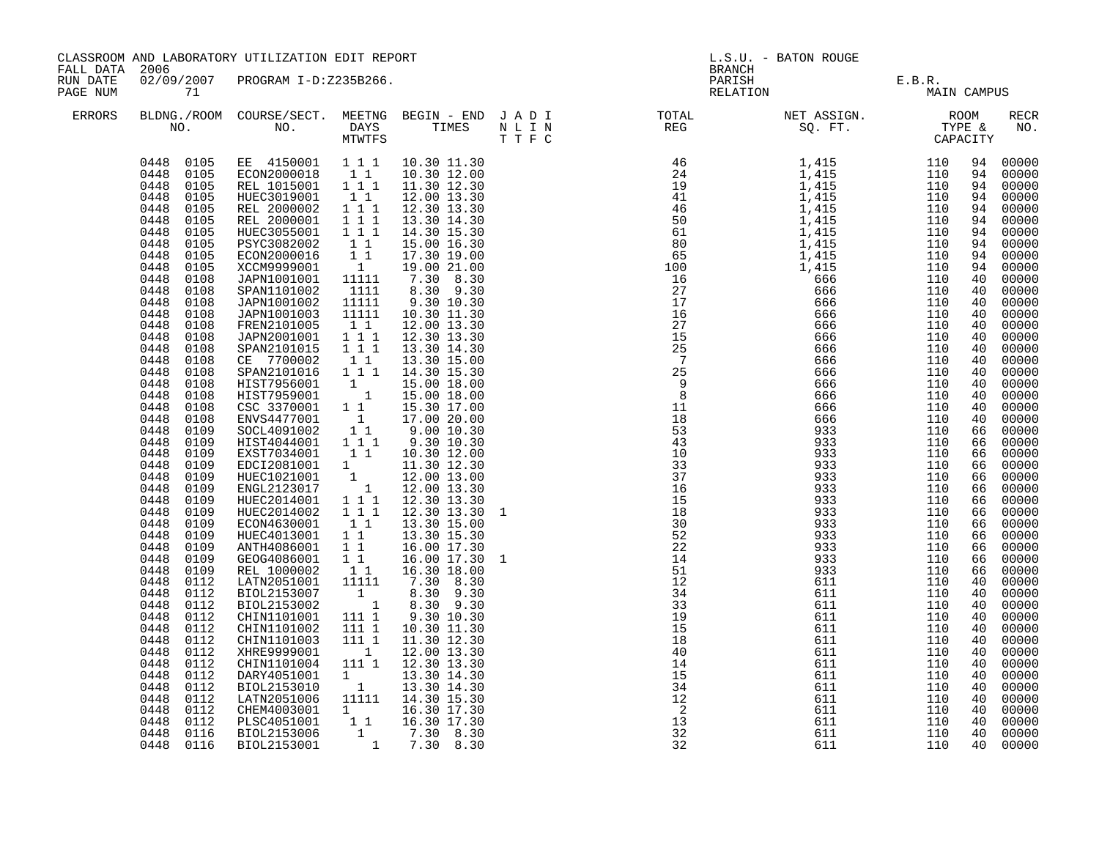| FALL DATA            | 2006                                                                                                                                                                                                                                                                                                                                                                                                                                                                                                                                                                                                                                                                                                                                                                                                                   | CLASSROOM AND LABORATORY UTILIZATION EDIT REPORT                                                                                                                                                                                                                                                                                                                                                                                                                                                                                                                                                                                                                                                                                                                                                                                                                                                                                                                                         |                                                                                                                                                                                                                                                                                                                                                                                                                  |                                                                                                                                                                                                                                                                                                                                                                                                                                                                                                                                                                                                                   | <b>BRANCH</b>                                                                                                                                                                                                                                                                                                                                                                                                                                                                                                                                                | L.S.U. - BATON ROUGE                                                                                         |                                                                                                              |                                                                                                                                                                                                                                                                                  |                                                                                                                                                                                                                                                                                                                                                                                                                                                                                        |
|----------------------|------------------------------------------------------------------------------------------------------------------------------------------------------------------------------------------------------------------------------------------------------------------------------------------------------------------------------------------------------------------------------------------------------------------------------------------------------------------------------------------------------------------------------------------------------------------------------------------------------------------------------------------------------------------------------------------------------------------------------------------------------------------------------------------------------------------------|------------------------------------------------------------------------------------------------------------------------------------------------------------------------------------------------------------------------------------------------------------------------------------------------------------------------------------------------------------------------------------------------------------------------------------------------------------------------------------------------------------------------------------------------------------------------------------------------------------------------------------------------------------------------------------------------------------------------------------------------------------------------------------------------------------------------------------------------------------------------------------------------------------------------------------------------------------------------------------------|------------------------------------------------------------------------------------------------------------------------------------------------------------------------------------------------------------------------------------------------------------------------------------------------------------------------------------------------------------------------------------------------------------------|-------------------------------------------------------------------------------------------------------------------------------------------------------------------------------------------------------------------------------------------------------------------------------------------------------------------------------------------------------------------------------------------------------------------------------------------------------------------------------------------------------------------------------------------------------------------------------------------------------------------|--------------------------------------------------------------------------------------------------------------------------------------------------------------------------------------------------------------------------------------------------------------------------------------------------------------------------------------------------------------------------------------------------------------------------------------------------------------------------------------------------------------------------------------------------------------|--------------------------------------------------------------------------------------------------------------|--------------------------------------------------------------------------------------------------------------|----------------------------------------------------------------------------------------------------------------------------------------------------------------------------------------------------------------------------------------------------------------------------------|----------------------------------------------------------------------------------------------------------------------------------------------------------------------------------------------------------------------------------------------------------------------------------------------------------------------------------------------------------------------------------------------------------------------------------------------------------------------------------------|
| RUN DATE<br>PAGE NUM | 71                                                                                                                                                                                                                                                                                                                                                                                                                                                                                                                                                                                                                                                                                                                                                                                                                     | 02/09/2007 PROGRAM I-D:Z235B266.                                                                                                                                                                                                                                                                                                                                                                                                                                                                                                                                                                                                                                                                                                                                                                                                                                                                                                                                                         |                                                                                                                                                                                                                                                                                                                                                                                                                  |                                                                                                                                                                                                                                                                                                                                                                                                                                                                                                                                                                                                                   |                                                                                                                                                                                                                                                                                                                                                                                                                                                                                                                                                              | PARISH E.B.R.<br>RELATION MAIN CAMPUS                                                                        |                                                                                                              |                                                                                                                                                                                                                                                                                  |                                                                                                                                                                                                                                                                                                                                                                                                                                                                                        |
| ERRORS               |                                                                                                                                                                                                                                                                                                                                                                                                                                                                                                                                                                                                                                                                                                                                                                                                                        |                                                                                                                                                                                                                                                                                                                                                                                                                                                                                                                                                                                                                                                                                                                                                                                                                                                                                                                                                                                          |                                                                                                                                                                                                                                                                                                                                                                                                                  |                                                                                                                                                                                                                                                                                                                                                                                                                                                                                                                                                                                                                   |                                                                                                                                                                                                                                                                                                                                                                                                                                                                                                                                                              |                                                                                                              |                                                                                                              |                                                                                                                                                                                                                                                                                  | <b>RECR</b><br>NO.                                                                                                                                                                                                                                                                                                                                                                                                                                                                     |
|                      | 0448 0105<br>0448<br>0105<br>0448<br>0105<br>0448<br>0105<br>0448<br>0105<br>0448<br>0105<br>0448<br>0105<br>0448<br>0105<br>0448<br>0105<br>0448<br>0108<br>0448<br>0108<br>0448<br>0108<br>0448<br>0108<br>0448<br>0108<br>0448<br>0108<br>0448<br>0108<br>0448<br>0108<br>0448<br>0108<br>0448<br>0108<br>0448<br>0108<br>0448<br>0108<br>0448<br>0108<br>0448<br>0109<br>0448<br>0109<br>0448<br>0109<br>0448<br>0109<br>0448<br>0109<br>0448<br>0109<br>0448<br>0109<br>0448<br>0109<br>0448<br>0109<br>0448<br>0109<br>0448<br>0109<br>0448<br>0109<br>0448<br>0109<br>0448<br>0112<br>0448<br>0112<br>0448<br>0112<br>0448<br>0112<br>0448<br>0112<br>0448<br>0112<br>0448<br>0112<br>0448<br>0112<br>0448<br>0112<br>0448<br>0112<br>0448<br>0112<br>0448<br>0112<br>0448<br>0112<br>0448<br>0116<br>0448 0116 | 0448 0105 EE 4150001 1 1 1 10.30 11.30<br>ECON2000018 1 1<br>REL 1015001 111<br>HUEC3019001<br>REL 2000002<br>REL 2000001<br>HUEC3055001<br>PSYC3082002<br>ECON2000016<br>XCCM9999001<br>JAPN1001001<br>SPAN1101002<br>JAPN1001002<br>JAPN1001003<br>FREN2101005<br>JAPN2001001<br>SPAN2101015<br>CE 7700002<br>SPAN2101016<br>HIST7956001 1 15.00 18.00<br>HIST7959001 1 15.00 18.00<br>CSC 3370001 1 1 15.30 17.00<br>ENVS4477001<br>SOCL4091002<br>HIST4044001<br>EXST7034001<br>EDCI2081001 1 1.30 12.30<br>HUEC1021001 1 12.00 13.00<br>ENGL2123017 1 12.00 13.30<br>HUEC2014001<br>HUEC2014002<br>ECON4630001<br>HUEC4013001<br>ANTH4086001<br>GEOG4086001 1 1<br>REL 1000002<br>LATN2051001<br>BIOL2153007<br>BIOL2153002<br>CHIN1101001<br>CHIN1101002<br>CHIN1101003<br>XHRE9999001<br>CHIN1101004<br>DARY4051001<br>BIOL2153010<br>LATN2051006<br>CHEM4003001 1 16.30 17.30<br>01.524051001<br>BLSC4051001 1 16.30 17.30<br>BIOL2153006 1 7.30 8.30<br>BIOL2153001 1 7.30 8.30 | 11<br>1 1 1<br>$1 1 1$<br>1 1 1<br>11<br>11<br>1<br>11111<br>1111<br>11111<br>11111<br>$1\quad1$<br>$1 1 1$<br>111<br>$1\quad1$<br>1 1 1<br>$1^1$<br>1 1 1<br>$1\quad1$<br>$1 1 1$<br>$1\ 1\ 1$<br>11<br>11<br>11<br>11<br>11111<br>$\begin{smallmatrix}1&&\\&1\end{smallmatrix}$<br>111 1<br>111 1<br>111 1<br>$\begin{smallmatrix}&&1\111&1\end{smallmatrix}$<br>$\begin{smallmatrix}1&&\\&1\end{smallmatrix}$ | 10.30 12.00<br>11.30 12.30<br>12.00 13.30<br>12.30 13.30<br>13.30 14.30<br>14.30 15.30<br>15.00 16.30<br>17.30 19.00<br>19.00 21.00<br>7.30 8.30<br>8.30 9.30<br>9.30 10.30<br>10.30 11.30<br>12.00 13.30<br>12.30 13.30<br>13.30 14.30<br>13.30 15.00<br>14.30 15.30<br>17.00 20.00<br>$9.00\ 10.30$<br>9.30 10.30<br>10.30 12.00<br>12.30 13.30<br>12.30 13.30<br>13.30 15.00<br>13.30 15.30<br>16.00 17.30<br>16.00 17.30<br>16.30 18.00<br>7.30 8.30<br>8.30 9.30<br>8.30 9.30<br>9.30 10.30<br>10.30 11.30<br>11.30 12.30<br>12.00 13.30<br>12.30 13.30<br>13.30 14.30<br>13.30 14.30<br>11111  14.30  15.30 | $\begin{array}{cccccccc} \texttt{m} & \texttt{m} & \texttt{m} & \texttt{m} & \texttt{m} & \texttt{m} & \texttt{m} & \texttt{m} & \texttt{m} \\ \texttt{m} & \texttt{m} & \texttt{m} & \texttt{m} & \texttt{m} & \texttt{m} & \texttt{m} & \texttt{m} & \texttt{m} \\ \texttt{46} & \texttt{1} & \texttt{1} & \texttt{1} & \texttt{1} & \texttt{1} & \texttt{1} & \texttt{1} & \texttt{1} & \texttt{1} \\ \texttt{47} & \texttt{1} &$<br>51<br>12<br>34<br>33<br>19<br>15<br>18<br>40<br>14<br>15<br>34<br>12<br>$\overline{\phantom{a}}^2$<br>13<br>32<br>32 | 933<br>611<br>611<br>611<br>611<br>611<br>611<br>611<br>611<br>611<br>611<br>611<br>611<br>611<br>611<br>611 | 110<br>110<br>110<br>110<br>110<br>110<br>110<br>110<br>110<br>110<br>110<br>110<br>110<br>110<br>110<br>110 | 94<br>94<br>94<br>94<br>94<br>94<br>40<br>40<br>40<br>40<br>40<br>40<br>40<br>40<br>40<br>40<br>40<br>40<br>40<br>66<br>66<br>66<br>66<br>66<br>66<br>66<br>66<br>66<br>66<br>66<br>66<br>66<br>40<br>40<br>40<br>40<br>40<br>40<br>40<br>40<br>40<br>40<br>40<br>40<br>40<br>40 | 00000<br>94 00000<br>94 00000<br>94 00000<br>94 00000<br>00000<br>00000<br>00000<br>00000<br>00000<br>00000<br>00000<br>00000<br>00000<br>00000<br>00000<br>00000<br>00000<br>00000<br>00000<br>00000<br>00000<br>00000<br>00000<br>00000<br>00000<br>00000<br>00000<br>00000<br>00000<br>00000<br>00000<br>00000<br>00000<br>00000<br>00000<br>00000<br>00000<br>00000<br>00000<br>00000<br>00000<br>00000<br>00000<br>00000<br>00000<br>00000<br>00000<br>00000<br>00000<br>40 00000 |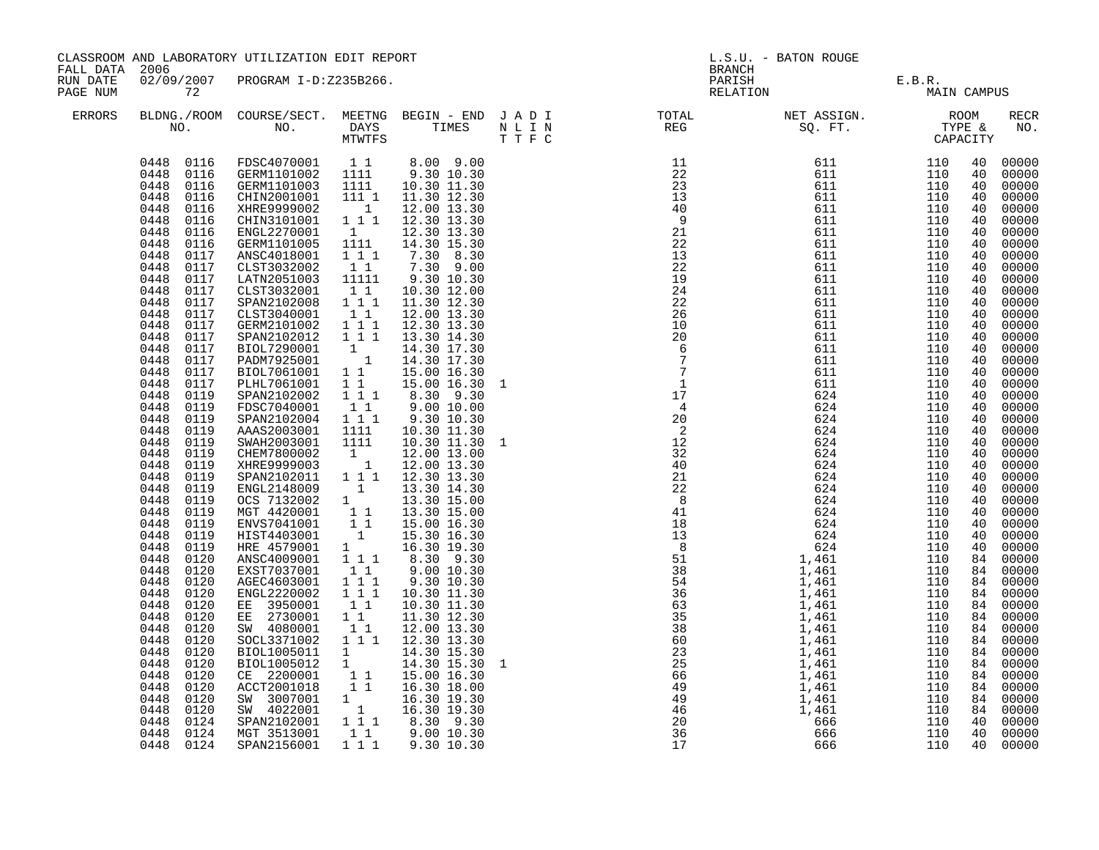| FALL DATA            | 2006                                                                                                                                                                                                                                                                                                                                                                                                                                                                                                                                                                                                                                                                                                                                                                                                   | CLASSROOM AND LABORATORY UTILIZATION EDIT REPORT                                                                                                                                                                                                                                                                                                                                                                                                                                                                                                                                                                                                                                                                                                                                                                                                      |                                                                                                                                                                                                                                                                                                                                                                                                                                                                                                                                                                                |                                                                                                                                                                                                                                                                                                                                                                                                                                                                                                                                                                                                                                                                                                                                                 |             | <b>BRANCH</b>                                                                                                                                                                                                                                                                                                                                                                                                                                                                                                                                                                                                                                                                                                                                         | L.S.U. - BATON ROUGE                  |                                                                                                                                                                      |                                                                                                                                                                                                                                                                                                                                                                                                                                                                                                                                                                            |
|----------------------|--------------------------------------------------------------------------------------------------------------------------------------------------------------------------------------------------------------------------------------------------------------------------------------------------------------------------------------------------------------------------------------------------------------------------------------------------------------------------------------------------------------------------------------------------------------------------------------------------------------------------------------------------------------------------------------------------------------------------------------------------------------------------------------------------------|-------------------------------------------------------------------------------------------------------------------------------------------------------------------------------------------------------------------------------------------------------------------------------------------------------------------------------------------------------------------------------------------------------------------------------------------------------------------------------------------------------------------------------------------------------------------------------------------------------------------------------------------------------------------------------------------------------------------------------------------------------------------------------------------------------------------------------------------------------|--------------------------------------------------------------------------------------------------------------------------------------------------------------------------------------------------------------------------------------------------------------------------------------------------------------------------------------------------------------------------------------------------------------------------------------------------------------------------------------------------------------------------------------------------------------------------------|-------------------------------------------------------------------------------------------------------------------------------------------------------------------------------------------------------------------------------------------------------------------------------------------------------------------------------------------------------------------------------------------------------------------------------------------------------------------------------------------------------------------------------------------------------------------------------------------------------------------------------------------------------------------------------------------------------------------------------------------------|-------------|-------------------------------------------------------------------------------------------------------------------------------------------------------------------------------------------------------------------------------------------------------------------------------------------------------------------------------------------------------------------------------------------------------------------------------------------------------------------------------------------------------------------------------------------------------------------------------------------------------------------------------------------------------------------------------------------------------------------------------------------------------|---------------------------------------|----------------------------------------------------------------------------------------------------------------------------------------------------------------------|----------------------------------------------------------------------------------------------------------------------------------------------------------------------------------------------------------------------------------------------------------------------------------------------------------------------------------------------------------------------------------------------------------------------------------------------------------------------------------------------------------------------------------------------------------------------------|
| RUN DATE<br>PAGE NUM | 72                                                                                                                                                                                                                                                                                                                                                                                                                                                                                                                                                                                                                                                                                                                                                                                                     | 02/09/2007 PROGRAM I-D:Z235B266.                                                                                                                                                                                                                                                                                                                                                                                                                                                                                                                                                                                                                                                                                                                                                                                                                      |                                                                                                                                                                                                                                                                                                                                                                                                                                                                                                                                                                                |                                                                                                                                                                                                                                                                                                                                                                                                                                                                                                                                                                                                                                                                                                                                                 |             |                                                                                                                                                                                                                                                                                                                                                                                                                                                                                                                                                                                                                                                                                                                                                       | PARISH E.B.R.<br>RELATION MAIN CAMPUS |                                                                                                                                                                      |                                                                                                                                                                                                                                                                                                                                                                                                                                                                                                                                                                            |
| ERRORS               |                                                                                                                                                                                                                                                                                                                                                                                                                                                                                                                                                                                                                                                                                                                                                                                                        |                                                                                                                                                                                                                                                                                                                                                                                                                                                                                                                                                                                                                                                                                                                                                                                                                                                       |                                                                                                                                                                                                                                                                                                                                                                                                                                                                                                                                                                                |                                                                                                                                                                                                                                                                                                                                                                                                                                                                                                                                                                                                                                                                                                                                                 |             |                                                                                                                                                                                                                                                                                                                                                                                                                                                                                                                                                                                                                                                                                                                                                       |                                       |                                                                                                                                                                      | <b>RECR</b><br>NO.                                                                                                                                                                                                                                                                                                                                                                                                                                                                                                                                                         |
|                      | 0448 0116<br>0448<br>0116<br>0448<br>0116<br>0448<br>0116<br>0448<br>0116<br>0448<br>0116<br>0448<br>0117<br>0448<br>0117<br>0448<br>0117<br>0448<br>0117<br>0448<br>0117<br>0448<br>0117<br>0448<br>0117<br>0448<br>0117<br>0448<br>0117<br>0448<br>0117<br>0448<br>0117<br>0448<br>0117<br>0448<br>0119<br>0448<br>0119<br>0448<br>0119<br>0448<br>0119<br>0448<br>0119<br>0448<br>0119<br>0448<br>0119<br>0448<br>0119<br>0448<br>0119<br>0448<br>0119<br>0448<br>0119<br>0448<br>0119<br>0119<br>0448<br>0448<br>0119<br>0448<br>0120<br>0448<br>0120<br>0448<br>0120<br>0448<br>0120<br>0448<br>0120<br>0448<br>0120<br>0448<br>0120<br>0448<br>0120<br>0448<br>0120<br>0448<br>0120<br>0448<br>0120<br>0448<br>0120<br>0448<br>0120<br>0448<br>0120<br>0448<br>0124<br>0448<br>0124<br>0448 0124 | 0448  0116  FDSC4070001  11<br>0448  0116  GERM1101002  1111<br>GERM1101003 1111<br>CHIN2001001<br>XHRE9999002<br>CHIN3101001<br>ENGL2270001<br>GERM1101005<br>ANSC4018001<br>CLST3032002<br>LATN2051003<br>CLST3032001<br>SPAN2102008<br>CLST3040001<br>GERM2101002<br>SPAN2102012<br>BIOL7290001<br>PADM7925001<br>BIOL7061001<br>PLHL7061001<br>SPAN2102002<br>FDSC7040001<br>SPAN2102004<br>AAAS2003001<br>SWAH2003001<br>CHEM7800002<br>XHRE9999003<br>SPAN2102011<br>ENGL2148009<br>0CS 7132002 1<br>MGT 4420001 11<br>ENVS7041001 11<br>HIST4403001 1<br>HIST4403001 1<br>HRE 4579001<br>ANSC4009001<br>EXST7037001<br>AGEC4603001<br>ENGL2220002<br>EE 3950001<br>EE 2730001<br>SW 4080001<br>SOCL3371002<br>BIOL1005011<br>BIOL1005012<br>CE 2200001<br>ACCT2001018<br>SW 3007001<br>SW 4022001<br>SPAN2102001<br>MGT 3513001<br>SPAN2156001 | 111 1<br>$\overline{1}$<br>$1\overline{1}$<br>$\mathbf{1}$<br>1111<br>1 1 1<br>$1\quad1$<br>11111<br>11<br>1 1 1<br>11<br>$1 1 1$<br>1 1 1<br>$\mathbf{1}$<br>$\overline{1}$<br>$1\quad1$<br>$1\quad1$<br>1 1 1<br>11<br>$1 1 1$<br>1111<br>1111<br>$\begin{smallmatrix}1&&\\&1\end{smallmatrix}$<br>1 1 1<br>$\overline{1}$<br>1<br>1 1 1<br>$1\quad1$<br>$1 1 1$<br>1 1 1<br>11<br>11<br>$1\quad1$<br>$1 1 1$<br>$\begin{matrix} 1 \\ 1 \end{matrix}$<br>$\begin{array}{rr} 1 & 1 \\ 1 & 1 \end{array}$<br>$\begin{smallmatrix}1&&\\&1\end{smallmatrix}$<br>$1\quad1$<br>111 | 10.30 11.30<br>11.30 12.30<br>12.00 13.30<br>12.30 13.30<br>12.30 13.30<br>14.30 15.30<br>7.30 8.30<br>7.30 9.00<br>9.30 10.30<br>10.30 12.00<br>11.30 12.30<br>12.00 13.30<br>12.30 13.30<br>13.30 14.30<br>14.30 17.30<br>14.30 17.30<br>15.00 16.30<br>15.00 16.30<br>8.30 9.30<br>9.0010.00<br>9.30 10.30<br>10.30 11.30<br>10.30 11.30<br>12.00 13.00<br>12.00 13.30<br>12.30 13.30<br>13.30 14.30<br>13.30 15.00<br>13.30 15.00<br>15.00 16.30<br>15.30 16.30<br>16.30 19.30<br>8.30 9.30<br>9.00 10.30<br>9.30 10.30<br>10.30 11.30<br>10.30 11.30<br>11.30 12.30<br>12.00 13.30<br>12.30 13.30<br>14.30 15.30<br>14.30 15.30<br>15.00 16.30<br>16.30 18.00<br>16.30 19.30<br>16.30 19.30<br>1 1 1 8.30 9.30<br>9.00 10.30<br>9.30 10.30 | 1<br>1<br>1 | $\begin{array}{cccccccc} \text{F} & \text{C} & \text{CAPACITY} & \text{CAPACITY} & \text{CAPACITY} & \text{CAPACITY} & \text{CAPACITY} & \text{CAPACITY} & \text{CAPACITY} & \text{CAPACITY} & \text{CAPACITY} & \text{CAPACITY} & \text{CAPACITY} & \text{CAPACITY} & \text{CAPACITY} & \text{CAPACITY} & \text{CAPACITY} & \text{CAPACITY} & \text{CAPACITY} & \text{CAPACITY} & \text{CAPACITY} & \text{CAPACITY} & \text{CAPACITY} & \text{CAPACITY} & \text$<br>$\begin{array}{cccc} 40 & 624 \ 21 & 624 \ 22 & 8 & 624 \ 41 & 624 \ 51 & 624 \ 624 \ 13 & 624 \ 624 \ 13 & 624 \ 624 \ 14 & 61 \ 624 \ 14461 \ 1,461 \ 1,461 \ 1,461 \ 1,461 \ 1,461 \ 1,461 \ 1,461 \ 1,461 \ 1,461 \ 225 \ 669 \ 1,461 \ 1,461 \ 1,461 \ 1,461 \ 1,461 \ 1,4$ |                                       | 110<br>110<br>110<br>110<br>110<br>110<br>110<br>110<br>110<br>110<br>110<br>110<br>110<br>110<br>110<br>110<br>110<br>110<br>110<br>110<br>110<br>110<br>110<br>110 | 00000<br>00000<br>00000<br>00000<br>00000<br>00000<br>00000<br>00000<br>00000<br>00000<br>00000<br>00000<br>00000<br>00000<br>00000<br>00000<br>00000<br>00000<br>00000<br>00000<br>00000<br>00000<br>00000<br>00000<br>00000<br>00000<br>00000<br>00000<br>40<br>00000<br>40<br>00000<br>40<br>00000<br>40<br>00000<br>40<br>00000<br>40<br>00000<br>40<br>84 00000<br>84<br>00000<br>84 00000<br>84 00000<br>84 00000<br>84 00000<br>84 00000<br>84 00000<br>84 00000<br>84 00000<br>84 00000<br>84 00000<br>84 00000<br>84 00000<br>00000<br>40<br>40 00000<br>40 00000 |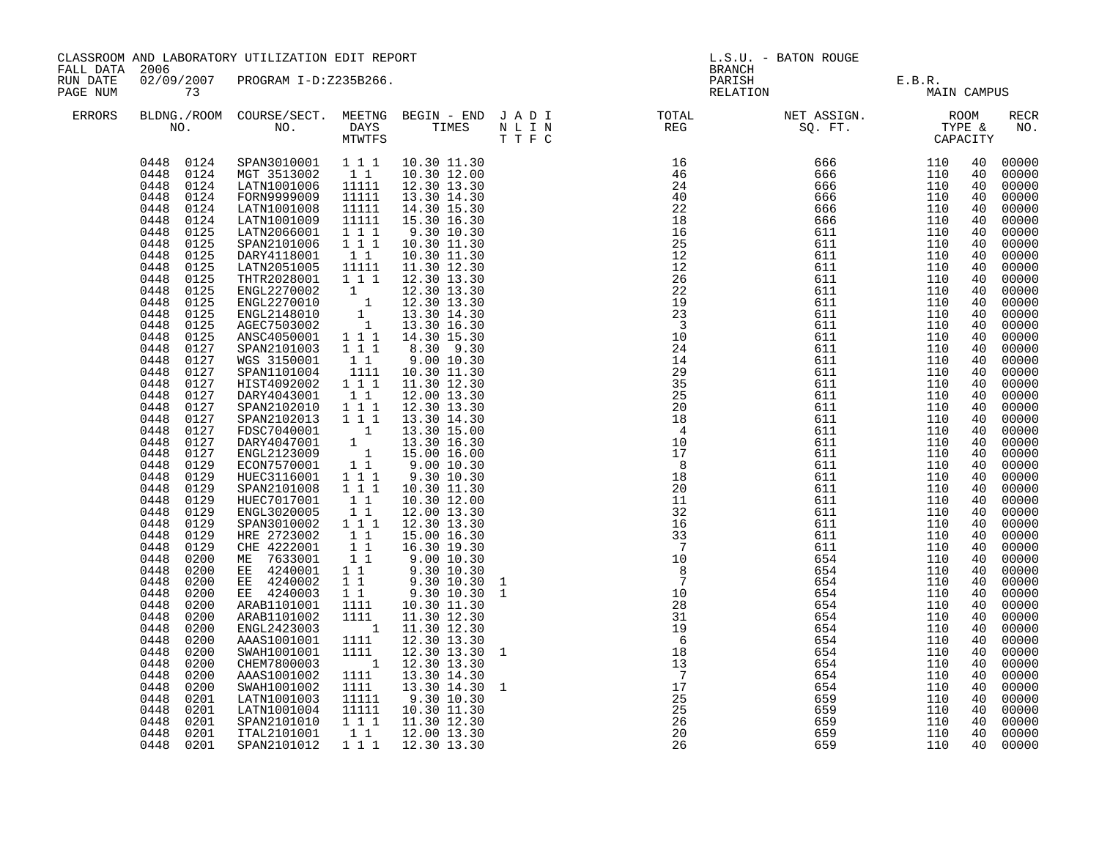| FALL DATA 2006       |                                                                                                                                                                                                                                                                                                                                                                                                                                                                                                                                                                                                                                                                                                                                                                                                                                     | CLASSROOM AND LABORATORY UTILIZATION EDIT REPORT                                                                                                                                                                                                                                                                                                                                                                                                                                                                                                                                                                                                                                                                                                                                                                   |                                                                                                                                                                                                                                                                                                                                                                                                                                                                                                                                              |                                                                                                                                                                                                                                                                                                                                                                                                                                                                                                                                                                                                                                                                                                                                                                      |                                                                                                                                                                                                                                                                                                                                                                                                                                                         | <b>BRANCH</b>                                                                                                                                                                                                                                                            | L.S.U. - BATON ROUGE                                                                                                                                                                                                                                                                                                                                                                                                                                                                                                                                                                                                                                                         |                                                                                                                                                                                                                                                                 |                                                                                                                                                                                                                                                                                                                |                                                                                                                                                                                                                                                                                                                                                                                                                                                                         |
|----------------------|-------------------------------------------------------------------------------------------------------------------------------------------------------------------------------------------------------------------------------------------------------------------------------------------------------------------------------------------------------------------------------------------------------------------------------------------------------------------------------------------------------------------------------------------------------------------------------------------------------------------------------------------------------------------------------------------------------------------------------------------------------------------------------------------------------------------------------------|--------------------------------------------------------------------------------------------------------------------------------------------------------------------------------------------------------------------------------------------------------------------------------------------------------------------------------------------------------------------------------------------------------------------------------------------------------------------------------------------------------------------------------------------------------------------------------------------------------------------------------------------------------------------------------------------------------------------------------------------------------------------------------------------------------------------|----------------------------------------------------------------------------------------------------------------------------------------------------------------------------------------------------------------------------------------------------------------------------------------------------------------------------------------------------------------------------------------------------------------------------------------------------------------------------------------------------------------------------------------------|----------------------------------------------------------------------------------------------------------------------------------------------------------------------------------------------------------------------------------------------------------------------------------------------------------------------------------------------------------------------------------------------------------------------------------------------------------------------------------------------------------------------------------------------------------------------------------------------------------------------------------------------------------------------------------------------------------------------------------------------------------------------|---------------------------------------------------------------------------------------------------------------------------------------------------------------------------------------------------------------------------------------------------------------------------------------------------------------------------------------------------------------------------------------------------------------------------------------------------------|--------------------------------------------------------------------------------------------------------------------------------------------------------------------------------------------------------------------------------------------------------------------------|------------------------------------------------------------------------------------------------------------------------------------------------------------------------------------------------------------------------------------------------------------------------------------------------------------------------------------------------------------------------------------------------------------------------------------------------------------------------------------------------------------------------------------------------------------------------------------------------------------------------------------------------------------------------------|-----------------------------------------------------------------------------------------------------------------------------------------------------------------------------------------------------------------------------------------------------------------|----------------------------------------------------------------------------------------------------------------------------------------------------------------------------------------------------------------------------------------------------------------------------------------------------------------|-------------------------------------------------------------------------------------------------------------------------------------------------------------------------------------------------------------------------------------------------------------------------------------------------------------------------------------------------------------------------------------------------------------------------------------------------------------------------|
| RUN DATE<br>PAGE NUM | 73                                                                                                                                                                                                                                                                                                                                                                                                                                                                                                                                                                                                                                                                                                                                                                                                                                  | 02/09/2007 PROGRAM I-D:Z235B266.                                                                                                                                                                                                                                                                                                                                                                                                                                                                                                                                                                                                                                                                                                                                                                                   |                                                                                                                                                                                                                                                                                                                                                                                                                                                                                                                                              |                                                                                                                                                                                                                                                                                                                                                                                                                                                                                                                                                                                                                                                                                                                                                                      |                                                                                                                                                                                                                                                                                                                                                                                                                                                         |                                                                                                                                                                                                                                                                          | PARISH E.B.R.<br>RELATION MAIN                                                                                                                                                                                                                                                                                                                                                                                                                                                                                                                                                                                                                                               | MAIN CAMPUS                                                                                                                                                                                                                                                     |                                                                                                                                                                                                                                                                                                                |                                                                                                                                                                                                                                                                                                                                                                                                                                                                         |
| ERRORS               |                                                                                                                                                                                                                                                                                                                                                                                                                                                                                                                                                                                                                                                                                                                                                                                                                                     |                                                                                                                                                                                                                                                                                                                                                                                                                                                                                                                                                                                                                                                                                                                                                                                                                    |                                                                                                                                                                                                                                                                                                                                                                                                                                                                                                                                              |                                                                                                                                                                                                                                                                                                                                                                                                                                                                                                                                                                                                                                                                                                                                                                      |                                                                                                                                                                                                                                                                                                                                                                                                                                                         |                                                                                                                                                                                                                                                                          |                                                                                                                                                                                                                                                                                                                                                                                                                                                                                                                                                                                                                                                                              |                                                                                                                                                                                                                                                                 |                                                                                                                                                                                                                                                                                                                | RECR<br>NO.                                                                                                                                                                                                                                                                                                                                                                                                                                                             |
|                      | 0448 0124<br>0448 0124<br>0448<br>0124<br>0448<br>0124<br>0448<br>0124<br>0448<br>0124<br>0448<br>0125<br>0448<br>0125<br>0448<br>0125<br>0448<br>0125<br>0448<br>0125<br>0448<br>0125<br>0448<br>0125<br>0448<br>0125<br>0448<br>0125<br>0448<br>0125<br>0448<br>0127<br>0448<br>0127<br>0448<br>0127<br>0448<br>0127<br>0448<br>0127<br>0448<br>0127<br>0448<br>0127<br>0448<br>0127<br>0448<br>0127<br>0448<br>0127<br>0448<br>0129<br>0448<br>0129<br>0448<br>0129<br>0448<br>0129<br>0448<br>0129<br>0448<br>0129<br>0448<br>0129<br>0448<br>0129<br>0448<br>0200<br>0448<br>0200<br>0448<br>0200<br>0448<br>0200<br>0448<br>0200<br>0448<br>0200<br>0448<br>0200<br>0448<br>0200<br>0448<br>0200<br>0448<br>0200<br>0448<br>0200<br>0448<br>0200<br>0448<br>0201<br>0448<br>0201<br>0448<br>0201<br>0448<br>0201<br>0448 0201 | SPAN3010001  1  1  10.30  11.30<br>MGT 3513002 11<br>LATN1001006 11111<br>FORN9999009<br>LATN1001008<br>LATN1001009<br>LATN2066001<br>SPAN2101006<br>DARY4118001<br>LATN2051005<br>THTR2028001<br>ENGL2270002<br>ENGL2270010<br>ENGL2148010<br>AGEC7503002<br>ANSC4050001<br>SPAN2101003<br>WGS 3150001<br>SPAN1101004<br>HIST4092002<br>DARY4043001<br>SPAN2102010<br>SPAN2102013<br>FDSC7040001<br>DARY4047001<br>ENGL2123009<br>ECON7570001<br>HUEC3116001<br>SPAN2101008<br>HUEC7017001<br>ENGL3020005<br>SPAN3010002<br>HRE 2723002<br>CHE 4222001<br>ME 7633001<br>EE 4240001<br>EE 4240002<br>EE 4240003<br>ARAB1101001<br>ARAB1101002<br>ENGL2423003<br>AAAS1001001<br>SWAH1001001<br>CHEM7800003<br>AAAS1001002<br>SWAH1001002<br>LATN1001003<br>LATN1001004<br>SPAN2101010<br>ITAL2101001<br>SPAN2101012 | 11111<br>11111<br>11111<br>1 1 1<br>$1 1 1$<br>11<br>11111<br>1 1 1<br>$\mathbf{1}$<br>$\begin{bmatrix} 1 \\ 1 \\ 1 \end{bmatrix}$<br>$1 1 1$<br>1 1 1<br>$1\quad1$<br>1111<br>111<br>$1\quad1$<br>1 1 1<br>$1 1 1$<br>$\overline{\mathbf{1}}$<br>$\begin{array}{cc} & 1\\ & 1\\ & 1\\ & 1 \end{array}$<br>1 1 1<br>1 1 1<br>$1\quad1$<br>11<br>1 1 1<br>11<br>11<br>11<br>$1\quad1$<br>1 1<br>$1\quad1$<br>1111<br>1111<br>$\overline{\mathbf{1}}$<br>1111<br>1111<br>$\overline{1}$<br>1111<br>1111<br>11111<br>11111<br>111<br>1 1<br>111 | 10.30 12.00<br>12.30 13.30<br>13.30 14.30<br>14.30 15.30<br>15.30 16.30<br>9.30 10.30<br>10.30 11.30<br>10.30 11.30<br>11.30 12.30<br>12.30 13.30<br>12.30 13.30<br>12.30 13.30<br>13.30 14.30<br>13.30 16.30<br>14.30 15.30<br>8.30 9.30<br>$9.00\ 10.30$<br>10.30 11.30<br>11.30 12.30<br>12.00 13.30<br>12.30 13.30<br>13.30 14.30<br>13.30 15.00<br>13.30 16.30<br>15.00 16.00<br>$9.00\ 10.30$<br>9.30 10.30<br>10.30 11.30<br>10.30 12.00<br>12.00 13.30<br>12.30 13.30<br>15.00 16.30<br>16.30 19.30<br>9.0010.30<br>9.30 10.30<br>9.30 10.30<br>9.30 10.30<br>10.30 11.30<br>11.30 12.30<br>11.30 12.30<br>12.30 13.30<br>12.30 13.30<br>12.30 13.30<br>13.30 14.30<br>13.30 14.30<br>9.30 10.30<br>10.30 11.30<br>11.30 12.30<br>12.00 13.30<br>12.30 13.30 | $\begin{array}{l} \hbox{T} \quad \, \text{T} \quad \, \text{T} \quad \, \text{C} \qquad \qquad \\ \hbox{16} \quad \, \, \frac{24}{46} \quad \, \, 24 \\ \hbox{24} \quad \, \, 22 \\ \hbox{12} \quad \, \, 22 \\ \hbox{12} \quad \, \, 22 \\ \hbox{23} \quad \, \, 22 \\ \hbox{24} \quad \, \, 24 \\ \hbox{29} \quad \, \, 23 \\ \hbox{21} \quad \, \, 24 \\ \hbox{24} \quad \, \, 24 \\ \hbox{29}$<br>1<br>$\mathbf{1}$<br><sup>1</sup><br>$\mathbf{1}$ | $\overline{7}$<br>10<br>$\overline{8}$<br>$\begin{array}{c} 0 \\ 7 \\ 10 \\ 28 \end{array}$<br>28<br>31<br>$\frac{19}{6}$<br>$\begin{matrix} 6 \\ 18 \end{matrix}$<br>13<br>$\overline{7}$<br>$\begin{array}{r} 7 \\ 17 \\ 25 \\ 25 \\ 26 \\ 26 \\ 26 \end{array}$<br>26 | $\begin{array}{cccc} & & & & \text{GAP} & & & \ \text{GAP} & & & & \ \text{GAP} & & & & \ \text{GAP} & & & & \ \text{GAP} & & & & \ \text{GAP} & & & & \ \text{G56} & & & & \ 110 & & & & \ \text{G66} & & & & \ 110 & & & & \ \text{G66} & & & & \ 110 & & & & \ \text{G11} & & & & \ 110 & & & & \ \text{G11} & & & & \ 110 & & & & \ \text{G11} & & & & \ 110 & & & & \ \text{G11} & & & & \ 10 & & &$<br>611<br>611<br>611<br>611<br>611<br>611<br>611<br>611<br>611<br>611<br>611<br>611<br>611<br>611<br>611<br>611<br>611<br>611<br>611<br>611<br>654<br>654<br>654<br>654<br>654<br>654<br>654<br>654<br>654<br>654<br>654<br>654<br>659<br>659<br>659<br>659<br>659 | 110<br>110<br>110<br>110<br>110<br>110<br>110<br>110<br>110<br>110<br>110<br>110<br>110<br>110<br>110<br>110<br>110<br>110<br>110<br>110<br>110<br>110<br>110<br>110<br>110<br>110<br>110<br>110<br>110<br>110<br>110<br>110<br>110<br>110<br>110<br>110<br>110 | 40<br>40<br>40<br>40<br>40<br>40<br>40<br>40<br>40<br>40<br>40<br>40<br>40<br>40<br>40<br>40<br>40<br>40<br>40<br>40<br>40<br>40<br>40<br>40<br>40<br>40<br>40<br>40<br>40<br>40<br>40<br>40<br>40<br>40<br>40<br>40<br>40<br>40<br>40<br>40<br>40<br>40<br>40<br>40<br>40<br>40<br>40<br>40<br>40<br>40<br>40 | 00000<br>00000<br>00000<br>00000<br>00000<br>00000<br>00000<br>00000<br>00000<br>00000<br>00000<br>00000<br>00000<br>00000<br>00000<br>00000<br>00000<br>00000<br>00000<br>00000<br>00000<br>00000<br>00000<br>00000<br>00000<br>00000<br>00000<br>00000<br>00000<br>00000<br>00000<br>00000<br>00000<br>00000<br>00000<br>00000<br>00000<br>00000<br>00000<br>00000<br>00000<br>00000<br>00000<br>00000<br>00000<br>00000<br>00000<br>00000<br>00000<br>00000<br>00000 |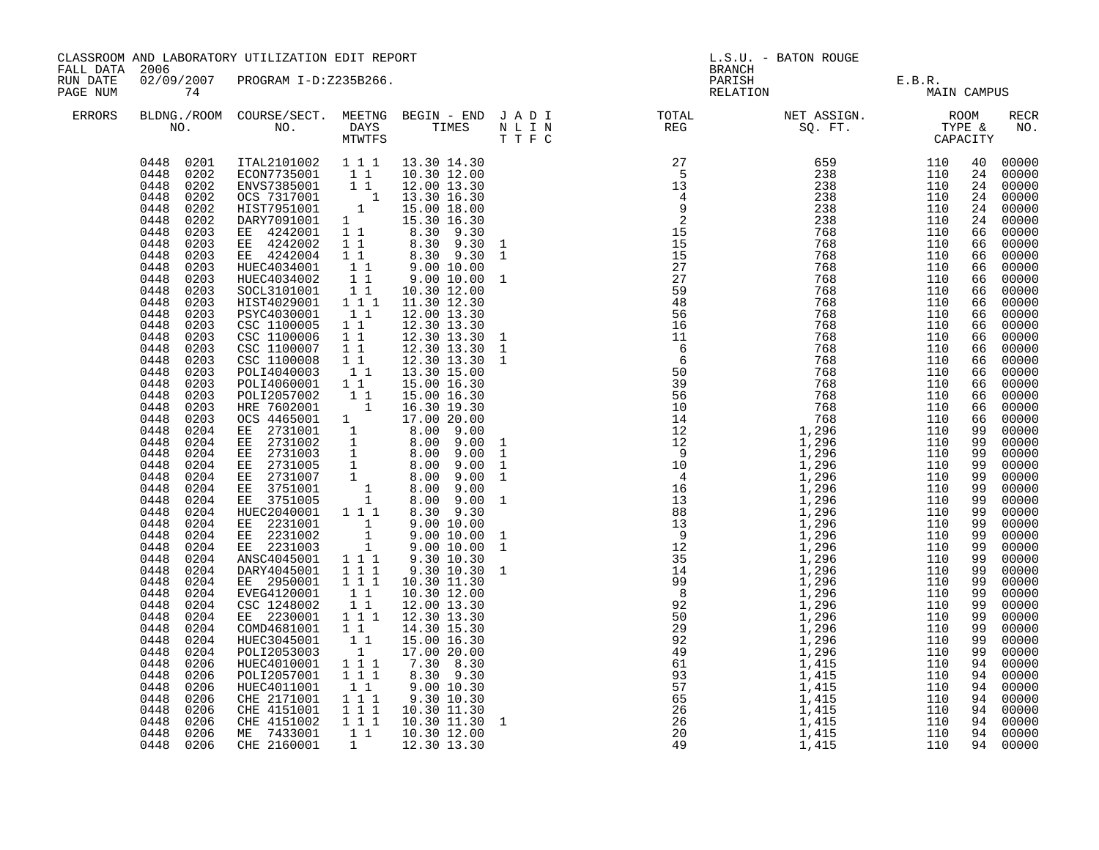|                                   | CLASSROOM AND LABORATORY UTILIZATION EDIT REPORT                                                                                                                                                                                                                                                                                                                                                                                                                                                                                                                                                                                                                                                                                                                                                                                 |                                                                                                                                                                                                                                                                                                                                                                                                                                                                                                                                                                                                                                                                                                                                                                                                                                   |                                                                                                                                                                                                                                                                                                                                                                         |                                                                                                                                                                                                                                                                                                                                                                                                                                                                                                                                                                                                                                                                                                                      | L.S.U. - BATON ROUGE<br><b>BRANCH</b>                                                                                                                                                                                                                                                                                                                                                                                                                               |                                       |  |  |      |  |
|-----------------------------------|----------------------------------------------------------------------------------------------------------------------------------------------------------------------------------------------------------------------------------------------------------------------------------------------------------------------------------------------------------------------------------------------------------------------------------------------------------------------------------------------------------------------------------------------------------------------------------------------------------------------------------------------------------------------------------------------------------------------------------------------------------------------------------------------------------------------------------|-----------------------------------------------------------------------------------------------------------------------------------------------------------------------------------------------------------------------------------------------------------------------------------------------------------------------------------------------------------------------------------------------------------------------------------------------------------------------------------------------------------------------------------------------------------------------------------------------------------------------------------------------------------------------------------------------------------------------------------------------------------------------------------------------------------------------------------|-------------------------------------------------------------------------------------------------------------------------------------------------------------------------------------------------------------------------------------------------------------------------------------------------------------------------------------------------------------------------|----------------------------------------------------------------------------------------------------------------------------------------------------------------------------------------------------------------------------------------------------------------------------------------------------------------------------------------------------------------------------------------------------------------------------------------------------------------------------------------------------------------------------------------------------------------------------------------------------------------------------------------------------------------------------------------------------------------------|---------------------------------------------------------------------------------------------------------------------------------------------------------------------------------------------------------------------------------------------------------------------------------------------------------------------------------------------------------------------------------------------------------------------------------------------------------------------|---------------------------------------|--|--|------|--|
| FALL DATA<br>RUN DATE<br>PAGE NUM | 2006<br>74                                                                                                                                                                                                                                                                                                                                                                                                                                                                                                                                                                                                                                                                                                                                                                                                                       | 02/09/2007 PROGRAM I-D:Z235B266.                                                                                                                                                                                                                                                                                                                                                                                                                                                                                                                                                                                                                                                                                                                                                                                                  |                                                                                                                                                                                                                                                                                                                                                                         |                                                                                                                                                                                                                                                                                                                                                                                                                                                                                                                                                                                                                                                                                                                      |                                                                                                                                                                                                                                                                                                                                                                                                                                                                     | PARISH E.B.R.<br>RELATION MAIN CAMPUS |  |  |      |  |
| ERRORS                            |                                                                                                                                                                                                                                                                                                                                                                                                                                                                                                                                                                                                                                                                                                                                                                                                                                  |                                                                                                                                                                                                                                                                                                                                                                                                                                                                                                                                                                                                                                                                                                                                                                                                                                   |                                                                                                                                                                                                                                                                                                                                                                         |                                                                                                                                                                                                                                                                                                                                                                                                                                                                                                                                                                                                                                                                                                                      |                                                                                                                                                                                                                                                                                                                                                                                                                                                                     |                                       |  |  | RECR |  |
|                                   | 0448 0201<br>0448 0202<br>0448 0202<br>0448<br>0202<br>0448<br>0202<br>0448<br>0202<br>0448<br>0203<br>0448<br>0203<br>0448<br>0203<br>0448<br>0203<br>0448<br>0203<br>0448<br>0203<br>0448<br>0203<br>0448<br>0203<br>0448<br>0203<br>0448<br>0203<br>0448<br>0203<br>0448<br>0203<br>0448<br>0203<br>0448<br>0203<br>0448<br>0203<br>0448<br>0203<br>0448<br>0203<br>0448<br>0204<br>0448<br>0204<br>0448<br>0204<br>0448<br>0204<br>0448<br>0204<br>0448<br>0204<br>0448<br>0204<br>0448<br>0204<br>0448<br>0204<br>0448<br>0204<br>0448<br>0204<br>0448<br>0204<br>0448<br>0204<br>0448<br>0204<br>0448<br>0204<br>0448<br>0204<br>0448<br>0204<br>0448<br>0204<br>0448<br>0204<br>0448<br>0204<br>0448<br>0206<br>0448<br>0206<br>0448<br>0206<br>0448<br>0206<br>0448<br>0206<br>0448<br>0206<br>0206<br>0448<br>0448 0206 | EE 4242001<br>EE 4242002<br>EE 4242004<br>HUEC4034001<br>HUEC4034002<br>SOCL3101001<br>HIST4029001 111<br>PSYC4030001<br>CSC 1100005<br>CSC 1100006<br>CSC 1100007<br>CSC 1100008<br>POLI4040003<br>POLI4060001 11<br>POLI2057002<br>HRE 7602001<br>HKE 7602001 1 16.30 19.30<br>CCS 4465001 1 17.00 20.00<br>EE 2731002 1 8.00 9.00<br>EE 2731003 1 8.00 9.00<br>EE 2731005 1 8.00 9.00<br>EE 2731005 1 8.00 9.00<br>EE 3751001 1 8.00 9.00<br>EE 3751001 1 8.00 9.00<br>EE 3751001 1 8.00 9.00<br><br>HUEC2040001<br>EE 2231001<br>EE 2231002<br>EE 2231003<br>ANSC4045001 111<br>DARY4045001<br>EE 2950001<br>EVEG4120001<br>CSC 1248002<br>EE 2230001 111<br>COMD4681001<br>HUEC3045001<br>POLI2053003<br>HUEC4010001<br>POLI2057001<br>HUEC4011001<br>CHE 2171001<br>CHE 4151001<br>CHE 4151002<br>ME 7433001<br>CHE 2160001 | $\begin{array}{rr} & 1 & 1 \\ & 1 & 1 \end{array}$<br>11<br>1 1<br>1 1<br>1 1<br>$1\quad1$<br>$1\quad1$<br>$1\quad1$<br>$\overline{\phantom{a}}$<br>$1 1 1$<br>$\begin{bmatrix} 1 \\ 1 \\ 1 \end{bmatrix}$<br>1 1 1<br>$1 1 1$<br>$1\quad1$<br>$1\quad1$<br>$1\quad1$<br>11<br>$\begin{bmatrix} 1 \end{bmatrix}$<br>$1 1 1$<br>111<br>$1\quad1$<br>$1 1 1$<br>$1\quad1$ | $\begin{array}{cccc} 1 & 1 & 8.30 & 9.30 \ 1 & 1 & 8.30 & 9.30 \ 1 & 1 & 8.30 & 9.30 \ 1 & 1 & 8.30 & 9.30 \ 1 & 1 & 9.00 & 10.00 \end{array}$<br>$9.00\ 10.00$<br>10.30 12.00<br>11.30 12.30<br>12.00 13.30<br>12.30 13.30<br>12.30 13.30<br>12.30 13.30<br>12.30 13.30<br>13.30 15.00<br>15.00 16.30<br>15.00 16.30<br>16.30 19.30<br>8.30 9.30<br>$9.00\ 10.00$<br>9.0010.00<br>9.00 10.00<br>9.30 10.30<br>9.30 10.30<br>10.30 11.30<br>10.30 12.00<br>12.00 13.30<br>12.30 13.30<br>14.30 15.30<br>15.00 16.30<br>17.00 20.00<br>7.30 8.30<br>8.30 9.30<br>9.00 10.30<br>9.30 10.30<br>$\begin{array}{rrrr} 1 & 1 & 1 & 10.30 & 11.30 \\ 1 & 1 & 1 & 10.30 & 11.30 \end{array}$<br>10.30 12.00<br>1 12.30 13.30 | $\begin{tabular}{cccccccc} p & \texttt{I} & \texttt{OPTATE} & \texttt{MET} & \texttt{MEST} & \texttt{RUSE} & \texttt{RUSE} & \texttt{RUSE} & \texttt{RUSE} & \texttt{RUSE} & \texttt{RUSE} & \texttt{RUSE} & \texttt{RUSE} & \texttt{RUSE} & \texttt{RUSE} & \texttt{RUSE} & \texttt{RUSE} & \texttt{RUSE} & \texttt{RUSE} & \texttt{RUSE} & \texttt{RUSE} & \texttt{RUSE} & \texttt{RUSE} & \texttt{RUSE} & \texttt{RUSE} & \texttt{RUSE} & \texttt{RUSE} & \text$ |                                       |  |  |      |  |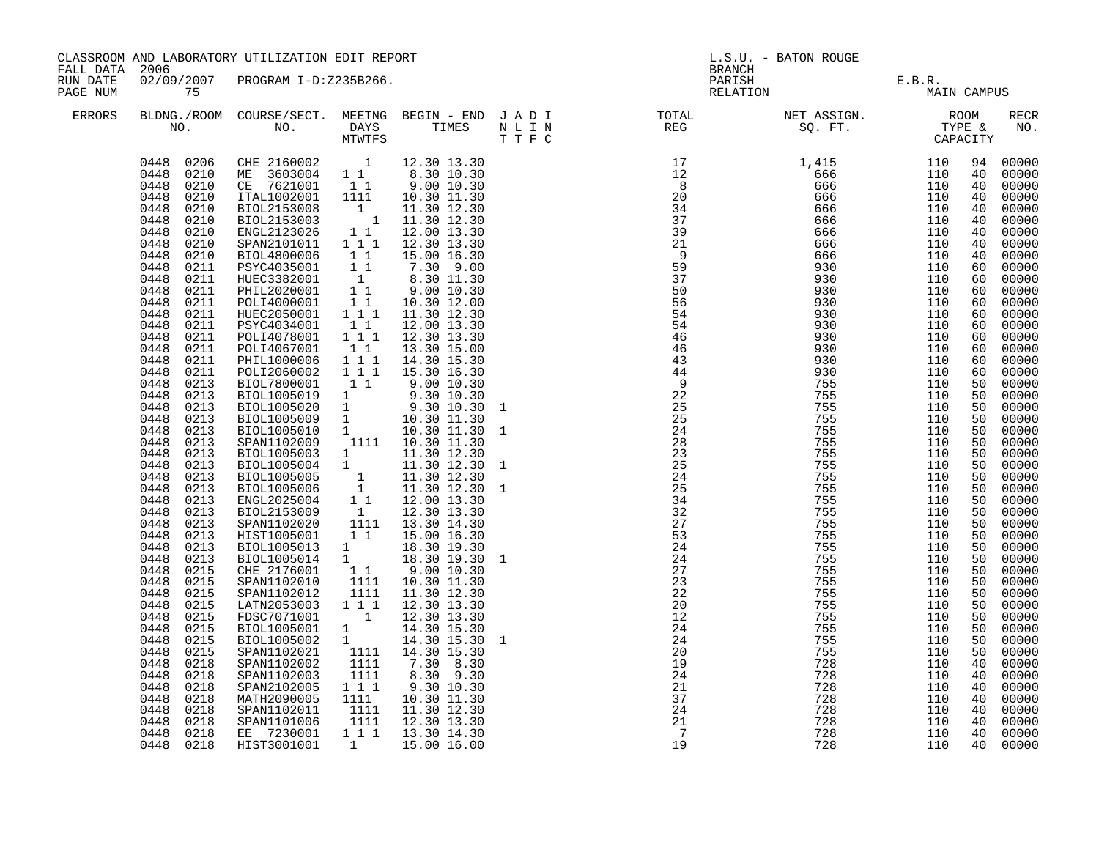| FALL DATA            | CLASSROOM AND LABORATORY UTILIZATION EDIT REPORT<br>2006                                                                                                                                                                                                                                                                                                                                                                                                                                                                                                                                                                                                                                                                                                                                                  |                                                                                                                                                                                                                                                                                                                                                                                                                                                                                                                                                                                                                                                                                                                                                                                                                                                                                                                                                                                                                  |                                                                                                                                                                                                                                                                                                                                                          |                                                                                                                                                                                                                                                                                                                                                                                                                                                                                                                                                                                                                                                                  | L.S.U. - BATON ROUGE<br><b>BRANCH</b>                       |                                                                                                                                                                                                                                                                       |                       |                   |                                                                                                                                                                                                                                                                                                          |                                                                                                                                                                                                                                                                                                                                                                                                                                                                            |
|----------------------|-----------------------------------------------------------------------------------------------------------------------------------------------------------------------------------------------------------------------------------------------------------------------------------------------------------------------------------------------------------------------------------------------------------------------------------------------------------------------------------------------------------------------------------------------------------------------------------------------------------------------------------------------------------------------------------------------------------------------------------------------------------------------------------------------------------|------------------------------------------------------------------------------------------------------------------------------------------------------------------------------------------------------------------------------------------------------------------------------------------------------------------------------------------------------------------------------------------------------------------------------------------------------------------------------------------------------------------------------------------------------------------------------------------------------------------------------------------------------------------------------------------------------------------------------------------------------------------------------------------------------------------------------------------------------------------------------------------------------------------------------------------------------------------------------------------------------------------|----------------------------------------------------------------------------------------------------------------------------------------------------------------------------------------------------------------------------------------------------------------------------------------------------------------------------------------------------------|------------------------------------------------------------------------------------------------------------------------------------------------------------------------------------------------------------------------------------------------------------------------------------------------------------------------------------------------------------------------------------------------------------------------------------------------------------------------------------------------------------------------------------------------------------------------------------------------------------------------------------------------------------------|-------------------------------------------------------------|-----------------------------------------------------------------------------------------------------------------------------------------------------------------------------------------------------------------------------------------------------------------------|-----------------------|-------------------|----------------------------------------------------------------------------------------------------------------------------------------------------------------------------------------------------------------------------------------------------------------------------------------------------------|----------------------------------------------------------------------------------------------------------------------------------------------------------------------------------------------------------------------------------------------------------------------------------------------------------------------------------------------------------------------------------------------------------------------------------------------------------------------------|
| RUN DATE<br>PAGE NUM | 75                                                                                                                                                                                                                                                                                                                                                                                                                                                                                                                                                                                                                                                                                                                                                                                                        | 02/09/2007 PROGRAM I-D:Z235B266.                                                                                                                                                                                                                                                                                                                                                                                                                                                                                                                                                                                                                                                                                                                                                                                                                                                                                                                                                                                 |                                                                                                                                                                                                                                                                                                                                                          |                                                                                                                                                                                                                                                                                                                                                                                                                                                                                                                                                                                                                                                                  |                                                             | PARISH<br>RELATION                                                                                                                                                                                                                                                    | E.B.R.<br>MAIN CAMPUS |                   |                                                                                                                                                                                                                                                                                                          |                                                                                                                                                                                                                                                                                                                                                                                                                                                                            |
| ERRORS               |                                                                                                                                                                                                                                                                                                                                                                                                                                                                                                                                                                                                                                                                                                                                                                                                           |                                                                                                                                                                                                                                                                                                                                                                                                                                                                                                                                                                                                                                                                                                                                                                                                                                                                                                                                                                                                                  |                                                                                                                                                                                                                                                                                                                                                          |                                                                                                                                                                                                                                                                                                                                                                                                                                                                                                                                                                                                                                                                  |                                                             |                                                                                                                                                                                                                                                                       |                       |                   |                                                                                                                                                                                                                                                                                                          | <b>RECR</b><br>NO.                                                                                                                                                                                                                                                                                                                                                                                                                                                         |
|                      | 0448<br>0210<br>0448<br>0210<br>0448<br>0210<br>0448<br>0210<br>0448<br>0210<br>0448<br>0210<br>0448<br>0210<br>0448<br>0211<br>0448<br>0211<br>0448<br>0211<br>0448<br>0211<br>0448<br>0211<br>0448<br>0211<br>0448<br>0211<br>0448<br>0211<br>0448<br>0211<br>0448<br>0211<br>0448<br>0213<br>0448<br>0213<br>0448<br>0213<br>0448<br>0213<br>0448<br>0213<br>0448<br>0213<br>0448<br>0213<br>0448<br>0213<br>0448<br>0213<br>0448<br>0213<br>0448<br>0213<br>0448<br>0213<br>0448<br>0213<br>0448<br>0213<br>0448<br>0213<br>0448<br>0213<br>0448<br>0215<br>0448<br>0215<br>0448<br>0215<br>0448<br>0215<br>0448<br>0215<br>0448<br>0215<br>0448<br>0215<br>0448<br>0215<br>0448<br>0218<br>0448<br>0218<br>0448<br>0218<br>0448<br>0218<br>0448<br>0218<br>0448<br>0218<br>0448<br>0218<br>0448 0218 | 0448 0206 CHE 2160002 1 12.30 13.30<br>0448 0210 ME 3603004 1 1 8.30 10.30<br>CE 7621001 11<br>ITAL1002001 1111<br>BIOL2153008<br>BIOL2153003<br>ENGL2123026<br>SPAN2101011<br>BIOL4800006<br>PSYC4035001<br>HUEC3382001<br>PHIL2020001<br>POLI4000001<br>HUEC2050001 111<br>PSYC4034001<br>POLI4078001 111<br>POLI4067001<br>PHIL1000006<br>POLI2060002<br>BIOL7800001<br>BIOLI005019 1<br>BIOLI005020 1 9.30 10.30<br>BIOLI005020 1 9.30 10.30<br>BIOLI005009 1 10.30 11.30<br>BIOLI005010 1 10.30 11.30<br>SPAN1102009<br>BIOL1005003 1<br>BIOL1005004 1<br>BIOLI05005<br>BIOLI05005 1 11.30 12.30<br>BIOLI05006 1 11.30 12.30<br>ENGL2025004 1 1 12.00 13.30<br>BIOL2153009 1 12.30 13.30<br>SPAN1102020<br>HIST1005001<br>BIOL1005013 1<br>BIOL1005014 1<br>CHE 2176001 1 1<br>SPAN1102010<br>SPAN1102012<br>LATN2053003<br>FDSC7071001<br>BIOL1005001<br>BIOL1005002<br>SPAN1102021<br>SPAN1102002<br>SPAN1102003<br>SPAN2102005<br>MATH2090005<br>SPAN1102011<br>SPAN1101006<br>EE 7230001<br>HIST3001001 | $\begin{smallmatrix}1&&\\&1\\1&&\end{smallmatrix}$<br>11<br>1 1 1<br>11<br>11<br>$\begin{smallmatrix} &1\\1&1\end{smallmatrix}$<br>$1\quad1$<br>11<br>$1\quad1$<br>111<br>$1 1 1$<br>$1\quad1$<br>1111<br>$1\quad1$<br>1111<br>1111<br>$1 1 1$<br>$\overline{1}$<br>$\frac{1}{1}$<br>1111<br>1111<br>1111<br>111<br>1111<br>1111<br>1111<br>$\mathbf{1}$ | 9.00 10.30<br>10.30 11.30<br>11.30 12.30<br>11.30 12.30<br>12.00 13.30<br>12.30 13.30<br>15.00 16.30<br>7.30 9.00<br>8.30 11.30<br>9.00 10.30<br>10.30 12.00<br>11.30 12.30<br>12.00 13.30<br>12.30 13.30<br>13.30 15.00<br>14.30 15.30<br>15.30 16.30<br>9.00 10.30<br>9.30 10.30<br>9.30 10.30<br>1111 10.30 11.30<br>11.30 12.30<br>11.30 12.30<br>13.30 14.30<br>15.00 16.30<br>18.30 19.30<br>18.30 19.30<br>9.00 10.30<br>10.30 11.30<br>11.30 12.30<br>12.30 13.30<br>12.30 13.30<br>14.30 15.30<br>14.30 15.30<br>14.30 15.30<br>7.30 8.30<br>8.30 9.30<br>9.30 10.30<br>10.30 11.30<br>11.30 12.30<br>12.30 13.30<br>1 1 1 1 13.30 14.30<br>15.00 16.00 | $\mathbf{1}$<br>1<br>$\mathbf{1}$<br>1<br>$\mathbf{1}$<br>1 | REG 90. FT. TYPE 110 6666<br>112 12 4, 456 6666 1110 6<br>172 12 4, 6666 1110 6<br>172 12 6666 1110 6666 1110 6666 1110 6666 1110 6666 1110 6666 1110 6666 1110 6666 1110 6666 1110 6666 1110 6666 1110 6666 1110 6666 1110 6666 1110 6<br>21<br>$\overline{7}$<br>19 | 728<br>728<br>728     | 110<br>110<br>110 | 94<br>40<br>40<br>40<br>40<br>40<br>40<br>40<br>40<br>60<br>60<br>60<br>60<br>60<br>60<br>60<br>60<br>60<br>60<br>50<br>50<br>50<br>50<br>50<br>50<br>50<br>50<br>50<br>50<br>50<br>50<br>50<br>50<br>50<br>50<br>50<br>50<br>50<br>50<br>50<br>50<br>50<br>50<br>40<br>40<br>40<br>40<br>40<br>40<br>40 | 00000<br>00000<br>00000<br>00000<br>00000<br>00000<br>00000<br>00000<br>00000<br>00000<br>00000<br>00000<br>00000<br>00000<br>00000<br>00000<br>00000<br>00000<br>00000<br>00000<br>00000<br>00000<br>00000<br>00000<br>00000<br>00000<br>00000<br>00000<br>00000<br>00000<br>00000<br>00000<br>00000<br>00000<br>00000<br>00000<br>00000<br>00000<br>00000<br>00000<br>00000<br>00000<br>00000<br>00000<br>00000<br>00000<br>00000<br>00000<br>00000<br>00000<br>40 00000 |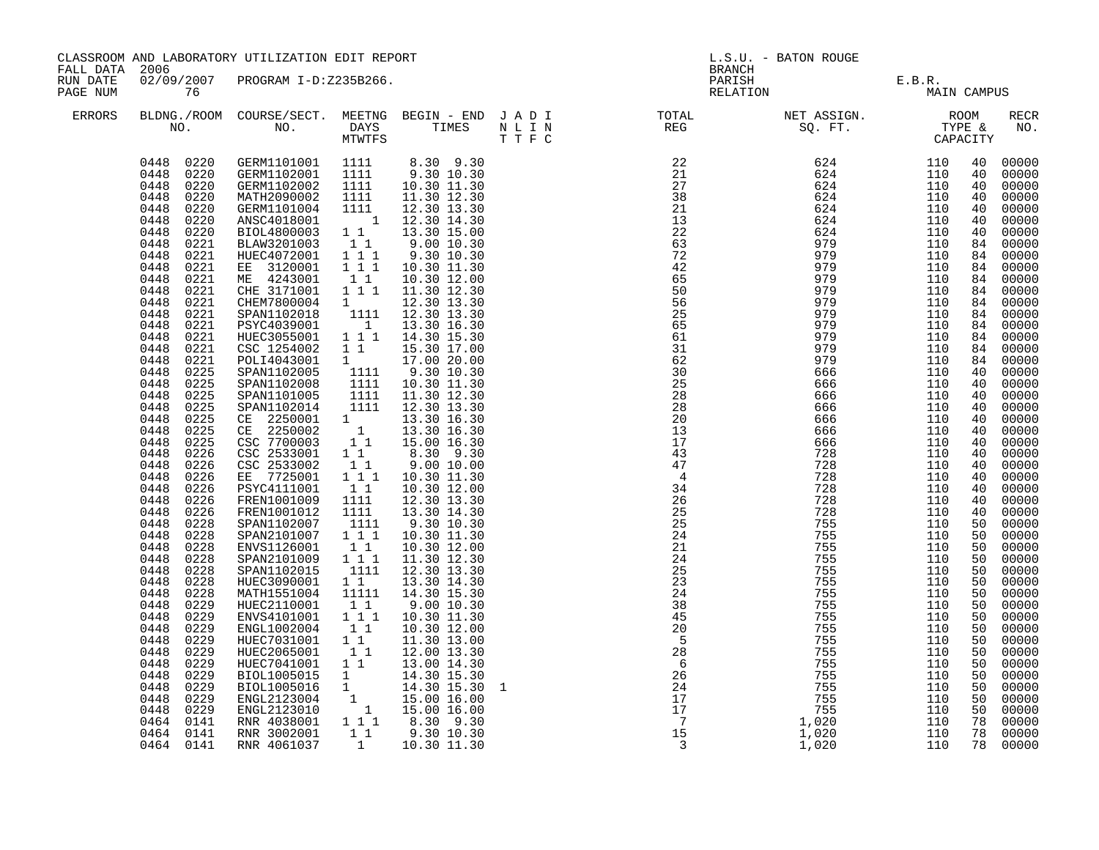| FALL DATA 2006       | CLASSROOM AND LABORATORY UTILIZATION EDIT REPORT                                                                                                                                                                                                                                                                                                                                                                                                                                                                                                                                                                                                                                                                                                                                                                 |                                                                                                                                                                                                                                                                                                                                                                                                                                                                                                                                                                                                                                                                                                                                                                                                                                                      |                                                                                                                                                                                                                                                                                                                                                                                                                                 |                                                                                                                                                                                                                                                                                                                                                                                                                                                                                                                                                                                                                                                                                                                                                                                                                                            |   | <b>BRANCH</b>                                                                                                                                                                                                                                                                                                                                                                                                                                                                                                                                         | L.S.U. - BATON ROUGE                                                                                                                                         |                                                                                                                                                                                                                                                                                             |                                                                                                                                                                                                                                                                                    |                                                                                                                                                                                                                                                                                                                                                                                                                                                                                        |
|----------------------|------------------------------------------------------------------------------------------------------------------------------------------------------------------------------------------------------------------------------------------------------------------------------------------------------------------------------------------------------------------------------------------------------------------------------------------------------------------------------------------------------------------------------------------------------------------------------------------------------------------------------------------------------------------------------------------------------------------------------------------------------------------------------------------------------------------|------------------------------------------------------------------------------------------------------------------------------------------------------------------------------------------------------------------------------------------------------------------------------------------------------------------------------------------------------------------------------------------------------------------------------------------------------------------------------------------------------------------------------------------------------------------------------------------------------------------------------------------------------------------------------------------------------------------------------------------------------------------------------------------------------------------------------------------------------|---------------------------------------------------------------------------------------------------------------------------------------------------------------------------------------------------------------------------------------------------------------------------------------------------------------------------------------------------------------------------------------------------------------------------------|--------------------------------------------------------------------------------------------------------------------------------------------------------------------------------------------------------------------------------------------------------------------------------------------------------------------------------------------------------------------------------------------------------------------------------------------------------------------------------------------------------------------------------------------------------------------------------------------------------------------------------------------------------------------------------------------------------------------------------------------------------------------------------------------------------------------------------------------|---|-------------------------------------------------------------------------------------------------------------------------------------------------------------------------------------------------------------------------------------------------------------------------------------------------------------------------------------------------------------------------------------------------------------------------------------------------------------------------------------------------------------------------------------------------------|--------------------------------------------------------------------------------------------------------------------------------------------------------------|---------------------------------------------------------------------------------------------------------------------------------------------------------------------------------------------------------------------------------------------------------------------------------------------|------------------------------------------------------------------------------------------------------------------------------------------------------------------------------------------------------------------------------------------------------------------------------------|----------------------------------------------------------------------------------------------------------------------------------------------------------------------------------------------------------------------------------------------------------------------------------------------------------------------------------------------------------------------------------------------------------------------------------------------------------------------------------------|
| RUN DATE<br>PAGE NUM | 76                                                                                                                                                                                                                                                                                                                                                                                                                                                                                                                                                                                                                                                                                                                                                                                                               | 02/09/2007 PROGRAM I-D:Z235B266.                                                                                                                                                                                                                                                                                                                                                                                                                                                                                                                                                                                                                                                                                                                                                                                                                     |                                                                                                                                                                                                                                                                                                                                                                                                                                 |                                                                                                                                                                                                                                                                                                                                                                                                                                                                                                                                                                                                                                                                                                                                                                                                                                            |   |                                                                                                                                                                                                                                                                                                                                                                                                                                                                                                                                                       | PARISH E.B.R.<br>RELATION MAIN                                                                                                                               | MAIN CAMPUS                                                                                                                                                                                                                                                                                 |                                                                                                                                                                                                                                                                                    |                                                                                                                                                                                                                                                                                                                                                                                                                                                                                        |
| ERRORS               |                                                                                                                                                                                                                                                                                                                                                                                                                                                                                                                                                                                                                                                                                                                                                                                                                  |                                                                                                                                                                                                                                                                                                                                                                                                                                                                                                                                                                                                                                                                                                                                                                                                                                                      |                                                                                                                                                                                                                                                                                                                                                                                                                                 |                                                                                                                                                                                                                                                                                                                                                                                                                                                                                                                                                                                                                                                                                                                                                                                                                                            |   | BLDNG./ROOM COURSE/SECT. MEETNG BEGIN – END JADI TOTAL NET ASSIGN. NET ASSIGN. ROOM ROOM NO. DAYS TIMES NLIN REG REG SQ.FT. TYPE &                                                                                                                                                                                                                                                                                                                                                                                                                    |                                                                                                                                                              |                                                                                                                                                                                                                                                                                             |                                                                                                                                                                                                                                                                                    | RECR<br>NO.                                                                                                                                                                                                                                                                                                                                                                                                                                                                            |
|                      | 0448 0220<br>0448<br>0220<br>0448<br>0220<br>0448<br>0220<br>0448<br>0220<br>0448<br>0220<br>0448<br>0221<br>0448<br>0221<br>0448<br>0221<br>0448<br>0221<br>0448<br>0221<br>0448<br>0221<br>0448<br>0221<br>0448<br>0221<br>0448<br>0221<br>0448<br>0221<br>0448<br>0221<br>0448<br>0225<br>0448<br>0225<br>0448<br>0225<br>0448<br>0225<br>0448<br>0225<br>0448<br>0225<br>0448<br>0225<br>0448<br>0226<br>0448<br>0226<br>0448<br>0226<br>0448<br>0226<br>0448<br>0226<br>0448<br>0226<br>0448<br>0228<br>0448<br>0228<br>0448<br>0228<br>0448<br>0228<br>0448<br>0228<br>0448<br>0228<br>0448<br>0228<br>0448<br>0229<br>0448<br>0229<br>0448<br>0229<br>0448<br>0229<br>0448<br>0229<br>0448<br>0229<br>0448<br>0229<br>0448<br>0229<br>0448<br>0229<br>0229<br>0448<br>0464 0141<br>0464 0141<br>0464 0141 | 0448  0220  GERM1101001  1111<br>GERM1101001 1111 8.30 9.30<br>GERM1102001 1111 9.30 10.30<br>GERM1102002<br>MATH2090002<br>GERM1101004<br>ANSC4018001<br>BIOL4800003<br>BLAW3201003<br>HUEC4072001<br>EE 3120001<br>ME 4243001<br>CHE 3171001<br>CHEM7800004<br>SPAN1102018<br>PSYC4039001<br>HUEC3055001<br>CSC 1254002<br>POLI4043001<br>SPAN1102005<br>SPAN1102008<br>SPAN1101005<br>SPAN1102014<br>CE 2250001<br>CE 2250002<br>CSC 7700003<br>CSC 2533001<br>CSC 2533002<br>EE 7725001<br>PSYC4111001<br>FREN1001009<br>FREN1001012<br>SPAN1102007<br>SPAN2101007<br>ENVS1126001<br>SPAN2101009<br>SPAN1102015<br>HUEC3090001<br>MATH1551004<br>HUEC2110001<br>ENVS4101001<br>ENGL1002004<br>HUEC7031001<br>HUEC2065001<br>HUEC7041001<br>BIOL1005015<br>BIOL1005016<br>ENGL2123004<br>ENGL2123010<br>RNR 4038001<br>RNR 3002001<br>RNR 4061037 | 1111<br>1111<br>1111<br>$1\quad1$<br>11<br>1 1 1<br>1 1 1<br>11<br>1 1 1<br>$1 \quad \blacksquare$<br>1111<br>$\overline{1}$<br>$1\quad1$<br>1<br>1111<br>1111<br>1111<br>1111<br>$\mathbf 1$<br>$\overline{1}$<br>$1\quad1$<br>$1\quad1$<br>1 1 1<br>$1\quad1$<br>1111<br>1111<br>1111<br>111<br>$1\quad1$<br>1 1 1<br>1111<br>$1\quad1$<br>11111<br>11<br>111<br>11<br>$1\quad1$<br>11<br>1 1<br>$\mathbf{1}$<br>1<br>11<br>1 | 10.30 11.30<br>11.30 12.30<br>12.30 13.30<br>1 12.30 14.30<br>13.30 15.00<br>9.00 10.30<br>9.30 10.30<br>10.30 11.30<br>10.30 12.00<br>11.30 12.30<br>12.30 13.30<br>12.30 13.30<br>13.30 16.30<br>1 1 1 1 1 14.30 15.30<br>15.30 17.00<br>17.00 20.00<br>9.30 10.30<br>10.30 11.30<br>11.30 12.30<br>12.30 13.30<br>13.30 16.30<br>13.30 16.30<br>1 1 1 15.00 16.30<br>8.30 9.30<br>9.00 10.00<br>10.30 11.30<br>10.30 12.00<br>12.30 13.30<br>13.30 14.30<br>9.30 10.30<br>10.30 11.30<br>10.30 12.00<br>11.30 12.30<br>12.30 13.30<br>13.30 14.30<br>14.30 15.30<br>9.00 10.30<br>10.30 11.30<br>10.30 12.00<br>11.30 13.00<br>12.00 13.30<br>13.00 14.30<br>14.30 15.30<br>14.30 15.30<br>$\begin{matrix} 1 & 14.30 & 13.30 \\ 1 & 15.00 & 16.00 \\ 1 & 15.00 & 16.00 \end{matrix}$<br>1 1 1 8.30 9.30<br>$9.30\ 10.30$<br>10.30 11.30 | 1 | $\begin{array}{cccc} 22 & 624 & 110 \ 21 & 624 & 110 \ 27 & 624 & 110 \ 38 & 624 & 110 \ 21 & 624 & 110 \ 21 & 624 & 110 \ 13 & 624 & 110 \ 22 & 624 & 110 \ 63 & 979 & 110 \ 42 & 979 & 110 \ 65 & 979 & 110 \end{array}$<br>65<br>50<br>56<br>25<br>65<br>61<br>31<br>62<br>30<br>25<br>28<br>28<br>20<br>13<br>17<br>43<br>$\overline{47}$<br>$\overline{4}$<br>34<br>26<br>25<br>25<br>24<br>21<br>24<br>25<br>23<br>24<br>38<br>45<br>20<br>$-5$<br>28<br>$6\overline{6}$<br>$\begin{array}{c} 6 \\ 26 \\ 24 \\ 17 \\ 17 \\ 15 \\ 3 \end{array}$ | 979<br>728<br>755<br>755<br>755<br>755<br>755<br>755<br>755<br>755<br>755<br>755<br>755<br>755<br>755<br>755<br>755<br>755<br>755<br>1,020<br>1,020<br>1,020 | 110<br>110<br>110<br>110<br>110<br>110<br>110<br>110<br>110<br>110<br>110<br>110<br>110<br>110<br>110<br>110<br>110<br>110<br>110<br>110<br>110<br>110<br>110<br>110<br>110<br>110<br>110<br>110<br>110<br>110<br>110<br>110<br>110<br>110<br>110<br>110<br>110<br>110<br>110<br>110<br>110 | 40<br>- 40<br>40<br>40<br>40<br>40<br>40<br>84<br>84<br>84<br>84<br>84<br>84<br>84<br>84<br>40<br>40<br>40<br>40<br>40<br>40<br>40<br>40<br>40<br>40<br>40<br>40<br>40<br>50<br>50<br>50<br>50<br>50<br>50<br>50<br>50<br>50<br>50<br>50<br>50<br>50<br>50<br>50<br>50<br>50<br>78 | 00000<br>00000<br>00000<br>00000<br>00000<br>00000<br>00000<br>00000<br>00000<br>00000<br>00000<br>84 00000<br>84 00000<br>84 00000<br>00000<br>00000<br>00000<br>00000<br>00000<br>00000<br>00000<br>00000<br>00000<br>00000<br>00000<br>00000<br>00000<br>00000<br>00000<br>00000<br>00000<br>00000<br>00000<br>00000<br>00000<br>00000<br>00000<br>00000<br>00000<br>00000<br>00000<br>00000<br>00000<br>00000<br>00000<br>00000<br>00000<br>00000<br>00000<br>78 00000<br>78 00000 |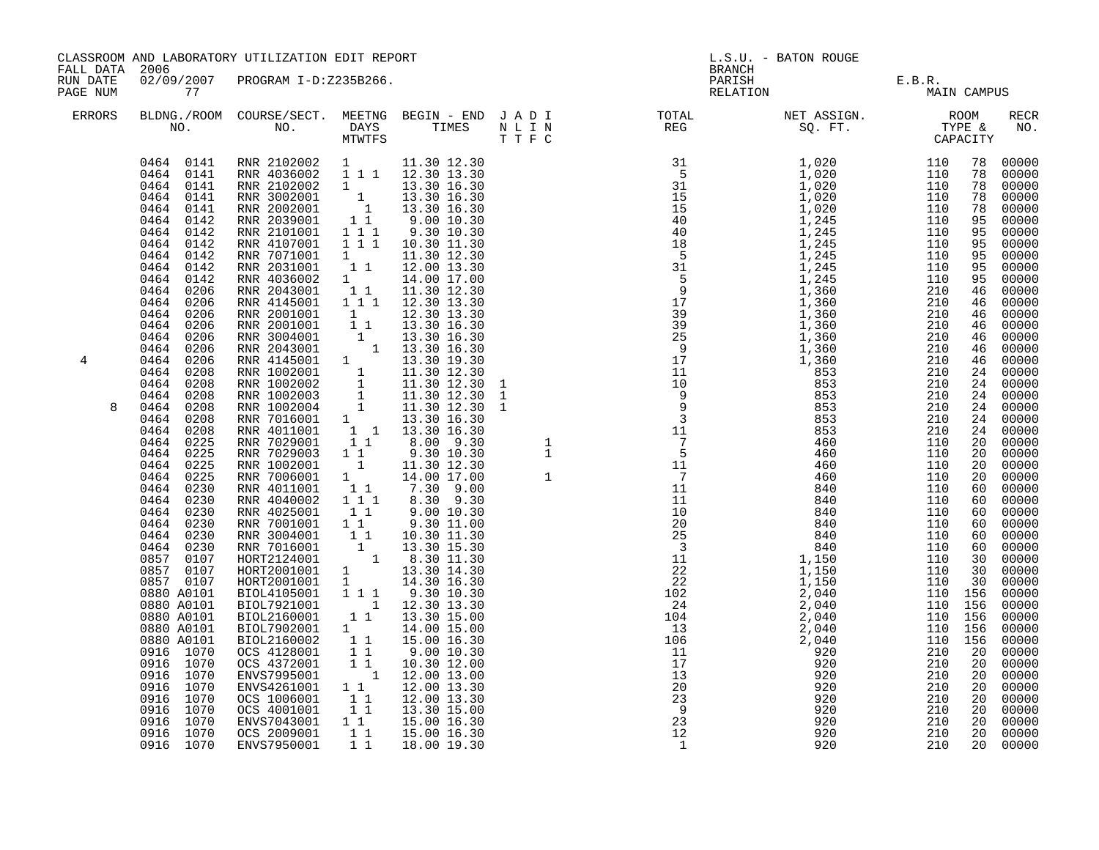| FALL DATA 2006       | CLASSROOM AND LABORATORY UTILIZATION EDIT REPORT                                                                                                                                                                                                                                                                                                                                                                                                                                                                                                                                                                                                                                                                     |                                                                                                                                                                                                                                                                                                                                                                                                                                                                                                                                                                                                                                                                                                                                                                                                                                                                                                                                                                                                                                                                                                                                                                                                                                                                                                         |                                                                                                                                                                                                             |                                                                                                                                                                                                                                                                                                                                                                                                                                                                                    |         | <b>BRANCH</b>                                                                                                                                                                                                                                                                                                                                                                                                                                                                                                                                                                                                                                                                                                            | L.S.U. - BATON ROUGE                                                                                                                                                                                      |                                                                                                                                                                     |                                                                                                                                                                      |                                                                                                                                                                                                                                                                                                                                                                                                                                                                                                                               |
|----------------------|----------------------------------------------------------------------------------------------------------------------------------------------------------------------------------------------------------------------------------------------------------------------------------------------------------------------------------------------------------------------------------------------------------------------------------------------------------------------------------------------------------------------------------------------------------------------------------------------------------------------------------------------------------------------------------------------------------------------|---------------------------------------------------------------------------------------------------------------------------------------------------------------------------------------------------------------------------------------------------------------------------------------------------------------------------------------------------------------------------------------------------------------------------------------------------------------------------------------------------------------------------------------------------------------------------------------------------------------------------------------------------------------------------------------------------------------------------------------------------------------------------------------------------------------------------------------------------------------------------------------------------------------------------------------------------------------------------------------------------------------------------------------------------------------------------------------------------------------------------------------------------------------------------------------------------------------------------------------------------------------------------------------------------------|-------------------------------------------------------------------------------------------------------------------------------------------------------------------------------------------------------------|------------------------------------------------------------------------------------------------------------------------------------------------------------------------------------------------------------------------------------------------------------------------------------------------------------------------------------------------------------------------------------------------------------------------------------------------------------------------------------|---------|--------------------------------------------------------------------------------------------------------------------------------------------------------------------------------------------------------------------------------------------------------------------------------------------------------------------------------------------------------------------------------------------------------------------------------------------------------------------------------------------------------------------------------------------------------------------------------------------------------------------------------------------------------------------------------------------------------------------------|-----------------------------------------------------------------------------------------------------------------------------------------------------------------------------------------------------------|---------------------------------------------------------------------------------------------------------------------------------------------------------------------|----------------------------------------------------------------------------------------------------------------------------------------------------------------------|-------------------------------------------------------------------------------------------------------------------------------------------------------------------------------------------------------------------------------------------------------------------------------------------------------------------------------------------------------------------------------------------------------------------------------------------------------------------------------------------------------------------------------|
| RUN DATE<br>PAGE NUM | 77                                                                                                                                                                                                                                                                                                                                                                                                                                                                                                                                                                                                                                                                                                                   | 02/09/2007 PROGRAM I-D:Z235B266.                                                                                                                                                                                                                                                                                                                                                                                                                                                                                                                                                                                                                                                                                                                                                                                                                                                                                                                                                                                                                                                                                                                                                                                                                                                                        |                                                                                                                                                                                                             |                                                                                                                                                                                                                                                                                                                                                                                                                                                                                    |         |                                                                                                                                                                                                                                                                                                                                                                                                                                                                                                                                                                                                                                                                                                                          | PARISH E.B.R.<br>RELATION MAI                                                                                                                                                                             | MAIN CAMPUS                                                                                                                                                         |                                                                                                                                                                      |                                                                                                                                                                                                                                                                                                                                                                                                                                                                                                                               |
| <b>ERRORS</b>        | NO.                                                                                                                                                                                                                                                                                                                                                                                                                                                                                                                                                                                                                                                                                                                  | BLDNG./ROOM COURSE/SECT. MEETNG BEGIN - END J A D I<br>NO. DAYS TIMES NLIN                                                                                                                                                                                                                                                                                                                                                                                                                                                                                                                                                                                                                                                                                                                                                                                                                                                                                                                                                                                                                                                                                                                                                                                                                              | MTWTFS                                                                                                                                                                                                      |                                                                                                                                                                                                                                                                                                                                                                                                                                                                                    | T T F C | TOTAL NET ASSIGN. ROOM<br>REG SQ. FT. TYPE &<br>CAPACITY                                                                                                                                                                                                                                                                                                                                                                                                                                                                                                                                                                                                                                                                 |                                                                                                                                                                                                           |                                                                                                                                                                     |                                                                                                                                                                      | RECR<br>NO.                                                                                                                                                                                                                                                                                                                                                                                                                                                                                                                   |
| 4                    | 0464 0141<br>0464 0141<br>0464<br>0141<br>0464<br>0142<br>0464<br>0142<br>0464 0142<br>0464<br>0142<br>0464 0142<br>0464 0142<br>0464 0206<br>0464<br>0206<br>0464<br>0206<br>0464 0206<br>0464 0206<br>0464<br>0206<br>0464 0206<br>0464 0208<br>0464<br>0208<br>0464<br>0208<br>0464<br>0208<br>0464<br>0208<br>0464<br>0208<br>0464<br>0225<br>0464<br>0225<br>0464<br>0225<br>0464<br>0225<br>0464<br>0230<br>0464<br>0230<br>0464 0230<br>0464 0230<br>0464 0230<br>0464 0230<br>0857 0107<br>0857 0107<br>0857 0107<br>0880 A0101<br>0880 A0101<br>0880 A0101<br>0880 A0101<br>0880 A0101<br>0916 1070<br>0916 1070<br>0916 1070<br>0916 1070<br>0916 1070<br>0916 1070<br>0916 1070<br>0916 1070<br>0916 1070 | $\begin{array}{cccccccc} 0464 & 0141 & \text{RNR} & 2102002 & 1 & 11.30 & 12.30 \\ 0464 & 0141 & \text{RNR} & 4036002 & 1 & 1 & 1 & 12.30 & 13.30 \end{array}$<br>NR 2102002 1 1 13.30 16.30<br>RNR 2002001 1 13.30 16.30<br>RNR 2002001 1 13.30 16.30<br>RNR 2039001 1 9.00 10.30<br>RNR 2101001 1 1 9.30 10.30<br>RNR 4107001<br>RNR 7071001<br>RNR 2031001<br>RNR 4036002 1 14.00 17.00<br>RNR 2043001 1 1 11.30 12.30<br>RNR 4145001 1 1 12.30 13.30<br>RNR 2001001<br>RNR 2001001<br>RNR 3004001<br>RNR 2043001<br>NNR 4145001 1 13.30 19.30<br>RNR 1002001 1 11.30 12.30<br>RNR 1002002 1 11.30 12.30 1<br>RNR 1002003 1 11.30 12.30 1<br>RNR 1002004 1 11.30 12.30 1<br>RNR 7016001 1<br>RNR 4011001 1 13.30 16.30<br>RNR 7029001 1 1 8.00 9.30<br>RNR 7029003    1    1    9.30    10.30<br>RNR 1002001    1    11.30    12.30<br>RNR 7006001<br>RNR 4011001<br>RNR 4040002<br>RNR 4025001<br>RNR 7001001 1 1<br>NNR 3004001 1 1 10.30 11.30<br>RNR 7016001 1 13.30 15.30<br>HORT2124001 1 8.30 11.30<br>HORT2001001 1 13.30 14.30<br>HORT2001001 1 14.30 16.30<br>BIOL4105001 111<br>BIOL7921001<br>BIOL2160001<br>BIOL7902001 1<br>BIOL2160002 1 1<br>OCS 4128001 1 1<br>OCS 4372001<br>ENVS7995001<br>ENVS4261001<br>OCS 1006001<br>OCS 4001001<br>ENVS7043001<br>OCS 2009001<br>ENVS7950001 | $\mathbf{1}$<br>$\begin{smallmatrix}1\1\1\1\end{smallmatrix}$<br>1<br>$1 1 1$<br>$1\quad1$<br>$1\bar{1}$<br>$1\quad1$<br>$\begin{bmatrix} 1 \\ 1 \end{bmatrix}$<br>11<br>$1\quad1$<br>11<br>$\frac{1}{1}$ 1 | 1 1 1 1 10.30 11.30<br>11.30 12.30<br>1 1 12.00 13.30<br>12.30 13.30<br>13.30 16.30<br>1 13.30 16.30<br>1 13.30 16.30<br>13.30 16.30<br>$\begin{array}{cccc} 1 & 14.00 & 17.00 \\ 1 & 1 & 7.30 & 9.00 \end{array}$<br>8.30 9.30<br>9.00 10.30<br>9.30 11.00<br>9.30 10.30<br>1 12.30 13.30<br>1 1 13.30 15.00<br>14.00 15.00<br>15.00 16.30<br>9.0010.30<br>10.30 12.00<br>1 12.00 13.00<br>12.00 13.30<br>12.00 13.30<br>13.30 15.00<br>15.00 16.30<br>15.00 16.30<br>18.00 19.30 |         | $\begin{array}{cccccccc} \text{T} & \text{T} & \text{F} & \text{F} & \text{C} & \text{CAPAC} \\ \text{CAPAC} & \text{S1} & \text{S1} & \text{S2} & \text{S3} & \text{S1} & \text{S4} & \text{S5} \\ \text{S1} & \text{S2} & \text{S3} & \text{S1} & \text{S4} & \text{S5} & \text{S5} & \text{S6} \\ \text{S1} & \text{S1} & \text{S2} & \text{S3} & \text{S1} & \text{S1} & \text{S2} & \text{S1} & \text{S1} \\$<br>$\begin{array}{c}\n11 \\ 10\n\end{array}$<br>$\frac{11}{10}$<br>20<br>25<br>3<br>11<br>$\begin{array}{r} 120 \\ 25 \\ 3 \\ 11 \\ 22 \\ 22 \\ 102 \\ 24 \\ 10 \\ 13 \\ 106 \\ 11 \end{array}$<br>11<br>$\overline{1}\overline{7}$<br>13<br>20<br>23<br>$\overline{9}$<br>23<br>12<br>$\overline{1}$ | 840<br>840<br>840<br>840<br>1,150<br>1,150<br>$1,150$<br>$2,040$<br>$2,040$<br>$2,040$<br>$2,040$<br>$2,040$<br>$2,040$<br>$920$<br>$920$<br>$920$<br>$920$<br>$920$<br>$920$<br>920<br>920<br>920<br>920 | 110<br>110<br>110<br>110<br>110<br>110<br>110<br>110 156<br>110 156<br>110 156<br>110 156<br>110 156<br>210<br>210<br>210<br>210<br>210<br>210<br>210<br>210<br>210 | 78<br>95<br>95<br>95<br>95<br>46<br>24<br>24<br>20<br>20<br>20<br>60<br>60<br>60<br>60<br>60<br>30<br>30<br>30<br>20<br>20<br>20<br>20<br>20<br>20<br>20<br>20<br>20 | 78 00000<br>78 00000<br>00000<br>78 00000<br>78 00000<br>95 00000<br>00000<br>00000<br>00000<br>95 00000<br>00000<br>46 00000<br>46 00000<br>46 00000<br>00000<br>46 00000<br>46 00000<br>46 00000<br>24 00000<br>24 00000<br>24 00000<br>24 00000<br>00000<br>00000<br>20 00000<br>00000<br>00000<br>00000<br>00000<br>00000<br>00000<br>00000<br>60 00000<br>00000<br>00000<br>00000<br>00000<br>00000<br>00000<br>00000<br>00000<br>00000<br>00000<br>00000<br>00000<br>00000<br>00000<br>00000<br>00000<br>00000<br>00000 |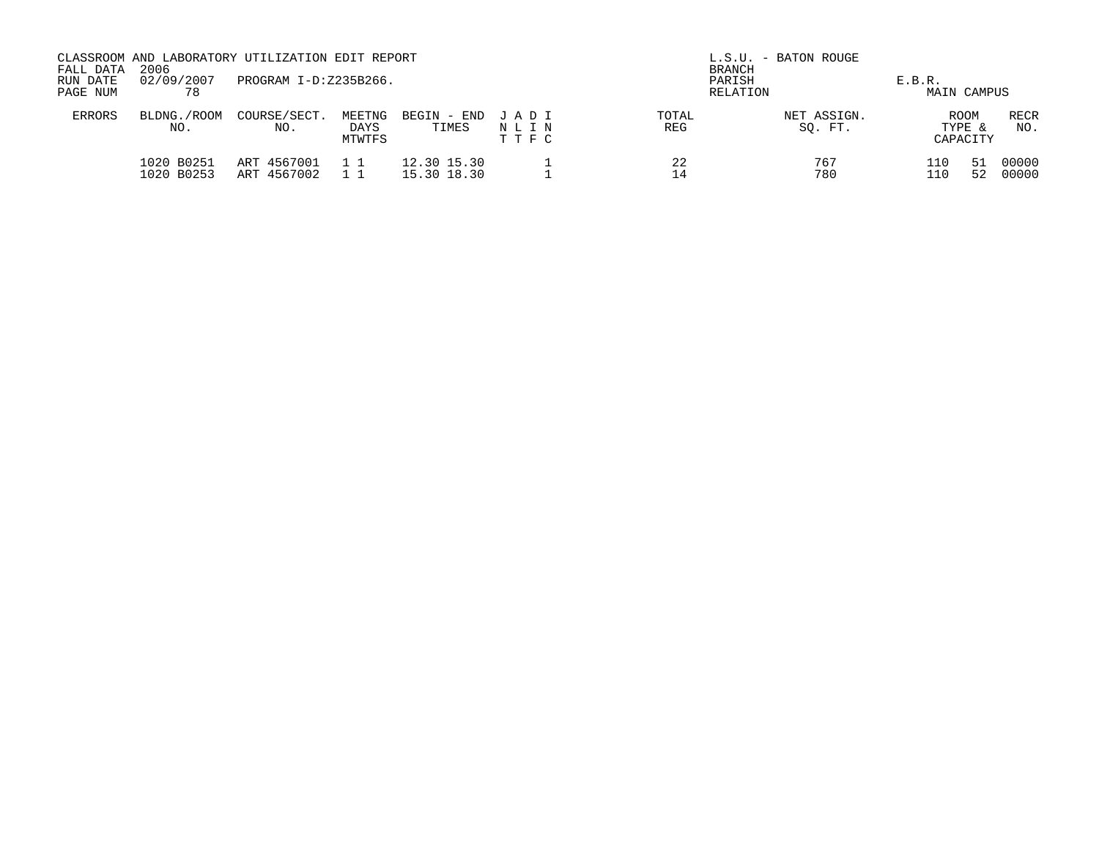| FALL DATA            | 2006                     | CLASSROOM AND LABORATORY UTILIZATION EDIT REPORT |                          |                            | L.S.U. - BATON ROUGE<br><b>BRANCH</b> |              |                        |                       |                                   |                    |
|----------------------|--------------------------|--------------------------------------------------|--------------------------|----------------------------|---------------------------------------|--------------|------------------------|-----------------------|-----------------------------------|--------------------|
| RUN DATE<br>PAGE NUM | 02/09/2007<br>78         | PROGRAM I-D:Z235B266.                            |                          |                            |                                       | PARISH       | RELATION               | E.B.R.<br>MAIN CAMPUS |                                   |                    |
| <b>ERRORS</b>        | BLDNG./ROOM<br>NO.       | COURSE/SECT.<br>NO.                              | MEETNG<br>DAYS<br>MTWTFS | BEGIN - END<br>TIMES       | JADI<br>NLIN<br>T T F C               | TOTAL<br>REG | NET ASSIGN.<br>SO. FT. |                       | <b>ROOM</b><br>TYPE &<br>CAPACITY | <b>RECR</b><br>NO. |
|                      | 1020 B0251<br>1020 B0253 | ART 4567001<br>ART 4567002                       |                          | 12.30 15.30<br>15.30 18.30 |                                       | 22<br>14     | 767<br>780             | 110                   | 51<br>52                          | 00000<br>00000     |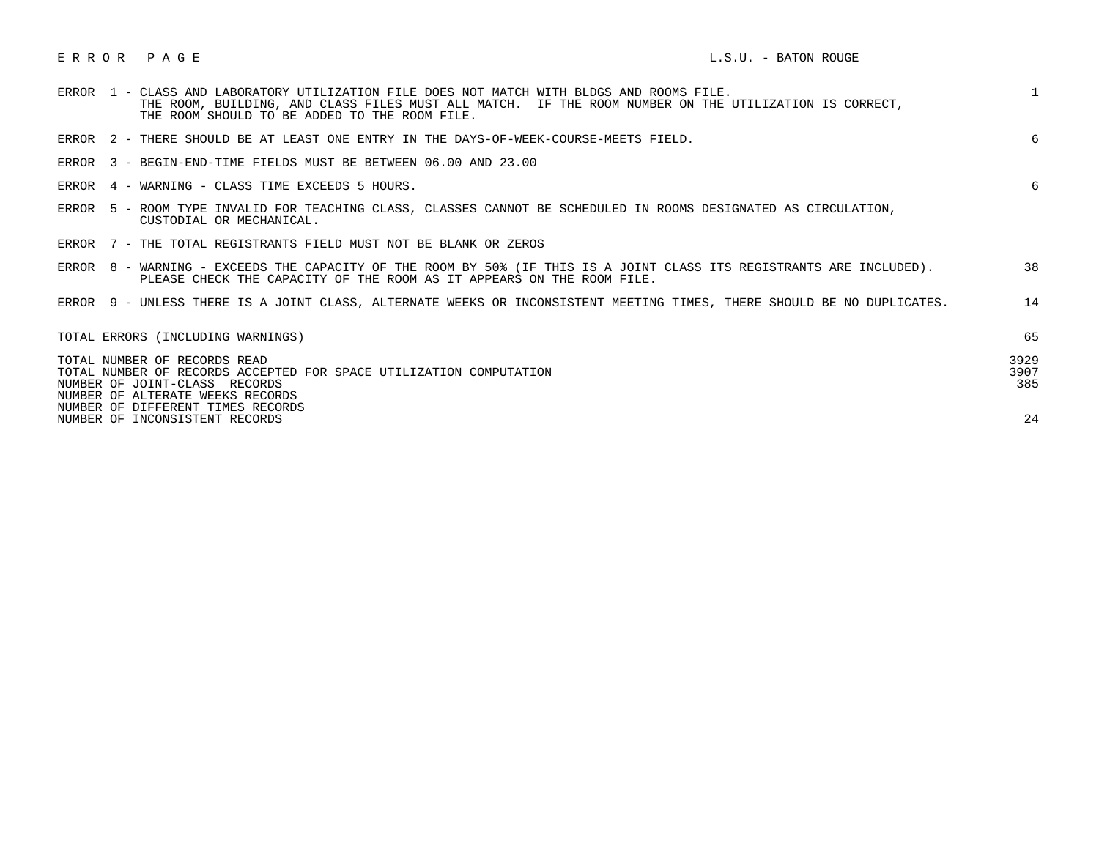|                                                                                                                                                                                         |  | ERROR 1 - CLASS AND LABORATORY UTILIZATION FILE DOES NOT MATCH WITH BLDGS AND ROOMS FILE.<br>THE ROOM, BUILDING, AND CLASS FILES MUST ALL MATCH. IF THE ROOM NUMBER ON THE UTILIZATION IS CORRECT,<br>THE ROOM SHOULD TO BE ADDED TO THE ROOM FILE. | $\mathbf{1}$ |  |  |
|-----------------------------------------------------------------------------------------------------------------------------------------------------------------------------------------|--|-----------------------------------------------------------------------------------------------------------------------------------------------------------------------------------------------------------------------------------------------------|--------------|--|--|
|                                                                                                                                                                                         |  | ERROR 2 - THERE SHOULD BE AT LEAST ONE ENTRY IN THE DAYS-OF-WEEK-COURSE-MEETS FIELD.                                                                                                                                                                | 6            |  |  |
|                                                                                                                                                                                         |  | ERROR 3 - BEGIN-END-TIME FIELDS MUST BE BETWEEN 06.00 AND 23.00                                                                                                                                                                                     |              |  |  |
|                                                                                                                                                                                         |  | ERROR 4 - WARNING - CLASS TIME EXCEEDS 5 HOURS.                                                                                                                                                                                                     | 6            |  |  |
|                                                                                                                                                                                         |  | ERROR 5 - ROOM TYPE INVALID FOR TEACHING CLASS, CLASSES CANNOT BE SCHEDULED IN ROOMS DESIGNATED AS CIRCULATION,<br>CUSTODIAL OR MECHANICAL.                                                                                                         |              |  |  |
|                                                                                                                                                                                         |  | ERROR 7 - THE TOTAL REGISTRANTS FIELD MUST NOT BE BLANK OR ZEROS                                                                                                                                                                                    |              |  |  |
|                                                                                                                                                                                         |  | ERROR 8 - WARNING - EXCEEDS THE CAPACITY OF THE ROOM BY 50% (IF THIS IS A JOINT CLASS ITS REGISTRANTS ARE INCLUDED).<br>PLEASE CHECK THE CAPACITY OF THE ROOM AS IT APPEARS ON THE ROOM FILE.                                                       | 38           |  |  |
|                                                                                                                                                                                         |  | ERROR 9 - UNLESS THERE IS A JOINT CLASS, ALTERNATE WEEKS OR INCONSISTENT MEETING TIMES, THERE SHOULD BE NO DUPLICATES.                                                                                                                              | 14           |  |  |
|                                                                                                                                                                                         |  | TOTAL ERRORS (INCLUDING WARNINGS)                                                                                                                                                                                                                   | 65           |  |  |
| 3929<br>TOTAL NUMBER OF RECORDS READ<br>3907<br>TOTAL NUMBER OF RECORDS ACCEPTED FOR SPACE UTILIZATION COMPUTATION<br>NUMBER OF JOINT-CLASS RECORDS<br>NUMBER OF ALTERATE WEEKS RECORDS |  |                                                                                                                                                                                                                                                     |              |  |  |
|                                                                                                                                                                                         |  | NUMBER OF DIFFERENT TIMES RECORDS<br>NUMBER OF INCONSISTENT RECORDS                                                                                                                                                                                 | 24           |  |  |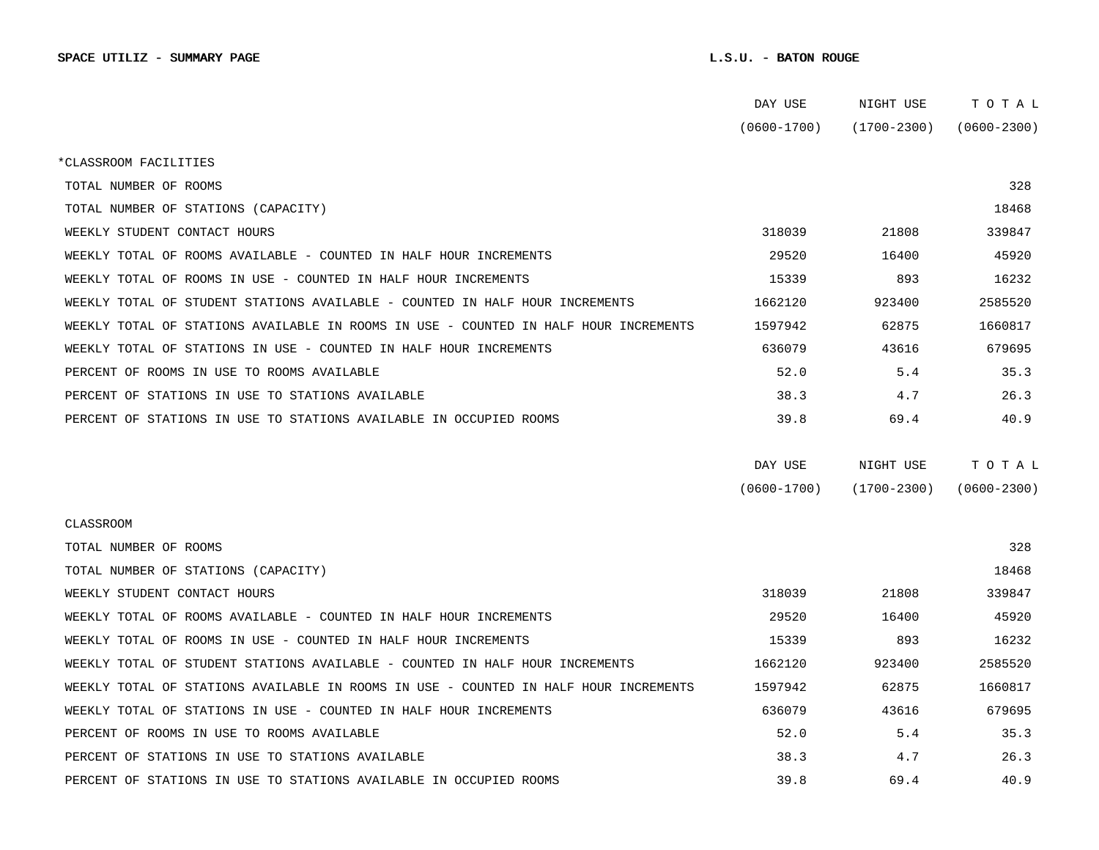|                                                                                      | DAY USE         | NIGHT USE       | тотаь           |  |
|--------------------------------------------------------------------------------------|-----------------|-----------------|-----------------|--|
|                                                                                      | $(0600 - 1700)$ | $(1700 - 2300)$ | $(0600 - 2300)$ |  |
| *CLASSROOM FACILITIES                                                                |                 |                 |                 |  |
| TOTAL NUMBER OF ROOMS                                                                |                 |                 | 328             |  |
| TOTAL NUMBER OF STATIONS (CAPACITY)                                                  |                 |                 | 18468           |  |
| WEEKLY STUDENT CONTACT HOURS                                                         | 318039          | 21808           | 339847          |  |
| WEEKLY TOTAL OF ROOMS AVAILABLE - COUNTED IN HALF HOUR INCREMENTS                    | 29520           | 16400           | 45920           |  |
| WEEKLY TOTAL OF ROOMS IN USE - COUNTED IN HALF HOUR INCREMENTS                       | 15339           | 893             | 16232           |  |
| WEEKLY TOTAL OF STUDENT STATIONS AVAILABLE - COUNTED IN HALF HOUR INCREMENTS         | 1662120         | 923400          | 2585520         |  |
| WEEKLY TOTAL OF STATIONS AVAILABLE IN ROOMS IN USE - COUNTED IN HALF HOUR INCREMENTS | 1597942         | 62875           | 1660817         |  |
| WEEKLY TOTAL OF STATIONS IN USE - COUNTED IN HALF HOUR INCREMENTS                    | 636079          | 43616           | 679695          |  |
| PERCENT OF ROOMS IN USE TO ROOMS AVAILABLE                                           | 52.0            | 5.4             | 35.3            |  |
| PERCENT OF STATIONS IN USE TO STATIONS AVAILABLE                                     | 38.3            | 4.7             | 26.3            |  |
| PERCENT OF STATIONS IN USE TO STATIONS AVAILABLE IN OCCUPIED ROOMS                   | 39.8            | 69.4            | 40.9            |  |
|                                                                                      |                 |                 |                 |  |
|                                                                                      | DAY USE         | NIGHT USE       | TOTAL           |  |
|                                                                                      | $(0600 - 1700)$ | $(1700 - 2300)$ | $(0600 - 2300)$ |  |
| CLASSROOM                                                                            |                 |                 |                 |  |
| TOTAL NUMBER OF ROOMS                                                                |                 |                 | 328             |  |
| TOTAL NUMBER OF STATIONS (CAPACITY)                                                  |                 |                 | 18468           |  |
| WEEKLY STUDENT CONTACT HOURS                                                         | 318039          | 21808           | 339847          |  |
| WEEKLY TOTAL OF ROOMS AVAILABLE - COUNTED IN HALF HOUR INCREMENTS                    | 29520           | 16400           | 45920           |  |
| WEEKLY TOTAL OF ROOMS IN USE - COUNTED IN HALF HOUR INCREMENTS                       | 15339           | 893             | 16232           |  |
| WEEKLY TOTAL OF STUDENT STATIONS AVAILABLE - COUNTED IN HALF HOUR INCREMENTS         | 1662120         | 923400          | 2585520         |  |
| WEEKLY TOTAL OF STATIONS AVAILABLE IN ROOMS IN USE - COUNTED IN HALF HOUR INCREMENTS | 1597942         | 62875           | 1660817         |  |
| WEEKLY TOTAL OF STATIONS IN USE - COUNTED IN HALF HOUR INCREMENTS                    | 636079          | 43616           | 679695          |  |
| PERCENT OF ROOMS IN USE TO ROOMS AVAILABLE                                           | 52.0            | 5.4             | 35.3            |  |
| PERCENT OF STATIONS IN USE TO STATIONS AVAILABLE                                     | 38.3            | 4.7             | 26.3            |  |
| PERCENT OF STATIONS IN USE TO STATIONS AVAILABLE IN OCCUPIED ROOMS                   | 39.8            | 69.4            | 40.9            |  |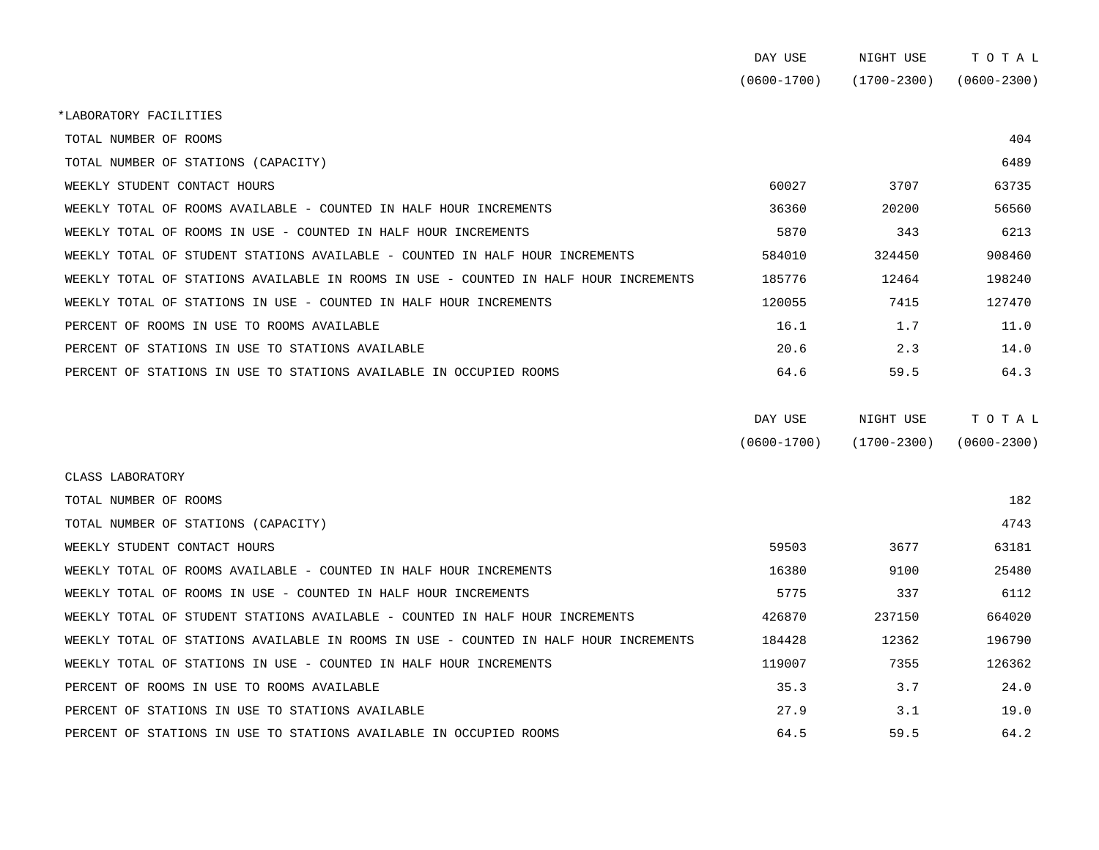| DAY USE     | NIGHT USE       | тотаг           |
|-------------|-----------------|-----------------|
| (0600-1700) | $(1700 - 2300)$ | $(0600 - 2300)$ |

\*LABORATORY FACILITIES

| TOTAL NUMBER OF ROOMS                                                                |                 |                 | 404             |
|--------------------------------------------------------------------------------------|-----------------|-----------------|-----------------|
| TOTAL NUMBER OF STATIONS (CAPACITY)                                                  |                 |                 | 6489            |
| WEEKLY STUDENT CONTACT HOURS                                                         | 60027           | 3707            | 63735           |
| WEEKLY TOTAL OF ROOMS AVAILABLE - COUNTED IN HALF HOUR INCREMENTS                    | 36360           | 20200           | 56560           |
| WEEKLY TOTAL OF ROOMS IN USE - COUNTED IN HALF HOUR INCREMENTS                       | 5870            | 343             | 6213            |
| WEEKLY TOTAL OF STUDENT STATIONS AVAILABLE - COUNTED IN HALF HOUR INCREMENTS         | 584010          | 324450          | 908460          |
| WEEKLY TOTAL OF STATIONS AVAILABLE IN ROOMS IN USE - COUNTED IN HALF HOUR INCREMENTS | 185776          | 12464           | 198240          |
| WEEKLY TOTAL OF STATIONS IN USE - COUNTED IN HALF HOUR INCREMENTS                    | 120055          | 7415            | 127470          |
| PERCENT OF ROOMS IN USE TO ROOMS AVAILABLE                                           | 16.1            | 1.7             | 11.0            |
| PERCENT OF STATIONS IN USE TO STATIONS AVAILABLE                                     | 20.6            | 2.3             | 14.0            |
| PERCENT OF STATIONS IN USE TO STATIONS AVAILABLE IN OCCUPIED ROOMS                   | 64.6            | 59.5            | 64.3            |
|                                                                                      | DAY USE         | NIGHT USE       | TOTAL           |
|                                                                                      | $(0600 - 1700)$ | $(1700 - 2300)$ | $(0600 - 2300)$ |
| CLASS LABORATORY                                                                     |                 |                 |                 |

| TOTAL NUMBER OF ROOMS                                                                |        |        | 182    |
|--------------------------------------------------------------------------------------|--------|--------|--------|
| TOTAL NUMBER OF STATIONS (CAPACITY)                                                  |        |        | 4743   |
| WEEKLY STUDENT CONTACT HOURS                                                         | 59503  | 3677   | 63181  |
| WEEKLY TOTAL OF ROOMS AVAILABLE - COUNTED IN HALF HOUR INCREMENTS                    | 16380  | 9100   | 25480  |
| WEEKLY TOTAL OF ROOMS IN USE - COUNTED IN HALF HOUR INCREMENTS                       | 5775   | 337    | 6112   |
| WEEKLY TOTAL OF STUDENT STATIONS AVAILABLE - COUNTED IN HALF HOUR INCREMENTS         | 426870 | 237150 | 664020 |
| WEEKLY TOTAL OF STATIONS AVAILABLE IN ROOMS IN USE - COUNTED IN HALF HOUR INCREMENTS | 184428 | 12362  | 196790 |
| WEEKLY TOTAL OF STATIONS IN USE - COUNTED IN HALF HOUR INCREMENTS                    | 119007 | 7355   | 126362 |
| PERCENT OF ROOMS IN USE TO ROOMS AVAILABLE                                           | 35.3   | 3.7    | 24.0   |
| PERCENT OF STATIONS IN USE TO STATIONS AVAILABLE                                     | 27.9   | 3.1    | 19.0   |
| PERCENT OF STATIONS IN USE TO STATIONS AVAILABLE IN OCCUPIED ROOMS                   | 64.5   | 59.5   | 64.2   |
|                                                                                      |        |        |        |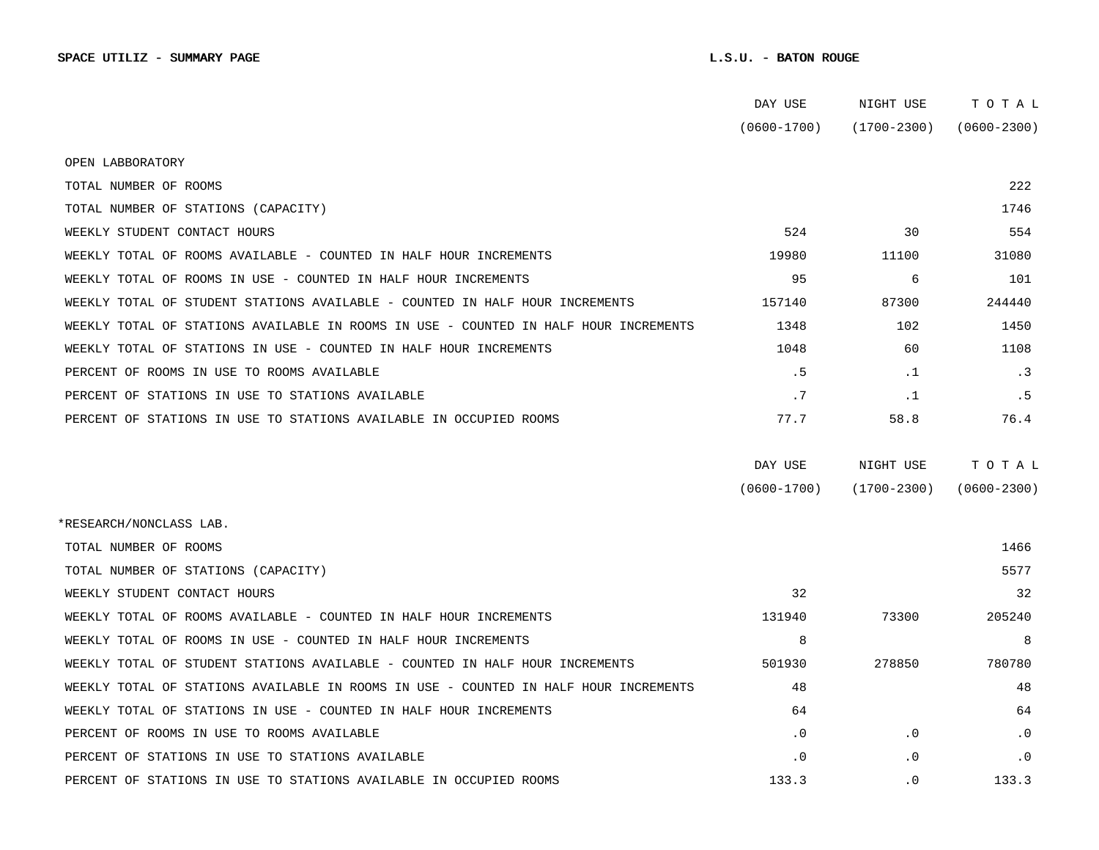|                                                                                      | DAY USE         | NIGHT USE       | TOTAL           |
|--------------------------------------------------------------------------------------|-----------------|-----------------|-----------------|
|                                                                                      | $(0600 - 1700)$ | $(1700 - 2300)$ | $(0600 - 2300)$ |
| OPEN LABBORATORY                                                                     |                 |                 |                 |
| TOTAL NUMBER OF ROOMS                                                                |                 |                 | 222             |
| TOTAL NUMBER OF STATIONS (CAPACITY)                                                  |                 |                 | 1746            |
| WEEKLY STUDENT CONTACT HOURS                                                         | 524             | 30              | 554             |
|                                                                                      |                 |                 |                 |
| WEEKLY TOTAL OF ROOMS AVAILABLE - COUNTED IN HALF HOUR INCREMENTS                    | 19980           | 11100           | 31080           |
| WEEKLY TOTAL OF ROOMS IN USE - COUNTED IN HALF HOUR INCREMENTS                       | 95              | 6               | 101             |
| WEEKLY TOTAL OF STUDENT STATIONS AVAILABLE - COUNTED IN HALF HOUR INCREMENTS         | 157140          | 87300           | 244440          |
| WEEKLY TOTAL OF STATIONS AVAILABLE IN ROOMS IN USE - COUNTED IN HALF HOUR INCREMENTS | 1348            | 102             | 1450            |
| WEEKLY TOTAL OF STATIONS IN USE - COUNTED IN HALF HOUR INCREMENTS                    | 1048            | 60              | 1108            |
| PERCENT OF ROOMS IN USE TO ROOMS AVAILABLE                                           | . 5             | .1              | . 3             |
| PERCENT OF STATIONS IN USE TO STATIONS AVAILABLE                                     | .7              | .1              | . 5             |
| PERCENT OF STATIONS IN USE TO STATIONS AVAILABLE IN OCCUPIED ROOMS                   | 77.7            | 58.8            | 76.4            |
|                                                                                      |                 |                 |                 |
|                                                                                      | DAY USE         | NIGHT USE       | TOTAL           |
|                                                                                      | $(0600 - 1700)$ | $(1700 - 2300)$ | $(0600 - 2300)$ |
| *RESEARCH/NONCLASS LAB.                                                              |                 |                 |                 |
| TOTAL NUMBER OF ROOMS                                                                |                 |                 | 1466            |
| TOTAL NUMBER OF STATIONS (CAPACITY)                                                  |                 |                 | 5577            |
| WEEKLY STUDENT CONTACT HOURS                                                         | 32              |                 | 32              |
| WEEKLY TOTAL OF ROOMS AVAILABLE - COUNTED IN HALF HOUR INCREMENTS                    | 131940          | 73300           | 205240          |
| WEEKLY TOTAL OF ROOMS IN USE - COUNTED IN HALF HOUR INCREMENTS                       | 8               |                 | 8               |
| WEEKLY TOTAL OF STUDENT STATIONS AVAILABLE - COUNTED IN HALF HOUR INCREMENTS         | 501930          | 278850          | 780780          |
| WEEKLY TOTAL OF STATIONS AVAILABLE IN ROOMS IN USE - COUNTED IN HALF HOUR INCREMENTS | 48              |                 | 48              |
| WEEKLY TOTAL OF STATIONS IN USE - COUNTED IN HALF HOUR INCREMENTS                    | 64              |                 | 64              |
| PERCENT OF ROOMS IN USE TO ROOMS AVAILABLE                                           | $\cdot$ 0       | $\cdot$ 0       | $\cdot$ 0       |
| PERCENT OF STATIONS IN USE TO STATIONS AVAILABLE                                     | . 0             | $\cdot$ 0       | $\cdot$ 0       |
| PERCENT OF STATIONS IN USE TO STATIONS AVAILABLE IN OCCUPIED ROOMS                   | 133.3           | $\cdot$ 0       | 133.3           |